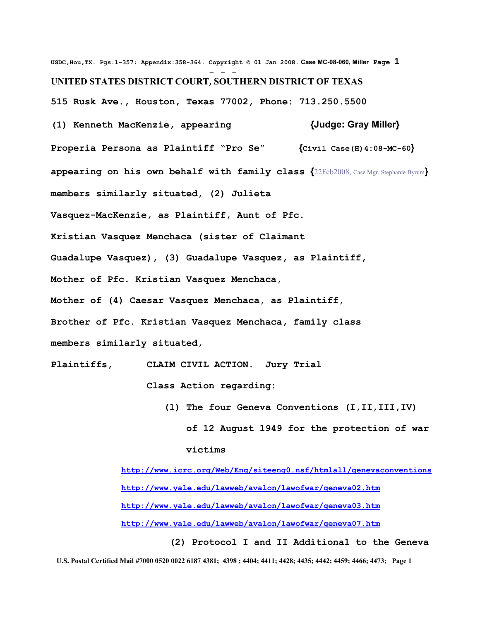**USDC,Hou,TX. Pgs.1-357; Appendix:358-364. Copyright © 01 Jan 2008. Case MC-08-060, Miller Page 1** - - - **UNITED STATES DISTRICT COURT, SOUTHERN DISTRICT OF TEXAS 515 Rusk Ave., Houston, Texas 77002, Phone: 713.250.5500 (1) Kenneth MacKenzie, appearing {Judge: Gray Miller} Properia Persona as Plaintiff "Pro Se" {Civil Case(H)4:08-MC-60} appearing on his own behalf with family class {**22Feb2008, Case Mgr. Stephanie Byrum**} members similarly situated, (2) Julieta Vasquez-MacKenzie, as Plaintiff, Aunt of Pfc. Kristian Vasquez Menchaca (sister of Claimant Guadalupe Vasquez), (3) Guadalupe Vasquez, as Plaintiff, Mother of Pfc. Kristian Vasquez Menchaca, Mother of (4) Caesar Vasquez Menchaca, as Plaintiff, Brother of Pfc. Kristian Vasquez Menchaca, family class members similarly situated,** 

**Plaintiffs, CLAIM CIVIL ACTION. Jury Trial** 

 **Class Action regarding:**

 **(1) The four Geneva Conventions (I,II,III,IV) of 12 August 1949 for the protection of war victims**

 **<http://www.icrc.org/Web/Eng/siteeng0.nsf/htmlall/genevaconventions> <http://www.yale.edu/lawweb/avalon/lawofwar/geneva02.htm> <http://www.yale.edu/lawweb/avalon/lawofwar/geneva03.htm> <http://www.yale.edu/lawweb/avalon/lawofwar/geneva07.htm>**

 **(2) Protocol I and II Additional to the Geneva U.S. Postal Certified Mail #7000 0520 0022 6187 4381; 4398 ; 4404; 4411; 4428; 4435; 4442; 4459; 4466; 4473; Page 1**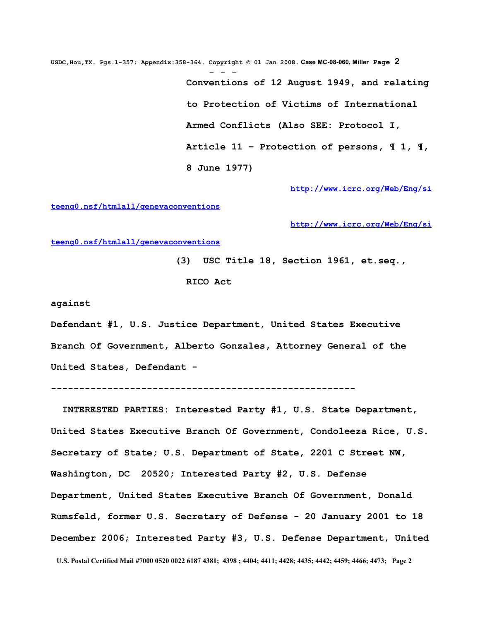**USDC,Hou,TX. Pgs.1-357; Appendix:358-364. Copyright © 01 Jan 2008. Case MC-08-060, Miller Page 2** - - -  **Conventions of 12 August 1949, and relating to Protection of Victims of International Armed Conflicts (Also SEE: Protocol I, Article 11 – Protection of persons, ¶ 1, ¶, 8 June 1977)**

 **[http://www.icrc.org/Web/Eng/si](http://www.icrc.org/Web/Eng/siteeng0.nsf/htmlall/genevaconventions)**

**[teeng0.nsf/htmlall/genevaconventions](http://www.icrc.org/Web/Eng/siteeng0.nsf/htmlall/genevaconventions)**

 **[http://www.icrc.org/Web/Eng/si](http://www.icrc.org/Web/Eng/siteeng0.nsf/htmlall/genevaconventions)**

**[teeng0.nsf/htmlall/genevaconventions](http://www.icrc.org/Web/Eng/siteeng0.nsf/htmlall/genevaconventions)**

 **(3) USC Title 18, Section 1961, et.seq., RICO Act** 

**against** 

**Defendant #1, U.S. Justice Department, United States Executive Branch Of Government, Alberto Gonzales, Attorney General of the United States, Defendant -** 

**------------------------------------------------------**

 **INTERESTED PARTIES: Interested Party #1, U.S. State Department, United States Executive Branch Of Government, Condoleeza Rice, U.S. Secretary of State; U.S. Department of State, 2201 C Street NW, Washington, DC 20520; Interested Party #2, U.S. Defense Department, United States Executive Branch Of Government, Donald Rumsfeld, former U.S. Secretary of Defense - 20 January 2001 to 18 December 2006; Interested Party #3, U.S. Defense Department, United U.S. Postal Certified Mail #7000 0520 0022 6187 4381; 4398 ; 4404; 4411; 4428; 4435; 4442; 4459; 4466; 4473; Page 2**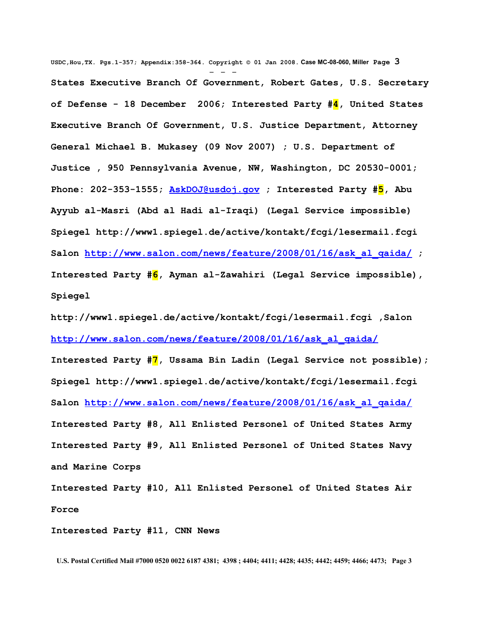**USDC,Hou,TX. Pgs.1-357; Appendix:358-364. Copyright © 01 Jan 2008. Case MC-08-060, Miller Page 3** - - - **States Executive Branch Of Government, Robert Gates, U.S. Secretary of Defense - 18 December 2006; Interested Party #4, United States Executive Branch Of Government, U.S. Justice Department, Attorney General Michael B. Mukasey (09 Nov 2007) ; U.S. Department of Justice , 950 Pennsylvania Avenue, NW, Washington, DC 20530-0001; Phone: 202-353-1555; [AskDOJ@usdoj.gov](mailto:AskDOJ@usdoj.gov?subject=USDOJ%20Comments) ; Interested Party #5, Abu Ayyub al-Masri (Abd al Hadi al-Iraqi) (Legal Service impossible) Spiegel [http://www1.spiegel.de/active/kontakt/fcgi/lesermail.fcgi](http://www1.spiegel.de/active/kontakt/fcgi/lesermail.fcgi%20%20) Salon [http://www.salon.com/news/feature/2008/01/16/ask\\_al\\_qaida/](http://www.salon.com/news/feature/2008/01/16/ask_al_qaida/) ; Interested Party #6, Ayman al-Zawahiri (Legal Service impossible), Spiegel**

**[http://www1.spiegel.de/active/kontakt/fcgi/lesermail.fcgi ,S](http://www1.spiegel.de/active/kontakt/fcgi/lesermail.fcgi%20%20)alon [http://www.salon.com/news/feature/2008/01/16/ask\\_al\\_qaida/](http://www.salon.com/news/feature/2008/01/16/ask_al_qaida/)**

**Interested Party #7, Ussama Bin Ladin (Legal Service not possible); Spiegel [http://www1.spiegel.de/active/kontakt/fcgi/lesermail.fcgi](http://www1.spiegel.de/active/kontakt/fcgi/lesermail.fcgi%20%20) Salon [http://www.salon.com/news/feature/2008/01/16/ask\\_al\\_qaida/](http://www.salon.com/news/feature/2008/01/16/ask_al_qaida/) Interested Party #8, All Enlisted Personel of United States Army Interested Party #9, All Enlisted Personel of United States Navy and Marine Corps**

**Interested Party #10, All Enlisted Personel of United States Air Force**

**Interested Party #11, CNN News**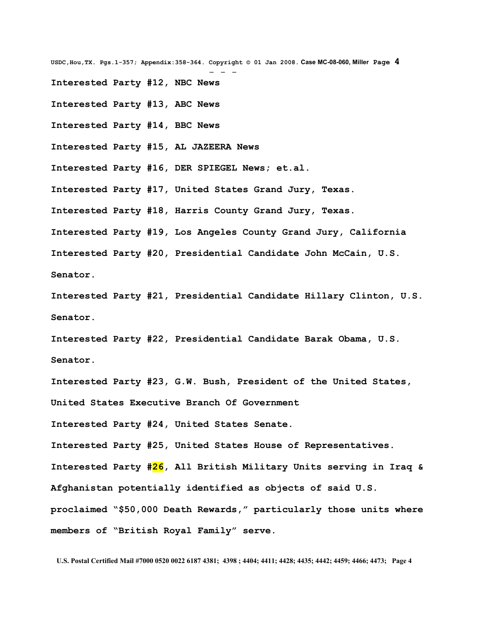**USDC,Hou,TX. Pgs.1-357; Appendix:358-364. Copyright © 01 Jan 2008. Case MC-08-060, Miller Page 4** - - - **Interested Party #12, NBC News Interested Party #13, ABC News Interested Party #14, BBC News Interested Party #15, AL JAZEERA News Interested Party #16, DER SPIEGEL News; et.al. Interested Party #17, United States Grand Jury, Texas. Interested Party #18, Harris County Grand Jury, Texas. Interested Party #19, Los Angeles County Grand Jury, California Interested Party #20, Presidential Candidate John McCain, U.S. Senator.**

**Interested Party #21, Presidential Candidate Hillary Clinton, U.S. Senator.**

**Interested Party #22, Presidential Candidate Barak Obama, U.S. Senator.**

**Interested Party #23, G.W. Bush, President of the United States, United States Executive Branch Of Government**

**Interested Party #24, United States Senate.**

**Interested Party #25, United States House of Representatives.**

**Interested Party #26, All British Military Units serving in Iraq & Afghanistan potentially identified as objects of said U.S.**

**proclaimed "\$50,000 Death Rewards," particularly those units where members of "British Royal Family" serve.**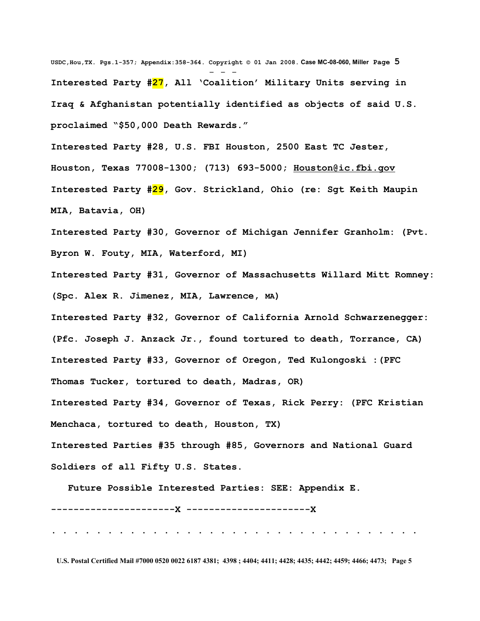**USDC,Hou,TX. Pgs.1-357; Appendix:358-364. Copyright © 01 Jan 2008. Case MC-08-060, Miller Page 5** - - - **Interested Party #27, All 'Coalition' Military Units serving in Iraq & Afghanistan potentially identified as objects of said U.S. proclaimed "\$50,000 Death Rewards."**

**Interested Party #28, U.S. FBI Houston, 2500 East TC Jester, Houston, Texas 77008-1300; (713) 693-5000; [Houston@ic.fbi.gov](mailto:Houston@ic.fbi.gov)  Interested Party #29, Gov. Strickland, Ohio (re: Sgt Keith Maupin MIA, Batavia, OH)**

**Interested Party #30, Governor of Michigan Jennifer Granholm: (Pvt. Byron W. Fouty, MIA, Waterford, MI)**

**Interested Party #31, Governor of Massachusetts Willard Mitt Romney: (Spc. Alex R. Jimenez, MIA, Lawrence, MA)**

**Interested Party #32, Governor of California Arnold Schwarzenegger: (Pfc. Joseph J. Anzack Jr., found tortured to death, Torrance, CA) Interested Party #33, Governor of Oregon, Ted Kulongoski :(PFC Thomas Tucker, tortured to death, Madras, OR)** 

**Interested Party #34, Governor of Texas, Rick Perry: (PFC Kristian Menchaca, tortured to death, Houston, TX)**

**Interested Parties #35 through #85, Governors and National Guard Soldiers of all Fifty U.S. States.**

 **Future Possible Interested Parties: SEE: Appendix E.**

## **----------------------X ----------------------X**

**. . . . . . . . . . . . . . . . . . . . . . . . . . . . . . . . .**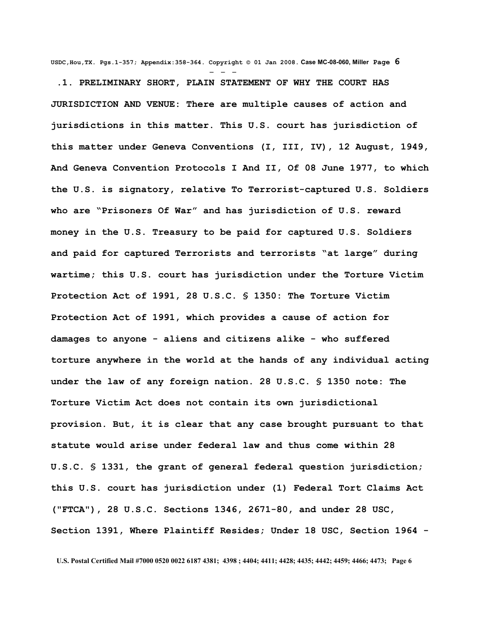**USDC,Hou,TX. Pgs.1-357; Appendix:358-364. Copyright © 01 Jan 2008. Case MC-08-060, Miller Page 6**

- - - **.1. PRELIMINARY SHORT, PLAIN STATEMENT OF WHY THE COURT HAS JURISDICTION AND VENUE: There are multiple causes of action and jurisdictions in this matter. This U.S. court has jurisdiction of this matter under Geneva Conventions (I, III, IV), 12 August, 1949, And Geneva Convention Protocols I And II, Of 08 June 1977, to which the U.S. is signatory, relative To Terrorist-captured U.S. Soldiers who are "Prisoners Of War" and has jurisdiction of U.S. reward money in the U.S. Treasury to be paid for captured U.S. Soldiers and paid for captured Terrorists and terrorists "at large" during wartime; this U.S. court has jurisdiction under the Torture Victim Protection Act of 1991, 28 U.S.C. § 1350: The Torture Victim Protection Act of 1991, which provides a cause of action for damages to anyone - aliens and citizens alike - who suffered torture anywhere in the world at the hands of any individual acting under the law of any foreign nation. 28 U.S.C. § 1350 note: The Torture Victim Act does not contain its own jurisdictional provision. But, it is clear that any case brought pursuant to that statute would arise under federal law and thus come within 28 U.S.C. § 1331, the grant of general federal question jurisdiction; this U.S. court has jurisdiction under (1) Federal Tort Claims Act ("FTCA"), 28 U.S.C. Sections 1346, 2671-80, and under 28 USC, Section 1391, Where Plaintiff Resides; Under 18 USC, Section 1964 -**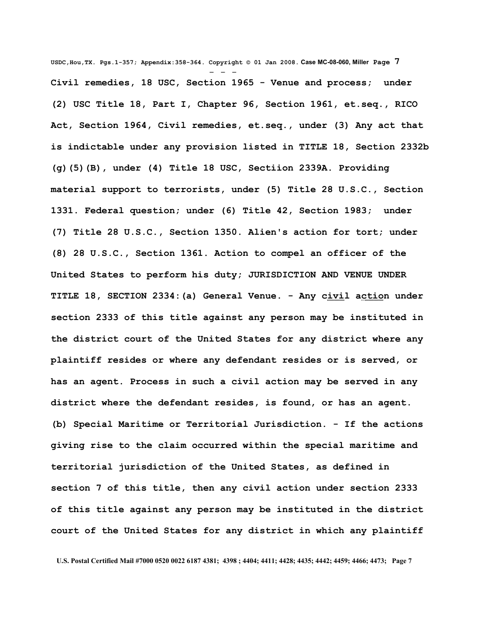**USDC,Hou,TX. Pgs.1-357; Appendix:358-364. Copyright © 01 Jan 2008. Case MC-08-060, Miller Page 7** - - - **Civil remedies, 18 USC, Section 1965 - Venue and process; under (2) USC Title 18, Part I, Chapter 96, Section 1961, et.seq., RICO Act, Section 1964, Civil remedies, et.seq., under (3) Any act that is indictable under any provision listed in TITLE 18, Section 2332b (g)(5)(B), under (4) Title 18 USC, Sectiion 2339A. Providing material support to terrorists, under (5) Title 28 U.S.C., Section 1331. Federal question; under (6) Title 42, Section 1983; under (7) Title 28 U.S.C., Section 1350. Alien's action for tort; under (8) 28 U.S.C., Section 1361. Action to compel an officer of the United States to perform his duty; JURISDICTION AND VENUE UNDER TITLE 18, SECTION 2334:(a) General Venue. - Any civil action under section 2333 of this title against any person may be instituted in the district court of the United States for any district where any plaintiff resides or where any defendant resides or is served, or has an agent. Process in such a civil action may be served in any district where the defendant resides, is found, or has an agent. (b) Special Maritime or Territorial Jurisdiction. - If the actions giving rise to the claim occurred within the special maritime and territorial jurisdiction of the United States, as defined in section 7 of this title, then any civil action under section 2333 of this title against any person may be instituted in the district court of the United States for any district in which any plaintiff**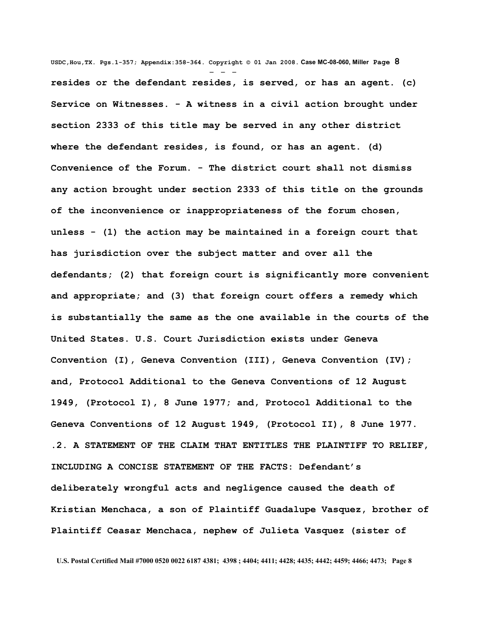**USDC,Hou,TX. Pgs.1-357; Appendix:358-364. Copyright © 01 Jan 2008. Case MC-08-060, Miller Page 8** - - **resides or the defendant resides, is served, or has an agent. (c) Service on Witnesses. - A witness in a civil action brought under section 2333 of this title may be served in any other district where the defendant resides, is found, or has an agent. (d) Convenience of the Forum. - The district court shall not dismiss any action brought under section 2333 of this title on the grounds of the inconvenience or inappropriateness of the forum chosen, unless - (1) the action may be maintained in a foreign court that has jurisdiction over the subject matter and over all the defendants; (2) that foreign court is significantly more convenient and appropriate; and (3) that foreign court offers a remedy which is substantially the same as the one available in the courts of the United States. U.S. Court Jurisdiction exists under Geneva Convention (I), Geneva Convention (III), Geneva Convention (IV); and, Protocol Additional to the Geneva Conventions of 12 August 1949, (Protocol I), 8 June 1977; and, Protocol Additional to the Geneva Conventions of 12 August 1949, (Protocol II), 8 June 1977. .2. A STATEMENT OF THE CLAIM THAT ENTITLES THE PLAINTIFF TO RELIEF, INCLUDING A CONCISE STATEMENT OF THE FACTS: Defendant's deliberately wrongful acts and negligence caused the death of Kristian Menchaca, a son of Plaintiff Guadalupe Vasquez, brother of Plaintiff Ceasar Menchaca, nephew of Julieta Vasquez (sister of**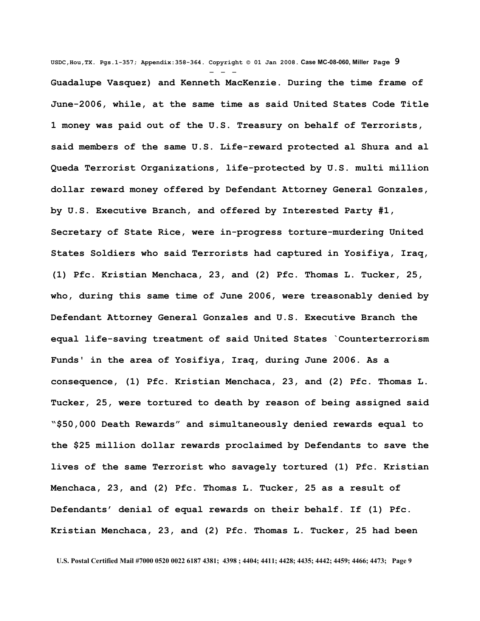**USDC,Hou,TX. Pgs.1-357; Appendix:358-364. Copyright © 01 Jan 2008. Case MC-08-060, Miller Page 9** - - - **Guadalupe Vasquez) and Kenneth MacKenzie. During the time frame of June-2006, while, at the same time as said United States Code Title 1 money was paid out of the U.S. Treasury on behalf of Terrorists, said members of the same U.S. Life-reward protected al Shura and al Queda Terrorist Organizations, life-protected by U.S. multi million dollar reward money offered by Defendant Attorney General Gonzales, by U.S. Executive Branch, and offered by Interested Party #1, Secretary of State Rice, were in-progress torture-murdering United States Soldiers who said Terrorists had captured in Yosifiya, Iraq, (1) Pfc. Kristian Menchaca, 23, and (2) Pfc. Thomas L. Tucker, 25, who, during this same time of June 2006, were treasonably denied by Defendant Attorney General Gonzales and U.S. Executive Branch the equal life-saving treatment of said United States `Counterterrorism Funds' in the area of Yosifiya, Iraq, during June 2006. As a consequence, (1) Pfc. Kristian Menchaca, 23, and (2) Pfc. Thomas L. Tucker, 25, were tortured to death by reason of being assigned said "\$50,000 Death Rewards" and simultaneously denied rewards equal to the \$25 million dollar rewards proclaimed by Defendants to save the lives of the same Terrorist who savagely tortured (1) Pfc. Kristian Menchaca, 23, and (2) Pfc. Thomas L. Tucker, 25 as a result of Defendants' denial of equal rewards on their behalf. If (1) Pfc. Kristian Menchaca, 23, and (2) Pfc. Thomas L. Tucker, 25 had been**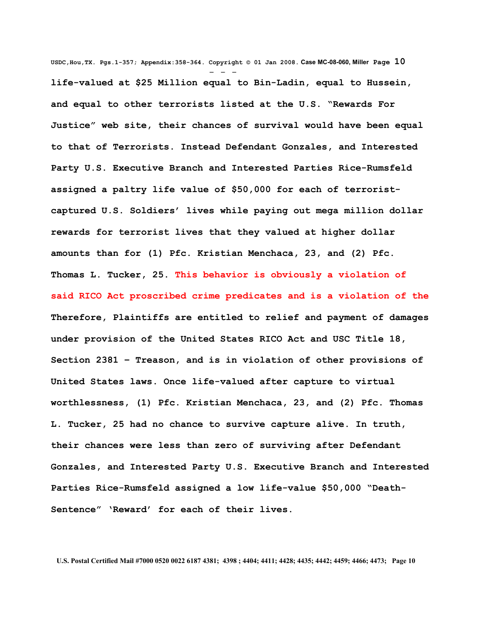**USDC,Hou,TX. Pgs.1-357; Appendix:358-364. Copyright © 01 Jan 2008. Case MC-08-060, Miller Page 10** - - **life-valued at \$25 Million equal to Bin-Ladin, equal to Hussein, and equal to other terrorists listed at the U.S. "Rewards For Justice" web site, their chances of survival would have been equal to that of Terrorists. Instead Defendant Gonzales, and Interested Party U.S. Executive Branch and Interested Parties Rice-Rumsfeld assigned a paltry life value of \$50,000 for each of terroristcaptured U.S. Soldiers' lives while paying out mega million dollar rewards for terrorist lives that they valued at higher dollar amounts than for (1) Pfc. Kristian Menchaca, 23, and (2) Pfc. Thomas L. Tucker, 25. This behavior is obviously a violation of said RICO Act proscribed crime predicates and is a violation of the Therefore, Plaintiffs are entitled to relief and payment of damages under provision of the United States RICO Act and USC Title 18, Section 2381 – Treason, and is in violation of other provisions of United States laws. Once life-valued after capture to virtual worthlessness, (1) Pfc. Kristian Menchaca, 23, and (2) Pfc. Thomas L. Tucker, 25 had no chance to survive capture alive. In truth, their chances were less than zero of surviving after Defendant Gonzales, and Interested Party U.S. Executive Branch and Interested Parties Rice-Rumsfeld assigned a low life-value \$50,000 "Death-Sentence" 'Reward' for each of their lives.**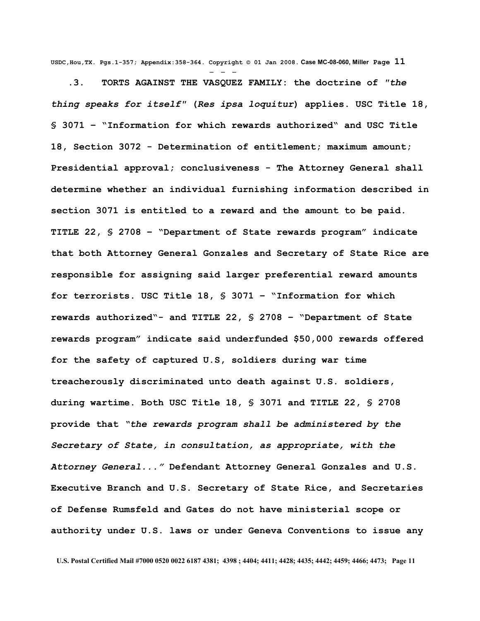**USDC,Hou,TX. Pgs.1-357; Appendix:358-364. Copyright © 01 Jan 2008. Case MC-08-060, Miller Page 11** - - -

 **.3. TORTS AGAINST THE VASQUEZ FAMILY: the doctrine of** *"the thing speaks for itself"* **(***Res ipsa loquitur***) applies. USC Title 18, § 3071 – "Information for which rewards authorized" and USC Title 18, Section 3072 - Determination of entitlement; maximum amount; Presidential approval; conclusiveness - The Attorney General shall determine whether an individual furnishing information described in section 3071 is entitled to a reward and the amount to be paid. TITLE 22, § 2708 – "Department of State rewards program" indicate that both Attorney General Gonzales and Secretary of State Rice are responsible for assigning said larger preferential reward amounts for terrorists. USC Title 18, § 3071 – "Information for which rewards authorized"- and TITLE 22, § 2708 – "Department of State rewards program" indicate said underfunded \$50,000 rewards offered for the safety of captured U.S, soldiers during war time treacherously discriminated unto death against U.S. soldiers, during wartime. Both USC Title 18, § 3071 and TITLE 22, § 2708 provide that** *"the rewards program shall be administered by the Secretary of State, in consultation, as appropriate, with the Attorney General..."* **Defendant Attorney General Gonzales and U.S. Executive Branch and U.S. Secretary of State Rice, and Secretaries of Defense Rumsfeld and Gates do not have ministerial scope or authority under U.S. laws or under Geneva Conventions to issue any**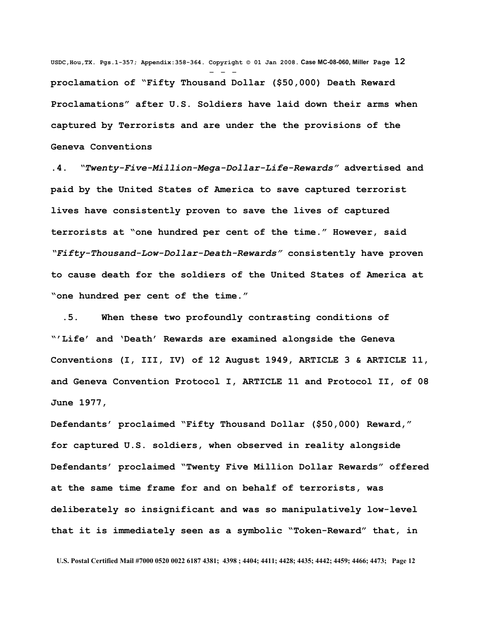**USDC,Hou,TX. Pgs.1-357; Appendix:358-364. Copyright © 01 Jan 2008. Case MC-08-060, Miller Page 12** - - **proclamation of "Fifty Thousand Dollar (\$50,000) Death Reward Proclamations" after U.S. Soldiers have laid down their arms when captured by Terrorists and are under the the provisions of the Geneva Conventions** 

**.4.** *"Twenty-Five-Million-Mega-Dollar-Life-Rewards"* **advertised and paid by the United States of America to save captured terrorist lives have consistently proven to save the lives of captured terrorists at "one hundred per cent of the time." However, said** *"Fifty-Thousand-Low-Dollar-Death-Rewards"* **consistently have proven to cause death for the soldiers of the United States of America at "one hundred per cent of the time."** 

 **.5. When these two profoundly contrasting conditions of "'Life' and 'Death' Rewards are examined alongside the Geneva Conventions (I, III, IV) of 12 August 1949, ARTICLE 3 & ARTICLE 11, and Geneva Convention Protocol I, ARTICLE 11 and Protocol II, of 08 June 1977,**

**Defendants' proclaimed "Fifty Thousand Dollar (\$50,000) Reward," for captured U.S. soldiers, when observed in reality alongside Defendants' proclaimed "Twenty Five Million Dollar Rewards" offered at the same time frame for and on behalf of terrorists, was deliberately so insignificant and was so manipulatively low-level that it is immediately seen as a symbolic "Token-Reward" that, in**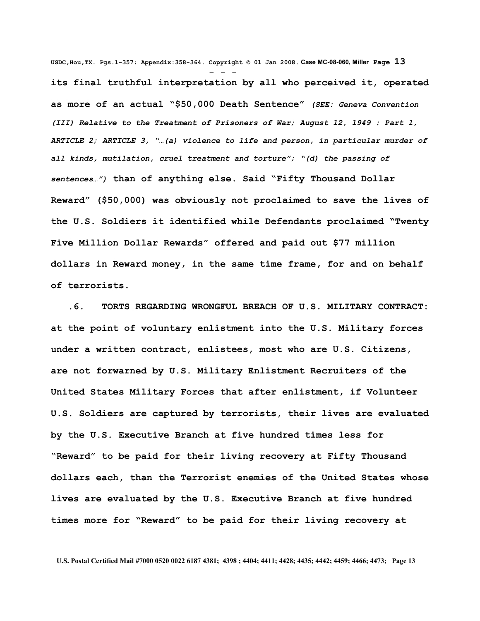**USDC,Hou,TX. Pgs.1-357; Appendix:358-364. Copyright © 01 Jan 2008. Case MC-08-060, Miller Page 13** - - **its final truthful interpretation by all who perceived it, operated as more of an actual "\$50,000 Death Sentence"** *(SEE: Geneva Convention (III) Relative to the Treatment of Prisoners of War; August 12, 1949 : Part 1, ARTICLE 2; ARTICLE 3, "…(a) violence to life and person, in particular murder of all kinds, mutilation, cruel treatment and torture"; "(d) the passing of sentences…")* **than of anything else. Said "Fifty Thousand Dollar Reward" (\$50,000) was obviously not proclaimed to save the lives of the U.S. Soldiers it identified while Defendants proclaimed "Twenty Five Million Dollar Rewards" offered and paid out \$77 million dollars in Reward money, in the same time frame, for and on behalf of terrorists.**

 **.6. TORTS REGARDING WRONGFUL BREACH OF U.S. MILITARY CONTRACT: at the point of voluntary enlistment into the U.S. Military forces under a written contract, enlistees, most who are U.S. Citizens, are not forwarned by U.S. Military Enlistment Recruiters of the United States Military Forces that after enlistment, if Volunteer U.S. Soldiers are captured by terrorists, their lives are evaluated by the U.S. Executive Branch at five hundred times less for "Reward" to be paid for their living recovery at Fifty Thousand dollars each, than the Terrorist enemies of the United States whose lives are evaluated by the U.S. Executive Branch at five hundred times more for "Reward" to be paid for their living recovery at**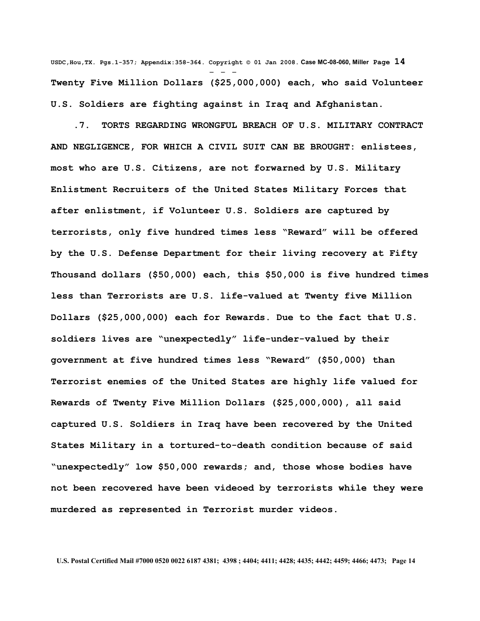**USDC,Hou,TX. Pgs.1-357; Appendix:358-364. Copyright © 01 Jan 2008. Case MC-08-060, Miller Page 14** - - - **Twenty Five Million Dollars (\$25,000,000) each, who said Volunteer U.S. Soldiers are fighting against in Iraq and Afghanistan.**

 **.7. TORTS REGARDING WRONGFUL BREACH OF U.S. MILITARY CONTRACT AND NEGLIGENCE, FOR WHICH A CIVIL SUIT CAN BE BROUGHT: enlistees, most who are U.S. Citizens, are not forwarned by U.S. Military Enlistment Recruiters of the United States Military Forces that after enlistment, if Volunteer U.S. Soldiers are captured by terrorists, only five hundred times less "Reward" will be offered by the U.S. Defense Department for their living recovery at Fifty Thousand dollars (\$50,000) each, this \$50,000 is five hundred times less than Terrorists are U.S. life-valued at Twenty five Million Dollars (\$25,000,000) each for Rewards. Due to the fact that U.S. soldiers lives are "unexpectedly" life-under-valued by their government at five hundred times less "Reward" (\$50,000) than Terrorist enemies of the United States are highly life valued for Rewards of Twenty Five Million Dollars (\$25,000,000), all said captured U.S. Soldiers in Iraq have been recovered by the United States Military in a tortured-to-death condition because of said "unexpectedly" low \$50,000 rewards; and, those whose bodies have not been recovered have been videoed by terrorists while they were murdered as represented in Terrorist murder videos.**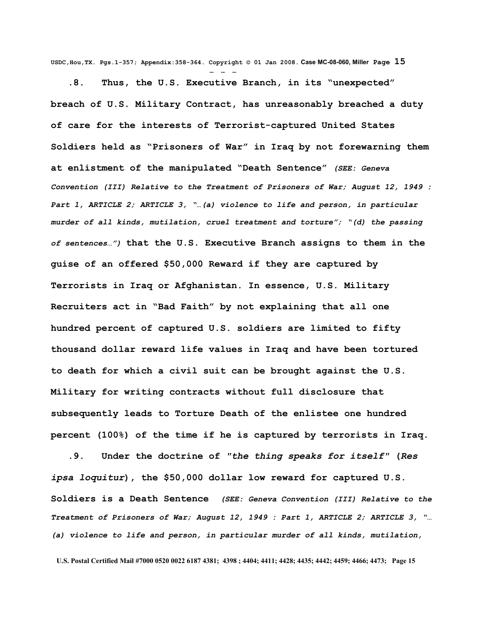**USDC,Hou,TX. Pgs.1-357; Appendix:358-364. Copyright © 01 Jan 2008. Case MC-08-060, Miller Page 15** - - -

 **.8. Thus, the U.S. Executive Branch, in its "unexpected" breach of U.S. Military Contract, has unreasonably breached a duty of care for the interests of Terrorist-captured United States Soldiers held as "Prisoners of War" in Iraq by not forewarning them at enlistment of the manipulated "Death Sentence"** *(SEE: Geneva Convention (III) Relative to the Treatment of Prisoners of War; August 12, 1949 : Part 1, ARTICLE 2; ARTICLE 3, "…(a) violence to life and person, in particular murder of all kinds, mutilation, cruel treatment and torture"; "(d) the passing of sentences…")* **that the U.S. Executive Branch assigns to them in the guise of an offered \$50,000 Reward if they are captured by Terrorists in Iraq or Afghanistan. In essence, U.S. Military Recruiters act in "Bad Faith" by not explaining that all one hundred percent of captured U.S. soldiers are limited to fifty thousand dollar reward life values in Iraq and have been tortured to death for which a civil suit can be brought against the U.S. Military for writing contracts without full disclosure that subsequently leads to Torture Death of the enlistee one hundred percent (100%) of the time if he is captured by terrorists in Iraq.**

 **.9. Under the doctrine of** *"the thing speaks for itself"* **(***Res ipsa loquitur***), the \$50,000 dollar low reward for captured U.S. Soldiers is a Death Sentence** *(SEE: Geneva Convention (III) Relative to the Treatment of Prisoners of War; August 12, 1949 : Part 1, ARTICLE 2; ARTICLE 3, "… (a) violence to life and person, in particular murder of all kinds, mutilation,*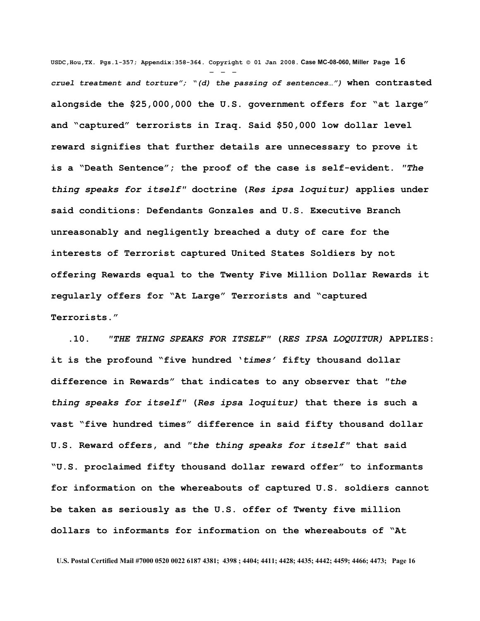**USDC,Hou,TX. Pgs.1-357; Appendix:358-364. Copyright © 01 Jan 2008. Case MC-08-060, Miller Page 16** - - *cruel treatment and torture"; "(d) the passing of sentences…")* **when contrasted alongside the \$25,000,000 the U.S. government offers for "at large" and "captured" terrorists in Iraq. Said \$50,000 low dollar level reward signifies that further details are unnecessary to prove it is a "Death Sentence"; the proof of the case is self-evident.** *"The thing speaks for itself"* **doctrine (***Res ipsa loquitur)* **applies under said conditions: Defendants Gonzales and U.S. Executive Branch unreasonably and negligently breached a duty of care for the interests of Terrorist captured United States Soldiers by not offering Rewards equal to the Twenty Five Million Dollar Rewards it regularly offers for "At Large" Terrorists and "captured Terrorists."**

 **.10.** *"THE THING SPEAKS FOR ITSELF"* **(***RES IPSA LOQUITUR)* **APPLIES: it is the profound "five hundred '***times'* **fifty thousand dollar difference in Rewards" that indicates to any observer that** *"the thing speaks for itself"* **(***Res ipsa loquitur)* **that there is such a vast "five hundred times" difference in said fifty thousand dollar U.S. Reward offers, and** *"the thing speaks for itself"* **that said "U.S. proclaimed fifty thousand dollar reward offer" to informants for information on the whereabouts of captured U.S. soldiers cannot be taken as seriously as the U.S. offer of Twenty five million dollars to informants for information on the whereabouts of "At**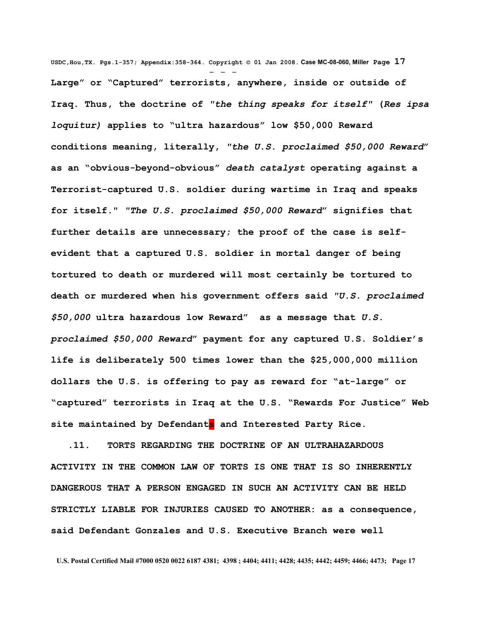**USDC,Hou,TX. Pgs.1-357; Appendix:358-364. Copyright © 01 Jan 2008. Case MC-08-060, Miller Page 17** - - - **Large" or "Captured" terrorists, anywhere, inside or outside of Iraq. Thus, the doctrine of** *"the thing speaks for itself"* **(***Res ipsa loquitur)* **applies to "ultra hazardous" low \$50,000 Reward conditions meaning, literally,** *"the U.S. proclaimed \$50,000 Reward***" as an "obvious-beyond-obvious"** *death catalyst* **operating against a Terrorist-captured U.S. soldier during wartime in Iraq and speaks for itself."** *"The U.S. proclaimed \$50,000 Reward***" signifies that further details are unnecessary; the proof of the case is selfevident that a captured U.S. soldier in mortal danger of being tortured to death or murdered will most certainly be tortured to death or murdered when his government offers said** *"U.S. proclaimed \$50,000* **ultra hazardous low Reward" as a message that** *U.S. proclaimed \$50,000 Reward***" payment for any captured U.S. Soldier's life is deliberately 500 times lower than the \$25,000,000 million dollars the U.S. is offering to pay as reward for "at-large" or "captured" terrorists in Iraq at the U.S. "Rewards For Justice" Web site maintained by Defendants and Interested Party Rice.**

 **.11. TORTS REGARDING THE DOCTRINE OF AN ULTRAHAZARDOUS ACTIVITY IN THE COMMON LAW OF TORTS IS ONE THAT IS SO INHERENTLY DANGEROUS THAT A PERSON ENGAGED IN SUCH AN ACTIVITY CAN BE HELD STRICTLY LIABLE FOR INJURIES CAUSED TO ANOTHER: as a consequence, said Defendant Gonzales and U.S. Executive Branch were well**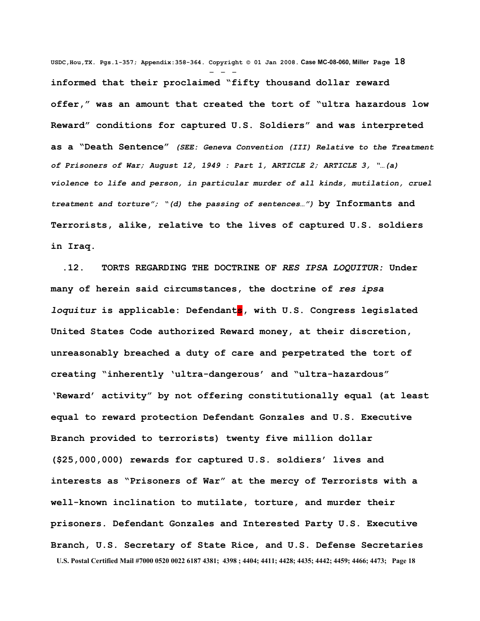**USDC,Hou,TX. Pgs.1-357; Appendix:358-364. Copyright © 01 Jan 2008. Case MC-08-060, Miller Page 18** - - **informed that their proclaimed "fifty thousand dollar reward offer," was an amount that created the tort of "ultra hazardous low Reward" conditions for captured U.S. Soldiers" and was interpreted as a "Death Sentence"** *(SEE: Geneva Convention (III) Relative to the Treatment of Prisoners of War; August 12, 1949 : Part 1, ARTICLE 2; ARTICLE 3, "…(a) violence to life and person, in particular murder of all kinds, mutilation, cruel treatment and torture"; "(d) the passing of sentences…")* **by Informants and Terrorists, alike, relative to the lives of captured U.S. soldiers in Iraq.** 

 **.12. TORTS REGARDING THE DOCTRINE OF** *RES IPSA LOQUITUR:* **Under many of herein said circumstances, the doctrine of** *res ipsa loquitur* is applicable: Defendants, with U.S. Congress legislated **United States Code authorized Reward money, at their discretion, unreasonably breached a duty of care and perpetrated the tort of creating "inherently 'ultra-dangerous' and "ultra-hazardous" 'Reward' activity" by not offering constitutionally equal (at least equal to reward protection Defendant Gonzales and U.S. Executive Branch provided to terrorists) twenty five million dollar (\$25,000,000) rewards for captured U.S. soldiers' lives and interests as "Prisoners of War" at the mercy of Terrorists with a well-known inclination to mutilate, torture, and murder their prisoners. Defendant Gonzales and Interested Party U.S. Executive Branch, U.S. Secretary of State Rice, and U.S. Defense Secretaries U.S. Postal Certified Mail #7000 0520 0022 6187 4381; 4398 ; 4404; 4411; 4428; 4435; 4442; 4459; 4466; 4473; Page 18**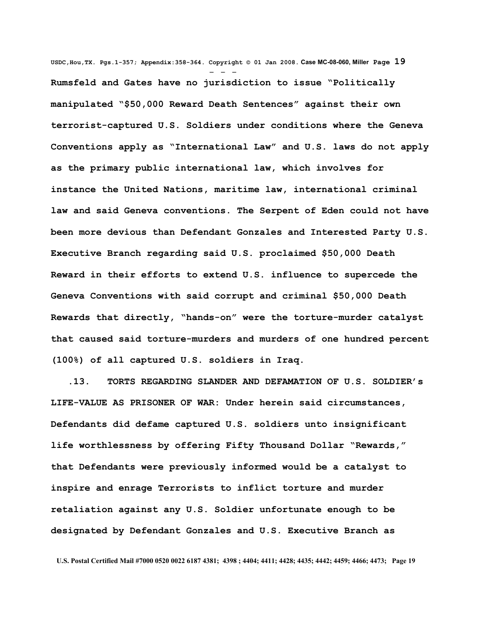**USDC,Hou,TX. Pgs.1-357; Appendix:358-364. Copyright © 01 Jan 2008. Case MC-08-060, Miller Page 19** - - - **Rumsfeld and Gates have no jurisdiction to issue "Politically manipulated "\$50,000 Reward Death Sentences" against their own terrorist-captured U.S. Soldiers under conditions where the Geneva Conventions apply as "International Law" and U.S. laws do not apply as the primary public international law, which involves for instance the United Nations, maritime law, international criminal law and said Geneva conventions. The Serpent of Eden could not have been more devious than Defendant Gonzales and Interested Party U.S. Executive Branch regarding said U.S. proclaimed \$50,000 Death Reward in their efforts to extend U.S. influence to supercede the Geneva Conventions with said corrupt and criminal \$50,000 Death Rewards that directly, "hands-on" were the torture-murder catalyst that caused said torture-murders and murders of one hundred percent (100%) of all captured U.S. soldiers in Iraq.** 

 **.13. TORTS REGARDING SLANDER AND DEFAMATION OF U.S. SOLDIER's LIFE-VALUE AS PRISONER OF WAR: Under herein said circumstances, Defendants did defame captured U.S. soldiers unto insignificant life worthlessness by offering Fifty Thousand Dollar "Rewards," that Defendants were previously informed would be a catalyst to inspire and enrage Terrorists to inflict torture and murder retaliation against any U.S. Soldier unfortunate enough to be designated by Defendant Gonzales and U.S. Executive Branch as**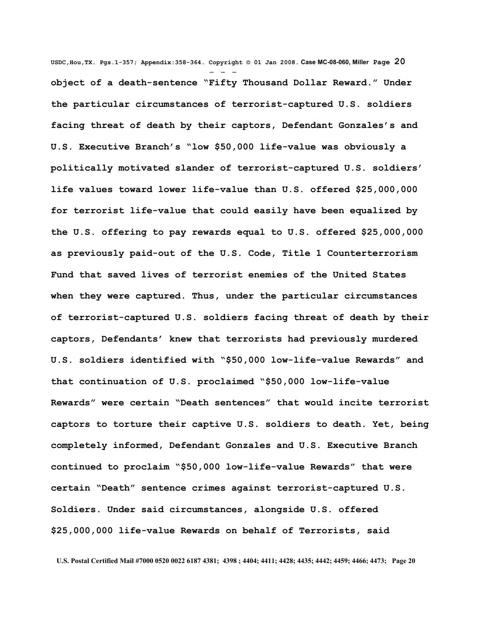**USDC,Hou,TX. Pgs.1-357; Appendix:358-364. Copyright © 01 Jan 2008. Case MC-08-060, Miller Page 20** - - **object of a death-sentence "Fifty Thousand Dollar Reward." Under the particular circumstances of terrorist-captured U.S. soldiers facing threat of death by their captors, Defendant Gonzales's and U.S. Executive Branch's "low \$50,000 life-value was obviously a politically motivated slander of terrorist-captured U.S. soldiers' life values toward lower life-value than U.S. offered \$25,000,000 for terrorist life-value that could easily have been equalized by the U.S. offering to pay rewards equal to U.S. offered \$25,000,000 as previously paid-out of the U.S. Code, Title 1 Counterterrorism Fund that saved lives of terrorist enemies of the United States when they were captured. Thus, under the particular circumstances of terrorist-captured U.S. soldiers facing threat of death by their captors, Defendants' knew that terrorists had previously murdered U.S. soldiers identified with "\$50,000 low-life-value Rewards" and that continuation of U.S. proclaimed "\$50,000 low-life-value Rewards" were certain "Death sentences" that would incite terrorist captors to torture their captive U.S. soldiers to death. Yet, being completely informed, Defendant Gonzales and U.S. Executive Branch continued to proclaim "\$50,000 low-life-value Rewards" that were certain "Death" sentence crimes against terrorist-captured U.S. Soldiers. Under said circumstances, alongside U.S. offered \$25,000,000 life-value Rewards on behalf of Terrorists, said**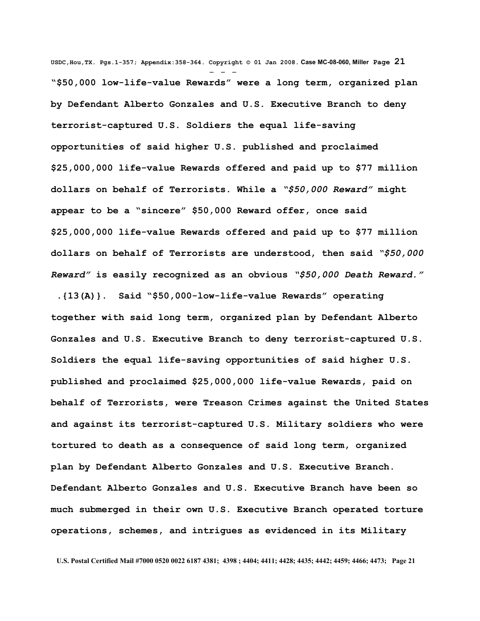**USDC,Hou,TX. Pgs.1-357; Appendix:358-364. Copyright © 01 Jan 2008. Case MC-08-060, Miller Page 21** - - - **"\$50,000 low-life-value Rewards" were a long term, organized plan by Defendant Alberto Gonzales and U.S. Executive Branch to deny terrorist-captured U.S. Soldiers the equal life-saving opportunities of said higher U.S. published and proclaimed \$25,000,000 life-value Rewards offered and paid up to \$77 million dollars on behalf of Terrorists. While a** *"\$50,000 Reward"* **might appear to be a "sincere" \$50,000 Reward offer, once said \$25,000,000 life-value Rewards offered and paid up to \$77 million dollars on behalf of Terrorists are understood, then said** *"\$50,000 Reward"* **is easily recognized as an obvious** *"\$50,000 Death Reward."*

 **.{13(A)}. Said "\$50,000-low-life-value Rewards" operating together with said long term, organized plan by Defendant Alberto Gonzales and U.S. Executive Branch to deny terrorist-captured U.S. Soldiers the equal life-saving opportunities of said higher U.S. published and proclaimed \$25,000,000 life-value Rewards, paid on behalf of Terrorists, were Treason Crimes against the United States and against its terrorist-captured U.S. Military soldiers who were tortured to death as a consequence of said long term, organized plan by Defendant Alberto Gonzales and U.S. Executive Branch. Defendant Alberto Gonzales and U.S. Executive Branch have been so much submerged in their own U.S. Executive Branch operated torture operations, schemes, and intrigues as evidenced in its Military**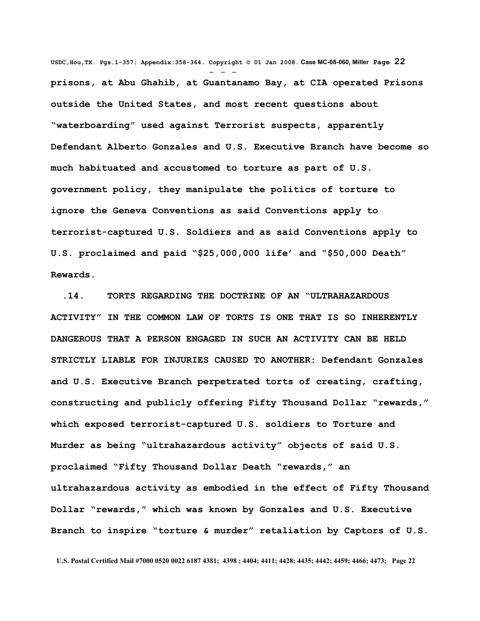**USDC,Hou,TX. Pgs.1-357; Appendix:358-364. Copyright © 01 Jan 2008. Case MC-08-060, Miller Page 22** - - **prisons, at Abu Ghahib, at Guantanamo Bay, at CIA operated Prisons outside the United States, and most recent questions about "waterboarding" used against Terrorist suspects, apparently Defendant Alberto Gonzales and U.S. Executive Branch have become so much habituated and accustomed to torture as part of U.S. government policy, they manipulate the politics of torture to ignore the Geneva Conventions as said Conventions apply to terrorist-captured U.S. Soldiers and as said Conventions apply to U.S. proclaimed and paid "\$25,000,000 life' and "\$50,000 Death" Rewards.** 

 **.14. TORTS REGARDING THE DOCTRINE OF AN "ULTRAHAZARDOUS ACTIVITY" IN THE COMMON LAW OF TORTS IS ONE THAT IS SO INHERENTLY DANGEROUS THAT A PERSON ENGAGED IN SUCH AN ACTIVITY CAN BE HELD STRICTLY LIABLE FOR INJURIES CAUSED TO ANOTHER: Defendant Gonzales and U.S. Executive Branch perpetrated torts of creating, crafting, constructing and publicly offering Fifty Thousand Dollar "rewards," which exposed terrorist-captured U.S. soldiers to Torture and Murder as being "ultrahazardous activity" objects of said U.S. proclaimed "Fifty Thousand Dollar Death "rewards," an ultrahazardous activity as embodied in the effect of Fifty Thousand Dollar "rewards," which was known by Gonzales and U.S. Executive Branch to inspire "torture & murder" retaliation by Captors of U.S.**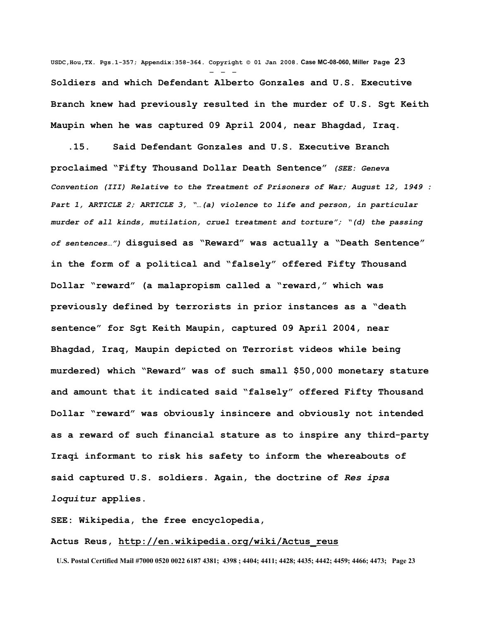**USDC,Hou,TX. Pgs.1-357; Appendix:358-364. Copyright © 01 Jan 2008. Case MC-08-060, Miller Page 23** - - - **Soldiers and which Defendant Alberto Gonzales and U.S. Executive Branch knew had previously resulted in the murder of U.S. Sgt Keith Maupin when he was captured 09 April 2004, near Bhagdad, Iraq.**

 **.15. Said Defendant Gonzales and U.S. Executive Branch proclaimed "Fifty Thousand Dollar Death Sentence"** *(SEE: Geneva Convention (III) Relative to the Treatment of Prisoners of War; August 12, 1949 : Part 1, ARTICLE 2; ARTICLE 3, "…(a) violence to life and person, in particular murder of all kinds, mutilation, cruel treatment and torture"; "(d) the passing of sentences…")* **disguised as "Reward" was actually a "Death Sentence" in the form of a political and "falsely" offered Fifty Thousand Dollar "reward" (a malapropism called a "reward," which was previously defined by terrorists in prior instances as a "death sentence" for Sgt Keith Maupin, captured 09 April 2004, near Bhagdad, Iraq, Maupin depicted on Terrorist videos while being murdered) which "Reward" was of such small \$50,000 monetary stature and amount that it indicated said "falsely" offered Fifty Thousand Dollar "reward" was obviously insincere and obviously not intended as a reward of such financial stature as to inspire any third-party Iraqi informant to risk his safety to inform the whereabouts of said captured U.S. soldiers. Again, the doctrine of** *Res ipsa loquitur* **applies.** 

**SEE: Wikipedia, the free encyclopedia,**

## **Actus Reus, [http://en.wikipedia.org/wiki/Actus\\_reus](http://en.wikipedia.org/wiki/Actus_reus)**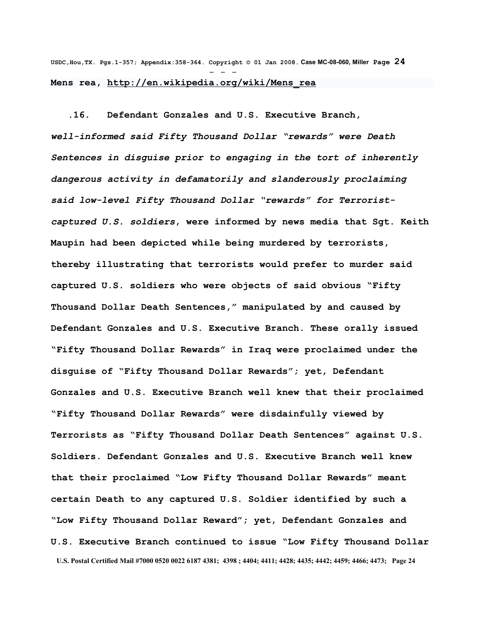**USDC,Hou,TX. Pgs.1-357; Appendix:358-364. Copyright © 01 Jan 2008. Case MC-08-060, Miller Page 24** - - - **Mens rea, [http://en.wikipedia.org/wiki/Mens\\_rea](http://en.wikipedia.org/wiki/Mens_rea)**

 **.16. Defendant Gonzales and U.S. Executive Branch,** *well-informed said Fifty Thousand Dollar "rewards" were Death Sentences in disguise prior to engaging in the tort of inherently dangerous activity in defamatorily and slanderously proclaiming said low-level Fifty Thousand Dollar "rewards" for Terroristcaptured U.S. soldiers***, were informed by news media that Sgt. Keith Maupin had been depicted while being murdered by terrorists, thereby illustrating that terrorists would prefer to murder said captured U.S. soldiers who were objects of said obvious "Fifty Thousand Dollar Death Sentences," manipulated by and caused by Defendant Gonzales and U.S. Executive Branch. These orally issued "Fifty Thousand Dollar Rewards" in Iraq were proclaimed under the disguise of "Fifty Thousand Dollar Rewards"; yet, Defendant Gonzales and U.S. Executive Branch well knew that their proclaimed "Fifty Thousand Dollar Rewards" were disdainfully viewed by Terrorists as "Fifty Thousand Dollar Death Sentences" against U.S. Soldiers. Defendant Gonzales and U.S. Executive Branch well knew that their proclaimed "Low Fifty Thousand Dollar Rewards" meant certain Death to any captured U.S. Soldier identified by such a "Low Fifty Thousand Dollar Reward"; yet, Defendant Gonzales and U.S. Executive Branch continued to issue "Low Fifty Thousand Dollar U.S. Postal Certified Mail #7000 0520 0022 6187 4381; 4398 ; 4404; 4411; 4428; 4435; 4442; 4459; 4466; 4473; Page 24**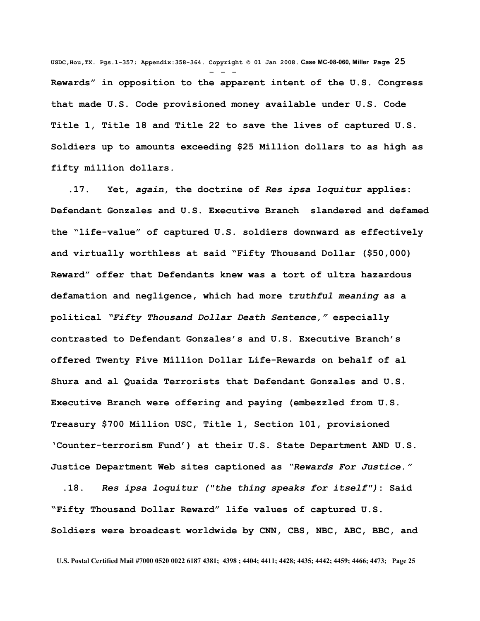**USDC,Hou,TX. Pgs.1-357; Appendix:358-364. Copyright © 01 Jan 2008. Case MC-08-060, Miller Page 25** - - - **Rewards" in opposition to the apparent intent of the U.S. Congress that made U.S. Code provisioned money available under U.S. Code Title 1, Title 18 and Title 22 to save the lives of captured U.S. Soldiers up to amounts exceeding \$25 Million dollars to as high as fifty million dollars.**

 **.17. Yet,** *again***, the doctrine of** *Res ipsa loquitur* **applies: Defendant Gonzales and U.S. Executive Branch slandered and defamed the "life-value" of captured U.S. soldiers downward as effectively and virtually worthless at said "Fifty Thousand Dollar (\$50,000) Reward" offer that Defendants knew was a tort of ultra hazardous defamation and negligence, which had more** *truthful meaning* **as a political** *"Fifty Thousand Dollar Death Sentence,"* **especially contrasted to Defendant Gonzales's and U.S. Executive Branch's offered Twenty Five Million Dollar Life-Rewards on behalf of al Shura and al Quaida Terrorists that Defendant Gonzales and U.S. Executive Branch were offering and paying (embezzled from U.S. Treasury \$700 Million USC, Title 1, Section 101, provisioned 'Counter-terrorism Fund') at their U.S. State Department AND U.S. Justice Department Web sites captioned as** *"Rewards For Justice."*

 **.18.** *Res ipsa loquitur ("the thing speaks for itself")***: Said "Fifty Thousand Dollar Reward" life values of captured U.S. Soldiers were broadcast worldwide by CNN, CBS, NBC, ABC, BBC, and**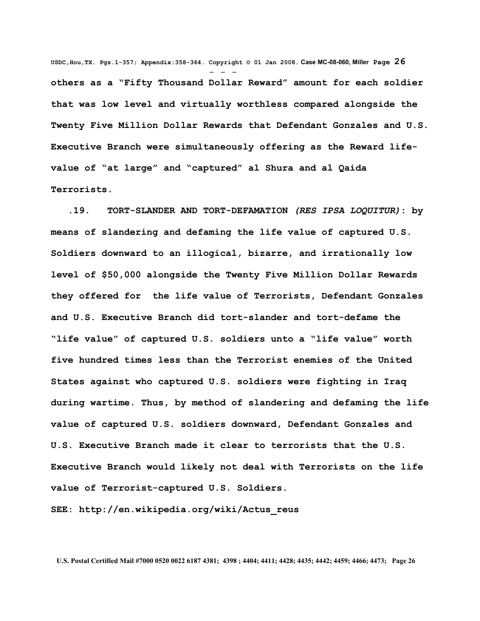**USDC,Hou,TX. Pgs.1-357; Appendix:358-364. Copyright © 01 Jan 2008. Case MC-08-060, Miller Page 26** - - **others as a "Fifty Thousand Dollar Reward" amount for each soldier that was low level and virtually worthless compared alongside the Twenty Five Million Dollar Rewards that Defendant Gonzales and U.S. Executive Branch were simultaneously offering as the Reward lifevalue of "at large" and "captured" al Shura and al Qaida Terrorists.** 

 **.19. TORT-SLANDER AND TORT-DEFAMATION** *(RES IPSA LOQUITUR)***: by means of slandering and defaming the life value of captured U.S. Soldiers downward to an illogical, bizarre, and irrationally low level of \$50,000 alongside the Twenty Five Million Dollar Rewards they offered for the life value of Terrorists, Defendant Gonzales and U.S. Executive Branch did tort-slander and tort-defame the "life value" of captured U.S. soldiers unto a "life value" worth five hundred times less than the Terrorist enemies of the United States against who captured U.S. soldiers were fighting in Iraq during wartime. Thus, by method of slandering and defaming the life value of captured U.S. soldiers downward, Defendant Gonzales and U.S. Executive Branch made it clear to terrorists that the U.S. Executive Branch would likely not deal with Terrorists on the life value of Terrorist-captured U.S. Soldiers.**

**SEE: http://en.wikipedia.org/wiki/Actus\_reus**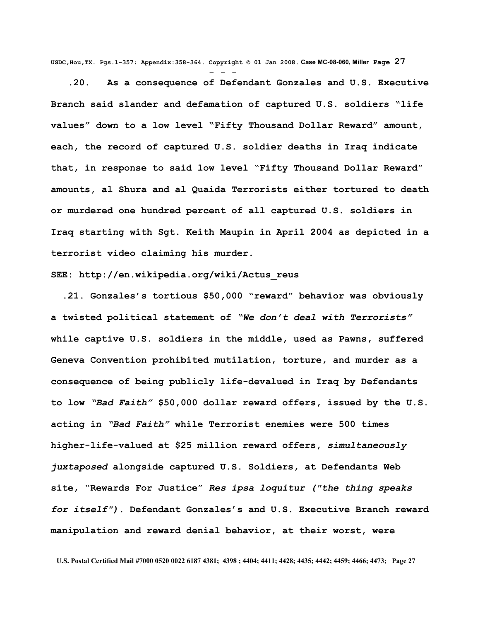**USDC,Hou,TX. Pgs.1-357; Appendix:358-364. Copyright © 01 Jan 2008. Case MC-08-060, Miller Page 27**

 **.20. As a consequence of Defendant Gonzales and U.S. Executive Branch said slander and defamation of captured U.S. soldiers "life values" down to a low level "Fifty Thousand Dollar Reward" amount, each, the record of captured U.S. soldier deaths in Iraq indicate that, in response to said low level "Fifty Thousand Dollar Reward" amounts, al Shura and al Quaida Terrorists either tortured to death or murdered one hundred percent of all captured U.S. soldiers in Iraq starting with Sgt. Keith Maupin in April 2004 as depicted in a terrorist video claiming his murder.** 

## **SEE: http://en.wikipedia.org/wiki/Actus\_reus**

- - -

 **.21. Gonzales's tortious \$50,000 "reward" behavior was obviously a twisted political statement of** *"We don't deal with Terrorists"* **while captive U.S. soldiers in the middle, used as Pawns, suffered Geneva Convention prohibited mutilation, torture, and murder as a consequence of being publicly life-devalued in Iraq by Defendants to low** *"Bad Faith"* **\$50,000 dollar reward offers, issued by the U.S. acting in** *"Bad Faith"* **while Terrorist enemies were 500 times higher-life-valued at \$25 million reward offers,** *simultaneously juxtaposed* **alongside captured U.S. Soldiers, at Defendants Web site, "Rewards For Justice"** *Res ipsa loquitur ("the thing speaks for itself").* **Defendant Gonzales's and U.S. Executive Branch reward manipulation and reward denial behavior, at their worst, were**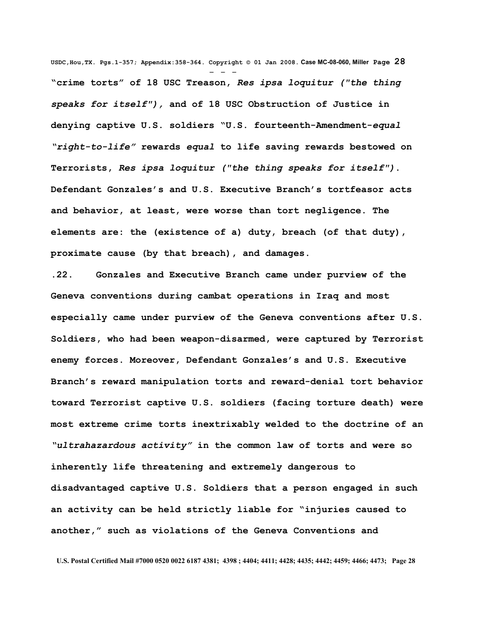**USDC,Hou,TX. Pgs.1-357; Appendix:358-364. Copyright © 01 Jan 2008. Case MC-08-060, Miller Page 28** - - - **"crime torts" of 18 USC Treason,** *Res ipsa loquitur ("the thing speaks for itself"),* **and of 18 USC Obstruction of Justice in denying captive U.S. soldiers "U.S. fourteenth-Amendment-***equal "right-to-life"* **rewards** *equal* **to life saving rewards bestowed on Terrorists,** *Res ipsa loquitur ("the thing speaks for itself")***. Defendant Gonzales's and U.S. Executive Branch's tortfeasor acts and behavior, at least, were worse than tort negligence. The elements are: the (existence of a) duty, breach (of that duty), proximate cause (by that breach), and damages.** 

**.22. Gonzales and Executive Branch came under purview of the Geneva conventions during cambat operations in Iraq and most especially came under purview of the Geneva conventions after U.S. Soldiers, who had been weapon-disarmed, were captured by Terrorist enemy forces. Moreover, Defendant Gonzales's and U.S. Executive Branch's reward manipulation torts and reward-denial tort behavior toward Terrorist captive U.S. soldiers (facing torture death) were most extreme crime torts inextrixably welded to the doctrine of an** *"ultrahazardous activity"* **in the common law of torts and were so inherently life threatening and extremely dangerous to disadvantaged captive U.S. Soldiers that a person engaged in such an activity can be held strictly liable for "injuries caused to another," such as violations of the Geneva Conventions and**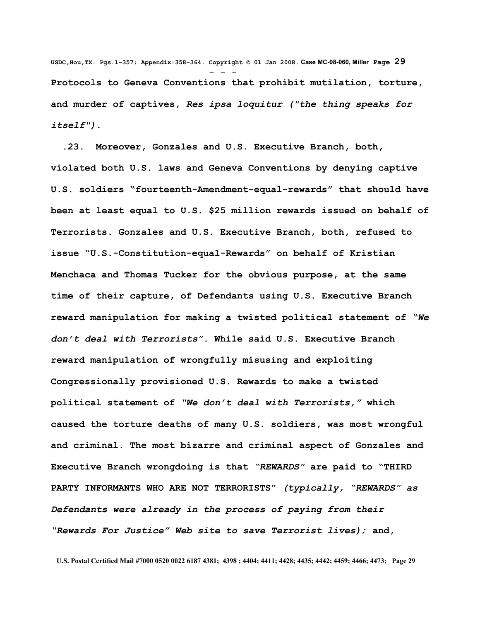**USDC,Hou,TX. Pgs.1-357; Appendix:358-364. Copyright © 01 Jan 2008. Case MC-08-060, Miller Page 29** - - - **Protocols to Geneva Conventions that prohibit mutilation, torture, and murder of captives,** *Res ipsa loquitur ("the thing speaks for itself")***.** 

 **.23. Moreover, Gonzales and U.S. Executive Branch, both, violated both U.S. laws and Geneva Conventions by denying captive U.S. soldiers "fourteenth-Amendment-equal-rewards" that should have been at least equal to U.S. \$25 million rewards issued on behalf of Terrorists. Gonzales and U.S. Executive Branch, both, refused to issue "U.S.-Constitution-equal-Rewards" on behalf of Kristian Menchaca and Thomas Tucker for the obvious purpose, at the same time of their capture, of Defendants using U.S. Executive Branch reward manipulation for making a twisted political statement of** *"We don't deal with Terrorists"***. While said U.S. Executive Branch reward manipulation of wrongfully misusing and exploiting Congressionally provisioned U.S. Rewards to make a twisted political statement of** *"We don't deal with Terrorists,"* **which caused the torture deaths of many U.S. soldiers, was most wrongful and criminal. The most bizarre and criminal aspect of Gonzales and Executive Branch wrongdoing is that** *"REWARDS"* **are paid to "THIRD PARTY INFORMANTS WHO ARE NOT TERRORISTS"** *(typically, "REWARDS" as Defendants were already in the process of paying from their "Rewards For Justice" Web site to save Terrorist lives);* **and,**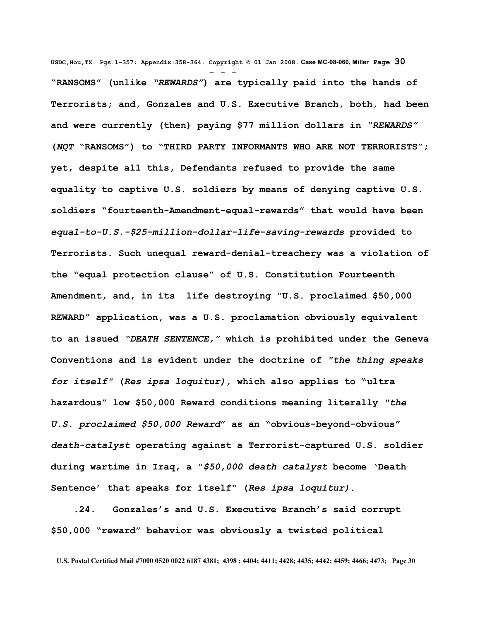**USDC,Hou,TX. Pgs.1-357; Appendix:358-364. Copyright © 01 Jan 2008. Case MC-08-060, Miller Page 30** - - - **"RANSOMS" (unlike** *"REWARDS"***) are typically paid into the hands of Terrorists; and, Gonzales and U.S. Executive Branch, both, had been and were currently (then) paying \$77 million dollars in** *"REWARDS"* **(***NOT* **"RANSOMS") to "THIRD PARTY INFORMANTS WHO ARE NOT TERRORISTS"; yet, despite all this, Defendants refused to provide the same equality to captive U.S. soldiers by means of denying captive U.S. soldiers "fourteenth-Amendment-equal-rewards" that would have been** *equal-to-U.S.-\$25-million-dollar-life-saving-rewards* **provided to Terrorists. Such unequal reward-denial-treachery was a violation of the "equal protection clause" of U.S. Constitution Fourteenth Amendment, and, in its life destroying "U.S. proclaimed \$50,000 REWARD" application, was a U.S. proclamation obviously equivalent to an issued** *"DEATH SENTENCE,"* **which is prohibited under the Geneva Conventions and is evident under the doctrine of** *"the thing speaks for itself"* **(***Res ipsa loquitur),* **which also applies to "ultra hazardous" low \$50,000 Reward conditions meaning literally** *"the U.S. proclaimed \$50,000 Reward***" as an "obvious-beyond-obvious"** *death-catalyst* **operating against a Terrorist-captured U.S. soldier during wartime in Iraq, a "***\$50,000 death catalyst* **become 'Death Sentence' that speaks for itself" (***Res ipsa loquitur).*

 **.24. Gonzales's and U.S. Executive Branch's said corrupt \$50,000 "reward" behavior was obviously a twisted political**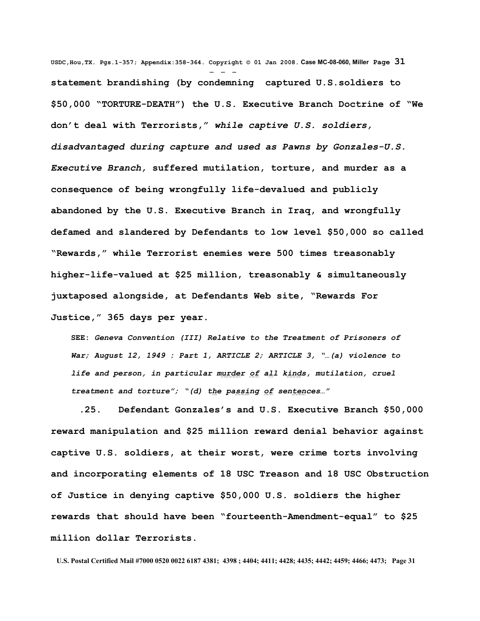**USDC,Hou,TX. Pgs.1-357; Appendix:358-364. Copyright © 01 Jan 2008. Case MC-08-060, Miller Page 31** - - **statement brandishing (by condemning captured U.S.soldiers to \$50,000 "TORTURE-DEATH") the U.S. Executive Branch Doctrine of "We don't deal with Terrorists,"** *while captive U.S. soldiers, disadvantaged during capture and used as Pawns by Gonzales-U.S. Executive Branch,* **suffered mutilation, torture, and murder as a consequence of being wrongfully life-devalued and publicly abandoned by the U.S. Executive Branch in Iraq, and wrongfully defamed and slandered by Defendants to low level \$50,000 so called "Rewards," while Terrorist enemies were 500 times treasonably higher-life-valued at \$25 million, treasonably & simultaneously juxtaposed alongside, at Defendants Web site, "Rewards For Justice," 365 days per year.** 

**SEE:** *Geneva Convention (III) Relative to the Treatment of Prisoners of War; August 12, 1949 : Part 1, ARTICLE 2; ARTICLE 3, "…(a) violence to life and person, in particular murder of all kinds, mutilation, cruel treatment and torture"; "(d) the passing of sentences…"*

 **.25. Defendant Gonzales's and U.S. Executive Branch \$50,000 reward manipulation and \$25 million reward denial behavior against captive U.S. soldiers, at their worst, were crime torts involving and incorporating elements of 18 USC Treason and 18 USC Obstruction of Justice in denying captive \$50,000 U.S. soldiers the higher rewards that should have been "fourteenth-Amendment-equal" to \$25 million dollar Terrorists.**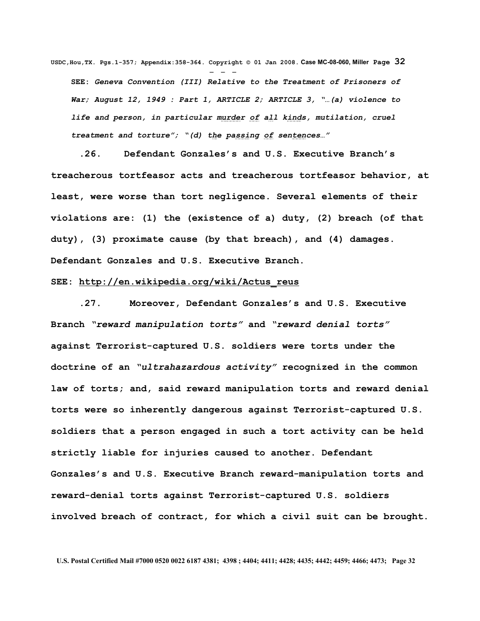**USDC,Hou,TX. Pgs.1-357; Appendix:358-364. Copyright © 01 Jan 2008. Case MC-08-060, Miller Page 32** - - - **SEE:** *Geneva Convention (III) Relative to the Treatment of Prisoners of War; August 12, 1949 : Part 1, ARTICLE 2; ARTICLE 3, "…(a) violence to life and person, in particular murder of all kinds, mutilation, cruel treatment and torture"; "(d) the passing of sentences…"*

 **.26. Defendant Gonzales's and U.S. Executive Branch's treacherous tortfeasor acts and treacherous tortfeasor behavior, at least, were worse than tort negligence. Several elements of their violations are: (1) the (existence of a) duty, (2) breach (of that duty), (3) proximate cause (by that breach), and (4) damages. Defendant Gonzales and U.S. Executive Branch.** 

## **SEE: [http://en.wikipedia.org/wiki/Actus\\_reus](http://en.wikipedia.org/wiki/Actus_reus)**

 **.27. Moreover, Defendant Gonzales's and U.S. Executive Branch** *"reward manipulation torts"* **and** *"reward denial torts"* **against Terrorist-captured U.S. soldiers were torts under the doctrine of an** *"ultrahazardous activity"* **recognized in the common law of torts; and, said reward manipulation torts and reward denial torts were so inherently dangerous against Terrorist-captured U.S. soldiers that a person engaged in such a tort activity can be held strictly liable for injuries caused to another. Defendant Gonzales's and U.S. Executive Branch reward-manipulation torts and reward-denial torts against Terrorist-captured U.S. soldiers involved breach of contract, for which a civil suit can be brought.**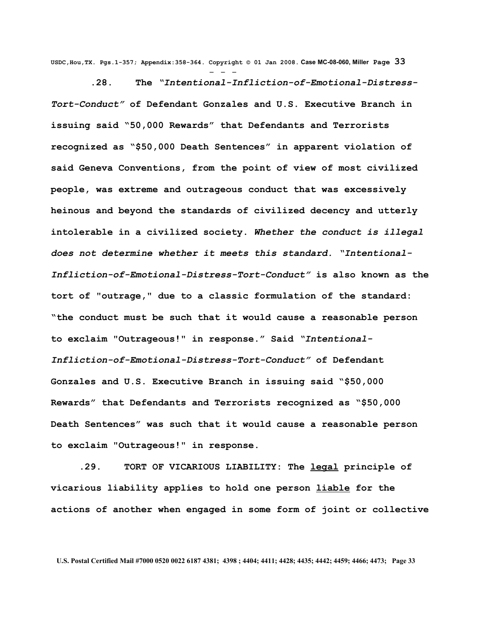**USDC,Hou,TX. Pgs.1-357; Appendix:358-364. Copyright © 01 Jan 2008. Case MC-08-060, Miller Page 33** - - -

 **.28. The** *"Intentional-Infliction-of-Emotional-Distress-Tort-Conduct"* **of Defendant Gonzales and U.S. Executive Branch in issuing said "50,000 Rewards" that Defendants and Terrorists recognized as "\$50,000 Death Sentences" in apparent violation of said Geneva Conventions, from the point of view of most civilized people, was extreme and outrageous conduct that was excessively heinous and beyond the standards of civilized decency and utterly intolerable in a civilized society.** *Whether the conduct is illegal does not determine whether it meets this standard. "Intentional-Infliction-of-Emotional-Distress-Tort-Conduct"* **is also known as the tort of "outrage," due to a classic formulation of the standard: "the conduct must be such that it would cause a reasonable person to exclaim "Outrageous!" in response." Said** *"Intentional-Infliction-of-Emotional-Distress-Tort-Conduct"* **of Defendant Gonzales and U.S. Executive Branch in issuing said "\$50,000 Rewards" that Defendants and Terrorists recognized as "\$50,000 Death Sentences" was such that it would cause a reasonable person to exclaim "Outrageous!" in response.**

 **.29. TORT OF VICARIOUS LIABILITY: The [legal](http://en.wikipedia.org/wiki/Law) principle of vicarious liability applies to hold one person [liable](http://en.wikipedia.org/wiki/Liability) for the actions of another when engaged in some form of joint or collective**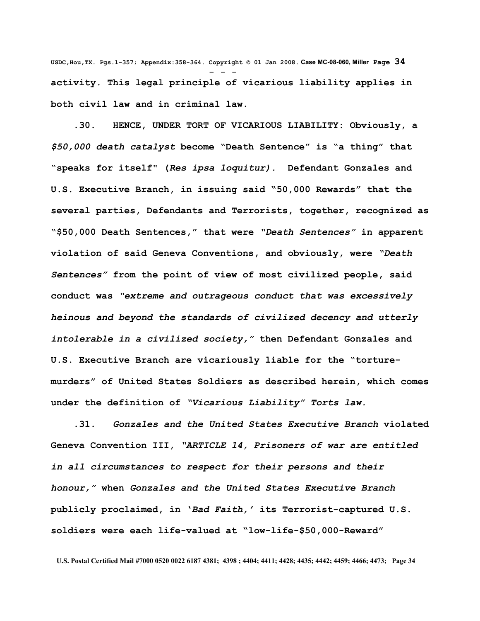**USDC,Hou,TX. Pgs.1-357; Appendix:358-364. Copyright © 01 Jan 2008. Case MC-08-060, Miller Page 34** - - **activity. This legal principle of vicarious liability applies in both civil law and in criminal law.**

 **.30. HENCE, UNDER TORT OF VICARIOUS LIABILITY: Obviously, a** *\$50,000 death catalyst* **become "Death Sentence" is "a thing" that "speaks for itself" (***Res ipsa loquitur).* **Defendant Gonzales and U.S. Executive Branch, in issuing said "50,000 Rewards" that the several parties, Defendants and Terrorists, together, recognized as "\$50,000 Death Sentences," that were** *"Death Sentences"* **in apparent violation of said Geneva Conventions, and obviously, were** *"Death Sentences"* **from the point of view of most civilized people, said conduct was** *"extreme and outrageous conduct that was excessively heinous and beyond the standards of civilized decency and utterly intolerable in a civilized society,"* **then Defendant Gonzales and U.S. Executive Branch are vicariously liable for the "torturemurders" of United States Soldiers as described herein, which comes under the definition of** *"Vicarious Liability" Torts law.* 

 **.31.** *Gonzales and the United States Executive Branch* **violated Geneva Convention III,** *"ARTICLE 14, Prisoners of war are entitled in all circumstances to respect for their persons and their honour,"* **when** *Gonzales and the United States Executive Branch* **publicly proclaimed, in '***Bad Faith,'* **its Terrorist-captured U.S. soldiers were each life-valued at "low-life-\$50,000-Reward"**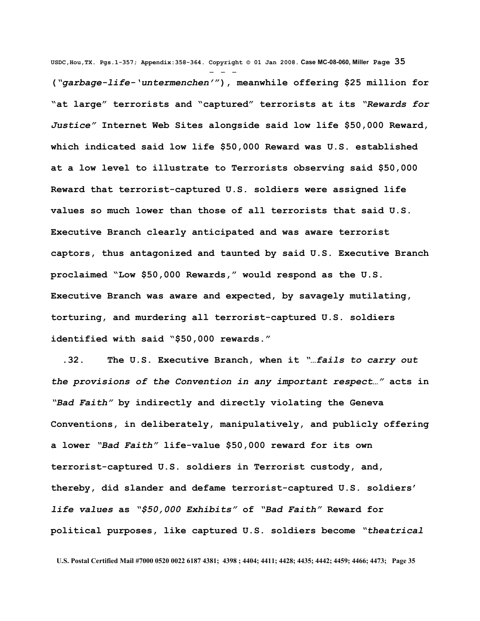**USDC,Hou,TX. Pgs.1-357; Appendix:358-364. Copyright © 01 Jan 2008. Case MC-08-060, Miller Page 35** - - - **(***"garbage-life-'untermenchen'***"), meanwhile offering \$25 million for "at large" terrorists and "captured" terrorists at its** *"Rewards for Justice"* **Internet Web Sites alongside said low life \$50,000 Reward, which indicated said low life \$50,000 Reward was U.S. established at a low level to illustrate to Terrorists observing said \$50,000 Reward that terrorist-captured U.S. soldiers were assigned life values so much lower than those of all terrorists that said U.S. Executive Branch clearly anticipated and was aware terrorist captors, thus antagonized and taunted by said U.S. Executive Branch proclaimed "Low \$50,000 Rewards," would respond as the U.S. Executive Branch was aware and expected, by savagely mutilating, torturing, and murdering all terrorist-captured U.S. soldiers identified with said "\$50,000 rewards."**

 **.32. The U.S. Executive Branch, when it** *"…fails to carry out the provisions of the Convention in any important respect…"* **acts in** *"Bad Faith"* **by indirectly and directly violating the Geneva Conventions, in deliberately, manipulatively, and publicly offering a lower** *"Bad Faith"* **life-value \$50,000 reward for its own terrorist-captured U.S. soldiers in Terrorist custody, and, thereby, did slander and defame terrorist-captured U.S. soldiers'** *life values* **as** *"\$50,000 Exhibits"* **of** *"Bad Faith"* **Reward for political purposes, like captured U.S. soldiers become** *"theatrical*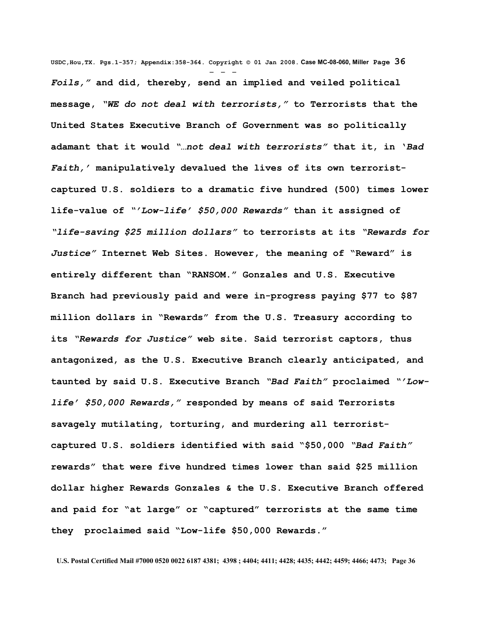**USDC,Hou,TX. Pgs.1-357; Appendix:358-364. Copyright © 01 Jan 2008. Case MC-08-060, Miller Page 36** - - - *Foils,"* **and did, thereby, send an implied and veiled political message,** *"WE do not deal with terrorists,"* **to Terrorists that the United States Executive Branch of Government was so politically adamant that it would** *"…not deal with terrorists"* **that it, in '***Bad Faith,'* **manipulatively devalued the lives of its own terroristcaptured U.S. soldiers to a dramatic five hundred (500) times lower life-value of** *"'Low-life' \$50,000 Rewards"* **than it assigned of** *"life-saving \$25 million dollars"* **to terrorists at its** *"Rewards for Justice"* **Internet Web Sites. However, the meaning of "Reward" is entirely different than "RANSOM." Gonzales and U.S. Executive Branch had previously paid and were in-progress paying \$77 to \$87 million dollars in "Rewards" from the U.S. Treasury according to its** *"Rewards for Justice"* **web site. Said terrorist captors, thus antagonized, as the U.S. Executive Branch clearly anticipated, and taunted by said U.S. Executive Branch** *"Bad Faith"* **proclaimed** *"'Lowlife' \$50,000 Rewards,"* **responded by means of said Terrorists savagely mutilating, torturing, and murdering all terroristcaptured U.S. soldiers identified with said "\$50,000** *"Bad Faith"* **rewards" that were five hundred times lower than said \$25 million dollar higher Rewards Gonzales & the U.S. Executive Branch offered and paid for "at large" or "captured" terrorists at the same time they proclaimed said "Low-life \$50,000 Rewards."**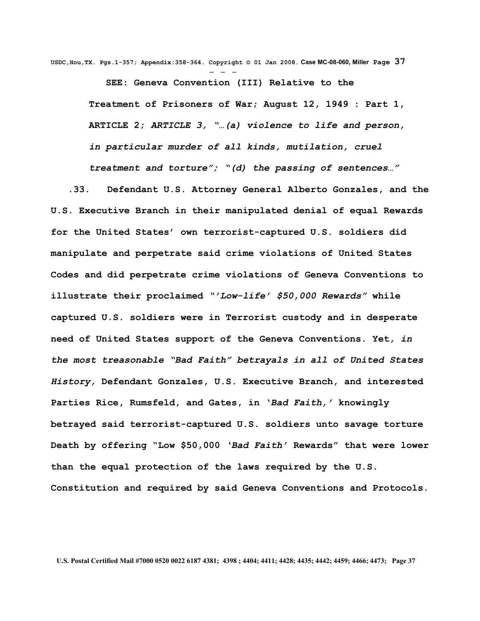**USDC,Hou,TX. Pgs.1-357; Appendix:358-364. Copyright © 01 Jan 2008. Case MC-08-060, Miller Page 37** - - -

> **SEE: Geneva Convention (III) Relative to the Treatment of Prisoners of War; August 12, 1949 : Part 1, ARTICLE 2;** *ARTICLE 3, "…(a) violence to life and person, in particular murder of all kinds, mutilation, cruel treatment and torture"; "(d) the passing of sentences…"*

 **.33. Defendant U.S. Attorney General Alberto Gonzales, and the U.S. Executive Branch in their manipulated denial of equal Rewards for the United States' own terrorist-captured U.S. soldiers did manipulate and perpetrate said crime violations of United States Codes and did perpetrate crime violations of Geneva Conventions to illustrate their proclaimed** *"'Low-life' \$50,000 Rewards"* **while captured U.S. soldiers were in Terrorist custody and in desperate need of United States support of the Geneva Conventions. Yet,** *in the most treasonable "Bad Faith" betrayals in all of United States History,* **Defendant Gonzales, U.S. Executive Branch, and interested Parties Rice, Rumsfeld, and Gates, in '***Bad Faith,'* **knowingly betrayed said terrorist-captured U.S. soldiers unto savage torture Death by offering "Low \$50,000** *'Bad Faith'* **Rewards" that were lower than the equal protection of the laws required by the U.S. Constitution and required by said Geneva Conventions and Protocols.**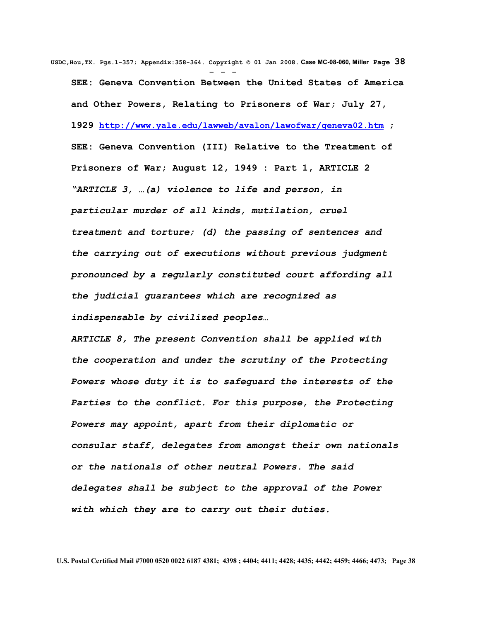**USDC,Hou,TX. Pgs.1-357; Appendix:358-364. Copyright © 01 Jan 2008. Case MC-08-060, Miller Page 38** - - - **SEE: Geneva Convention Between the United States of America and Other Powers, Relating to Prisoners of War; July 27, 1929 <http://www.yale.edu/lawweb/avalon/lawofwar/geneva02.htm> ; SEE: Geneva Convention (III) Relative to the Treatment of Prisoners of War; August 12, 1949 : Part 1, ARTICLE 2**  *"ARTICLE 3, …(a) violence to life and person, in particular murder of all kinds, mutilation, cruel treatment and torture; (d) the passing of sentences and the carrying out of executions without previous judgment pronounced by a regularly constituted court affording all the judicial guarantees which are recognized as indispensable by civilized peoples…*

*ARTICLE 8, The present Convention shall be applied with the cooperation and under the scrutiny of the Protecting Powers whose duty it is to safeguard the interests of the Parties to the conflict. For this purpose, the Protecting Powers may appoint, apart from their diplomatic or consular staff, delegates from amongst their own nationals or the nationals of other neutral Powers. The said delegates shall be subject to the approval of the Power with which they are to carry out their duties.*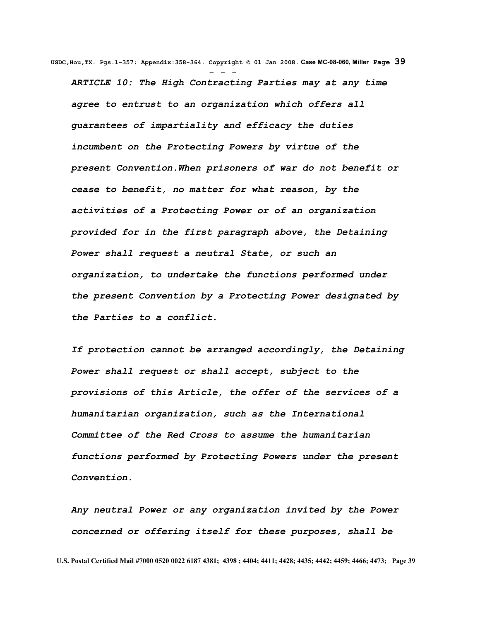**USDC,Hou,TX. Pgs.1-357; Appendix:358-364. Copyright © 01 Jan 2008. Case MC-08-060, Miller Page 39** - - - *ARTICLE 10: The High Contracting Parties may at any time agree to entrust to an organization which offers all guarantees of impartiality and efficacy the duties incumbent on the Protecting Powers by virtue of the present Convention.When prisoners of war do not benefit or cease to benefit, no matter for what reason, by the activities of a Protecting Power or of an organization provided for in the first paragraph above, the Detaining Power shall request a neutral State, or such an organization, to undertake the functions performed under the present Convention by a Protecting Power designated by the Parties to a conflict.* 

*If protection cannot be arranged accordingly, the Detaining Power shall request or shall accept, subject to the provisions of this Article, the offer of the services of a humanitarian organization, such as the International Committee of the Red Cross to assume the humanitarian functions performed by Protecting Powers under the present Convention.* 

*Any neutral Power or any organization invited by the Power concerned or offering itself for these purposes, shall be*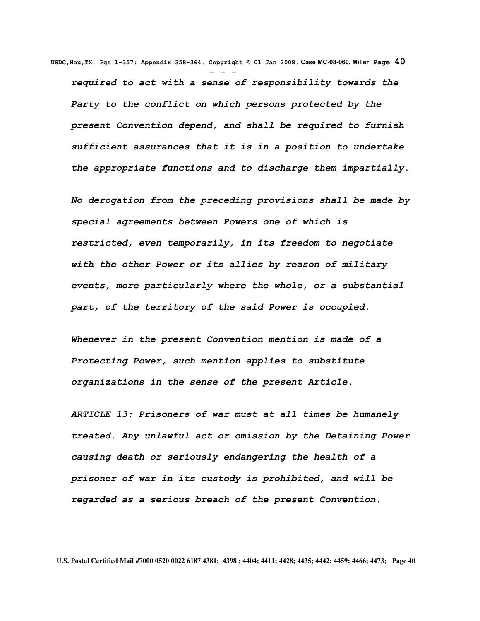**USDC,Hou,TX. Pgs.1-357; Appendix:358-364. Copyright © 01 Jan 2008. Case MC-08-060, Miller Page 40** - - *required to act with a sense of responsibility towards the Party to the conflict on which persons protected by the present Convention depend, and shall be required to furnish sufficient assurances that it is in a position to undertake the appropriate functions and to discharge them impartially.*

*No derogation from the preceding provisions shall be made by special agreements between Powers one of which is restricted, even temporarily, in its freedom to negotiate with the other Power or its allies by reason of military events, more particularly where the whole, or a substantial part, of the territory of the said Power is occupied.* 

*Whenever in the present Convention mention is made of a Protecting Power, such mention applies to substitute organizations in the sense of the present Article.*

*ARTICLE 13: Prisoners of war must at all times be humanely treated. Any unlawful act or omission by the Detaining Power causing death or seriously endangering the health of a prisoner of war in its custody is prohibited, and will be regarded as a serious breach of the present Convention.*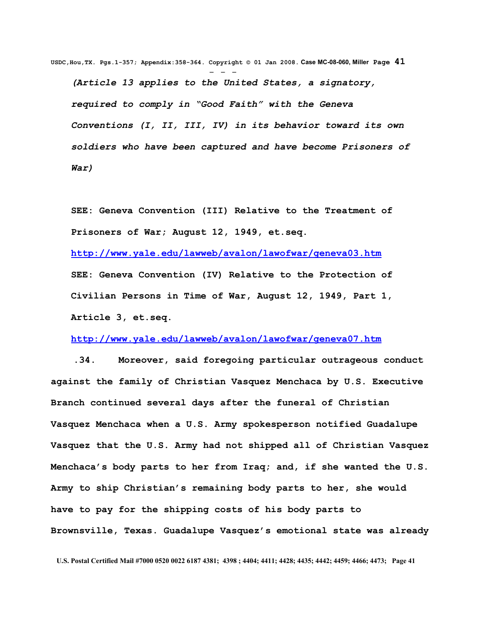**USDC,Hou,TX. Pgs.1-357; Appendix:358-364. Copyright © 01 Jan 2008. Case MC-08-060, Miller Page 41** - - - *(Article 13 applies to the United States, a signatory, required to comply in "Good Faith" with the Geneva Conventions (I, II, III, IV) in its behavior toward its own soldiers who have been captured and have become Prisoners of War)*

**SEE: Geneva Convention (III) Relative to the Treatment of Prisoners of War; August 12, 1949, et.seq.**

**<http://www.yale.edu/lawweb/avalon/lawofwar/geneva03.htm> SEE: Geneva Convention (IV) Relative to the Protection of Civilian Persons in Time of War, August 12, 1949, Part 1, Article 3, et.seq.**

**<http://www.yale.edu/lawweb/avalon/lawofwar/geneva07.htm>**

 **.34. Moreover, said foregoing particular outrageous conduct against the family of Christian Vasquez Menchaca by U.S. Executive Branch continued several days after the funeral of Christian Vasquez Menchaca when a U.S. Army spokesperson notified Guadalupe Vasquez that the U.S. Army had not shipped all of Christian Vasquez Menchaca's body parts to her from Iraq; and, if she wanted the U.S. Army to ship Christian's remaining body parts to her, she would have to pay for the shipping costs of his body parts to Brownsville, Texas. Guadalupe Vasquez's emotional state was already**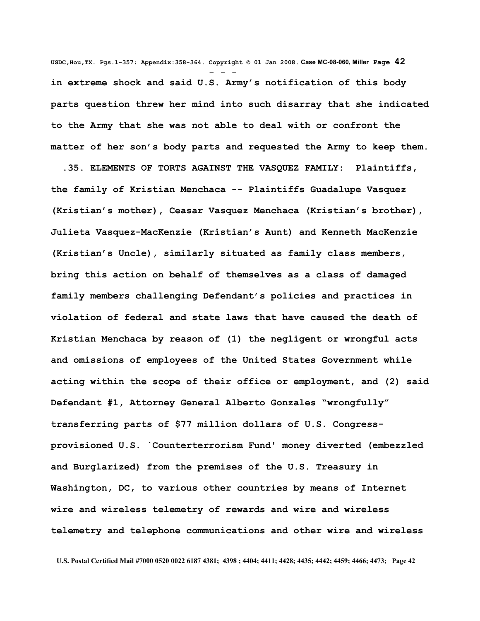**USDC,Hou,TX. Pgs.1-357; Appendix:358-364. Copyright © 01 Jan 2008. Case MC-08-060, Miller Page 42** - - **in extreme shock and said U.S. Army's notification of this body parts question threw her mind into such disarray that she indicated to the Army that she was not able to deal with or confront the matter of her son's body parts and requested the Army to keep them.**

 **.35. ELEMENTS OF TORTS AGAINST THE VASQUEZ FAMILY: Plaintiffs, the family of Kristian Menchaca -- Plaintiffs Guadalupe Vasquez (Kristian's mother), Ceasar Vasquez Menchaca (Kristian's brother), Julieta Vasquez-MacKenzie (Kristian's Aunt) and Kenneth MacKenzie (Kristian's Uncle), similarly situated as family class members, bring this action on behalf of themselves as a class of damaged family members challenging Defendant's policies and practices in violation of federal and state laws that have caused the death of Kristian Menchaca by reason of (1) the negligent or wrongful acts and omissions of employees of the United States Government while acting within the scope of their office or employment, and (2) said Defendant #1, Attorney General Alberto Gonzales "wrongfully" transferring parts of \$77 million dollars of U.S. Congressprovisioned U.S. `Counterterrorism Fund' money diverted (embezzled and Burglarized) from the premises of the U.S. Treasury in Washington, DC, to various other countries by means of Internet wire and wireless telemetry of rewards and wire and wireless telemetry and telephone communications and other wire and wireless**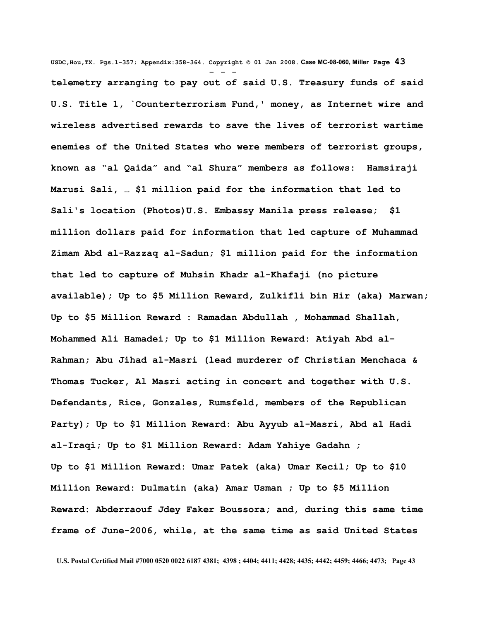**USDC,Hou,TX. Pgs.1-357; Appendix:358-364. Copyright © 01 Jan 2008. Case MC-08-060, Miller Page 43** - - **telemetry arranging to pay out of said U.S. Treasury funds of said U.S. Title 1, `Counterterrorism Fund,' money, as Internet wire and wireless advertised rewards to save the lives of terrorist wartime enemies of the United States who were members of terrorist groups, known as "al Qaida" and "al Shura" members as follows: Hamsiraji Marusi Sali, … \$1 million paid for the information that led to Sali's location (Photos)U.S. Embassy Manila press release; \$1 million dollars paid for information that led capture of Muhammad Zimam Abd al-Razzaq al-Sadun; \$1 million paid for the information that led to capture of Muhsin Khadr al-Khafaji (no picture available); Up to \$5 Million Reward, Zulkifli bin Hir (aka) Marwan; Up to \$5 Million Reward : Ramadan Abdullah , Mohammad Shallah, Mohammed Ali Hamadei; Up to \$1 Million Reward: Atiyah Abd al-Rahman; Abu Jihad al-Masri (lead murderer of Christian Menchaca & Thomas Tucker, Al Masri acting in concert and together with U.S. Defendants, Rice, Gonzales, Rumsfeld, members of the Republican Party); Up to \$1 Million Reward: Abu Ayyub al-Masri, Abd al Hadi al-Iraqi; Up to \$1 Million Reward: Adam Yahiye Gadahn ; Up to \$1 Million Reward: Umar Patek (aka) Umar Kecil; Up to \$10 Million Reward: Dulmatin (aka) Amar Usman ; Up to \$5 Million Reward: Abderraouf Jdey Faker Boussora; and, during this same time frame of June-2006, while, at the same time as said United States**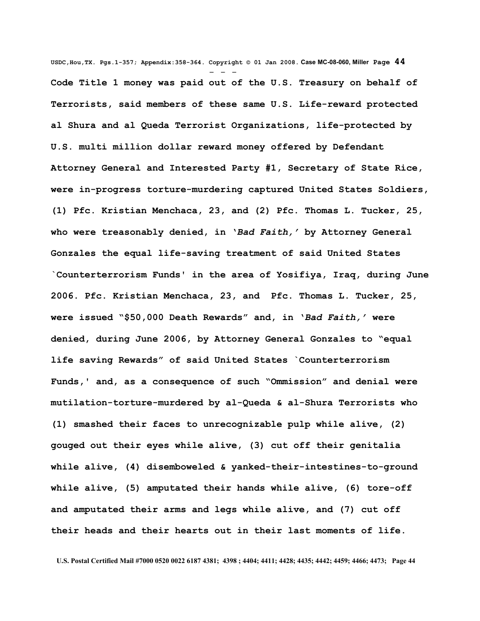**USDC,Hou,TX. Pgs.1-357; Appendix:358-364. Copyright © 01 Jan 2008. Case MC-08-060, Miller Page 44** - - - **Code Title 1 money was paid out of the U.S. Treasury on behalf of Terrorists, said members of these same U.S. Life-reward protected al Shura and al Queda Terrorist Organizations, life-protected by U.S. multi million dollar reward money offered by Defendant Attorney General and Interested Party #1, Secretary of State Rice, were in-progress torture-murdering captured United States Soldiers, (1) Pfc. Kristian Menchaca, 23, and (2) Pfc. Thomas L. Tucker, 25, who were treasonably denied, in '***Bad Faith,'* **by Attorney General Gonzales the equal life-saving treatment of said United States `Counterterrorism Funds' in the area of Yosifiya, Iraq, during June 2006. Pfc. Kristian Menchaca, 23, and Pfc. Thomas L. Tucker, 25, were issued "\$50,000 Death Rewards" and, in '***Bad Faith,'* **were denied, during June 2006, by Attorney General Gonzales to "equal life saving Rewards" of said United States `Counterterrorism Funds,' and, as a consequence of such "Ommission" and denial were mutilation-torture-murdered by al-Queda & al-Shura Terrorists who (1) smashed their faces to unrecognizable pulp while alive, (2) gouged out their eyes while alive, (3) cut off their genitalia while alive, (4) disemboweled & yanked-their-intestines-to-ground while alive, (5) amputated their hands while alive, (6) tore-off and amputated their arms and legs while alive, and (7) cut off their heads and their hearts out in their last moments of life.**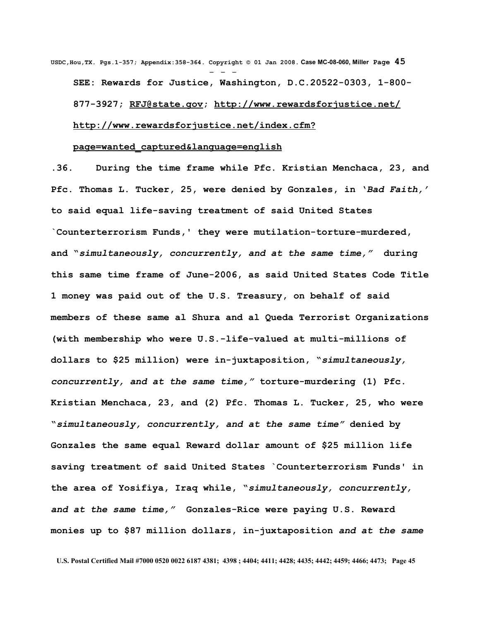**USDC,Hou,TX. Pgs.1-357; Appendix:358-364. Copyright © 01 Jan 2008. Case MC-08-060, Miller Page 45** - - - **SEE: Rewards for Justice, Washington, D.C.20522-0303, 1-800- 877-3927; [RFJ@state.gov;](mailto:RFJ@state.gov)<http://www.rewardsforjustice.net/> [http://www.rewardsforjustice.net/index.cfm?](http://www.rewardsforjustice.net/index.cfm?page=wanted_captured&language=english)**

## **[page=wanted\\_captured&language=english](http://www.rewardsforjustice.net/index.cfm?page=wanted_captured&language=english)**

**.36. During the time frame while Pfc. Kristian Menchaca, 23, and Pfc. Thomas L. Tucker, 25, were denied by Gonzales, in '***Bad Faith,'* **to said equal life-saving treatment of said United States `Counterterrorism Funds,' they were mutilation-torture-murdered, and "***simultaneously, concurrently, and at the same time,"* **during this same time frame of June-2006, as said United States Code Title 1 money was paid out of the U.S. Treasury, on behalf of said members of these same al Shura and al Queda Terrorist Organizations (with membership who were U.S.-life-valued at multi-millions of dollars to \$25 million) were in-juxtaposition, "***simultaneously, concurrently, and at the same time,"* **torture-murdering (1) Pfc. Kristian Menchaca, 23, and (2) Pfc. Thomas L. Tucker, 25, who were "***simultaneously, concurrently, and at the same time"* **denied by Gonzales the same equal Reward dollar amount of \$25 million life saving treatment of said United States `Counterterrorism Funds' in the area of Yosifiya, Iraq while, "***simultaneously, concurrently, and at the same time,"* **Gonzales-Rice were paying U.S. Reward monies up to \$87 million dollars, in-juxtaposition** *and at the same*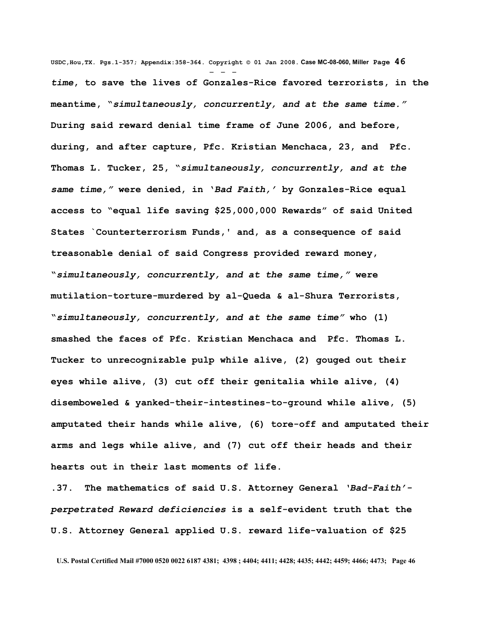**USDC,Hou,TX. Pgs.1-357; Appendix:358-364. Copyright © 01 Jan 2008. Case MC-08-060, Miller Page 46** - - *time***, to save the lives of Gonzales-Rice favored terrorists, in the meantime, "***simultaneously, concurrently, and at the same time."* **During said reward denial time frame of June 2006, and before, during, and after capture, Pfc. Kristian Menchaca, 23, and Pfc. Thomas L. Tucker, 25, "***simultaneously, concurrently, and at the same time,"* **were denied, in '***Bad Faith,'* **by Gonzales-Rice equal access to "equal life saving \$25,000,000 Rewards" of said United States `Counterterrorism Funds,' and, as a consequence of said treasonable denial of said Congress provided reward money, "***simultaneously, concurrently, and at the same time,"* **were mutilation-torture-murdered by al-Queda & al-Shura Terrorists, "***simultaneously, concurrently, and at the same time"* **who (1) smashed the faces of Pfc. Kristian Menchaca and Pfc. Thomas L. Tucker to unrecognizable pulp while alive, (2) gouged out their eyes while alive, (3) cut off their genitalia while alive, (4) disemboweled & yanked-their-intestines-to-ground while alive, (5) amputated their hands while alive, (6) tore-off and amputated their arms and legs while alive, and (7) cut off their heads and their hearts out in their last moments of life.**

**.37. The mathematics of said U.S. Attorney General** *'Bad-Faith' perpetrated Reward deficiencies* **is a self-evident truth that the U.S. Attorney General applied U.S. reward life-valuation of \$25**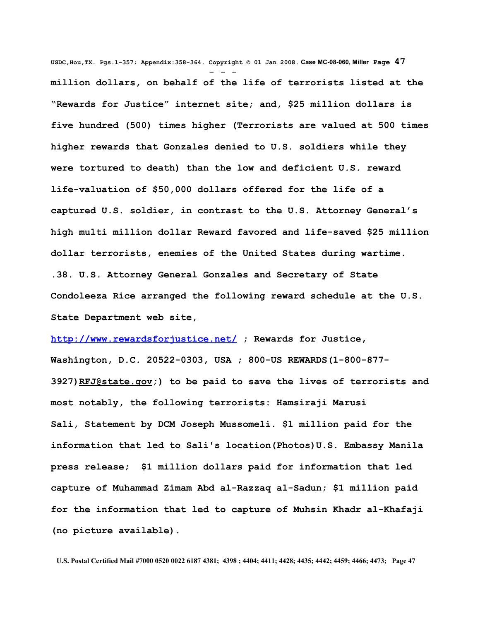**USDC,Hou,TX. Pgs.1-357; Appendix:358-364. Copyright © 01 Jan 2008. Case MC-08-060, Miller Page 47** - - **million dollars, on behalf of the life of terrorists listed at the "Rewards for Justice" internet site; and, \$25 million dollars is five hundred (500) times higher (Terrorists are valued at 500 times higher rewards that Gonzales denied to U.S. soldiers while they were tortured to death) than the low and deficient U.S. reward life-valuation of \$50,000 dollars offered for the life of a captured U.S. soldier, in contrast to the U.S. Attorney General's high multi million dollar Reward favored and life-saved \$25 million dollar terrorists, enemies of the United States during wartime. .38. U.S. Attorney General Gonzales and Secretary of State Condoleeza Rice arranged the following reward schedule at the U.S. State Department web site,**

**<http://www.rewardsforjustice.net/>; Rewards for Justice, Washington, D.C. 20522-0303, USA ; 800-US REWARDS(1-800-877- 3927[\)RFJ@state.gov;](mailto:RFJ@state.gov)) to be paid to save the lives of terrorists and most notably, the following terrorists: Hamsiraji Marusi Sali, Statement by DCM Joseph Mussomeli. \$1 million paid for the information that led to Sali's location(Photos)U.S. Embassy Manila press release; \$1 million dollars paid for information that led capture of Muhammad Zimam Abd al-Razzaq al-Sadun; \$1 million paid for the information that led to capture of Muhsin Khadr al-Khafaji (no picture available).**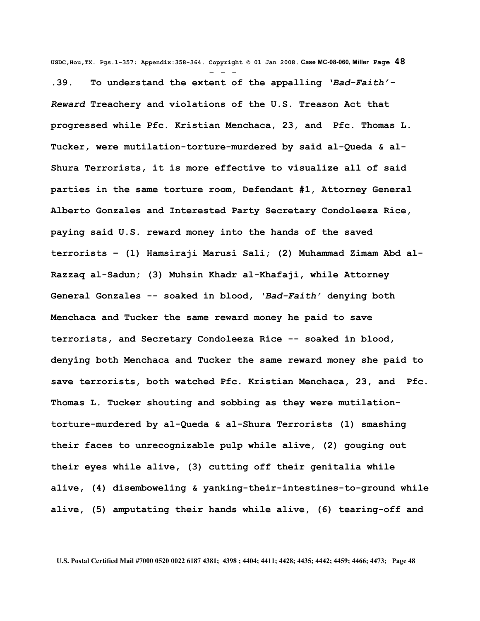**USDC,Hou,TX. Pgs.1-357; Appendix:358-364. Copyright © 01 Jan 2008. Case MC-08-060, Miller Page 48** - - - **.39. To understand the extent of the appalling** *'Bad-Faith'- Reward* **Treachery and violations of the U.S. Treason Act that progressed while Pfc. Kristian Menchaca, 23, and Pfc. Thomas L. Tucker, were mutilation-torture-murdered by said al-Queda & al-Shura Terrorists, it is more effective to visualize all of said parties in the same torture room, Defendant #1, Attorney General Alberto Gonzales and Interested Party Secretary Condoleeza Rice, paying said U.S. reward money into the hands of the saved terrorists – (1) Hamsiraji Marusi Sali; (2) Muhammad Zimam Abd al-Razzaq al-Sadun; (3) Muhsin Khadr al-Khafaji, while Attorney General Gonzales -- soaked in blood,** *'Bad-Faith'* **denying both Menchaca and Tucker the same reward money he paid to save terrorists, and Secretary Condoleeza Rice -- soaked in blood, denying both Menchaca and Tucker the same reward money she paid to save terrorists, both watched Pfc. Kristian Menchaca, 23, and Pfc. Thomas L. Tucker shouting and sobbing as they were mutilationtorture-murdered by al-Queda & al-Shura Terrorists (1) smashing their faces to unrecognizable pulp while alive, (2) gouging out their eyes while alive, (3) cutting off their genitalia while alive, (4) disemboweling & yanking-their-intestines-to-ground while alive, (5) amputating their hands while alive, (6) tearing-off and**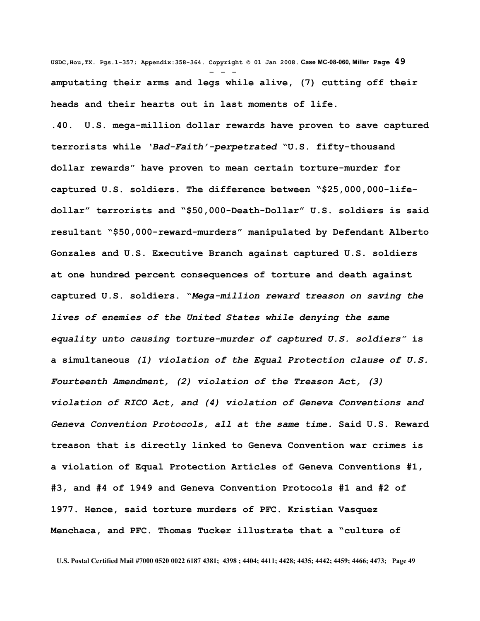**USDC,Hou,TX. Pgs.1-357; Appendix:358-364. Copyright © 01 Jan 2008. Case MC-08-060, Miller Page 49** - - **amputating their arms and legs while alive, (7) cutting off their heads and their hearts out in last moments of life.**

**.40. U.S. mega-million dollar rewards have proven to save captured terrorists while** *'Bad-Faith'-perpetrated* **"U.S. fifty-thousand dollar rewards" have proven to mean certain torture-murder for captured U.S. soldiers. The difference between "\$25,000,000-lifedollar" terrorists and "\$50,000-Death-Dollar" U.S. soldiers is said resultant "\$50,000-reward-murders" manipulated by Defendant Alberto Gonzales and U.S. Executive Branch against captured U.S. soldiers at one hundred percent consequences of torture and death against captured U.S. soldiers. "***Mega-million reward treason on saving the lives of enemies of the United States while denying the same equality unto causing torture-murder of captured U.S. soldiers"* **is a simultaneous** *(1) violation of the Equal Protection clause of U.S. Fourteenth Amendment, (2) violation of the Treason Act, (3) violation of RICO Act, and (4) violation of Geneva Conventions and Geneva Convention Protocols, all at the same time.* **Said U.S. Reward treason that is directly linked to Geneva Convention war crimes is a violation of Equal Protection Articles of Geneva Conventions #1, #3, and #4 of 1949 and Geneva Convention Protocols #1 and #2 of 1977. Hence, said torture murders of PFC. Kristian Vasquez Menchaca, and PFC. Thomas Tucker illustrate that a "culture of**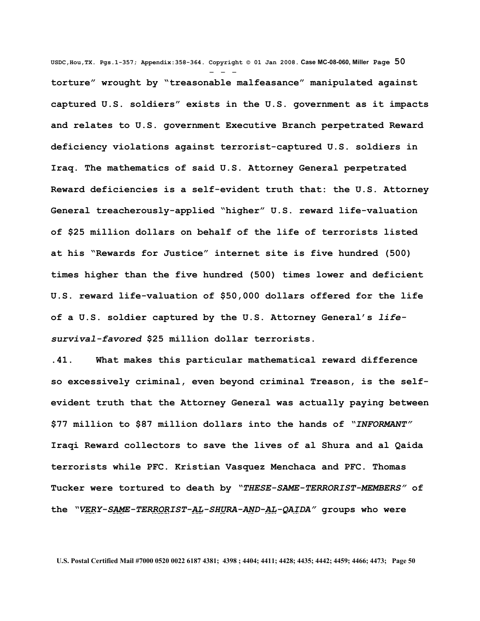**USDC,Hou,TX. Pgs.1-357; Appendix:358-364. Copyright © 01 Jan 2008. Case MC-08-060, Miller Page 50** - - **torture" wrought by "treasonable malfeasance" manipulated against captured U.S. soldiers" exists in the U.S. government as it impacts and relates to U.S. government Executive Branch perpetrated Reward deficiency violations against terrorist-captured U.S. soldiers in Iraq. The mathematics of said U.S. Attorney General perpetrated Reward deficiencies is a self-evident truth that: the U.S. Attorney General treacherously-applied "higher" U.S. reward life-valuation of \$25 million dollars on behalf of the life of terrorists listed at his "Rewards for Justice" internet site is five hundred (500) times higher than the five hundred (500) times lower and deficient U.S. reward life-valuation of \$50,000 dollars offered for the life of a U.S. soldier captured by the U.S. Attorney General's** *lifesurvival-favored* **\$25 million dollar terrorists.** 

**.41. What makes this particular mathematical reward difference so excessively criminal, even beyond criminal Treason, is the selfevident truth that the Attorney General was actually paying between \$77 million to \$87 million dollars into the hands of** *"INFORMANT"* **Iraqi Reward collectors to save the lives of al Shura and al Qaida terrorists while PFC. Kristian Vasquez Menchaca and PFC. Thomas Tucker were tortured to death by** *"THESE-SAME-TERRORIST-MEMBERS"* **of the** *"VERY-SAME-TERRORIST-AL-SHURA-AND-AL-QAIDA"* **groups who were**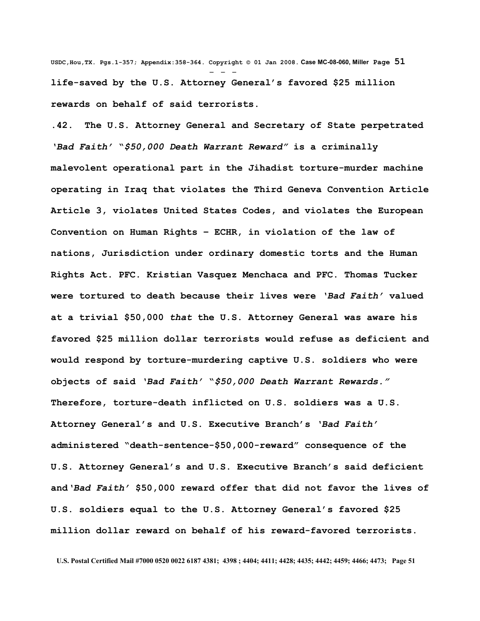**USDC,Hou,TX. Pgs.1-357; Appendix:358-364. Copyright © 01 Jan 2008. Case MC-08-060, Miller Page 51** - - **life-saved by the U.S. Attorney General's favored \$25 million rewards on behalf of said terrorists.** 

**.42. The U.S. Attorney General and Secretary of State perpetrated** *'Bad Faith'* **"***\$50,000 Death Warrant Reward"* **is a criminally malevolent operational part in the Jihadist torture-murder machine operating in Iraq that violates the Third Geneva Convention Article Article 3, violates United States Codes, and violates the European Convention on Human Rights – ECHR, in violation of the law of nations, Jurisdiction under ordinary domestic torts and the Human Rights Act. PFC. Kristian Vasquez Menchaca and PFC. Thomas Tucker were tortured to death because their lives were** *'Bad Faith'* **valued at a trivial \$50,000** *that* **the U.S. Attorney General was aware his favored \$25 million dollar terrorists would refuse as deficient and would respond by torture-murdering captive U.S. soldiers who were objects of said** *'Bad Faith'* **"***\$50,000 Death Warrant Rewards."* **Therefore, torture-death inflicted on U.S. soldiers was a U.S. Attorney General's and U.S. Executive Branch's** *'Bad Faith'* **administered "death-sentence-\$50,000-reward" consequence of the U.S. Attorney General's and U.S. Executive Branch's said deficient and***'Bad Faith'* **\$50,000 reward offer that did not favor the lives of U.S. soldiers equal to the U.S. Attorney General's favored \$25 million dollar reward on behalf of his reward-favored terrorists.**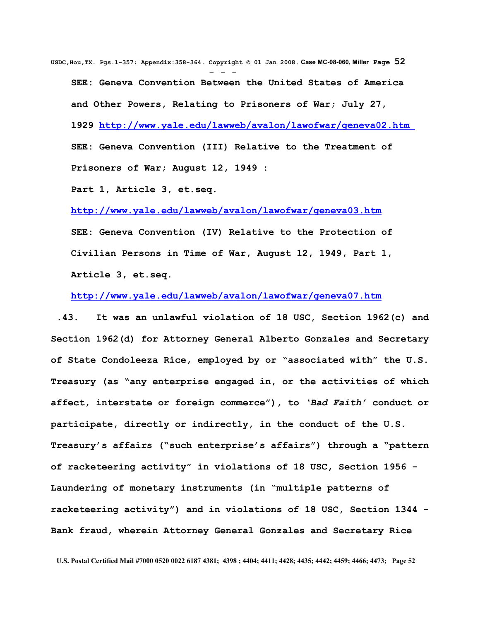**USDC,Hou,TX. Pgs.1-357; Appendix:358-364. Copyright © 01 Jan 2008. Case MC-08-060, Miller Page 52** - - - **SEE: Geneva Convention Between the United States of America and Other Powers, Relating to Prisoners of War; July 27, 1929<http://www.yale.edu/lawweb/avalon/lawofwar/geneva02.htm> SEE: Geneva Convention (III) Relative to the Treatment of Prisoners of War; August 12, 1949 :**

**Part 1, Article 3, et.seq.**

**<http://www.yale.edu/lawweb/avalon/lawofwar/geneva03.htm>**

**SEE: Geneva Convention (IV) Relative to the Protection of Civilian Persons in Time of War, August 12, 1949, Part 1, Article 3, et.seq.**

**<http://www.yale.edu/lawweb/avalon/lawofwar/geneva07.htm>**

 **.43. It was an unlawful violation of 18 USC, Section 1962(c) and Section 1962(d) for Attorney General Alberto Gonzales and Secretary of State Condoleeza Rice, employed by or "associated with" the U.S. Treasury (as "any enterprise engaged in, or the activities of which affect, interstate or foreign commerce"), to** *'Bad Faith'* **conduct or participate, directly or indirectly, in the conduct of the U.S. Treasury's affairs ("such enterprise's affairs") through a "pattern of racketeering activity" in violations of 18 USC, Section 1956 - Laundering of monetary instruments (in "multiple patterns of racketeering activity") and in violations of 18 USC, Section 1344 - Bank fraud, wherein Attorney General Gonzales and Secretary Rice**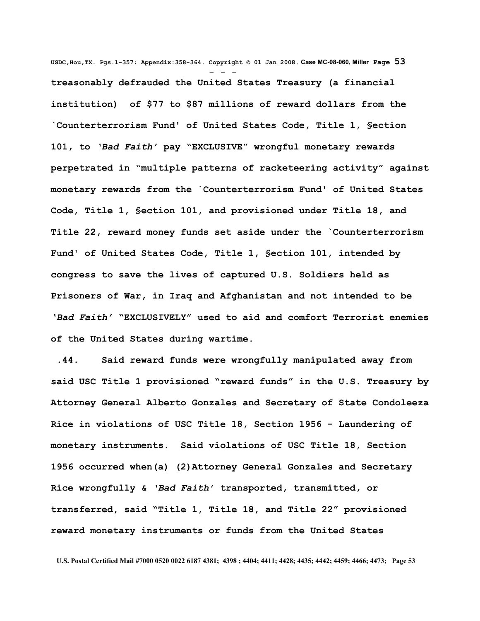**USDC,Hou,TX. Pgs.1-357; Appendix:358-364. Copyright © 01 Jan 2008. Case MC-08-060, Miller Page 53** - - **treasonably defrauded the United States Treasury (a financial institution) of \$77 to \$87 millions of reward dollars from the `Counterterrorism Fund' of United States Code, Title 1, §ection 101, to** *'Bad Faith'* **pay "EXCLUSIVE" wrongful monetary rewards perpetrated in "multiple patterns of racketeering activity" against monetary rewards from the `Counterterrorism Fund' of United States Code, Title 1, §ection 101, and provisioned under Title 18, and Title 22, reward money funds set aside under the `Counterterrorism Fund' of United States Code, Title 1, §ection 101, intended by congress to save the lives of captured U.S. Soldiers held as Prisoners of War, in Iraq and Afghanistan and not intended to be** *'Bad Faith'* **"EXCLUSIVELY" used to aid and comfort Terrorist enemies of the United States during wartime.** 

 **.44. Said reward funds were wrongfully manipulated away from said USC Title 1 provisioned "reward funds" in the U.S. Treasury by Attorney General Alberto Gonzales and Secretary of State Condoleeza Rice in violations of USC Title 18, Section 1956 - Laundering of monetary instruments. Said violations of USC Title 18, Section 1956 occurred when(a) (2)Attorney General Gonzales and Secretary Rice wrongfully &** *'Bad Faith'* **transported, transmitted, or transferred, said "Title 1, Title 18, and Title 22" provisioned reward monetary instruments or funds from the United States**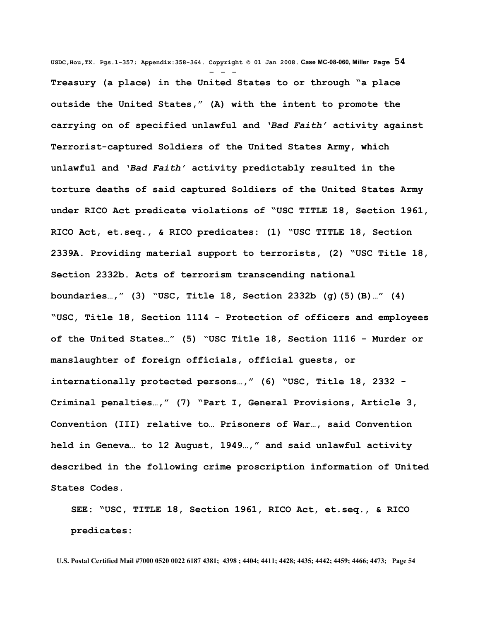**USDC,Hou,TX. Pgs.1-357; Appendix:358-364. Copyright © 01 Jan 2008. Case MC-08-060, Miller Page 54** - - - **Treasury (a place) in the United States to or through "a place outside the United States," (A) with the intent to promote the carrying on of specified unlawful and** *'Bad Faith'* **activity against Terrorist-captured Soldiers of the United States Army, which unlawful and** *'Bad Faith'* **activity predictably resulted in the torture deaths of said captured Soldiers of the United States Army under RICO Act predicate violations of "USC TITLE 18, Section 1961, RICO Act, et.seq., & RICO predicates: (1) "USC TITLE 18, Section 2339A. Providing material support to terrorists, (2) "USC Title 18, Section 2332b. Acts of terrorism transcending national boundaries…," (3) "USC, Title 18, Section 2332b (g)(5)(B)…" (4) "USC, Title 18, Section 1114 - Protection of officers and employees of the United States…" (5) "USC Title 18, Section 1116 - Murder or manslaughter of foreign officials, official guests, or internationally protected persons…," (6) "USC, Title 18, 2332 - Criminal penalties…," (7) "Part I, General Provisions, Article 3, Convention (III) relative to… Prisoners of War…, said Convention held in Geneva… to 12 August, 1949…," and said unlawful activity described in the following crime proscription information of United States Codes.**

**SEE: "USC, TITLE 18, Section 1961, RICO Act, et.seq., & RICO predicates:**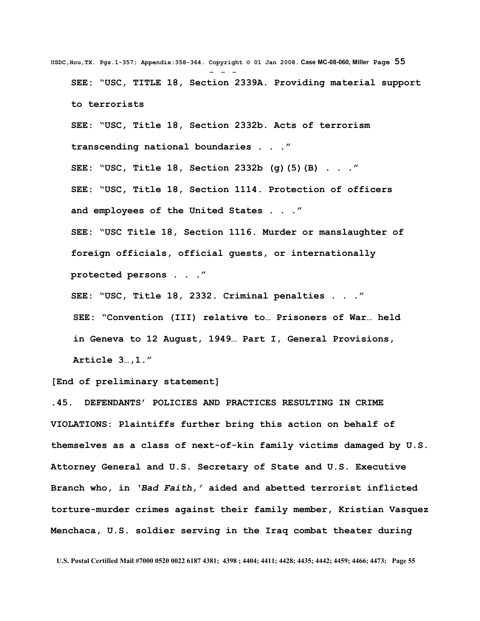**USDC,Hou,TX. Pgs.1-357; Appendix:358-364. Copyright © 01 Jan 2008. Case MC-08-060, Miller Page 55** - - - **SEE: "USC, TITLE 18, Section 2339A. Providing material support to terrorists SEE: "USC, Title 18, Section 2332b. Acts of terrorism transcending national boundaries . . ." SEE: "USC, Title 18, Section 2332b (g)(5)(B) . . ." SEE: "USC, Title 18, Section 1114. Protection of officers and employees of the United States . . ." SEE: "USC Title 18, Section 1116. Murder or manslaughter of foreign officials, official guests, or internationally protected persons . . ." SEE: "USC, Title 18, 2332. Criminal penalties . . ." SEE: "Convention (III) relative to… Prisoners of War… held in Geneva to 12 August, 1949… Part I, General Provisions,**

**Article 3…,1."** 

## **[End of preliminary statement]**

**.45. DEFENDANTS' POLICIES AND PRACTICES RESULTING IN CRIME VIOLATIONS: Plaintiffs further bring this action on behalf of themselves as a class of next-of-kin family victims damaged by U.S. Attorney General and U.S. Secretary of State and U.S. Executive Branch who, in** *'Bad Faith,'* **aided and abetted terrorist inflicted torture-murder crimes against their family member, Kristian Vasquez Menchaca, U.S. soldier serving in the Iraq combat theater during**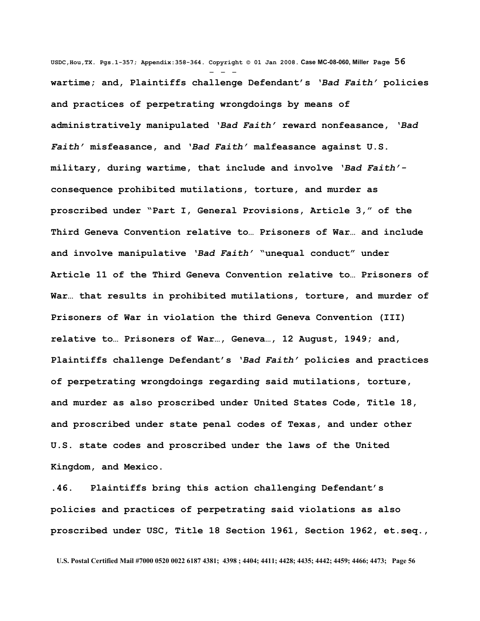**USDC,Hou,TX. Pgs.1-357; Appendix:358-364. Copyright © 01 Jan 2008. Case MC-08-060, Miller Page 56** - - **wartime; and, Plaintiffs challenge Defendant's** *'Bad Faith'* **policies and practices of perpetrating wrongdoings by means of administratively manipulated** *'Bad Faith'* **reward nonfeasance,** *'Bad Faith'* **misfeasance, and** *'Bad Faith'* **malfeasance against U.S. military, during wartime, that include and involve** *'Bad Faith'* **consequence prohibited mutilations, torture, and murder as proscribed under "Part I, General Provisions, Article 3," of the Third Geneva Convention relative to… Prisoners of War… and include and involve manipulative** *'Bad Faith'* **"unequal conduct" under Article 11 of the Third Geneva Convention relative to… Prisoners of War… that results in prohibited mutilations, torture, and murder of Prisoners of War in violation the third Geneva Convention (III) relative to… Prisoners of War…, Geneva…, 12 August, 1949; and, Plaintiffs challenge Defendant's** *'Bad Faith'* **policies and practices of perpetrating wrongdoings regarding said mutilations, torture, and murder as also proscribed under United States Code, Title 18, and proscribed under state penal codes of Texas, and under other U.S. state codes and proscribed under the laws of the United Kingdom, and Mexico.**

**.46. Plaintiffs bring this action challenging Defendant's policies and practices of perpetrating said violations as also proscribed under USC, Title 18 Section 1961, Section 1962, et.seq.,**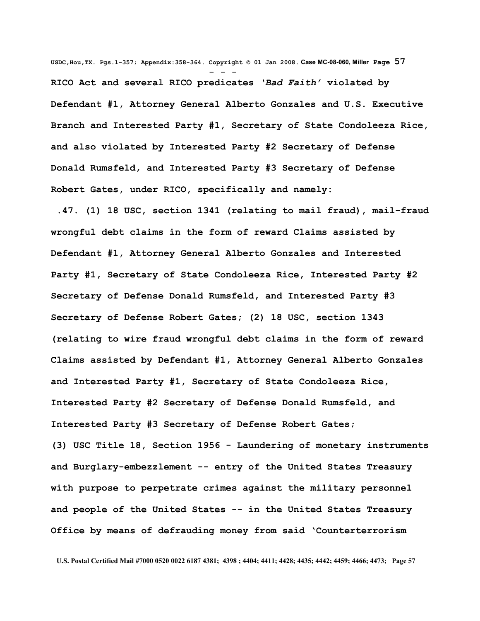**USDC,Hou,TX. Pgs.1-357; Appendix:358-364. Copyright © 01 Jan 2008. Case MC-08-060, Miller Page 57** - - - **RICO Act and several RICO predicates** *'Bad Faith'* **violated by Defendant #1, Attorney General Alberto Gonzales and U.S. Executive Branch and Interested Party #1, Secretary of State Condoleeza Rice, and also violated by Interested Party #2 Secretary of Defense Donald Rumsfeld, and Interested Party #3 Secretary of Defense Robert Gates, under RICO, specifically and namely:**

 **.47. (1) 18 USC, section 1341 (relating to mail fraud), mail-fraud wrongful debt claims in the form of reward Claims assisted by Defendant #1, Attorney General Alberto Gonzales and Interested Party #1, Secretary of State Condoleeza Rice, Interested Party #2 Secretary of Defense Donald Rumsfeld, and Interested Party #3 Secretary of Defense Robert Gates; (2) 18 USC, section 1343 (relating to wire fraud wrongful debt claims in the form of reward Claims assisted by Defendant #1, Attorney General Alberto Gonzales and Interested Party #1, Secretary of State Condoleeza Rice, Interested Party #2 Secretary of Defense Donald Rumsfeld, and Interested Party #3 Secretary of Defense Robert Gates; (3) USC Title 18, Section 1956 - Laundering of monetary instruments**

**and Burglary-embezzlement -- entry of the United States Treasury with purpose to perpetrate crimes against the military personnel and people of the United States -- in the United States Treasury Office by means of defrauding money from said 'Counterterrorism**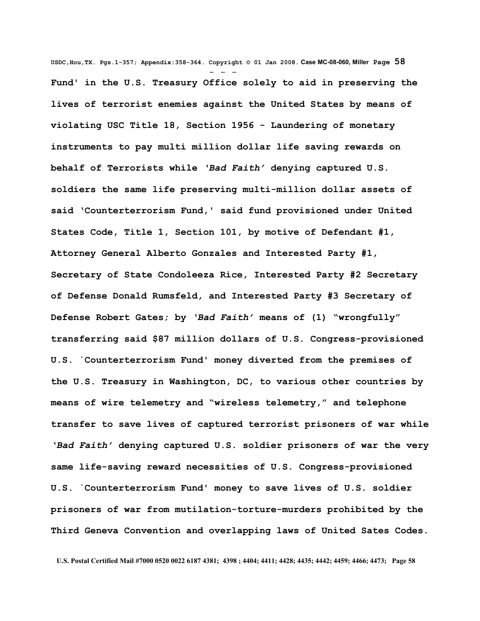**USDC,Hou,TX. Pgs.1-357; Appendix:358-364. Copyright © 01 Jan 2008. Case MC-08-060, Miller Page 58** - - - **Fund' in the U.S. Treasury Office solely to aid in preserving the lives of terrorist enemies against the United States by means of violating USC Title 18, Section 1956 - Laundering of monetary instruments to pay multi million dollar life saving rewards on behalf of Terrorists while** *'Bad Faith'* **denying captured U.S. soldiers the same life preserving multi-million dollar assets of said 'Counterterrorism Fund,' said fund provisioned under United States Code, Title 1, Section 101, by motive of Defendant #1, Attorney General Alberto Gonzales and Interested Party #1, Secretary of State Condoleeza Rice, Interested Party #2 Secretary of Defense Donald Rumsfeld, and Interested Party #3 Secretary of Defense Robert Gates; by** *'Bad Faith'* **means of (1) "wrongfully" transferring said \$87 million dollars of U.S. Congress-provisioned U.S. `Counterterrorism Fund' money diverted from the premises of the U.S. Treasury in Washington, DC, to various other countries by means of wire telemetry and "wireless telemetry," and telephone transfer to save lives of captured terrorist prisoners of war while** *'Bad Faith'* **denying captured U.S. soldier prisoners of war the very same life-saving reward necessities of U.S. Congress-provisioned U.S. `Counterterrorism Fund' money to save lives of U.S. soldier prisoners of war from mutilation-torture-murders prohibited by the Third Geneva Convention and overlapping laws of United Sates Codes.**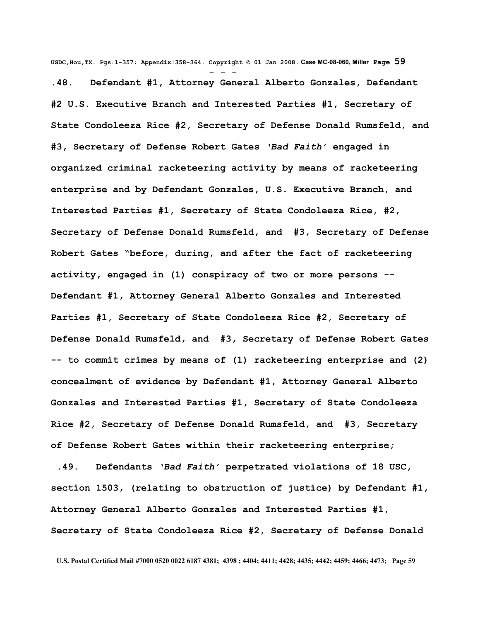**USDC,Hou,TX. Pgs.1-357; Appendix:358-364. Copyright © 01 Jan 2008. Case MC-08-060, Miller Page 59** - - - **.48. Defendant #1, Attorney General Alberto Gonzales, Defendant #2 U.S. Executive Branch and Interested Parties #1, Secretary of State Condoleeza Rice #2, Secretary of Defense Donald Rumsfeld, and #3, Secretary of Defense Robert Gates** *'Bad Faith'* **engaged in organized criminal racketeering activity by means of racketeering enterprise and by Defendant Gonzales, U.S. Executive Branch, and Interested Parties #1, Secretary of State Condoleeza Rice, #2, Secretary of Defense Donald Rumsfeld, and #3, Secretary of Defense Robert Gates "before, during, and after the fact of racketeering activity, engaged in (1) conspiracy of two or more persons -- Defendant #1, Attorney General Alberto Gonzales and Interested Parties #1, Secretary of State Condoleeza Rice #2, Secretary of Defense Donald Rumsfeld, and #3, Secretary of Defense Robert Gates -- to commit crimes by means of (1) racketeering enterprise and (2) concealment of evidence by Defendant #1, Attorney General Alberto Gonzales and Interested Parties #1, Secretary of State Condoleeza Rice #2, Secretary of Defense Donald Rumsfeld, and #3, Secretary of Defense Robert Gates within their racketeering enterprise;** 

 **.49. Defendants** *'Bad Faith'* **perpetrated violations of 18 USC, section 1503, (relating to obstruction of justice) by Defendant #1, Attorney General Alberto Gonzales and Interested Parties #1, Secretary of State Condoleeza Rice #2, Secretary of Defense Donald**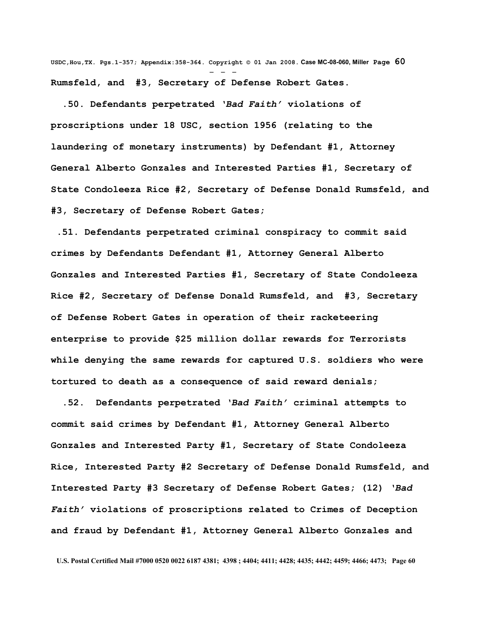**USDC,Hou,TX. Pgs.1-357; Appendix:358-364. Copyright © 01 Jan 2008. Case MC-08-060, Miller Page 60** - - - **Rumsfeld, and #3, Secretary of Defense Robert Gates.**

 **.50. Defendants perpetrated** *'Bad Faith'* **violations of proscriptions under 18 USC, section 1956 (relating to the laundering of monetary instruments) by Defendant #1, Attorney General Alberto Gonzales and Interested Parties #1, Secretary of State Condoleeza Rice #2, Secretary of Defense Donald Rumsfeld, and #3, Secretary of Defense Robert Gates;** 

 **.51. Defendants perpetrated criminal conspiracy to commit said crimes by Defendants Defendant #1, Attorney General Alberto Gonzales and Interested Parties #1, Secretary of State Condoleeza Rice #2, Secretary of Defense Donald Rumsfeld, and #3, Secretary of Defense Robert Gates in operation of their racketeering enterprise to provide \$25 million dollar rewards for Terrorists while denying the same rewards for captured U.S. soldiers who were tortured to death as a consequence of said reward denials;** 

 **.52. Defendants perpetrated** *'Bad Faith'* **criminal attempts to commit said crimes by Defendant #1, Attorney General Alberto Gonzales and Interested Party #1, Secretary of State Condoleeza Rice, Interested Party #2 Secretary of Defense Donald Rumsfeld, and Interested Party #3 Secretary of Defense Robert Gates; (12)** *'Bad Faith'* **violations of proscriptions related to Crimes of Deception and fraud by Defendant #1, Attorney General Alberto Gonzales and**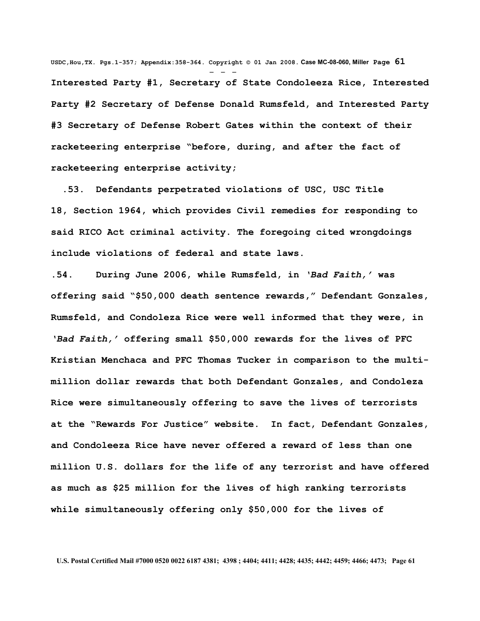**USDC,Hou,TX. Pgs.1-357; Appendix:358-364. Copyright © 01 Jan 2008. Case MC-08-060, Miller Page 61** - - - **Interested Party #1, Secretary of State Condoleeza Rice, Interested Party #2 Secretary of Defense Donald Rumsfeld, and Interested Party #3 Secretary of Defense Robert Gates within the context of their racketeering enterprise "before, during, and after the fact of racketeering enterprise activity;**

 **.53. Defendants perpetrated violations of USC, USC Title 18, Section 1964, which provides Civil remedies for responding to said RICO Act criminal activity. The foregoing cited wrongdoings include violations of federal and state laws.**

**.54. During June 2006, while Rumsfeld, in** *'Bad Faith,'* **was offering said "\$50,000 death sentence rewards," Defendant Gonzales, Rumsfeld, and Condoleza Rice were well informed that they were, in** *'Bad Faith,'* **offering small \$50,000 rewards for the lives of PFC Kristian Menchaca and PFC Thomas Tucker in comparison to the multimillion dollar rewards that both Defendant Gonzales, and Condoleza Rice were simultaneously offering to save the lives of terrorists at the "Rewards For Justice" website. In fact, Defendant Gonzales, and Condoleeza Rice have never offered a reward of less than one million U.S. dollars for the life of any terrorist and have offered as much as \$25 million for the lives of high ranking terrorists while simultaneously offering only \$50,000 for the lives of**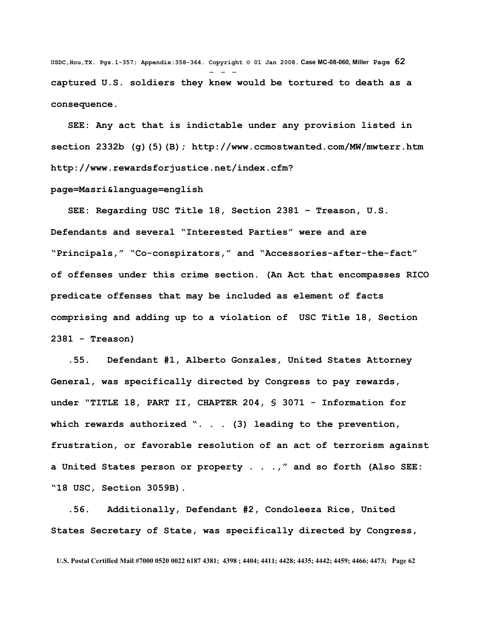**USDC,Hou,TX. Pgs.1-357; Appendix:358-364. Copyright © 01 Jan 2008. Case MC-08-060, Miller Page 62** - - **captured U.S. soldiers they knew would be tortured to death as a consequence.**

 **SEE: Any act that is indictable under any provision listed in section 2332b (g)(5)(B);<http://www.ccmostwanted.com/MW/mwterr.htm> [http://www.rewardsforjustice.net/index.cfm?](http://www.rewardsforjustice.net/index.cfm?page=Masri&language=english)**

## **[page=Masri&language=english](http://www.rewardsforjustice.net/index.cfm?page=Masri&language=english)**

 **SEE: Regarding USC Title 18, Section 2381 – Treason, U.S. Defendants and several "Interested Parties" were and are "Principals," "Co-conspirators," and "Accessories-after-the-fact" of offenses under this crime section. (An Act that encompasses RICO predicate offenses that may be included as element of facts comprising and adding up to a violation of USC Title 18, Section 2381 - Treason)**

 **.55. Defendant #1, Alberto Gonzales, United States Attorney General, was specifically directed by Congress to pay rewards, under "TITLE 18, PART II, CHAPTER 204, § 3071 - Information for which rewards authorized ". . . (3) leading to the prevention, frustration, or favorable resolution of an act of terrorism against a United States person or property . . .," and so forth (Also SEE: "18 USC, Section 3059B).**

 **.56. Additionally, Defendant #2, Condoleeza Rice, United States Secretary of State, was specifically directed by Congress,**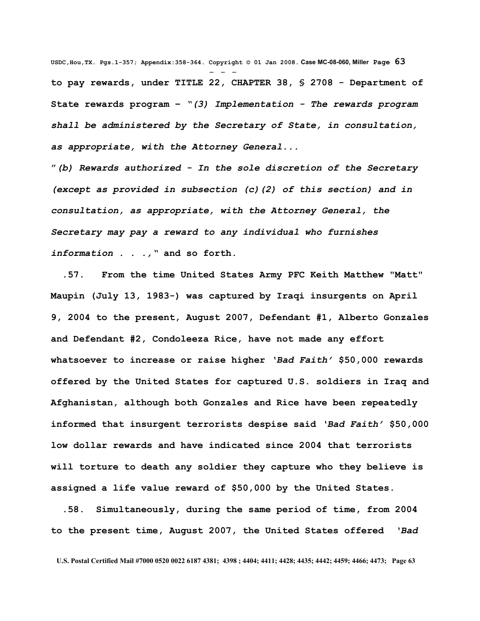**USDC,Hou,TX. Pgs.1-357; Appendix:358-364. Copyright © 01 Jan 2008. Case MC-08-060, Miller Page 63** - - **to pay rewards, under TITLE 22, CHAPTER 38, § 2708 - Department of State rewards program –** *"(3) Implementation - The rewards program shall be administered by the Secretary of State, in consultation, as appropriate, with the Attorney General...* 

**"***(b) Rewards authorized - In the sole discretion of the Secretary (except as provided in subsection (c)(2) of this section) and in consultation, as appropriate, with the Attorney General, the Secretary may pay a reward to any individual who furnishes information . . .,"* **and so forth.**

 **.57. From the time United States Army PFC Keith Matthew "Matt" Maupin (July 13, 1983-) was captured by Iraqi insurgents on April 9, 2004 to the present, August 2007, Defendant #1, Alberto Gonzales and Defendant #2, Condoleeza Rice, have not made any effort whatsoever to increase or raise higher** *'Bad Faith'* **\$50,000 rewards offered by the United States for captured U.S. soldiers in Iraq and Afghanistan, although both Gonzales and Rice have been repeatedly informed that insurgent terrorists despise said** *'Bad Faith'* **\$50,000 low dollar rewards and have indicated since 2004 that terrorists will torture to death any soldier they capture who they believe is assigned a life value reward of \$50,000 by the United States.**

 **.58. Simultaneously, during the same period of time, from 2004 to the present time, August 2007, the United States offered** *'Bad*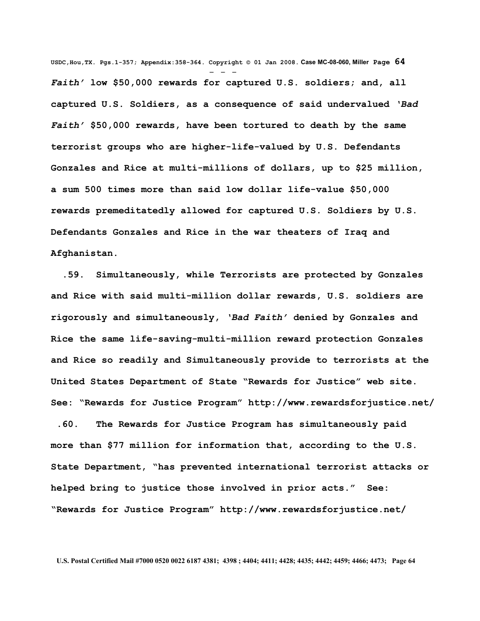**USDC,Hou,TX. Pgs.1-357; Appendix:358-364. Copyright © 01 Jan 2008. Case MC-08-060, Miller Page 64** - - - *Faith'* **low \$50,000 rewards for captured U.S. soldiers; and, all captured U.S. Soldiers, as a consequence of said undervalued** *'Bad Faith'* **\$50,000 rewards, have been tortured to death by the same terrorist groups who are higher-life-valued by U.S. Defendants Gonzales and Rice at multi-millions of dollars, up to \$25 million, a sum 500 times more than said low dollar life-value \$50,000 rewards premeditatedly allowed for captured U.S. Soldiers by U.S. Defendants Gonzales and Rice in the war theaters of Iraq and Afghanistan.** 

 **.59. Simultaneously, while Terrorists are protected by Gonzales and Rice with said multi-million dollar rewards, U.S. soldiers are rigorously and simultaneously,** *'Bad Faith'* **denied by Gonzales and Rice the same life-saving-multi-million reward protection Gonzales and Rice so readily and Simultaneously provide to terrorists at the United States Department of State "Rewards for Justice" web site. See: "Rewards for Justice Program"<http://www.rewardsforjustice.net/>**

 **.60. The Rewards for Justice Program has simultaneously paid more than \$77 million for information that, according to the U.S. State Department, "has prevented international terrorist attacks or helped bring to justice those involved in prior acts." See: "Rewards for Justice Program"<http://www.rewardsforjustice.net/>**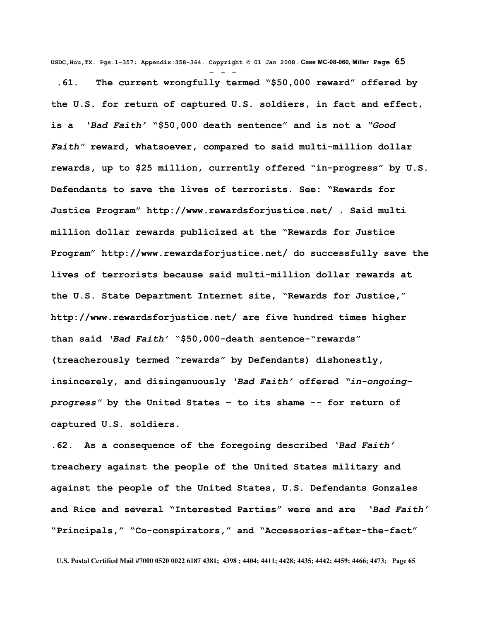**USDC,Hou,TX. Pgs.1-357; Appendix:358-364. Copyright © 01 Jan 2008. Case MC-08-060, Miller Page 65**

- - -  **.61. The current wrongfully termed "\$50,000 reward" offered by the U.S. for return of captured U.S. soldiers, in fact and effect, is a** *'Bad Faith'* **"\$50,000 death sentence" and is not a** *"Good Faith"* **reward, whatsoever, compared to said multi-million dollar rewards, up to \$25 million, currently offered "in-progress" by U.S. Defendants to save the lives of terrorists. See: "Rewards for Justice Program"<http://www.rewardsforjustice.net/>. Said multi million dollar rewards publicized at the "Rewards for Justice Program"<http://www.rewardsforjustice.net/>do successfully save the lives of terrorists because said multi-million dollar rewards at the U.S. State Department Internet site, "Rewards for Justice," <http://www.rewardsforjustice.net/>are five hundred times higher than said** *'Bad Faith'* **"\$50,000-death sentence-"rewards" (treacherously termed "rewards" by Defendants) dishonestly, insincerely, and disingenuously** *'Bad Faith'* **offered** *"in-ongoingprogress"* **by the United States – to its shame -- for return of captured U.S. soldiers.** 

**.62. As a consequence of the foregoing described** *'Bad Faith'* **treachery against the people of the United States military and against the people of the United States, U.S. Defendants Gonzales and Rice and several "Interested Parties" were and are** *'Bad Faith'* **"Principals," "Co-conspirators," and "Accessories-after-the-fact"**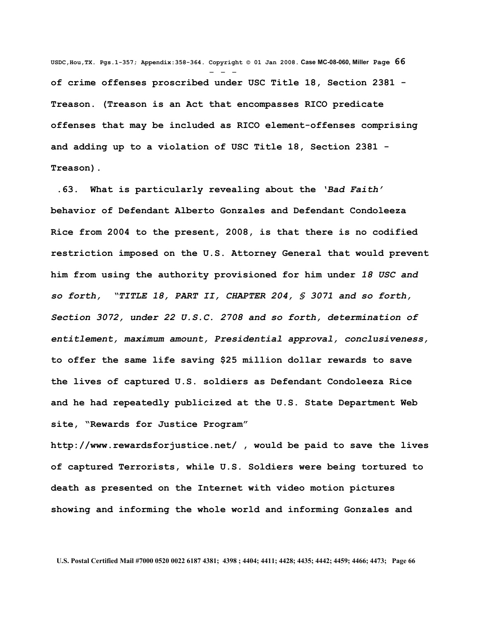**USDC,Hou,TX. Pgs.1-357; Appendix:358-364. Copyright © 01 Jan 2008. Case MC-08-060, Miller Page 66** - - **of crime offenses proscribed under USC Title 18, Section 2381 - Treason. (Treason is an Act that encompasses RICO predicate offenses that may be included as RICO element-offenses comprising and adding up to a violation of USC Title 18, Section 2381 - Treason).**

**.63. What is particularly revealing about the** *'Bad Faith'* **behavior of Defendant Alberto Gonzales and Defendant Condoleeza Rice from 2004 to the present, 2008, is that there is no codified restriction imposed on the U.S. Attorney General that would prevent him from using the authority provisioned for him under** *18 USC and so forth, "TITLE 18, PART II, CHAPTER 204, § 3071 and so forth, Section 3072, under 22 U.S.C. 2708 and so forth, determination of entitlement, maximum amount, Presidential approval, conclusiveness,* **to offer the same life saving \$25 million dollar rewards to save the lives of captured U.S. soldiers as Defendant Condoleeza Rice and he had repeatedly publicized at the U.S. State Department Web site, "Rewards for Justice Program"**

**<http://www.rewardsforjustice.net/>, would be paid to save the lives of captured Terrorists, while U.S. Soldiers were being tortured to death as presented on the Internet with video motion pictures showing and informing the whole world and informing Gonzales and**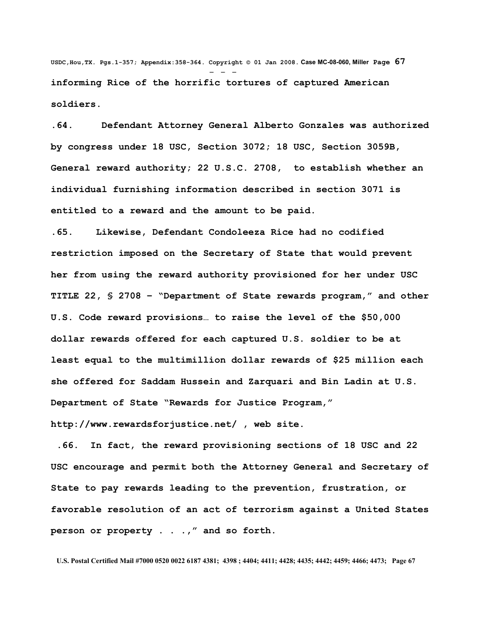**USDC,Hou,TX. Pgs.1-357; Appendix:358-364. Copyright © 01 Jan 2008. Case MC-08-060, Miller Page 67** - - **informing Rice of the horrific tortures of captured American soldiers.**

**.64. Defendant Attorney General Alberto Gonzales was authorized by congress under 18 USC, Section 3072; 18 USC, Section 3059B, General reward authority; 22 U.S.C. 2708, to establish whether an individual furnishing information described in section 3071 is entitled to a reward and the amount to be paid.**

**.65. Likewise, Defendant Condoleeza Rice had no codified restriction imposed on the Secretary of State that would prevent her from using the reward authority provisioned for her under USC TITLE 22, § 2708 – "Department of State rewards program," and other U.S. Code reward provisions… to raise the level of the \$50,000 dollar rewards offered for each captured U.S. soldier to be at least equal to the multimillion dollar rewards of \$25 million each she offered for Saddam Hussein and Zarquari and Bin Ladin at U.S. Department of State "Rewards for Justice Program," <http://www.rewardsforjustice.net/>, web site.** 

 **.66. In fact, the reward provisioning sections of 18 USC and 22 USC encourage and permit both the Attorney General and Secretary of State to pay rewards leading to the prevention, frustration, or favorable resolution of an act of terrorism against a United States person or property . . .," and so forth.**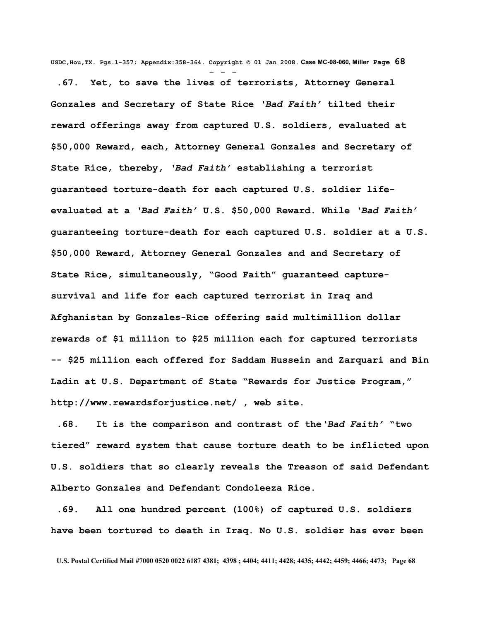**USDC,Hou,TX. Pgs.1-357; Appendix:358-364. Copyright © 01 Jan 2008. Case MC-08-060, Miller Page 68** - - -

 **.67. Yet, to save the lives of terrorists, Attorney General Gonzales and Secretary of State Rice** *'Bad Faith'* **tilted their reward offerings away from captured U.S. soldiers, evaluated at \$50,000 Reward, each, Attorney General Gonzales and Secretary of State Rice, thereby,** *'Bad Faith'* **establishing a terrorist guaranteed torture-death for each captured U.S. soldier lifeevaluated at a** *'Bad Faith'* **U.S. \$50,000 Reward. While** *'Bad Faith'* **guaranteeing torture-death for each captured U.S. soldier at a U.S. \$50,000 Reward, Attorney General Gonzales and and Secretary of State Rice, simultaneously, "Good Faith" guaranteed capturesurvival and life for each captured terrorist in Iraq and Afghanistan by Gonzales-Rice offering said multimillion dollar rewards of \$1 million to \$25 million each for captured terrorists -- \$25 million each offered for Saddam Hussein and Zarquari and Bin Ladin at U.S. Department of State "Rewards for Justice Program," <http://www.rewardsforjustice.net/>, web site.** 

 **.68. It is the comparison and contrast of the***'Bad Faith'* **"two tiered" reward system that cause torture death to be inflicted upon U.S. soldiers that so clearly reveals the Treason of said Defendant Alberto Gonzales and Defendant Condoleeza Rice.**

 **.69. All one hundred percent (100%) of captured U.S. soldiers have been tortured to death in Iraq. No U.S. soldier has ever been**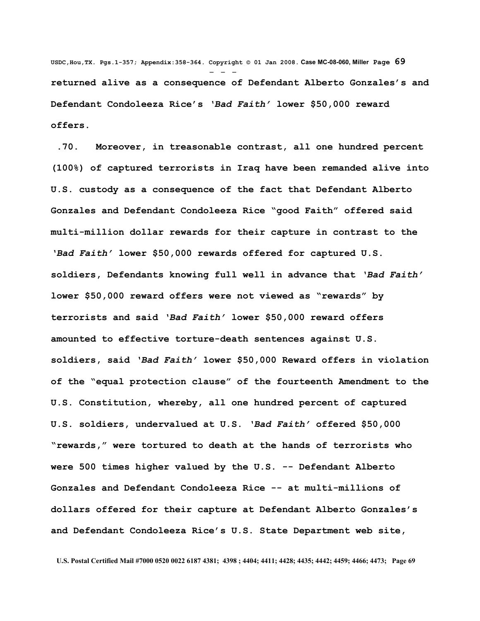**USDC,Hou,TX. Pgs.1-357; Appendix:358-364. Copyright © 01 Jan 2008. Case MC-08-060, Miller Page 69** - - **returned alive as a consequence of Defendant Alberto Gonzales's and Defendant Condoleeza Rice's** *'Bad Faith'* **lower \$50,000 reward offers.** 

 **.70. Moreover, in treasonable contrast, all one hundred percent (100%) of captured terrorists in Iraq have been remanded alive into U.S. custody as a consequence of the fact that Defendant Alberto Gonzales and Defendant Condoleeza Rice "good Faith" offered said multi-million dollar rewards for their capture in contrast to the** *'Bad Faith'* **lower \$50,000 rewards offered for captured U.S. soldiers, Defendants knowing full well in advance that** *'Bad Faith'* **lower \$50,000 reward offers were not viewed as "rewards" by terrorists and said** *'Bad Faith'* **lower \$50,000 reward offers amounted to effective torture-death sentences against U.S. soldiers, said** *'Bad Faith'* **lower \$50,000 Reward offers in violation of the "equal protection clause" of the fourteenth Amendment to the U.S. Constitution, whereby, all one hundred percent of captured U.S. soldiers, undervalued at U.S.** *'Bad Faith'* **offered \$50,000 "rewards," were tortured to death at the hands of terrorists who were 500 times higher valued by the U.S. -- Defendant Alberto Gonzales and Defendant Condoleeza Rice -- at multi-millions of dollars offered for their capture at Defendant Alberto Gonzales's and Defendant Condoleeza Rice's U.S. State Department web site,**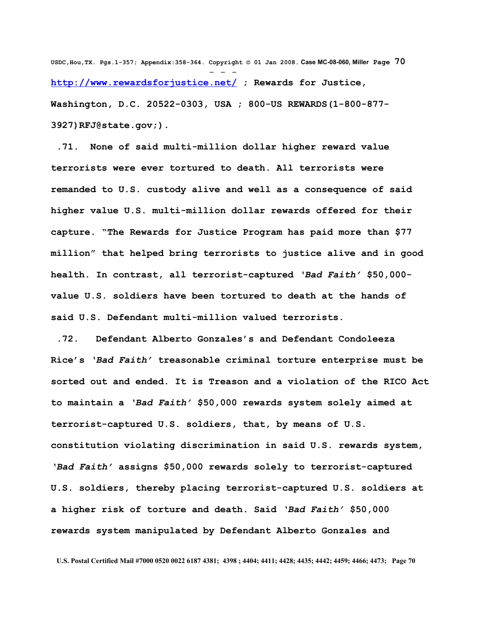**USDC,Hou,TX. Pgs.1-357; Appendix:358-364. Copyright © 01 Jan 2008. Case MC-08-060, Miller Page 70** - - **<http://www.rewardsforjustice.net/>; Rewards for Justice, Washington, D.C. 20522-0303, USA ; 800-US REWARDS(1-800-877- 3927[\)RFJ@state.gov;](mailto:RFJ@state.gov)).** 

 **.71. None of said multi-million dollar higher reward value terrorists were ever tortured to death. All terrorists were remanded to U.S. custody alive and well as a consequence of said higher value U.S. multi-million dollar rewards offered for their capture. "The Rewards for Justice Program has paid more than \$77 million" that helped bring terrorists to justice alive and in good health. In contrast, all terrorist-captured** *'Bad Faith'* **\$50,000 value U.S. soldiers have been tortured to death at the hands of said U.S. Defendant multi-million valued terrorists.** 

 **.72. Defendant Alberto Gonzales's and Defendant Condoleeza Rice's** *'Bad Faith'* **treasonable criminal torture enterprise must be sorted out and ended. It is Treason and a violation of the RICO Act to maintain a** *'Bad Faith'* **\$50,000 rewards system solely aimed at terrorist-captured U.S. soldiers, that, by means of U.S. constitution violating discrimination in said U.S. rewards system,** *'Bad Faith'* **assigns \$50,000 rewards solely to terrorist-captured U.S. soldiers, thereby placing terrorist-captured U.S. soldiers at a higher risk of torture and death. Said** *'Bad Faith'* **\$50,000 rewards system manipulated by Defendant Alberto Gonzales and**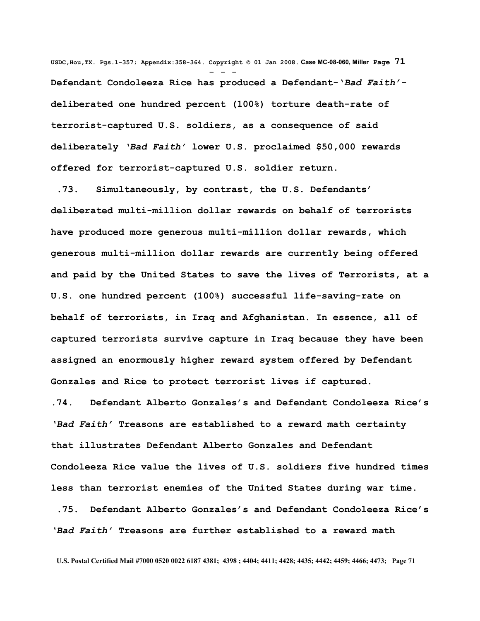**USDC,Hou,TX. Pgs.1-357; Appendix:358-364. Copyright © 01 Jan 2008. Case MC-08-060, Miller Page 71** - - - **Defendant Condoleeza Rice has produced a Defendant-'***Bad Faith'* **deliberated one hundred percent (100%) torture death-rate of terrorist-captured U.S. soldiers, as a consequence of said deliberately** *'Bad Faith'* **lower U.S. proclaimed \$50,000 rewards offered for terrorist-captured U.S. soldier return.**

 **.73. Simultaneously, by contrast, the U.S. Defendants' deliberated multi-million dollar rewards on behalf of terrorists have produced more generous multi-million dollar rewards, which generous multi-million dollar rewards are currently being offered and paid by the United States to save the lives of Terrorists, at a U.S. one hundred percent (100%) successful life-saving-rate on behalf of terrorists, in Iraq and Afghanistan. In essence, all of captured terrorists survive capture in Iraq because they have been assigned an enormously higher reward system offered by Defendant Gonzales and Rice to protect terrorist lives if captured.**

**.74. Defendant Alberto Gonzales's and Defendant Condoleeza Rice's** *'Bad Faith'* **Treasons are established to a reward math certainty that illustrates Defendant Alberto Gonzales and Defendant Condoleeza Rice value the lives of U.S. soldiers five hundred times less than terrorist enemies of the United States during war time.** 

 **.75. Defendant Alberto Gonzales's and Defendant Condoleeza Rice's** *'Bad Faith'* **Treasons are further established to a reward math**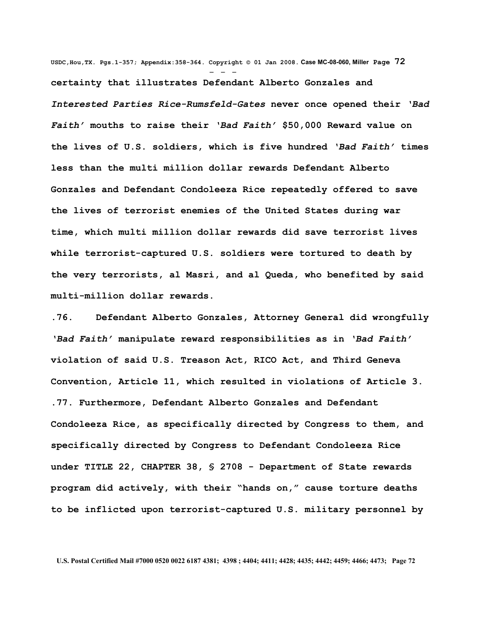**USDC,Hou,TX. Pgs.1-357; Appendix:358-364. Copyright © 01 Jan 2008. Case MC-08-060, Miller Page 72** - - **certainty that illustrates Defendant Alberto Gonzales and** *Interested Parties Rice-Rumsfeld-Gates* **never once opened their** *'Bad Faith'* **mouths to raise their** *'Bad Faith'* **\$50,000 Reward value on the lives of U.S. soldiers, which is five hundred** *'Bad Faith'* **times less than the multi million dollar rewards Defendant Alberto Gonzales and Defendant Condoleeza Rice repeatedly offered to save the lives of terrorist enemies of the United States during war time, which multi million dollar rewards did save terrorist lives while terrorist-captured U.S. soldiers were tortured to death by the very terrorists, al Masri, and al Queda, who benefited by said multi-million dollar rewards.** 

**.76. Defendant Alberto Gonzales, Attorney General did wrongfully** *'Bad Faith'* **manipulate reward responsibilities as in** *'Bad Faith'* **violation of said U.S. Treason Act, RICO Act, and Third Geneva Convention, Article 11, which resulted in violations of Article 3. .77. Furthermore, Defendant Alberto Gonzales and Defendant Condoleeza Rice, as specifically directed by Congress to them, and specifically directed by Congress to Defendant Condoleeza Rice under TITLE 22, CHAPTER 38, § 2708 - Department of State rewards program did actively, with their "hands on," cause torture deaths to be inflicted upon terrorist-captured U.S. military personnel by**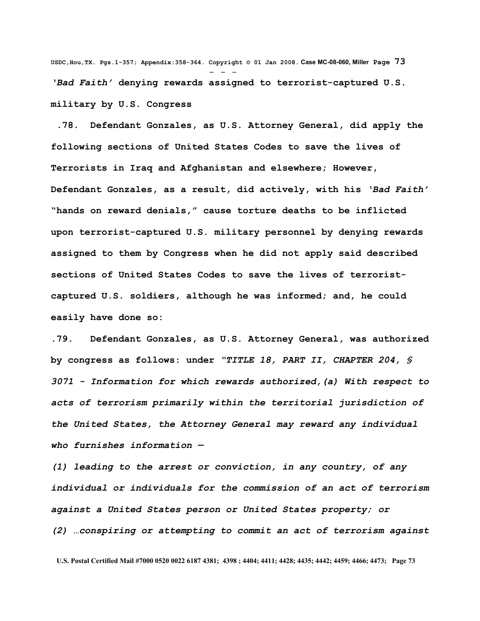**USDC,Hou,TX. Pgs.1-357; Appendix:358-364. Copyright © 01 Jan 2008. Case MC-08-060, Miller Page 73** - - - *'Bad Faith'* **denying rewards assigned to terrorist-captured U.S. military by U.S. Congress**

 **.78. Defendant Gonzales, as U.S. Attorney General, did apply the following sections of United States Codes to save the lives of Terrorists in Iraq and Afghanistan and elsewhere; However, Defendant Gonzales, as a result, did actively, with his** *'Bad Faith'* **"hands on reward denials," cause torture deaths to be inflicted upon terrorist-captured U.S. military personnel by denying rewards assigned to them by Congress when he did not apply said described sections of United States Codes to save the lives of terroristcaptured U.S. soldiers, although he was informed; and, he could easily have done so:** 

**.79. Defendant Gonzales, as U.S. Attorney General, was authorized by congress as follows: under** *"TITLE 18, PART II, CHAPTER 204, § 3071 - Information for which rewards authorized,(a) With respect to acts of terrorism primarily within the territorial jurisdiction of the United States, the Attorney General may reward any individual who furnishes information —*

*(1) leading to the arrest or conviction, in any country, of any individual or individuals for the commission of an act of terrorism against a United States person or United States property; or (2) …conspiring or attempting to commit an act of terrorism against*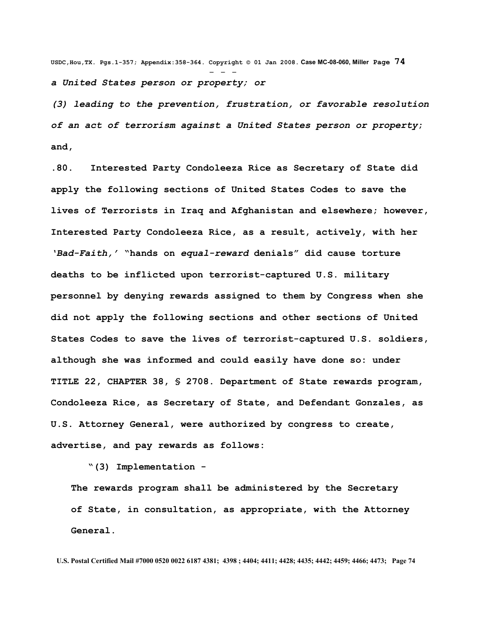**USDC,Hou,TX. Pgs.1-357; Appendix:358-364. Copyright © 01 Jan 2008. Case MC-08-060, Miller Page 74** - - *a United States person or property; or* 

*(3) leading to the prevention, frustration, or favorable resolution of an act of terrorism against a United States person or property***; and,**

**.80. Interested Party Condoleeza Rice as Secretary of State did apply the following sections of United States Codes to save the lives of Terrorists in Iraq and Afghanistan and elsewhere; however, Interested Party Condoleeza Rice, as a result, actively, with her** *'Bad-Faith,'* **"hands on** *equal-reward* **denials" did cause torture deaths to be inflicted upon terrorist-captured U.S. military personnel by denying rewards assigned to them by Congress when she did not apply the following sections and other sections of United States Codes to save the lives of terrorist-captured U.S. soldiers, although she was informed and could easily have done so: under TITLE 22, CHAPTER 38, § 2708. Department of State rewards program, Condoleeza Rice, as Secretary of State, and Defendant Gonzales, as U.S. Attorney General, were authorized by congress to create, advertise, and pay rewards as follows:**

 **"(3) Implementation -** 

**The rewards program shall be administered by the Secretary of State, in consultation, as appropriate, with the Attorney General.**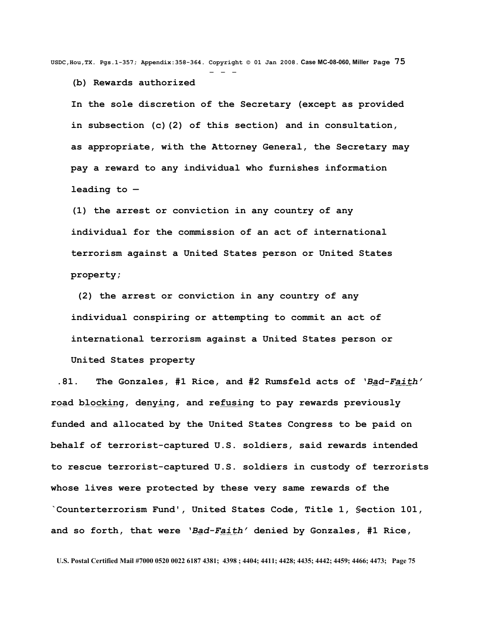**USDC,Hou,TX. Pgs.1-357; Appendix:358-364. Copyright © 01 Jan 2008. Case MC-08-060, Miller Page 75** - - -

**(b) Rewards authorized** 

**In the sole discretion of the Secretary (except as provided in subsection (c)(2) of this section) and in consultation, as appropriate, with the Attorney General, the Secretary may pay a reward to any individual who furnishes information leading to —** 

**(1) the arrest or conviction in any country of any individual for the commission of an act of international terrorism against a United States person or United States property;**

 **(2) the arrest or conviction in any country of any individual conspiring or attempting to commit an act of international terrorism against a United States person or United States property**

 **.81. The Gonzales, #1 Rice, and #2 Rumsfeld acts of** *'Bad-Faith'* **road blocking, denying, and refusing to pay rewards previously funded and allocated by the United States Congress to be paid on behalf of terrorist-captured U.S. soldiers, said rewards intended to rescue terrorist-captured U.S. soldiers in custody of terrorists whose lives were protected by these very same rewards of the `Counterterrorism Fund', United States Code, Title 1, §ection 101, and so forth, that were** *'Bad-Faith'* **denied by Gonzales, #1 Rice,**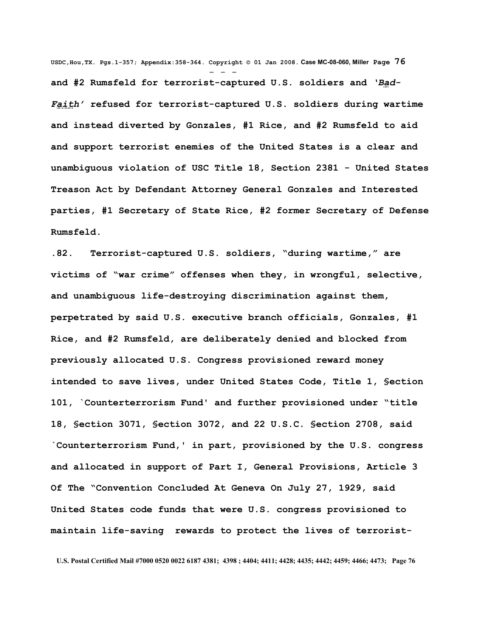**USDC,Hou,TX. Pgs.1-357; Appendix:358-364. Copyright © 01 Jan 2008. Case MC-08-060, Miller Page 76** - - **and #2 Rumsfeld for terrorist-captured U.S. soldiers and** *'Bad-Faith'* **refused for terrorist-captured U.S. soldiers during wartime and instead diverted by Gonzales, #1 Rice, and #2 Rumsfeld to aid and support terrorist enemies of the United States is a clear and unambiguous violation of USC Title 18, Section 2381 - United States Treason Act by Defendant Attorney General Gonzales and Interested parties, #1 Secretary of State Rice, #2 former Secretary of Defense Rumsfeld.**

**.82. Terrorist-captured U.S. soldiers, "during wartime," are victims of "war crime" offenses when they, in wrongful, selective, and unambiguous life-destroying discrimination against them, perpetrated by said U.S. executive branch officials, Gonzales, #1 Rice, and #2 Rumsfeld, are deliberately denied and blocked from previously allocated U.S. Congress provisioned reward money intended to save lives, under United States Code, Title 1, §ection 101, `Counterterrorism Fund' and further provisioned under "title 18, §ection 3071, §ection 3072, and 22 U.S.C. §ection 2708, said `Counterterrorism Fund,' in part, provisioned by the U.S. congress and allocated in support of Part I, General Provisions, Article 3 Of The "Convention Concluded At Geneva On July 27, 1929, said United States code funds that were U.S. congress provisioned to maintain life-saving rewards to protect the lives of terrorist-**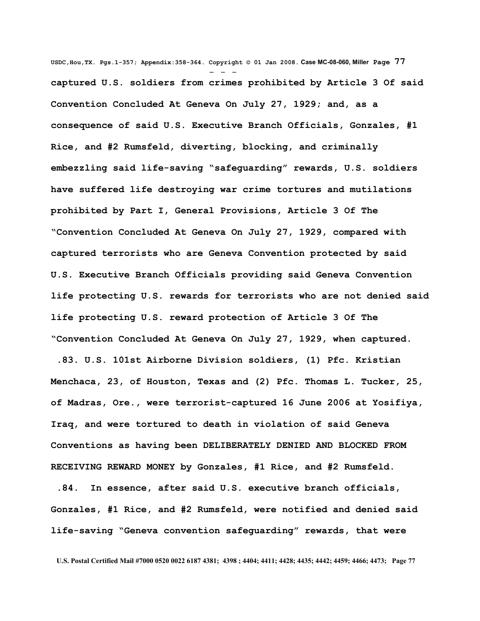**USDC,Hou,TX. Pgs.1-357; Appendix:358-364. Copyright © 01 Jan 2008. Case MC-08-060, Miller Page 77** - - **captured U.S. soldiers from crimes prohibited by Article 3 Of said Convention Concluded At Geneva On July 27, 1929; and, as a consequence of said U.S. Executive Branch Officials, Gonzales, #1 Rice, and #2 Rumsfeld, diverting, blocking, and criminally embezzling said life-saving "safeguarding" rewards, U.S. soldiers have suffered life destroying war crime tortures and mutilations prohibited by Part I, General Provisions, Article 3 Of The "Convention Concluded At Geneva On July 27, 1929, compared with captured terrorists who are Geneva Convention protected by said U.S. Executive Branch Officials providing said Geneva Convention life protecting U.S. rewards for terrorists who are not denied said life protecting U.S. reward protection of Article 3 Of The "Convention Concluded At Geneva On July 27, 1929, when captured.**

 **.83. U.S. 101st Airborne Division soldiers, (1) Pfc. Kristian Menchaca, 23, of Houston, Texas and (2) Pfc. Thomas L. Tucker, 25, of Madras, Ore., were terrorist-captured 16 June 2006 at Yosifiya, Iraq, and were tortured to death in violation of said Geneva Conventions as having been DELIBERATELY DENIED AND BLOCKED FROM RECEIVING REWARD MONEY by Gonzales, #1 Rice, and #2 Rumsfeld.** 

 **.84. In essence, after said U.S. executive branch officials, Gonzales, #1 Rice, and #2 Rumsfeld, were notified and denied said life-saving "Geneva convention safeguarding" rewards, that were**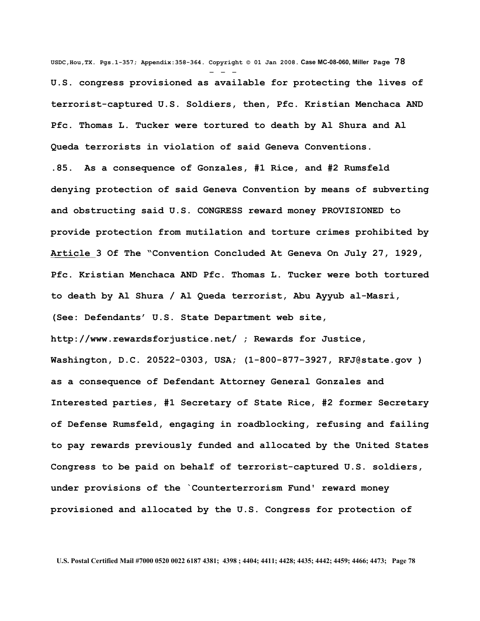**USDC,Hou,TX. Pgs.1-357; Appendix:358-364. Copyright © 01 Jan 2008. Case MC-08-060, Miller Page 78** - - - **U.S. congress provisioned as available for protecting the lives of terrorist-captured U.S. Soldiers, then, Pfc. Kristian Menchaca AND Pfc. Thomas L. Tucker were tortured to death by Al Shura and Al Queda terrorists in violation of said Geneva Conventions. .85. As a consequence of Gonzales, #1 Rice, and #2 Rumsfeld denying protection of said Geneva Convention by means of subverting and obstructing said U.S. CONGRESS reward money PROVISIONED to provide protection from mutilation and torture crimes prohibited by Article 3 Of The "Convention Concluded At Geneva On July 27, 1929, Pfc. Kristian Menchaca AND Pfc. Thomas L. Tucker were both tortured to death by Al Shura / Al Queda terrorist, Abu Ayyub al-Masri, (See: Defendants' U.S. State Department web site, http://www.rewardsforjustice.net/ ; Rewards for Justice, Washington, D.C. 20522-0303, USA; (1-800-877-3927, [RFJ@state.gov](mailto:RFJ@state.gov) ) as a consequence of Defendant Attorney General Gonzales and Interested parties, #1 Secretary of State Rice, #2 former Secretary of Defense Rumsfeld, engaging in roadblocking, refusing and failing to pay rewards previously funded and allocated by the United States Congress to be paid on behalf of terrorist-captured U.S. soldiers, under provisions of the `Counterterrorism Fund' reward money provisioned and allocated by the U.S. Congress for protection of**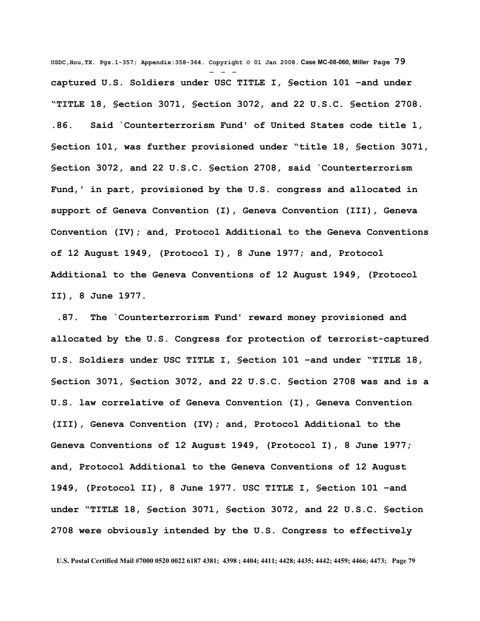**USDC,Hou,TX. Pgs.1-357; Appendix:358-364. Copyright © 01 Jan 2008. Case MC-08-060, Miller Page 79** - - **captured U.S. Soldiers under USC TITLE I, §ection 101 –and under "TITLE 18, §ection 3071, §ection 3072, and 22 U.S.C. §ection 2708. .86. Said `Counterterrorism Fund' of United States code title 1, §ection 101, was further provisioned under "title 18, §ection 3071, §ection 3072, and 22 U.S.C. §ection 2708, said `Counterterrorism Fund,' in part, provisioned by the U.S. congress and allocated in support of Geneva Convention (I), Geneva Convention (III), Geneva Convention (IV); and, Protocol Additional to the Geneva Conventions of 12 August 1949, (Protocol I), 8 June 1977; and, Protocol Additional to the Geneva Conventions of 12 August 1949, (Protocol II), 8 June 1977.**

 **.87. The `Counterterrorism Fund' reward money provisioned and allocated by the U.S. Congress for protection of terrorist-captured U.S. Soldiers under USC TITLE I, §ection 101 –and under "TITLE 18, §ection 3071, §ection 3072, and 22 U.S.C. §ection 2708 was and is a U.S. law correlative of Geneva Convention (I), Geneva Convention (III), Geneva Convention (IV); and, Protocol Additional to the Geneva Conventions of 12 August 1949, (Protocol I), 8 June 1977; and, Protocol Additional to the Geneva Conventions of 12 August 1949, (Protocol II), 8 June 1977. USC TITLE I, §ection 101 –and under "TITLE 18, §ection 3071, §ection 3072, and 22 U.S.C. §ection 2708 were obviously intended by the U.S. Congress to effectively**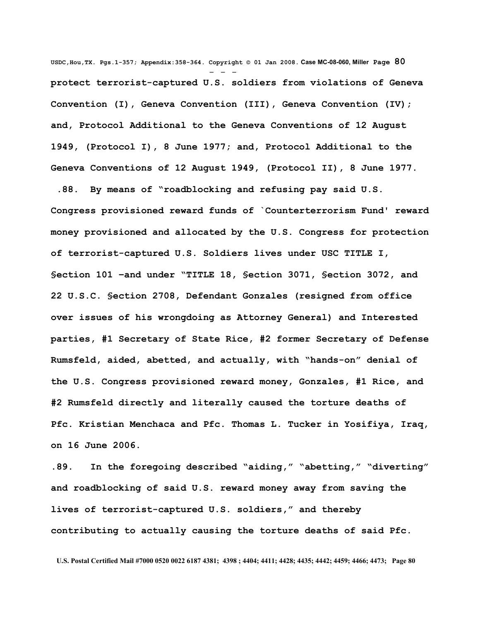**USDC,Hou,TX. Pgs.1-357; Appendix:358-364. Copyright © 01 Jan 2008. Case MC-08-060, Miller Page 80** - - **protect terrorist-captured U.S. soldiers from violations of Geneva Convention (I), Geneva Convention (III), Geneva Convention (IV); and, Protocol Additional to the Geneva Conventions of 12 August 1949, (Protocol I), 8 June 1977; and, Protocol Additional to the Geneva Conventions of 12 August 1949, (Protocol II), 8 June 1977.**

 **.88. By means of "roadblocking and refusing pay said U.S. Congress provisioned reward funds of `Counterterrorism Fund' reward money provisioned and allocated by the U.S. Congress for protection of terrorist-captured U.S. Soldiers lives under USC TITLE I, §ection 101 –and under "TITLE 18, §ection 3071, §ection 3072, and 22 U.S.C. §ection 2708, Defendant Gonzales (resigned from office over issues of his wrongdoing as Attorney General) and Interested parties, #1 Secretary of State Rice, #2 former Secretary of Defense Rumsfeld, aided, abetted, and actually, with "hands-on" denial of the U.S. Congress provisioned reward money, Gonzales, #1 Rice, and #2 Rumsfeld directly and literally caused the torture deaths of Pfc. Kristian Menchaca and Pfc. Thomas L. Tucker in Yosifiya, Iraq, on 16 June 2006.**

**.89. In the foregoing described "aiding," "abetting," "diverting" and roadblocking of said U.S. reward money away from saving the lives of terrorist-captured U.S. soldiers," and thereby contributing to actually causing the torture deaths of said Pfc.**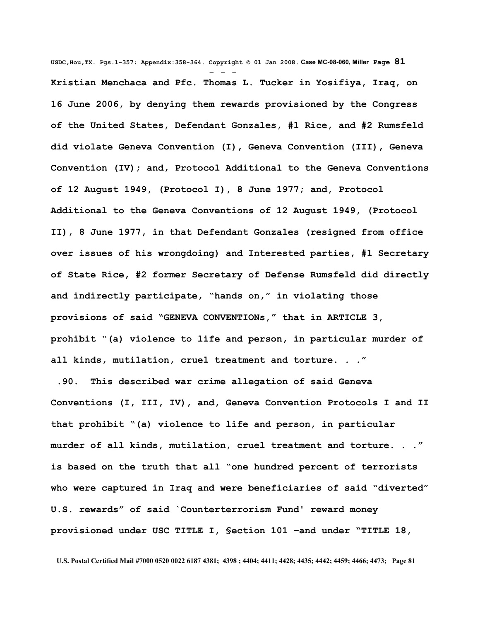**USDC,Hou,TX. Pgs.1-357; Appendix:358-364. Copyright © 01 Jan 2008. Case MC-08-060, Miller Page 81** - - - **Kristian Menchaca and Pfc. Thomas L. Tucker in Yosifiya, Iraq, on 16 June 2006, by denying them rewards provisioned by the Congress of the United States, Defendant Gonzales, #1 Rice, and #2 Rumsfeld did violate Geneva Convention (I), Geneva Convention (III), Geneva Convention (IV); and, Protocol Additional to the Geneva Conventions of 12 August 1949, (Protocol I), 8 June 1977; and, Protocol Additional to the Geneva Conventions of 12 August 1949, (Protocol II), 8 June 1977, in that Defendant Gonzales (resigned from office over issues of his wrongdoing) and Interested parties, #1 Secretary of State Rice, #2 former Secretary of Defense Rumsfeld did directly and indirectly participate, "hands on," in violating those provisions of said "GENEVA CONVENTIONs," that in ARTICLE 3, prohibit "(a) violence to life and person, in particular murder of all kinds, mutilation, cruel treatment and torture. . ."**

 **.90. This described war crime allegation of said Geneva Conventions (I, III, IV), and, Geneva Convention Protocols I and II that prohibit "(a) violence to life and person, in particular murder of all kinds, mutilation, cruel treatment and torture. . ." is based on the truth that all "one hundred percent of terrorists who were captured in Iraq and were beneficiaries of said "diverted" U.S. rewards" of said `Counterterrorism Fund' reward money provisioned under USC TITLE I, §ection 101 –and under "TITLE 18,**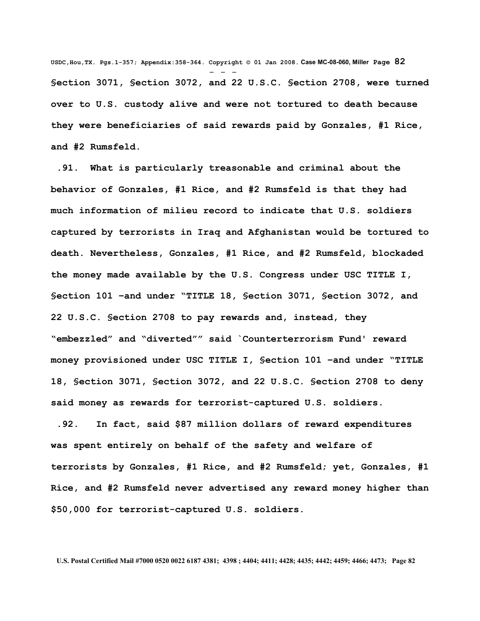**USDC,Hou,TX. Pgs.1-357; Appendix:358-364. Copyright © 01 Jan 2008. Case MC-08-060, Miller Page 82** - - - **§ection 3071, §ection 3072, and 22 U.S.C. §ection 2708, were turned over to U.S. custody alive and were not tortured to death because they were beneficiaries of said rewards paid by Gonzales, #1 Rice, and #2 Rumsfeld.** 

 **.91. What is particularly treasonable and criminal about the behavior of Gonzales, #1 Rice, and #2 Rumsfeld is that they had much information of milieu record to indicate that U.S. soldiers captured by terrorists in Iraq and Afghanistan would be tortured to death. Nevertheless, Gonzales, #1 Rice, and #2 Rumsfeld, blockaded the money made available by the U.S. Congress under USC TITLE I, §ection 101 –and under "TITLE 18, §ection 3071, §ection 3072, and 22 U.S.C. §ection 2708 to pay rewards and, instead, they "embezzled" and "diverted"" said `Counterterrorism Fund' reward money provisioned under USC TITLE I, §ection 101 –and under "TITLE 18, §ection 3071, §ection 3072, and 22 U.S.C. §ection 2708 to deny said money as rewards for terrorist-captured U.S. soldiers.**

 **.92. In fact, said \$87 million dollars of reward expenditures was spent entirely on behalf of the safety and welfare of terrorists by Gonzales, #1 Rice, and #2 Rumsfeld; yet, Gonzales, #1 Rice, and #2 Rumsfeld never advertised any reward money higher than \$50,000 for terrorist-captured U.S. soldiers.**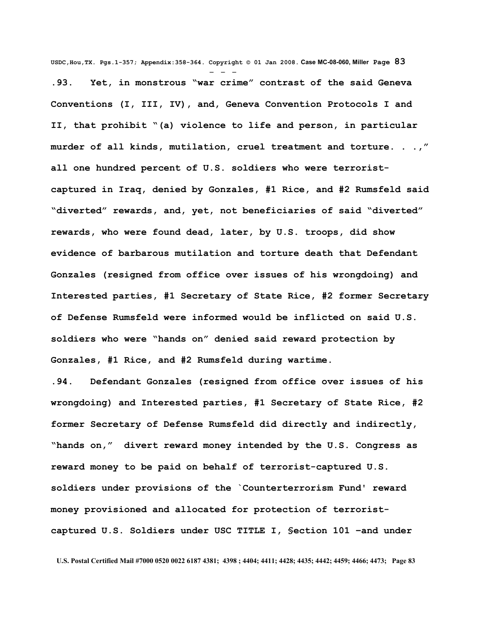**USDC,Hou,TX. Pgs.1-357; Appendix:358-364. Copyright © 01 Jan 2008. Case MC-08-060, Miller Page 83** - - - **.93. Yet, in monstrous "war crime" contrast of the said Geneva Conventions (I, III, IV), and, Geneva Convention Protocols I and II, that prohibit "(a) violence to life and person, in particular murder of all kinds, mutilation, cruel treatment and torture. . .," all one hundred percent of U.S. soldiers who were terroristcaptured in Iraq, denied by Gonzales, #1 Rice, and #2 Rumsfeld said "diverted" rewards, and, yet, not beneficiaries of said "diverted" rewards, who were found dead, later, by U.S. troops, did show evidence of barbarous mutilation and torture death that Defendant Gonzales (resigned from office over issues of his wrongdoing) and Interested parties, #1 Secretary of State Rice, #2 former Secretary of Defense Rumsfeld were informed would be inflicted on said U.S. soldiers who were "hands on" denied said reward protection by Gonzales, #1 Rice, and #2 Rumsfeld during wartime.**

**.94. Defendant Gonzales (resigned from office over issues of his wrongdoing) and Interested parties, #1 Secretary of State Rice, #2 former Secretary of Defense Rumsfeld did directly and indirectly, "hands on," divert reward money intended by the U.S. Congress as reward money to be paid on behalf of terrorist-captured U.S. soldiers under provisions of the `Counterterrorism Fund' reward money provisioned and allocated for protection of terroristcaptured U.S. Soldiers under USC TITLE I, §ection 101 –and under**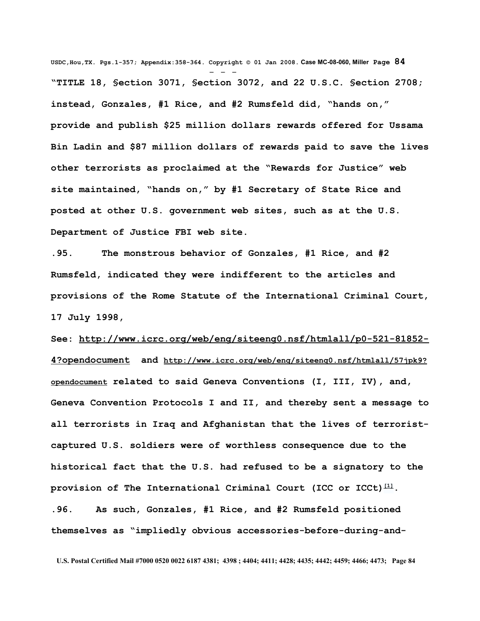**USDC,Hou,TX. Pgs.1-357; Appendix:358-364. Copyright © 01 Jan 2008. Case MC-08-060, Miller Page 84** - - - **"TITLE 18, §ection 3071, §ection 3072, and 22 U.S.C. §ection 2708; instead, Gonzales, #1 Rice, and #2 Rumsfeld did, "hands on," provide and publish \$25 million dollars rewards offered for Ussama Bin Ladin and \$87 million dollars of rewards paid to save the lives other terrorists as proclaimed at the "Rewards for Justice" web site maintained, "hands on," by #1 Secretary of State Rice and posted at other U.S. government web sites, such as at the U.S. Department of Justice FBI web site.**

**.95. The monstrous behavior of Gonzales, #1 Rice, and #2 Rumsfeld, indicated they were indifferent to the articles and provisions of the Rome Statute of the International Criminal Court, 17 July 1998,**

**See: [http://www.icrc.org/web/eng/siteeng0.nsf/htmlall/p0-521-81852-](http://www.icrc.org/web/eng/siteeng0.nsf/htmlall/p0-521-81852-4?opendocument) [4?opendocument](http://www.icrc.org/web/eng/siteeng0.nsf/htmlall/p0-521-81852-4?opendocument) and [http://www.icrc.org/web/eng/siteeng0.nsf/htmlall/57jpk9?](http://www.icrc.org/web/eng/siteeng0.nsf/htmlall/57jpk9?opendocument) [opendocument](http://www.icrc.org/web/eng/siteeng0.nsf/htmlall/57jpk9?opendocument) related to said Geneva Conventions (I, III, IV), and, Geneva Convention Protocols I and II, and thereby sent a message to all terrorists in Iraq and Afghanistan that the lives of terroristcaptured U.S. soldiers were of worthless consequence due to the historical fact that the U.S. had refused to be a signatory to the provision of The International Criminal Court (ICC or ICCt) [\[1\]](http://en.wikipedia.org/wiki/International_Criminal_Court#_note-0%23_note-0). .96. As such, Gonzales, #1 Rice, and #2 Rumsfeld positioned themselves as "impliedly obvious accessories-before-during-and-**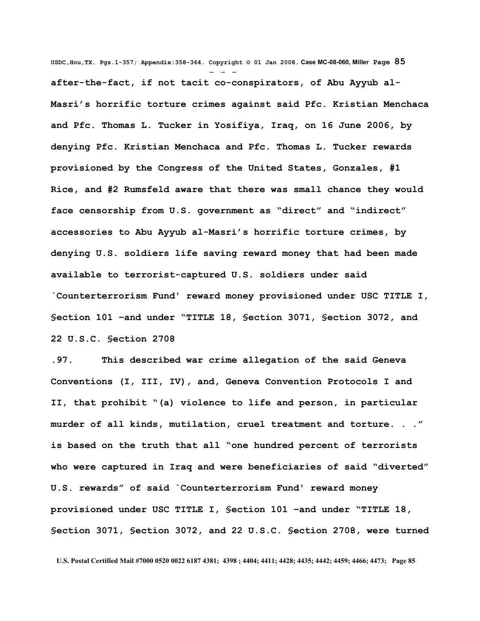**USDC,Hou,TX. Pgs.1-357; Appendix:358-364. Copyright © 01 Jan 2008. Case MC-08-060, Miller Page 85** - - **after-the-fact, if not tacit co-conspirators, of Abu Ayyub al-Masri's horrific torture crimes against said Pfc. Kristian Menchaca and Pfc. Thomas L. Tucker in Yosifiya, Iraq, on 16 June 2006, by denying Pfc. Kristian Menchaca and Pfc. Thomas L. Tucker rewards provisioned by the Congress of the United States, Gonzales, #1 Rice, and #2 Rumsfeld aware that there was small chance they would face censorship from U.S. government as "direct" and "indirect" accessories to Abu Ayyub al-Masri's horrific torture crimes, by denying U.S. soldiers life saving reward money that had been made available to terrorist-captured U.S. soldiers under said `Counterterrorism Fund' reward money provisioned under USC TITLE I, §ection 101 –and under "TITLE 18, §ection 3071, §ection 3072, and 22 U.S.C. §ection 2708** 

**.97. This described war crime allegation of the said Geneva Conventions (I, III, IV), and, Geneva Convention Protocols I and II, that prohibit "(a) violence to life and person, in particular murder of all kinds, mutilation, cruel treatment and torture. . ." is based on the truth that all "one hundred percent of terrorists who were captured in Iraq and were beneficiaries of said "diverted" U.S. rewards" of said `Counterterrorism Fund' reward money provisioned under USC TITLE I, §ection 101 –and under "TITLE 18, §ection 3071, §ection 3072, and 22 U.S.C. §ection 2708, were turned**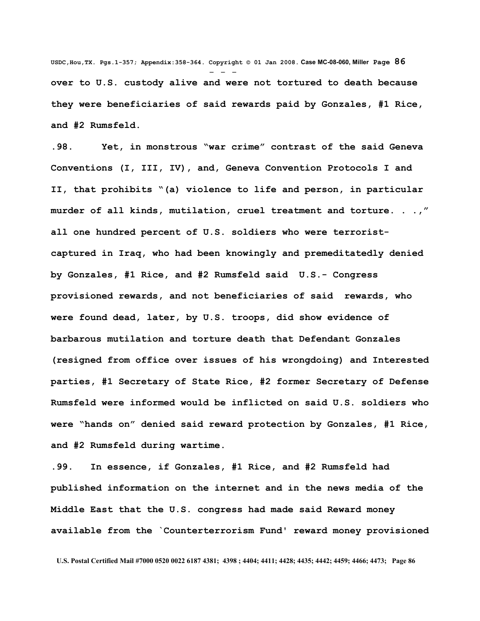**USDC,Hou,TX. Pgs.1-357; Appendix:358-364. Copyright © 01 Jan 2008. Case MC-08-060, Miller Page 86** - - **over to U.S. custody alive and were not tortured to death because they were beneficiaries of said rewards paid by Gonzales, #1 Rice, and #2 Rumsfeld.** 

**.98. Yet, in monstrous "war crime" contrast of the said Geneva Conventions (I, III, IV), and, Geneva Convention Protocols I and II, that prohibits "(a) violence to life and person, in particular murder of all kinds, mutilation, cruel treatment and torture. . .," all one hundred percent of U.S. soldiers who were terroristcaptured in Iraq, who had been knowingly and premeditatedly denied by Gonzales, #1 Rice, and #2 Rumsfeld said U.S.- Congress provisioned rewards, and not beneficiaries of said rewards, who were found dead, later, by U.S. troops, did show evidence of barbarous mutilation and torture death that Defendant Gonzales (resigned from office over issues of his wrongdoing) and Interested parties, #1 Secretary of State Rice, #2 former Secretary of Defense Rumsfeld were informed would be inflicted on said U.S. soldiers who were "hands on" denied said reward protection by Gonzales, #1 Rice, and #2 Rumsfeld during wartime.**

**.99. In essence, if Gonzales, #1 Rice, and #2 Rumsfeld had published information on the internet and in the news media of the Middle East that the U.S. congress had made said Reward money available from the `Counterterrorism Fund' reward money provisioned**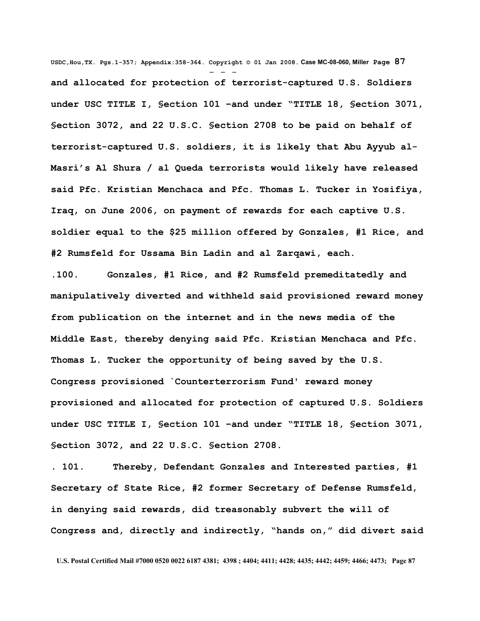**USDC,Hou,TX. Pgs.1-357; Appendix:358-364. Copyright © 01 Jan 2008. Case MC-08-060, Miller Page 87** - - **and allocated for protection of terrorist-captured U.S. Soldiers under USC TITLE I, §ection 101 –and under "TITLE 18, §ection 3071, §ection 3072, and 22 U.S.C. §ection 2708 to be paid on behalf of terrorist-captured U.S. soldiers, it is likely that Abu Ayyub al-Masri's Al Shura / al Queda terrorists would likely have released said Pfc. Kristian Menchaca and Pfc. Thomas L. Tucker in Yosifiya, Iraq, on June 2006, on payment of rewards for each captive U.S. soldier equal to the \$25 million offered by Gonzales, #1 Rice, and #2 Rumsfeld for Ussama Bin Ladin and al Zarqawi, each.** 

**.100. Gonzales, #1 Rice, and #2 Rumsfeld premeditatedly and manipulatively diverted and withheld said provisioned reward money from publication on the internet and in the news media of the Middle East, thereby denying said Pfc. Kristian Menchaca and Pfc. Thomas L. Tucker the opportunity of being saved by the U.S. Congress provisioned `Counterterrorism Fund' reward money provisioned and allocated for protection of captured U.S. Soldiers under USC TITLE I, §ection 101 –and under "TITLE 18, §ection 3071, §ection 3072, and 22 U.S.C. §ection 2708.**

**. 101. Thereby, Defendant Gonzales and Interested parties, #1 Secretary of State Rice, #2 former Secretary of Defense Rumsfeld, in denying said rewards, did treasonably subvert the will of Congress and, directly and indirectly, "hands on," did divert said**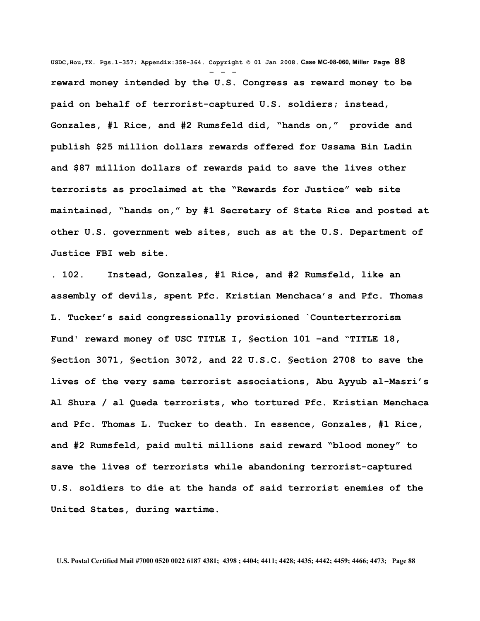**USDC,Hou,TX. Pgs.1-357; Appendix:358-364. Copyright © 01 Jan 2008. Case MC-08-060, Miller Page 88** - - **reward money intended by the U.S. Congress as reward money to be paid on behalf of terrorist-captured U.S. soldiers; instead, Gonzales, #1 Rice, and #2 Rumsfeld did, "hands on," provide and publish \$25 million dollars rewards offered for Ussama Bin Ladin and \$87 million dollars of rewards paid to save the lives other terrorists as proclaimed at the "Rewards for Justice" web site maintained, "hands on," by #1 Secretary of State Rice and posted at other U.S. government web sites, such as at the U.S. Department of Justice FBI web site.** 

**. 102. Instead, Gonzales, #1 Rice, and #2 Rumsfeld, like an assembly of devils, spent Pfc. Kristian Menchaca's and Pfc. Thomas L. Tucker's said congressionally provisioned `Counterterrorism Fund' reward money of USC TITLE I, §ection 101 –and "TITLE 18, §ection 3071, §ection 3072, and 22 U.S.C. §ection 2708 to save the lives of the very same terrorist associations, Abu Ayyub al-Masri's Al Shura / al Queda terrorists, who tortured Pfc. Kristian Menchaca and Pfc. Thomas L. Tucker to death. In essence, Gonzales, #1 Rice, and #2 Rumsfeld, paid multi millions said reward "blood money" to save the lives of terrorists while abandoning terrorist-captured U.S. soldiers to die at the hands of said terrorist enemies of the United States, during wartime.**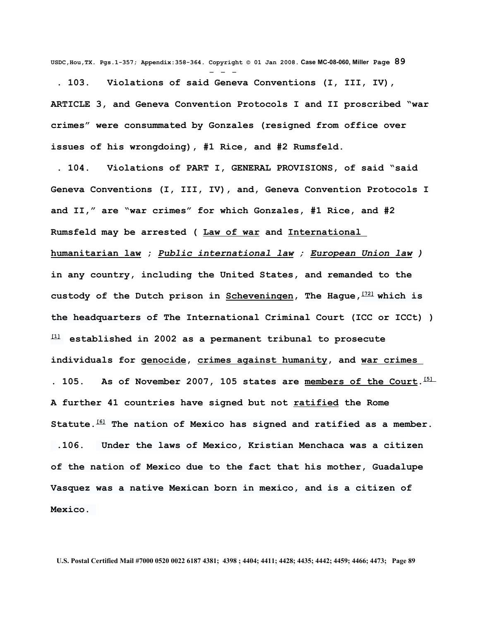**USDC,Hou,TX. Pgs.1-357; Appendix:358-364. Copyright © 01 Jan 2008. Case MC-08-060, Miller Page 89** - - -

 **. 103. Violations of said Geneva Conventions (I, III, IV), ARTICLE 3, and Geneva Convention Protocols I and II proscribed "war crimes" were consummated by Gonzales (resigned from office over issues of his wrongdoing), #1 Rice, and #2 Rumsfeld.**

 **. 104. Violations of PART I, GENERAL PROVISIONS, of said "said Geneva Conventions (I, III, IV), and, Geneva Convention Protocols I and II," are "war crimes" for which Gonzales, #1 Rice, and #2 Rumsfeld may be arrested ( [Law of war](http://en.wikipedia.org/wiki/Law_of_war) and [International](http://en.wikipedia.org/wiki/International_humanitarian_law) [humanitarian law](http://en.wikipedia.org/wiki/International_humanitarian_law) ;** *[Public international law](http://en.wikipedia.org/wiki/Public_international_law) ; [European Union law](http://en.wikipedia.org/wiki/European_Union_law) )* **in any country, including the United States, and remanded to the custody of the Dutch prison in [Scheveningen,](http://en.wikipedia.org/wiki/Scheveningen) The Hague,[\[72\]](http://en.wikipedia.org/wiki/International_Criminal_Court#_note-Scheveningen%23_note-Scheveningen) which is the headquarters of The International Criminal Court (ICC or ICCt) ) [\[1\]](http://en.wikipedia.org/wiki/International_Criminal_Court#_note-0%23_note-0) established in 2002 as a permanent tribunal to prosecute individuals for [genocide,](http://en.wikipedia.org/wiki/Genocide) [crimes against humanity,](http://en.wikipedia.org/wiki/Crimes_against_humanity) and [war crimes](http://en.wikipedia.org/wiki/War_crimes) . 105. As of November 2007, 105 states are [members of the Court.](http://en.wikipedia.org/wiki/States_Parties_to_the_Rome_Statute_of_the_International_Criminal_Court) [\[5\]](http://en.wikipedia.org/wiki/International_Criminal_Court#_note-parties%23_note-parties) A further 41 countries have signed but not [ratified](http://en.wikipedia.org/wiki/Ratification) the Rome Statute.[\[6\]](http://en.wikipedia.org/wiki/International_Criminal_Court#_note-untreaty%23_note-untreaty) The nation of Mexico has signed and ratified as a member. .106. Under the laws of Mexico, Kristian Menchaca was a citizen of the nation of Mexico due to the fact that his mother, Guadalupe Vasquez was a native Mexican born in mexico, and is a citizen of Mexico.**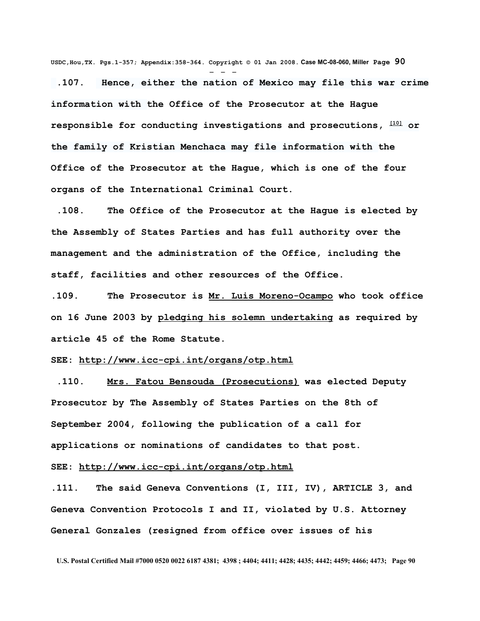**USDC,Hou,TX. Pgs.1-357; Appendix:358-364. Copyright © 01 Jan 2008. Case MC-08-060, Miller Page 90**

- - - **.107. Hence, either the nation of Mexico may file this war crime information with the Office of the Prosecutor at the Hague responsible for conducting investigations and prosecutions, [\[10\]](http://en.wikipedia.org/wiki/International_Criminal_Court#_note-prosecutor%23_note-prosecutor) or the family of Kristian Menchaca may file information with the Office of the Prosecutor at the Hague, which is one of the four organs of the International Criminal Court.**

**.108. The Office of the Prosecutor at the Hague is elected by the Assembly of States Parties and has full authority over the management and the administration of the Office, including the staff, facilities and other resources of the Office.**

**.109. The Prosecutor is [Mr. Luis Moreno-Ocampo](http://www.icc-cpi.int/otp/otp_bio.html) who took office on 16 June 2003 by [pledging his solemn undertaking](http://www.icc-cpi.int/otp/otp_ceremony.html) as required by article 45 of the Rome Statute.** 

## **SEE: <http://www.icc-cpi.int/organs/otp.html>**

 **.110. [Mrs. Fatou Bensouda \(Prosecutions\)](http://www.icc-cpi.int/otp/otp_bioProsec&l=en.html) was elected Deputy Prosecutor by The Assembly of States Parties on the 8th of September 2004, following the publication of a call for applications or nominations of candidates to that post.**

## **SEE: <http://www.icc-cpi.int/organs/otp.html>**

**.111. The said Geneva Conventions (I, III, IV), ARTICLE 3, and Geneva Convention Protocols I and II, violated by U.S. Attorney General Gonzales (resigned from office over issues of his**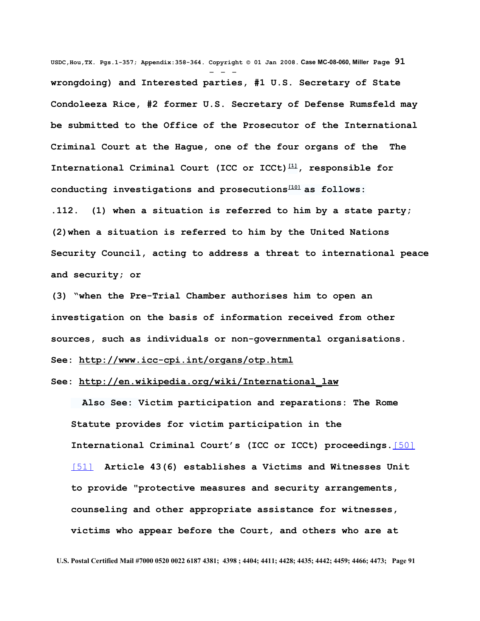**USDC,Hou,TX. Pgs.1-357; Appendix:358-364. Copyright © 01 Jan 2008. Case MC-08-060, Miller Page 91** - - **wrongdoing) and Interested parties, #1 U.S. Secretary of State Condoleeza Rice, #2 former U.S. Secretary of Defense Rumsfeld may be submitted to the Office of the Prosecutor of the International Criminal Court at the Hague, one of the four organs of the The International Criminal Court (ICC or ICCt) [\[1\]](http://en.wikipedia.org/wiki/International_Criminal_Court#_note-0%23_note-0), responsible for conducting investigations and prosecutions[\[10\]](http://en.wikipedia.org/wiki/International_Criminal_Court#_note-prosecutor%23_note-prosecutor) as follows: .112. (1) when a situation is referred to him by a state party; (2)when a situation is referred to him by the United Nations Security Council, acting to address a threat to international peace and security; or** 

**(3) "when the Pre-Trial Chamber authorises him to open an investigation on the basis of information received from other sources, such as individuals or non-governmental organisations. See:<http://www.icc-cpi.int/organs/otp.html>**

## **See: [http://en.wikipedia.org/wiki/International\\_law](http://en.wikipedia.org/wiki/International_law)**

 **Also See: Victim participation and reparations: The Rome Statute provides for victim participation in the International Criminal Court's (ICC or ICCt) proceedings.**[\[50\]](http://en.wikipedia.org/wiki/International_Criminal_Court#_note-23) [\[51\]](http://en.wikipedia.org/wiki/International_Criminal_Court#_note-24) **Article 43(6) establishes a Victims and Witnesses Unit to provide "protective measures and security arrangements, counseling and other appropriate assistance for witnesses, victims who appear before the Court, and others who are at**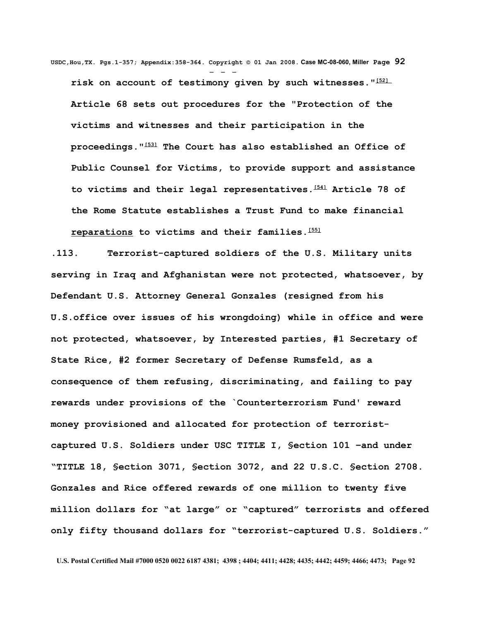**USDC,Hou,TX. Pgs.1-357; Appendix:358-364. Copyright © 01 Jan 2008. Case MC-08-060, Miller Page 92** - - **risk on account of testimony given by such witnesses."[\[52\]](http://en.wikipedia.org/wiki/International_Criminal_Court#_note-25) Article 68 sets out procedures for the "Protection of the victims and witnesses and their participation in the proceedings."[\[53\]](http://en.wikipedia.org/wiki/International_Criminal_Court#_note-26) The Court has also established an Office of Public Counsel for Victims, to provide support and assistance to victims and their legal representatives.[\[54\]](http://en.wikipedia.org/wiki/International_Criminal_Court#_note-2006report) Article 78 of the Rome Statute establishes a Trust Fund to make financial [reparations](http://en.wikipedia.org/wiki/Reparation_(legal)) to victims and their families.[\[55\]](http://en.wikipedia.org/wiki/International_Criminal_Court#_note-27)**

**.113. Terrorist-captured soldiers of the U.S. Military units serving in Iraq and Afghanistan were not protected, whatsoever, by Defendant U.S. Attorney General Gonzales (resigned from his U.S.office over issues of his wrongdoing) while in office and were not protected, whatsoever, by Interested parties, #1 Secretary of State Rice, #2 former Secretary of Defense Rumsfeld, as a consequence of them refusing, discriminating, and failing to pay rewards under provisions of the `Counterterrorism Fund' reward money provisioned and allocated for protection of terroristcaptured U.S. Soldiers under USC TITLE I, §ection 101 –and under "TITLE 18, §ection 3071, §ection 3072, and 22 U.S.C. §ection 2708. Gonzales and Rice offered rewards of one million to twenty five million dollars for "at large" or "captured" terrorists and offered only fifty thousand dollars for "terrorist-captured U.S. Soldiers."**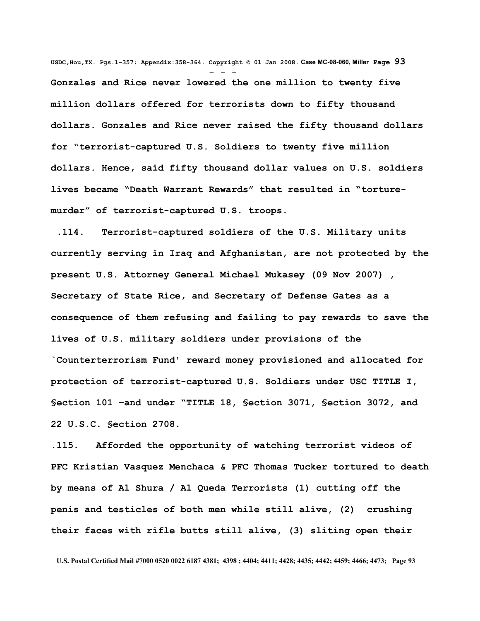**USDC,Hou,TX. Pgs.1-357; Appendix:358-364. Copyright © 01 Jan 2008. Case MC-08-060, Miller Page 93** - - - **Gonzales and Rice never lowered the one million to twenty five million dollars offered for terrorists down to fifty thousand dollars. Gonzales and Rice never raised the fifty thousand dollars for "terrorist-captured U.S. Soldiers to twenty five million dollars. Hence, said fifty thousand dollar values on U.S. soldiers lives became "Death Warrant Rewards" that resulted in "torturemurder" of terrorist-captured U.S. troops.** 

 **.114. Terrorist-captured soldiers of the U.S. Military units currently serving in Iraq and Afghanistan, are not protected by the present U.S. Attorney General Michael Mukasey (09 Nov 2007) , Secretary of State Rice, and Secretary of Defense Gates as a consequence of them refusing and failing to pay rewards to save the lives of U.S. military soldiers under provisions of the `Counterterrorism Fund' reward money provisioned and allocated for protection of terrorist-captured U.S. Soldiers under USC TITLE I, §ection 101 –and under "TITLE 18, §ection 3071, §ection 3072, and 22 U.S.C. §ection 2708.**

**.115. Afforded the opportunity of watching terrorist videos of PFC Kristian Vasquez Menchaca & PFC Thomas Tucker tortured to death by means of Al Shura / Al Queda Terrorists (1) cutting off the penis and testicles of both men while still alive, (2) crushing their faces with rifle butts still alive, (3) sliting open their**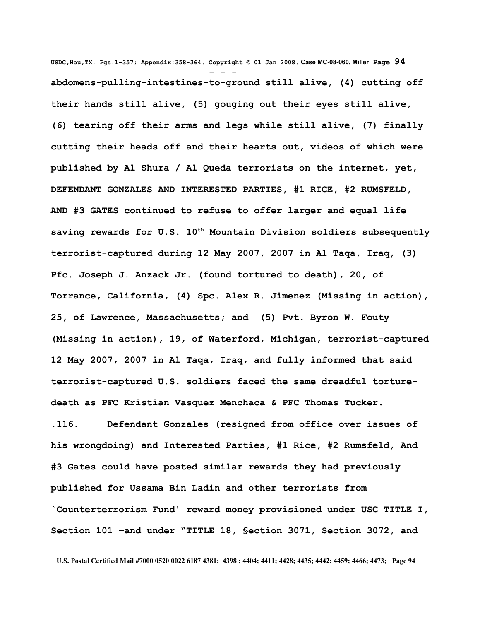**USDC,Hou,TX. Pgs.1-357; Appendix:358-364. Copyright © 01 Jan 2008. Case MC-08-060, Miller Page 94** - - **abdomens-pulling-intestines-to-ground still alive, (4) cutting off their hands still alive, (5) gouging out their eyes still alive, (6) tearing off their arms and legs while still alive, (7) finally cutting their heads off and their hearts out, videos of which were published by Al Shura / Al Queda terrorists on the internet, yet, DEFENDANT GONZALES AND INTERESTED PARTIES, #1 RICE, #2 RUMSFELD, AND #3 GATES continued to refuse to offer larger and equal life saving rewards for U.S. 10th Mountain Division soldiers subsequently terrorist-captured during 12 May 2007, 2007 in Al Taqa, Iraq, (3) Pfc. Joseph J. Anzack Jr. (found tortured to death), 20, of Torrance, California, (4) Spc. Alex R. Jimenez (Missing in action), 25, of Lawrence, Massachusetts; and (5) Pvt. Byron W. Fouty (Missing in action), 19, of Waterford, Michigan, terrorist-captured 12 May 2007, 2007 in Al Taqa, Iraq, and fully informed that said terrorist-captured U.S. soldiers faced the same dreadful torturedeath as PFC Kristian Vasquez Menchaca & PFC Thomas Tucker. .116. Defendant Gonzales (resigned from office over issues of his wrongdoing) and Interested Parties, #1 Rice, #2 Rumsfeld, And #3 Gates could have posted similar rewards they had previously published for Ussama Bin Ladin and other terrorists from `Counterterrorism Fund' reward money provisioned under USC TITLE I, Section 101 –and under "TITLE 18, §ection 3071, Section 3072, and**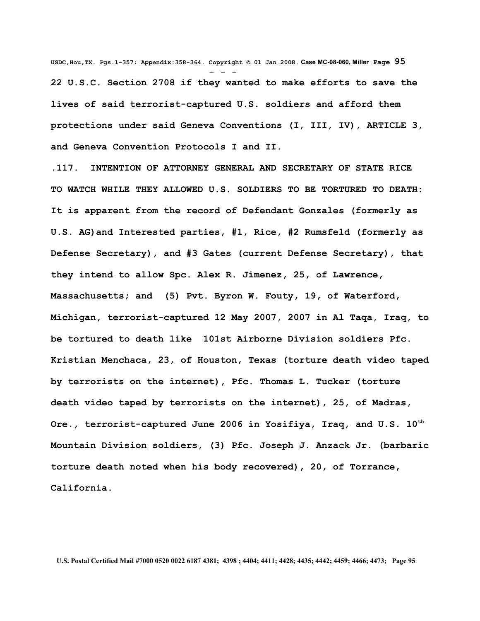**USDC,Hou,TX. Pgs.1-357; Appendix:358-364. Copyright © 01 Jan 2008. Case MC-08-060, Miller Page 95** - - - **22 U.S.C. Section 2708 if they wanted to make efforts to save the lives of said terrorist-captured U.S. soldiers and afford them protections under said Geneva Conventions (I, III, IV), ARTICLE 3, and Geneva Convention Protocols I and II.**

**.117. INTENTION OF ATTORNEY GENERAL AND SECRETARY OF STATE RICE TO WATCH WHILE THEY ALLOWED U.S. SOLDIERS TO BE TORTURED TO DEATH: It is apparent from the record of Defendant Gonzales (formerly as U.S. AG)and Interested parties, #1, Rice, #2 Rumsfeld (formerly as Defense Secretary), and #3 Gates (current Defense Secretary), that they intend to allow Spc. Alex R. Jimenez, 25, of Lawrence, Massachusetts; and (5) Pvt. Byron W. Fouty, 19, of Waterford, Michigan, terrorist-captured 12 May 2007, 2007 in Al Taqa, Iraq, to be tortured to death like 101st Airborne Division soldiers Pfc. Kristian Menchaca, 23, of Houston, Texas (torture death video taped by terrorists on the internet), Pfc. Thomas L. Tucker (torture death video taped by terrorists on the internet), 25, of Madras, Ore., terrorist-captured June 2006 in Yosifiya, Iraq, and U.S. 10th Mountain Division soldiers, (3) Pfc. Joseph J. Anzack Jr. (barbaric torture death noted when his body recovered), 20, of Torrance, California.**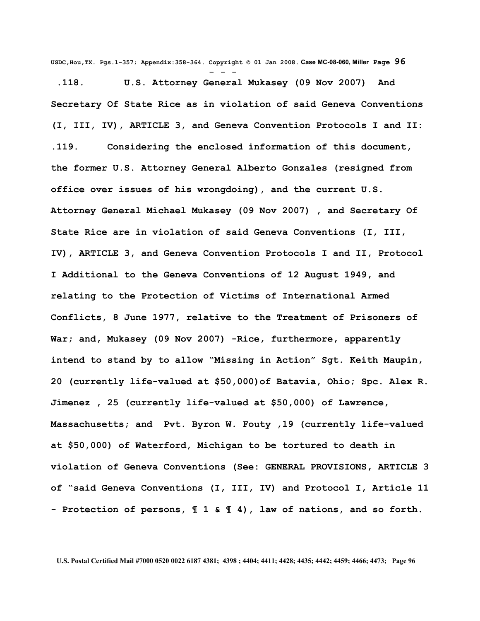**USDC,Hou,TX. Pgs.1-357; Appendix:358-364. Copyright © 01 Jan 2008. Case MC-08-060, Miller Page 96**

- - -  **.118. U.S. Attorney General Mukasey (09 Nov 2007) And Secretary Of State Rice as in violation of said Geneva Conventions (I, III, IV), ARTICLE 3, and Geneva Convention Protocols I and II: .119. Considering the enclosed information of this document, the former U.S. Attorney General Alberto Gonzales (resigned from office over issues of his wrongdoing), and the current U.S. Attorney General Michael Mukasey (09 Nov 2007) , and Secretary Of State Rice are in violation of said Geneva Conventions (I, III, IV), ARTICLE 3, and Geneva Convention Protocols I and II, Protocol I Additional to the Geneva Conventions of 12 August 1949, and relating to the Protection of Victims of International Armed Conflicts, 8 June 1977, relative to the Treatment of Prisoners of War; and, Mukasey (09 Nov 2007) -Rice, furthermore, apparently intend to stand by to allow "Missing in Action" Sgt. Keith Maupin, 20 (currently life-valued at \$50,000)of Batavia, Ohio; Spc. Alex R. Jimenez , 25 (currently life-valued at \$50,000) of Lawrence, Massachusetts; and Pvt. Byron W. Fouty ,19 (currently life-valued at \$50,000) of Waterford, Michigan to be tortured to death in violation of Geneva Conventions (See: GENERAL PROVISIONS, ARTICLE 3 of "said Geneva Conventions (I, III, IV) and Protocol I, Article 11 - Protection of persons, ¶ 1 & ¶ 4), law of nations, and so forth.**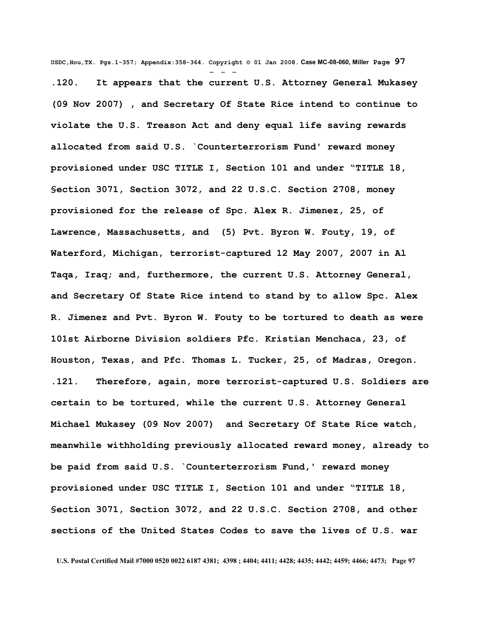**USDC,Hou,TX. Pgs.1-357; Appendix:358-364. Copyright © 01 Jan 2008. Case MC-08-060, Miller Page 97** - - - **.120. It appears that the current U.S. Attorney General Mukasey (09 Nov 2007) , and Secretary Of State Rice intend to continue to violate the U.S. Treason Act and deny equal life saving rewards allocated from said U.S. `Counterterrorism Fund' reward money provisioned under USC TITLE I, Section 101 and under "TITLE 18, §ection 3071, Section 3072, and 22 U.S.C. Section 2708, money provisioned for the release of Spc. Alex R. Jimenez, 25, of Lawrence, Massachusetts, and (5) Pvt. Byron W. Fouty, 19, of Waterford, Michigan, terrorist-captured 12 May 2007, 2007 in Al Taqa, Iraq; and, furthermore, the current U.S. Attorney General, and Secretary Of State Rice intend to stand by to allow Spc. Alex R. Jimenez and Pvt. Byron W. Fouty to be tortured to death as were 101st Airborne Division soldiers Pfc. Kristian Menchaca, 23, of Houston, Texas, and Pfc. Thomas L. Tucker, 25, of Madras, Oregon. .121. Therefore, again, more terrorist-captured U.S. Soldiers are certain to be tortured, while the current U.S. Attorney General Michael Mukasey (09 Nov 2007) and Secretary Of State Rice watch, meanwhile withholding previously allocated reward money, already to be paid from said U.S. `Counterterrorism Fund,' reward money provisioned under USC TITLE I, Section 101 and under "TITLE 18, §ection 3071, Section 3072, and 22 U.S.C. Section 2708, and other sections of the United States Codes to save the lives of U.S. war**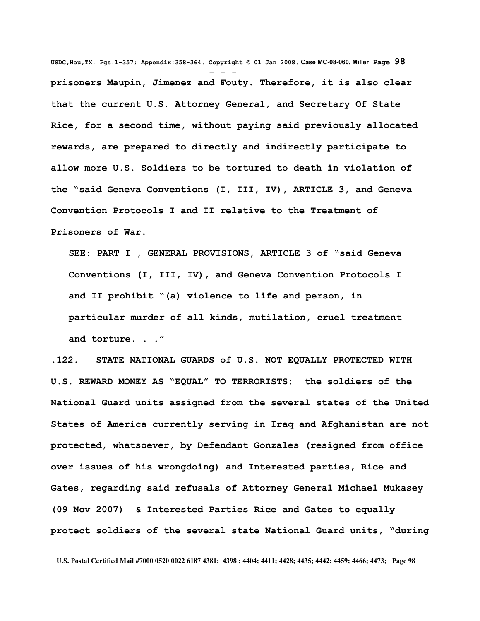**USDC,Hou,TX. Pgs.1-357; Appendix:358-364. Copyright © 01 Jan 2008. Case MC-08-060, Miller Page 98** - - **prisoners Maupin, Jimenez and Fouty. Therefore, it is also clear that the current U.S. Attorney General, and Secretary Of State Rice, for a second time, without paying said previously allocated rewards, are prepared to directly and indirectly participate to allow more U.S. Soldiers to be tortured to death in violation of the "said Geneva Conventions (I, III, IV), ARTICLE 3, and Geneva Convention Protocols I and II relative to the Treatment of Prisoners of War.**

**SEE: PART I , GENERAL PROVISIONS, ARTICLE 3 of "said Geneva Conventions (I, III, IV), and Geneva Convention Protocols I and II prohibit "(a) violence to life and person, in particular murder of all kinds, mutilation, cruel treatment and torture. . ."**

**.122. STATE NATIONAL GUARDS of U.S. NOT EQUALLY PROTECTED WITH U.S. REWARD MONEY AS "EQUAL" TO TERRORISTS: the soldiers of the National Guard units assigned from the several states of the United States of America currently serving in Iraq and Afghanistan are not protected, whatsoever, by Defendant Gonzales (resigned from office over issues of his wrongdoing) and Interested parties, Rice and Gates, regarding said refusals of Attorney General Michael Mukasey (09 Nov 2007) & Interested Parties Rice and Gates to equally protect soldiers of the several state National Guard units, "during**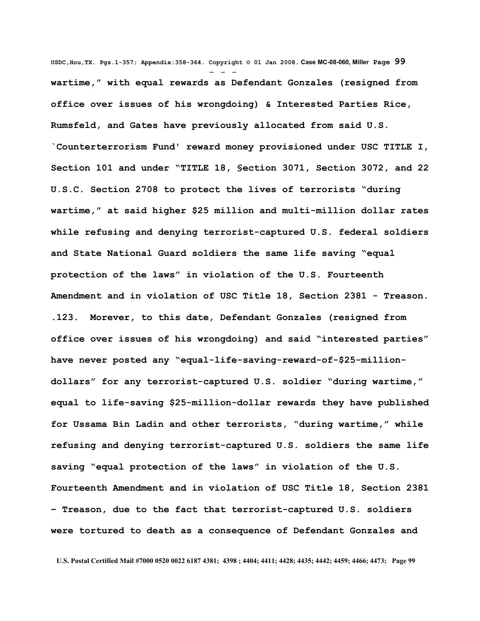**USDC,Hou,TX. Pgs.1-357; Appendix:358-364. Copyright © 01 Jan 2008. Case MC-08-060, Miller Page 99** - - **wartime," with equal rewards as Defendant Gonzales (resigned from office over issues of his wrongdoing) & Interested Parties Rice, Rumsfeld, and Gates have previously allocated from said U.S. `Counterterrorism Fund' reward money provisioned under USC TITLE I, Section 101 and under "TITLE 18, §ection 3071, Section 3072, and 22 U.S.C. Section 2708 to protect the lives of terrorists "during wartime," at said higher \$25 million and multi-million dollar rates while refusing and denying terrorist-captured U.S. federal soldiers and State National Guard soldiers the same life saving "equal protection of the laws" in violation of the U.S. Fourteenth Amendment and in violation of USC Title 18, Section 2381 - Treason. .123. Morever, to this date, Defendant Gonzales (resigned from office over issues of his wrongdoing) and said "interested parties" have never posted any "equal-life-saving-reward-of-\$25-milliondollars" for any terrorist-captured U.S. soldier "during wartime," equal to life-saving \$25-million-dollar rewards they have published for Ussama Bin Ladin and other terrorists, "during wartime," while refusing and denying terrorist-captured U.S. soldiers the same life saving "equal protection of the laws" in violation of the U.S. Fourteenth Amendment and in violation of USC Title 18, Section 2381 – Treason, due to the fact that terrorist-captured U.S. soldiers were tortured to death as a consequence of Defendant Gonzales and**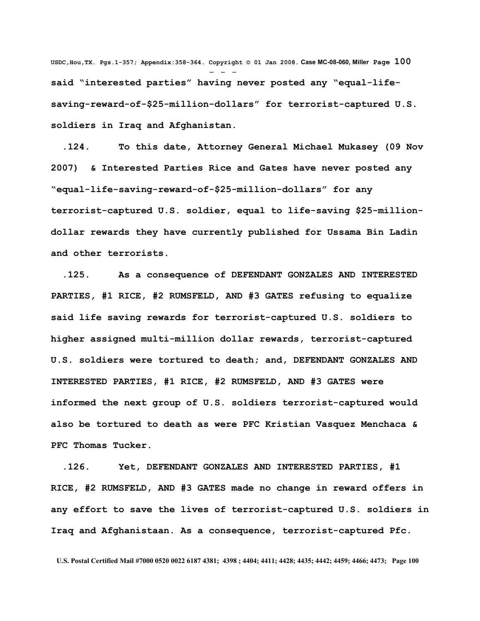**USDC,Hou,TX. Pgs.1-357; Appendix:358-364. Copyright © 01 Jan 2008. Case MC-08-060, Miller Page 100** - - **said "interested parties" having never posted any "equal-lifesaving-reward-of-\$25-million-dollars" for terrorist-captured U.S. soldiers in Iraq and Afghanistan.** 

 **.124. To this date, Attorney General Michael Mukasey (09 Nov 2007) & Interested Parties Rice and Gates have never posted any "equal-life-saving-reward-of-\$25-million-dollars" for any terrorist-captured U.S. soldier, equal to life-saving \$25-milliondollar rewards they have currently published for Ussama Bin Ladin and other terrorists.** 

 **.125. As a consequence of DEFENDANT GONZALES AND INTERESTED PARTIES, #1 RICE, #2 RUMSFELD, AND #3 GATES refusing to equalize said life saving rewards for terrorist-captured U.S. soldiers to higher assigned multi-million dollar rewards, terrorist-captured U.S. soldiers were tortured to death; and, DEFENDANT GONZALES AND INTERESTED PARTIES, #1 RICE, #2 RUMSFELD, AND #3 GATES were informed the next group of U.S. soldiers terrorist-captured would also be tortured to death as were PFC Kristian Vasquez Menchaca & PFC Thomas Tucker.**

 **.126. Yet, DEFENDANT GONZALES AND INTERESTED PARTIES, #1 RICE, #2 RUMSFELD, AND #3 GATES made no change in reward offers in any effort to save the lives of terrorist-captured U.S. soldiers in Iraq and Afghanistaan. As a consequence, terrorist-captured Pfc.**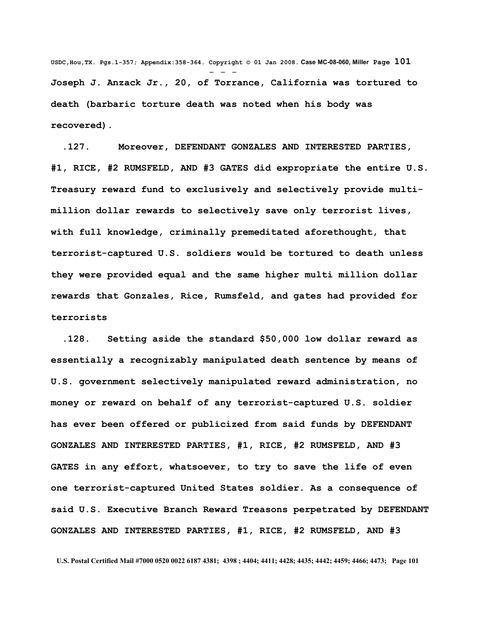**USDC,Hou,TX. Pgs.1-357; Appendix:358-364. Copyright © 01 Jan 2008. Case MC-08-060, Miller Page 101** - - - **Joseph J. Anzack Jr., 20, of Torrance, California was tortured to death (barbaric torture death was noted when his body was recovered).**

 **.127. Moreover, DEFENDANT GONZALES AND INTERESTED PARTIES, #1, RICE, #2 RUMSFELD, AND #3 GATES did expropriate the entire U.S. Treasury reward fund to exclusively and selectively provide multimillion dollar rewards to selectively save only terrorist lives, with full knowledge, criminally premeditated aforethought, that terrorist-captured U.S. soldiers would be tortured to death unless they were provided equal and the same higher multi million dollar rewards that Gonzales, Rice, Rumsfeld, and gates had provided for terrorists** 

 **.128. Setting aside the standard \$50,000 low dollar reward as essentially a recognizably manipulated death sentence by means of U.S. government selectively manipulated reward administration, no money or reward on behalf of any terrorist-captured U.S. soldier has ever been offered or publicized from said funds by DEFENDANT GONZALES AND INTERESTED PARTIES, #1, RICE, #2 RUMSFELD, AND #3 GATES in any effort, whatsoever, to try to save the life of even one terrorist-captured United States soldier. As a consequence of said U.S. Executive Branch Reward Treasons perpetrated by DEFENDANT GONZALES AND INTERESTED PARTIES, #1, RICE, #2 RUMSFELD, AND #3**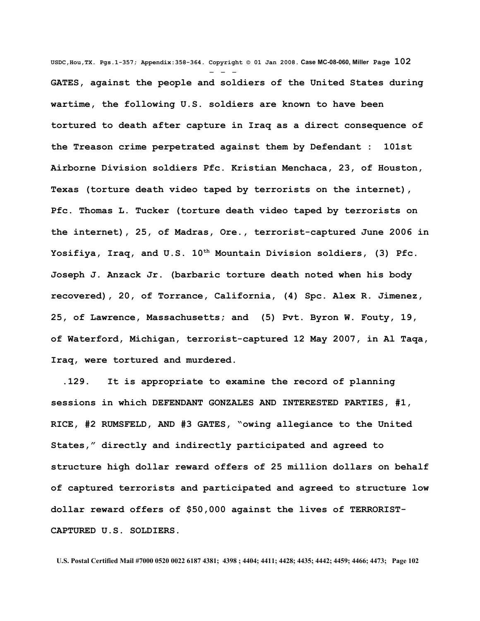**USDC,Hou,TX. Pgs.1-357; Appendix:358-364. Copyright © 01 Jan 2008. Case MC-08-060, Miller Page 102** - - - **GATES, against the people and soldiers of the United States during wartime, the following U.S. soldiers are known to have been tortured to death after capture in Iraq as a direct consequence of the Treason crime perpetrated against them by Defendant : 101st Airborne Division soldiers Pfc. Kristian Menchaca, 23, of Houston, Texas (torture death video taped by terrorists on the internet), Pfc. Thomas L. Tucker (torture death video taped by terrorists on the internet), 25, of Madras, Ore., terrorist-captured June 2006 in Yosifiya, Iraq, and U.S. 10th Mountain Division soldiers, (3) Pfc. Joseph J. Anzack Jr. (barbaric torture death noted when his body recovered), 20, of Torrance, California, (4) Spc. Alex R. Jimenez, 25, of Lawrence, Massachusetts; and (5) Pvt. Byron W. Fouty, 19, of Waterford, Michigan, terrorist-captured 12 May 2007, in Al Taqa, Iraq, were tortured and murdered.**

 **.129. It is appropriate to examine the record of planning sessions in which DEFENDANT GONZALES AND INTERESTED PARTIES, #1, RICE, #2 RUMSFELD, AND #3 GATES, "owing allegiance to the United States," directly and indirectly participated and agreed to structure high dollar reward offers of 25 million dollars on behalf of captured terrorists and participated and agreed to structure low dollar reward offers of \$50,000 against the lives of TERRORIST-CAPTURED U.S. SOLDIERS.**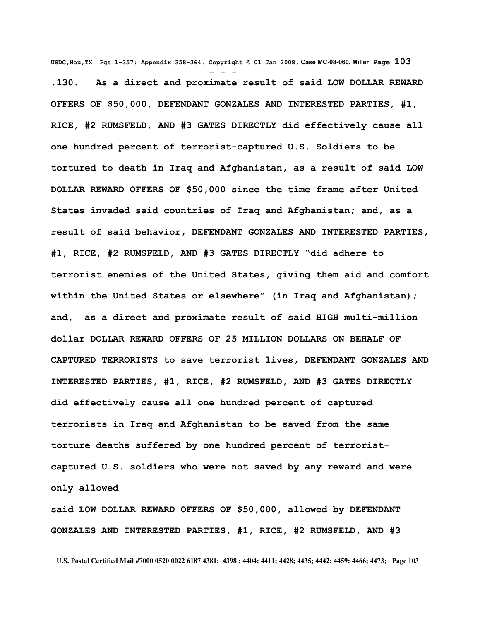**USDC,Hou,TX. Pgs.1-357; Appendix:358-364. Copyright © 01 Jan 2008. Case MC-08-060, Miller Page 103** - - - **.130. As a direct and proximate result of said LOW DOLLAR REWARD OFFERS OF \$50,000, DEFENDANT GONZALES AND INTERESTED PARTIES, #1, RICE, #2 RUMSFELD, AND #3 GATES DIRECTLY did effectively cause all one hundred percent of terrorist-captured U.S. Soldiers to be tortured to death in Iraq and Afghanistan, as a result of said LOW DOLLAR REWARD OFFERS OF \$50,000 since the time frame after United States invaded said countries of Iraq and Afghanistan; and, as a result of said behavior, DEFENDANT GONZALES AND INTERESTED PARTIES, #1, RICE, #2 RUMSFELD, AND #3 GATES DIRECTLY "did adhere to terrorist enemies of the United States, giving them aid and comfort within the United States or elsewhere" (in Iraq and Afghanistan); and, as a direct and proximate result of said HIGH multi-million dollar DOLLAR REWARD OFFERS OF 25 MILLION DOLLARS ON BEHALF OF CAPTURED TERRORISTS to save terrorist lives, DEFENDANT GONZALES AND INTERESTED PARTIES, #1, RICE, #2 RUMSFELD, AND #3 GATES DIRECTLY did effectively cause all one hundred percent of captured terrorists in Iraq and Afghanistan to be saved from the same torture deaths suffered by one hundred percent of terroristcaptured U.S. soldiers who were not saved by any reward and were only allowed**

**said LOW DOLLAR REWARD OFFERS OF \$50,000, allowed by DEFENDANT GONZALES AND INTERESTED PARTIES, #1, RICE, #2 RUMSFELD, AND #3**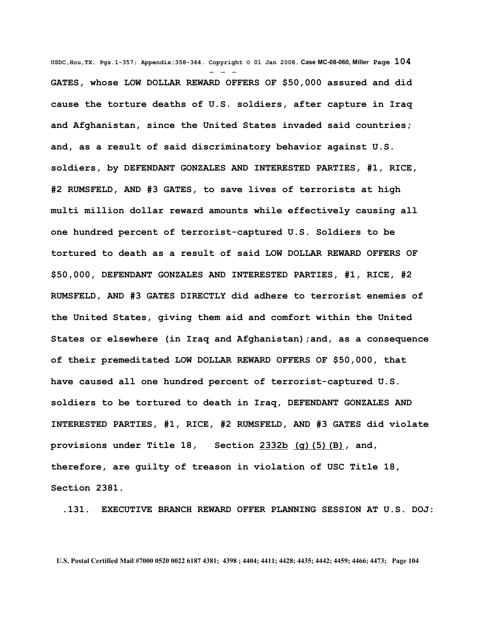**USDC,Hou,TX. Pgs.1-357; Appendix:358-364. Copyright © 01 Jan 2008. Case MC-08-060, Miller Page 104** - - - **GATES, whose LOW DOLLAR REWARD OFFERS OF \$50,000 assured and did cause the torture deaths of U.S. soldiers, after capture in Iraq and Afghanistan, since the United States invaded said countries; and, as a result of said discriminatory behavior against U.S. soldiers, by DEFENDANT GONZALES AND INTERESTED PARTIES, #1, RICE, #2 RUMSFELD, AND #3 GATES, to save lives of terrorists at high multi million dollar reward amounts while effectively causing all one hundred percent of terrorist-captured U.S. Soldiers to be tortured to death as a result of said LOW DOLLAR REWARD OFFERS OF \$50,000, DEFENDANT GONZALES AND INTERESTED PARTIES, #1, RICE, #2 RUMSFELD, AND #3 GATES DIRECTLY did adhere to terrorist enemies of the United States, giving them aid and comfort within the United States or elsewhere (in Iraq and Afghanistan);and, as a consequence of their premeditated LOW DOLLAR REWARD OFFERS OF \$50,000, that have caused all one hundred percent of terrorist-captured U.S. soldiers to be tortured to death in Iraq, DEFENDANT GONZALES AND INTERESTED PARTIES, #1, RICE, #2 RUMSFELD, AND #3 GATES did violate provisions under Title 18, Section [2332b](http://www4.law.cornell.edu/uscode/html/uscode18/usc_sec_18_00002332---b000-.html) [\(g\)\(5\)\(B\),](http://www4.law.cornell.edu/uscode/html/uscode18/usc_sec_18_00002332---b000-.html#g_5_B) and, therefore, are guilty of treason in violation of USC Title 18, Section 2381.**

 **.131. EXECUTIVE BRANCH REWARD OFFER PLANNING SESSION AT U.S. DOJ:**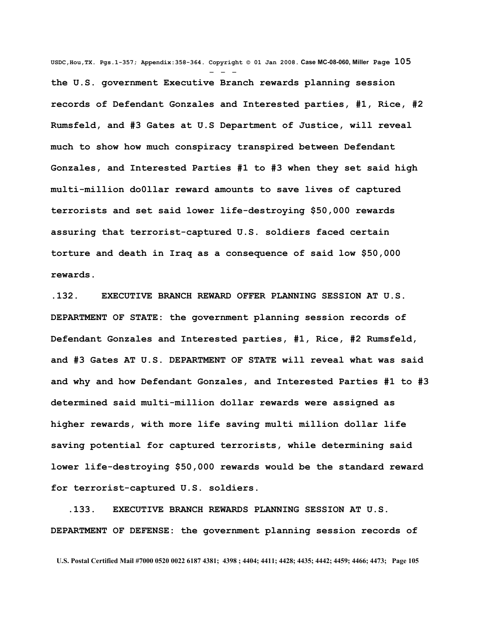**USDC,Hou,TX. Pgs.1-357; Appendix:358-364. Copyright © 01 Jan 2008. Case MC-08-060, Miller Page 105** - - **the U.S. government Executive Branch rewards planning session records of Defendant Gonzales and Interested parties, #1, Rice, #2 Rumsfeld, and #3 Gates at U.S Department of Justice, will reveal much to show how much conspiracy transpired between Defendant Gonzales, and Interested Parties #1 to #3 when they set said high multi-million do0llar reward amounts to save lives of captured terrorists and set said lower life-destroying \$50,000 rewards assuring that terrorist-captured U.S. soldiers faced certain torture and death in Iraq as a consequence of said low \$50,000 rewards.**

**.132. EXECUTIVE BRANCH REWARD OFFER PLANNING SESSION AT U.S. DEPARTMENT OF STATE: the government planning session records of Defendant Gonzales and Interested parties, #1, Rice, #2 Rumsfeld, and #3 Gates AT U.S. DEPARTMENT OF STATE will reveal what was said and why and how Defendant Gonzales, and Interested Parties #1 to #3 determined said multi-million dollar rewards were assigned as higher rewards, with more life saving multi million dollar life saving potential for captured terrorists, while determining said lower life-destroying \$50,000 rewards would be the standard reward for terrorist-captured U.S. soldiers.**

 **.133. EXECUTIVE BRANCH REWARDS PLANNING SESSION AT U.S. DEPARTMENT OF DEFENSE: the government planning session records of**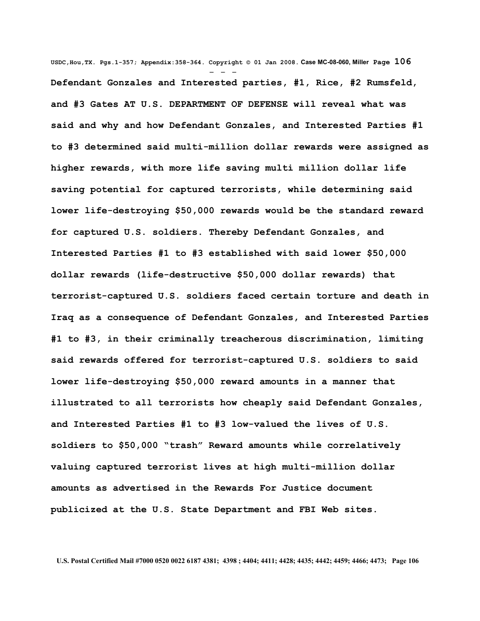**USDC,Hou,TX. Pgs.1-357; Appendix:358-364. Copyright © 01 Jan 2008. Case MC-08-060, Miller Page 106** - - - **Defendant Gonzales and Interested parties, #1, Rice, #2 Rumsfeld, and #3 Gates AT U.S. DEPARTMENT OF DEFENSE will reveal what was said and why and how Defendant Gonzales, and Interested Parties #1 to #3 determined said multi-million dollar rewards were assigned as higher rewards, with more life saving multi million dollar life saving potential for captured terrorists, while determining said lower life-destroying \$50,000 rewards would be the standard reward for captured U.S. soldiers. Thereby Defendant Gonzales, and Interested Parties #1 to #3 established with said lower \$50,000 dollar rewards (life-destructive \$50,000 dollar rewards) that terrorist-captured U.S. soldiers faced certain torture and death in Iraq as a consequence of Defendant Gonzales, and Interested Parties #1 to #3, in their criminally treacherous discrimination, limiting said rewards offered for terrorist-captured U.S. soldiers to said lower life-destroying \$50,000 reward amounts in a manner that illustrated to all terrorists how cheaply said Defendant Gonzales, and Interested Parties #1 to #3 low-valued the lives of U.S. soldiers to \$50,000 "trash" Reward amounts while correlatively valuing captured terrorist lives at high multi-million dollar amounts as advertised in the Rewards For Justice document publicized at the U.S. State Department and FBI Web sites.**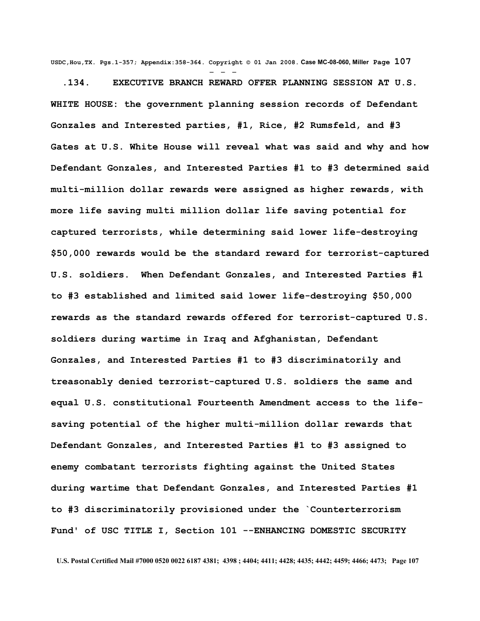**USDC,Hou,TX. Pgs.1-357; Appendix:358-364. Copyright © 01 Jan 2008. Case MC-08-060, Miller Page 107** - - -

 **.134. EXECUTIVE BRANCH REWARD OFFER PLANNING SESSION AT U.S. WHITE HOUSE: the government planning session records of Defendant Gonzales and Interested parties, #1, Rice, #2 Rumsfeld, and #3 Gates at U.S. White House will reveal what was said and why and how Defendant Gonzales, and Interested Parties #1 to #3 determined said multi-million dollar rewards were assigned as higher rewards, with more life saving multi million dollar life saving potential for captured terrorists, while determining said lower life-destroying \$50,000 rewards would be the standard reward for terrorist-captured U.S. soldiers. When Defendant Gonzales, and Interested Parties #1 to #3 established and limited said lower life-destroying \$50,000 rewards as the standard rewards offered for terrorist-captured U.S. soldiers during wartime in Iraq and Afghanistan, Defendant Gonzales, and Interested Parties #1 to #3 discriminatorily and treasonably denied terrorist-captured U.S. soldiers the same and equal U.S. constitutional Fourteenth Amendment access to the lifesaving potential of the higher multi-million dollar rewards that Defendant Gonzales, and Interested Parties #1 to #3 assigned to enemy combatant terrorists fighting against the United States during wartime that Defendant Gonzales, and Interested Parties #1 to #3 discriminatorily provisioned under the `Counterterrorism Fund' of USC TITLE I, Section 101 --ENHANCING DOMESTIC SECURITY**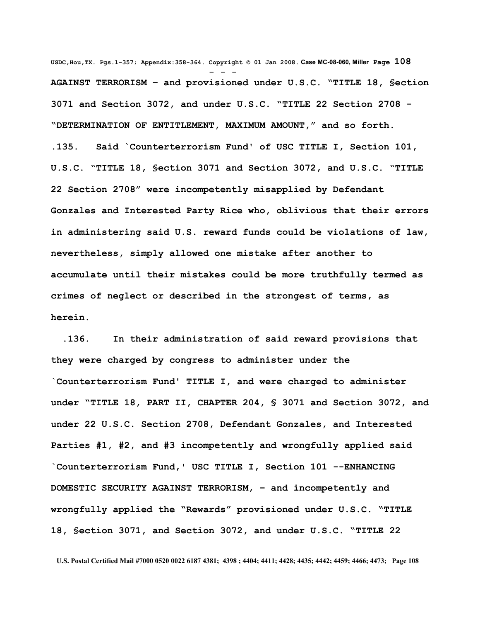**USDC,Hou,TX. Pgs.1-357; Appendix:358-364. Copyright © 01 Jan 2008. Case MC-08-060, Miller Page 108** - - - **AGAINST TERRORISM – and provisioned under U.S.C. "TITLE 18, §ection 3071 and Section 3072, and under U.S.C. "TITLE 22 Section 2708 - "DETERMINATION OF ENTITLEMENT, MAXIMUM AMOUNT," and so forth. .135. Said `Counterterrorism Fund' of USC TITLE I, Section 101, U.S.C. "TITLE 18, §ection 3071 and Section 3072, and U.S.C. "TITLE 22 Section 2708" were incompetently misapplied by Defendant Gonzales and Interested Party Rice who, oblivious that their errors in administering said U.S. reward funds could be violations of law, nevertheless, simply allowed one mistake after another to accumulate until their mistakes could be more truthfully termed as crimes of neglect or described in the strongest of terms, as herein.** 

 **.136. In their administration of said reward provisions that they were charged by congress to administer under the `Counterterrorism Fund' TITLE I, and were charged to administer under "TITLE 18, PART II, CHAPTER 204, § 3071 and Section 3072, and under 22 U.S.C. Section 2708, Defendant Gonzales, and Interested Parties #1, #2, and #3 incompetently and wrongfully applied said `Counterterrorism Fund,' USC TITLE I, Section 101 --ENHANCING DOMESTIC SECURITY AGAINST TERRORISM, – and incompetently and wrongfully applied the "Rewards" provisioned under U.S.C. "TITLE 18, §ection 3071, and Section 3072, and under U.S.C. "TITLE 22**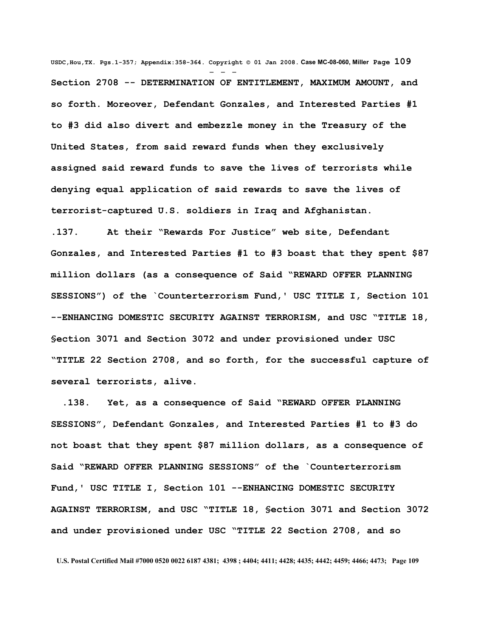**USDC,Hou,TX. Pgs.1-357; Appendix:358-364. Copyright © 01 Jan 2008. Case MC-08-060, Miller Page 109** - - - **Section 2708 -- DETERMINATION OF ENTITLEMENT, MAXIMUM AMOUNT, and so forth. Moreover, Defendant Gonzales, and Interested Parties #1 to #3 did also divert and embezzle money in the Treasury of the United States, from said reward funds when they exclusively assigned said reward funds to save the lives of terrorists while denying equal application of said rewards to save the lives of terrorist-captured U.S. soldiers in Iraq and Afghanistan.**

**.137. At their "Rewards For Justice" web site, Defendant Gonzales, and Interested Parties #1 to #3 boast that they spent \$87 million dollars (as a consequence of Said "REWARD OFFER PLANNING SESSIONS") of the `Counterterrorism Fund,' USC TITLE I, Section 101 --ENHANCING DOMESTIC SECURITY AGAINST TERRORISM, and USC "TITLE 18, §ection 3071 and Section 3072 and under provisioned under USC "TITLE 22 Section 2708, and so forth, for the successful capture of several terrorists, alive.** 

 **.138. Yet, as a consequence of Said "REWARD OFFER PLANNING SESSIONS", Defendant Gonzales, and Interested Parties #1 to #3 do not boast that they spent \$87 million dollars, as a consequence of Said "REWARD OFFER PLANNING SESSIONS" of the `Counterterrorism Fund,' USC TITLE I, Section 101 --ENHANCING DOMESTIC SECURITY AGAINST TERRORISM, and USC "TITLE 18, §ection 3071 and Section 3072 and under provisioned under USC "TITLE 22 Section 2708, and so**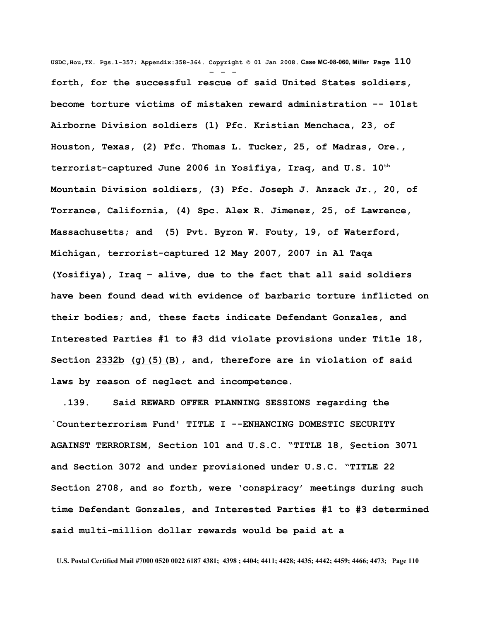**USDC,Hou,TX. Pgs.1-357; Appendix:358-364. Copyright © 01 Jan 2008. Case MC-08-060, Miller Page 110** - - **forth, for the successful rescue of said United States soldiers, become torture victims of mistaken reward administration -- 101st Airborne Division soldiers (1) Pfc. Kristian Menchaca, 23, of Houston, Texas, (2) Pfc. Thomas L. Tucker, 25, of Madras, Ore., terrorist-captured June 2006 in Yosifiya, Iraq, and U.S. 10th Mountain Division soldiers, (3) Pfc. Joseph J. Anzack Jr., 20, of Torrance, California, (4) Spc. Alex R. Jimenez, 25, of Lawrence, Massachusetts; and (5) Pvt. Byron W. Fouty, 19, of Waterford, Michigan, terrorist-captured 12 May 2007, 2007 in Al Taqa (Yosifiya), Iraq – alive, due to the fact that all said soldiers have been found dead with evidence of barbaric torture inflicted on their bodies; and, these facts indicate Defendant Gonzales, and Interested Parties #1 to #3 did violate provisions under Title 18, Section [2332b](http://www4.law.cornell.edu/uscode/html/uscode18/usc_sec_18_00002332---b000-.html) [\(g\)\(5\)\(B\),](http://www4.law.cornell.edu/uscode/html/uscode18/usc_sec_18_00002332---b000-.html#g_5_B) and, therefore are in violation of said laws by reason of neglect and incompetence.** 

 **.139. Said REWARD OFFER PLANNING SESSIONS regarding the `Counterterrorism Fund' TITLE I --ENHANCING DOMESTIC SECURITY AGAINST TERRORISM, Section 101 and U.S.C. "TITLE 18, §ection 3071 and Section 3072 and under provisioned under U.S.C. "TITLE 22 Section 2708, and so forth, were 'conspiracy' meetings during such time Defendant Gonzales, and Interested Parties #1 to #3 determined said multi-million dollar rewards would be paid at a**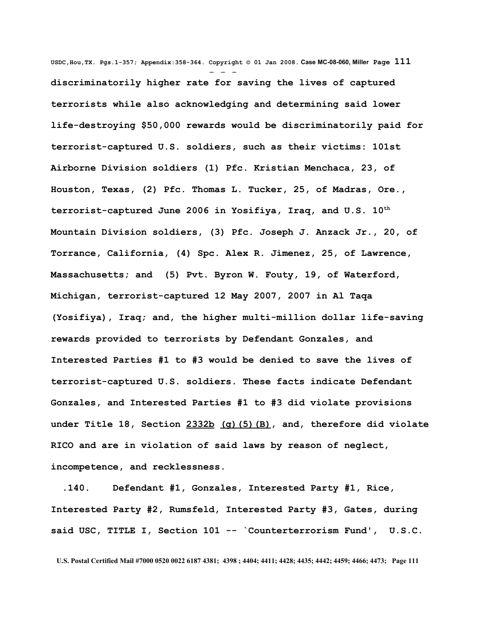**USDC,Hou,TX. Pgs.1-357; Appendix:358-364. Copyright © 01 Jan 2008. Case MC-08-060, Miller Page 111** - - **discriminatorily higher rate for saving the lives of captured terrorists while also acknowledging and determining said lower life-destroying \$50,000 rewards would be discriminatorily paid for terrorist-captured U.S. soldiers, such as their victims: 101st Airborne Division soldiers (1) Pfc. Kristian Menchaca, 23, of Houston, Texas, (2) Pfc. Thomas L. Tucker, 25, of Madras, Ore., terrorist-captured June 2006 in Yosifiya, Iraq, and U.S. 10th Mountain Division soldiers, (3) Pfc. Joseph J. Anzack Jr., 20, of Torrance, California, (4) Spc. Alex R. Jimenez, 25, of Lawrence, Massachusetts; and (5) Pvt. Byron W. Fouty, 19, of Waterford, Michigan, terrorist-captured 12 May 2007, 2007 in Al Taqa (Yosifiya), Iraq; and, the higher multi-million dollar life-saving rewards provided to terrorists by Defendant Gonzales, and Interested Parties #1 to #3 would be denied to save the lives of terrorist-captured U.S. soldiers. These facts indicate Defendant Gonzales, and Interested Parties #1 to #3 did violate provisions under Title 18, Section [2332b](http://www4.law.cornell.edu/uscode/html/uscode18/usc_sec_18_00002332---b000-.html) [\(g\)\(5\)\(B\),](http://www4.law.cornell.edu/uscode/html/uscode18/usc_sec_18_00002332---b000-.html#g_5_B) and, therefore did violate RICO and are in violation of said laws by reason of neglect, incompetence, and recklessness.** 

 **.140. Defendant #1, Gonzales, Interested Party #1, Rice, Interested Party #2, Rumsfeld, Interested Party #3, Gates, during said USC, TITLE I, Section 101 -- `Counterterrorism Fund', U.S.C.**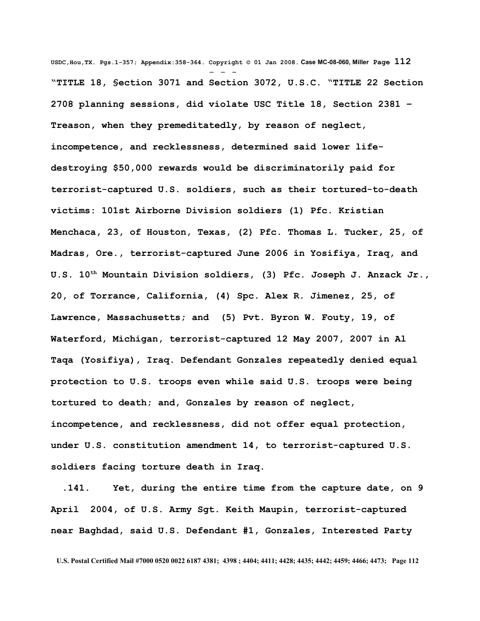**USDC,Hou,TX. Pgs.1-357; Appendix:358-364. Copyright © 01 Jan 2008. Case MC-08-060, Miller Page 112** - - - **"TITLE 18, §ection 3071 and Section 3072, U.S.C. "TITLE 22 Section 2708 planning sessions, did violate USC Title 18, Section 2381 – Treason, when they premeditatedly, by reason of neglect, incompetence, and recklessness, determined said lower lifedestroying \$50,000 rewards would be discriminatorily paid for terrorist-captured U.S. soldiers, such as their tortured-to-death victims: 101st Airborne Division soldiers (1) Pfc. Kristian Menchaca, 23, of Houston, Texas, (2) Pfc. Thomas L. Tucker, 25, of Madras, Ore., terrorist-captured June 2006 in Yosifiya, Iraq, and U.S. 10th Mountain Division soldiers, (3) Pfc. Joseph J. Anzack Jr., 20, of Torrance, California, (4) Spc. Alex R. Jimenez, 25, of Lawrence, Massachusetts; and (5) Pvt. Byron W. Fouty, 19, of Waterford, Michigan, terrorist-captured 12 May 2007, 2007 in Al Taqa (Yosifiya), Iraq. Defendant Gonzales repeatedly denied equal protection to U.S. troops even while said U.S. troops were being tortured to death; and, Gonzales by reason of neglect, incompetence, and recklessness, did not offer equal protection, under U.S. constitution amendment 14, to terrorist-captured U.S. soldiers facing torture death in Iraq.**

 **.141. Yet, during the entire time from the capture date, on 9 April 2004, of U.S. Army Sgt. Keith Maupin, terrorist-captured near Baghdad, said U.S. Defendant #1, Gonzales, Interested Party**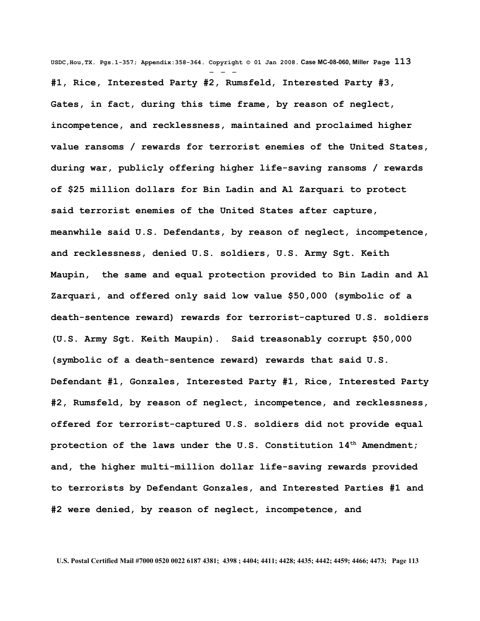**USDC,Hou,TX. Pgs.1-357; Appendix:358-364. Copyright © 01 Jan 2008. Case MC-08-060, Miller Page 113** - - - **#1, Rice, Interested Party #2, Rumsfeld, Interested Party #3, Gates, in fact, during this time frame, by reason of neglect, incompetence, and recklessness, maintained and proclaimed higher value ransoms / rewards for terrorist enemies of the United States, during war, publicly offering higher life-saving ransoms / rewards of \$25 million dollars for Bin Ladin and Al Zarquari to protect said terrorist enemies of the United States after capture, meanwhile said U.S. Defendants, by reason of neglect, incompetence, and recklessness, denied U.S. soldiers, U.S. Army Sgt. Keith Maupin, the same and equal protection provided to Bin Ladin and Al Zarquari, and offered only said low value \$50,000 (symbolic of a death-sentence reward) rewards for terrorist-captured U.S. soldiers (U.S. Army Sgt. Keith Maupin). Said treasonably corrupt \$50,000 (symbolic of a death-sentence reward) rewards that said U.S. Defendant #1, Gonzales, Interested Party #1, Rice, Interested Party #2, Rumsfeld, by reason of neglect, incompetence, and recklessness, offered for terrorist-captured U.S. soldiers did not provide equal protection of the laws under the U.S. Constitution 14th Amendment; and, the higher multi-million dollar life-saving rewards provided to terrorists by Defendant Gonzales, and Interested Parties #1 and #2 were denied, by reason of neglect, incompetence, and**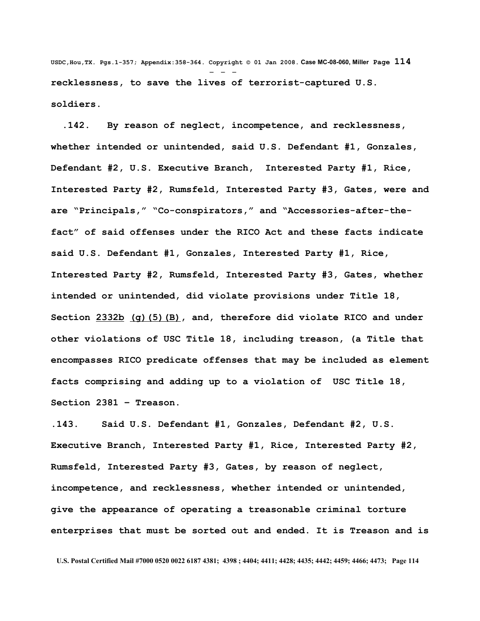**USDC,Hou,TX. Pgs.1-357; Appendix:358-364. Copyright © 01 Jan 2008. Case MC-08-060, Miller Page 114** - - **recklessness, to save the lives of terrorist-captured U.S. soldiers.** 

 **.142. By reason of neglect, incompetence, and recklessness, whether intended or unintended, said U.S. Defendant #1, Gonzales, Defendant #2, U.S. Executive Branch, Interested Party #1, Rice, Interested Party #2, Rumsfeld, Interested Party #3, Gates, were and are "Principals," "Co-conspirators," and "Accessories-after-thefact" of said offenses under the RICO Act and these facts indicate said U.S. Defendant #1, Gonzales, Interested Party #1, Rice, Interested Party #2, Rumsfeld, Interested Party #3, Gates, whether intended or unintended, did violate provisions under Title 18, Section [2332b](http://www4.law.cornell.edu/uscode/html/uscode18/usc_sec_18_00002332---b000-.html) [\(g\)\(5\)\(B\),](http://www4.law.cornell.edu/uscode/html/uscode18/usc_sec_18_00002332---b000-.html#g_5_B) and, therefore did violate RICO and under other violations of USC Title 18, including treason, (a Title that encompasses RICO predicate offenses that may be included as element facts comprising and adding up to a violation of USC Title 18, Section 2381 – Treason.** 

**.143. Said U.S. Defendant #1, Gonzales, Defendant #2, U.S. Executive Branch, Interested Party #1, Rice, Interested Party #2, Rumsfeld, Interested Party #3, Gates, by reason of neglect, incompetence, and recklessness, whether intended or unintended, give the appearance of operating a treasonable criminal torture enterprises that must be sorted out and ended. It is Treason and is**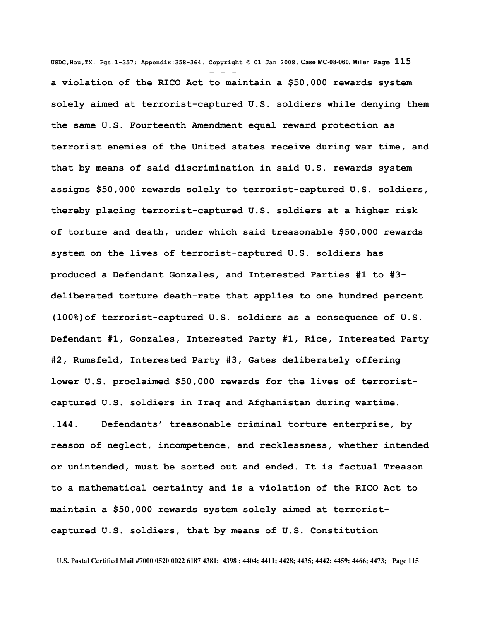**USDC,Hou,TX. Pgs.1-357; Appendix:358-364. Copyright © 01 Jan 2008. Case MC-08-060, Miller Page 115** - - **a violation of the RICO Act to maintain a \$50,000 rewards system solely aimed at terrorist-captured U.S. soldiers while denying them the same U.S. Fourteenth Amendment equal reward protection as terrorist enemies of the United states receive during war time, and that by means of said discrimination in said U.S. rewards system assigns \$50,000 rewards solely to terrorist-captured U.S. soldiers, thereby placing terrorist-captured U.S. soldiers at a higher risk of torture and death, under which said treasonable \$50,000 rewards system on the lives of terrorist-captured U.S. soldiers has produced a Defendant Gonzales, and Interested Parties #1 to #3 deliberated torture death-rate that applies to one hundred percent (100%)of terrorist-captured U.S. soldiers as a consequence of U.S. Defendant #1, Gonzales, Interested Party #1, Rice, Interested Party #2, Rumsfeld, Interested Party #3, Gates deliberately offering lower U.S. proclaimed \$50,000 rewards for the lives of terroristcaptured U.S. soldiers in Iraq and Afghanistan during wartime. .144. Defendants' treasonable criminal torture enterprise, by reason of neglect, incompetence, and recklessness, whether intended or unintended, must be sorted out and ended. It is factual Treason to a mathematical certainty and is a violation of the RICO Act to maintain a \$50,000 rewards system solely aimed at terroristcaptured U.S. soldiers, that by means of U.S. Constitution**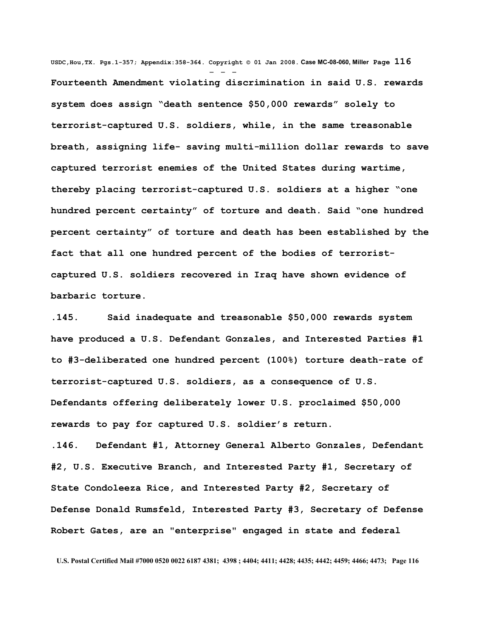**USDC,Hou,TX. Pgs.1-357; Appendix:358-364. Copyright © 01 Jan 2008. Case MC-08-060, Miller Page 116** - - - **Fourteenth Amendment violating discrimination in said U.S. rewards system does assign "death sentence \$50,000 rewards" solely to terrorist-captured U.S. soldiers, while, in the same treasonable breath, assigning life- saving multi-million dollar rewards to save captured terrorist enemies of the United States during wartime, thereby placing terrorist-captured U.S. soldiers at a higher "one hundred percent certainty" of torture and death. Said "one hundred percent certainty" of torture and death has been established by the fact that all one hundred percent of the bodies of terroristcaptured U.S. soldiers recovered in Iraq have shown evidence of barbaric torture.** 

**.145. Said inadequate and treasonable \$50,000 rewards system have produced a U.S. Defendant Gonzales, and Interested Parties #1 to #3-deliberated one hundred percent (100%) torture death-rate of terrorist-captured U.S. soldiers, as a consequence of U.S. Defendants offering deliberately lower U.S. proclaimed \$50,000 rewards to pay for captured U.S. soldier's return.** 

**.146. Defendant #1, Attorney General Alberto Gonzales, Defendant #2, U.S. Executive Branch, and Interested Party #1, Secretary of State Condoleeza Rice, and Interested Party #2, Secretary of Defense Donald Rumsfeld, Interested Party #3, Secretary of Defense Robert Gates, are an "enterprise" engaged in state and federal**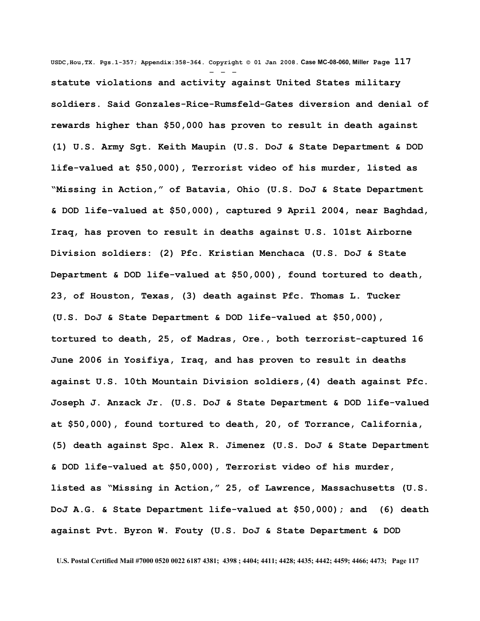**USDC,Hou,TX. Pgs.1-357; Appendix:358-364. Copyright © 01 Jan 2008. Case MC-08-060, Miller Page 117** - - **statute violations and activity against United States military soldiers. Said Gonzales-Rice-Rumsfeld-Gates diversion and denial of rewards higher than \$50,000 has proven to result in death against (1) U.S. Army Sgt. Keith Maupin (U.S. DoJ & State Department & DOD life-valued at \$50,000), Terrorist video of his murder, listed as "Missing in Action," of Batavia, Ohio (U.S. DoJ & State Department & DOD life-valued at \$50,000), captured 9 April 2004, near Baghdad, Iraq, has proven to result in deaths against U.S. 101st Airborne Division soldiers: (2) Pfc. Kristian Menchaca (U.S. DoJ & State Department & DOD life-valued at \$50,000), found tortured to death, 23, of Houston, Texas, (3) death against Pfc. Thomas L. Tucker (U.S. DoJ & State Department & DOD life-valued at \$50,000), tortured to death, 25, of Madras, Ore., both terrorist-captured 16 June 2006 in Yosifiya, Iraq, and has proven to result in deaths against U.S. 10th Mountain Division soldiers,(4) death against Pfc. Joseph J. Anzack Jr. (U.S. DoJ & State Department & DOD life-valued at \$50,000), found tortured to death, 20, of Torrance, California, (5) death against Spc. Alex R. Jimenez (U.S. DoJ & State Department & DOD life-valued at \$50,000), Terrorist video of his murder, listed as "Missing in Action," 25, of Lawrence, Massachusetts (U.S. DoJ A.G. & State Department life-valued at \$50,000); and (6) death against Pvt. Byron W. Fouty (U.S. DoJ & State Department & DOD**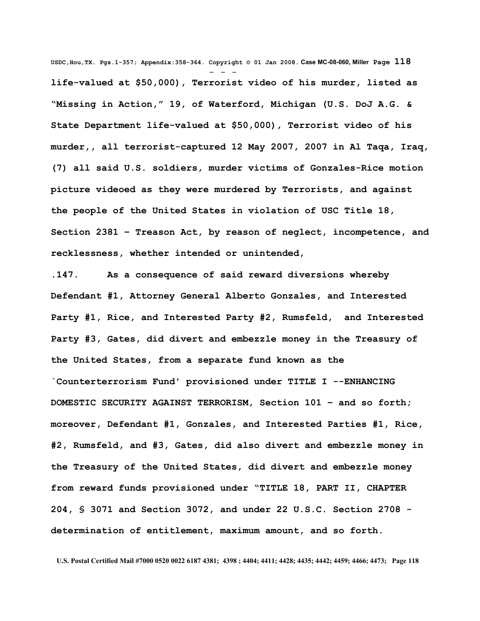**USDC,Hou,TX. Pgs.1-357; Appendix:358-364. Copyright © 01 Jan 2008. Case MC-08-060, Miller Page 118** - - **life-valued at \$50,000), Terrorist video of his murder, listed as "Missing in Action," 19, of Waterford, Michigan (U.S. DoJ A.G. & State Department life-valued at \$50,000), Terrorist video of his murder,, all terrorist-captured 12 May 2007, 2007 in Al Taqa, Iraq, (7) all said U.S. soldiers, murder victims of Gonzales-Rice motion picture videoed as they were murdered by Terrorists, and against the people of the United States in violation of USC Title 18, Section 2381 – Treason Act, by reason of neglect, incompetence, and recklessness, whether intended or unintended,**

**.147. As a consequence of said reward diversions whereby Defendant #1, Attorney General Alberto Gonzales, and Interested Party #1, Rice, and Interested Party #2, Rumsfeld, and Interested Party #3, Gates, did divert and embezzle money in the Treasury of the United States, from a separate fund known as the `Counterterrorism Fund' provisioned under TITLE I --ENHANCING DOMESTIC SECURITY AGAINST TERRORISM, Section 101 – and so forth; moreover, Defendant #1, Gonzales, and Interested Parties #1, Rice, #2, Rumsfeld, and #3, Gates, did also divert and embezzle money in the Treasury of the United States, did divert and embezzle money from reward funds provisioned under "TITLE 18, PART II, CHAPTER 204, § 3071 and Section 3072, and under 22 U.S.C. Section 2708 determination of entitlement, maximum amount, and so forth.**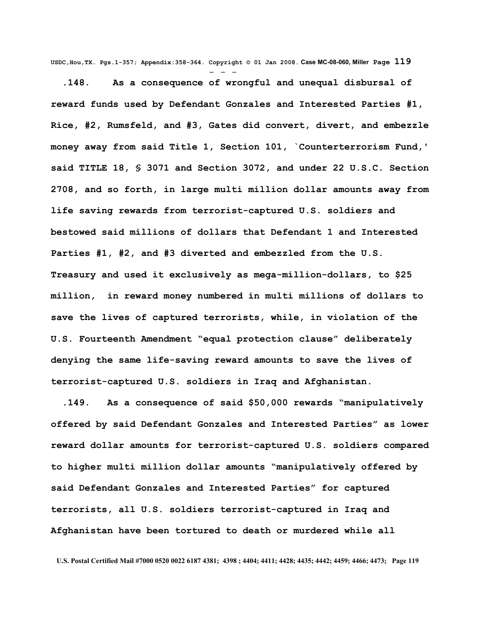**USDC,Hou,TX. Pgs.1-357; Appendix:358-364. Copyright © 01 Jan 2008. Case MC-08-060, Miller Page 119** - - -

 **.148. As a consequence of wrongful and unequal disbursal of reward funds used by Defendant Gonzales and Interested Parties #1, Rice, #2, Rumsfeld, and #3, Gates did convert, divert, and embezzle money away from said Title 1, Section 101, `Counterterrorism Fund,' said TITLE 18, § 3071 and Section 3072, and under 22 U.S.C. Section 2708, and so forth, in large multi million dollar amounts away from life saving rewards from terrorist-captured U.S. soldiers and bestowed said millions of dollars that Defendant 1 and Interested Parties #1, #2, and #3 diverted and embezzled from the U.S. Treasury and used it exclusively as mega-million-dollars, to \$25 million, in reward money numbered in multi millions of dollars to save the lives of captured terrorists, while, in violation of the U.S. Fourteenth Amendment "equal protection clause" deliberately denying the same life-saving reward amounts to save the lives of terrorist-captured U.S. soldiers in Iraq and Afghanistan.** 

 **.149. As a consequence of said \$50,000 rewards "manipulatively offered by said Defendant Gonzales and Interested Parties" as lower reward dollar amounts for terrorist-captured U.S. soldiers compared to higher multi million dollar amounts "manipulatively offered by said Defendant Gonzales and Interested Parties" for captured terrorists, all U.S. soldiers terrorist-captured in Iraq and Afghanistan have been tortured to death or murdered while all**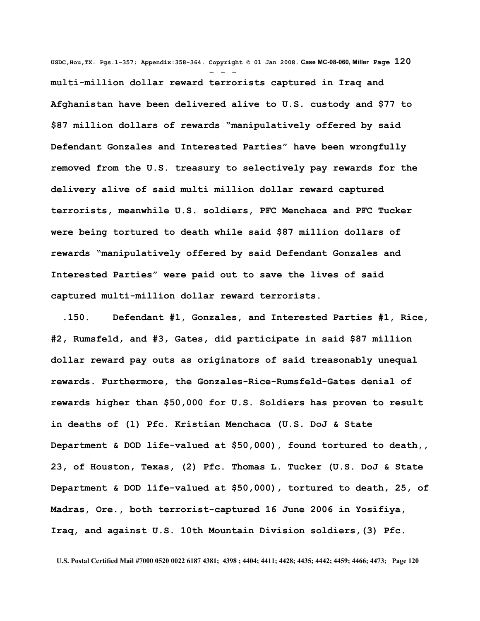**USDC,Hou,TX. Pgs.1-357; Appendix:358-364. Copyright © 01 Jan 2008. Case MC-08-060, Miller Page 120** - - **multi-million dollar reward terrorists captured in Iraq and Afghanistan have been delivered alive to U.S. custody and \$77 to \$87 million dollars of rewards "manipulatively offered by said Defendant Gonzales and Interested Parties" have been wrongfully removed from the U.S. treasury to selectively pay rewards for the delivery alive of said multi million dollar reward captured terrorists, meanwhile U.S. soldiers, PFC Menchaca and PFC Tucker were being tortured to death while said \$87 million dollars of rewards "manipulatively offered by said Defendant Gonzales and Interested Parties" were paid out to save the lives of said captured multi-million dollar reward terrorists.** 

 **.150. Defendant #1, Gonzales, and Interested Parties #1, Rice, #2, Rumsfeld, and #3, Gates, did participate in said \$87 million dollar reward pay outs as originators of said treasonably unequal rewards. Furthermore, the Gonzales-Rice-Rumsfeld-Gates denial of rewards higher than \$50,000 for U.S. Soldiers has proven to result in deaths of (1) Pfc. Kristian Menchaca (U.S. DoJ & State Department & DOD life-valued at \$50,000), found tortured to death,, 23, of Houston, Texas, (2) Pfc. Thomas L. Tucker (U.S. DoJ & State Department & DOD life-valued at \$50,000), tortured to death, 25, of Madras, Ore., both terrorist-captured 16 June 2006 in Yosifiya, Iraq, and against U.S. 10th Mountain Division soldiers,(3) Pfc.**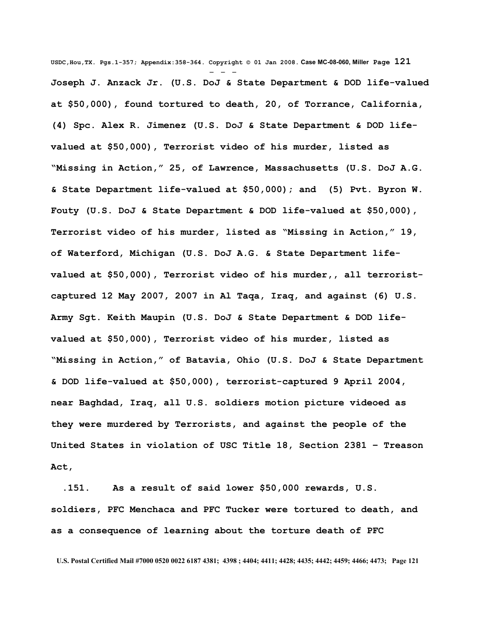**USDC,Hou,TX. Pgs.1-357; Appendix:358-364. Copyright © 01 Jan 2008. Case MC-08-060, Miller Page 121** - - - **Joseph J. Anzack Jr. (U.S. DoJ & State Department & DOD life-valued at \$50,000), found tortured to death, 20, of Torrance, California, (4) Spc. Alex R. Jimenez (U.S. DoJ & State Department & DOD lifevalued at \$50,000), Terrorist video of his murder, listed as "Missing in Action," 25, of Lawrence, Massachusetts (U.S. DoJ A.G. & State Department life-valued at \$50,000); and (5) Pvt. Byron W. Fouty (U.S. DoJ & State Department & DOD life-valued at \$50,000), Terrorist video of his murder, listed as "Missing in Action," 19, of Waterford, Michigan (U.S. DoJ A.G. & State Department lifevalued at \$50,000), Terrorist video of his murder,, all terroristcaptured 12 May 2007, 2007 in Al Taqa, Iraq, and against (6) U.S. Army Sgt. Keith Maupin (U.S. DoJ & State Department & DOD lifevalued at \$50,000), Terrorist video of his murder, listed as "Missing in Action," of Batavia, Ohio (U.S. DoJ & State Department & DOD life-valued at \$50,000), terrorist-captured 9 April 2004, near Baghdad, Iraq, all U.S. soldiers motion picture videoed as they were murdered by Terrorists, and against the people of the United States in violation of USC Title 18, Section 2381 – Treason Act,**

 **.151. As a result of said lower \$50,000 rewards, U.S. soldiers, PFC Menchaca and PFC Tucker were tortured to death, and as a consequence of learning about the torture death of PFC**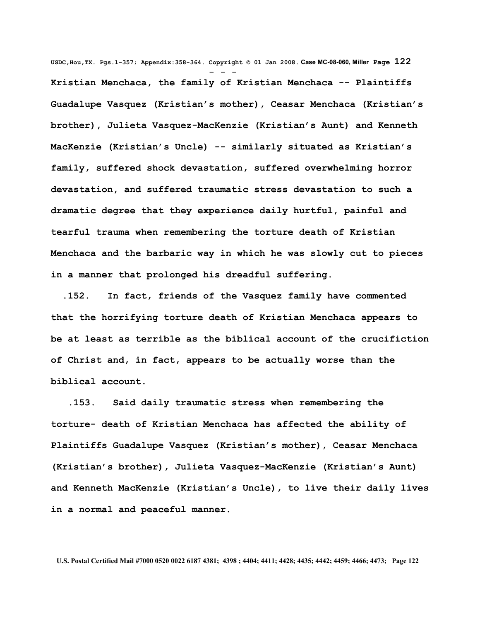**USDC,Hou,TX. Pgs.1-357; Appendix:358-364. Copyright © 01 Jan 2008. Case MC-08-060, Miller Page 122** - - - **Kristian Menchaca, the family of Kristian Menchaca -- Plaintiffs Guadalupe Vasquez (Kristian's mother), Ceasar Menchaca (Kristian's brother), Julieta Vasquez-MacKenzie (Kristian's Aunt) and Kenneth MacKenzie (Kristian's Uncle) -- similarly situated as Kristian's family, suffered shock devastation, suffered overwhelming horror devastation, and suffered traumatic stress devastation to such a dramatic degree that they experience daily hurtful, painful and tearful trauma when remembering the torture death of Kristian Menchaca and the barbaric way in which he was slowly cut to pieces in a manner that prolonged his dreadful suffering.** 

 **.152. In fact, friends of the Vasquez family have commented that the horrifying torture death of Kristian Menchaca appears to be at least as terrible as the biblical account of the crucifiction of Christ and, in fact, appears to be actually worse than the biblical account.** 

 **.153. Said daily traumatic stress when remembering the torture- death of Kristian Menchaca has affected the ability of Plaintiffs Guadalupe Vasquez (Kristian's mother), Ceasar Menchaca (Kristian's brother), Julieta Vasquez-MacKenzie (Kristian's Aunt) and Kenneth MacKenzie (Kristian's Uncle), to live their daily lives in a normal and peaceful manner.**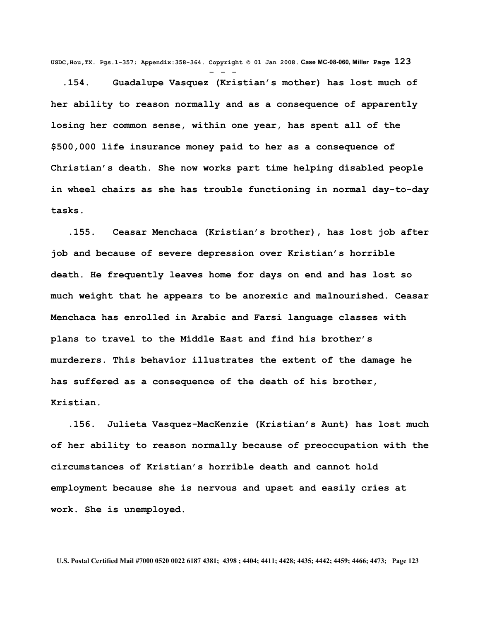**USDC,Hou,TX. Pgs.1-357; Appendix:358-364. Copyright © 01 Jan 2008. Case MC-08-060, Miller Page 123**

- - -

 **.154. Guadalupe Vasquez (Kristian's mother) has lost much of her ability to reason normally and as a consequence of apparently losing her common sense, within one year, has spent all of the \$500,000 life insurance money paid to her as a consequence of Christian's death. She now works part time helping disabled people in wheel chairs as she has trouble functioning in normal day-to-day tasks.** 

 **.155. Ceasar Menchaca (Kristian's brother), has lost job after job and because of severe depression over Kristian's horrible death. He frequently leaves home for days on end and has lost so much weight that he appears to be anorexic and malnourished. Ceasar Menchaca has enrolled in Arabic and Farsi language classes with plans to travel to the Middle East and find his brother's murderers. This behavior illustrates the extent of the damage he has suffered as a consequence of the death of his brother, Kristian.** 

 **.156. Julieta Vasquez-MacKenzie (Kristian's Aunt) has lost much of her ability to reason normally because of preoccupation with the circumstances of Kristian's horrible death and cannot hold employment because she is nervous and upset and easily cries at work. She is unemployed.**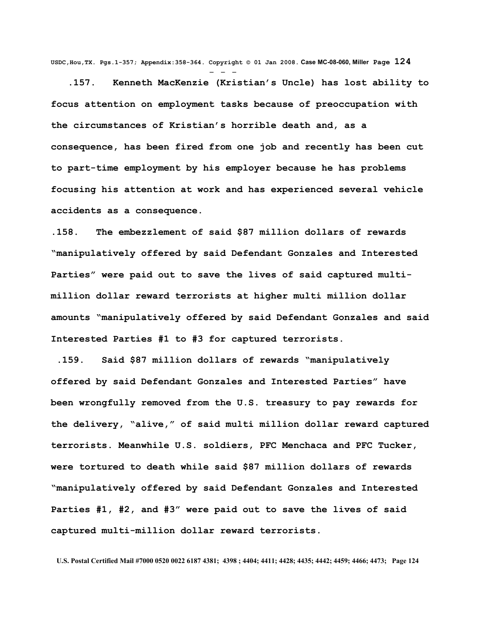**USDC,Hou,TX. Pgs.1-357; Appendix:358-364. Copyright © 01 Jan 2008. Case MC-08-060, Miller Page 124** - - -

 **.157. Kenneth MacKenzie (Kristian's Uncle) has lost ability to focus attention on employment tasks because of preoccupation with the circumstances of Kristian's horrible death and, as a consequence, has been fired from one job and recently has been cut to part-time employment by his employer because he has problems focusing his attention at work and has experienced several vehicle accidents as a consequence.** 

**.158. The embezzlement of said \$87 million dollars of rewards "manipulatively offered by said Defendant Gonzales and Interested Parties" were paid out to save the lives of said captured multimillion dollar reward terrorists at higher multi million dollar amounts "manipulatively offered by said Defendant Gonzales and said Interested Parties #1 to #3 for captured terrorists.**

 **.159. Said \$87 million dollars of rewards "manipulatively offered by said Defendant Gonzales and Interested Parties" have been wrongfully removed from the U.S. treasury to pay rewards for the delivery, "alive," of said multi million dollar reward captured terrorists. Meanwhile U.S. soldiers, PFC Menchaca and PFC Tucker, were tortured to death while said \$87 million dollars of rewards "manipulatively offered by said Defendant Gonzales and Interested Parties #1, #2, and #3" were paid out to save the lives of said captured multi-million dollar reward terrorists.**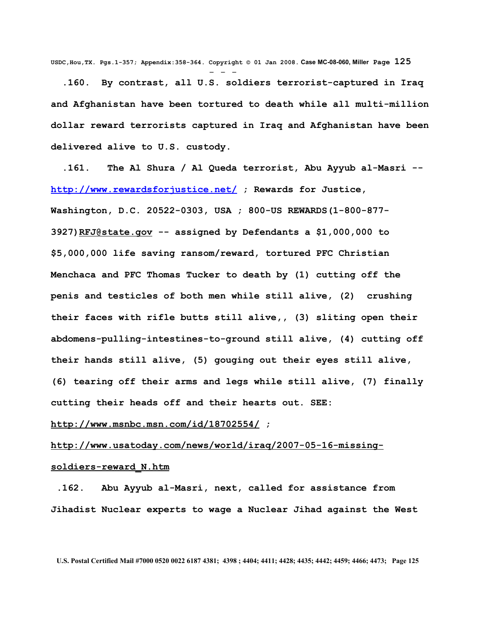**USDC,Hou,TX. Pgs.1-357; Appendix:358-364. Copyright © 01 Jan 2008. Case MC-08-060, Miller Page 125** - - -

 **.160. By contrast, all U.S. soldiers terrorist-captured in Iraq and Afghanistan have been tortured to death while all multi-million dollar reward terrorists captured in Iraq and Afghanistan have been delivered alive to U.S. custody.**

 **.161. The Al Shura / Al Queda terrorist, Abu Ayyub al-Masri - <http://www.rewardsforjustice.net/> ; Rewards for Justice, Washington, D.C. 20522-0303, USA ; 800-US REWARDS(1-800-877- 3927[\)RFJ@state.gov](mailto:RFJ@state.gov) -- assigned by Defendants a \$1,000,000 to \$5,000,000 life saving ransom/reward, tortured PFC Christian Menchaca and PFC Thomas Tucker to death by (1) cutting off the penis and testicles of both men while still alive, (2) crushing their faces with rifle butts still alive,, (3) sliting open their abdomens-pulling-intestines-to-ground still alive, (4) cutting off their hands still alive, (5) gouging out their eyes still alive, (6) tearing off their arms and legs while still alive, (7) finally cutting their heads off and their hearts out. SEE:**

## **<http://www.msnbc.msn.com/id/18702554/>;**

## **[http://www.usatoday.com/news/world/iraq/2007-05-16-missing-](http://www.usatoday.com/news/world/iraq/2007-05-16-missing-soldiers-reward_N.htm)**

## **[soldiers-reward\\_N.htm](http://www.usatoday.com/news/world/iraq/2007-05-16-missing-soldiers-reward_N.htm)**

 **.162. Abu Ayyub al-Masri, next, called for assistance from Jihadist Nuclear experts to wage a Nuclear Jihad against the West**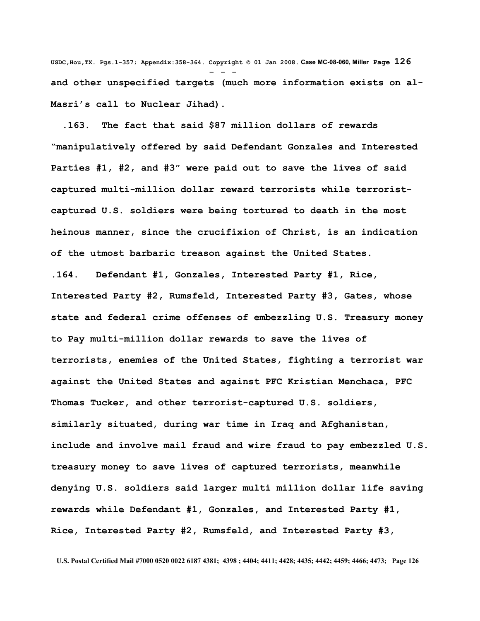**USDC,Hou,TX. Pgs.1-357; Appendix:358-364. Copyright © 01 Jan 2008. Case MC-08-060, Miller Page 126** - - **and other unspecified targets (much more information exists on al-Masri's call to Nuclear Jihad).** 

 **.163. The fact that said \$87 million dollars of rewards "manipulatively offered by said Defendant Gonzales and Interested Parties #1, #2, and #3" were paid out to save the lives of said captured multi-million dollar reward terrorists while terroristcaptured U.S. soldiers were being tortured to death in the most heinous manner, since the crucifixion of Christ, is an indication of the utmost barbaric treason against the United States.** 

**.164. Defendant #1, Gonzales, Interested Party #1, Rice, Interested Party #2, Rumsfeld, Interested Party #3, Gates, whose state and federal crime offenses of embezzling U.S. Treasury money to Pay multi-million dollar rewards to save the lives of terrorists, enemies of the United States, fighting a terrorist war against the United States and against PFC Kristian Menchaca, PFC Thomas Tucker, and other terrorist-captured U.S. soldiers, similarly situated, during war time in Iraq and Afghanistan, include and involve mail fraud and wire fraud to pay embezzled U.S. treasury money to save lives of captured terrorists, meanwhile denying U.S. soldiers said larger multi million dollar life saving rewards while Defendant #1, Gonzales, and Interested Party #1, Rice, Interested Party #2, Rumsfeld, and Interested Party #3,**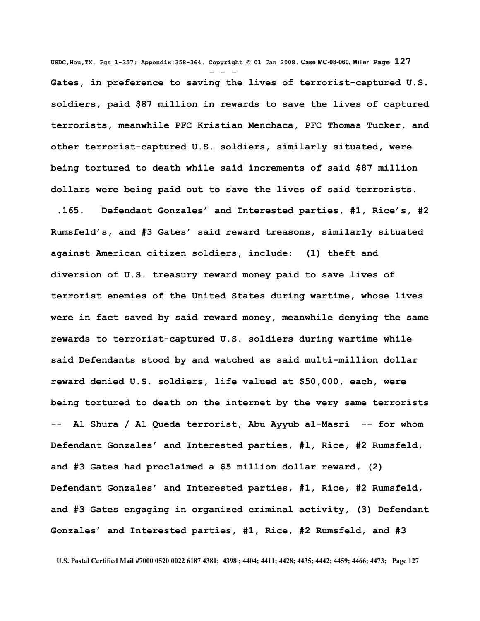**USDC,Hou,TX. Pgs.1-357; Appendix:358-364. Copyright © 01 Jan 2008. Case MC-08-060, Miller Page 127** - - - **Gates, in preference to saving the lives of terrorist-captured U.S. soldiers, paid \$87 million in rewards to save the lives of captured terrorists, meanwhile PFC Kristian Menchaca, PFC Thomas Tucker, and other terrorist-captured U.S. soldiers, similarly situated, were being tortured to death while said increments of said \$87 million dollars were being paid out to save the lives of said terrorists.**

 **.165. Defendant Gonzales' and Interested parties, #1, Rice's, #2 Rumsfeld's, and #3 Gates' said reward treasons, similarly situated against American citizen soldiers, include: (1) theft and diversion of U.S. treasury reward money paid to save lives of terrorist enemies of the United States during wartime, whose lives were in fact saved by said reward money, meanwhile denying the same rewards to terrorist-captured U.S. soldiers during wartime while said Defendants stood by and watched as said multi-million dollar reward denied U.S. soldiers, life valued at \$50,000, each, were being tortured to death on the internet by the very same terrorists -- Al Shura / Al Queda terrorist, Abu Ayyub al-Masri -- for whom Defendant Gonzales' and Interested parties, #1, Rice, #2 Rumsfeld, and #3 Gates had proclaimed a \$5 million dollar reward, (2) Defendant Gonzales' and Interested parties, #1, Rice, #2 Rumsfeld, and #3 Gates engaging in organized criminal activity, (3) Defendant Gonzales' and Interested parties, #1, Rice, #2 Rumsfeld, and #3**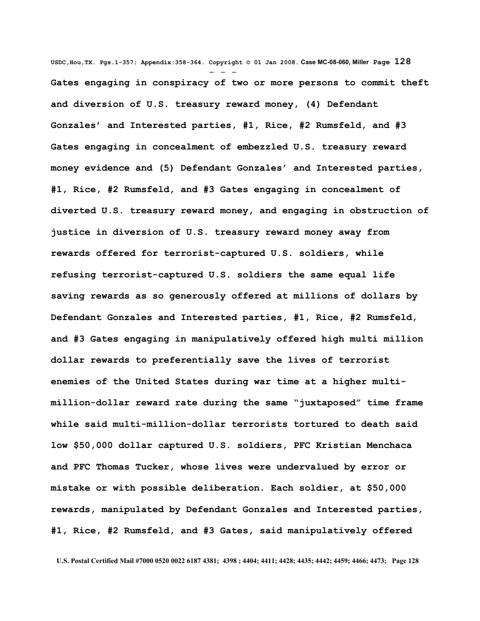**USDC,Hou,TX. Pgs.1-357; Appendix:358-364. Copyright © 01 Jan 2008. Case MC-08-060, Miller Page 128** - - - **Gates engaging in conspiracy of two or more persons to commit theft and diversion of U.S. treasury reward money, (4) Defendant Gonzales' and Interested parties, #1, Rice, #2 Rumsfeld, and #3 Gates engaging in concealment of embezzled U.S. treasury reward money evidence and (5) Defendant Gonzales' and Interested parties, #1, Rice, #2 Rumsfeld, and #3 Gates engaging in concealment of diverted U.S. treasury reward money, and engaging in obstruction of justice in diversion of U.S. treasury reward money away from rewards offered for terrorist-captured U.S. soldiers, while refusing terrorist-captured U.S. soldiers the same equal life saving rewards as so generously offered at millions of dollars by Defendant Gonzales and Interested parties, #1, Rice, #2 Rumsfeld, and #3 Gates engaging in manipulatively offered high multi million dollar rewards to preferentially save the lives of terrorist enemies of the United States during war time at a higher multimillion-dollar reward rate during the same "juxtaposed" time frame while said multi-million-dollar terrorists tortured to death said low \$50,000 dollar captured U.S. soldiers, PFC Kristian Menchaca and PFC Thomas Tucker, whose lives were undervalued by error or mistake or with possible deliberation. Each soldier, at \$50,000 rewards, manipulated by Defendant Gonzales and Interested parties, #1, Rice, #2 Rumsfeld, and #3 Gates, said manipulatively offered**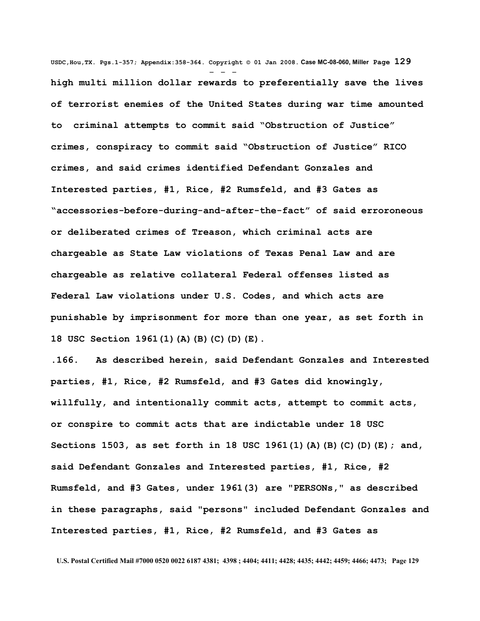**USDC,Hou,TX. Pgs.1-357; Appendix:358-364. Copyright © 01 Jan 2008. Case MC-08-060, Miller Page 129** - - **high multi million dollar rewards to preferentially save the lives of terrorist enemies of the United States during war time amounted to criminal attempts to commit said "Obstruction of Justice" crimes, conspiracy to commit said "Obstruction of Justice" RICO crimes, and said crimes identified Defendant Gonzales and Interested parties, #1, Rice, #2 Rumsfeld, and #3 Gates as "accessories-before-during-and-after-the-fact" of said erroroneous or deliberated crimes of Treason, which criminal acts are chargeable as State Law violations of Texas Penal Law and are chargeable as relative collateral Federal offenses listed as Federal Law violations under U.S. Codes, and which acts are punishable by imprisonment for more than one year, as set forth in 18 USC Section 1961(1)(A)(B)(C)(D)(E).** 

**.166. As described herein, said Defendant Gonzales and Interested parties, #1, Rice, #2 Rumsfeld, and #3 Gates did knowingly, willfully, and intentionally commit acts, attempt to commit acts, or conspire to commit acts that are indictable under 18 USC Sections 1503, as set forth in 18 USC 1961(1)(A)(B)(C)(D)(E); and, said Defendant Gonzales and Interested parties, #1, Rice, #2 Rumsfeld, and #3 Gates, under 1961(3) are "PERSONs," as described in these paragraphs, said "persons" included Defendant Gonzales and Interested parties, #1, Rice, #2 Rumsfeld, and #3 Gates as**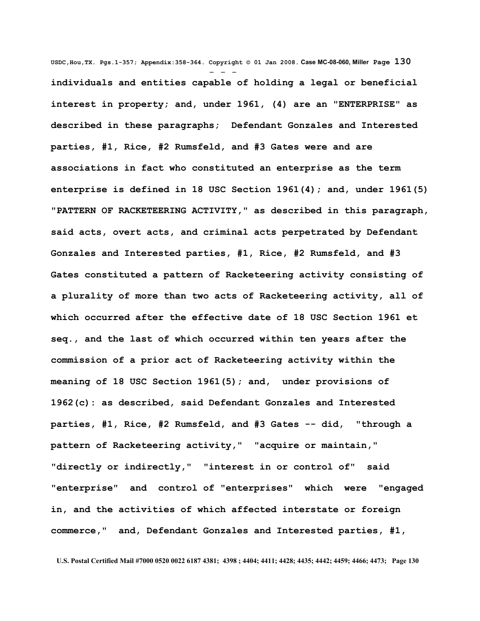**USDC,Hou,TX. Pgs.1-357; Appendix:358-364. Copyright © 01 Jan 2008. Case MC-08-060, Miller Page 130** - - **individuals and entities capable of holding a legal or beneficial interest in property; and, under 1961, (4) are an "ENTERPRISE" as described in these paragraphs; Defendant Gonzales and Interested parties, #1, Rice, #2 Rumsfeld, and #3 Gates were and are associations in fact who constituted an enterprise as the term enterprise is defined in 18 USC Section 1961(4); and, under 1961(5) "PATTERN OF RACKETEERING ACTIVITY," as described in this paragraph, said acts, overt acts, and criminal acts perpetrated by Defendant Gonzales and Interested parties, #1, Rice, #2 Rumsfeld, and #3 Gates constituted a pattern of Racketeering activity consisting of a plurality of more than two acts of Racketeering activity, all of which occurred after the effective date of 18 USC Section 1961 et seq., and the last of which occurred within ten years after the commission of a prior act of Racketeering activity within the meaning of 18 USC Section 1961(5); and, under provisions of 1962(c): as described, said Defendant Gonzales and Interested parties, #1, Rice, #2 Rumsfeld, and #3 Gates -- did, "through a pattern of Racketeering activity," "acquire or maintain," "directly or indirectly," "interest in or control of" said "enterprise" and control of "enterprises" which were "engaged in, and the activities of which affected interstate or foreign commerce," and, Defendant Gonzales and Interested parties, #1,**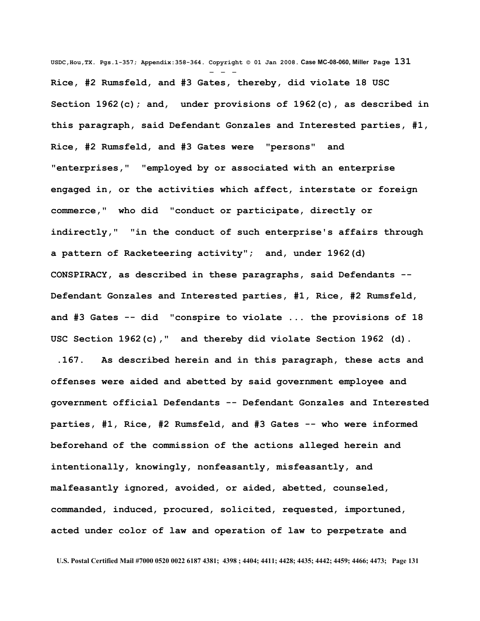**USDC,Hou,TX. Pgs.1-357; Appendix:358-364. Copyright © 01 Jan 2008. Case MC-08-060, Miller Page 131** - - - **Rice, #2 Rumsfeld, and #3 Gates, thereby, did violate 18 USC Section 1962(c); and, under provisions of 1962(c), as described in this paragraph, said Defendant Gonzales and Interested parties, #1, Rice, #2 Rumsfeld, and #3 Gates were "persons" and "enterprises," "employed by or associated with an enterprise engaged in, or the activities which affect, interstate or foreign commerce," who did "conduct or participate, directly or indirectly," "in the conduct of such enterprise's affairs through a pattern of Racketeering activity"; and, under 1962(d) CONSPIRACY, as described in these paragraphs, said Defendants -- Defendant Gonzales and Interested parties, #1, Rice, #2 Rumsfeld, and #3 Gates -- did "conspire to violate ... the provisions of 18 USC Section 1962(c)," and thereby did violate Section 1962 (d).** 

 **.167. As described herein and in this paragraph, these acts and offenses were aided and abetted by said government employee and government official Defendants -- Defendant Gonzales and Interested parties, #1, Rice, #2 Rumsfeld, and #3 Gates -- who were informed beforehand of the commission of the actions alleged herein and intentionally, knowingly, nonfeasantly, misfeasantly, and malfeasantly ignored, avoided, or aided, abetted, counseled, commanded, induced, procured, solicited, requested, importuned, acted under color of law and operation of law to perpetrate and**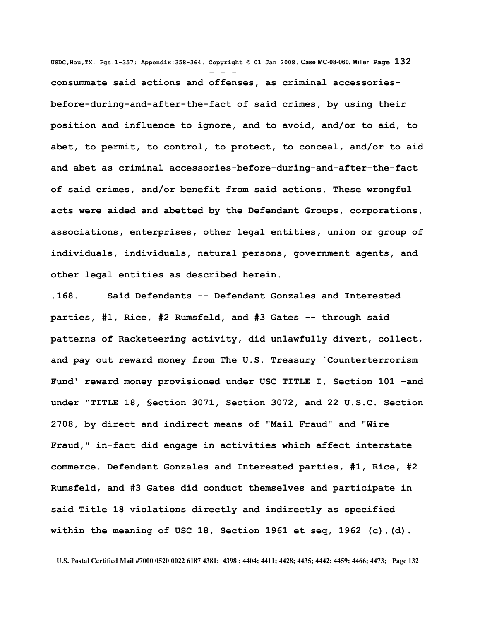**USDC,Hou,TX. Pgs.1-357; Appendix:358-364. Copyright © 01 Jan 2008. Case MC-08-060, Miller Page 132** - - **consummate said actions and offenses, as criminal accessoriesbefore-during-and-after-the-fact of said crimes, by using their position and influence to ignore, and to avoid, and/or to aid, to abet, to permit, to control, to protect, to conceal, and/or to aid and abet as criminal accessories-before-during-and-after-the-fact of said crimes, and/or benefit from said actions. These wrongful acts were aided and abetted by the Defendant Groups, corporations, associations, enterprises, other legal entities, union or group of individuals, individuals, natural persons, government agents, and other legal entities as described herein.**

**.168. Said Defendants -- Defendant Gonzales and Interested parties, #1, Rice, #2 Rumsfeld, and #3 Gates -- through said patterns of Racketeering activity, did unlawfully divert, collect, and pay out reward money from The U.S. Treasury `Counterterrorism Fund' reward money provisioned under USC TITLE I, Section 101 –and under "TITLE 18, §ection 3071, Section 3072, and 22 U.S.C. Section 2708, by direct and indirect means of "Mail Fraud" and "Wire Fraud," in-fact did engage in activities which affect interstate commerce. Defendant Gonzales and Interested parties, #1, Rice, #2 Rumsfeld, and #3 Gates did conduct themselves and participate in said Title 18 violations directly and indirectly as specified within the meaning of USC 18, Section 1961 et seq, 1962 (c),(d).**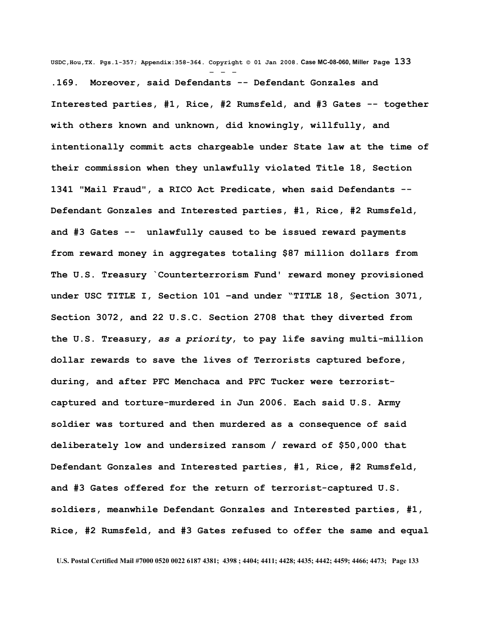**USDC,Hou,TX. Pgs.1-357; Appendix:358-364. Copyright © 01 Jan 2008. Case MC-08-060, Miller Page 133**

- - - **.169. Moreover, said Defendants -- Defendant Gonzales and Interested parties, #1, Rice, #2 Rumsfeld, and #3 Gates -- together with others known and unknown, did knowingly, willfully, and intentionally commit acts chargeable under State law at the time of their commission when they unlawfully violated Title 18, Section 1341 "Mail Fraud", a RICO Act Predicate, when said Defendants -- Defendant Gonzales and Interested parties, #1, Rice, #2 Rumsfeld, and #3 Gates -- unlawfully caused to be issued reward payments from reward money in aggregates totaling \$87 million dollars from The U.S. Treasury `Counterterrorism Fund' reward money provisioned under USC TITLE I, Section 101 –and under "TITLE 18, §ection 3071, Section 3072, and 22 U.S.C. Section 2708 that they diverted from the U.S. Treasury,** *as a priority***, to pay life saving multi-million dollar rewards to save the lives of Terrorists captured before, during, and after PFC Menchaca and PFC Tucker were terroristcaptured and torture-murdered in Jun 2006. Each said U.S. Army soldier was tortured and then murdered as a consequence of said deliberately low and undersized ransom / reward of \$50,000 that Defendant Gonzales and Interested parties, #1, Rice, #2 Rumsfeld, and #3 Gates offered for the return of terrorist-captured U.S. soldiers, meanwhile Defendant Gonzales and Interested parties, #1, Rice, #2 Rumsfeld, and #3 Gates refused to offer the same and equal**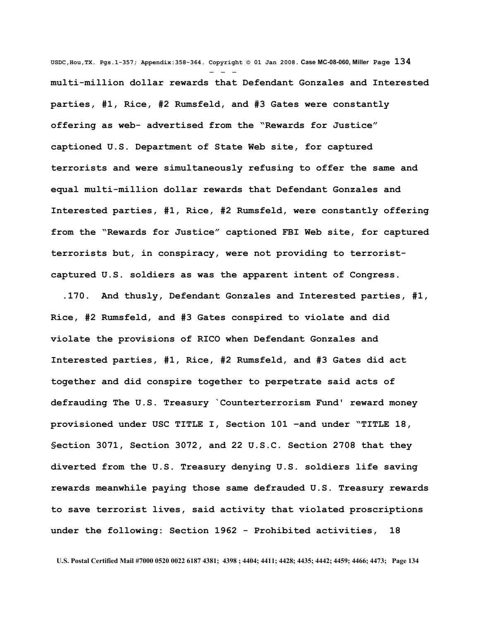**USDC,Hou,TX. Pgs.1-357; Appendix:358-364. Copyright © 01 Jan 2008. Case MC-08-060, Miller Page 134** - - **multi-million dollar rewards that Defendant Gonzales and Interested parties, #1, Rice, #2 Rumsfeld, and #3 Gates were constantly offering as web- advertised from the "Rewards for Justice" captioned U.S. Department of State Web site, for captured terrorists and were simultaneously refusing to offer the same and equal multi-million dollar rewards that Defendant Gonzales and Interested parties, #1, Rice, #2 Rumsfeld, were constantly offering from the "Rewards for Justice" captioned FBI Web site, for captured terrorists but, in conspiracy, were not providing to terroristcaptured U.S. soldiers as was the apparent intent of Congress.**

 **.170. And thusly, Defendant Gonzales and Interested parties, #1, Rice, #2 Rumsfeld, and #3 Gates conspired to violate and did violate the provisions of RICO when Defendant Gonzales and Interested parties, #1, Rice, #2 Rumsfeld, and #3 Gates did act together and did conspire together to perpetrate said acts of defrauding The U.S. Treasury `Counterterrorism Fund' reward money provisioned under USC TITLE I, Section 101 –and under "TITLE 18, §ection 3071, Section 3072, and 22 U.S.C. Section 2708 that they diverted from the U.S. Treasury denying U.S. soldiers life saving rewards meanwhile paying those same defrauded U.S. Treasury rewards to save terrorist lives, said activity that violated proscriptions under the following: Section 1962 - Prohibited activities, 18**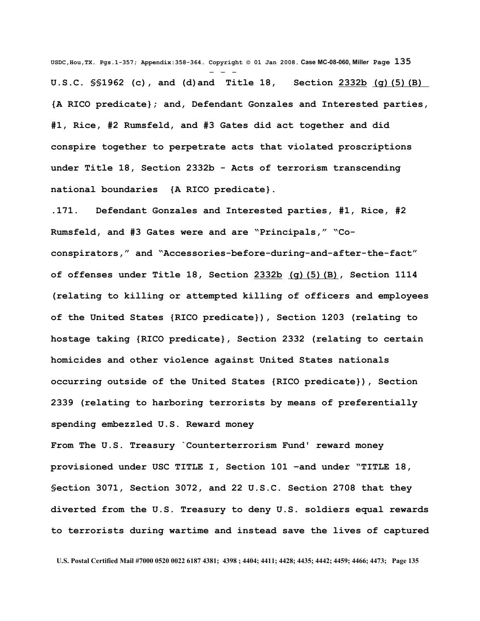**USDC,Hou,TX. Pgs.1-357; Appendix:358-364. Copyright © 01 Jan 2008. Case MC-08-060, Miller Page 135** - - - **U.S.C. §§1962 (c), and (d)and Title 18, Section [2332b](http://www4.law.cornell.edu/uscode/html/uscode18/usc_sec_18_00002332---b000-.html) [\(g\)\(5\)\(B\)](http://www4.law.cornell.edu/uscode/html/uscode18/usc_sec_18_00002332---b000-.html#g_5_B) {A RICO predicate}; and, Defendant Gonzales and Interested parties, #1, Rice, #2 Rumsfeld, and #3 Gates did act together and did conspire together to perpetrate acts that violated proscriptions under Title 18, Section 2332b - Acts of terrorism transcending national boundaries {A RICO predicate}.**

**.171. Defendant Gonzales and Interested parties, #1, Rice, #2 Rumsfeld, and #3 Gates were and are "Principals," "Coconspirators," and "Accessories-before-during-and-after-the-fact" of offenses under Title 18, Section [2332b](http://www4.law.cornell.edu/uscode/html/uscode18/usc_sec_18_00002332---b000-.html) [\(g\)\(5\)\(B\),](http://www4.law.cornell.edu/uscode/html/uscode18/usc_sec_18_00002332---b000-.html#g_5_B) Section 1114 (relating to killing or attempted killing of officers and employees of the United States {RICO predicate}), Section 1203 (relating to hostage taking {RICO predicate}, Section 2332 (relating to certain homicides and other violence against United States nationals occurring outside of the United States {RICO predicate}), Section 2339 (relating to harboring terrorists by means of preferentially spending embezzled U.S. Reward money** 

**From The U.S. Treasury `Counterterrorism Fund' reward money provisioned under USC TITLE I, Section 101 –and under "TITLE 18, §ection 3071, Section 3072, and 22 U.S.C. Section 2708 that they diverted from the U.S. Treasury to deny U.S. soldiers equal rewards to terrorists during wartime and instead save the lives of captured**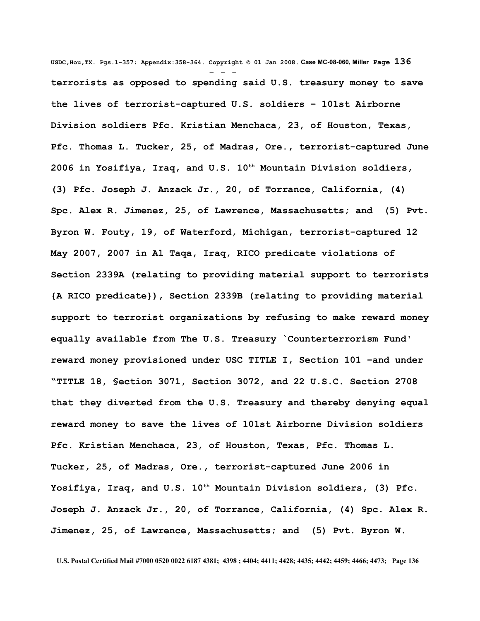**USDC,Hou,TX. Pgs.1-357; Appendix:358-364. Copyright © 01 Jan 2008. Case MC-08-060, Miller Page 136** - - **terrorists as opposed to spending said U.S. treasury money to save the lives of terrorist-captured U.S. soldiers – 101st Airborne Division soldiers Pfc. Kristian Menchaca, 23, of Houston, Texas, Pfc. Thomas L. Tucker, 25, of Madras, Ore., terrorist-captured June 2006 in Yosifiya, Iraq, and U.S. 10th Mountain Division soldiers, (3) Pfc. Joseph J. Anzack Jr., 20, of Torrance, California, (4) Spc. Alex R. Jimenez, 25, of Lawrence, Massachusetts; and (5) Pvt. Byron W. Fouty, 19, of Waterford, Michigan, terrorist-captured 12 May 2007, 2007 in Al Taqa, Iraq, RICO predicate violations of Section 2339A (relating to providing material support to terrorists {A RICO predicate}), Section 2339B (relating to providing material support to terrorist organizations by refusing to make reward money equally available from The U.S. Treasury `Counterterrorism Fund' reward money provisioned under USC TITLE I, Section 101 –and under "TITLE 18, §ection 3071, Section 3072, and 22 U.S.C. Section 2708 that they diverted from the U.S. Treasury and thereby denying equal reward money to save the lives of 101st Airborne Division soldiers Pfc. Kristian Menchaca, 23, of Houston, Texas, Pfc. Thomas L. Tucker, 25, of Madras, Ore., terrorist-captured June 2006 in Yosifiya, Iraq, and U.S. 10th Mountain Division soldiers, (3) Pfc. Joseph J. Anzack Jr., 20, of Torrance, California, (4) Spc. Alex R. Jimenez, 25, of Lawrence, Massachusetts; and (5) Pvt. Byron W.**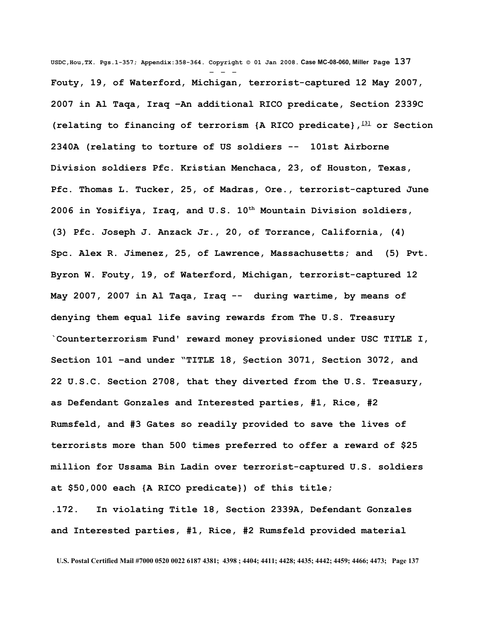**USDC,Hou,TX. Pgs.1-357; Appendix:358-364. Copyright © 01 Jan 2008. Case MC-08-060, Miller Page 137** - - - **Fouty, 19, of Waterford, Michigan, terrorist-captured 12 May 2007, 2007 in Al Taqa, Iraq –An additional RICO predicate, Section 2339C (relating to financing of terrorism {A RICO predicate}, [\[3\]](http://www.law.cornell.edu/uscode/html/uscode18/usc_sec_18_00002332---b000-.html#FN-3%23FN-3) or Section 2340A (relating to torture of US soldiers -- 101st Airborne Division soldiers Pfc. Kristian Menchaca, 23, of Houston, Texas, Pfc. Thomas L. Tucker, 25, of Madras, Ore., terrorist-captured June 2006 in Yosifiya, Iraq, and U.S. 10th Mountain Division soldiers, (3) Pfc. Joseph J. Anzack Jr., 20, of Torrance, California, (4) Spc. Alex R. Jimenez, 25, of Lawrence, Massachusetts; and (5) Pvt. Byron W. Fouty, 19, of Waterford, Michigan, terrorist-captured 12 May 2007, 2007 in Al Taqa, Iraq -- during wartime, by means of denying them equal life saving rewards from The U.S. Treasury `Counterterrorism Fund' reward money provisioned under USC TITLE I, Section 101 –and under "TITLE 18, §ection 3071, Section 3072, and 22 U.S.C. Section 2708, that they diverted from the U.S. Treasury, as Defendant Gonzales and Interested parties, #1, Rice, #2 Rumsfeld, and #3 Gates so readily provided to save the lives of terrorists more than 500 times preferred to offer a reward of \$25 million for Ussama Bin Ladin over terrorist-captured U.S. soldiers at \$50,000 each {A RICO predicate}) of this title;** 

**.172. In violating Title 18, Section 2339A, Defendant Gonzales and Interested parties, #1, Rice, #2 Rumsfeld provided material**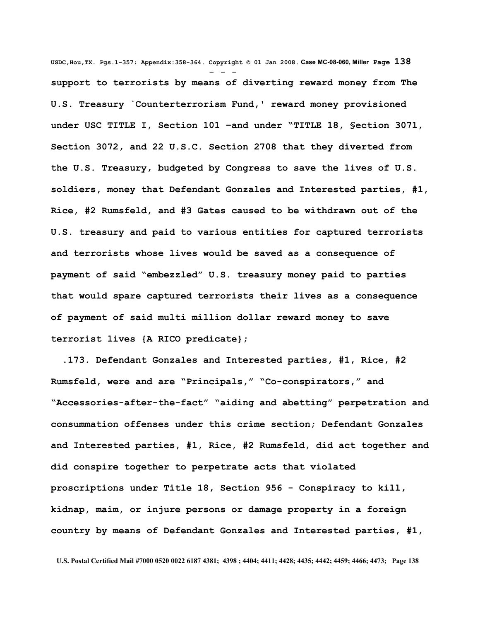**USDC,Hou,TX. Pgs.1-357; Appendix:358-364. Copyright © 01 Jan 2008. Case MC-08-060, Miller Page 138** - - **support to terrorists by means of diverting reward money from The U.S. Treasury `Counterterrorism Fund,' reward money provisioned under USC TITLE I, Section 101 –and under "TITLE 18, §ection 3071, Section 3072, and 22 U.S.C. Section 2708 that they diverted from the U.S. Treasury, budgeted by Congress to save the lives of U.S. soldiers, money that Defendant Gonzales and Interested parties, #1, Rice, #2 Rumsfeld, and #3 Gates caused to be withdrawn out of the U.S. treasury and paid to various entities for captured terrorists and terrorists whose lives would be saved as a consequence of payment of said "embezzled" U.S. treasury money paid to parties that would spare captured terrorists their lives as a consequence of payment of said multi million dollar reward money to save terrorist lives {A RICO predicate};**

 **.173. Defendant Gonzales and Interested parties, #1, Rice, #2 Rumsfeld, were and are "Principals," "Co-conspirators," and "Accessories-after-the-fact" "aiding and abetting" perpetration and consummation offenses under this crime section; Defendant Gonzales and Interested parties, #1, Rice, #2 Rumsfeld, did act together and did conspire together to perpetrate acts that violated proscriptions under Title 18, Section 956 - Conspiracy to kill, kidnap, maim, or injure persons or damage property in a foreign country by means of Defendant Gonzales and Interested parties, #1,**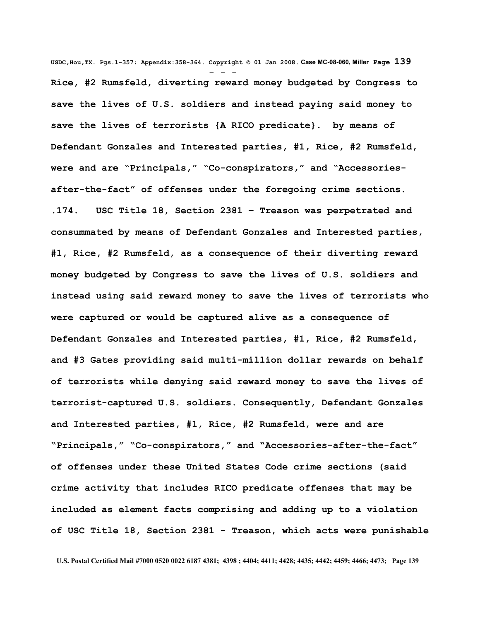**USDC,Hou,TX. Pgs.1-357; Appendix:358-364. Copyright © 01 Jan 2008. Case MC-08-060, Miller Page 139** - - - **Rice, #2 Rumsfeld, diverting reward money budgeted by Congress to save the lives of U.S. soldiers and instead paying said money to save the lives of terrorists {A RICO predicate}. by means of Defendant Gonzales and Interested parties, #1, Rice, #2 Rumsfeld, were and are "Principals," "Co-conspirators," and "Accessoriesafter-the-fact" of offenses under the foregoing crime sections. .174. USC Title 18, Section 2381 – Treason was perpetrated and consummated by means of Defendant Gonzales and Interested parties, #1, Rice, #2 Rumsfeld, as a consequence of their diverting reward money budgeted by Congress to save the lives of U.S. soldiers and instead using said reward money to save the lives of terrorists who were captured or would be captured alive as a consequence of Defendant Gonzales and Interested parties, #1, Rice, #2 Rumsfeld, and #3 Gates providing said multi-million dollar rewards on behalf of terrorists while denying said reward money to save the lives of terrorist-captured U.S. soldiers. Consequently, Defendant Gonzales and Interested parties, #1, Rice, #2 Rumsfeld, were and are "Principals," "Co-conspirators," and "Accessories-after-the-fact" of offenses under these United States Code crime sections (said crime activity that includes RICO predicate offenses that may be included as element facts comprising and adding up to a violation of USC Title 18, Section 2381 - Treason, which acts were punishable**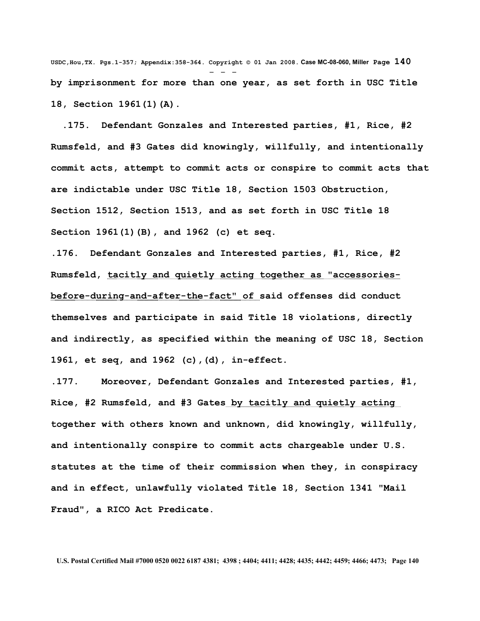**USDC,Hou,TX. Pgs.1-357; Appendix:358-364. Copyright © 01 Jan 2008. Case MC-08-060, Miller Page 140** - - **by imprisonment for more than one year, as set forth in USC Title 18, Section 1961(1)(A).** 

 **.175. Defendant Gonzales and Interested parties, #1, Rice, #2 Rumsfeld, and #3 Gates did knowingly, willfully, and intentionally commit acts, attempt to commit acts or conspire to commit acts that are indictable under USC Title 18, Section 1503 Obstruction, Section 1512, Section 1513, and as set forth in USC Title 18 Section 1961(1)(B), and 1962 (c) et seq.**

**.176. Defendant Gonzales and Interested parties, #1, Rice, #2 Rumsfeld, tacitly and quietly acting together as "accessoriesbefore-during-and-after-the-fact" of said offenses did conduct themselves and participate in said Title 18 violations, directly and indirectly, as specified within the meaning of USC 18, Section 1961, et seq, and 1962 (c),(d), in-effect.** 

**.177. Moreover, Defendant Gonzales and Interested parties, #1, Rice, #2 Rumsfeld, and #3 Gates by tacitly and quietly acting together with others known and unknown, did knowingly, willfully, and intentionally conspire to commit acts chargeable under U.S. statutes at the time of their commission when they, in conspiracy and in effect, unlawfully violated Title 18, Section 1341 "Mail Fraud", a RICO Act Predicate.**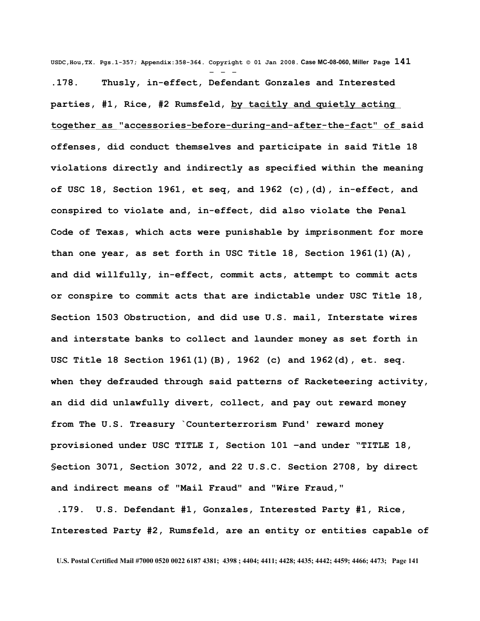**USDC,Hou,TX. Pgs.1-357; Appendix:358-364. Copyright © 01 Jan 2008. Case MC-08-060, Miller Page 141** - - - **.178. Thusly, in-effect, Defendant Gonzales and Interested parties, #1, Rice, #2 Rumsfeld, by tacitly and quietly acting together as "accessories-before-during-and-after-the-fact" of said offenses, did conduct themselves and participate in said Title 18 violations directly and indirectly as specified within the meaning of USC 18, Section 1961, et seq, and 1962 (c),(d), in-effect, and conspired to violate and, in-effect, did also violate the Penal Code of Texas, which acts were punishable by imprisonment for more than one year, as set forth in USC Title 18, Section 1961(1)(A), and did willfully, in-effect, commit acts, attempt to commit acts or conspire to commit acts that are indictable under USC Title 18, Section 1503 Obstruction, and did use U.S. mail, Interstate wires and interstate banks to collect and launder money as set forth in USC Title 18 Section 1961(1)(B), 1962 (c) and 1962(d), et. seq. when they defrauded through said patterns of Racketeering activity, an did did unlawfully divert, collect, and pay out reward money from The U.S. Treasury `Counterterrorism Fund' reward money provisioned under USC TITLE I, Section 101 –and under "TITLE 18, §ection 3071, Section 3072, and 22 U.S.C. Section 2708, by direct and indirect means of "Mail Fraud" and "Wire Fraud,"**

 **.179. U.S. Defendant #1, Gonzales, Interested Party #1, Rice, Interested Party #2, Rumsfeld, are an entity or entities capable of**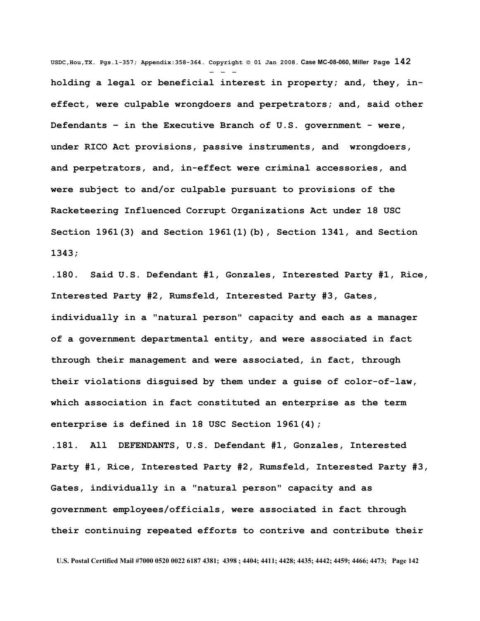**USDC,Hou,TX. Pgs.1-357; Appendix:358-364. Copyright © 01 Jan 2008. Case MC-08-060, Miller Page 142** - - **holding a legal or beneficial interest in property; and, they, ineffect, were culpable wrongdoers and perpetrators; and, said other Defendants – in the Executive Branch of U.S. government - were, under RICO Act provisions, passive instruments, and wrongdoers, and perpetrators, and, in-effect were criminal accessories, and were subject to and/or culpable pursuant to provisions of the Racketeering Influenced Corrupt Organizations Act under 18 USC Section 1961(3) and Section 1961(1)(b), Section 1341, and Section 1343;**

**.180. Said U.S. Defendant #1, Gonzales, Interested Party #1, Rice, Interested Party #2, Rumsfeld, Interested Party #3, Gates, individually in a "natural person" capacity and each as a manager of a government departmental entity, and were associated in fact through their management and were associated, in fact, through their violations disguised by them under a guise of color-of-law, which association in fact constituted an enterprise as the term enterprise is defined in 18 USC Section 1961(4);**

**.181. All DEFENDANTS, U.S. Defendant #1, Gonzales, Interested Party #1, Rice, Interested Party #2, Rumsfeld, Interested Party #3, Gates, individually in a "natural person" capacity and as government employees/officials, were associated in fact through their continuing repeated efforts to contrive and contribute their**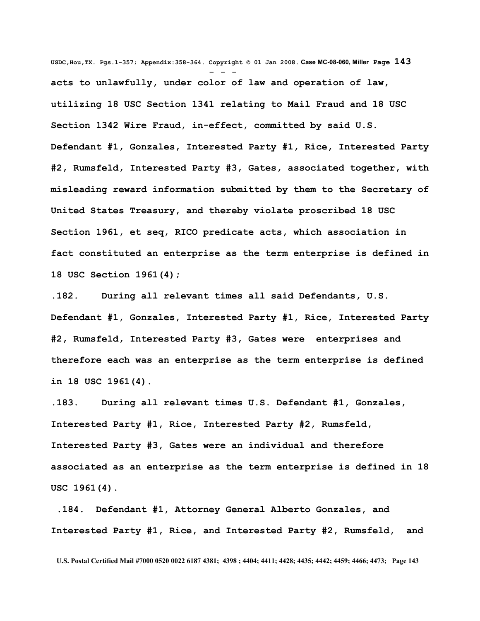**USDC,Hou,TX. Pgs.1-357; Appendix:358-364. Copyright © 01 Jan 2008. Case MC-08-060, Miller Page 143** - - **acts to unlawfully, under color of law and operation of law, utilizing 18 USC Section 1341 relating to Mail Fraud and 18 USC Section 1342 Wire Fraud, in-effect, committed by said U.S. Defendant #1, Gonzales, Interested Party #1, Rice, Interested Party #2, Rumsfeld, Interested Party #3, Gates, associated together, with misleading reward information submitted by them to the Secretary of United States Treasury, and thereby violate proscribed 18 USC Section 1961, et seq, RICO predicate acts, which association in fact constituted an enterprise as the term enterprise is defined in 18 USC Section 1961(4);**

**.182. During all relevant times all said Defendants, U.S. Defendant #1, Gonzales, Interested Party #1, Rice, Interested Party #2, Rumsfeld, Interested Party #3, Gates were enterprises and therefore each was an enterprise as the term enterprise is defined in 18 USC 1961(4).**

**.183. During all relevant times U.S. Defendant #1, Gonzales, Interested Party #1, Rice, Interested Party #2, Rumsfeld, Interested Party #3, Gates were an individual and therefore associated as an enterprise as the term enterprise is defined in 18 USC 1961(4).**

 **.184. Defendant #1, Attorney General Alberto Gonzales, and Interested Party #1, Rice, and Interested Party #2, Rumsfeld, and**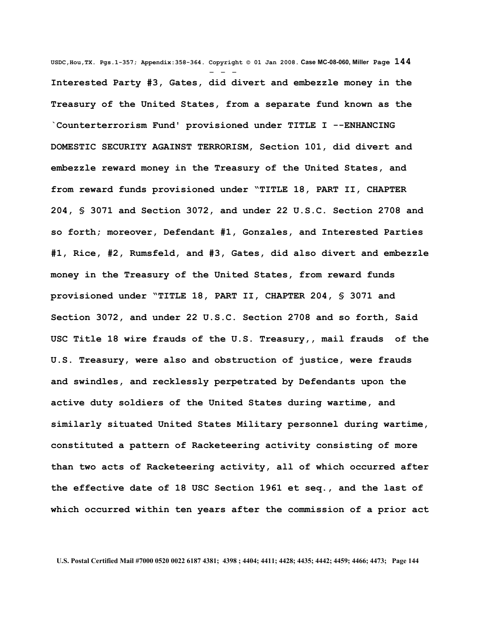**USDC,Hou,TX. Pgs.1-357; Appendix:358-364. Copyright © 01 Jan 2008. Case MC-08-060, Miller Page 144** - - - **Interested Party #3, Gates, did divert and embezzle money in the Treasury of the United States, from a separate fund known as the `Counterterrorism Fund' provisioned under TITLE I --ENHANCING DOMESTIC SECURITY AGAINST TERRORISM, Section 101, did divert and embezzle reward money in the Treasury of the United States, and from reward funds provisioned under "TITLE 18, PART II, CHAPTER 204, § 3071 and Section 3072, and under 22 U.S.C. Section 2708 and so forth; moreover, Defendant #1, Gonzales, and Interested Parties #1, Rice, #2, Rumsfeld, and #3, Gates, did also divert and embezzle money in the Treasury of the United States, from reward funds provisioned under "TITLE 18, PART II, CHAPTER 204, § 3071 and Section 3072, and under 22 U.S.C. Section 2708 and so forth, Said USC Title 18 wire frauds of the U.S. Treasury,, mail frauds of the U.S. Treasury, were also and obstruction of justice, were frauds and swindles, and recklessly perpetrated by Defendants upon the active duty soldiers of the United States during wartime, and similarly situated United States Military personnel during wartime, constituted a pattern of Racketeering activity consisting of more than two acts of Racketeering activity, all of which occurred after the effective date of 18 USC Section 1961 et seq., and the last of which occurred within ten years after the commission of a prior act**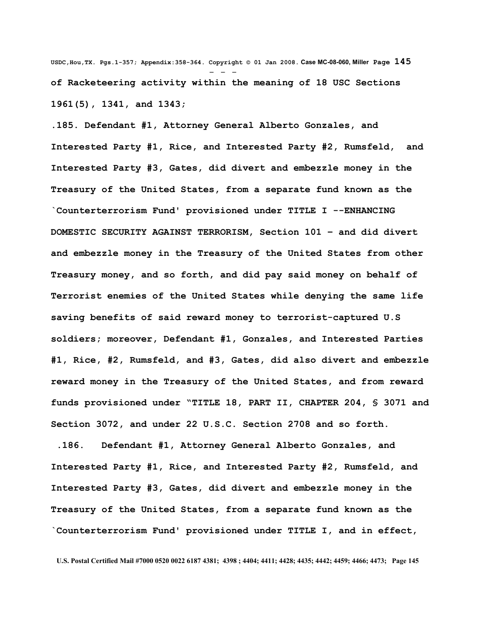**USDC,Hou,TX. Pgs.1-357; Appendix:358-364. Copyright © 01 Jan 2008. Case MC-08-060, Miller Page 145** - - **of Racketeering activity within the meaning of 18 USC Sections 1961(5), 1341, and 1343;** 

**.185. Defendant #1, Attorney General Alberto Gonzales, and Interested Party #1, Rice, and Interested Party #2, Rumsfeld, and Interested Party #3, Gates, did divert and embezzle money in the Treasury of the United States, from a separate fund known as the `Counterterrorism Fund' provisioned under TITLE I --ENHANCING DOMESTIC SECURITY AGAINST TERRORISM, Section 101 – and did divert and embezzle money in the Treasury of the United States from other Treasury money, and so forth, and did pay said money on behalf of Terrorist enemies of the United States while denying the same life saving benefits of said reward money to terrorist-captured U.S soldiers; moreover, Defendant #1, Gonzales, and Interested Parties #1, Rice, #2, Rumsfeld, and #3, Gates, did also divert and embezzle reward money in the Treasury of the United States, and from reward funds provisioned under "TITLE 18, PART II, CHAPTER 204, § 3071 and Section 3072, and under 22 U.S.C. Section 2708 and so forth.**

 **.186. Defendant #1, Attorney General Alberto Gonzales, and Interested Party #1, Rice, and Interested Party #2, Rumsfeld, and Interested Party #3, Gates, did divert and embezzle money in the Treasury of the United States, from a separate fund known as the `Counterterrorism Fund' provisioned under TITLE I, and in effect,**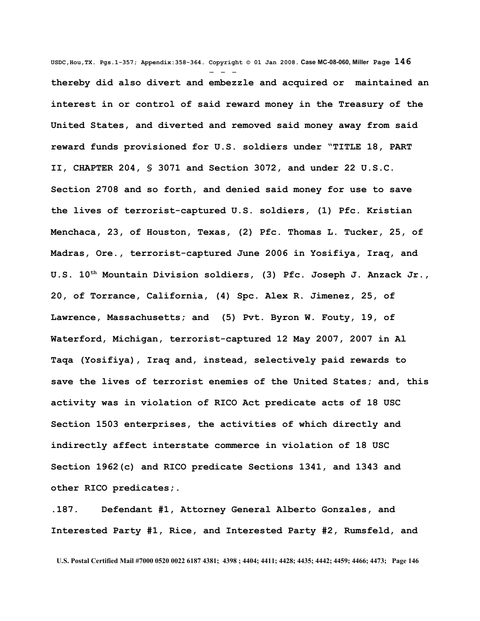**USDC,Hou,TX. Pgs.1-357; Appendix:358-364. Copyright © 01 Jan 2008. Case MC-08-060, Miller Page 146** - - **thereby did also divert and embezzle and acquired or maintained an interest in or control of said reward money in the Treasury of the United States, and diverted and removed said money away from said reward funds provisioned for U.S. soldiers under "TITLE 18, PART II, CHAPTER 204, § 3071 and Section 3072, and under 22 U.S.C. Section 2708 and so forth, and denied said money for use to save the lives of terrorist-captured U.S. soldiers, (1) Pfc. Kristian Menchaca, 23, of Houston, Texas, (2) Pfc. Thomas L. Tucker, 25, of Madras, Ore., terrorist-captured June 2006 in Yosifiya, Iraq, and U.S. 10th Mountain Division soldiers, (3) Pfc. Joseph J. Anzack Jr., 20, of Torrance, California, (4) Spc. Alex R. Jimenez, 25, of Lawrence, Massachusetts; and (5) Pvt. Byron W. Fouty, 19, of Waterford, Michigan, terrorist-captured 12 May 2007, 2007 in Al Taqa (Yosifiya), Iraq and, instead, selectively paid rewards to save the lives of terrorist enemies of the United States; and, this activity was in violation of RICO Act predicate acts of 18 USC Section 1503 enterprises, the activities of which directly and indirectly affect interstate commerce in violation of 18 USC Section 1962(c) and RICO predicate Sections 1341, and 1343 and other RICO predicates;.**

**.187. Defendant #1, Attorney General Alberto Gonzales, and Interested Party #1, Rice, and Interested Party #2, Rumsfeld, and**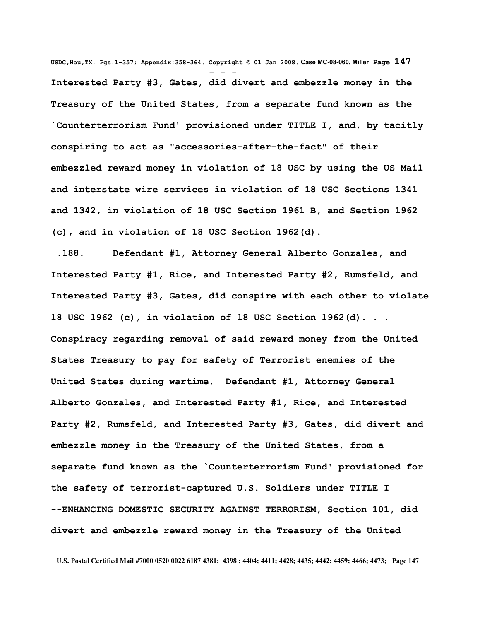**USDC,Hou,TX. Pgs.1-357; Appendix:358-364. Copyright © 01 Jan 2008. Case MC-08-060, Miller Page 147** - - - **Interested Party #3, Gates, did divert and embezzle money in the Treasury of the United States, from a separate fund known as the `Counterterrorism Fund' provisioned under TITLE I, and, by tacitly conspiring to act as "accessories-after-the-fact" of their embezzled reward money in violation of 18 USC by using the US Mail and interstate wire services in violation of 18 USC Sections 1341 and 1342, in violation of 18 USC Section 1961 B, and Section 1962 (c), and in violation of 18 USC Section 1962(d).**

 **.188. Defendant #1, Attorney General Alberto Gonzales, and Interested Party #1, Rice, and Interested Party #2, Rumsfeld, and Interested Party #3, Gates, did conspire with each other to violate 18 USC 1962 (c), in violation of 18 USC Section 1962(d). . . Conspiracy regarding removal of said reward money from the United States Treasury to pay for safety of Terrorist enemies of the United States during wartime. Defendant #1, Attorney General Alberto Gonzales, and Interested Party #1, Rice, and Interested Party #2, Rumsfeld, and Interested Party #3, Gates, did divert and embezzle money in the Treasury of the United States, from a separate fund known as the `Counterterrorism Fund' provisioned for the safety of terrorist-captured U.S. Soldiers under TITLE I --ENHANCING DOMESTIC SECURITY AGAINST TERRORISM, Section 101, did divert and embezzle reward money in the Treasury of the United**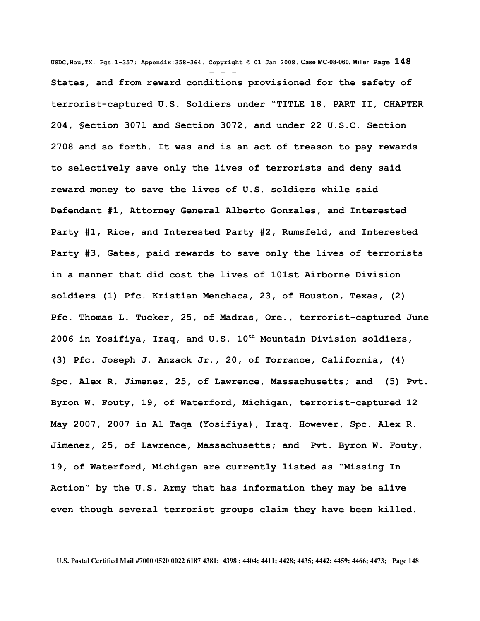**USDC,Hou,TX. Pgs.1-357; Appendix:358-364. Copyright © 01 Jan 2008. Case MC-08-060, Miller Page 148** - - - **States, and from reward conditions provisioned for the safety of terrorist-captured U.S. Soldiers under "TITLE 18, PART II, CHAPTER 204, §ection 3071 and Section 3072, and under 22 U.S.C. Section 2708 and so forth. It was and is an act of treason to pay rewards to selectively save only the lives of terrorists and deny said reward money to save the lives of U.S. soldiers while said Defendant #1, Attorney General Alberto Gonzales, and Interested Party #1, Rice, and Interested Party #2, Rumsfeld, and Interested Party #3, Gates, paid rewards to save only the lives of terrorists in a manner that did cost the lives of 101st Airborne Division soldiers (1) Pfc. Kristian Menchaca, 23, of Houston, Texas, (2) Pfc. Thomas L. Tucker, 25, of Madras, Ore., terrorist-captured June 2006 in Yosifiya, Iraq, and U.S. 10th Mountain Division soldiers, (3) Pfc. Joseph J. Anzack Jr., 20, of Torrance, California, (4) Spc. Alex R. Jimenez, 25, of Lawrence, Massachusetts; and (5) Pvt. Byron W. Fouty, 19, of Waterford, Michigan, terrorist-captured 12 May 2007, 2007 in Al Taqa (Yosifiya), Iraq. However, Spc. Alex R. Jimenez, 25, of Lawrence, Massachusetts; and Pvt. Byron W. Fouty, 19, of Waterford, Michigan are currently listed as "Missing In Action" by the U.S. Army that has information they may be alive even though several terrorist groups claim they have been killed.**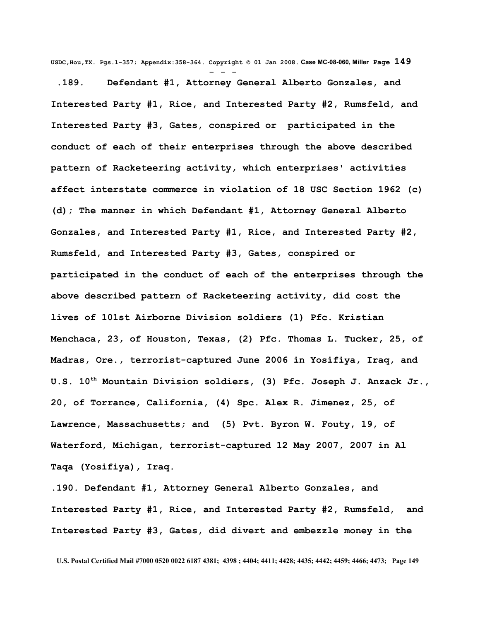**USDC,Hou,TX. Pgs.1-357; Appendix:358-364. Copyright © 01 Jan 2008. Case MC-08-060, Miller Page 149**

- - -  **.189. Defendant #1, Attorney General Alberto Gonzales, and Interested Party #1, Rice, and Interested Party #2, Rumsfeld, and Interested Party #3, Gates, conspired or participated in the conduct of each of their enterprises through the above described pattern of Racketeering activity, which enterprises' activities affect interstate commerce in violation of 18 USC Section 1962 (c) (d); The manner in which Defendant #1, Attorney General Alberto Gonzales, and Interested Party #1, Rice, and Interested Party #2, Rumsfeld, and Interested Party #3, Gates, conspired or participated in the conduct of each of the enterprises through the above described pattern of Racketeering activity, did cost the lives of 101st Airborne Division soldiers (1) Pfc. Kristian Menchaca, 23, of Houston, Texas, (2) Pfc. Thomas L. Tucker, 25, of Madras, Ore., terrorist-captured June 2006 in Yosifiya, Iraq, and U.S. 10th Mountain Division soldiers, (3) Pfc. Joseph J. Anzack Jr., 20, of Torrance, California, (4) Spc. Alex R. Jimenez, 25, of Lawrence, Massachusetts; and (5) Pvt. Byron W. Fouty, 19, of Waterford, Michigan, terrorist-captured 12 May 2007, 2007 in Al Taqa (Yosifiya), Iraq.**

**.190. Defendant #1, Attorney General Alberto Gonzales, and Interested Party #1, Rice, and Interested Party #2, Rumsfeld, and Interested Party #3, Gates, did divert and embezzle money in the**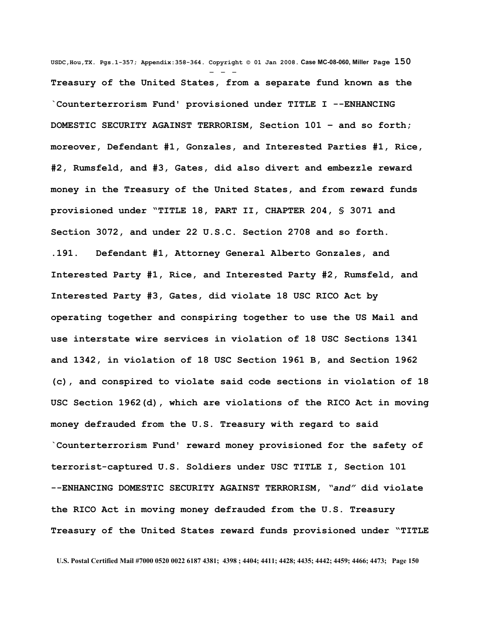**USDC,Hou,TX. Pgs.1-357; Appendix:358-364. Copyright © 01 Jan 2008. Case MC-08-060, Miller Page 150** - - - **Treasury of the United States, from a separate fund known as the `Counterterrorism Fund' provisioned under TITLE I --ENHANCING DOMESTIC SECURITY AGAINST TERRORISM, Section 101 – and so forth; moreover, Defendant #1, Gonzales, and Interested Parties #1, Rice, #2, Rumsfeld, and #3, Gates, did also divert and embezzle reward money in the Treasury of the United States, and from reward funds provisioned under "TITLE 18, PART II, CHAPTER 204, § 3071 and Section 3072, and under 22 U.S.C. Section 2708 and so forth. .191. Defendant #1, Attorney General Alberto Gonzales, and Interested Party #1, Rice, and Interested Party #2, Rumsfeld, and Interested Party #3, Gates, did violate 18 USC RICO Act by operating together and conspiring together to use the US Mail and use interstate wire services in violation of 18 USC Sections 1341 and 1342, in violation of 18 USC Section 1961 B, and Section 1962 (c), and conspired to violate said code sections in violation of 18 USC Section 1962(d), which are violations of the RICO Act in moving money defrauded from the U.S. Treasury with regard to said `Counterterrorism Fund' reward money provisioned for the safety of terrorist-captured U.S. Soldiers under USC TITLE I, Section 101 --ENHANCING DOMESTIC SECURITY AGAINST TERRORISM,** *"and"* **did violate the RICO Act in moving money defrauded from the U.S. Treasury Treasury of the United States reward funds provisioned under "TITLE**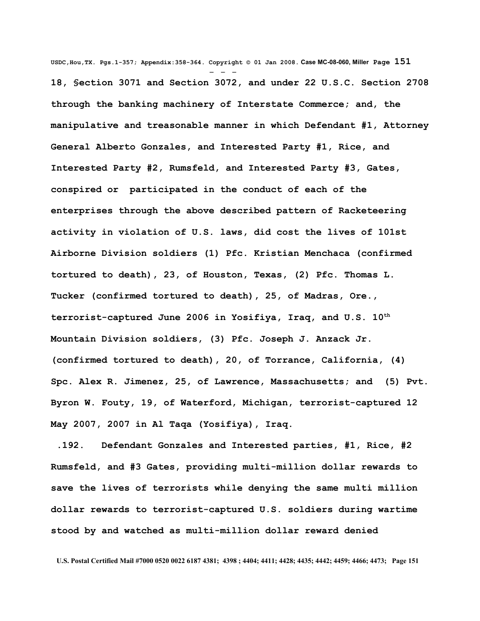**USDC,Hou,TX. Pgs.1-357; Appendix:358-364. Copyright © 01 Jan 2008. Case MC-08-060, Miller Page 151** - - - **18, §ection 3071 and Section 3072, and under 22 U.S.C. Section 2708 through the banking machinery of Interstate Commerce; and, the manipulative and treasonable manner in which Defendant #1, Attorney General Alberto Gonzales, and Interested Party #1, Rice, and Interested Party #2, Rumsfeld, and Interested Party #3, Gates, conspired or participated in the conduct of each of the enterprises through the above described pattern of Racketeering activity in violation of U.S. laws, did cost the lives of 101st Airborne Division soldiers (1) Pfc. Kristian Menchaca (confirmed tortured to death), 23, of Houston, Texas, (2) Pfc. Thomas L. Tucker (confirmed tortured to death), 25, of Madras, Ore., terrorist-captured June 2006 in Yosifiya, Iraq, and U.S. 10th Mountain Division soldiers, (3) Pfc. Joseph J. Anzack Jr. (confirmed tortured to death), 20, of Torrance, California, (4) Spc. Alex R. Jimenez, 25, of Lawrence, Massachusetts; and (5) Pvt. Byron W. Fouty, 19, of Waterford, Michigan, terrorist-captured 12 May 2007, 2007 in Al Taqa (Yosifiya), Iraq.**

 **.192. Defendant Gonzales and Interested parties, #1, Rice, #2 Rumsfeld, and #3 Gates, providing multi-million dollar rewards to save the lives of terrorists while denying the same multi million dollar rewards to terrorist-captured U.S. soldiers during wartime stood by and watched as multi-million dollar reward denied**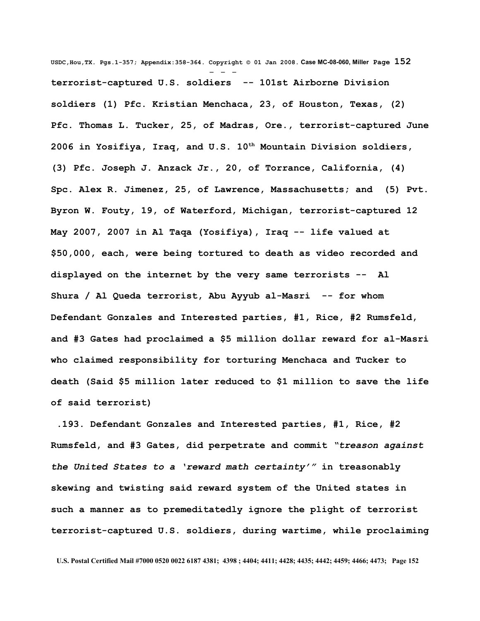**USDC,Hou,TX. Pgs.1-357; Appendix:358-364. Copyright © 01 Jan 2008. Case MC-08-060, Miller Page 152** - - **terrorist-captured U.S. soldiers -- 101st Airborne Division soldiers (1) Pfc. Kristian Menchaca, 23, of Houston, Texas, (2) Pfc. Thomas L. Tucker, 25, of Madras, Ore., terrorist-captured June 2006 in Yosifiya, Iraq, and U.S. 10th Mountain Division soldiers, (3) Pfc. Joseph J. Anzack Jr., 20, of Torrance, California, (4) Spc. Alex R. Jimenez, 25, of Lawrence, Massachusetts; and (5) Pvt. Byron W. Fouty, 19, of Waterford, Michigan, terrorist-captured 12 May 2007, 2007 in Al Taqa (Yosifiya), Iraq -- life valued at \$50,000, each, were being tortured to death as video recorded and displayed on the internet by the very same terrorists -- Al Shura / Al Queda terrorist, Abu Ayyub al-Masri -- for whom Defendant Gonzales and Interested parties, #1, Rice, #2 Rumsfeld, and #3 Gates had proclaimed a \$5 million dollar reward for al-Masri who claimed responsibility for torturing Menchaca and Tucker to death (Said \$5 million later reduced to \$1 million to save the life of said terrorist)**

 **.193. Defendant Gonzales and Interested parties, #1, Rice, #2 Rumsfeld, and #3 Gates, did perpetrate and commit** *"treason against the United States to a 'reward math certainty'"* **in treasonably skewing and twisting said reward system of the United states in such a manner as to premeditatedly ignore the plight of terrorist terrorist-captured U.S. soldiers, during wartime, while proclaiming**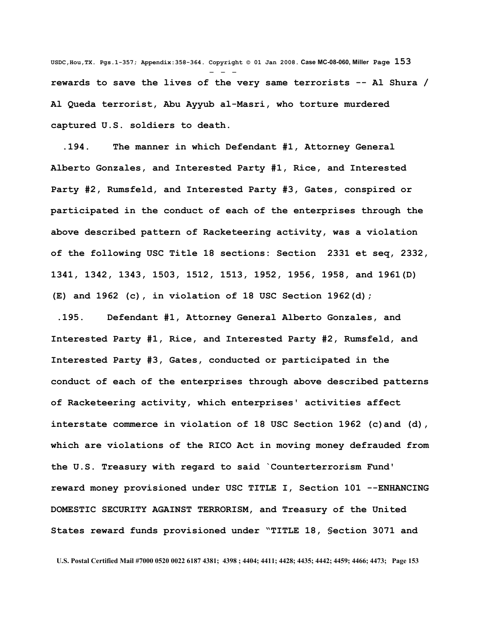**USDC,Hou,TX. Pgs.1-357; Appendix:358-364. Copyright © 01 Jan 2008. Case MC-08-060, Miller Page 153** - - **rewards to save the lives of the very same terrorists -- Al Shura / Al Queda terrorist, Abu Ayyub al-Masri, who torture murdered captured U.S. soldiers to death.**

 **.194. The manner in which Defendant #1, Attorney General Alberto Gonzales, and Interested Party #1, Rice, and Interested Party #2, Rumsfeld, and Interested Party #3, Gates, conspired or participated in the conduct of each of the enterprises through the above described pattern of Racketeering activity, was a violation of the following USC Title 18 sections: Section 2331 et seq, 2332, 1341, 1342, 1343, 1503, 1512, 1513, 1952, 1956, 1958, and 1961(D) (E) and 1962 (c), in violation of 18 USC Section 1962(d);**

 **.195. Defendant #1, Attorney General Alberto Gonzales, and Interested Party #1, Rice, and Interested Party #2, Rumsfeld, and Interested Party #3, Gates, conducted or participated in the conduct of each of the enterprises through above described patterns of Racketeering activity, which enterprises' activities affect interstate commerce in violation of 18 USC Section 1962 (c)and (d), which are violations of the RICO Act in moving money defrauded from the U.S. Treasury with regard to said `Counterterrorism Fund' reward money provisioned under USC TITLE I, Section 101 --ENHANCING DOMESTIC SECURITY AGAINST TERRORISM, and Treasury of the United States reward funds provisioned under "TITLE 18, §ection 3071 and**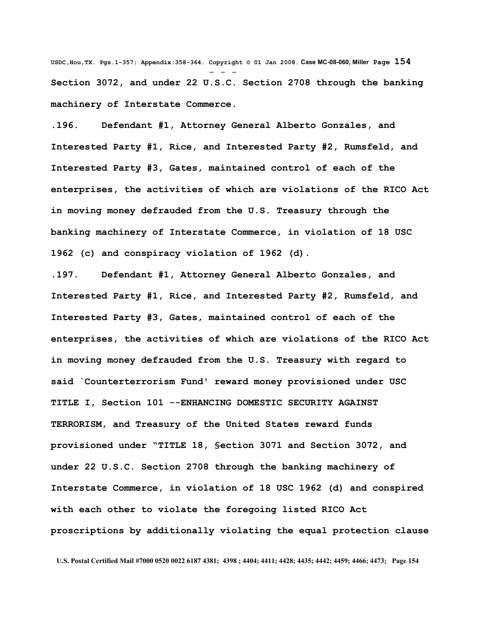**USDC,Hou,TX. Pgs.1-357; Appendix:358-364. Copyright © 01 Jan 2008. Case MC-08-060, Miller Page 154** - - - **Section 3072, and under 22 U.S.C. Section 2708 through the banking machinery of Interstate Commerce.**

**.196. Defendant #1, Attorney General Alberto Gonzales, and Interested Party #1, Rice, and Interested Party #2, Rumsfeld, and Interested Party #3, Gates, maintained control of each of the enterprises, the activities of which are violations of the RICO Act in moving money defrauded from the U.S. Treasury through the banking machinery of Interstate Commerce, in violation of 18 USC 1962 (c) and conspiracy violation of 1962 (d).**

**.197. Defendant #1, Attorney General Alberto Gonzales, and Interested Party #1, Rice, and Interested Party #2, Rumsfeld, and Interested Party #3, Gates, maintained control of each of the enterprises, the activities of which are violations of the RICO Act in moving money defrauded from the U.S. Treasury with regard to said `Counterterrorism Fund' reward money provisioned under USC TITLE I, Section 101 --ENHANCING DOMESTIC SECURITY AGAINST TERRORISM, and Treasury of the United States reward funds provisioned under "TITLE 18, §ection 3071 and Section 3072, and under 22 U.S.C. Section 2708 through the banking machinery of Interstate Commerce, in violation of 18 USC 1962 (d) and conspired with each other to violate the foregoing listed RICO Act proscriptions by additionally violating the equal protection clause**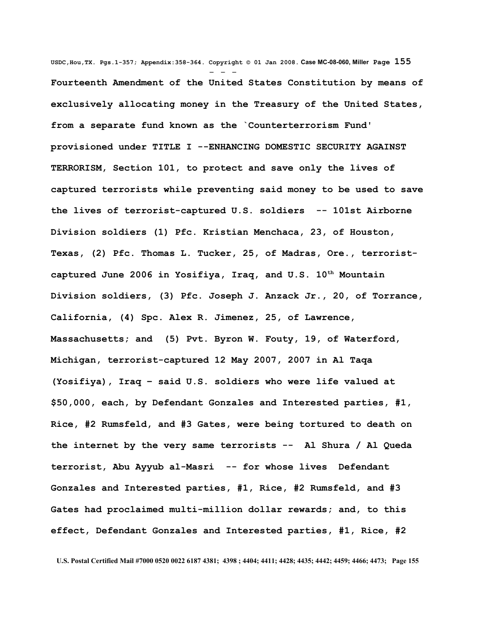**USDC,Hou,TX. Pgs.1-357; Appendix:358-364. Copyright © 01 Jan 2008. Case MC-08-060, Miller Page 155** - - - **Fourteenth Amendment of the United States Constitution by means of exclusively allocating money in the Treasury of the United States, from a separate fund known as the `Counterterrorism Fund' provisioned under TITLE I --ENHANCING DOMESTIC SECURITY AGAINST TERRORISM, Section 101, to protect and save only the lives of captured terrorists while preventing said money to be used to save the lives of terrorist-captured U.S. soldiers -- 101st Airborne Division soldiers (1) Pfc. Kristian Menchaca, 23, of Houston, Texas, (2) Pfc. Thomas L. Tucker, 25, of Madras, Ore., terroristcaptured June 2006 in Yosifiya, Iraq, and U.S. 10th Mountain Division soldiers, (3) Pfc. Joseph J. Anzack Jr., 20, of Torrance, California, (4) Spc. Alex R. Jimenez, 25, of Lawrence, Massachusetts; and (5) Pvt. Byron W. Fouty, 19, of Waterford, Michigan, terrorist-captured 12 May 2007, 2007 in Al Taqa (Yosifiya), Iraq – said U.S. soldiers who were life valued at \$50,000, each, by Defendant Gonzales and Interested parties, #1, Rice, #2 Rumsfeld, and #3 Gates, were being tortured to death on the internet by the very same terrorists -- Al Shura / Al Queda terrorist, Abu Ayyub al-Masri -- for whose lives Defendant Gonzales and Interested parties, #1, Rice, #2 Rumsfeld, and #3 Gates had proclaimed multi-million dollar rewards; and, to this effect, Defendant Gonzales and Interested parties, #1, Rice, #2**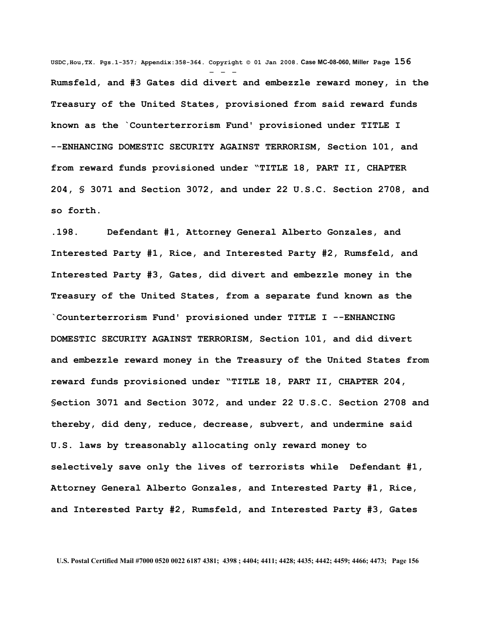**USDC,Hou,TX. Pgs.1-357; Appendix:358-364. Copyright © 01 Jan 2008. Case MC-08-060, Miller Page 156** - - - **Rumsfeld, and #3 Gates did divert and embezzle reward money, in the Treasury of the United States, provisioned from said reward funds known as the `Counterterrorism Fund' provisioned under TITLE I --ENHANCING DOMESTIC SECURITY AGAINST TERRORISM, Section 101, and from reward funds provisioned under "TITLE 18, PART II, CHAPTER 204, § 3071 and Section 3072, and under 22 U.S.C. Section 2708, and so forth.**

**.198. Defendant #1, Attorney General Alberto Gonzales, and Interested Party #1, Rice, and Interested Party #2, Rumsfeld, and Interested Party #3, Gates, did divert and embezzle money in the Treasury of the United States, from a separate fund known as the `Counterterrorism Fund' provisioned under TITLE I --ENHANCING DOMESTIC SECURITY AGAINST TERRORISM, Section 101, and did divert and embezzle reward money in the Treasury of the United States from reward funds provisioned under "TITLE 18, PART II, CHAPTER 204, §ection 3071 and Section 3072, and under 22 U.S.C. Section 2708 and thereby, did deny, reduce, decrease, subvert, and undermine said U.S. laws by treasonably allocating only reward money to selectively save only the lives of terrorists while Defendant #1, Attorney General Alberto Gonzales, and Interested Party #1, Rice, and Interested Party #2, Rumsfeld, and Interested Party #3, Gates**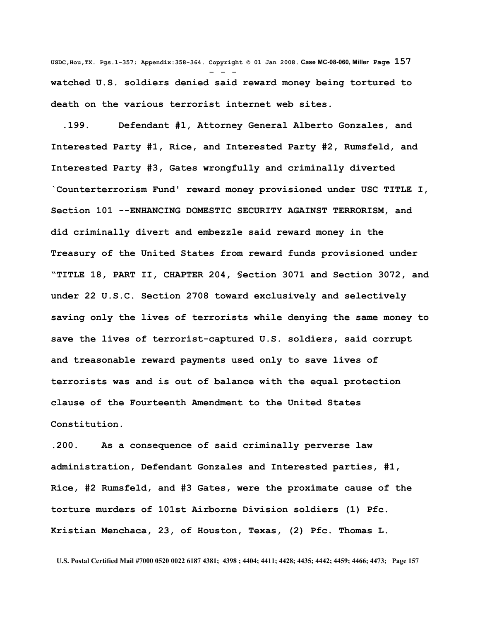**USDC,Hou,TX. Pgs.1-357; Appendix:358-364. Copyright © 01 Jan 2008. Case MC-08-060, Miller Page 157** - - **watched U.S. soldiers denied said reward money being tortured to death on the various terrorist internet web sites.**

 **.199. Defendant #1, Attorney General Alberto Gonzales, and Interested Party #1, Rice, and Interested Party #2, Rumsfeld, and Interested Party #3, Gates wrongfully and criminally diverted `Counterterrorism Fund' reward money provisioned under USC TITLE I, Section 101 --ENHANCING DOMESTIC SECURITY AGAINST TERRORISM, and did criminally divert and embezzle said reward money in the Treasury of the United States from reward funds provisioned under "TITLE 18, PART II, CHAPTER 204, §ection 3071 and Section 3072, and under 22 U.S.C. Section 2708 toward exclusively and selectively saving only the lives of terrorists while denying the same money to save the lives of terrorist-captured U.S. soldiers, said corrupt and treasonable reward payments used only to save lives of terrorists was and is out of balance with the equal protection clause of the Fourteenth Amendment to the United States Constitution.**

**.200. As a consequence of said criminally perverse law administration, Defendant Gonzales and Interested parties, #1, Rice, #2 Rumsfeld, and #3 Gates, were the proximate cause of the torture murders of 101st Airborne Division soldiers (1) Pfc. Kristian Menchaca, 23, of Houston, Texas, (2) Pfc. Thomas L.**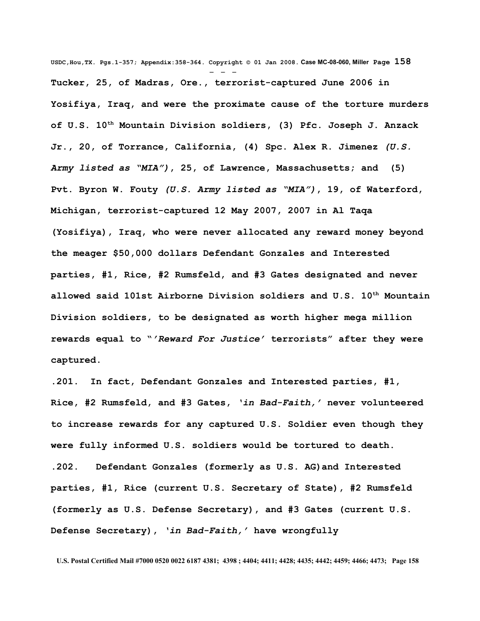**USDC,Hou,TX. Pgs.1-357; Appendix:358-364. Copyright © 01 Jan 2008. Case MC-08-060, Miller Page 158** - - - **Tucker, 25, of Madras, Ore., terrorist-captured June 2006 in Yosifiya, Iraq, and were the proximate cause of the torture murders of U.S. 10th Mountain Division soldiers, (3) Pfc. Joseph J. Anzack Jr., 20, of Torrance, California, (4) Spc. Alex R. Jimenez** *(U.S. Army listed as "MIA")***, 25, of Lawrence, Massachusetts; and (5) Pvt. Byron W. Fouty** *(U.S. Army listed as "MIA")***, 19, of Waterford, Michigan, terrorist-captured 12 May 2007, 2007 in Al Taqa (Yosifiya), Iraq, who were never allocated any reward money beyond the meager \$50,000 dollars Defendant Gonzales and Interested parties, #1, Rice, #2 Rumsfeld, and #3 Gates designated and never allowed said 101st Airborne Division soldiers and U.S. 10th Mountain Division soldiers, to be designated as worth higher mega million rewards equal to "***'Reward For Justice'* **terrorists" after they were captured.** 

**.201. In fact, Defendant Gonzales and Interested parties, #1, Rice, #2 Rumsfeld, and #3 Gates,** *'in Bad-Faith,'* **never volunteered to increase rewards for any captured U.S. Soldier even though they were fully informed U.S. soldiers would be tortured to death. .202. Defendant Gonzales (formerly as U.S. AG)and Interested parties, #1, Rice (current U.S. Secretary of State), #2 Rumsfeld (formerly as U.S. Defense Secretary), and #3 Gates (current U.S. Defense Secretary),** *'in Bad-Faith,'* **have wrongfully**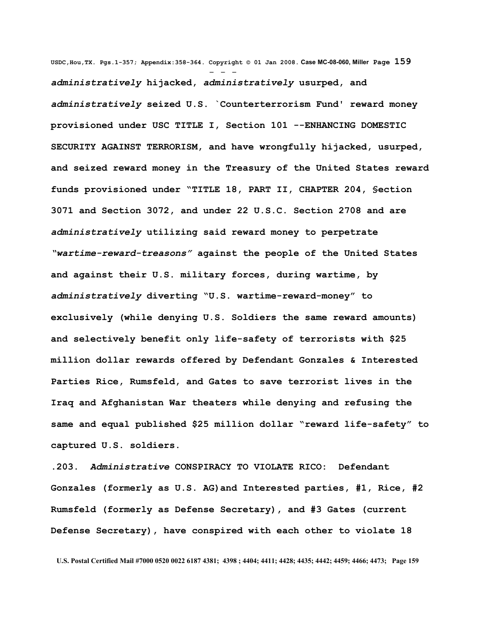**USDC,Hou,TX. Pgs.1-357; Appendix:358-364. Copyright © 01 Jan 2008. Case MC-08-060, Miller Page 159** - - *administratively* **hijacked,** *administratively* **usurped, and** *administratively* **seized U.S. `Counterterrorism Fund' reward money provisioned under USC TITLE I, Section 101 --ENHANCING DOMESTIC SECURITY AGAINST TERRORISM, and have wrongfully hijacked, usurped, and seized reward money in the Treasury of the United States reward funds provisioned under "TITLE 18, PART II, CHAPTER 204, §ection 3071 and Section 3072, and under 22 U.S.C. Section 2708 and are** *administratively* **utilizing said reward money to perpetrate** *"wartime-reward-treasons"* **against the people of the United States and against their U.S. military forces, during wartime, by** *administratively* **diverting "U.S. wartime-reward-money" to exclusively (while denying U.S. Soldiers the same reward amounts) and selectively benefit only life-safety of terrorists with \$25 million dollar rewards offered by Defendant Gonzales & Interested Parties Rice, Rumsfeld, and Gates to save terrorist lives in the Iraq and Afghanistan War theaters while denying and refusing the same and equal published \$25 million dollar "reward life-safety" to captured U.S. soldiers.** 

**.203.** *Administrative* **CONSPIRACY TO VIOLATE RICO: Defendant Gonzales (formerly as U.S. AG)and Interested parties, #1, Rice, #2 Rumsfeld (formerly as Defense Secretary), and #3 Gates (current Defense Secretary), have conspired with each other to violate 18**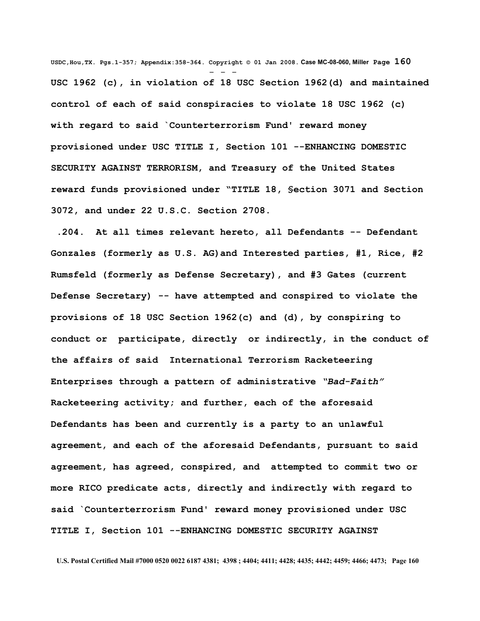**USDC,Hou,TX. Pgs.1-357; Appendix:358-364. Copyright © 01 Jan 2008. Case MC-08-060, Miller Page 160** - - - **USC 1962 (c), in violation of 18 USC Section 1962(d) and maintained control of each of said conspiracies to violate 18 USC 1962 (c) with regard to said `Counterterrorism Fund' reward money provisioned under USC TITLE I, Section 101 --ENHANCING DOMESTIC SECURITY AGAINST TERRORISM, and Treasury of the United States reward funds provisioned under "TITLE 18, §ection 3071 and Section 3072, and under 22 U.S.C. Section 2708.**

 **.204. At all times relevant hereto, all Defendants -- Defendant Gonzales (formerly as U.S. AG)and Interested parties, #1, Rice, #2 Rumsfeld (formerly as Defense Secretary), and #3 Gates (current Defense Secretary) -- have attempted and conspired to violate the provisions of 18 USC Section 1962(c) and (d), by conspiring to conduct or participate, directly or indirectly, in the conduct of the affairs of said International Terrorism Racketeering Enterprises through a pattern of administrative** *"Bad-Faith"* **Racketeering activity; and further, each of the aforesaid Defendants has been and currently is a party to an unlawful agreement, and each of the aforesaid Defendants, pursuant to said agreement, has agreed, conspired, and attempted to commit two or more RICO predicate acts, directly and indirectly with regard to said `Counterterrorism Fund' reward money provisioned under USC TITLE I, Section 101 --ENHANCING DOMESTIC SECURITY AGAINST**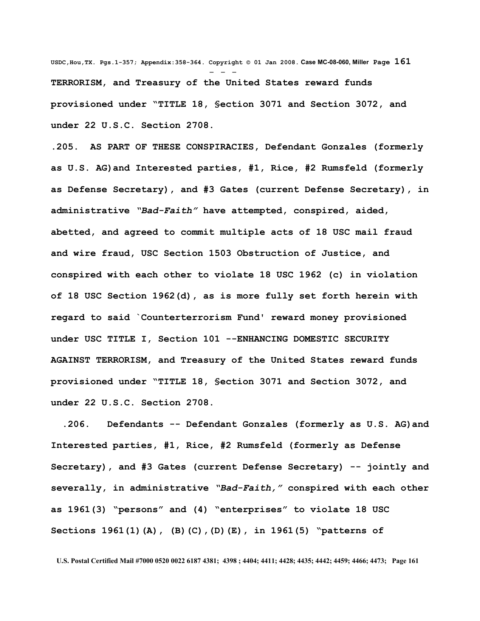**USDC,Hou,TX. Pgs.1-357; Appendix:358-364. Copyright © 01 Jan 2008. Case MC-08-060, Miller Page 161** - - - **TERRORISM, and Treasury of the United States reward funds provisioned under "TITLE 18, §ection 3071 and Section 3072, and under 22 U.S.C. Section 2708.**

**.205. AS PART OF THESE CONSPIRACIES, Defendant Gonzales (formerly as U.S. AG)and Interested parties, #1, Rice, #2 Rumsfeld (formerly as Defense Secretary), and #3 Gates (current Defense Secretary), in administrative** *"Bad-Faith"* **have attempted, conspired, aided, abetted, and agreed to commit multiple acts of 18 USC mail fraud and wire fraud, USC Section 1503 Obstruction of Justice, and conspired with each other to violate 18 USC 1962 (c) in violation of 18 USC Section 1962(d), as is more fully set forth herein with regard to said `Counterterrorism Fund' reward money provisioned under USC TITLE I, Section 101 --ENHANCING DOMESTIC SECURITY AGAINST TERRORISM, and Treasury of the United States reward funds provisioned under "TITLE 18, §ection 3071 and Section 3072, and under 22 U.S.C. Section 2708.**

 **.206. Defendants -- Defendant Gonzales (formerly as U.S. AG)and Interested parties, #1, Rice, #2 Rumsfeld (formerly as Defense Secretary), and #3 Gates (current Defense Secretary) -- jointly and severally, in administrative** *"Bad-Faith,"* **conspired with each other as 1961(3) "persons" and (4) "enterprises" to violate 18 USC Sections 1961(1)(A), (B)(C),(D)(E), in 1961(5) "patterns of**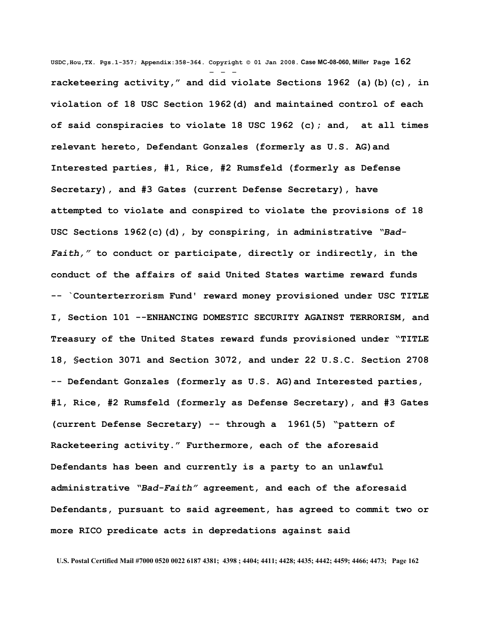**USDC,Hou,TX. Pgs.1-357; Appendix:358-364. Copyright © 01 Jan 2008. Case MC-08-060, Miller Page 162** - - **racketeering activity," and did violate Sections 1962 (a)(b)(c), in violation of 18 USC Section 1962(d) and maintained control of each of said conspiracies to violate 18 USC 1962 (c); and, at all times relevant hereto, Defendant Gonzales (formerly as U.S. AG)and Interested parties, #1, Rice, #2 Rumsfeld (formerly as Defense Secretary), and #3 Gates (current Defense Secretary), have attempted to violate and conspired to violate the provisions of 18 USC Sections 1962(c)(d), by conspiring, in administrative** *"Bad-Faith,"* **to conduct or participate, directly or indirectly, in the conduct of the affairs of said United States wartime reward funds -- `Counterterrorism Fund' reward money provisioned under USC TITLE I, Section 101 --ENHANCING DOMESTIC SECURITY AGAINST TERRORISM, and Treasury of the United States reward funds provisioned under "TITLE 18, §ection 3071 and Section 3072, and under 22 U.S.C. Section 2708 -- Defendant Gonzales (formerly as U.S. AG)and Interested parties, #1, Rice, #2 Rumsfeld (formerly as Defense Secretary), and #3 Gates (current Defense Secretary) -- through a 1961(5) "pattern of Racketeering activity." Furthermore, each of the aforesaid Defendants has been and currently is a party to an unlawful administrative** *"Bad-Faith"* **agreement, and each of the aforesaid Defendants, pursuant to said agreement, has agreed to commit two or more RICO predicate acts in depredations against said**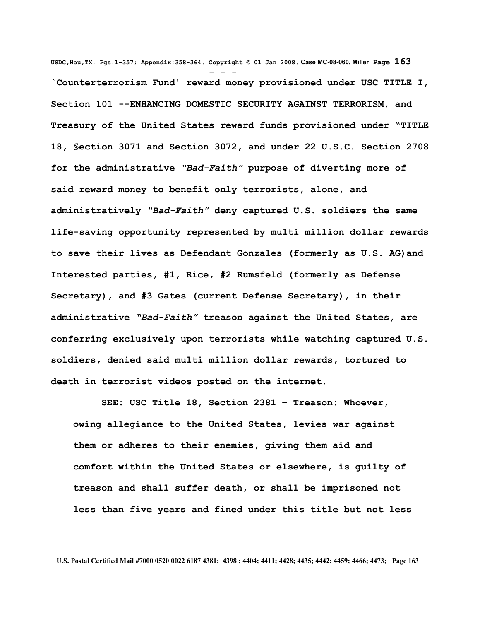**USDC,Hou,TX. Pgs.1-357; Appendix:358-364. Copyright © 01 Jan 2008. Case MC-08-060, Miller Page 163** - - - **`Counterterrorism Fund' reward money provisioned under USC TITLE I, Section 101 --ENHANCING DOMESTIC SECURITY AGAINST TERRORISM, and Treasury of the United States reward funds provisioned under "TITLE 18, §ection 3071 and Section 3072, and under 22 U.S.C. Section 2708 for the administrative** *"Bad-Faith"* **purpose of diverting more of said reward money to benefit only terrorists, alone, and administratively** *"Bad-Faith"* **deny captured U.S. soldiers the same life-saving opportunity represented by multi million dollar rewards to save their lives as Defendant Gonzales (formerly as U.S. AG)and Interested parties, #1, Rice, #2 Rumsfeld (formerly as Defense Secretary), and #3 Gates (current Defense Secretary), in their administrative** *"Bad-Faith"* **treason against the United States, are conferring exclusively upon terrorists while watching captured U.S. soldiers, denied said multi million dollar rewards, tortured to death in terrorist videos posted on the internet.**

 **SEE: USC Title 18, Section 2381 – Treason: Whoever, owing allegiance to the United States, levies war against them or adheres to their enemies, giving them aid and comfort within the United States or elsewhere, is guilty of treason and shall suffer death, or shall be imprisoned not less than five years and fined under this title but not less**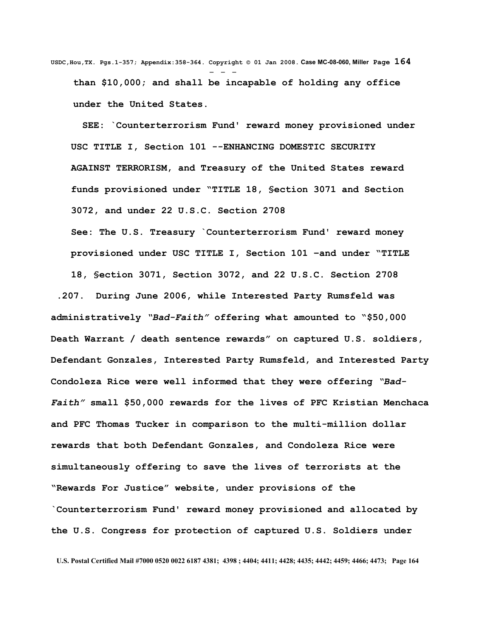**USDC,Hou,TX. Pgs.1-357; Appendix:358-364. Copyright © 01 Jan 2008. Case MC-08-060, Miller Page 164** - - **than \$10,000; and shall be incapable of holding any office under the United States.**

 **SEE: `Counterterrorism Fund' reward money provisioned under USC TITLE I, Section 101 --ENHANCING DOMESTIC SECURITY AGAINST TERRORISM, and Treasury of the United States reward funds provisioned under "TITLE 18, §ection 3071 and Section 3072, and under 22 U.S.C. Section 2708** 

**See: The U.S. Treasury `Counterterrorism Fund' reward money provisioned under USC TITLE I, Section 101 –and under "TITLE**

**18, §ection 3071, Section 3072, and 22 U.S.C. Section 2708**

 **.207. During June 2006, while Interested Party Rumsfeld was administratively** *"Bad-Faith"* **offering what amounted to "\$50,000 Death Warrant / death sentence rewards" on captured U.S. soldiers, Defendant Gonzales, Interested Party Rumsfeld, and Interested Party Condoleza Rice were well informed that they were offering** *"Bad-Faith"* **small \$50,000 rewards for the lives of PFC Kristian Menchaca and PFC Thomas Tucker in comparison to the multi-million dollar rewards that both Defendant Gonzales, and Condoleza Rice were simultaneously offering to save the lives of terrorists at the "Rewards For Justice" website, under provisions of the `Counterterrorism Fund' reward money provisioned and allocated by the U.S. Congress for protection of captured U.S. Soldiers under**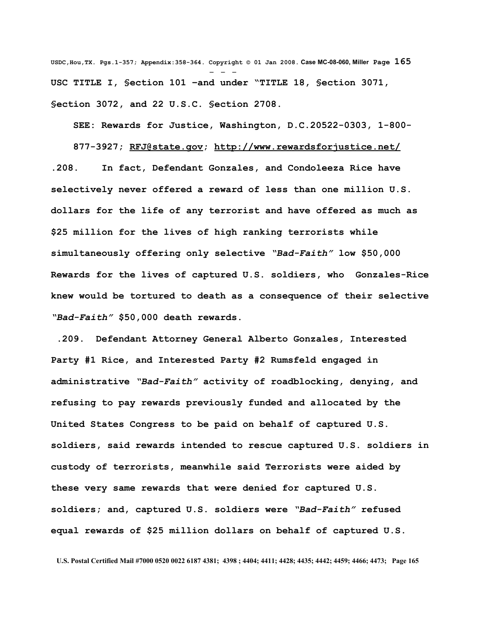**USDC,Hou,TX. Pgs.1-357; Appendix:358-364. Copyright © 01 Jan 2008. Case MC-08-060, Miller Page 165** - - - **USC TITLE I, §ection 101 –and under "TITLE 18, §ection 3071, §ection 3072, and 22 U.S.C. §ection 2708.** 

**SEE: Rewards for Justice, Washington, D.C.20522-0303, 1-800-**

**877-3927; [RFJ@state.gov;](mailto:RFJ@state.gov)<http://www.rewardsforjustice.net/> .208. In fact, Defendant Gonzales, and Condoleeza Rice have selectively never offered a reward of less than one million U.S. dollars for the life of any terrorist and have offered as much as \$25 million for the lives of high ranking terrorists while simultaneously offering only selective** *"Bad-Faith"* **low \$50,000 Rewards for the lives of captured U.S. soldiers, who Gonzales-Rice knew would be tortured to death as a consequence of their selective** *"Bad-Faith"* **\$50,000 death rewards.**

 **.209. Defendant Attorney General Alberto Gonzales, Interested Party #1 Rice, and Interested Party #2 Rumsfeld engaged in administrative** *"Bad-Faith"* **activity of roadblocking, denying, and refusing to pay rewards previously funded and allocated by the United States Congress to be paid on behalf of captured U.S. soldiers, said rewards intended to rescue captured U.S. soldiers in custody of terrorists, meanwhile said Terrorists were aided by these very same rewards that were denied for captured U.S. soldiers; and, captured U.S. soldiers were** *"Bad-Faith"* **refused equal rewards of \$25 million dollars on behalf of captured U.S.**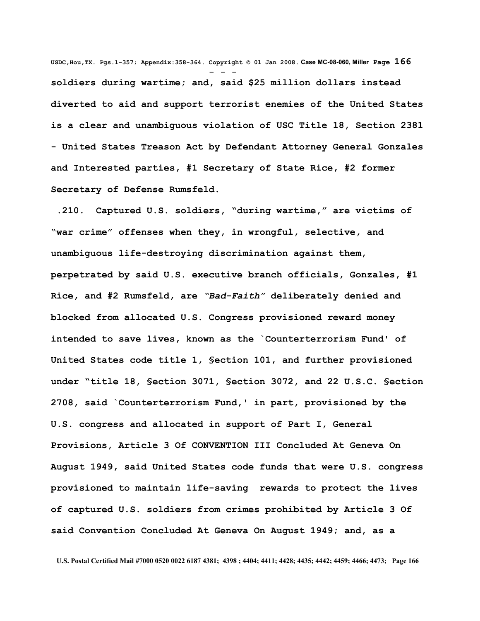**USDC,Hou,TX. Pgs.1-357; Appendix:358-364. Copyright © 01 Jan 2008. Case MC-08-060, Miller Page 166** - - **soldiers during wartime; and, said \$25 million dollars instead diverted to aid and support terrorist enemies of the United States is a clear and unambiguous violation of USC Title 18, Section 2381 - United States Treason Act by Defendant Attorney General Gonzales and Interested parties, #1 Secretary of State Rice, #2 former Secretary of Defense Rumsfeld.**

 **.210. Captured U.S. soldiers, "during wartime," are victims of "war crime" offenses when they, in wrongful, selective, and unambiguous life-destroying discrimination against them, perpetrated by said U.S. executive branch officials, Gonzales, #1 Rice, and #2 Rumsfeld, are** *"Bad-Faith"* **deliberately denied and blocked from allocated U.S. Congress provisioned reward money intended to save lives, known as the `Counterterrorism Fund' of United States code title 1, §ection 101, and further provisioned under "title 18, §ection 3071, §ection 3072, and 22 U.S.C. §ection 2708, said `Counterterrorism Fund,' in part, provisioned by the U.S. congress and allocated in support of Part I, General Provisions, Article 3 Of CONVENTION III Concluded At Geneva On August 1949, said United States code funds that were U.S. congress provisioned to maintain life-saving rewards to protect the lives of captured U.S. soldiers from crimes prohibited by Article 3 Of said Convention Concluded At Geneva On August 1949; and, as a**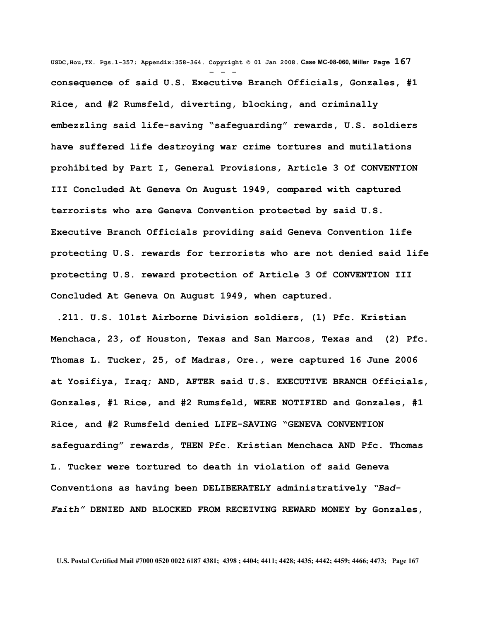**USDC,Hou,TX. Pgs.1-357; Appendix:358-364. Copyright © 01 Jan 2008. Case MC-08-060, Miller Page 167** - - **consequence of said U.S. Executive Branch Officials, Gonzales, #1 Rice, and #2 Rumsfeld, diverting, blocking, and criminally embezzling said life-saving "safeguarding" rewards, U.S. soldiers have suffered life destroying war crime tortures and mutilations prohibited by Part I, General Provisions, Article 3 Of CONVENTION III Concluded At Geneva On August 1949, compared with captured terrorists who are Geneva Convention protected by said U.S. Executive Branch Officials providing said Geneva Convention life protecting U.S. rewards for terrorists who are not denied said life protecting U.S. reward protection of Article 3 Of CONVENTION III Concluded At Geneva On August 1949, when captured.**

 **.211. U.S. 101st Airborne Division soldiers, (1) Pfc. Kristian Menchaca, 23, of Houston, Texas and San Marcos, Texas and (2) Pfc. Thomas L. Tucker, 25, of Madras, Ore., were captured 16 June 2006 at Yosifiya, Iraq; AND, AFTER said U.S. EXECUTIVE BRANCH Officials, Gonzales, #1 Rice, and #2 Rumsfeld, WERE NOTIFIED and Gonzales, #1 Rice, and #2 Rumsfeld denied LIFE-SAVING "GENEVA CONVENTION safeguarding" rewards, THEN Pfc. Kristian Menchaca AND Pfc. Thomas L. Tucker were tortured to death in violation of said Geneva Conventions as having been DELIBERATELY administratively** *"Bad-Faith"* **DENIED AND BLOCKED FROM RECEIVING REWARD MONEY by Gonzales,**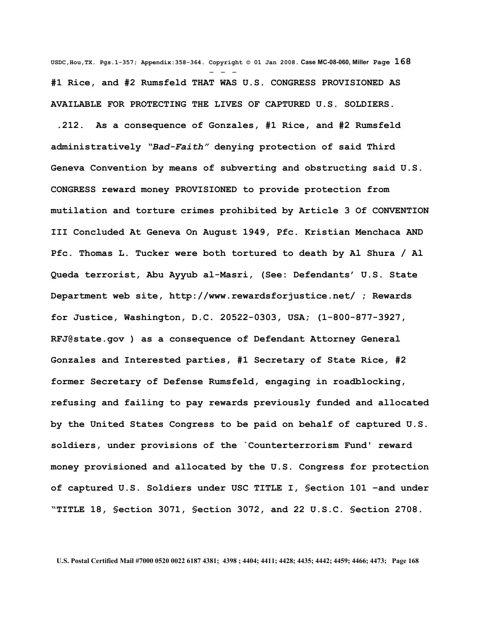**USDC,Hou,TX. Pgs.1-357; Appendix:358-364. Copyright © 01 Jan 2008. Case MC-08-060, Miller Page 168** - - - **#1 Rice, and #2 Rumsfeld THAT WAS U.S. CONGRESS PROVISIONED AS AVAILABLE FOR PROTECTING THE LIVES OF CAPTURED U.S. SOLDIERS.**

 **.212. As a consequence of Gonzales, #1 Rice, and #2 Rumsfeld administratively** *"Bad-Faith"* **denying protection of said Third Geneva Convention by means of subverting and obstructing said U.S. CONGRESS reward money PROVISIONED to provide protection from mutilation and torture crimes prohibited by Article 3 Of CONVENTION III Concluded At Geneva On August 1949, Pfc. Kristian Menchaca AND Pfc. Thomas L. Tucker were both tortured to death by Al Shura / Al Queda terrorist, Abu Ayyub al-Masri, (See: Defendants' U.S. State Department web site, http://www.rewardsforjustice.net/ ; Rewards for Justice, Washington, D.C. 20522-0303, USA; (1-800-877-3927, [RFJ@state.gov](mailto:RFJ@state.gov) ) as a consequence of Defendant Attorney General Gonzales and Interested parties, #1 Secretary of State Rice, #2 former Secretary of Defense Rumsfeld, engaging in roadblocking, refusing and failing to pay rewards previously funded and allocated by the United States Congress to be paid on behalf of captured U.S. soldiers, under provisions of the `Counterterrorism Fund' reward money provisioned and allocated by the U.S. Congress for protection of captured U.S. Soldiers under USC TITLE I, §ection 101 –and under "TITLE 18, §ection 3071, §ection 3072, and 22 U.S.C. §ection 2708.**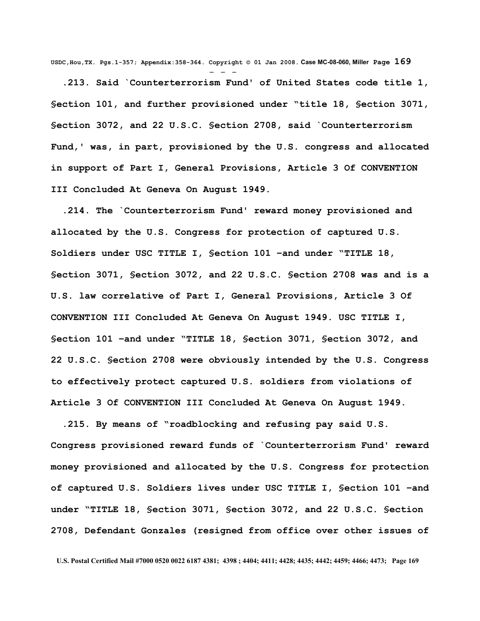**USDC,Hou,TX. Pgs.1-357; Appendix:358-364. Copyright © 01 Jan 2008. Case MC-08-060, Miller Page 169** - - -

 **.213. Said `Counterterrorism Fund' of United States code title 1, §ection 101, and further provisioned under "title 18, §ection 3071, §ection 3072, and 22 U.S.C. §ection 2708, said `Counterterrorism Fund,' was, in part, provisioned by the U.S. congress and allocated in support of Part I, General Provisions, Article 3 Of CONVENTION III Concluded At Geneva On August 1949.**

 **.214. The `Counterterrorism Fund' reward money provisioned and allocated by the U.S. Congress for protection of captured U.S. Soldiers under USC TITLE I, §ection 101 –and under "TITLE 18, §ection 3071, §ection 3072, and 22 U.S.C. §ection 2708 was and is a U.S. law correlative of Part I, General Provisions, Article 3 Of CONVENTION III Concluded At Geneva On August 1949. USC TITLE I, §ection 101 –and under "TITLE 18, §ection 3071, §ection 3072, and 22 U.S.C. §ection 2708 were obviously intended by the U.S. Congress to effectively protect captured U.S. soldiers from violations of Article 3 Of CONVENTION III Concluded At Geneva On August 1949.**

 **.215. By means of "roadblocking and refusing pay said U.S. Congress provisioned reward funds of `Counterterrorism Fund' reward money provisioned and allocated by the U.S. Congress for protection of captured U.S. Soldiers lives under USC TITLE I, §ection 101 –and under "TITLE 18, §ection 3071, §ection 3072, and 22 U.S.C. §ection 2708, Defendant Gonzales (resigned from office over other issues of**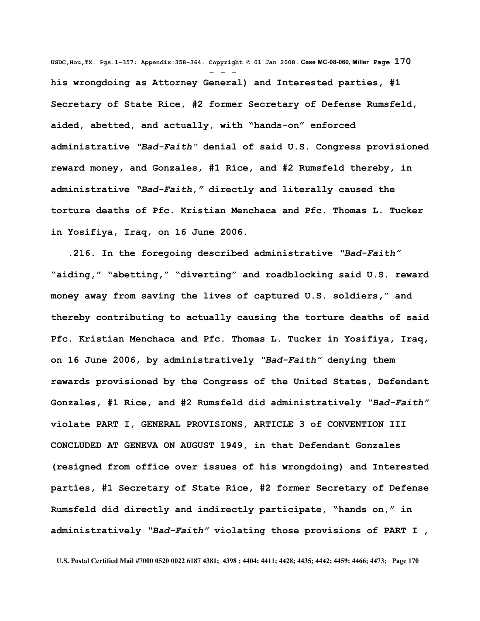**USDC,Hou,TX. Pgs.1-357; Appendix:358-364. Copyright © 01 Jan 2008. Case MC-08-060, Miller Page 170** - - **his wrongdoing as Attorney General) and Interested parties, #1 Secretary of State Rice, #2 former Secretary of Defense Rumsfeld, aided, abetted, and actually, with "hands-on" enforced administrative** *"Bad-Faith"* **denial of said U.S. Congress provisioned reward money, and Gonzales, #1 Rice, and #2 Rumsfeld thereby, in administrative** *"Bad-Faith,"* **directly and literally caused the torture deaths of Pfc. Kristian Menchaca and Pfc. Thomas L. Tucker in Yosifiya, Iraq, on 16 June 2006.**

 **.216. In the foregoing described administrative** *"Bad-Faith"* **"aiding," "abetting," "diverting" and roadblocking said U.S. reward money away from saving the lives of captured U.S. soldiers," and thereby contributing to actually causing the torture deaths of said Pfc. Kristian Menchaca and Pfc. Thomas L. Tucker in Yosifiya, Iraq, on 16 June 2006, by administratively** *"Bad-Faith"* **denying them rewards provisioned by the Congress of the United States, Defendant Gonzales, #1 Rice, and #2 Rumsfeld did administratively** *"Bad-Faith"* **violate PART I, GENERAL PROVISIONS, ARTICLE 3 of CONVENTION III CONCLUDED AT GENEVA ON AUGUST 1949, in that Defendant Gonzales (resigned from office over issues of his wrongdoing) and Interested parties, #1 Secretary of State Rice, #2 former Secretary of Defense Rumsfeld did directly and indirectly participate, "hands on," in administratively** *"Bad-Faith"* **violating those provisions of PART I ,**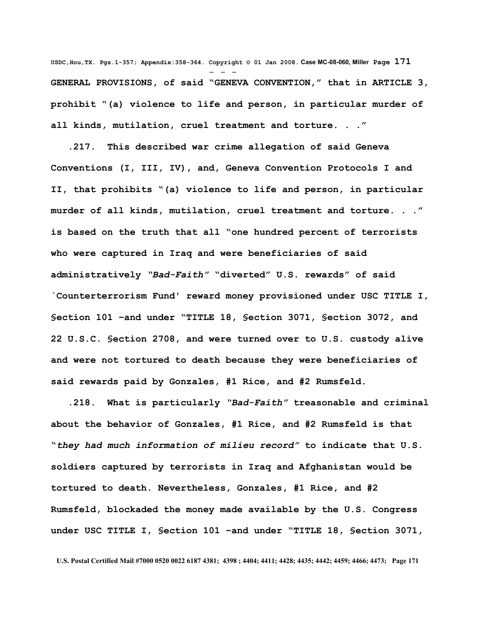**USDC,Hou,TX. Pgs.1-357; Appendix:358-364. Copyright © 01 Jan 2008. Case MC-08-060, Miller Page 171** - - - **GENERAL PROVISIONS, of said "GENEVA CONVENTION," that in ARTICLE 3, prohibit "(a) violence to life and person, in particular murder of all kinds, mutilation, cruel treatment and torture. . ."**

 **.217. This described war crime allegation of said Geneva Conventions (I, III, IV), and, Geneva Convention Protocols I and II, that prohibits "(a) violence to life and person, in particular murder of all kinds, mutilation, cruel treatment and torture. . ." is based on the truth that all "one hundred percent of terrorists who were captured in Iraq and were beneficiaries of said administratively** *"Bad-Faith"* **"diverted" U.S. rewards" of said `Counterterrorism Fund' reward money provisioned under USC TITLE I, §ection 101 –and under "TITLE 18, §ection 3071, §ection 3072, and 22 U.S.C. §ection 2708, and were turned over to U.S. custody alive and were not tortured to death because they were beneficiaries of said rewards paid by Gonzales, #1 Rice, and #2 Rumsfeld.** 

 **.218. What is particularly** *"Bad-Faith"* **treasonable and criminal about the behavior of Gonzales, #1 Rice, and #2 Rumsfeld is that "***they had much information of milieu record"* **to indicate that U.S. soldiers captured by terrorists in Iraq and Afghanistan would be tortured to death. Nevertheless, Gonzales, #1 Rice, and #2 Rumsfeld, blockaded the money made available by the U.S. Congress under USC TITLE I, §ection 101 –and under "TITLE 18, §ection 3071,**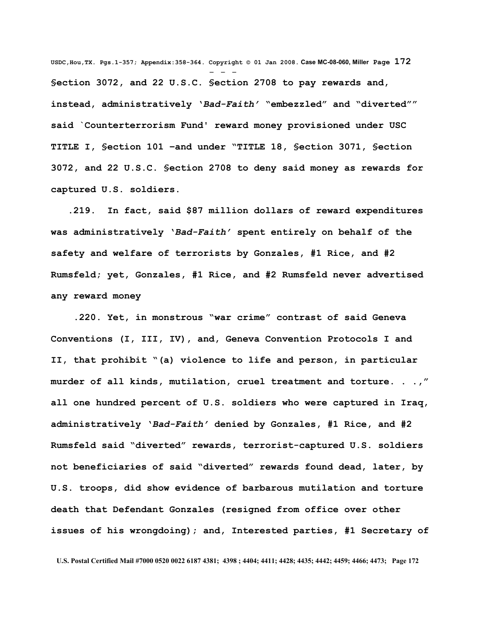**USDC,Hou,TX. Pgs.1-357; Appendix:358-364. Copyright © 01 Jan 2008. Case MC-08-060, Miller Page 172** - - - **§ection 3072, and 22 U.S.C. §ection 2708 to pay rewards and, instead, administratively '***Bad-Faith'* **"embezzled" and "diverted"" said `Counterterrorism Fund' reward money provisioned under USC TITLE I, §ection 101 –and under "TITLE 18, §ection 3071, §ection 3072, and 22 U.S.C. §ection 2708 to deny said money as rewards for captured U.S. soldiers.**

 **.219. In fact, said \$87 million dollars of reward expenditures was administratively '***Bad-Faith'* **spent entirely on behalf of the safety and welfare of terrorists by Gonzales, #1 Rice, and #2 Rumsfeld; yet, Gonzales, #1 Rice, and #2 Rumsfeld never advertised any reward money** 

 **.220. Yet, in monstrous "war crime" contrast of said Geneva Conventions (I, III, IV), and, Geneva Convention Protocols I and II, that prohibit "(a) violence to life and person, in particular murder of all kinds, mutilation, cruel treatment and torture. . .," all one hundred percent of U.S. soldiers who were captured in Iraq, administratively '***Bad-Faith'* **denied by Gonzales, #1 Rice, and #2 Rumsfeld said "diverted" rewards, terrorist-captured U.S. soldiers not beneficiaries of said "diverted" rewards found dead, later, by U.S. troops, did show evidence of barbarous mutilation and torture death that Defendant Gonzales (resigned from office over other issues of his wrongdoing); and, Interested parties, #1 Secretary of**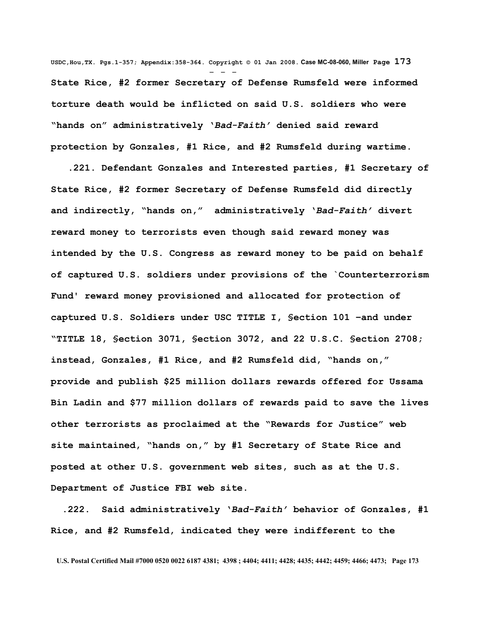**USDC,Hou,TX. Pgs.1-357; Appendix:358-364. Copyright © 01 Jan 2008. Case MC-08-060, Miller Page 173** - - - **State Rice, #2 former Secretary of Defense Rumsfeld were informed torture death would be inflicted on said U.S. soldiers who were "hands on" administratively '***Bad-Faith'* **denied said reward protection by Gonzales, #1 Rice, and #2 Rumsfeld during wartime.**

 **.221. Defendant Gonzales and Interested parties, #1 Secretary of State Rice, #2 former Secretary of Defense Rumsfeld did directly and indirectly, "hands on," administratively '***Bad-Faith'* **divert reward money to terrorists even though said reward money was intended by the U.S. Congress as reward money to be paid on behalf of captured U.S. soldiers under provisions of the `Counterterrorism Fund' reward money provisioned and allocated for protection of captured U.S. Soldiers under USC TITLE I, §ection 101 –and under "TITLE 18, §ection 3071, §ection 3072, and 22 U.S.C. §ection 2708; instead, Gonzales, #1 Rice, and #2 Rumsfeld did, "hands on," provide and publish \$25 million dollars rewards offered for Ussama Bin Ladin and \$77 million dollars of rewards paid to save the lives other terrorists as proclaimed at the "Rewards for Justice" web site maintained, "hands on," by #1 Secretary of State Rice and posted at other U.S. government web sites, such as at the U.S. Department of Justice FBI web site.**

 **.222. Said administratively '***Bad-Faith'* **behavior of Gonzales, #1 Rice, and #2 Rumsfeld, indicated they were indifferent to the**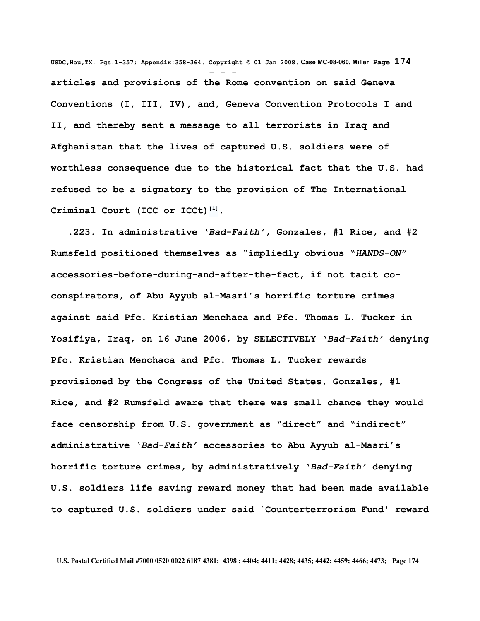**USDC,Hou,TX. Pgs.1-357; Appendix:358-364. Copyright © 01 Jan 2008. Case MC-08-060, Miller Page 174** - - **articles and provisions of the Rome convention on said Geneva Conventions (I, III, IV), and, Geneva Convention Protocols I and II, and thereby sent a message to all terrorists in Iraq and Afghanistan that the lives of captured U.S. soldiers were of worthless consequence due to the historical fact that the U.S. had refused to be a signatory to the provision of The International Criminal Court (ICC or ICCt) [\[1\]](http://en.wikipedia.org/wiki/International_Criminal_Court#_note-0%23_note-0).** 

 **.223. In administrative '***Bad-Faith'***, Gonzales, #1 Rice, and #2 Rumsfeld positioned themselves as "impliedly obvious "***HANDS-ON"* **accessories-before-during-and-after-the-fact, if not tacit coconspirators, of Abu Ayyub al-Masri's horrific torture crimes against said Pfc. Kristian Menchaca and Pfc. Thomas L. Tucker in Yosifiya, Iraq, on 16 June 2006, by SELECTIVELY '***Bad-Faith'* **denying Pfc. Kristian Menchaca and Pfc. Thomas L. Tucker rewards provisioned by the Congress of the United States, Gonzales, #1 Rice, and #2 Rumsfeld aware that there was small chance they would face censorship from U.S. government as "direct" and "indirect" administrative '***Bad-Faith'* **accessories to Abu Ayyub al-Masri's horrific torture crimes, by administratively '***Bad-Faith'* **denying U.S. soldiers life saving reward money that had been made available to captured U.S. soldiers under said `Counterterrorism Fund' reward**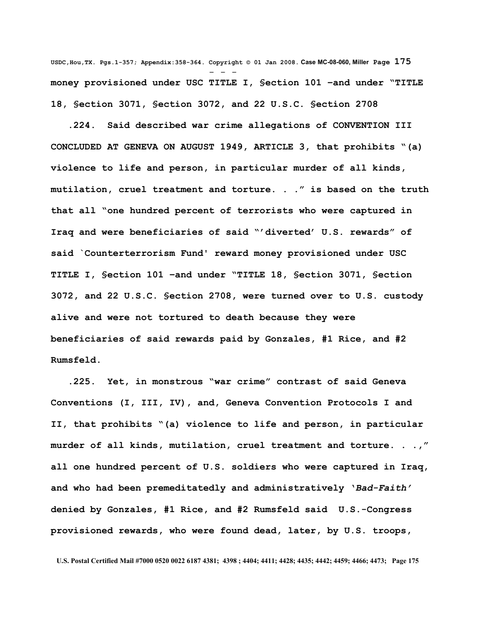**USDC,Hou,TX. Pgs.1-357; Appendix:358-364. Copyright © 01 Jan 2008. Case MC-08-060, Miller Page 175** - - **money provisioned under USC TITLE I, §ection 101 –and under "TITLE 18, §ection 3071, §ection 3072, and 22 U.S.C. §ection 2708** 

 **.224. Said described war crime allegations of CONVENTION III CONCLUDED AT GENEVA ON AUGUST 1949, ARTICLE 3, that prohibits "(a) violence to life and person, in particular murder of all kinds, mutilation, cruel treatment and torture. . ." is based on the truth that all "one hundred percent of terrorists who were captured in Iraq and were beneficiaries of said "'diverted' U.S. rewards" of said `Counterterrorism Fund' reward money provisioned under USC TITLE I, §ection 101 –and under "TITLE 18, §ection 3071, §ection 3072, and 22 U.S.C. §ection 2708, were turned over to U.S. custody alive and were not tortured to death because they were beneficiaries of said rewards paid by Gonzales, #1 Rice, and #2 Rumsfeld.** 

 **.225. Yet, in monstrous "war crime" contrast of said Geneva Conventions (I, III, IV), and, Geneva Convention Protocols I and II, that prohibits "(a) violence to life and person, in particular murder of all kinds, mutilation, cruel treatment and torture. . .," all one hundred percent of U.S. soldiers who were captured in Iraq, and who had been premeditatedly and administratively '***Bad-Faith'* **denied by Gonzales, #1 Rice, and #2 Rumsfeld said U.S.-Congress provisioned rewards, who were found dead, later, by U.S. troops,**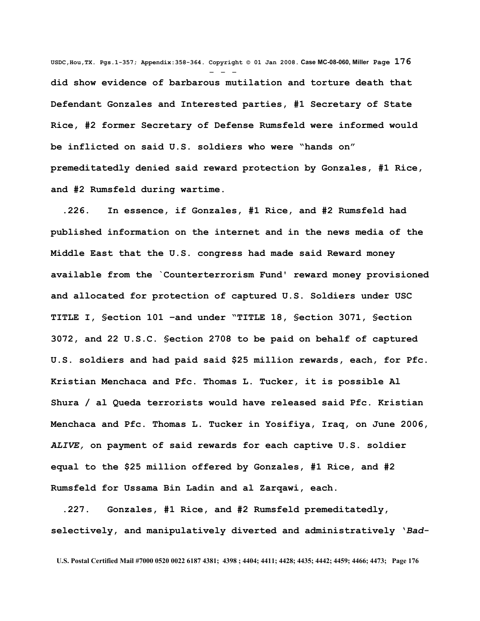**USDC,Hou,TX. Pgs.1-357; Appendix:358-364. Copyright © 01 Jan 2008. Case MC-08-060, Miller Page 176** - - **did show evidence of barbarous mutilation and torture death that Defendant Gonzales and Interested parties, #1 Secretary of State Rice, #2 former Secretary of Defense Rumsfeld were informed would be inflicted on said U.S. soldiers who were "hands on" premeditatedly denied said reward protection by Gonzales, #1 Rice, and #2 Rumsfeld during wartime.**

 **.226. In essence, if Gonzales, #1 Rice, and #2 Rumsfeld had published information on the internet and in the news media of the Middle East that the U.S. congress had made said Reward money available from the `Counterterrorism Fund' reward money provisioned and allocated for protection of captured U.S. Soldiers under USC TITLE I, §ection 101 –and under "TITLE 18, §ection 3071, §ection 3072, and 22 U.S.C. §ection 2708 to be paid on behalf of captured U.S. soldiers and had paid said \$25 million rewards, each, for Pfc. Kristian Menchaca and Pfc. Thomas L. Tucker, it is possible Al Shura / al Queda terrorists would have released said Pfc. Kristian Menchaca and Pfc. Thomas L. Tucker in Yosifiya, Iraq, on June 2006,** *ALIVE,* **on payment of said rewards for each captive U.S. soldier equal to the \$25 million offered by Gonzales, #1 Rice, and #2 Rumsfeld for Ussama Bin Ladin and al Zarqawi, each.** 

 **.227. Gonzales, #1 Rice, and #2 Rumsfeld premeditatedly, selectively, and manipulatively diverted and administratively '***Bad-*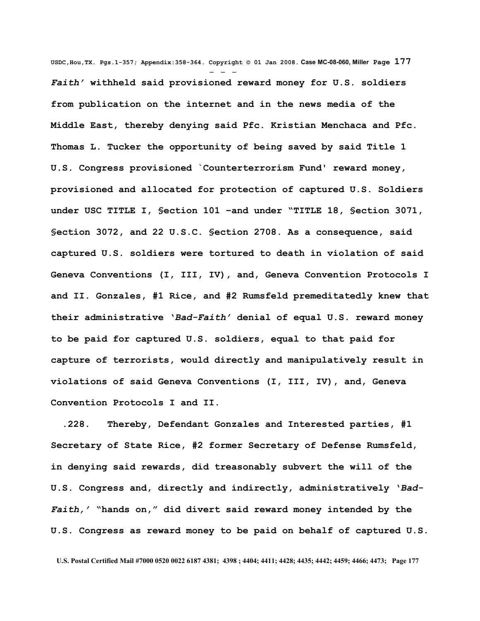**USDC,Hou,TX. Pgs.1-357; Appendix:358-364. Copyright © 01 Jan 2008. Case MC-08-060, Miller Page 177** - - - *Faith'* **withheld said provisioned reward money for U.S. soldiers from publication on the internet and in the news media of the Middle East, thereby denying said Pfc. Kristian Menchaca and Pfc. Thomas L. Tucker the opportunity of being saved by said Title 1 U.S. Congress provisioned `Counterterrorism Fund' reward money, provisioned and allocated for protection of captured U.S. Soldiers under USC TITLE I, §ection 101 –and under "TITLE 18, §ection 3071, §ection 3072, and 22 U.S.C. §ection 2708. As a consequence, said captured U.S. soldiers were tortured to death in violation of said Geneva Conventions (I, III, IV), and, Geneva Convention Protocols I and II. Gonzales, #1 Rice, and #2 Rumsfeld premeditatedly knew that their administrative '***Bad-Faith'* **denial of equal U.S. reward money to be paid for captured U.S. soldiers, equal to that paid for capture of terrorists, would directly and manipulatively result in violations of said Geneva Conventions (I, III, IV), and, Geneva Convention Protocols I and II.**

 **.228. Thereby, Defendant Gonzales and Interested parties, #1 Secretary of State Rice, #2 former Secretary of Defense Rumsfeld, in denying said rewards, did treasonably subvert the will of the U.S. Congress and, directly and indirectly, administratively '***Bad-Faith,'* **"hands on," did divert said reward money intended by the U.S. Congress as reward money to be paid on behalf of captured U.S.**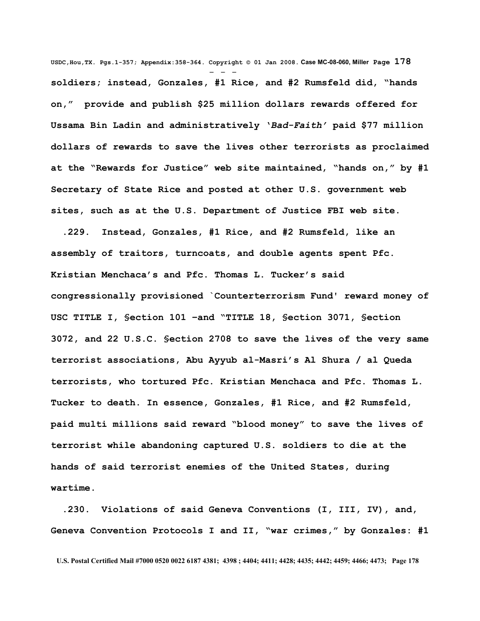**USDC,Hou,TX. Pgs.1-357; Appendix:358-364. Copyright © 01 Jan 2008. Case MC-08-060, Miller Page 178** - - **soldiers; instead, Gonzales, #1 Rice, and #2 Rumsfeld did, "hands on," provide and publish \$25 million dollars rewards offered for Ussama Bin Ladin and administratively '***Bad-Faith'* **paid \$77 million dollars of rewards to save the lives other terrorists as proclaimed at the "Rewards for Justice" web site maintained, "hands on," by #1 Secretary of State Rice and posted at other U.S. government web sites, such as at the U.S. Department of Justice FBI web site.** 

 **.229. Instead, Gonzales, #1 Rice, and #2 Rumsfeld, like an assembly of traitors, turncoats, and double agents spent Pfc. Kristian Menchaca's and Pfc. Thomas L. Tucker's said congressionally provisioned `Counterterrorism Fund' reward money of USC TITLE I, §ection 101 –and "TITLE 18, §ection 3071, §ection 3072, and 22 U.S.C. §ection 2708 to save the lives of the very same terrorist associations, Abu Ayyub al-Masri's Al Shura / al Queda terrorists, who tortured Pfc. Kristian Menchaca and Pfc. Thomas L. Tucker to death. In essence, Gonzales, #1 Rice, and #2 Rumsfeld, paid multi millions said reward "blood money" to save the lives of terrorist while abandoning captured U.S. soldiers to die at the hands of said terrorist enemies of the United States, during wartime.**

 **.230. Violations of said Geneva Conventions (I, III, IV), and, Geneva Convention Protocols I and II, "war crimes," by Gonzales: #1**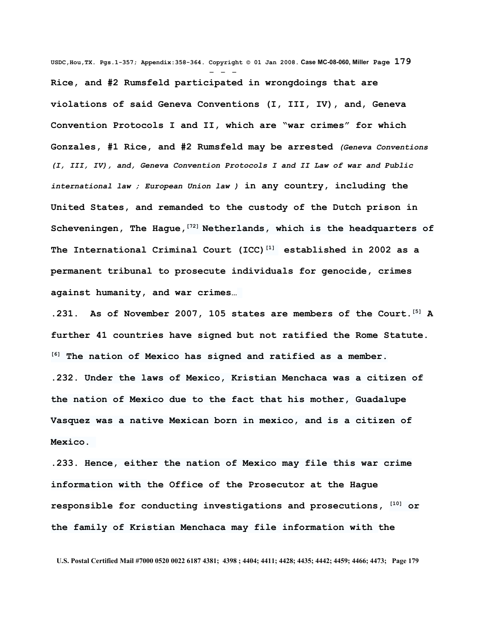**USDC,Hou,TX. Pgs.1-357; Appendix:358-364. Copyright © 01 Jan 2008. Case MC-08-060, Miller Page 179** - - - **Rice, and #2 Rumsfeld participated in wrongdoings that are violations of said Geneva Conventions (I, III, IV), and, Geneva Convention Protocols I and II, which are "war crimes" for which Gonzales, #1 Rice, and #2 Rumsfeld may be arrested** *(Geneva Conventions (I, III, IV), and, Geneva Convention Protocols I and II [Law of war](http://en.wikipedia.org/wiki/Law_of_war) and [Public](http://en.wikipedia.org/wiki/Public_international_law) [international law](http://en.wikipedia.org/wiki/Public_international_law) ; [European Union law](http://en.wikipedia.org/wiki/European_Union_law) )* **in any country, including the United States, and remanded to the custody of the Dutch prison in [Scheveningen,](http://en.wikipedia.org/wiki/Scheveningen) The Hague,[\[72\]](http://en.wikipedia.org/wiki/International_Criminal_Court#_note-Scheveningen%23_note-Scheveningen) Netherlands, which is the headquarters of The International Criminal Court (ICC) [\[1\]](http://en.wikipedia.org/wiki/International_Criminal_Court#_note-0%23_note-0) established in 2002 as a permanent tribunal to prosecute individuals for [genocide,](http://en.wikipedia.org/wiki/Genocide) [crimes](http://en.wikipedia.org/wiki/Crimes_against_humanity) [against humanity,](http://en.wikipedia.org/wiki/Crimes_against_humanity) and [war crimes…](http://en.wikipedia.org/wiki/War_crimes)**

**.231. As of November 2007, 105 states are [members of the Court.](http://en.wikipedia.org/wiki/States_Parties_to_the_Rome_Statute_of_the_International_Criminal_Court) [\[5\]](http://en.wikipedia.org/wiki/International_Criminal_Court#_note-parties%23_note-parties) A further 41 countries have signed but not [ratified](http://en.wikipedia.org/wiki/Ratification) the Rome Statute. [\[6\]](http://en.wikipedia.org/wiki/International_Criminal_Court#_note-untreaty%23_note-untreaty) The nation of Mexico has signed and ratified as a member. .232. Under the laws of Mexico, Kristian Menchaca was a citizen of the nation of Mexico due to the fact that his mother, Guadalupe Vasquez was a native Mexican born in mexico, and is a citizen of Mexico.** 

**.233. Hence, either the nation of Mexico may file this war crime information with the Office of the Prosecutor at the Hague responsible for conducting investigations and prosecutions, [\[10\]](http://en.wikipedia.org/wiki/International_Criminal_Court#_note-prosecutor%23_note-prosecutor) or the family of Kristian Menchaca may file information with the**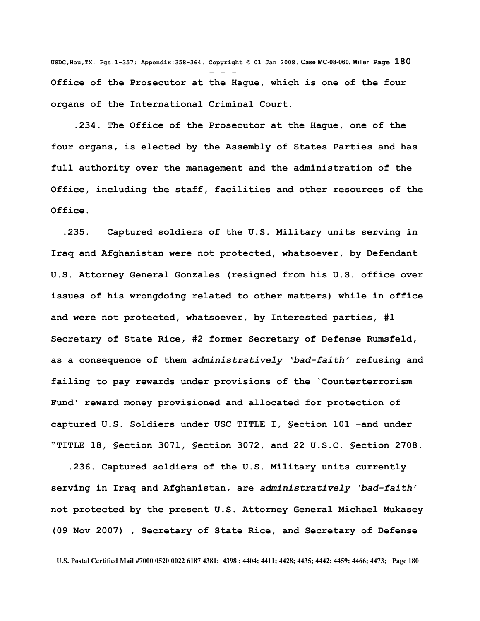**USDC,Hou,TX. Pgs.1-357; Appendix:358-364. Copyright © 01 Jan 2008. Case MC-08-060, Miller Page 180** - - - **Office of the Prosecutor at the Hague, which is one of the four organs of the International Criminal Court.**

 **.234. The Office of the Prosecutor at the Hague, one of the four organs, is elected by the Assembly of States Parties and has full authority over the management and the administration of the Office, including the staff, facilities and other resources of the Office.**

 **.235. Captured soldiers of the U.S. Military units serving in Iraq and Afghanistan were not protected, whatsoever, by Defendant U.S. Attorney General Gonzales (resigned from his U.S. office over issues of his wrongdoing related to other matters) while in office and were not protected, whatsoever, by Interested parties, #1 Secretary of State Rice, #2 former Secretary of Defense Rumsfeld, as a consequence of them** *administratively 'bad-faith'* **refusing and failing to pay rewards under provisions of the `Counterterrorism Fund' reward money provisioned and allocated for protection of captured U.S. Soldiers under USC TITLE I, §ection 101 –and under "TITLE 18, §ection 3071, §ection 3072, and 22 U.S.C. §ection 2708.** 

 **.236. Captured soldiers of the U.S. Military units currently serving in Iraq and Afghanistan, are** *administratively 'bad-faith'* **not protected by the present U.S. Attorney General Michael Mukasey (09 Nov 2007) , Secretary of State Rice, and Secretary of Defense**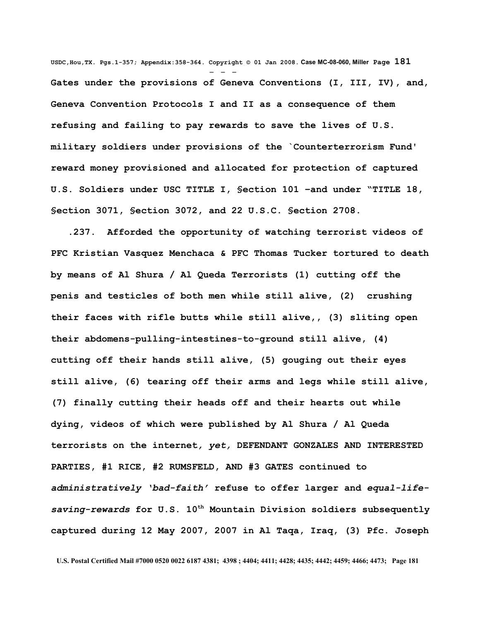**USDC,Hou,TX. Pgs.1-357; Appendix:358-364. Copyright © 01 Jan 2008. Case MC-08-060, Miller Page 181** - - - **Gates under the provisions of Geneva Conventions (I, III, IV), and, Geneva Convention Protocols I and II as a consequence of them refusing and failing to pay rewards to save the lives of U.S. military soldiers under provisions of the `Counterterrorism Fund' reward money provisioned and allocated for protection of captured U.S. Soldiers under USC TITLE I, §ection 101 –and under "TITLE 18, §ection 3071, §ection 3072, and 22 U.S.C. §ection 2708.**

 **.237. Afforded the opportunity of watching terrorist videos of PFC Kristian Vasquez Menchaca & PFC Thomas Tucker tortured to death by means of Al Shura / Al Queda Terrorists (1) cutting off the penis and testicles of both men while still alive, (2) crushing their faces with rifle butts while still alive,, (3) sliting open their abdomens-pulling-intestines-to-ground still alive, (4) cutting off their hands still alive, (5) gouging out their eyes still alive, (6) tearing off their arms and legs while still alive, (7) finally cutting their heads off and their hearts out while dying, videos of which were published by Al Shura / Al Queda terrorists on the internet***, yet,* **DEFENDANT GONZALES AND INTERESTED PARTIES, #1 RICE, #2 RUMSFELD, AND #3 GATES continued to** *administratively 'bad-faith'* **refuse to offer larger and** *equal-lifesaving-rewards* **for U.S. 10th Mountain Division soldiers subsequently captured during 12 May 2007, 2007 in Al Taqa, Iraq, (3) Pfc. Joseph**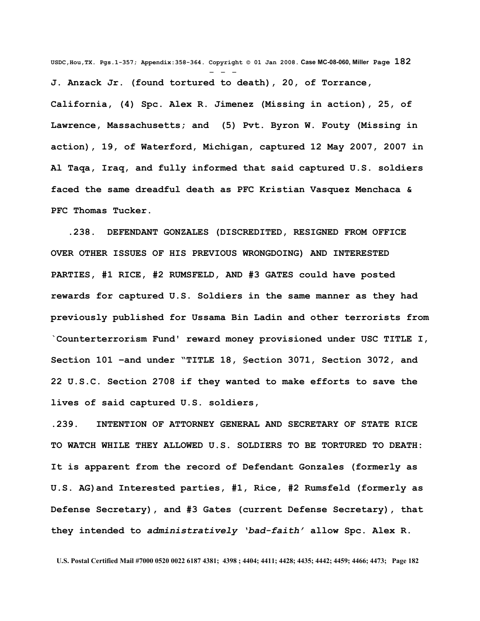**USDC,Hou,TX. Pgs.1-357; Appendix:358-364. Copyright © 01 Jan 2008. Case MC-08-060, Miller Page 182** - - - **J. Anzack Jr. (found tortured to death), 20, of Torrance,**

**California, (4) Spc. Alex R. Jimenez (Missing in action), 25, of Lawrence, Massachusetts; and (5) Pvt. Byron W. Fouty (Missing in action), 19, of Waterford, Michigan, captured 12 May 2007, 2007 in Al Taqa, Iraq, and fully informed that said captured U.S. soldiers faced the same dreadful death as PFC Kristian Vasquez Menchaca & PFC Thomas Tucker.** 

 **.238. DEFENDANT GONZALES (DISCREDITED, RESIGNED FROM OFFICE OVER OTHER ISSUES OF HIS PREVIOUS WRONGDOING) AND INTERESTED PARTIES, #1 RICE, #2 RUMSFELD, AND #3 GATES could have posted rewards for captured U.S. Soldiers in the same manner as they had previously published for Ussama Bin Ladin and other terrorists from `Counterterrorism Fund' reward money provisioned under USC TITLE I, Section 101 –and under "TITLE 18, §ection 3071, Section 3072, and 22 U.S.C. Section 2708 if they wanted to make efforts to save the lives of said captured U.S. soldiers,**

**.239. INTENTION OF ATTORNEY GENERAL AND SECRETARY OF STATE RICE TO WATCH WHILE THEY ALLOWED U.S. SOLDIERS TO BE TORTURED TO DEATH: It is apparent from the record of Defendant Gonzales (formerly as U.S. AG)and Interested parties, #1, Rice, #2 Rumsfeld (formerly as Defense Secretary), and #3 Gates (current Defense Secretary), that they intended to** *administratively 'bad-faith'* **allow Spc. Alex R.**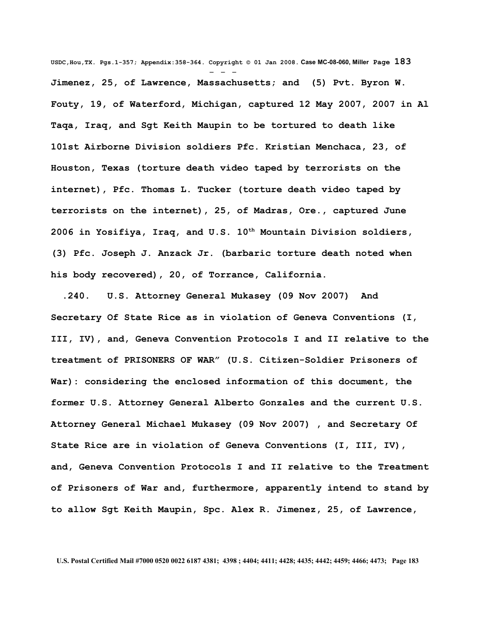**USDC,Hou,TX. Pgs.1-357; Appendix:358-364. Copyright © 01 Jan 2008. Case MC-08-060, Miller Page 183** - - - **Jimenez, 25, of Lawrence, Massachusetts; and (5) Pvt. Byron W. Fouty, 19, of Waterford, Michigan, captured 12 May 2007, 2007 in Al Taqa, Iraq, and Sgt Keith Maupin to be tortured to death like 101st Airborne Division soldiers Pfc. Kristian Menchaca, 23, of Houston, Texas (torture death video taped by terrorists on the internet), Pfc. Thomas L. Tucker (torture death video taped by terrorists on the internet), 25, of Madras, Ore., captured June 2006 in Yosifiya, Iraq, and U.S. 10th Mountain Division soldiers, (3) Pfc. Joseph J. Anzack Jr. (barbaric torture death noted when his body recovered), 20, of Torrance, California.**

 **.240. U.S. Attorney General Mukasey (09 Nov 2007) And Secretary Of State Rice as in violation of Geneva Conventions (I, III, IV), and, Geneva Convention Protocols I and II relative to the treatment of PRISONERS OF WAR" (U.S. Citizen-Soldier Prisoners of War): considering the enclosed information of this document, the former U.S. Attorney General Alberto Gonzales and the current U.S. Attorney General Michael Mukasey (09 Nov 2007) , and Secretary Of State Rice are in violation of Geneva Conventions (I, III, IV), and, Geneva Convention Protocols I and II relative to the Treatment of Prisoners of War and, furthermore, apparently intend to stand by to allow Sgt Keith Maupin, Spc. Alex R. Jimenez, 25, of Lawrence,**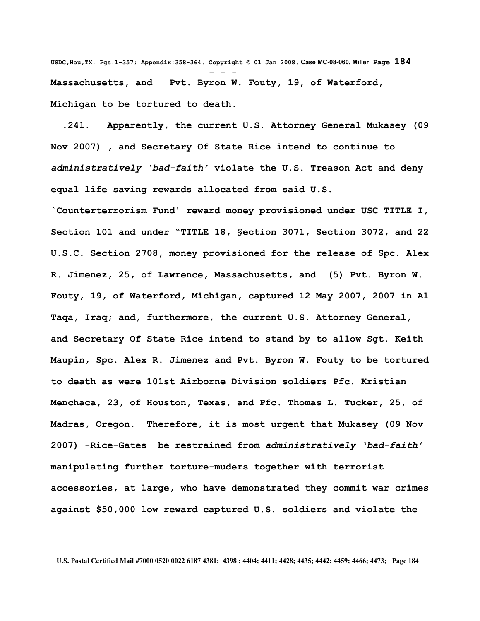**USDC,Hou,TX. Pgs.1-357; Appendix:358-364. Copyright © 01 Jan 2008. Case MC-08-060, Miller Page 184** - - - **Massachusetts, and Pvt. Byron W. Fouty, 19, of Waterford, Michigan to be tortured to death.**

 **.241. Apparently, the current U.S. Attorney General Mukasey (09 Nov 2007) , and Secretary Of State Rice intend to continue to** *administratively 'bad-faith'* **violate the U.S. Treason Act and deny equal life saving rewards allocated from said U.S.**

**`Counterterrorism Fund' reward money provisioned under USC TITLE I, Section 101 and under "TITLE 18, §ection 3071, Section 3072, and 22 U.S.C. Section 2708, money provisioned for the release of Spc. Alex R. Jimenez, 25, of Lawrence, Massachusetts, and (5) Pvt. Byron W. Fouty, 19, of Waterford, Michigan, captured 12 May 2007, 2007 in Al Taqa, Iraq; and, furthermore, the current U.S. Attorney General, and Secretary Of State Rice intend to stand by to allow Sgt. Keith Maupin, Spc. Alex R. Jimenez and Pvt. Byron W. Fouty to be tortured to death as were 101st Airborne Division soldiers Pfc. Kristian Menchaca, 23, of Houston, Texas, and Pfc. Thomas L. Tucker, 25, of Madras, Oregon. Therefore, it is most urgent that Mukasey (09 Nov 2007) -Rice-Gates be restrained from** *administratively 'bad-faith'* **manipulating further torture-muders together with terrorist accessories, at large, who have demonstrated they commit war crimes against \$50,000 low reward captured U.S. soldiers and violate the**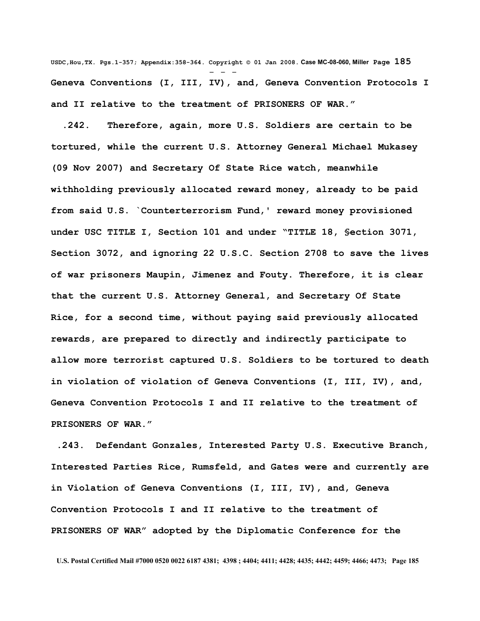**USDC,Hou,TX. Pgs.1-357; Appendix:358-364. Copyright © 01 Jan 2008. Case MC-08-060, Miller Page 185** - - - **Geneva Conventions (I, III, IV), and, Geneva Convention Protocols I and II relative to the treatment of PRISONERS OF WAR."**

 **.242. Therefore, again, more U.S. Soldiers are certain to be tortured, while the current U.S. Attorney General Michael Mukasey (09 Nov 2007) and Secretary Of State Rice watch, meanwhile withholding previously allocated reward money, already to be paid from said U.S. `Counterterrorism Fund,' reward money provisioned under USC TITLE I, Section 101 and under "TITLE 18, §ection 3071, Section 3072, and ignoring 22 U.S.C. Section 2708 to save the lives of war prisoners Maupin, Jimenez and Fouty. Therefore, it is clear that the current U.S. Attorney General, and Secretary Of State Rice, for a second time, without paying said previously allocated rewards, are prepared to directly and indirectly participate to allow more terrorist captured U.S. Soldiers to be tortured to death in violation of violation of Geneva Conventions (I, III, IV), and, Geneva Convention Protocols I and II relative to the treatment of PRISONERS OF WAR."**

 **.243. Defendant Gonzales, Interested Party U.S. Executive Branch, Interested Parties Rice, Rumsfeld, and Gates were and currently are in Violation of Geneva Conventions (I, III, IV), and, Geneva Convention Protocols I and II relative to the treatment of PRISONERS OF WAR" adopted by the Diplomatic Conference for the**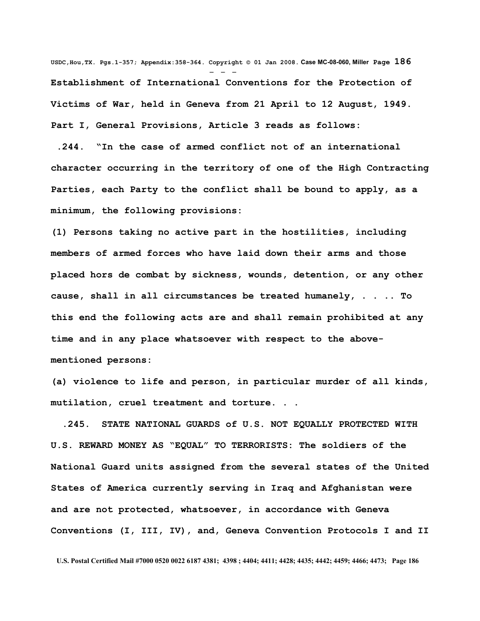**USDC,Hou,TX. Pgs.1-357; Appendix:358-364. Copyright © 01 Jan 2008. Case MC-08-060, Miller Page 186** - - - **Establishment of International Conventions for the Protection of Victims of War, held in Geneva from 21 April to 12 August, 1949. Part I, General Provisions, Article 3 reads as follows:** 

 **.244. "In the case of armed conflict not of an international character occurring in the territory of one of the High Contracting Parties, each Party to the conflict shall be bound to apply, as a minimum, the following provisions:** 

**(1) Persons taking no active part in the hostilities, including members of armed forces who have laid down their arms and those placed hors de combat by sickness, wounds, detention, or any other cause, shall in all circumstances be treated humanely, . . .. To this end the following acts are and shall remain prohibited at any time and in any place whatsoever with respect to the abovementioned persons:** 

**(a) violence to life and person, in particular murder of all kinds, mutilation, cruel treatment and torture. . .**

 **.245. STATE NATIONAL GUARDS of U.S. NOT EQUALLY PROTECTED WITH U.S. REWARD MONEY AS "EQUAL" TO TERRORISTS: The soldiers of the National Guard units assigned from the several states of the United States of America currently serving in Iraq and Afghanistan were and are not protected, whatsoever, in accordance with Geneva Conventions (I, III, IV), and, Geneva Convention Protocols I and II**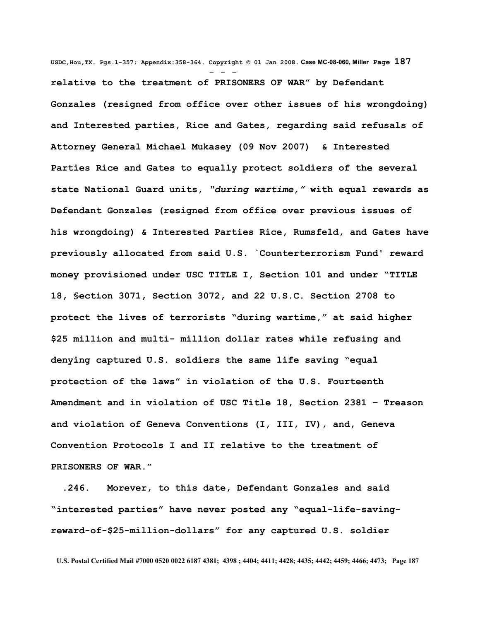**USDC,Hou,TX. Pgs.1-357; Appendix:358-364. Copyright © 01 Jan 2008. Case MC-08-060, Miller Page 187** - - **relative to the treatment of PRISONERS OF WAR" by Defendant Gonzales (resigned from office over other issues of his wrongdoing) and Interested parties, Rice and Gates, regarding said refusals of Attorney General Michael Mukasey (09 Nov 2007) & Interested Parties Rice and Gates to equally protect soldiers of the several state National Guard units,** *"during wartime,"* **with equal rewards as Defendant Gonzales (resigned from office over previous issues of his wrongdoing) & Interested Parties Rice, Rumsfeld, and Gates have previously allocated from said U.S. `Counterterrorism Fund' reward money provisioned under USC TITLE I, Section 101 and under "TITLE 18, §ection 3071, Section 3072, and 22 U.S.C. Section 2708 to protect the lives of terrorists "during wartime," at said higher \$25 million and multi- million dollar rates while refusing and denying captured U.S. soldiers the same life saving "equal protection of the laws" in violation of the U.S. Fourteenth Amendment and in violation of USC Title 18, Section 2381 – Treason and violation of Geneva Conventions (I, III, IV), and, Geneva Convention Protocols I and II relative to the treatment of PRISONERS OF WAR."**

 **.246. Morever, to this date, Defendant Gonzales and said "interested parties" have never posted any "equal-life-savingreward-of-\$25-million-dollars" for any captured U.S. soldier**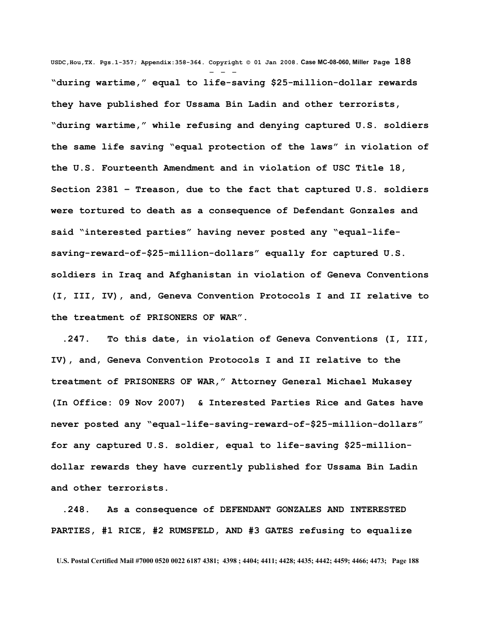**USDC,Hou,TX. Pgs.1-357; Appendix:358-364. Copyright © 01 Jan 2008. Case MC-08-060, Miller Page 188** - - - **"during wartime," equal to life-saving \$25-million-dollar rewards they have published for Ussama Bin Ladin and other terrorists, "during wartime," while refusing and denying captured U.S. soldiers the same life saving "equal protection of the laws" in violation of the U.S. Fourteenth Amendment and in violation of USC Title 18, Section 2381 – Treason, due to the fact that captured U.S. soldiers were tortured to death as a consequence of Defendant Gonzales and said "interested parties" having never posted any "equal-lifesaving-reward-of-\$25-million-dollars" equally for captured U.S. soldiers in Iraq and Afghanistan in violation of Geneva Conventions (I, III, IV), and, Geneva Convention Protocols I and II relative to the treatment of PRISONERS OF WAR".** 

 **.247. To this date, in violation of Geneva Conventions (I, III, IV), and, Geneva Convention Protocols I and II relative to the treatment of PRISONERS OF WAR," Attorney General Michael Mukasey (In Office: 09 Nov 2007) & Interested Parties Rice and Gates have never posted any "equal-life-saving-reward-of-\$25-million-dollars" for any captured U.S. soldier, equal to life-saving \$25-milliondollar rewards they have currently published for Ussama Bin Ladin and other terrorists.** 

 **.248. As a consequence of DEFENDANT GONZALES AND INTERESTED PARTIES, #1 RICE, #2 RUMSFELD, AND #3 GATES refusing to equalize**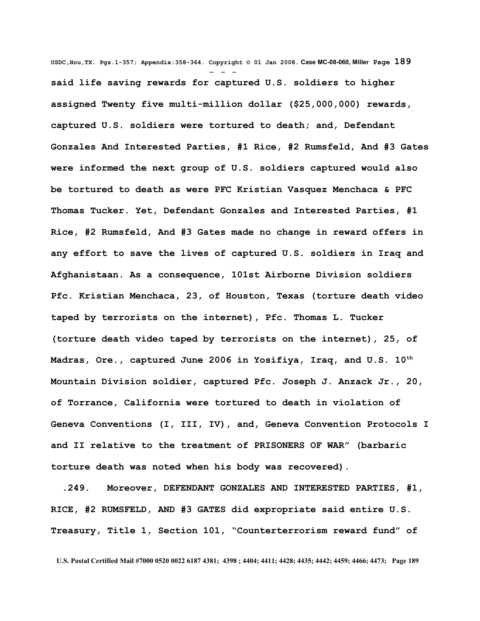**USDC,Hou,TX. Pgs.1-357; Appendix:358-364. Copyright © 01 Jan 2008. Case MC-08-060, Miller Page 189** - - **said life saving rewards for captured U.S. soldiers to higher assigned Twenty five multi-million dollar (\$25,000,000) rewards, captured U.S. soldiers were tortured to death; and, Defendant Gonzales And Interested Parties, #1 Rice, #2 Rumsfeld, And #3 Gates were informed the next group of U.S. soldiers captured would also be tortured to death as were PFC Kristian Vasquez Menchaca & PFC Thomas Tucker. Yet, Defendant Gonzales and Interested Parties, #1 Rice, #2 Rumsfeld, And #3 Gates made no change in reward offers in any effort to save the lives of captured U.S. soldiers in Iraq and Afghanistaan. As a consequence, 101st Airborne Division soldiers Pfc. Kristian Menchaca, 23, of Houston, Texas (torture death video taped by terrorists on the internet), Pfc. Thomas L. Tucker (torture death video taped by terrorists on the internet), 25, of Madras, Ore., captured June 2006 in Yosifiya, Iraq, and U.S. 10th Mountain Division soldier, captured Pfc. Joseph J. Anzack Jr., 20, of Torrance, California were tortured to death in violation of Geneva Conventions (I, III, IV), and, Geneva Convention Protocols I and II relative to the treatment of PRISONERS OF WAR" (barbaric torture death was noted when his body was recovered).**

 **.249. Moreover, DEFENDANT GONZALES AND INTERESTED PARTIES, #1, RICE, #2 RUMSFELD, AND #3 GATES did expropriate said entire U.S. Treasury, Title 1, Section 101, "Counterterrorism reward fund" of**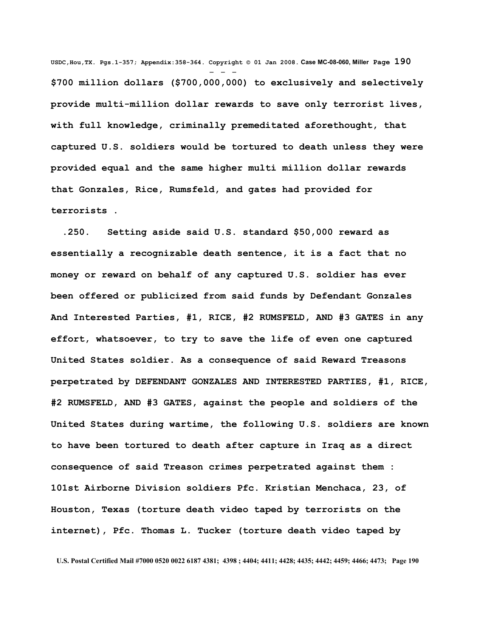**USDC,Hou,TX. Pgs.1-357; Appendix:358-364. Copyright © 01 Jan 2008. Case MC-08-060, Miller Page 190** - - - **\$700 million dollars (\$700,000,000) to exclusively and selectively provide multi-million dollar rewards to save only terrorist lives, with full knowledge, criminally premeditated aforethought, that captured U.S. soldiers would be tortured to death unless they were provided equal and the same higher multi million dollar rewards that Gonzales, Rice, Rumsfeld, and gates had provided for terrorists .** 

 **.250. Setting aside said U.S. standard \$50,000 reward as essentially a recognizable death sentence, it is a fact that no money or reward on behalf of any captured U.S. soldier has ever been offered or publicized from said funds by Defendant Gonzales And Interested Parties, #1, RICE, #2 RUMSFELD, AND #3 GATES in any effort, whatsoever, to try to save the life of even one captured United States soldier. As a consequence of said Reward Treasons perpetrated by DEFENDANT GONZALES AND INTERESTED PARTIES, #1, RICE, #2 RUMSFELD, AND #3 GATES, against the people and soldiers of the United States during wartime, the following U.S. soldiers are known to have been tortured to death after capture in Iraq as a direct consequence of said Treason crimes perpetrated against them : 101st Airborne Division soldiers Pfc. Kristian Menchaca, 23, of Houston, Texas (torture death video taped by terrorists on the internet), Pfc. Thomas L. Tucker (torture death video taped by**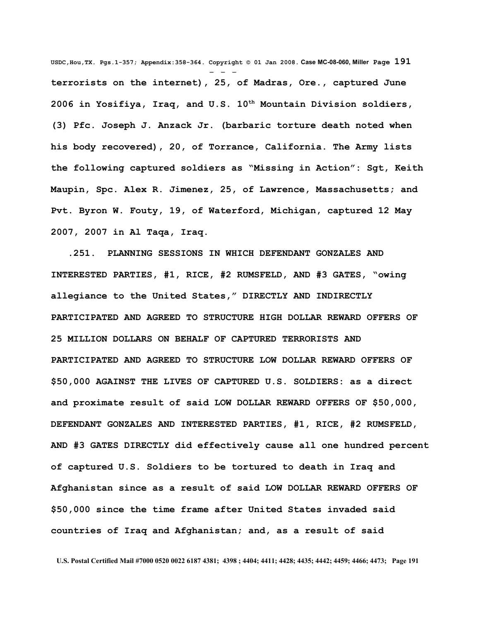**USDC,Hou,TX. Pgs.1-357; Appendix:358-364. Copyright © 01 Jan 2008. Case MC-08-060, Miller Page 191** - - **terrorists on the internet), 25, of Madras, Ore., captured June 2006 in Yosifiya, Iraq, and U.S. 10th Mountain Division soldiers, (3) Pfc. Joseph J. Anzack Jr. (barbaric torture death noted when his body recovered), 20, of Torrance, California. The Army lists the following captured soldiers as "Missing in Action": Sgt, Keith Maupin, Spc. Alex R. Jimenez, 25, of Lawrence, Massachusetts; and Pvt. Byron W. Fouty, 19, of Waterford, Michigan, captured 12 May 2007, 2007 in Al Taqa, Iraq.**

 **.251. PLANNING SESSIONS IN WHICH DEFENDANT GONZALES AND INTERESTED PARTIES, #1, RICE, #2 RUMSFELD, AND #3 GATES, "owing allegiance to the United States," DIRECTLY AND INDIRECTLY PARTICIPATED AND AGREED TO STRUCTURE HIGH DOLLAR REWARD OFFERS OF 25 MILLION DOLLARS ON BEHALF OF CAPTURED TERRORISTS AND PARTICIPATED AND AGREED TO STRUCTURE LOW DOLLAR REWARD OFFERS OF \$50,000 AGAINST THE LIVES OF CAPTURED U.S. SOLDIERS: as a direct and proximate result of said LOW DOLLAR REWARD OFFERS OF \$50,000, DEFENDANT GONZALES AND INTERESTED PARTIES, #1, RICE, #2 RUMSFELD, AND #3 GATES DIRECTLY did effectively cause all one hundred percent of captured U.S. Soldiers to be tortured to death in Iraq and Afghanistan since as a result of said LOW DOLLAR REWARD OFFERS OF \$50,000 since the time frame after United States invaded said countries of Iraq and Afghanistan; and, as a result of said**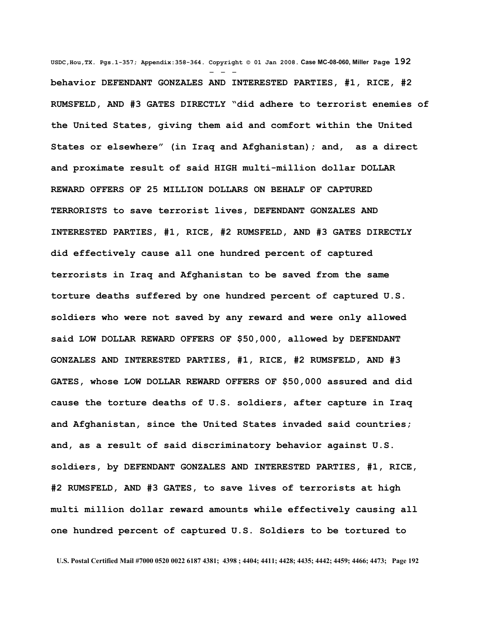**USDC,Hou,TX. Pgs.1-357; Appendix:358-364. Copyright © 01 Jan 2008. Case MC-08-060, Miller Page 192** - - **behavior DEFENDANT GONZALES AND INTERESTED PARTIES, #1, RICE, #2 RUMSFELD, AND #3 GATES DIRECTLY "did adhere to terrorist enemies of the United States, giving them aid and comfort within the United States or elsewhere" (in Iraq and Afghanistan); and, as a direct and proximate result of said HIGH multi-million dollar DOLLAR REWARD OFFERS OF 25 MILLION DOLLARS ON BEHALF OF CAPTURED TERRORISTS to save terrorist lives, DEFENDANT GONZALES AND INTERESTED PARTIES, #1, RICE, #2 RUMSFELD, AND #3 GATES DIRECTLY did effectively cause all one hundred percent of captured terrorists in Iraq and Afghanistan to be saved from the same torture deaths suffered by one hundred percent of captured U.S. soldiers who were not saved by any reward and were only allowed said LOW DOLLAR REWARD OFFERS OF \$50,000, allowed by DEFENDANT GONZALES AND INTERESTED PARTIES, #1, RICE, #2 RUMSFELD, AND #3 GATES, whose LOW DOLLAR REWARD OFFERS OF \$50,000 assured and did cause the torture deaths of U.S. soldiers, after capture in Iraq and Afghanistan, since the United States invaded said countries; and, as a result of said discriminatory behavior against U.S. soldiers, by DEFENDANT GONZALES AND INTERESTED PARTIES, #1, RICE, #2 RUMSFELD, AND #3 GATES, to save lives of terrorists at high multi million dollar reward amounts while effectively causing all one hundred percent of captured U.S. Soldiers to be tortured to**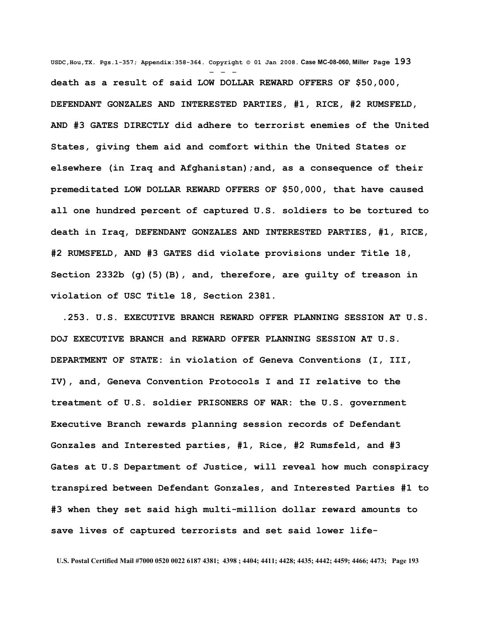**USDC,Hou,TX. Pgs.1-357; Appendix:358-364. Copyright © 01 Jan 2008. Case MC-08-060, Miller Page 193** - - **death as a result of said LOW DOLLAR REWARD OFFERS OF \$50,000, DEFENDANT GONZALES AND INTERESTED PARTIES, #1, RICE, #2 RUMSFELD, AND #3 GATES DIRECTLY did adhere to terrorist enemies of the United States, giving them aid and comfort within the United States or elsewhere (in Iraq and Afghanistan);and, as a consequence of their premeditated LOW DOLLAR REWARD OFFERS OF \$50,000, that have caused all one hundred percent of captured U.S. soldiers to be tortured to death in Iraq, DEFENDANT GONZALES AND INTERESTED PARTIES, #1, RICE, #2 RUMSFELD, AND #3 GATES did violate provisions under Title 18, Section [2332b](http://www4.law.cornell.edu/uscode/html/uscode18/usc_sec_18_00002332---b000-.html) [\(g\)\(5\)\(B\),](http://www4.law.cornell.edu/uscode/html/uscode18/usc_sec_18_00002332---b000-.html#g_5_B) and, therefore, are guilty of treason in violation of USC Title 18, Section 2381.**

 **.253. U.S. EXECUTIVE BRANCH REWARD OFFER PLANNING SESSION AT U.S. DOJ EXECUTIVE BRANCH and REWARD OFFER PLANNING SESSION AT U.S. DEPARTMENT OF STATE: in violation of Geneva Conventions (I, III, IV), and, Geneva Convention Protocols I and II relative to the treatment of U.S. soldier PRISONERS OF WAR: the U.S. government Executive Branch rewards planning session records of Defendant Gonzales and Interested parties, #1, Rice, #2 Rumsfeld, and #3 Gates at U.S Department of Justice, will reveal how much conspiracy transpired between Defendant Gonzales, and Interested Parties #1 to #3 when they set said high multi-million dollar reward amounts to save lives of captured terrorists and set said lower life-**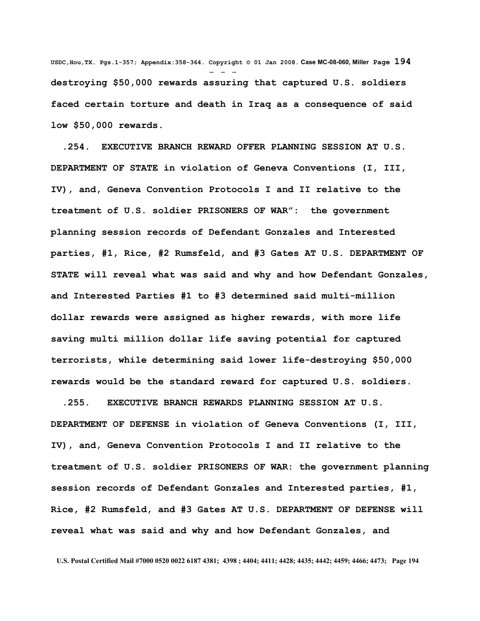**USDC,Hou,TX. Pgs.1-357; Appendix:358-364. Copyright © 01 Jan 2008. Case MC-08-060, Miller Page 194** - - **destroying \$50,000 rewards assuring that captured U.S. soldiers faced certain torture and death in Iraq as a consequence of said low \$50,000 rewards.**

 **.254. EXECUTIVE BRANCH REWARD OFFER PLANNING SESSION AT U.S. DEPARTMENT OF STATE in violation of Geneva Conventions (I, III, IV), and, Geneva Convention Protocols I and II relative to the treatment of U.S. soldier PRISONERS OF WAR": the government planning session records of Defendant Gonzales and Interested parties, #1, Rice, #2 Rumsfeld, and #3 Gates AT U.S. DEPARTMENT OF STATE will reveal what was said and why and how Defendant Gonzales, and Interested Parties #1 to #3 determined said multi-million dollar rewards were assigned as higher rewards, with more life saving multi million dollar life saving potential for captured terrorists, while determining said lower life-destroying \$50,000 rewards would be the standard reward for captured U.S. soldiers.**

 **.255. EXECUTIVE BRANCH REWARDS PLANNING SESSION AT U.S. DEPARTMENT OF DEFENSE in violation of Geneva Conventions (I, III, IV), and, Geneva Convention Protocols I and II relative to the treatment of U.S. soldier PRISONERS OF WAR: the government planning session records of Defendant Gonzales and Interested parties, #1, Rice, #2 Rumsfeld, and #3 Gates AT U.S. DEPARTMENT OF DEFENSE will reveal what was said and why and how Defendant Gonzales, and**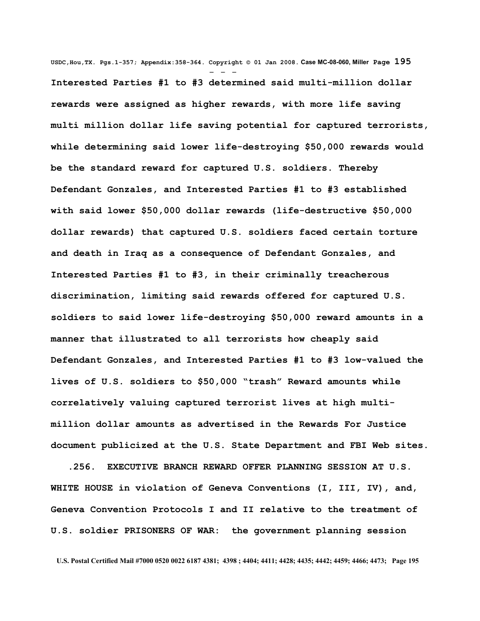**USDC,Hou,TX. Pgs.1-357; Appendix:358-364. Copyright © 01 Jan 2008. Case MC-08-060, Miller Page 195** - - - **Interested Parties #1 to #3 determined said multi-million dollar rewards were assigned as higher rewards, with more life saving multi million dollar life saving potential for captured terrorists, while determining said lower life-destroying \$50,000 rewards would be the standard reward for captured U.S. soldiers. Thereby Defendant Gonzales, and Interested Parties #1 to #3 established with said lower \$50,000 dollar rewards (life-destructive \$50,000 dollar rewards) that captured U.S. soldiers faced certain torture and death in Iraq as a consequence of Defendant Gonzales, and Interested Parties #1 to #3, in their criminally treacherous discrimination, limiting said rewards offered for captured U.S. soldiers to said lower life-destroying \$50,000 reward amounts in a manner that illustrated to all terrorists how cheaply said Defendant Gonzales, and Interested Parties #1 to #3 low-valued the lives of U.S. soldiers to \$50,000 "trash" Reward amounts while correlatively valuing captured terrorist lives at high multimillion dollar amounts as advertised in the Rewards For Justice document publicized at the U.S. State Department and FBI Web sites.** 

 **.256. EXECUTIVE BRANCH REWARD OFFER PLANNING SESSION AT U.S. WHITE HOUSE in violation of Geneva Conventions (I, III, IV), and, Geneva Convention Protocols I and II relative to the treatment of U.S. soldier PRISONERS OF WAR: the government planning session**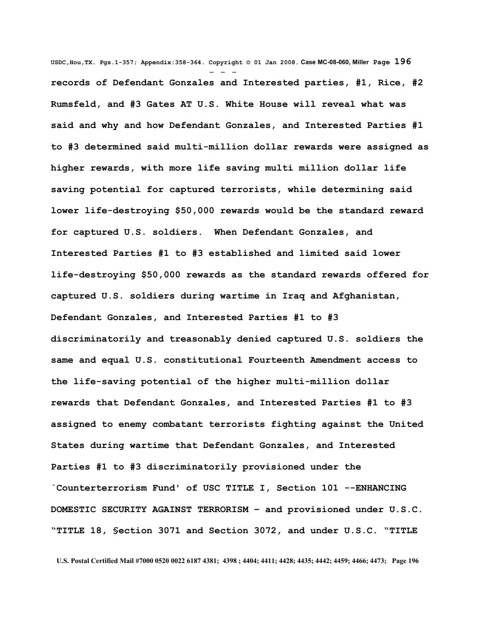**USDC,Hou,TX. Pgs.1-357; Appendix:358-364. Copyright © 01 Jan 2008. Case MC-08-060, Miller Page 196** - - **records of Defendant Gonzales and Interested parties, #1, Rice, #2 Rumsfeld, and #3 Gates AT U.S. White House will reveal what was said and why and how Defendant Gonzales, and Interested Parties #1 to #3 determined said multi-million dollar rewards were assigned as higher rewards, with more life saving multi million dollar life saving potential for captured terrorists, while determining said lower life-destroying \$50,000 rewards would be the standard reward for captured U.S. soldiers. When Defendant Gonzales, and Interested Parties #1 to #3 established and limited said lower life-destroying \$50,000 rewards as the standard rewards offered for captured U.S. soldiers during wartime in Iraq and Afghanistan, Defendant Gonzales, and Interested Parties #1 to #3 discriminatorily and treasonably denied captured U.S. soldiers the same and equal U.S. constitutional Fourteenth Amendment access to the life-saving potential of the higher multi-million dollar rewards that Defendant Gonzales, and Interested Parties #1 to #3 assigned to enemy combatant terrorists fighting against the United States during wartime that Defendant Gonzales, and Interested Parties #1 to #3 discriminatorily provisioned under the `Counterterrorism Fund' of USC TITLE I, Section 101 --ENHANCING DOMESTIC SECURITY AGAINST TERRORISM – and provisioned under U.S.C. "TITLE 18, §ection 3071 and Section 3072, and under U.S.C. "TITLE**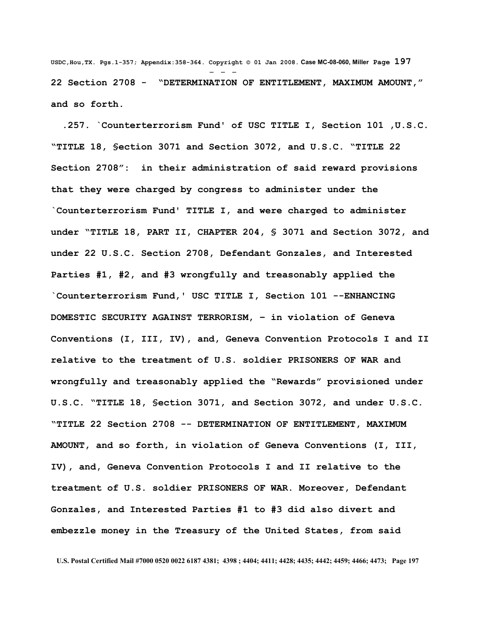**USDC,Hou,TX. Pgs.1-357; Appendix:358-364. Copyright © 01 Jan 2008. Case MC-08-060, Miller Page 197** - - - **22 Section 2708 - "DETERMINATION OF ENTITLEMENT, MAXIMUM AMOUNT," and so forth.**

 **.257. `Counterterrorism Fund' of USC TITLE I, Section 101 ,U.S.C. "TITLE 18, §ection 3071 and Section 3072, and U.S.C. "TITLE 22 Section 2708": in their administration of said reward provisions that they were charged by congress to administer under the `Counterterrorism Fund' TITLE I, and were charged to administer under "TITLE 18, PART II, CHAPTER 204, § 3071 and Section 3072, and under 22 U.S.C. Section 2708, Defendant Gonzales, and Interested Parties #1, #2, and #3 wrongfully and treasonably applied the `Counterterrorism Fund,' USC TITLE I, Section 101 --ENHANCING DOMESTIC SECURITY AGAINST TERRORISM, – in violation of Geneva Conventions (I, III, IV), and, Geneva Convention Protocols I and II relative to the treatment of U.S. soldier PRISONERS OF WAR and wrongfully and treasonably applied the "Rewards" provisioned under U.S.C. "TITLE 18, §ection 3071, and Section 3072, and under U.S.C. "TITLE 22 Section 2708 -- DETERMINATION OF ENTITLEMENT, MAXIMUM AMOUNT, and so forth, in violation of Geneva Conventions (I, III, IV), and, Geneva Convention Protocols I and II relative to the treatment of U.S. soldier PRISONERS OF WAR. Moreover, Defendant Gonzales, and Interested Parties #1 to #3 did also divert and embezzle money in the Treasury of the United States, from said**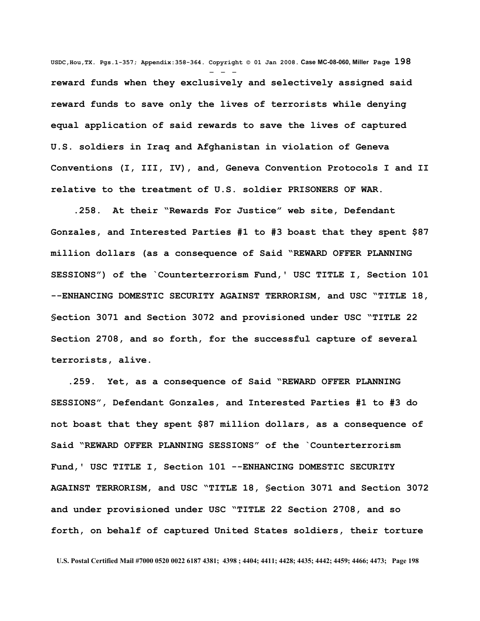**USDC,Hou,TX. Pgs.1-357; Appendix:358-364. Copyright © 01 Jan 2008. Case MC-08-060, Miller Page 198** - - **reward funds when they exclusively and selectively assigned said reward funds to save only the lives of terrorists while denying equal application of said rewards to save the lives of captured U.S. soldiers in Iraq and Afghanistan in violation of Geneva Conventions (I, III, IV), and, Geneva Convention Protocols I and II relative to the treatment of U.S. soldier PRISONERS OF WAR.**

 **.258. At their "Rewards For Justice" web site, Defendant Gonzales, and Interested Parties #1 to #3 boast that they spent \$87 million dollars (as a consequence of Said "REWARD OFFER PLANNING SESSIONS") of the `Counterterrorism Fund,' USC TITLE I, Section 101 --ENHANCING DOMESTIC SECURITY AGAINST TERRORISM, and USC "TITLE 18, §ection 3071 and Section 3072 and provisioned under USC "TITLE 22 Section 2708, and so forth, for the successful capture of several terrorists, alive.** 

 **.259. Yet, as a consequence of Said "REWARD OFFER PLANNING SESSIONS", Defendant Gonzales, and Interested Parties #1 to #3 do not boast that they spent \$87 million dollars, as a consequence of Said "REWARD OFFER PLANNING SESSIONS" of the `Counterterrorism Fund,' USC TITLE I, Section 101 --ENHANCING DOMESTIC SECURITY AGAINST TERRORISM, and USC "TITLE 18, §ection 3071 and Section 3072 and under provisioned under USC "TITLE 22 Section 2708, and so forth, on behalf of captured United States soldiers, their torture**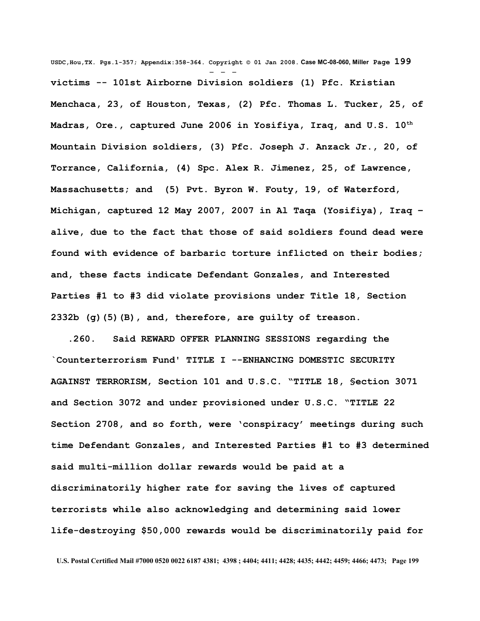**USDC,Hou,TX. Pgs.1-357; Appendix:358-364. Copyright © 01 Jan 2008. Case MC-08-060, Miller Page 199** - - **victims -- 101st Airborne Division soldiers (1) Pfc. Kristian Menchaca, 23, of Houston, Texas, (2) Pfc. Thomas L. Tucker, 25, of Madras, Ore., captured June 2006 in Yosifiya, Iraq, and U.S. 10th Mountain Division soldiers, (3) Pfc. Joseph J. Anzack Jr., 20, of Torrance, California, (4) Spc. Alex R. Jimenez, 25, of Lawrence, Massachusetts; and (5) Pvt. Byron W. Fouty, 19, of Waterford, Michigan, captured 12 May 2007, 2007 in Al Taqa (Yosifiya), Iraq – alive, due to the fact that those of said soldiers found dead were found with evidence of barbaric torture inflicted on their bodies; and, these facts indicate Defendant Gonzales, and Interested Parties #1 to #3 did violate provisions under Title 18, Section [2332b](http://www4.law.cornell.edu/uscode/html/uscode18/usc_sec_18_00002332---b000-.html) [\(g\)\(5\)\(B\),](http://www4.law.cornell.edu/uscode/html/uscode18/usc_sec_18_00002332---b000-.html#g_5_B) and, therefore, are guilty of treason.** 

 **.260. Said REWARD OFFER PLANNING SESSIONS regarding the `Counterterrorism Fund' TITLE I --ENHANCING DOMESTIC SECURITY AGAINST TERRORISM, Section 101 and U.S.C. "TITLE 18, §ection 3071 and Section 3072 and under provisioned under U.S.C. "TITLE 22 Section 2708, and so forth, were 'conspiracy' meetings during such time Defendant Gonzales, and Interested Parties #1 to #3 determined said multi-million dollar rewards would be paid at a discriminatorily higher rate for saving the lives of captured terrorists while also acknowledging and determining said lower life-destroying \$50,000 rewards would be discriminatorily paid for**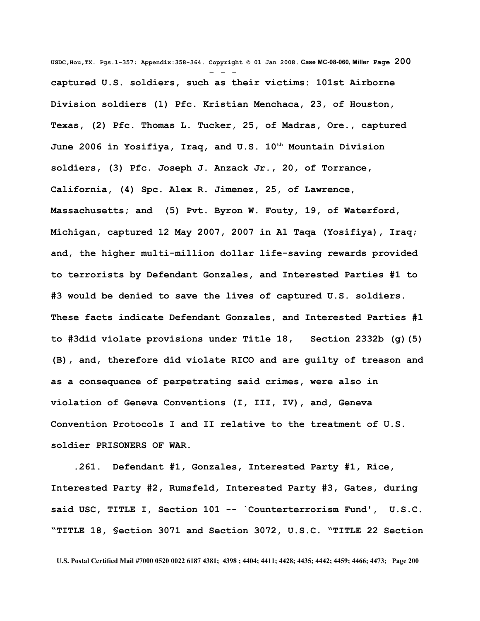**USDC,Hou,TX. Pgs.1-357; Appendix:358-364. Copyright © 01 Jan 2008. Case MC-08-060, Miller Page 200** - - **captured U.S. soldiers, such as their victims: 101st Airborne Division soldiers (1) Pfc. Kristian Menchaca, 23, of Houston, Texas, (2) Pfc. Thomas L. Tucker, 25, of Madras, Ore., captured June 2006 in Yosifiya, Iraq, and U.S. 10th Mountain Division soldiers, (3) Pfc. Joseph J. Anzack Jr., 20, of Torrance, California, (4) Spc. Alex R. Jimenez, 25, of Lawrence, Massachusetts; and (5) Pvt. Byron W. Fouty, 19, of Waterford, Michigan, captured 12 May 2007, 2007 in Al Taqa (Yosifiya), Iraq; and, the higher multi-million dollar life-saving rewards provided to terrorists by Defendant Gonzales, and Interested Parties #1 to #3 would be denied to save the lives of captured U.S. soldiers. These facts indicate Defendant Gonzales, and Interested Parties #1 to #3did violate provisions under Title 18, Section [2332b](http://www4.law.cornell.edu/uscode/html/uscode18/usc_sec_18_00002332---b000-.html) [\(g\)\(5\)](http://www4.law.cornell.edu/uscode/html/uscode18/usc_sec_18_00002332---b000-.html#g_5_B) [\(B\),](http://www4.law.cornell.edu/uscode/html/uscode18/usc_sec_18_00002332---b000-.html#g_5_B) and, therefore did violate RICO and are guilty of treason and as a consequence of perpetrating said crimes, were also in violation of Geneva Conventions (I, III, IV), and, Geneva Convention Protocols I and II relative to the treatment of U.S. soldier PRISONERS OF WAR.** 

 **.261. Defendant #1, Gonzales, Interested Party #1, Rice, Interested Party #2, Rumsfeld, Interested Party #3, Gates, during said USC, TITLE I, Section 101 -- `Counterterrorism Fund', U.S.C. "TITLE 18, §ection 3071 and Section 3072, U.S.C. "TITLE 22 Section**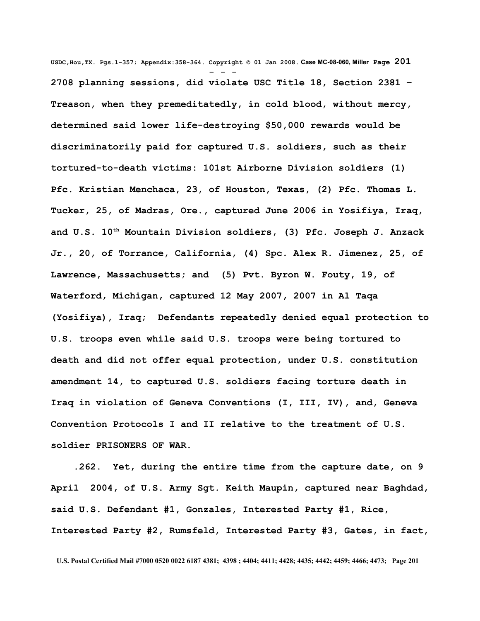**USDC,Hou,TX. Pgs.1-357; Appendix:358-364. Copyright © 01 Jan 2008. Case MC-08-060, Miller Page 201** - - - **2708 planning sessions, did violate USC Title 18, Section 2381 – Treason, when they premeditatedly, in cold blood, without mercy, determined said lower life-destroying \$50,000 rewards would be discriminatorily paid for captured U.S. soldiers, such as their tortured-to-death victims: 101st Airborne Division soldiers (1) Pfc. Kristian Menchaca, 23, of Houston, Texas, (2) Pfc. Thomas L. Tucker, 25, of Madras, Ore., captured June 2006 in Yosifiya, Iraq, and U.S. 10th Mountain Division soldiers, (3) Pfc. Joseph J. Anzack Jr., 20, of Torrance, California, (4) Spc. Alex R. Jimenez, 25, of Lawrence, Massachusetts; and (5) Pvt. Byron W. Fouty, 19, of Waterford, Michigan, captured 12 May 2007, 2007 in Al Taqa (Yosifiya), Iraq; Defendants repeatedly denied equal protection to U.S. troops even while said U.S. troops were being tortured to death and did not offer equal protection, under U.S. constitution amendment 14, to captured U.S. soldiers facing torture death in Iraq in violation of Geneva Conventions (I, III, IV), and, Geneva Convention Protocols I and II relative to the treatment of U.S. soldier PRISONERS OF WAR.**

 **.262. Yet, during the entire time from the capture date, on 9 April 2004, of U.S. Army Sgt. Keith Maupin, captured near Baghdad, said U.S. Defendant #1, Gonzales, Interested Party #1, Rice, Interested Party #2, Rumsfeld, Interested Party #3, Gates, in fact,**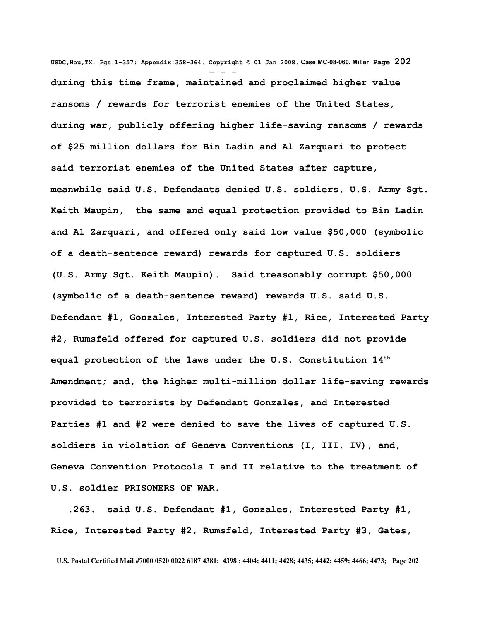**USDC,Hou,TX. Pgs.1-357; Appendix:358-364. Copyright © 01 Jan 2008. Case MC-08-060, Miller Page 202** - - **during this time frame, maintained and proclaimed higher value ransoms / rewards for terrorist enemies of the United States, during war, publicly offering higher life-saving ransoms / rewards of \$25 million dollars for Bin Ladin and Al Zarquari to protect said terrorist enemies of the United States after capture, meanwhile said U.S. Defendants denied U.S. soldiers, U.S. Army Sgt. Keith Maupin, the same and equal protection provided to Bin Ladin and Al Zarquari, and offered only said low value \$50,000 (symbolic of a death-sentence reward) rewards for captured U.S. soldiers (U.S. Army Sgt. Keith Maupin). Said treasonably corrupt \$50,000 (symbolic of a death-sentence reward) rewards U.S. said U.S. Defendant #1, Gonzales, Interested Party #1, Rice, Interested Party #2, Rumsfeld offered for captured U.S. soldiers did not provide equal protection of the laws under the U.S. Constitution 14th Amendment; and, the higher multi-million dollar life-saving rewards provided to terrorists by Defendant Gonzales, and Interested Parties #1 and #2 were denied to save the lives of captured U.S. soldiers in violation of Geneva Conventions (I, III, IV), and, Geneva Convention Protocols I and II relative to the treatment of U.S. soldier PRISONERS OF WAR.** 

 **.263. said U.S. Defendant #1, Gonzales, Interested Party #1, Rice, Interested Party #2, Rumsfeld, Interested Party #3, Gates,**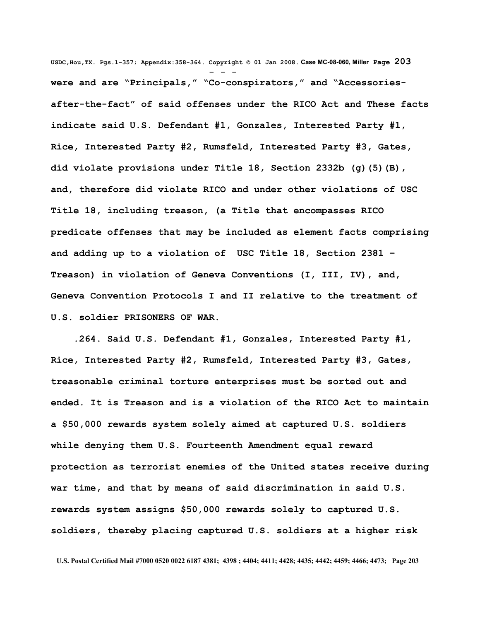**USDC,Hou,TX. Pgs.1-357; Appendix:358-364. Copyright © 01 Jan 2008. Case MC-08-060, Miller Page 203** - - **were and are "Principals," "Co-conspirators," and "Accessoriesafter-the-fact" of said offenses under the RICO Act and These facts indicate said U.S. Defendant #1, Gonzales, Interested Party #1, Rice, Interested Party #2, Rumsfeld, Interested Party #3, Gates, did violate provisions under Title 18, Section [2332b](http://www4.law.cornell.edu/uscode/html/uscode18/usc_sec_18_00002332---b000-.html) [\(g\)\(5\)\(B\),](http://www4.law.cornell.edu/uscode/html/uscode18/usc_sec_18_00002332---b000-.html#g_5_B) and, therefore did violate RICO and under other violations of USC Title 18, including treason, (a Title that encompasses RICO predicate offenses that may be included as element facts comprising and adding up to a violation of USC Title 18, Section 2381 – Treason) in violation of Geneva Conventions (I, III, IV), and, Geneva Convention Protocols I and II relative to the treatment of U.S. soldier PRISONERS OF WAR.** 

 **.264. Said U.S. Defendant #1, Gonzales, Interested Party #1, Rice, Interested Party #2, Rumsfeld, Interested Party #3, Gates, treasonable criminal torture enterprises must be sorted out and ended. It is Treason and is a violation of the RICO Act to maintain a \$50,000 rewards system solely aimed at captured U.S. soldiers while denying them U.S. Fourteenth Amendment equal reward protection as terrorist enemies of the United states receive during war time, and that by means of said discrimination in said U.S. rewards system assigns \$50,000 rewards solely to captured U.S. soldiers, thereby placing captured U.S. soldiers at a higher risk**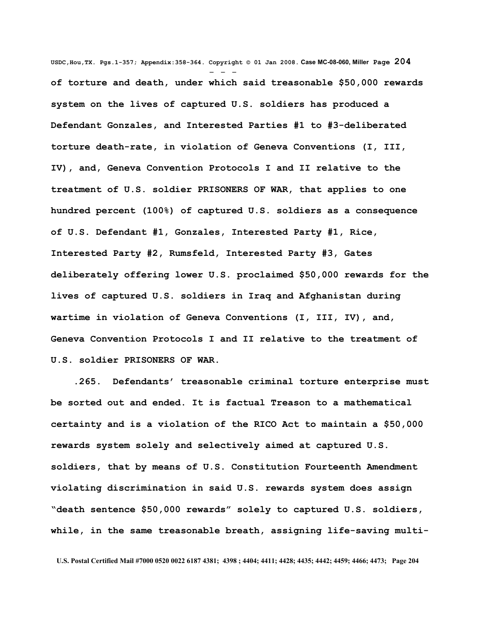**USDC,Hou,TX. Pgs.1-357; Appendix:358-364. Copyright © 01 Jan 2008. Case MC-08-060, Miller Page 204** - - **of torture and death, under which said treasonable \$50,000 rewards system on the lives of captured U.S. soldiers has produced a Defendant Gonzales, and Interested Parties #1 to #3-deliberated torture death-rate, in violation of Geneva Conventions (I, III, IV), and, Geneva Convention Protocols I and II relative to the treatment of U.S. soldier PRISONERS OF WAR, that applies to one hundred percent (100%) of captured U.S. soldiers as a consequence of U.S. Defendant #1, Gonzales, Interested Party #1, Rice, Interested Party #2, Rumsfeld, Interested Party #3, Gates deliberately offering lower U.S. proclaimed \$50,000 rewards for the lives of captured U.S. soldiers in Iraq and Afghanistan during wartime in violation of Geneva Conventions (I, III, IV), and, Geneva Convention Protocols I and II relative to the treatment of U.S. soldier PRISONERS OF WAR.**

 **.265. Defendants' treasonable criminal torture enterprise must be sorted out and ended. It is factual Treason to a mathematical certainty and is a violation of the RICO Act to maintain a \$50,000 rewards system solely and selectively aimed at captured U.S. soldiers, that by means of U.S. Constitution Fourteenth Amendment violating discrimination in said U.S. rewards system does assign "death sentence \$50,000 rewards" solely to captured U.S. soldiers, while, in the same treasonable breath, assigning life-saving multi-**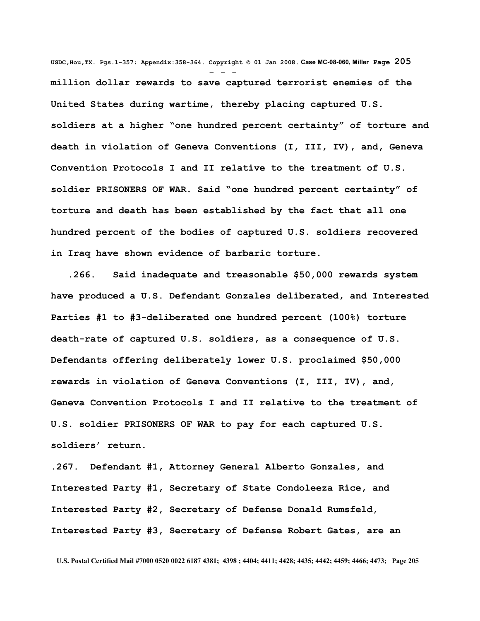**USDC,Hou,TX. Pgs.1-357; Appendix:358-364. Copyright © 01 Jan 2008. Case MC-08-060, Miller Page 205** - - **million dollar rewards to save captured terrorist enemies of the United States during wartime, thereby placing captured U.S. soldiers at a higher "one hundred percent certainty" of torture and death in violation of Geneva Conventions (I, III, IV), and, Geneva Convention Protocols I and II relative to the treatment of U.S. soldier PRISONERS OF WAR. Said "one hundred percent certainty" of torture and death has been established by the fact that all one hundred percent of the bodies of captured U.S. soldiers recovered in Iraq have shown evidence of barbaric torture.** 

 **.266. Said inadequate and treasonable \$50,000 rewards system have produced a U.S. Defendant Gonzales deliberated, and Interested Parties #1 to #3-deliberated one hundred percent (100%) torture death-rate of captured U.S. soldiers, as a consequence of U.S. Defendants offering deliberately lower U.S. proclaimed \$50,000 rewards in violation of Geneva Conventions (I, III, IV), and, Geneva Convention Protocols I and II relative to the treatment of U.S. soldier PRISONERS OF WAR to pay for each captured U.S. soldiers' return.** 

**.267. Defendant #1, Attorney General Alberto Gonzales, and Interested Party #1, Secretary of State Condoleeza Rice, and Interested Party #2, Secretary of Defense Donald Rumsfeld, Interested Party #3, Secretary of Defense Robert Gates, are an**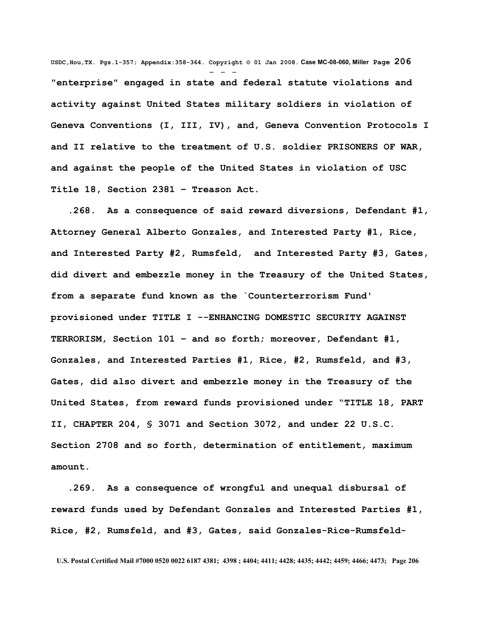**USDC,Hou,TX. Pgs.1-357; Appendix:358-364. Copyright © 01 Jan 2008. Case MC-08-060, Miller Page 206** - - - **"enterprise" engaged in state and federal statute violations and activity against United States military soldiers in violation of Geneva Conventions (I, III, IV), and, Geneva Convention Protocols I and II relative to the treatment of U.S. soldier PRISONERS OF WAR, and against the people of the United States in violation of USC Title 18, Section 2381 – Treason Act.** 

 **.268. As a consequence of said reward diversions, Defendant #1, Attorney General Alberto Gonzales, and Interested Party #1, Rice, and Interested Party #2, Rumsfeld, and Interested Party #3, Gates, did divert and embezzle money in the Treasury of the United States, from a separate fund known as the `Counterterrorism Fund' provisioned under TITLE I --ENHANCING DOMESTIC SECURITY AGAINST TERRORISM, Section 101 – and so forth; moreover, Defendant #1, Gonzales, and Interested Parties #1, Rice, #2, Rumsfeld, and #3, Gates, did also divert and embezzle money in the Treasury of the United States, from reward funds provisioned under "TITLE 18, PART II, CHAPTER 204, § 3071 and Section 3072, and under 22 U.S.C. Section 2708 and so forth, determination of entitlement, maximum amount.** 

 **.269. As a consequence of wrongful and unequal disbursal of reward funds used by Defendant Gonzales and Interested Parties #1, Rice, #2, Rumsfeld, and #3, Gates, said Gonzales-Rice-Rumsfeld-**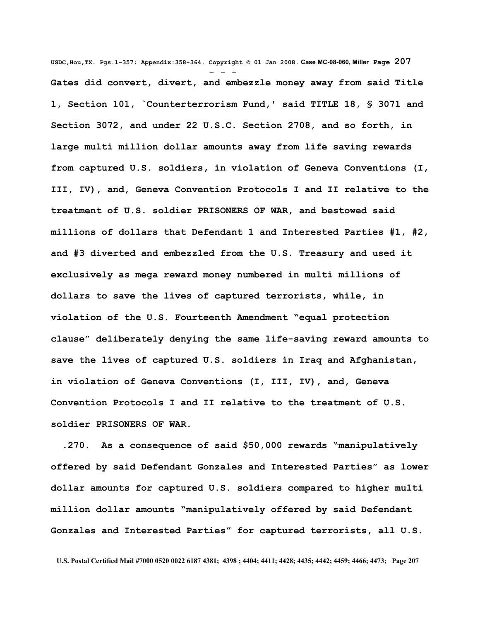**USDC,Hou,TX. Pgs.1-357; Appendix:358-364. Copyright © 01 Jan 2008. Case MC-08-060, Miller Page 207** - - - **Gates did convert, divert, and embezzle money away from said Title 1, Section 101, `Counterterrorism Fund,' said TITLE 18, § 3071 and Section 3072, and under 22 U.S.C. Section 2708, and so forth, in large multi million dollar amounts away from life saving rewards from captured U.S. soldiers, in violation of Geneva Conventions (I, III, IV), and, Geneva Convention Protocols I and II relative to the treatment of U.S. soldier PRISONERS OF WAR, and bestowed said millions of dollars that Defendant 1 and Interested Parties #1, #2, and #3 diverted and embezzled from the U.S. Treasury and used it exclusively as mega reward money numbered in multi millions of dollars to save the lives of captured terrorists, while, in violation of the U.S. Fourteenth Amendment "equal protection clause" deliberately denying the same life-saving reward amounts to save the lives of captured U.S. soldiers in Iraq and Afghanistan, in violation of Geneva Conventions (I, III, IV), and, Geneva Convention Protocols I and II relative to the treatment of U.S. soldier PRISONERS OF WAR.** 

 **.270. As a consequence of said \$50,000 rewards "manipulatively offered by said Defendant Gonzales and Interested Parties" as lower dollar amounts for captured U.S. soldiers compared to higher multi million dollar amounts "manipulatively offered by said Defendant Gonzales and Interested Parties" for captured terrorists, all U.S.**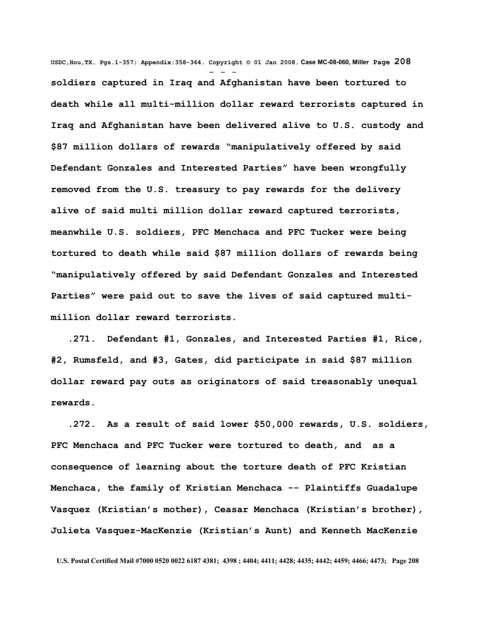**USDC,Hou,TX. Pgs.1-357; Appendix:358-364. Copyright © 01 Jan 2008. Case MC-08-060, Miller Page 208** - - **soldiers captured in Iraq and Afghanistan have been tortured to death while all multi-million dollar reward terrorists captured in Iraq and Afghanistan have been delivered alive to U.S. custody and \$87 million dollars of rewards "manipulatively offered by said Defendant Gonzales and Interested Parties" have been wrongfully removed from the U.S. treasury to pay rewards for the delivery alive of said multi million dollar reward captured terrorists, meanwhile U.S. soldiers, PFC Menchaca and PFC Tucker were being tortured to death while said \$87 million dollars of rewards being "manipulatively offered by said Defendant Gonzales and Interested Parties" were paid out to save the lives of said captured multimillion dollar reward terrorists.** 

 **.271. Defendant #1, Gonzales, and Interested Parties #1, Rice, #2, Rumsfeld, and #3, Gates, did participate in said \$87 million dollar reward pay outs as originators of said treasonably unequal rewards.**

 **.272. As a result of said lower \$50,000 rewards, U.S. soldiers, PFC Menchaca and PFC Tucker were tortured to death, and as a consequence of learning about the torture death of PFC Kristian Menchaca, the family of Kristian Menchaca -- Plaintiffs Guadalupe Vasquez (Kristian's mother), Ceasar Menchaca (Kristian's brother), Julieta Vasquez-MacKenzie (Kristian's Aunt) and Kenneth MacKenzie**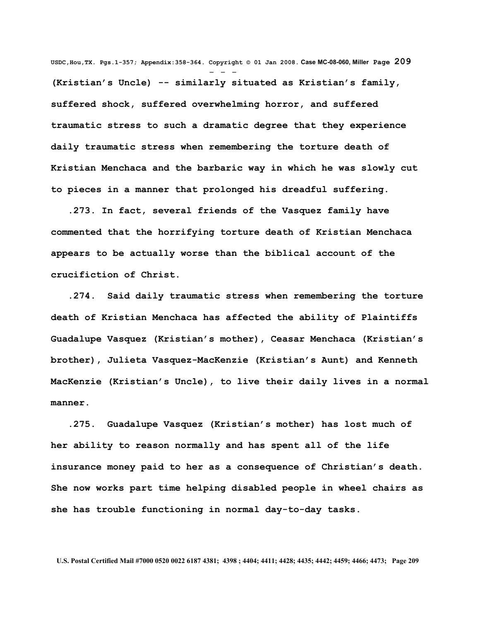**USDC,Hou,TX. Pgs.1-357; Appendix:358-364. Copyright © 01 Jan 2008. Case MC-08-060, Miller Page 209** - - - **(Kristian's Uncle) -- similarly situated as Kristian's family, suffered shock, suffered overwhelming horror, and suffered traumatic stress to such a dramatic degree that they experience daily traumatic stress when remembering the torture death of Kristian Menchaca and the barbaric way in which he was slowly cut to pieces in a manner that prolonged his dreadful suffering.** 

 **.273. In fact, several friends of the Vasquez family have commented that the horrifying torture death of Kristian Menchaca appears to be actually worse than the biblical account of the crucifiction of Christ.** 

 **.274. Said daily traumatic stress when remembering the torture death of Kristian Menchaca has affected the ability of Plaintiffs Guadalupe Vasquez (Kristian's mother), Ceasar Menchaca (Kristian's brother), Julieta Vasquez-MacKenzie (Kristian's Aunt) and Kenneth MacKenzie (Kristian's Uncle), to live their daily lives in a normal manner.** 

 **.275. Guadalupe Vasquez (Kristian's mother) has lost much of her ability to reason normally and has spent all of the life insurance money paid to her as a consequence of Christian's death. She now works part time helping disabled people in wheel chairs as she has trouble functioning in normal day-to-day tasks.**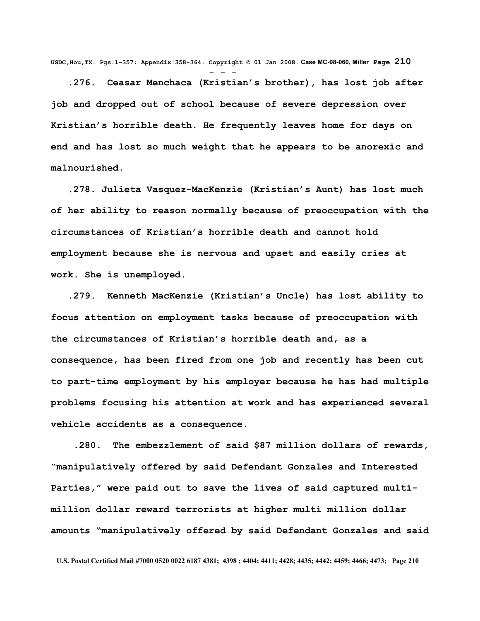**USDC,Hou,TX. Pgs.1-357; Appendix:358-364. Copyright © 01 Jan 2008. Case MC-08-060, Miller Page 210** - - -

 **.276. Ceasar Menchaca (Kristian's brother), has lost job after job and dropped out of school because of severe depression over Kristian's horrible death. He frequently leaves home for days on end and has lost so much weight that he appears to be anorexic and malnourished.**

 **.278. Julieta Vasquez-MacKenzie (Kristian's Aunt) has lost much of her ability to reason normally because of preoccupation with the circumstances of Kristian's horrible death and cannot hold employment because she is nervous and upset and easily cries at work. She is unemployed.** 

 **.279. Kenneth MacKenzie (Kristian's Uncle) has lost ability to focus attention on employment tasks because of preoccupation with the circumstances of Kristian's horrible death and, as a consequence, has been fired from one job and recently has been cut to part-time employment by his employer because he has had multiple problems focusing his attention at work and has experienced several vehicle accidents as a consequence.** 

 **.280. The embezzlement of said \$87 million dollars of rewards, "manipulatively offered by said Defendant Gonzales and Interested Parties," were paid out to save the lives of said captured multimillion dollar reward terrorists at higher multi million dollar amounts "manipulatively offered by said Defendant Gonzales and said**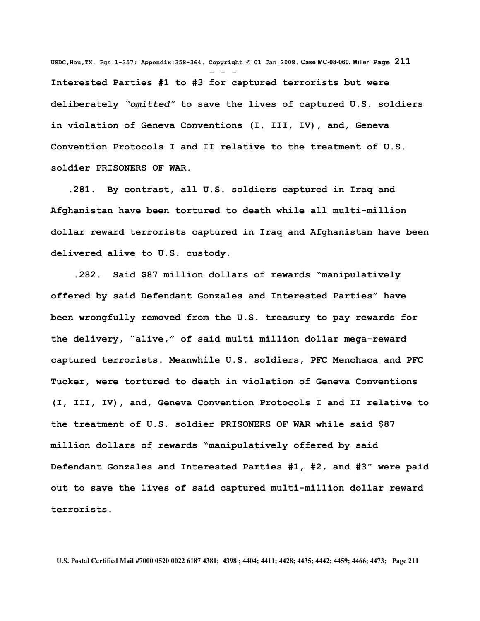**USDC,Hou,TX. Pgs.1-357; Appendix:358-364. Copyright © 01 Jan 2008. Case MC-08-060, Miller Page 211** - - - **Interested Parties #1 to #3 for captured terrorists but were deliberately** *"omitted"* **to save the lives of captured U.S. soldiers in violation of Geneva Conventions (I, III, IV), and, Geneva Convention Protocols I and II relative to the treatment of U.S. soldier PRISONERS OF WAR.**

 **.281. By contrast, all U.S. soldiers captured in Iraq and Afghanistan have been tortured to death while all multi-million dollar reward terrorists captured in Iraq and Afghanistan have been delivered alive to U.S. custody.**

 **.282. Said \$87 million dollars of rewards "manipulatively offered by said Defendant Gonzales and Interested Parties" have been wrongfully removed from the U.S. treasury to pay rewards for the delivery, "alive," of said multi million dollar mega-reward captured terrorists. Meanwhile U.S. soldiers, PFC Menchaca and PFC Tucker, were tortured to death in violation of Geneva Conventions (I, III, IV), and, Geneva Convention Protocols I and II relative to the treatment of U.S. soldier PRISONERS OF WAR while said \$87 million dollars of rewards "manipulatively offered by said Defendant Gonzales and Interested Parties #1, #2, and #3" were paid out to save the lives of said captured multi-million dollar reward terrorists.**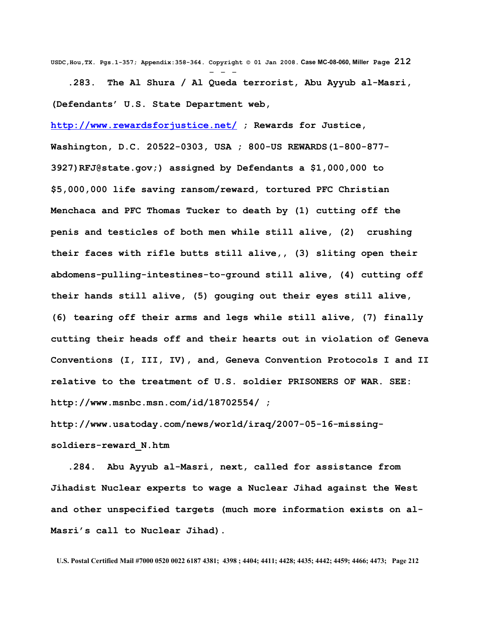**USDC,Hou,TX. Pgs.1-357; Appendix:358-364. Copyright © 01 Jan 2008. Case MC-08-060, Miller Page 212** - - -  **.283. The Al Shura / Al Queda terrorist, Abu Ayyub al-Masri, (Defendants' U.S. State Department web,**

**<http://www.rewardsforjustice.net/> ; Rewards for Justice, Washington, D.C. 20522-0303, USA ; 800-US REWARDS(1-800-877- 3927[\)RFJ@state.gov;](mailto:RFJ@state.gov)) assigned by Defendants a \$1,000,000 to \$5,000,000 life saving ransom/reward, tortured PFC Christian Menchaca and PFC Thomas Tucker to death by (1) cutting off the penis and testicles of both men while still alive, (2) crushing their faces with rifle butts still alive,, (3) sliting open their abdomens-pulling-intestines-to-ground still alive, (4) cutting off their hands still alive, (5) gouging out their eyes still alive, (6) tearing off their arms and legs while still alive, (7) finally cutting their heads off and their hearts out in violation of Geneva Conventions (I, III, IV), and, Geneva Convention Protocols I and II relative to the treatment of U.S. soldier PRISONERS OF WAR. SEE: <http://www.msnbc.msn.com/id/18702554/>;**

**[http://www.usatoday.com/news/world/iraq/2007-05-16-missing](http://www.usatoday.com/news/world/iraq/2007-05-16-missing-soldiers-reward_N.htm)[soldiers-reward\\_N.htm](http://www.usatoday.com/news/world/iraq/2007-05-16-missing-soldiers-reward_N.htm)**

 **.284. Abu Ayyub al-Masri, next, called for assistance from Jihadist Nuclear experts to wage a Nuclear Jihad against the West and other unspecified targets (much more information exists on al-Masri's call to Nuclear Jihad).**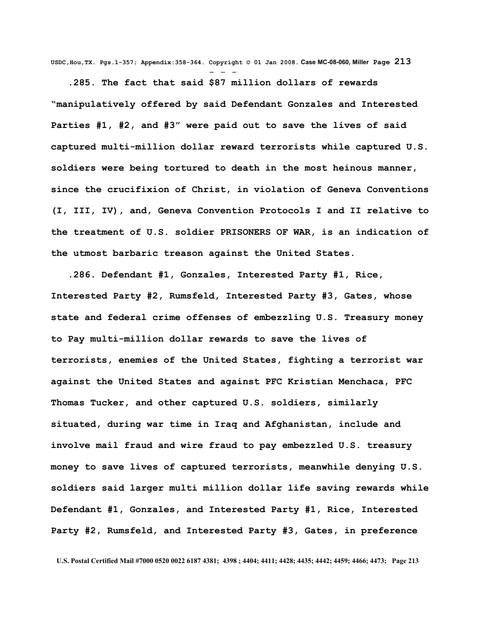**USDC,Hou,TX. Pgs.1-357; Appendix:358-364. Copyright © 01 Jan 2008. Case MC-08-060, Miller Page 213** - - -

 **.285. The fact that said \$87 million dollars of rewards "manipulatively offered by said Defendant Gonzales and Interested Parties #1, #2, and #3" were paid out to save the lives of said captured multi-million dollar reward terrorists while captured U.S. soldiers were being tortured to death in the most heinous manner, since the crucifixion of Christ, in violation of Geneva Conventions (I, III, IV), and, Geneva Convention Protocols I and II relative to the treatment of U.S. soldier PRISONERS OF WAR, is an indication of the utmost barbaric treason against the United States.** 

 **.286. Defendant #1, Gonzales, Interested Party #1, Rice, Interested Party #2, Rumsfeld, Interested Party #3, Gates, whose state and federal crime offenses of embezzling U.S. Treasury money to Pay multi-million dollar rewards to save the lives of terrorists, enemies of the United States, fighting a terrorist war against the United States and against PFC Kristian Menchaca, PFC Thomas Tucker, and other captured U.S. soldiers, similarly situated, during war time in Iraq and Afghanistan, include and involve mail fraud and wire fraud to pay embezzled U.S. treasury money to save lives of captured terrorists, meanwhile denying U.S. soldiers said larger multi million dollar life saving rewards while Defendant #1, Gonzales, and Interested Party #1, Rice, Interested Party #2, Rumsfeld, and Interested Party #3, Gates, in preference**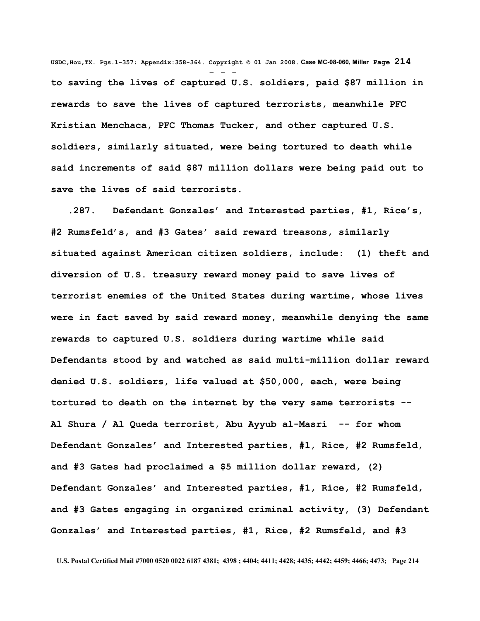**USDC,Hou,TX. Pgs.1-357; Appendix:358-364. Copyright © 01 Jan 2008. Case MC-08-060, Miller Page 214** - - **to saving the lives of captured U.S. soldiers, paid \$87 million in rewards to save the lives of captured terrorists, meanwhile PFC Kristian Menchaca, PFC Thomas Tucker, and other captured U.S. soldiers, similarly situated, were being tortured to death while said increments of said \$87 million dollars were being paid out to save the lives of said terrorists.**

 **.287. Defendant Gonzales' and Interested parties, #1, Rice's, #2 Rumsfeld's, and #3 Gates' said reward treasons, similarly situated against American citizen soldiers, include: (1) theft and diversion of U.S. treasury reward money paid to save lives of terrorist enemies of the United States during wartime, whose lives were in fact saved by said reward money, meanwhile denying the same rewards to captured U.S. soldiers during wartime while said Defendants stood by and watched as said multi-million dollar reward denied U.S. soldiers, life valued at \$50,000, each, were being tortured to death on the internet by the very same terrorists -- Al Shura / Al Queda terrorist, Abu Ayyub al-Masri -- for whom Defendant Gonzales' and Interested parties, #1, Rice, #2 Rumsfeld, and #3 Gates had proclaimed a \$5 million dollar reward, (2) Defendant Gonzales' and Interested parties, #1, Rice, #2 Rumsfeld, and #3 Gates engaging in organized criminal activity, (3) Defendant Gonzales' and Interested parties, #1, Rice, #2 Rumsfeld, and #3**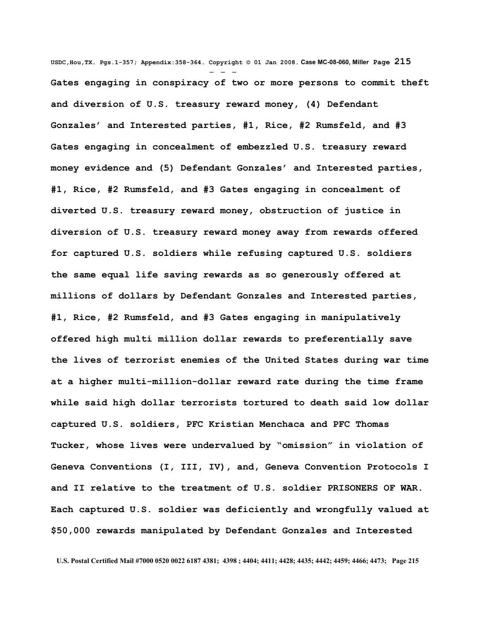**USDC,Hou,TX. Pgs.1-357; Appendix:358-364. Copyright © 01 Jan 2008. Case MC-08-060, Miller Page 215** - - - **Gates engaging in conspiracy of two or more persons to commit theft and diversion of U.S. treasury reward money, (4) Defendant Gonzales' and Interested parties, #1, Rice, #2 Rumsfeld, and #3 Gates engaging in concealment of embezzled U.S. treasury reward money evidence and (5) Defendant Gonzales' and Interested parties, #1, Rice, #2 Rumsfeld, and #3 Gates engaging in concealment of diverted U.S. treasury reward money, obstruction of justice in diversion of U.S. treasury reward money away from rewards offered for captured U.S. soldiers while refusing captured U.S. soldiers the same equal life saving rewards as so generously offered at millions of dollars by Defendant Gonzales and Interested parties, #1, Rice, #2 Rumsfeld, and #3 Gates engaging in manipulatively offered high multi million dollar rewards to preferentially save the lives of terrorist enemies of the United States during war time at a higher multi-million-dollar reward rate during the time frame while said high dollar terrorists tortured to death said low dollar captured U.S. soldiers, PFC Kristian Menchaca and PFC Thomas Tucker, whose lives were undervalued by "omission" in violation of Geneva Conventions (I, III, IV), and, Geneva Convention Protocols I and II relative to the treatment of U.S. soldier PRISONERS OF WAR. Each captured U.S. soldier was deficiently and wrongfully valued at \$50,000 rewards manipulated by Defendant Gonzales and Interested**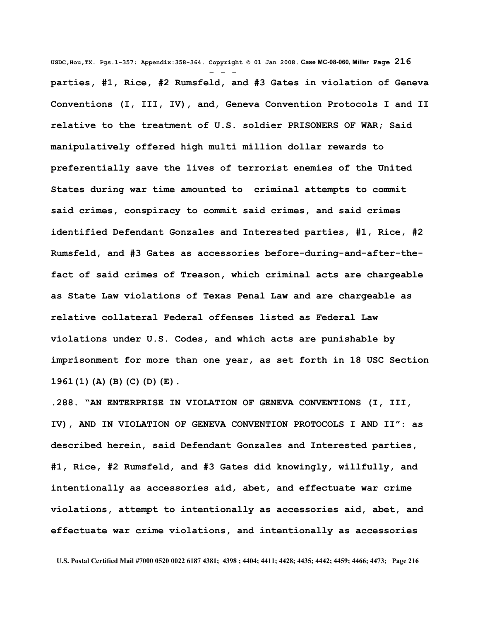**USDC,Hou,TX. Pgs.1-357; Appendix:358-364. Copyright © 01 Jan 2008. Case MC-08-060, Miller Page 216** - - **parties, #1, Rice, #2 Rumsfeld, and #3 Gates in violation of Geneva Conventions (I, III, IV), and, Geneva Convention Protocols I and II relative to the treatment of U.S. soldier PRISONERS OF WAR; Said manipulatively offered high multi million dollar rewards to preferentially save the lives of terrorist enemies of the United States during war time amounted to criminal attempts to commit said crimes, conspiracy to commit said crimes, and said crimes identified Defendant Gonzales and Interested parties, #1, Rice, #2 Rumsfeld, and #3 Gates as accessories before-during-and-after-thefact of said crimes of Treason, which criminal acts are chargeable as State Law violations of Texas Penal Law and are chargeable as relative collateral Federal offenses listed as Federal Law violations under U.S. Codes, and which acts are punishable by imprisonment for more than one year, as set forth in 18 USC Section 1961(1)(A)(B)(C)(D)(E).** 

**.288. "AN ENTERPRISE IN VIOLATION OF GENEVA CONVENTIONS (I, III, IV), AND IN VIOLATION OF GENEVA CONVENTION PROTOCOLS I AND II": as described herein, said Defendant Gonzales and Interested parties, #1, Rice, #2 Rumsfeld, and #3 Gates did knowingly, willfully, and intentionally as accessories aid, abet, and effectuate war crime violations, attempt to intentionally as accessories aid, abet, and effectuate war crime violations, and intentionally as accessories**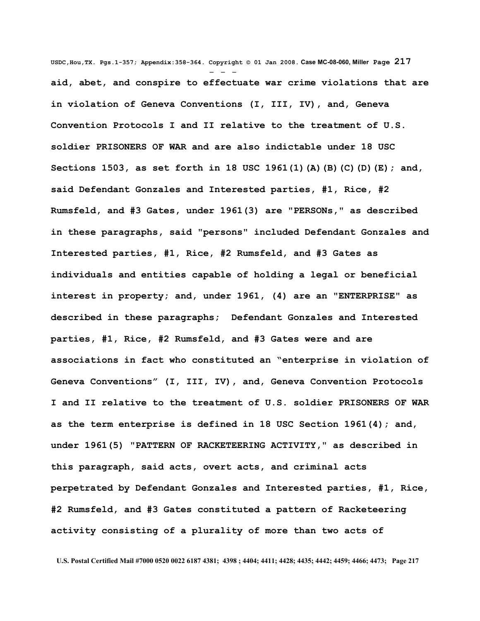**USDC,Hou,TX. Pgs.1-357; Appendix:358-364. Copyright © 01 Jan 2008. Case MC-08-060, Miller Page 217** - - **aid, abet, and conspire to effectuate war crime violations that are in violation of Geneva Conventions (I, III, IV), and, Geneva Convention Protocols I and II relative to the treatment of U.S. soldier PRISONERS OF WAR and are also indictable under 18 USC Sections 1503, as set forth in 18 USC 1961(1)(A)(B)(C)(D)(E); and, said Defendant Gonzales and Interested parties, #1, Rice, #2 Rumsfeld, and #3 Gates, under 1961(3) are "PERSONs," as described in these paragraphs, said "persons" included Defendant Gonzales and Interested parties, #1, Rice, #2 Rumsfeld, and #3 Gates as individuals and entities capable of holding a legal or beneficial interest in property; and, under 1961, (4) are an "ENTERPRISE" as described in these paragraphs; Defendant Gonzales and Interested parties, #1, Rice, #2 Rumsfeld, and #3 Gates were and are associations in fact who constituted an "enterprise in violation of Geneva Conventions" (I, III, IV), and, Geneva Convention Protocols I and II relative to the treatment of U.S. soldier PRISONERS OF WAR as the term enterprise is defined in 18 USC Section 1961(4); and, under 1961(5) "PATTERN OF RACKETEERING ACTIVITY," as described in this paragraph, said acts, overt acts, and criminal acts perpetrated by Defendant Gonzales and Interested parties, #1, Rice, #2 Rumsfeld, and #3 Gates constituted a pattern of Racketeering activity consisting of a plurality of more than two acts of**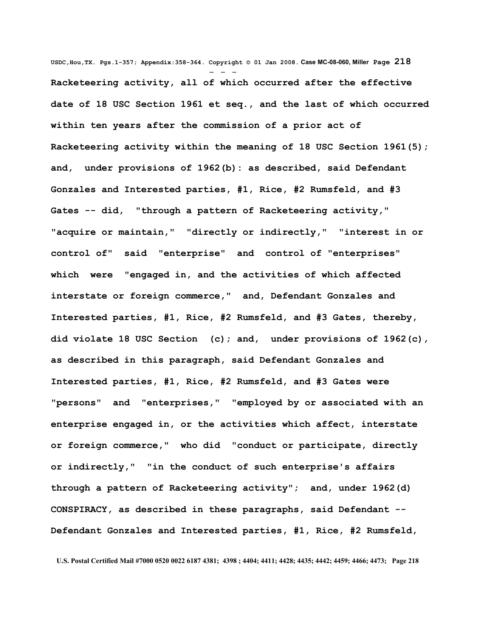**USDC,Hou,TX. Pgs.1-357; Appendix:358-364. Copyright © 01 Jan 2008. Case MC-08-060, Miller Page 218** - - - **Racketeering activity, all of which occurred after the effective date of 18 USC Section 1961 et seq., and the last of which occurred within ten years after the commission of a prior act of Racketeering activity within the meaning of 18 USC Section 1961(5); and, under provisions of 1962(b): as described, said Defendant Gonzales and Interested parties, #1, Rice, #2 Rumsfeld, and #3 Gates -- did, "through a pattern of Racketeering activity," "acquire or maintain," "directly or indirectly," "interest in or control of" said "enterprise" and control of "enterprises" which were "engaged in, and the activities of which affected interstate or foreign commerce," and, Defendant Gonzales and Interested parties, #1, Rice, #2 Rumsfeld, and #3 Gates, thereby, did violate 18 USC Section (c); and, under provisions of 1962(c), as described in this paragraph, said Defendant Gonzales and Interested parties, #1, Rice, #2 Rumsfeld, and #3 Gates were "persons" and "enterprises," "employed by or associated with an enterprise engaged in, or the activities which affect, interstate or foreign commerce," who did "conduct or participate, directly or indirectly," "in the conduct of such enterprise's affairs through a pattern of Racketeering activity"; and, under 1962(d) CONSPIRACY, as described in these paragraphs, said Defendant -- Defendant Gonzales and Interested parties, #1, Rice, #2 Rumsfeld,**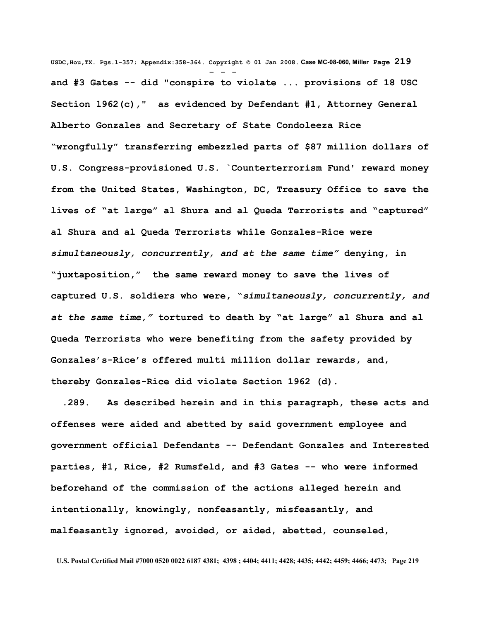**USDC,Hou,TX. Pgs.1-357; Appendix:358-364. Copyright © 01 Jan 2008. Case MC-08-060, Miller Page 219** - - **and #3 Gates -- did "conspire to violate ... provisions of 18 USC Section 1962(c)," as evidenced by Defendant #1, Attorney General Alberto Gonzales and Secretary of State Condoleeza Rice "wrongfully" transferring embezzled parts of \$87 million dollars of U.S. Congress-provisioned U.S. `Counterterrorism Fund' reward money from the United States, Washington, DC, Treasury Office to save the lives of "at large" al Shura and al Queda Terrorists and "captured" al Shura and al Queda Terrorists while Gonzales-Rice were** *simultaneously, concurrently, and at the same time"* **denying, in "juxtaposition," the same reward money to save the lives of captured U.S. soldiers who were, "***simultaneously, concurrently, and at the same time,"* **tortured to death by "at large" al Shura and al Queda Terrorists who were benefiting from the safety provided by Gonzales's-Rice's offered multi million dollar rewards, and, thereby Gonzales-Rice did violate Section 1962 (d).** 

 **.289. As described herein and in this paragraph, these acts and offenses were aided and abetted by said government employee and government official Defendants -- Defendant Gonzales and Interested parties, #1, Rice, #2 Rumsfeld, and #3 Gates -- who were informed beforehand of the commission of the actions alleged herein and intentionally, knowingly, nonfeasantly, misfeasantly, and malfeasantly ignored, avoided, or aided, abetted, counseled,**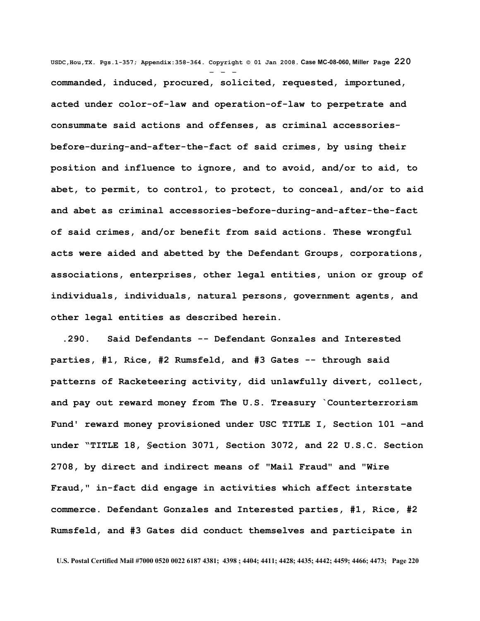**USDC,Hou,TX. Pgs.1-357; Appendix:358-364. Copyright © 01 Jan 2008. Case MC-08-060, Miller Page 220** - - **commanded, induced, procured, solicited, requested, importuned, acted under color-of-law and operation-of-law to perpetrate and consummate said actions and offenses, as criminal accessoriesbefore-during-and-after-the-fact of said crimes, by using their position and influence to ignore, and to avoid, and/or to aid, to abet, to permit, to control, to protect, to conceal, and/or to aid and abet as criminal accessories-before-during-and-after-the-fact of said crimes, and/or benefit from said actions. These wrongful acts were aided and abetted by the Defendant Groups, corporations, associations, enterprises, other legal entities, union or group of individuals, individuals, natural persons, government agents, and other legal entities as described herein.**

 **.290. Said Defendants -- Defendant Gonzales and Interested parties, #1, Rice, #2 Rumsfeld, and #3 Gates -- through said patterns of Racketeering activity, did unlawfully divert, collect, and pay out reward money from The U.S. Treasury `Counterterrorism Fund' reward money provisioned under USC TITLE I, Section 101 –and under "TITLE 18, §ection 3071, Section 3072, and 22 U.S.C. Section 2708, by direct and indirect means of "Mail Fraud" and "Wire Fraud," in-fact did engage in activities which affect interstate commerce. Defendant Gonzales and Interested parties, #1, Rice, #2 Rumsfeld, and #3 Gates did conduct themselves and participate in**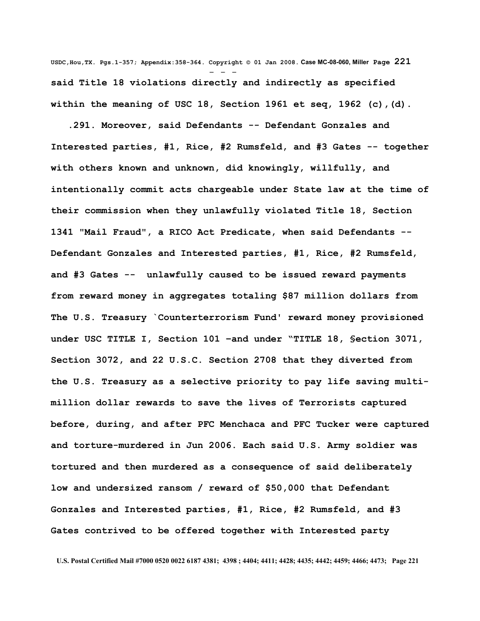**USDC,Hou,TX. Pgs.1-357; Appendix:358-364. Copyright © 01 Jan 2008. Case MC-08-060, Miller Page 221** - - **said Title 18 violations directly and indirectly as specified within the meaning of USC 18, Section 1961 et seq, 1962 (c),(d).** 

 **.291. Moreover, said Defendants -- Defendant Gonzales and Interested parties, #1, Rice, #2 Rumsfeld, and #3 Gates -- together with others known and unknown, did knowingly, willfully, and intentionally commit acts chargeable under State law at the time of their commission when they unlawfully violated Title 18, Section 1341 "Mail Fraud", a RICO Act Predicate, when said Defendants -- Defendant Gonzales and Interested parties, #1, Rice, #2 Rumsfeld, and #3 Gates -- unlawfully caused to be issued reward payments from reward money in aggregates totaling \$87 million dollars from The U.S. Treasury `Counterterrorism Fund' reward money provisioned under USC TITLE I, Section 101 –and under "TITLE 18, §ection 3071, Section 3072, and 22 U.S.C. Section 2708 that they diverted from the U.S. Treasury as a selective priority to pay life saving multimillion dollar rewards to save the lives of Terrorists captured before, during, and after PFC Menchaca and PFC Tucker were captured and torture-murdered in Jun 2006. Each said U.S. Army soldier was tortured and then murdered as a consequence of said deliberately low and undersized ransom / reward of \$50,000 that Defendant Gonzales and Interested parties, #1, Rice, #2 Rumsfeld, and #3 Gates contrived to be offered together with Interested party**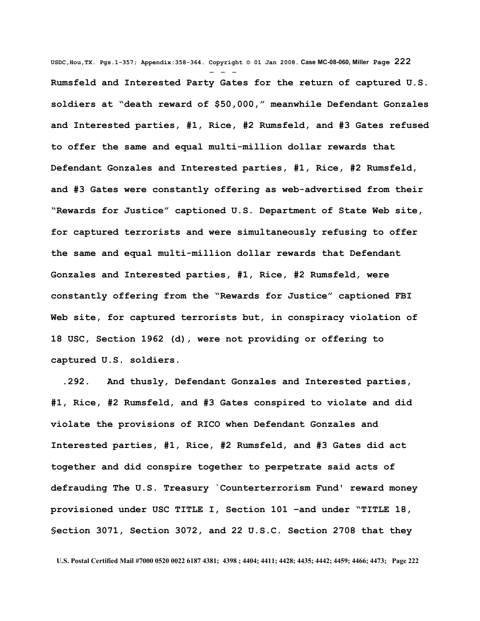**USDC,Hou,TX. Pgs.1-357; Appendix:358-364. Copyright © 01 Jan 2008. Case MC-08-060, Miller Page 222** - - - **Rumsfeld and Interested Party Gates for the return of captured U.S. soldiers at "death reward of \$50,000," meanwhile Defendant Gonzales and Interested parties, #1, Rice, #2 Rumsfeld, and #3 Gates refused to offer the same and equal multi-million dollar rewards that Defendant Gonzales and Interested parties, #1, Rice, #2 Rumsfeld, and #3 Gates were constantly offering as web-advertised from their "Rewards for Justice" captioned U.S. Department of State Web site, for captured terrorists and were simultaneously refusing to offer the same and equal multi-million dollar rewards that Defendant Gonzales and Interested parties, #1, Rice, #2 Rumsfeld, were constantly offering from the "Rewards for Justice" captioned FBI Web site, for captured terrorists but, in conspiracy violation of 18 USC, Section 1962 (d), were not providing or offering to captured U.S. soldiers.** 

 **.292. And thusly, Defendant Gonzales and Interested parties, #1, Rice, #2 Rumsfeld, and #3 Gates conspired to violate and did violate the provisions of RICO when Defendant Gonzales and Interested parties, #1, Rice, #2 Rumsfeld, and #3 Gates did act together and did conspire together to perpetrate said acts of defrauding The U.S. Treasury `Counterterrorism Fund' reward money provisioned under USC TITLE I, Section 101 –and under "TITLE 18, §ection 3071, Section 3072, and 22 U.S.C. Section 2708 that they**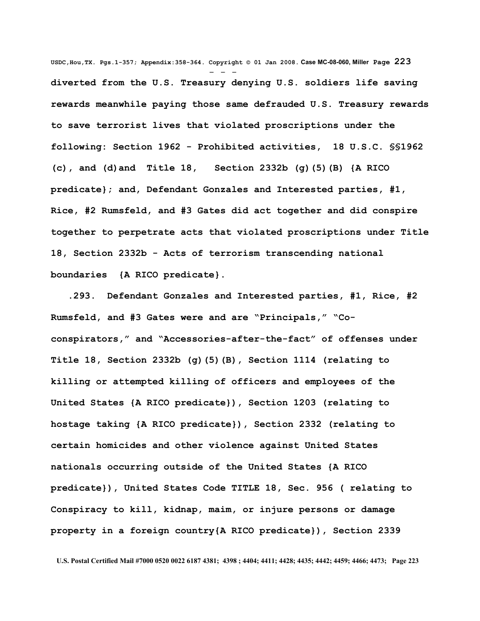**USDC,Hou,TX. Pgs.1-357; Appendix:358-364. Copyright © 01 Jan 2008. Case MC-08-060, Miller Page 223** - - **diverted from the U.S. Treasury denying U.S. soldiers life saving rewards meanwhile paying those same defrauded U.S. Treasury rewards to save terrorist lives that violated proscriptions under the following: Section 1962 - Prohibited activities, 18 U.S.C. §§1962 (c), and (d)and Title 18, Section [2332b](http://www4.law.cornell.edu/uscode/html/uscode18/usc_sec_18_00002332---b000-.html) [\(g\)\(5\)\(B\)](http://www4.law.cornell.edu/uscode/html/uscode18/usc_sec_18_00002332---b000-.html#g_5_B) {A RICO predicate}; and, Defendant Gonzales and Interested parties, #1, Rice, #2 Rumsfeld, and #3 Gates did act together and did conspire together to perpetrate acts that violated proscriptions under Title 18, Section 2332b - Acts of terrorism transcending national boundaries {A RICO predicate}.**

 **.293. Defendant Gonzales and Interested parties, #1, Rice, #2 Rumsfeld, and #3 Gates were and are "Principals," "Coconspirators," and "Accessories-after-the-fact" of offenses under Title 18, Section [2332b](http://www4.law.cornell.edu/uscode/html/uscode18/usc_sec_18_00002332---b000-.html) [\(g\)\(5\)\(B\),](http://www4.law.cornell.edu/uscode/html/uscode18/usc_sec_18_00002332---b000-.html#g_5_B) Section 1114 (relating to killing or attempted killing of officers and employees of the United States {A RICO predicate}), Section 1203 (relating to hostage taking {A RICO predicate}), Section 2332 (relating to certain homicides and other violence against United States nationals occurring outside of the United States {A RICO predicate}), United States Code TITLE 18, Sec. 956 ( relating to Conspiracy to kill, kidnap, maim, or injure persons or damage property in a foreign country{A RICO predicate}), Section 2339**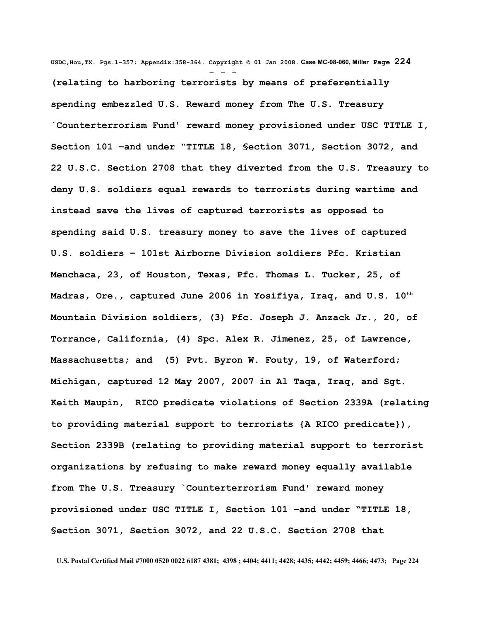**USDC,Hou,TX. Pgs.1-357; Appendix:358-364. Copyright © 01 Jan 2008. Case MC-08-060, Miller Page 224** - - - **(relating to harboring terrorists by means of preferentially spending embezzled U.S. Reward money from The U.S. Treasury `Counterterrorism Fund' reward money provisioned under USC TITLE I, Section 101 –and under "TITLE 18, §ection 3071, Section 3072, and 22 U.S.C. Section 2708 that they diverted from the U.S. Treasury to deny U.S. soldiers equal rewards to terrorists during wartime and instead save the lives of captured terrorists as opposed to spending said U.S. treasury money to save the lives of captured U.S. soldiers – 101st Airborne Division soldiers Pfc. Kristian Menchaca, 23, of Houston, Texas, Pfc. Thomas L. Tucker, 25, of Madras, Ore., captured June 2006 in Yosifiya, Iraq, and U.S. 10th Mountain Division soldiers, (3) Pfc. Joseph J. Anzack Jr., 20, of Torrance, California, (4) Spc. Alex R. Jimenez, 25, of Lawrence, Massachusetts; and (5) Pvt. Byron W. Fouty, 19, of Waterford; Michigan, captured 12 May 2007, 2007 in Al Taqa, Iraq, and Sgt. Keith Maupin, RICO predicate violations of Section 2339A (relating to providing material support to terrorists {A RICO predicate}), Section 2339B (relating to providing material support to terrorist organizations by refusing to make reward money equally available from The U.S. Treasury `Counterterrorism Fund' reward money provisioned under USC TITLE I, Section 101 –and under "TITLE 18, §ection 3071, Section 3072, and 22 U.S.C. Section 2708 that**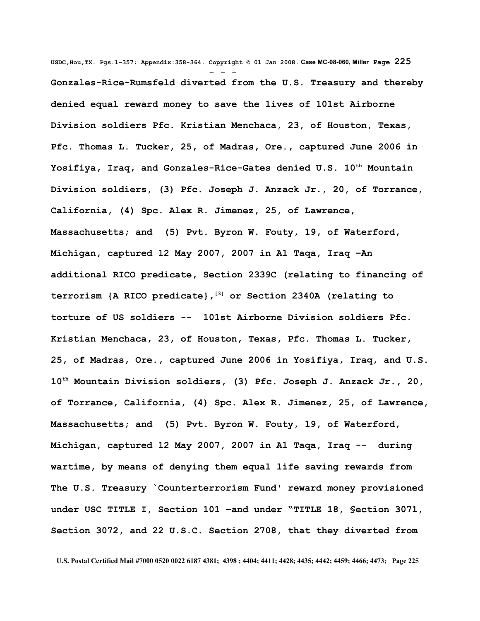**USDC,Hou,TX. Pgs.1-357; Appendix:358-364. Copyright © 01 Jan 2008. Case MC-08-060, Miller Page 225** - - - **Gonzales-Rice-Rumsfeld diverted from the U.S. Treasury and thereby denied equal reward money to save the lives of 101st Airborne Division soldiers Pfc. Kristian Menchaca, 23, of Houston, Texas, Pfc. Thomas L. Tucker, 25, of Madras, Ore., captured June 2006 in Yosifiya, Iraq, and Gonzales-Rice-Gates denied U.S. 10th Mountain Division soldiers, (3) Pfc. Joseph J. Anzack Jr., 20, of Torrance, California, (4) Spc. Alex R. Jimenez, 25, of Lawrence, Massachusetts; and (5) Pvt. Byron W. Fouty, 19, of Waterford, Michigan, captured 12 May 2007, 2007 in Al Taqa, Iraq –An additional RICO predicate, Section 2339C (relating to financing of terrorism {A RICO predicate}, [\[3\]](http://www.law.cornell.edu/uscode/html/uscode18/usc_sec_18_00002332---b000-.html#FN-3%23FN-3) or Section 2340A (relating to torture of US soldiers -- 101st Airborne Division soldiers Pfc. Kristian Menchaca, 23, of Houston, Texas, Pfc. Thomas L. Tucker, 25, of Madras, Ore., captured June 2006 in Yosifiya, Iraq, and U.S. 10th Mountain Division soldiers, (3) Pfc. Joseph J. Anzack Jr., 20, of Torrance, California, (4) Spc. Alex R. Jimenez, 25, of Lawrence, Massachusetts; and (5) Pvt. Byron W. Fouty, 19, of Waterford, Michigan, captured 12 May 2007, 2007 in Al Taqa, Iraq -- during wartime, by means of denying them equal life saving rewards from The U.S. Treasury `Counterterrorism Fund' reward money provisioned under USC TITLE I, Section 101 –and under "TITLE 18, §ection 3071, Section 3072, and 22 U.S.C. Section 2708, that they diverted from**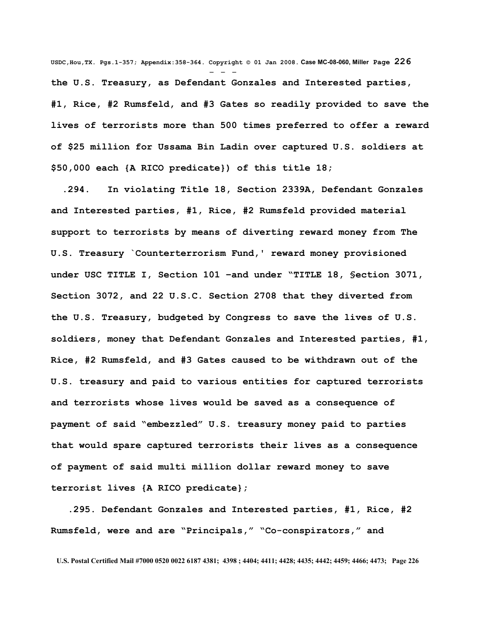**USDC,Hou,TX. Pgs.1-357; Appendix:358-364. Copyright © 01 Jan 2008. Case MC-08-060, Miller Page 226** - - **the U.S. Treasury, as Defendant Gonzales and Interested parties, #1, Rice, #2 Rumsfeld, and #3 Gates so readily provided to save the lives of terrorists more than 500 times preferred to offer a reward of \$25 million for Ussama Bin Ladin over captured U.S. soldiers at \$50,000 each {A RICO predicate}) of this title 18;** 

 **.294. In violating Title 18, Section 2339A, Defendant Gonzales and Interested parties, #1, Rice, #2 Rumsfeld provided material support to terrorists by means of diverting reward money from The U.S. Treasury `Counterterrorism Fund,' reward money provisioned under USC TITLE I, Section 101 –and under "TITLE 18, §ection 3071, Section 3072, and 22 U.S.C. Section 2708 that they diverted from the U.S. Treasury, budgeted by Congress to save the lives of U.S. soldiers, money that Defendant Gonzales and Interested parties, #1, Rice, #2 Rumsfeld, and #3 Gates caused to be withdrawn out of the U.S. treasury and paid to various entities for captured terrorists and terrorists whose lives would be saved as a consequence of payment of said "embezzled" U.S. treasury money paid to parties that would spare captured terrorists their lives as a consequence of payment of said multi million dollar reward money to save terrorist lives {A RICO predicate};**

 **.295. Defendant Gonzales and Interested parties, #1, Rice, #2 Rumsfeld, were and are "Principals," "Co-conspirators," and**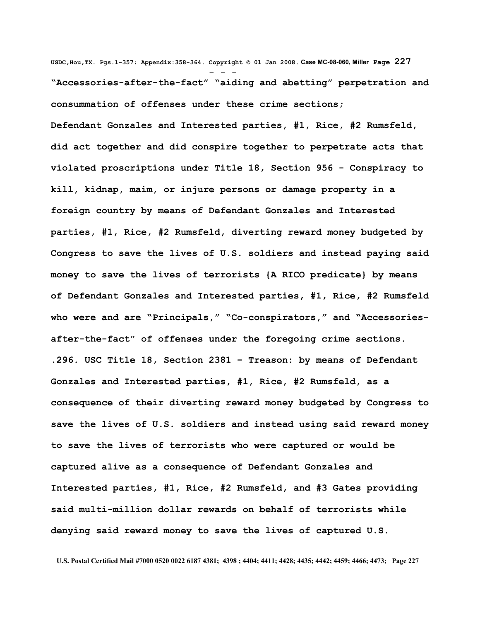**USDC,Hou,TX. Pgs.1-357; Appendix:358-364. Copyright © 01 Jan 2008. Case MC-08-060, Miller Page 227** - - - **"Accessories-after-the-fact" "aiding and abetting" perpetration and consummation of offenses under these crime sections; Defendant Gonzales and Interested parties, #1, Rice, #2 Rumsfeld, did act together and did conspire together to perpetrate acts that violated proscriptions under Title 18, Section 956 - Conspiracy to kill, kidnap, maim, or injure persons or damage property in a foreign country by means of Defendant Gonzales and Interested parties, #1, Rice, #2 Rumsfeld, diverting reward money budgeted by Congress to save the lives of U.S. soldiers and instead paying said money to save the lives of terrorists {A RICO predicate} by means of Defendant Gonzales and Interested parties, #1, Rice, #2 Rumsfeld who were and are "Principals," "Co-conspirators," and "Accessoriesafter-the-fact" of offenses under the foregoing crime sections. .296. USC Title 18, Section 2381 – Treason: by means of Defendant Gonzales and Interested parties, #1, Rice, #2 Rumsfeld, as a consequence of their diverting reward money budgeted by Congress to save the lives of U.S. soldiers and instead using said reward money to save the lives of terrorists who were captured or would be captured alive as a consequence of Defendant Gonzales and Interested parties, #1, Rice, #2 Rumsfeld, and #3 Gates providing said multi-million dollar rewards on behalf of terrorists while denying said reward money to save the lives of captured U.S.**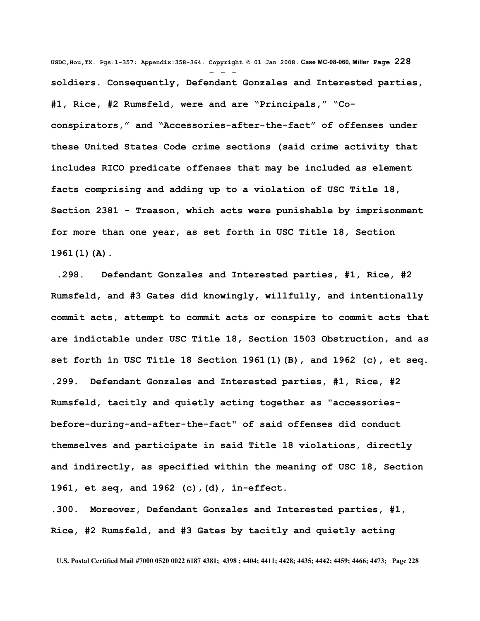**USDC,Hou,TX. Pgs.1-357; Appendix:358-364. Copyright © 01 Jan 2008. Case MC-08-060, Miller Page 228** - - **soldiers. Consequently, Defendant Gonzales and Interested parties, #1, Rice, #2 Rumsfeld, were and are "Principals," "Coconspirators," and "Accessories-after-the-fact" of offenses under these United States Code crime sections (said crime activity that includes RICO predicate offenses that may be included as element facts comprising and adding up to a violation of USC Title 18, Section 2381 - Treason, which acts were punishable by imprisonment for more than one year, as set forth in USC Title 18, Section 1961(1)(A).** 

 **.298. Defendant Gonzales and Interested parties, #1, Rice, #2 Rumsfeld, and #3 Gates did knowingly, willfully, and intentionally commit acts, attempt to commit acts or conspire to commit acts that are indictable under USC Title 18, Section 1503 Obstruction, and as set forth in USC Title 18 Section 1961(1)(B), and 1962 (c), et seq. .299. Defendant Gonzales and Interested parties, #1, Rice, #2 Rumsfeld, tacitly and quietly acting together as "accessoriesbefore-during-and-after-the-fact" of said offenses did conduct themselves and participate in said Title 18 violations, directly and indirectly, as specified within the meaning of USC 18, Section 1961, et seq, and 1962 (c),(d), in-effect.** 

**.300. Moreover, Defendant Gonzales and Interested parties, #1, Rice, #2 Rumsfeld, and #3 Gates by tacitly and quietly acting**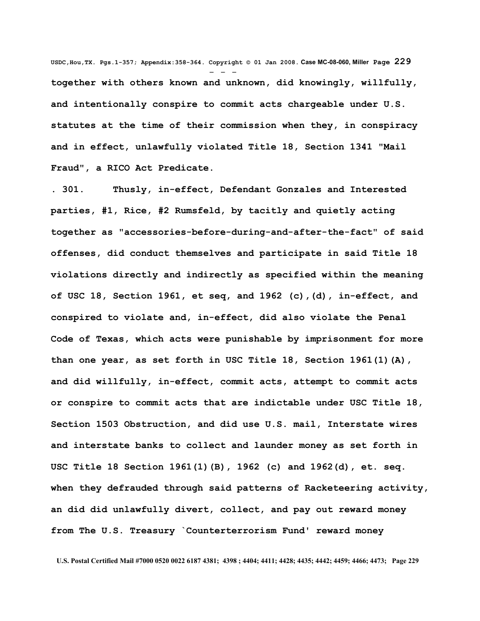**USDC,Hou,TX. Pgs.1-357; Appendix:358-364. Copyright © 01 Jan 2008. Case MC-08-060, Miller Page 229** - - **together with others known and unknown, did knowingly, willfully, and intentionally conspire to commit acts chargeable under U.S. statutes at the time of their commission when they, in conspiracy and in effect, unlawfully violated Title 18, Section 1341 "Mail Fraud", a RICO Act Predicate.**

**. 301. Thusly, in-effect, Defendant Gonzales and Interested parties, #1, Rice, #2 Rumsfeld, by tacitly and quietly acting together as "accessories-before-during-and-after-the-fact" of said offenses, did conduct themselves and participate in said Title 18 violations directly and indirectly as specified within the meaning of USC 18, Section 1961, et seq, and 1962 (c),(d), in-effect, and conspired to violate and, in-effect, did also violate the Penal Code of Texas, which acts were punishable by imprisonment for more than one year, as set forth in USC Title 18, Section 1961(1)(A), and did willfully, in-effect, commit acts, attempt to commit acts or conspire to commit acts that are indictable under USC Title 18, Section 1503 Obstruction, and did use U.S. mail, Interstate wires and interstate banks to collect and launder money as set forth in USC Title 18 Section 1961(1)(B), 1962 (c) and 1962(d), et. seq. when they defrauded through said patterns of Racketeering activity, an did did unlawfully divert, collect, and pay out reward money from The U.S. Treasury `Counterterrorism Fund' reward money**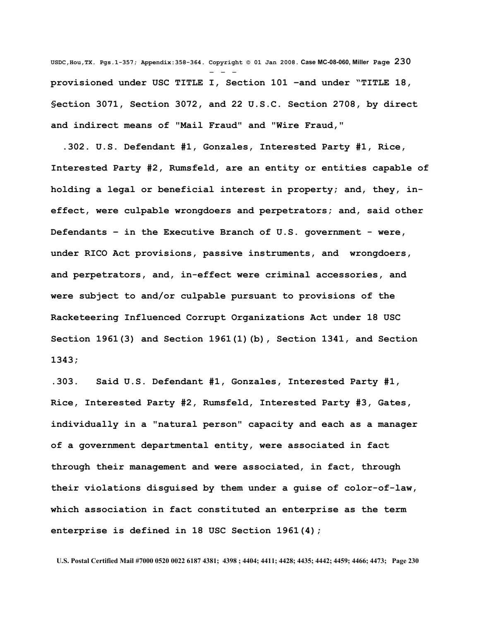**USDC,Hou,TX. Pgs.1-357; Appendix:358-364. Copyright © 01 Jan 2008. Case MC-08-060, Miller Page 230** - - **provisioned under USC TITLE I, Section 101 –and under "TITLE 18, §ection 3071, Section 3072, and 22 U.S.C. Section 2708, by direct and indirect means of "Mail Fraud" and "Wire Fraud,"**

 **.302. U.S. Defendant #1, Gonzales, Interested Party #1, Rice, Interested Party #2, Rumsfeld, are an entity or entities capable of holding a legal or beneficial interest in property; and, they, ineffect, were culpable wrongdoers and perpetrators; and, said other Defendants – in the Executive Branch of U.S. government - were, under RICO Act provisions, passive instruments, and wrongdoers, and perpetrators, and, in-effect were criminal accessories, and were subject to and/or culpable pursuant to provisions of the Racketeering Influenced Corrupt Organizations Act under 18 USC Section 1961(3) and Section 1961(1)(b), Section 1341, and Section 1343;**

**.303. Said U.S. Defendant #1, Gonzales, Interested Party #1, Rice, Interested Party #2, Rumsfeld, Interested Party #3, Gates, individually in a "natural person" capacity and each as a manager of a government departmental entity, were associated in fact through their management and were associated, in fact, through their violations disguised by them under a guise of color-of-law, which association in fact constituted an enterprise as the term enterprise is defined in 18 USC Section 1961(4);**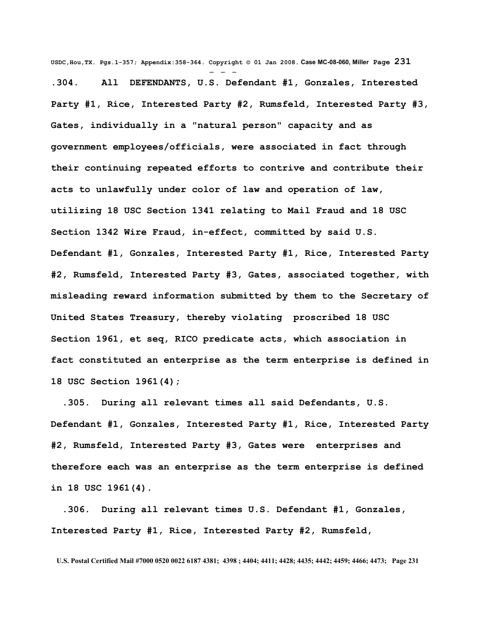**USDC,Hou,TX. Pgs.1-357; Appendix:358-364. Copyright © 01 Jan 2008. Case MC-08-060, Miller Page 231** - - - **.304. All DEFENDANTS, U.S. Defendant #1, Gonzales, Interested Party #1, Rice, Interested Party #2, Rumsfeld, Interested Party #3, Gates, individually in a "natural person" capacity and as government employees/officials, were associated in fact through their continuing repeated efforts to contrive and contribute their acts to unlawfully under color of law and operation of law, utilizing 18 USC Section 1341 relating to Mail Fraud and 18 USC Section 1342 Wire Fraud, in-effect, committed by said U.S. Defendant #1, Gonzales, Interested Party #1, Rice, Interested Party #2, Rumsfeld, Interested Party #3, Gates, associated together, with misleading reward information submitted by them to the Secretary of United States Treasury, thereby violating proscribed 18 USC Section 1961, et seq, RICO predicate acts, which association in fact constituted an enterprise as the term enterprise is defined in 18 USC Section 1961(4);**

 **.305. During all relevant times all said Defendants, U.S. Defendant #1, Gonzales, Interested Party #1, Rice, Interested Party #2, Rumsfeld, Interested Party #3, Gates were enterprises and therefore each was an enterprise as the term enterprise is defined in 18 USC 1961(4).**

 **.306. During all relevant times U.S. Defendant #1, Gonzales, Interested Party #1, Rice, Interested Party #2, Rumsfeld,**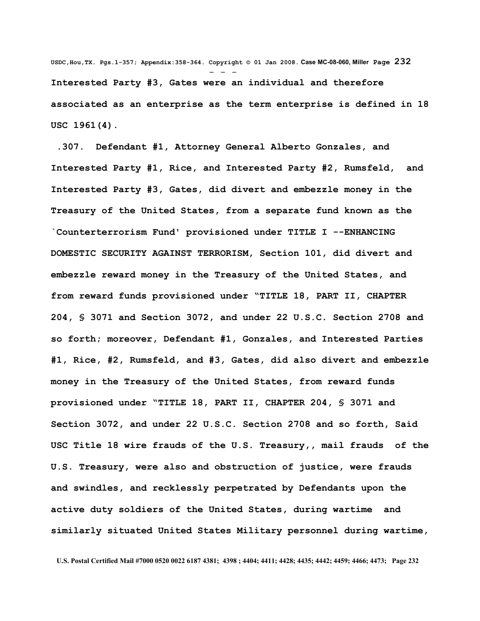**USDC,Hou,TX. Pgs.1-357; Appendix:358-364. Copyright © 01 Jan 2008. Case MC-08-060, Miller Page 232** - - - **Interested Party #3, Gates were an individual and therefore associated as an enterprise as the term enterprise is defined in 18 USC 1961(4).**

 **.307. Defendant #1, Attorney General Alberto Gonzales, and Interested Party #1, Rice, and Interested Party #2, Rumsfeld, and Interested Party #3, Gates, did divert and embezzle money in the Treasury of the United States, from a separate fund known as the `Counterterrorism Fund' provisioned under TITLE I --ENHANCING DOMESTIC SECURITY AGAINST TERRORISM, Section 101, did divert and embezzle reward money in the Treasury of the United States, and from reward funds provisioned under "TITLE 18, PART II, CHAPTER 204, § 3071 and Section 3072, and under 22 U.S.C. Section 2708 and so forth; moreover, Defendant #1, Gonzales, and Interested Parties #1, Rice, #2, Rumsfeld, and #3, Gates, did also divert and embezzle money in the Treasury of the United States, from reward funds provisioned under "TITLE 18, PART II, CHAPTER 204, § 3071 and Section 3072, and under 22 U.S.C. Section 2708 and so forth, Said USC Title 18 wire frauds of the U.S. Treasury,, mail frauds of the U.S. Treasury, were also and obstruction of justice, were frauds and swindles, and recklessly perpetrated by Defendants upon the active duty soldiers of the United States, during wartime and similarly situated United States Military personnel during wartime,**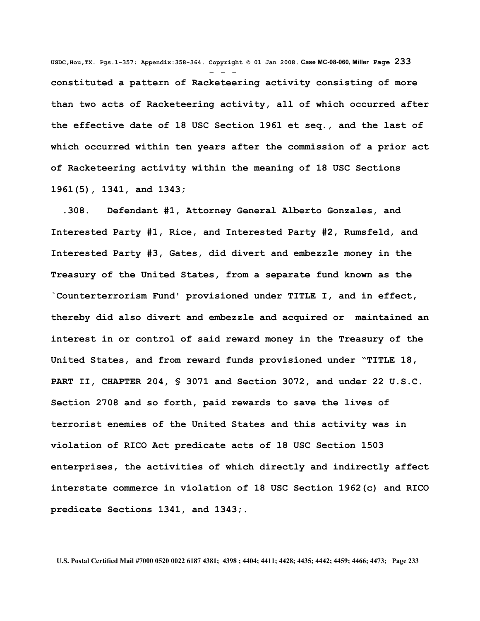**USDC,Hou,TX. Pgs.1-357; Appendix:358-364. Copyright © 01 Jan 2008. Case MC-08-060, Miller Page 233** - - **constituted a pattern of Racketeering activity consisting of more than two acts of Racketeering activity, all of which occurred after the effective date of 18 USC Section 1961 et seq., and the last of which occurred within ten years after the commission of a prior act of Racketeering activity within the meaning of 18 USC Sections 1961(5), 1341, and 1343;** 

 **.308. Defendant #1, Attorney General Alberto Gonzales, and Interested Party #1, Rice, and Interested Party #2, Rumsfeld, and Interested Party #3, Gates, did divert and embezzle money in the Treasury of the United States, from a separate fund known as the `Counterterrorism Fund' provisioned under TITLE I, and in effect, thereby did also divert and embezzle and acquired or maintained an interest in or control of said reward money in the Treasury of the United States, and from reward funds provisioned under "TITLE 18, PART II, CHAPTER 204, § 3071 and Section 3072, and under 22 U.S.C. Section 2708 and so forth, paid rewards to save the lives of terrorist enemies of the United States and this activity was in violation of RICO Act predicate acts of 18 USC Section 1503 enterprises, the activities of which directly and indirectly affect interstate commerce in violation of 18 USC Section 1962(c) and RICO predicate Sections 1341, and 1343;.**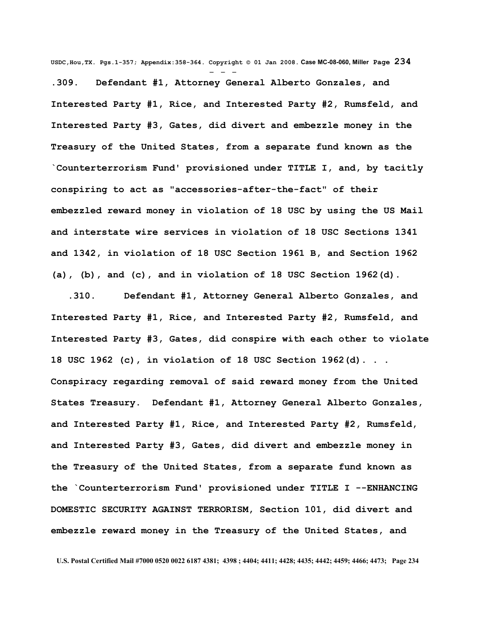**USDC,Hou,TX. Pgs.1-357; Appendix:358-364. Copyright © 01 Jan 2008. Case MC-08-060, Miller Page 234**

- - - **.309. Defendant #1, Attorney General Alberto Gonzales, and Interested Party #1, Rice, and Interested Party #2, Rumsfeld, and Interested Party #3, Gates, did divert and embezzle money in the Treasury of the United States, from a separate fund known as the `Counterterrorism Fund' provisioned under TITLE I, and, by tacitly conspiring to act as "accessories-after-the-fact" of their embezzled reward money in violation of 18 USC by using the US Mail and interstate wire services in violation of 18 USC Sections 1341 and 1342, in violation of 18 USC Section 1961 B, and Section 1962 (a), (b), and (c), and in violation of 18 USC Section 1962(d).**

 **.310. Defendant #1, Attorney General Alberto Gonzales, and Interested Party #1, Rice, and Interested Party #2, Rumsfeld, and Interested Party #3, Gates, did conspire with each other to violate 18 USC 1962 (c), in violation of 18 USC Section 1962(d). . . Conspiracy regarding removal of said reward money from the United States Treasury. Defendant #1, Attorney General Alberto Gonzales, and Interested Party #1, Rice, and Interested Party #2, Rumsfeld, and Interested Party #3, Gates, did divert and embezzle money in the Treasury of the United States, from a separate fund known as the `Counterterrorism Fund' provisioned under TITLE I --ENHANCING DOMESTIC SECURITY AGAINST TERRORISM, Section 101, did divert and embezzle reward money in the Treasury of the United States, and**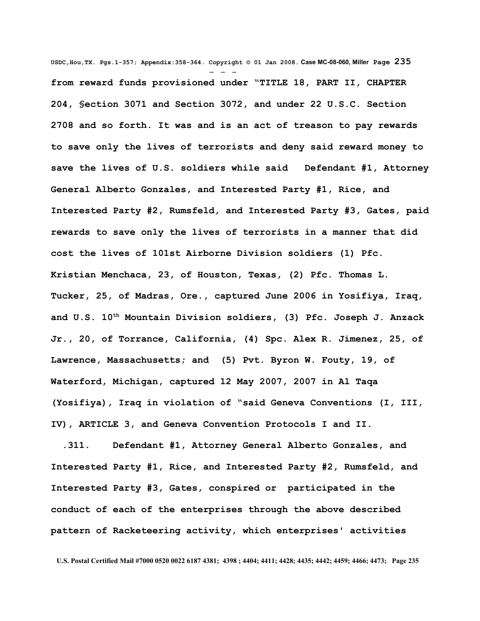**USDC,Hou,TX. Pgs.1-357; Appendix:358-364. Copyright © 01 Jan 2008. Case MC-08-060, Miller Page 235** - - **from reward funds provisioned under "TITLE 18, PART II, CHAPTER 204, §ection 3071 and Section 3072, and under 22 U.S.C. Section 2708 and so forth. It was and is an act of treason to pay rewards to save only the lives of terrorists and deny said reward money to save the lives of U.S. soldiers while said Defendant #1, Attorney General Alberto Gonzales, and Interested Party #1, Rice, and Interested Party #2, Rumsfeld, and Interested Party #3, Gates, paid rewards to save only the lives of terrorists in a manner that did cost the lives of 101st Airborne Division soldiers (1) Pfc. Kristian Menchaca, 23, of Houston, Texas, (2) Pfc. Thomas L. Tucker, 25, of Madras, Ore., captured June 2006 in Yosifiya, Iraq, and U.S. 10th Mountain Division soldiers, (3) Pfc. Joseph J. Anzack Jr., 20, of Torrance, California, (4) Spc. Alex R. Jimenez, 25, of Lawrence, Massachusetts; and (5) Pvt. Byron W. Fouty, 19, of Waterford, Michigan, captured 12 May 2007, 2007 in Al Taqa (Yosifiya), Iraq in violation of "said Geneva Conventions (I, III, IV), ARTICLE 3, and Geneva Convention Protocols I and II.**

 **.311. Defendant #1, Attorney General Alberto Gonzales, and Interested Party #1, Rice, and Interested Party #2, Rumsfeld, and Interested Party #3, Gates, conspired or participated in the conduct of each of the enterprises through the above described pattern of Racketeering activity, which enterprises' activities**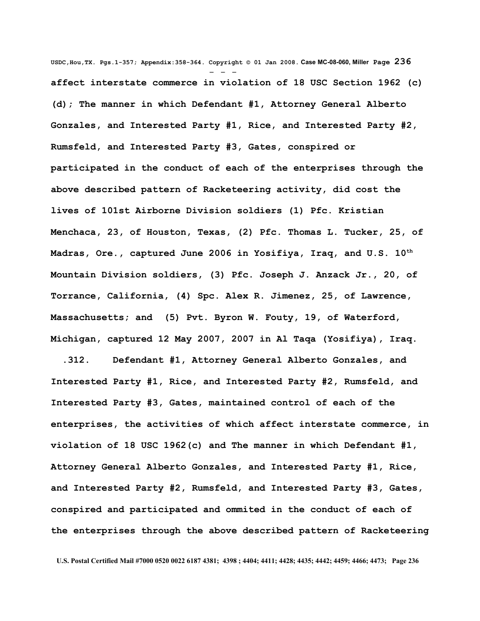**USDC,Hou,TX. Pgs.1-357; Appendix:358-364. Copyright © 01 Jan 2008. Case MC-08-060, Miller Page 236** - - **affect interstate commerce in violation of 18 USC Section 1962 (c) (d); The manner in which Defendant #1, Attorney General Alberto Gonzales, and Interested Party #1, Rice, and Interested Party #2, Rumsfeld, and Interested Party #3, Gates, conspired or participated in the conduct of each of the enterprises through the above described pattern of Racketeering activity, did cost the lives of 101st Airborne Division soldiers (1) Pfc. Kristian Menchaca, 23, of Houston, Texas, (2) Pfc. Thomas L. Tucker, 25, of Madras, Ore., captured June 2006 in Yosifiya, Iraq, and U.S. 10th Mountain Division soldiers, (3) Pfc. Joseph J. Anzack Jr., 20, of Torrance, California, (4) Spc. Alex R. Jimenez, 25, of Lawrence, Massachusetts; and (5) Pvt. Byron W. Fouty, 19, of Waterford, Michigan, captured 12 May 2007, 2007 in Al Taqa (Yosifiya), Iraq.**

 **.312. Defendant #1, Attorney General Alberto Gonzales, and Interested Party #1, Rice, and Interested Party #2, Rumsfeld, and Interested Party #3, Gates, maintained control of each of the enterprises, the activities of which affect interstate commerce, in violation of 18 USC 1962(c) and The manner in which Defendant #1, Attorney General Alberto Gonzales, and Interested Party #1, Rice, and Interested Party #2, Rumsfeld, and Interested Party #3, Gates, conspired and participated and ommited in the conduct of each of the enterprises through the above described pattern of Racketeering**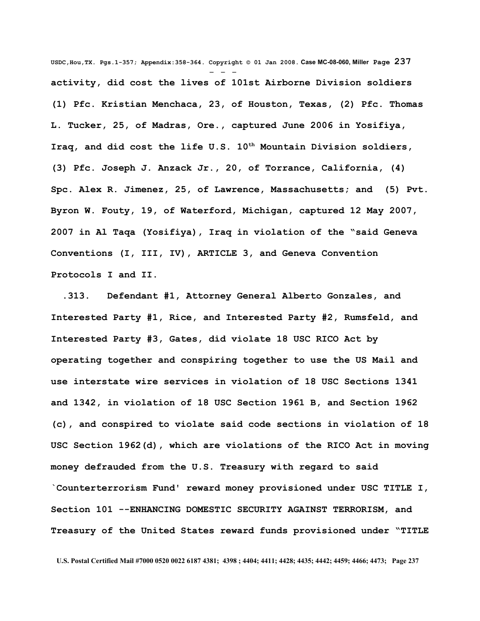**USDC,Hou,TX. Pgs.1-357; Appendix:358-364. Copyright © 01 Jan 2008. Case MC-08-060, Miller Page 237** - - **activity, did cost the lives of 101st Airborne Division soldiers (1) Pfc. Kristian Menchaca, 23, of Houston, Texas, (2) Pfc. Thomas L. Tucker, 25, of Madras, Ore., captured June 2006 in Yosifiya, Iraq, and did cost the life U.S. 10th Mountain Division soldiers, (3) Pfc. Joseph J. Anzack Jr., 20, of Torrance, California, (4) Spc. Alex R. Jimenez, 25, of Lawrence, Massachusetts; and (5) Pvt. Byron W. Fouty, 19, of Waterford, Michigan, captured 12 May 2007, 2007 in Al Taqa (Yosifiya), Iraq in violation of the "said Geneva Conventions (I, III, IV), ARTICLE 3, and Geneva Convention Protocols I and II.**

 **.313. Defendant #1, Attorney General Alberto Gonzales, and Interested Party #1, Rice, and Interested Party #2, Rumsfeld, and Interested Party #3, Gates, did violate 18 USC RICO Act by operating together and conspiring together to use the US Mail and use interstate wire services in violation of 18 USC Sections 1341 and 1342, in violation of 18 USC Section 1961 B, and Section 1962 (c), and conspired to violate said code sections in violation of 18 USC Section 1962(d), which are violations of the RICO Act in moving money defrauded from the U.S. Treasury with regard to said `Counterterrorism Fund' reward money provisioned under USC TITLE I, Section 101 --ENHANCING DOMESTIC SECURITY AGAINST TERRORISM, and Treasury of the United States reward funds provisioned under "TITLE**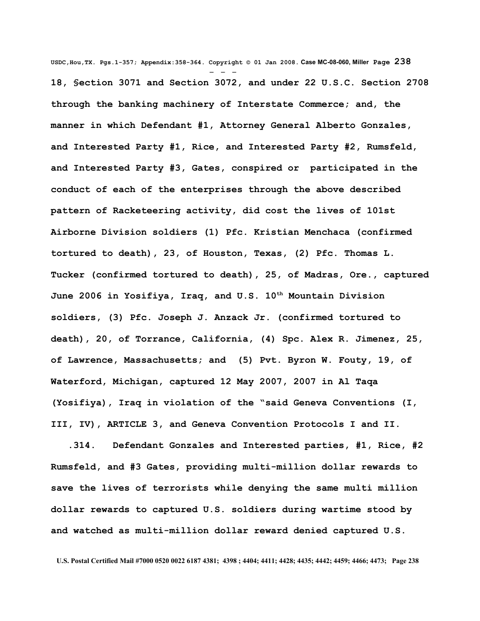**USDC,Hou,TX. Pgs.1-357; Appendix:358-364. Copyright © 01 Jan 2008. Case MC-08-060, Miller Page 238** - - - **18, §ection 3071 and Section 3072, and under 22 U.S.C. Section 2708 through the banking machinery of Interstate Commerce; and, the manner in which Defendant #1, Attorney General Alberto Gonzales, and Interested Party #1, Rice, and Interested Party #2, Rumsfeld, and Interested Party #3, Gates, conspired or participated in the conduct of each of the enterprises through the above described pattern of Racketeering activity, did cost the lives of 101st Airborne Division soldiers (1) Pfc. Kristian Menchaca (confirmed tortured to death), 23, of Houston, Texas, (2) Pfc. Thomas L. Tucker (confirmed tortured to death), 25, of Madras, Ore., captured June 2006 in Yosifiya, Iraq, and U.S. 10th Mountain Division soldiers, (3) Pfc. Joseph J. Anzack Jr. (confirmed tortured to death), 20, of Torrance, California, (4) Spc. Alex R. Jimenez, 25, of Lawrence, Massachusetts; and (5) Pvt. Byron W. Fouty, 19, of Waterford, Michigan, captured 12 May 2007, 2007 in Al Taqa (Yosifiya), Iraq in violation of the "said Geneva Conventions (I, III, IV), ARTICLE 3, and Geneva Convention Protocols I and II.**

 **.314. Defendant Gonzales and Interested parties, #1, Rice, #2 Rumsfeld, and #3 Gates, providing multi-million dollar rewards to save the lives of terrorists while denying the same multi million dollar rewards to captured U.S. soldiers during wartime stood by and watched as multi-million dollar reward denied captured U.S.**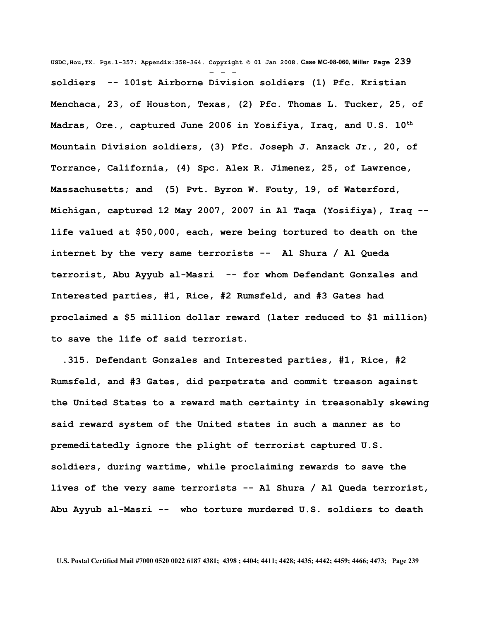**USDC,Hou,TX. Pgs.1-357; Appendix:358-364. Copyright © 01 Jan 2008. Case MC-08-060, Miller Page 239** - - **soldiers -- 101st Airborne Division soldiers (1) Pfc. Kristian Menchaca, 23, of Houston, Texas, (2) Pfc. Thomas L. Tucker, 25, of Madras, Ore., captured June 2006 in Yosifiya, Iraq, and U.S. 10th Mountain Division soldiers, (3) Pfc. Joseph J. Anzack Jr., 20, of Torrance, California, (4) Spc. Alex R. Jimenez, 25, of Lawrence, Massachusetts; and (5) Pvt. Byron W. Fouty, 19, of Waterford, Michigan, captured 12 May 2007, 2007 in Al Taqa (Yosifiya), Iraq - life valued at \$50,000, each, were being tortured to death on the internet by the very same terrorists -- Al Shura / Al Queda terrorist, Abu Ayyub al-Masri -- for whom Defendant Gonzales and Interested parties, #1, Rice, #2 Rumsfeld, and #3 Gates had proclaimed a \$5 million dollar reward (later reduced to \$1 million) to save the life of said terrorist.**

 **.315. Defendant Gonzales and Interested parties, #1, Rice, #2 Rumsfeld, and #3 Gates, did perpetrate and commit treason against the United States to a reward math certainty in treasonably skewing said reward system of the United states in such a manner as to premeditatedly ignore the plight of terrorist captured U.S. soldiers, during wartime, while proclaiming rewards to save the lives of the very same terrorists -- Al Shura / Al Queda terrorist, Abu Ayyub al-Masri -- who torture murdered U.S. soldiers to death**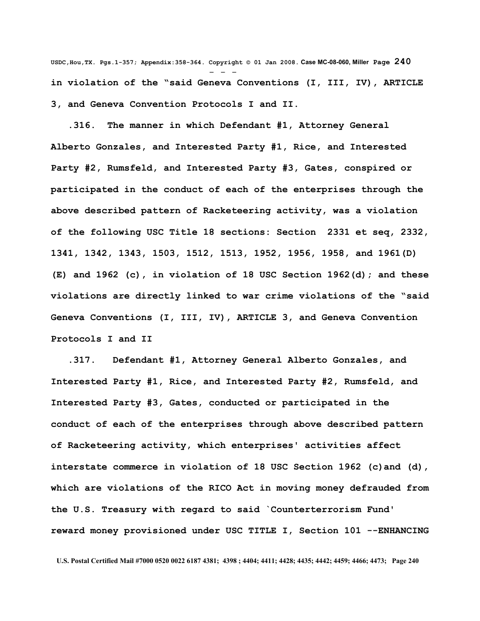**USDC,Hou,TX. Pgs.1-357; Appendix:358-364. Copyright © 01 Jan 2008. Case MC-08-060, Miller Page 240** - - **in violation of the "said Geneva Conventions (I, III, IV), ARTICLE 3, and Geneva Convention Protocols I and II.**

 **.316. The manner in which Defendant #1, Attorney General Alberto Gonzales, and Interested Party #1, Rice, and Interested Party #2, Rumsfeld, and Interested Party #3, Gates, conspired or participated in the conduct of each of the enterprises through the above described pattern of Racketeering activity, was a violation of the following USC Title 18 sections: Section 2331 et seq, 2332, 1341, 1342, 1343, 1503, 1512, 1513, 1952, 1956, 1958, and 1961(D) (E) and 1962 (c), in violation of 18 USC Section 1962(d); and these violations are directly linked to war crime violations of the "said Geneva Conventions (I, III, IV), ARTICLE 3, and Geneva Convention Protocols I and II**

 **.317. Defendant #1, Attorney General Alberto Gonzales, and Interested Party #1, Rice, and Interested Party #2, Rumsfeld, and Interested Party #3, Gates, conducted or participated in the conduct of each of the enterprises through above described pattern of Racketeering activity, which enterprises' activities affect interstate commerce in violation of 18 USC Section 1962 (c)and (d), which are violations of the RICO Act in moving money defrauded from the U.S. Treasury with regard to said `Counterterrorism Fund' reward money provisioned under USC TITLE I, Section 101 --ENHANCING**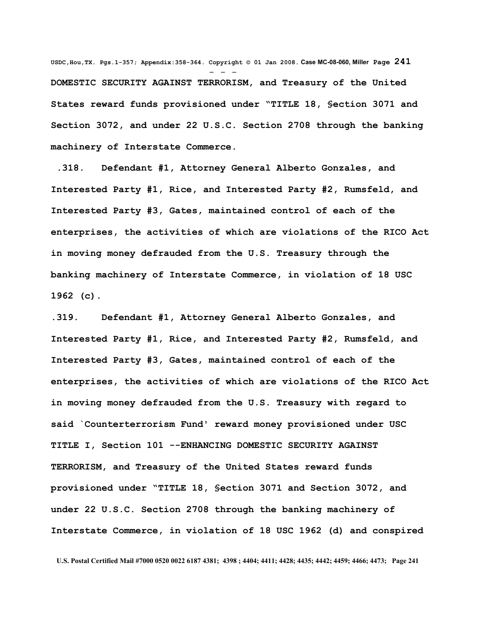**USDC,Hou,TX. Pgs.1-357; Appendix:358-364. Copyright © 01 Jan 2008. Case MC-08-060, Miller Page 241** - - - **DOMESTIC SECURITY AGAINST TERRORISM, and Treasury of the United States reward funds provisioned under "TITLE 18, §ection 3071 and Section 3072, and under 22 U.S.C. Section 2708 through the banking machinery of Interstate Commerce.**

 **.318. Defendant #1, Attorney General Alberto Gonzales, and Interested Party #1, Rice, and Interested Party #2, Rumsfeld, and Interested Party #3, Gates, maintained control of each of the enterprises, the activities of which are violations of the RICO Act in moving money defrauded from the U.S. Treasury through the banking machinery of Interstate Commerce, in violation of 18 USC 1962 (c).**

**.319. Defendant #1, Attorney General Alberto Gonzales, and Interested Party #1, Rice, and Interested Party #2, Rumsfeld, and Interested Party #3, Gates, maintained control of each of the enterprises, the activities of which are violations of the RICO Act in moving money defrauded from the U.S. Treasury with regard to said `Counterterrorism Fund' reward money provisioned under USC TITLE I, Section 101 --ENHANCING DOMESTIC SECURITY AGAINST TERRORISM, and Treasury of the United States reward funds provisioned under "TITLE 18, §ection 3071 and Section 3072, and under 22 U.S.C. Section 2708 through the banking machinery of Interstate Commerce, in violation of 18 USC 1962 (d) and conspired**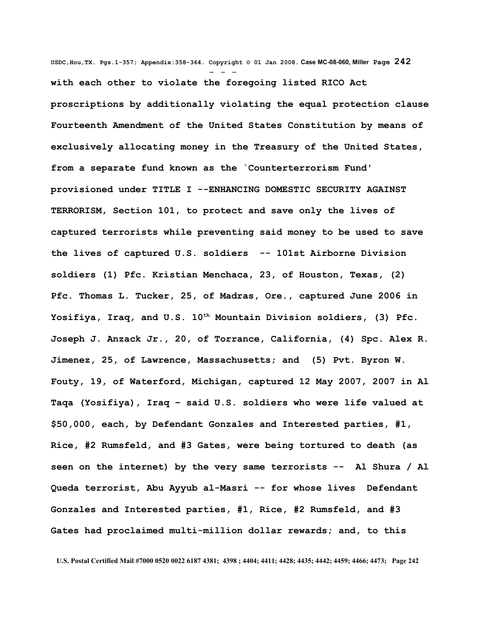**USDC,Hou,TX. Pgs.1-357; Appendix:358-364. Copyright © 01 Jan 2008. Case MC-08-060, Miller Page 242** - - **with each other to violate the foregoing listed RICO Act proscriptions by additionally violating the equal protection clause Fourteenth Amendment of the United States Constitution by means of exclusively allocating money in the Treasury of the United States, from a separate fund known as the `Counterterrorism Fund' provisioned under TITLE I --ENHANCING DOMESTIC SECURITY AGAINST TERRORISM, Section 101, to protect and save only the lives of captured terrorists while preventing said money to be used to save the lives of captured U.S. soldiers -- 101st Airborne Division soldiers (1) Pfc. Kristian Menchaca, 23, of Houston, Texas, (2) Pfc. Thomas L. Tucker, 25, of Madras, Ore., captured June 2006 in Yosifiya, Iraq, and U.S. 10th Mountain Division soldiers, (3) Pfc. Joseph J. Anzack Jr., 20, of Torrance, California, (4) Spc. Alex R. Jimenez, 25, of Lawrence, Massachusetts; and (5) Pvt. Byron W. Fouty, 19, of Waterford, Michigan, captured 12 May 2007, 2007 in Al Taqa (Yosifiya), Iraq – said U.S. soldiers who were life valued at \$50,000, each, by Defendant Gonzales and Interested parties, #1, Rice, #2 Rumsfeld, and #3 Gates, were being tortured to death (as seen on the internet) by the very same terrorists -- Al Shura / Al Queda terrorist, Abu Ayyub al-Masri -- for whose lives Defendant Gonzales and Interested parties, #1, Rice, #2 Rumsfeld, and #3 Gates had proclaimed multi-million dollar rewards; and, to this**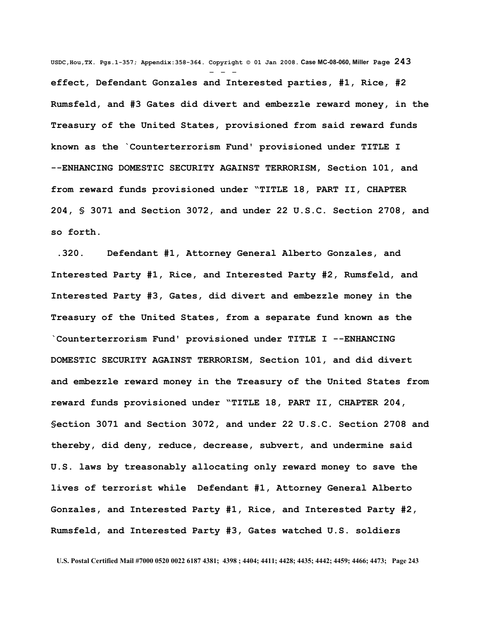**USDC,Hou,TX. Pgs.1-357; Appendix:358-364. Copyright © 01 Jan 2008. Case MC-08-060, Miller Page 243** - - **effect, Defendant Gonzales and Interested parties, #1, Rice, #2 Rumsfeld, and #3 Gates did divert and embezzle reward money, in the Treasury of the United States, provisioned from said reward funds known as the `Counterterrorism Fund' provisioned under TITLE I --ENHANCING DOMESTIC SECURITY AGAINST TERRORISM, Section 101, and from reward funds provisioned under "TITLE 18, PART II, CHAPTER 204, § 3071 and Section 3072, and under 22 U.S.C. Section 2708, and so forth.**

 **.320. Defendant #1, Attorney General Alberto Gonzales, and Interested Party #1, Rice, and Interested Party #2, Rumsfeld, and Interested Party #3, Gates, did divert and embezzle money in the Treasury of the United States, from a separate fund known as the `Counterterrorism Fund' provisioned under TITLE I --ENHANCING DOMESTIC SECURITY AGAINST TERRORISM, Section 101, and did divert and embezzle reward money in the Treasury of the United States from reward funds provisioned under "TITLE 18, PART II, CHAPTER 204, §ection 3071 and Section 3072, and under 22 U.S.C. Section 2708 and thereby, did deny, reduce, decrease, subvert, and undermine said U.S. laws by treasonably allocating only reward money to save the lives of terrorist while Defendant #1, Attorney General Alberto Gonzales, and Interested Party #1, Rice, and Interested Party #2, Rumsfeld, and Interested Party #3, Gates watched U.S. soldiers**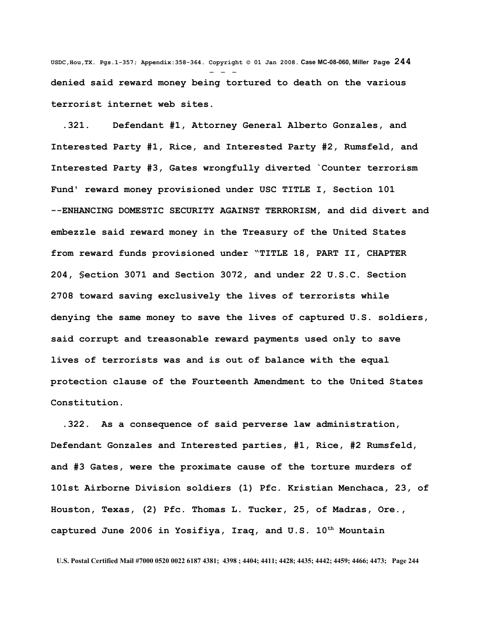**USDC,Hou,TX. Pgs.1-357; Appendix:358-364. Copyright © 01 Jan 2008. Case MC-08-060, Miller Page 244** - - **denied said reward money being tortured to death on the various terrorist internet web sites.**

 **.321. Defendant #1, Attorney General Alberto Gonzales, and Interested Party #1, Rice, and Interested Party #2, Rumsfeld, and Interested Party #3, Gates wrongfully diverted `Counter terrorism Fund' reward money provisioned under USC TITLE I, Section 101 --ENHANCING DOMESTIC SECURITY AGAINST TERRORISM, and did divert and embezzle said reward money in the Treasury of the United States from reward funds provisioned under "TITLE 18, PART II, CHAPTER 204, §ection 3071 and Section 3072, and under 22 U.S.C. Section 2708 toward saving exclusively the lives of terrorists while denying the same money to save the lives of captured U.S. soldiers, said corrupt and treasonable reward payments used only to save lives of terrorists was and is out of balance with the equal protection clause of the Fourteenth Amendment to the United States Constitution.**

 **.322. As a consequence of said perverse law administration, Defendant Gonzales and Interested parties, #1, Rice, #2 Rumsfeld, and #3 Gates, were the proximate cause of the torture murders of 101st Airborne Division soldiers (1) Pfc. Kristian Menchaca, 23, of Houston, Texas, (2) Pfc. Thomas L. Tucker, 25, of Madras, Ore., captured June 2006 in Yosifiya, Iraq, and U.S. 10th Mountain**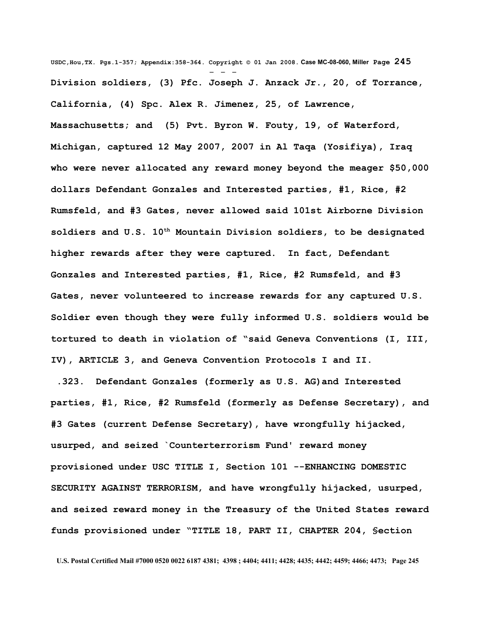**USDC,Hou,TX. Pgs.1-357; Appendix:358-364. Copyright © 01 Jan 2008. Case MC-08-060, Miller Page 245** - - - **Division soldiers, (3) Pfc. Joseph J. Anzack Jr., 20, of Torrance, California, (4) Spc. Alex R. Jimenez, 25, of Lawrence, Massachusetts; and (5) Pvt. Byron W. Fouty, 19, of Waterford, Michigan, captured 12 May 2007, 2007 in Al Taqa (Yosifiya), Iraq who were never allocated any reward money beyond the meager \$50,000 dollars Defendant Gonzales and Interested parties, #1, Rice, #2 Rumsfeld, and #3 Gates, never allowed said 101st Airborne Division soldiers and U.S. 10th Mountain Division soldiers, to be designated higher rewards after they were captured. In fact, Defendant Gonzales and Interested parties, #1, Rice, #2 Rumsfeld, and #3 Gates, never volunteered to increase rewards for any captured U.S. Soldier even though they were fully informed U.S. soldiers would be tortured to death in violation of "said Geneva Conventions (I, III, IV), ARTICLE 3, and Geneva Convention Protocols I and II.** 

 **.323. Defendant Gonzales (formerly as U.S. AG)and Interested parties, #1, Rice, #2 Rumsfeld (formerly as Defense Secretary), and #3 Gates (current Defense Secretary), have wrongfully hijacked, usurped, and seized `Counterterrorism Fund' reward money provisioned under USC TITLE I, Section 101 --ENHANCING DOMESTIC SECURITY AGAINST TERRORISM, and have wrongfully hijacked, usurped, and seized reward money in the Treasury of the United States reward funds provisioned under "TITLE 18, PART II, CHAPTER 204, §ection**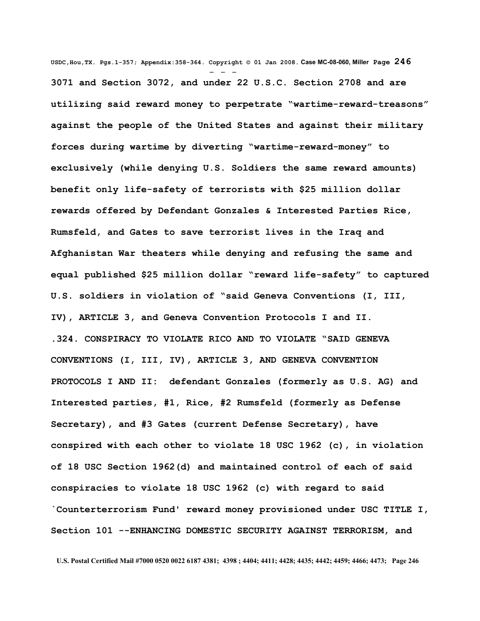**USDC,Hou,TX. Pgs.1-357; Appendix:358-364. Copyright © 01 Jan 2008. Case MC-08-060, Miller Page 246** - - - **3071 and Section 3072, and under 22 U.S.C. Section 2708 and are utilizing said reward money to perpetrate "wartime-reward-treasons" against the people of the United States and against their military forces during wartime by diverting "wartime-reward-money" to exclusively (while denying U.S. Soldiers the same reward amounts) benefit only life-safety of terrorists with \$25 million dollar rewards offered by Defendant Gonzales & Interested Parties Rice, Rumsfeld, and Gates to save terrorist lives in the Iraq and Afghanistan War theaters while denying and refusing the same and equal published \$25 million dollar "reward life-safety" to captured U.S. soldiers in violation of "said Geneva Conventions (I, III, IV), ARTICLE 3, and Geneva Convention Protocols I and II. .324. CONSPIRACY TO VIOLATE RICO AND TO VIOLATE "SAID GENEVA CONVENTIONS (I, III, IV), ARTICLE 3, AND GENEVA CONVENTION PROTOCOLS I AND II: defendant Gonzales (formerly as U.S. AG) and Interested parties, #1, Rice, #2 Rumsfeld (formerly as Defense Secretary), and #3 Gates (current Defense Secretary), have conspired with each other to violate 18 USC 1962 (c), in violation of 18 USC Section 1962(d) and maintained control of each of said conspiracies to violate 18 USC 1962 (c) with regard to said `Counterterrorism Fund' reward money provisioned under USC TITLE I, Section 101 --ENHANCING DOMESTIC SECURITY AGAINST TERRORISM, and**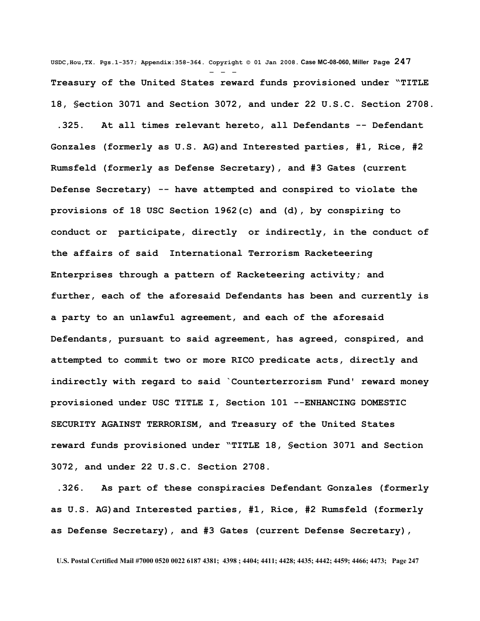**USDC,Hou,TX. Pgs.1-357; Appendix:358-364. Copyright © 01 Jan 2008. Case MC-08-060, Miller Page 247** - - - **Treasury of the United States reward funds provisioned under "TITLE 18, §ection 3071 and Section 3072, and under 22 U.S.C. Section 2708.**

 **.325. At all times relevant hereto, all Defendants -- Defendant Gonzales (formerly as U.S. AG)and Interested parties, #1, Rice, #2 Rumsfeld (formerly as Defense Secretary), and #3 Gates (current Defense Secretary) -- have attempted and conspired to violate the provisions of 18 USC Section 1962(c) and (d), by conspiring to conduct or participate, directly or indirectly, in the conduct of the affairs of said International Terrorism Racketeering Enterprises through a pattern of Racketeering activity; and further, each of the aforesaid Defendants has been and currently is a party to an unlawful agreement, and each of the aforesaid Defendants, pursuant to said agreement, has agreed, conspired, and attempted to commit two or more RICO predicate acts, directly and indirectly with regard to said `Counterterrorism Fund' reward money provisioned under USC TITLE I, Section 101 --ENHANCING DOMESTIC SECURITY AGAINST TERRORISM, and Treasury of the United States reward funds provisioned under "TITLE 18, §ection 3071 and Section 3072, and under 22 U.S.C. Section 2708.**

 **.326. As part of these conspiracies Defendant Gonzales (formerly as U.S. AG)and Interested parties, #1, Rice, #2 Rumsfeld (formerly as Defense Secretary), and #3 Gates (current Defense Secretary),**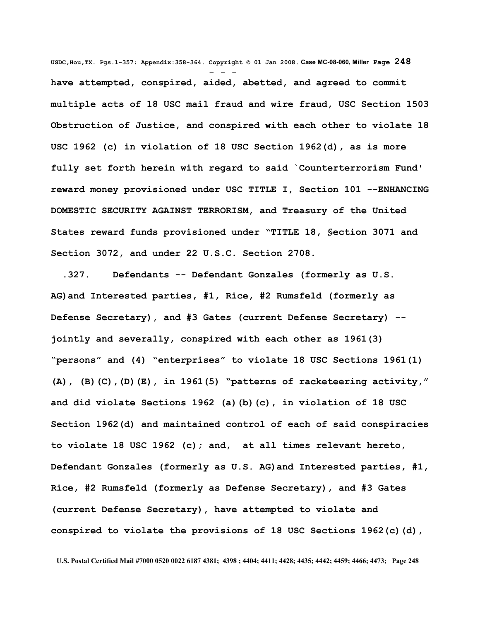**USDC,Hou,TX. Pgs.1-357; Appendix:358-364. Copyright © 01 Jan 2008. Case MC-08-060, Miller Page 248** - - **have attempted, conspired, aided, abetted, and agreed to commit multiple acts of 18 USC mail fraud and wire fraud, USC Section 1503 Obstruction of Justice, and conspired with each other to violate 18 USC 1962 (c) in violation of 18 USC Section 1962(d), as is more fully set forth herein with regard to said `Counterterrorism Fund' reward money provisioned under USC TITLE I, Section 101 --ENHANCING DOMESTIC SECURITY AGAINST TERRORISM, and Treasury of the United States reward funds provisioned under "TITLE 18, §ection 3071 and Section 3072, and under 22 U.S.C. Section 2708.**

 **.327. Defendants -- Defendant Gonzales (formerly as U.S. AG)and Interested parties, #1, Rice, #2 Rumsfeld (formerly as Defense Secretary), and #3 Gates (current Defense Secretary) - jointly and severally, conspired with each other as 1961(3) "persons" and (4) "enterprises" to violate 18 USC Sections 1961(1) (A), (B)(C),(D)(E), in 1961(5) "patterns of racketeering activity," and did violate Sections 1962 (a)(b)(c), in violation of 18 USC Section 1962(d) and maintained control of each of said conspiracies to violate 18 USC 1962 (c); and, at all times relevant hereto, Defendant Gonzales (formerly as U.S. AG)and Interested parties, #1, Rice, #2 Rumsfeld (formerly as Defense Secretary), and #3 Gates (current Defense Secretary), have attempted to violate and conspired to violate the provisions of 18 USC Sections 1962(c)(d),**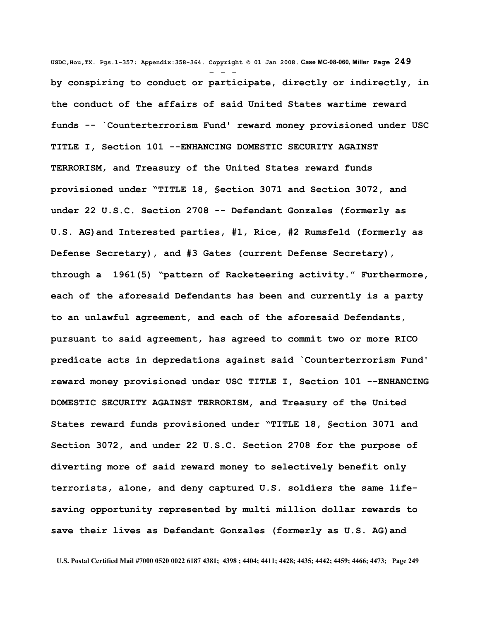**USDC,Hou,TX. Pgs.1-357; Appendix:358-364. Copyright © 01 Jan 2008. Case MC-08-060, Miller Page 249** - - **by conspiring to conduct or participate, directly or indirectly, in the conduct of the affairs of said United States wartime reward funds -- `Counterterrorism Fund' reward money provisioned under USC TITLE I, Section 101 --ENHANCING DOMESTIC SECURITY AGAINST TERRORISM, and Treasury of the United States reward funds provisioned under "TITLE 18, §ection 3071 and Section 3072, and under 22 U.S.C. Section 2708 -- Defendant Gonzales (formerly as U.S. AG)and Interested parties, #1, Rice, #2 Rumsfeld (formerly as Defense Secretary), and #3 Gates (current Defense Secretary), through a 1961(5) "pattern of Racketeering activity." Furthermore, each of the aforesaid Defendants has been and currently is a party to an unlawful agreement, and each of the aforesaid Defendants, pursuant to said agreement, has agreed to commit two or more RICO predicate acts in depredations against said `Counterterrorism Fund' reward money provisioned under USC TITLE I, Section 101 --ENHANCING DOMESTIC SECURITY AGAINST TERRORISM, and Treasury of the United States reward funds provisioned under "TITLE 18, §ection 3071 and Section 3072, and under 22 U.S.C. Section 2708 for the purpose of diverting more of said reward money to selectively benefit only terrorists, alone, and deny captured U.S. soldiers the same lifesaving opportunity represented by multi million dollar rewards to save their lives as Defendant Gonzales (formerly as U.S. AG)and**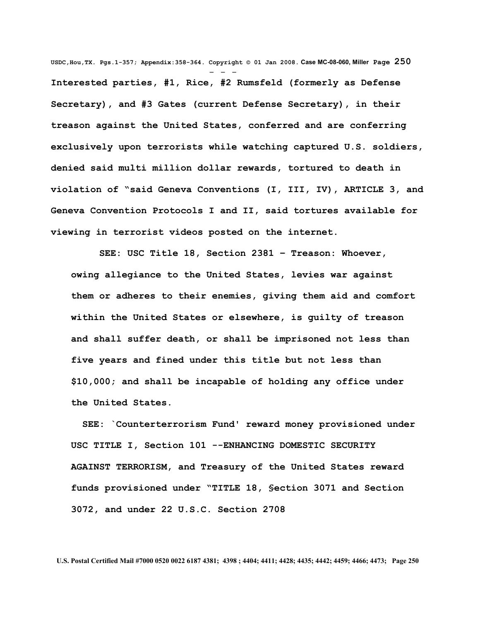**USDC,Hou,TX. Pgs.1-357; Appendix:358-364. Copyright © 01 Jan 2008. Case MC-08-060, Miller Page 250** - - - **Interested parties, #1, Rice, #2 Rumsfeld (formerly as Defense Secretary), and #3 Gates (current Defense Secretary), in their treason against the United States, conferred and are conferring exclusively upon terrorists while watching captured U.S. soldiers, denied said multi million dollar rewards, tortured to death in violation of "said Geneva Conventions (I, III, IV), ARTICLE 3, and Geneva Convention Protocols I and II, said tortures available for viewing in terrorist videos posted on the internet.**

 **SEE: USC Title 18, Section 2381 – Treason: Whoever, owing allegiance to the United States, levies war against them or adheres to their enemies, giving them aid and comfort within the United States or elsewhere, is guilty of treason and shall suffer death, or shall be imprisoned not less than five years and fined under this title but not less than \$10,000; and shall be incapable of holding any office under the United States.**

 **SEE: `Counterterrorism Fund' reward money provisioned under USC TITLE I, Section 101 --ENHANCING DOMESTIC SECURITY AGAINST TERRORISM, and Treasury of the United States reward funds provisioned under "TITLE 18, §ection 3071 and Section 3072, and under 22 U.S.C. Section 2708**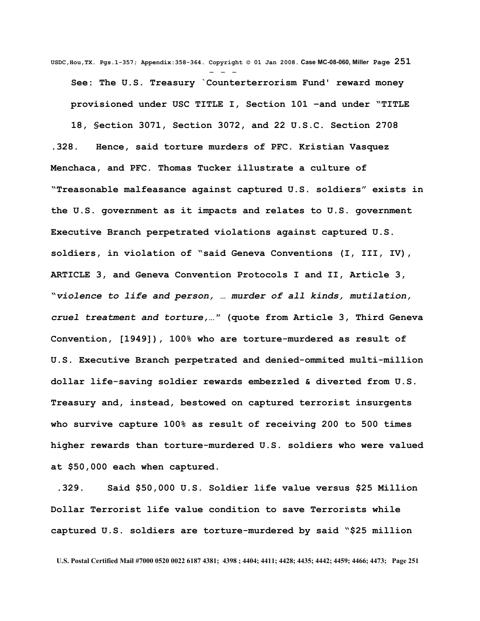**USDC,Hou,TX. Pgs.1-357; Appendix:358-364. Copyright © 01 Jan 2008. Case MC-08-060, Miller Page 251** - - - **See: The U.S. Treasury `Counterterrorism Fund' reward money provisioned under USC TITLE I, Section 101 –and under "TITLE 18, §ection 3071, Section 3072, and 22 U.S.C. Section 2708 .328. Hence, said torture murders of PFC. Kristian Vasquez Menchaca, and PFC. Thomas Tucker illustrate a culture of "Treasonable malfeasance against captured U.S. soldiers" exists in the U.S. government as it impacts and relates to U.S. government Executive Branch perpetrated violations against captured U.S. soldiers, in violation of "said Geneva Conventions (I, III, IV), ARTICLE 3, and Geneva Convention Protocols I and II, Article 3, "***violence to life and person, … murder of all kinds, mutilation, cruel treatment and torture,…"* **(quote from Article 3, Third Geneva Convention, [1949]), 100% who are torture-murdered as result of U.S. Executive Branch perpetrated and denied-ommited multi-million dollar life-saving soldier rewards embezzled & diverted from U.S. Treasury and, instead, bestowed on captured terrorist insurgents who survive capture 100% as result of receiving 200 to 500 times higher rewards than torture-murdered U.S. soldiers who were valued at \$50,000 each when captured.**

 **.329. Said \$50,000 U.S. Soldier life value versus \$25 Million Dollar Terrorist life value condition to save Terrorists while captured U.S. soldiers are torture-murdered by said "\$25 million**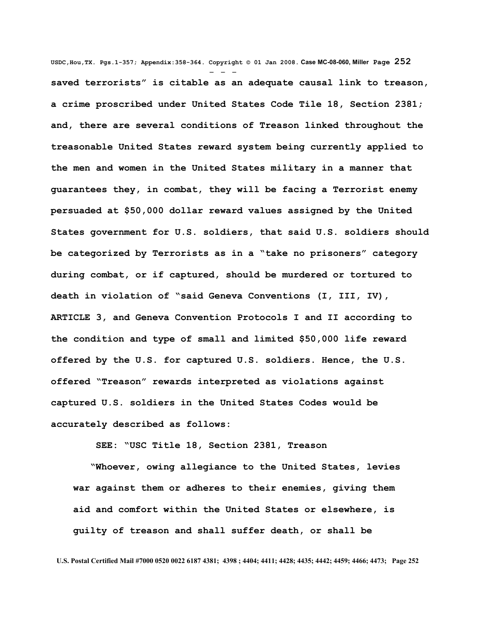**USDC,Hou,TX. Pgs.1-357; Appendix:358-364. Copyright © 01 Jan 2008. Case MC-08-060, Miller Page 252** - - **saved terrorists" is citable as an adequate causal link to treason, a crime proscribed under United States Code Tile 18, Section 2381; and, there are several conditions of Treason linked throughout the treasonable United States reward system being currently applied to the men and women in the United States military in a manner that guarantees they, in combat, they will be facing a Terrorist enemy persuaded at \$50,000 dollar reward values assigned by the United States government for U.S. soldiers, that said U.S. soldiers should be categorized by Terrorists as in a "take no prisoners" category during combat, or if captured, should be murdered or tortured to death in violation of "said Geneva Conventions (I, III, IV), ARTICLE 3, and Geneva Convention Protocols I and II according to the condition and type of small and limited \$50,000 life reward offered by the U.S. for captured U.S. soldiers. Hence, the U.S. offered "Treason" rewards interpreted as violations against captured U.S. soldiers in the United States Codes would be accurately described as follows:**

 **SEE: "USC Title 18, Section 2381, Treason**

 **"Whoever, owing allegiance to the United States, levies war against them or adheres to their enemies, giving them aid and comfort within the United States or elsewhere, is guilty of treason and shall suffer death, or shall be**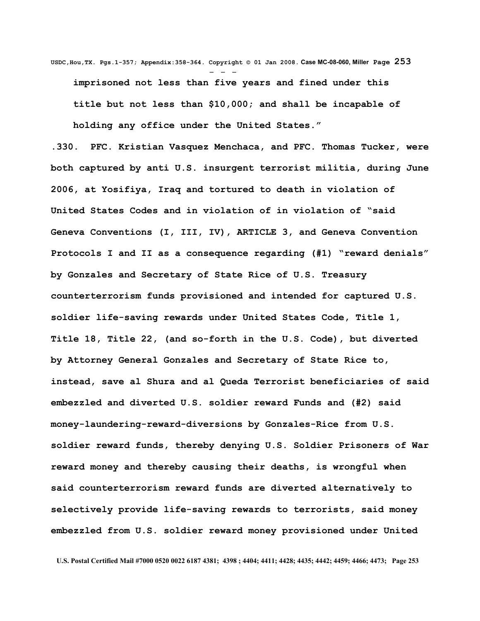**USDC,Hou,TX. Pgs.1-357; Appendix:358-364. Copyright © 01 Jan 2008. Case MC-08-060, Miller Page 253** - - **imprisoned not less than five years and fined under this title but not less than \$10,000; and shall be incapable of holding any office under the United States."**

**.330. PFC. Kristian Vasquez Menchaca, and PFC. Thomas Tucker, were both captured by anti U.S. insurgent terrorist militia, during June 2006, at Yosifiya, Iraq and tortured to death in violation of United States Codes and in violation of in violation of "said Geneva Conventions (I, III, IV), ARTICLE 3, and Geneva Convention Protocols I and II as a consequence regarding (#1) "reward denials" by Gonzales and Secretary of State Rice of U.S. Treasury counterterrorism funds provisioned and intended for captured U.S. soldier life-saving rewards under United States Code, Title 1, Title 18, Title 22, (and so-forth in the U.S. Code), but diverted by Attorney General Gonzales and Secretary of State Rice to, instead, save al Shura and al Queda Terrorist beneficiaries of said embezzled and diverted U.S. soldier reward Funds and (#2) said money-laundering-reward-diversions by Gonzales-Rice from U.S. soldier reward funds, thereby denying U.S. Soldier Prisoners of War reward money and thereby causing their deaths, is wrongful when said counterterrorism reward funds are diverted alternatively to selectively provide life-saving rewards to terrorists, said money embezzled from U.S. soldier reward money provisioned under United**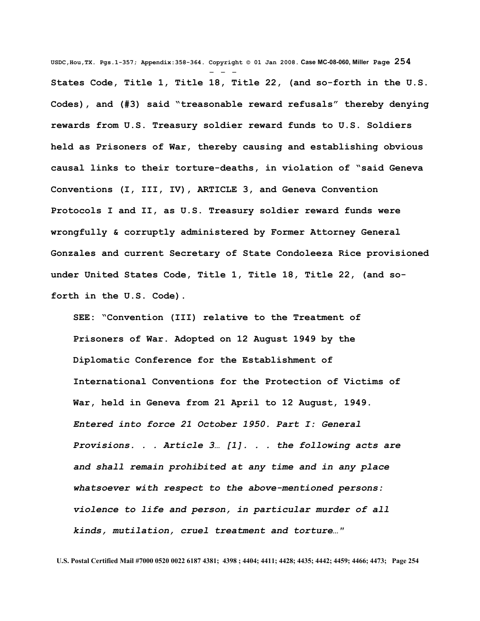**USDC,Hou,TX. Pgs.1-357; Appendix:358-364. Copyright © 01 Jan 2008. Case MC-08-060, Miller Page 254** - - - **States Code, Title 1, Title 18, Title 22, (and so-forth in the U.S. Codes), and (#3) said "treasonable reward refusals" thereby denying rewards from U.S. Treasury soldier reward funds to U.S. Soldiers held as Prisoners of War, thereby causing and establishing obvious causal links to their torture-deaths, in violation of "said Geneva Conventions (I, III, IV), ARTICLE 3, and Geneva Convention Protocols I and II, as U.S. Treasury soldier reward funds were wrongfully & corruptly administered by Former Attorney General Gonzales and current Secretary of State Condoleeza Rice provisioned under United States Code, Title 1, Title 18, Title 22, (and soforth in the U.S. Code).**

**SEE: "Convention (III) relative to the Treatment of Prisoners of War. Adopted on 12 August 1949 by the Diplomatic Conference for the Establishment of International Conventions for the Protection of Victims of War, held in Geneva from 21 April to 12 August, 1949.** *Entered into force 21 October 1950. Part I: General Provisions. . . Article 3… [1]. . . the following acts are and shall remain prohibited at any time and in any place whatsoever with respect to the above-mentioned persons: violence to life and person, in particular murder of all kinds, mutilation, cruel treatment and torture…"*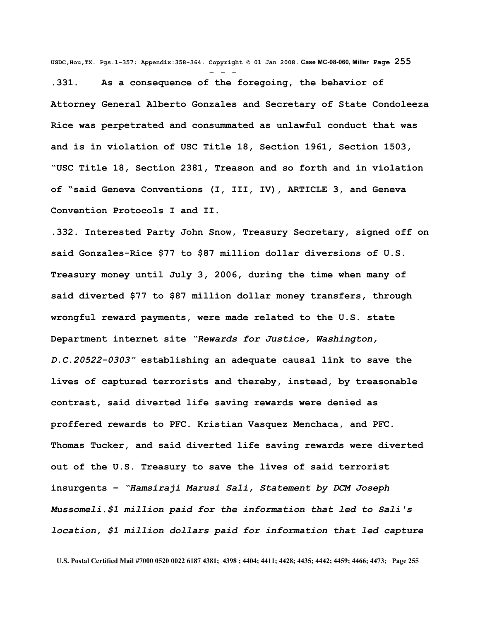**USDC,Hou,TX. Pgs.1-357; Appendix:358-364. Copyright © 01 Jan 2008. Case MC-08-060, Miller Page 255**

- - -

**.331. As a consequence of the foregoing, the behavior of Attorney General Alberto Gonzales and Secretary of State Condoleeza Rice was perpetrated and consummated as unlawful conduct that was and is in violation of USC Title 18, Section 1961, Section 1503, "USC Title 18, Section 2381, Treason and so forth and in violation of "said Geneva Conventions (I, III, IV), ARTICLE 3, and Geneva Convention Protocols I and II.**

**.332. Interested Party John Snow, Treasury Secretary, signed off on said Gonzales-Rice \$77 to \$87 million dollar diversions of U.S. Treasury money until July 3, 2006, during the time when many of said diverted \$77 to \$87 million dollar money transfers, through wrongful reward payments, were made related to the U.S. state Department internet site** *"Rewards for Justice, Washington, D.C.20522-0303"* **establishing an adequate causal link to save the lives of captured terrorists and thereby, instead, by treasonable contrast, said diverted life saving rewards were denied as proffered rewards to PFC. Kristian Vasquez Menchaca, and PFC. Thomas Tucker, and said diverted life saving rewards were diverted out of the U.S. Treasury to save the lives of said terrorist insurgents –** *"Hamsiraji Marusi Sali, Statement by DCM Joseph Mussomeli.\$1 million paid for the information that led to Sali's location, \$1 million dollars paid for information that led capture*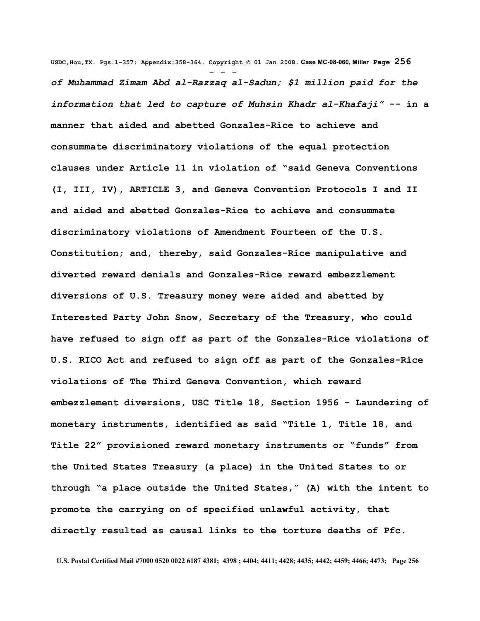**USDC,Hou,TX. Pgs.1-357; Appendix:358-364. Copyright © 01 Jan 2008. Case MC-08-060, Miller Page 256** - - *of Muhammad Zimam Abd al-Razzaq al-Sadun; \$1 million paid for the information that led to capture of Muhsin Khadr al-Khafaji"* **-- in a manner that aided and abetted Gonzales-Rice to achieve and consummate discriminatory violations of the equal protection clauses under Article 11 in violation of "said Geneva Conventions (I, III, IV), ARTICLE 3, and Geneva Convention Protocols I and II and aided and abetted Gonzales-Rice to achieve and consummate discriminatory violations of Amendment Fourteen of the U.S. Constitution; and, thereby, said Gonzales-Rice manipulative and diverted reward denials and Gonzales-Rice reward embezzlement diversions of U.S. Treasury money were aided and abetted by Interested Party John Snow, Secretary of the Treasury, who could have refused to sign off as part of the Gonzales-Rice violations of U.S. RICO Act and refused to sign off as part of the Gonzales-Rice violations of The Third Geneva Convention, which reward embezzlement diversions, USC Title 18, Section 1956 - Laundering of monetary instruments, identified as said "Title 1, Title 18, and Title 22" provisioned reward monetary instruments or "funds" from the United States Treasury (a place) in the United States to or through "a place outside the United States," (A) with the intent to promote the carrying on of specified unlawful activity, that directly resulted as causal links to the torture deaths of Pfc.**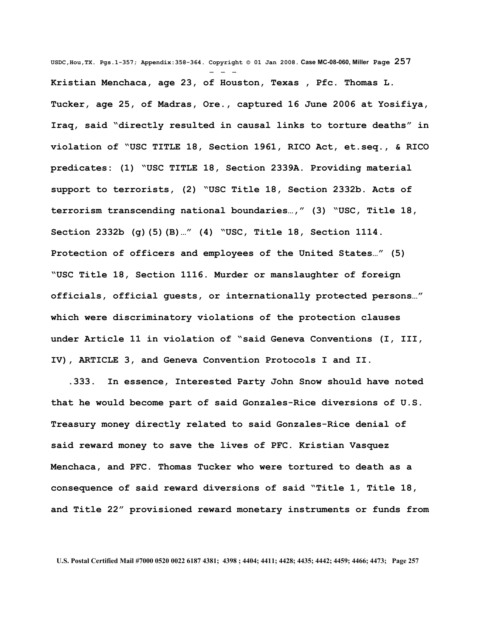**USDC,Hou,TX. Pgs.1-357; Appendix:358-364. Copyright © 01 Jan 2008. Case MC-08-060, Miller Page 257** - - - **Kristian Menchaca, age 23, of Houston, Texas , Pfc. Thomas L. Tucker, age 25, of Madras, Ore., captured 16 June 2006 at Yosifiya, Iraq, said "directly resulted in causal links to torture deaths" in violation of "USC TITLE 18, Section 1961, RICO Act, et.seq., & RICO predicates: (1) "USC TITLE 18, Section 2339A. Providing material support to terrorists, (2) "USC Title 18, Section 2332b. Acts of terrorism transcending national boundaries…," (3) "USC, Title 18, Section 2332b (g)(5)(B)…" (4) "USC, Title 18, Section 1114. Protection of officers and employees of the United States…" (5) "USC Title 18, Section 1116. Murder or manslaughter of foreign officials, official guests, or internationally protected persons…" which were discriminatory violations of the protection clauses under Article 11 in violation of "said Geneva Conventions (I, III, IV), ARTICLE 3, and Geneva Convention Protocols I and II.**

 **.333. In essence, Interested Party John Snow should have noted that he would become part of said Gonzales-Rice diversions of U.S. Treasury money directly related to said Gonzales-Rice denial of said reward money to save the lives of PFC. Kristian Vasquez Menchaca, and PFC. Thomas Tucker who were tortured to death as a consequence of said reward diversions of said "Title 1, Title 18, and Title 22" provisioned reward monetary instruments or funds from**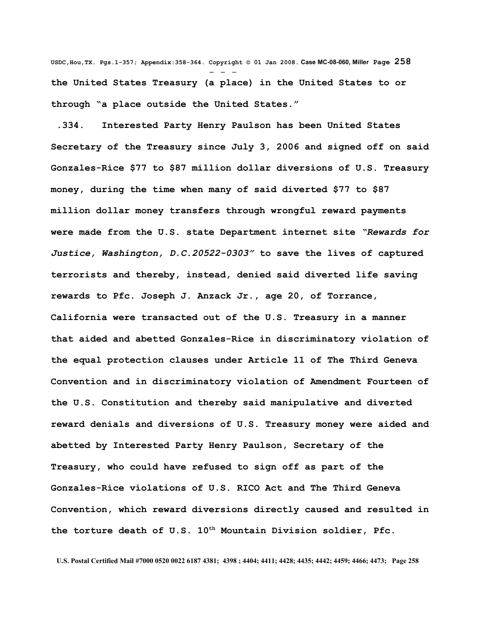**USDC,Hou,TX. Pgs.1-357; Appendix:358-364. Copyright © 01 Jan 2008. Case MC-08-060, Miller Page 258** - - **the United States Treasury (a place) in the United States to or through "a place outside the United States."**

 **.334. Interested Party Henry Paulson has been United States Secretary of the Treasury since July 3, 2006 and signed off on said Gonzales-Rice \$77 to \$87 million dollar diversions of U.S. Treasury money, during the time when many of said diverted \$77 to \$87 million dollar money transfers through wrongful reward payments were made from the U.S. state Department internet site** *"Rewards for Justice, Washington, D.C.20522-0303"* **to save the lives of captured terrorists and thereby, instead, denied said diverted life saving rewards to Pfc. Joseph J. Anzack Jr., age 20, of Torrance, California were transacted out of the U.S. Treasury in a manner that aided and abetted Gonzales-Rice in discriminatory violation of the equal protection clauses under Article 11 of The Third Geneva Convention and in discriminatory violation of Amendment Fourteen of the U.S. Constitution and thereby said manipulative and diverted reward denials and diversions of U.S. Treasury money were aided and abetted by Interested Party Henry Paulson, Secretary of the Treasury, who could have refused to sign off as part of the Gonzales-Rice violations of U.S. RICO Act and The Third Geneva Convention, which reward diversions directly caused and resulted in the torture death of U.S. 10th Mountain Division soldier, Pfc.**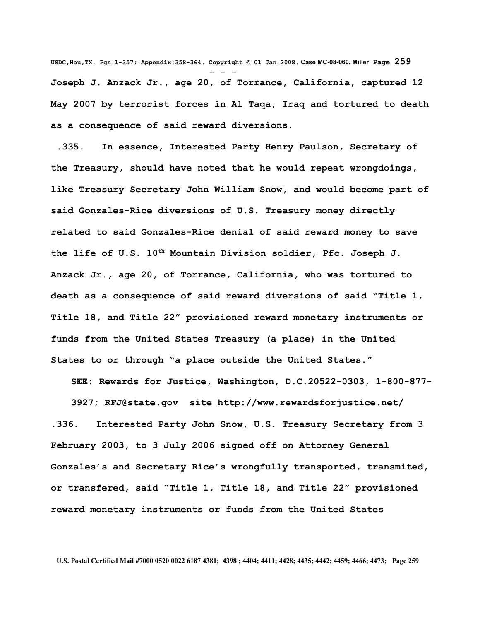**USDC,Hou,TX. Pgs.1-357; Appendix:358-364. Copyright © 01 Jan 2008. Case MC-08-060, Miller Page 259** - - - **Joseph J. Anzack Jr., age 20, of Torrance, California, captured 12 May 2007 by terrorist forces in Al Taqa, Iraq and tortured to death as a consequence of said reward diversions.**

 **.335. In essence, Interested Party Henry Paulson, Secretary of the Treasury, should have noted that he would repeat wrongdoings, like Treasury Secretary John William Snow, and would become part of said Gonzales-Rice diversions of U.S. Treasury money directly related to said Gonzales-Rice denial of said reward money to save the life of U.S. 10th Mountain Division soldier, Pfc. Joseph J. Anzack Jr., age 20, of Torrance, California, who was tortured to death as a consequence of said reward diversions of said "Title 1, Title 18, and Title 22" provisioned reward monetary instruments or funds from the United States Treasury (a place) in the United States to or through "a place outside the United States."**

**SEE: Rewards for Justice, Washington, D.C.20522-0303, 1-800-877-**

**3927; [RFJ@state.gov](mailto:RFJ@state.gov) site<http://www.rewardsforjustice.net/> .336. Interested Party John Snow, U.S. Treasury Secretary from 3 February 2003, to 3 July 2006 signed off on Attorney General Gonzales's and Secretary Rice's wrongfully transported, transmited, or transfered, said "Title 1, Title 18, and Title 22" provisioned reward monetary instruments or funds from the United States**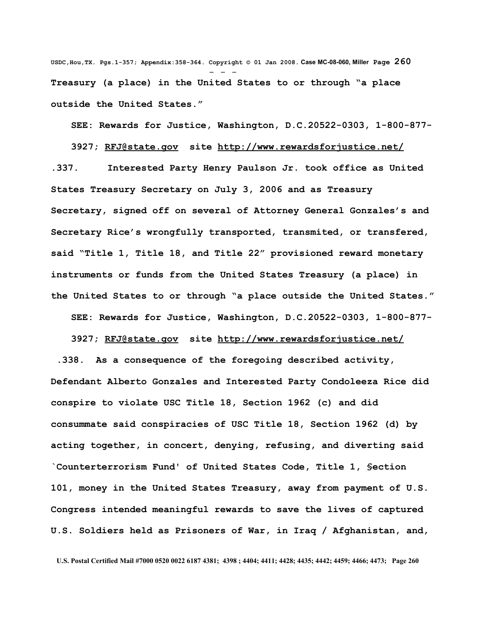**USDC,Hou,TX. Pgs.1-357; Appendix:358-364. Copyright © 01 Jan 2008. Case MC-08-060, Miller Page 260** - - - **Treasury (a place) in the United States to or through "a place outside the United States."**

**SEE: Rewards for Justice, Washington, D.C.20522-0303, 1-800-877-**

**3927; [RFJ@state.gov](mailto:RFJ@state.gov) site<http://www.rewardsforjustice.net/> .337. Interested Party Henry Paulson Jr. took office as United States Treasury Secretary on July 3, 2006 and as Treasury Secretary, signed off on several of Attorney General Gonzales's and Secretary Rice's wrongfully transported, transmited, or transfered, said "Title 1, Title 18, and Title 22" provisioned reward monetary instruments or funds from the United States Treasury (a place) in the United States to or through "a place outside the United States."**

**SEE: Rewards for Justice, Washington, D.C.20522-0303, 1-800-877-**

**3927; [RFJ@state.gov](mailto:RFJ@state.gov) site<http://www.rewardsforjustice.net/> .338. As a consequence of the foregoing described activity, Defendant Alberto Gonzales and Interested Party Condoleeza Rice did conspire to violate USC Title 18, Section 1962 (c) and did consummate said conspiracies of USC Title 18, Section 1962 (d) by acting together, in concert, denying, refusing, and diverting said `Counterterrorism Fund' of United States Code, Title 1, §ection 101, money in the United States Treasury, away from payment of U.S. Congress intended meaningful rewards to save the lives of captured U.S. Soldiers held as Prisoners of War, in Iraq / Afghanistan, and,**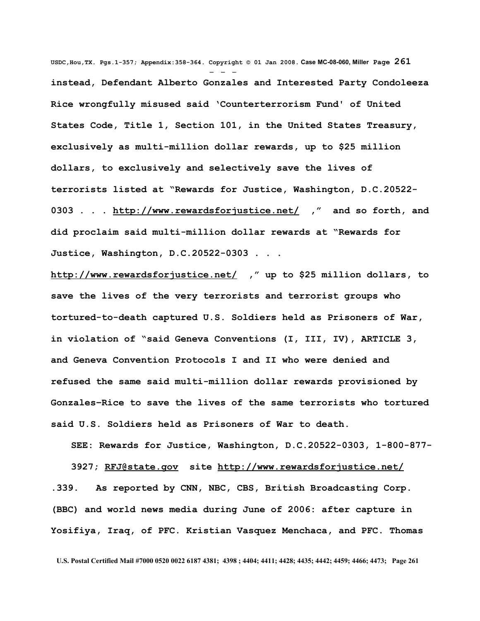**USDC,Hou,TX. Pgs.1-357; Appendix:358-364. Copyright © 01 Jan 2008. Case MC-08-060, Miller Page 261** - - **instead, Defendant Alberto Gonzales and Interested Party Condoleeza Rice wrongfully misused said 'Counterterrorism Fund' of United States Code, Title 1, Section 101, in the United States Treasury, exclusively as multi-million dollar rewards, up to \$25 million dollars, to exclusively and selectively save the lives of terrorists listed at "Rewards for Justice, Washington, D.C.20522- 0303 . . .<http://www.rewardsforjustice.net/>," and so forth, and did proclaim said multi-million dollar rewards at "Rewards for Justice, Washington, D.C.20522-0303 . . .**

**<http://www.rewardsforjustice.net/>," up to \$25 million dollars, to save the lives of the very terrorists and terrorist groups who tortured-to-death captured U.S. Soldiers held as Prisoners of War, in violation of "said Geneva Conventions (I, III, IV), ARTICLE 3, and Geneva Convention Protocols I and II who were denied and refused the same said multi-million dollar rewards provisioned by Gonzales–Rice to save the lives of the same terrorists who tortured said U.S. Soldiers held as Prisoners of War to death.**

**SEE: Rewards for Justice, Washington, D.C.20522-0303, 1-800-877- 3927; [RFJ@state.gov](mailto:RFJ@state.gov) site<http://www.rewardsforjustice.net/> .339. As reported by CNN, NBC, CBS, British Broadcasting Corp. (BBC) and world news media during June of 2006: after capture in Yosifiya, Iraq, of PFC. Kristian Vasquez Menchaca, and PFC. Thomas**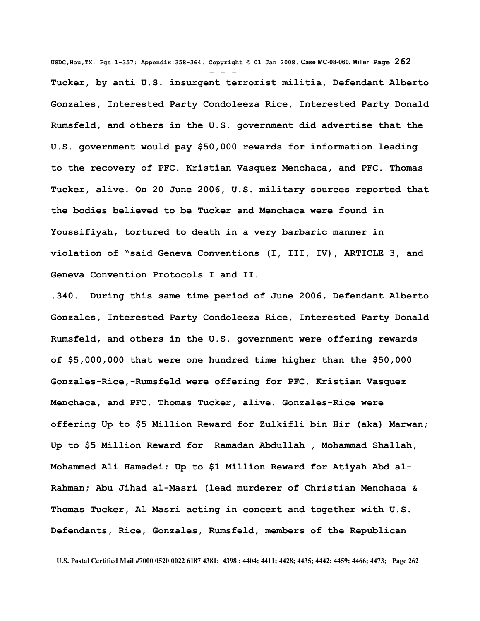**USDC,Hou,TX. Pgs.1-357; Appendix:358-364. Copyright © 01 Jan 2008. Case MC-08-060, Miller Page 262** - - - **Tucker, by anti U.S. insurgent terrorist militia, Defendant Alberto Gonzales, Interested Party Condoleeza Rice, Interested Party Donald Rumsfeld, and others in the U.S. government did advertise that the U.S. government would pay \$50,000 rewards for information leading to the recovery of PFC. Kristian Vasquez Menchaca, and PFC. Thomas Tucker, alive. On 20 June 2006, U.S. military sources reported that the bodies believed to be Tucker and Menchaca were found in Youssifiyah, tortured to death in a very barbaric manner in violation of "said Geneva Conventions (I, III, IV), ARTICLE 3, and Geneva Convention Protocols I and II.**

**.340. During this same time period of June 2006, Defendant Alberto Gonzales, Interested Party Condoleeza Rice, Interested Party Donald Rumsfeld, and others in the U.S. government were offering rewards of \$5,000,000 that were one hundred time higher than the \$50,000 Gonzales-Rice,-Rumsfeld were offering for PFC. Kristian Vasquez Menchaca, and PFC. Thomas Tucker, alive. Gonzales-Rice were offering Up to \$5 Million Reward for Zulkifli bin Hir (aka) Marwan; Up to \$5 Million Reward for Ramadan Abdullah , Mohammad Shallah, Mohammed Ali Hamadei; Up to \$1 Million Reward for Atiyah Abd al-Rahman; Abu Jihad al-Masri (lead murderer of Christian Menchaca & Thomas Tucker, Al Masri acting in concert and together with U.S. Defendants, Rice, Gonzales, Rumsfeld, members of the Republican**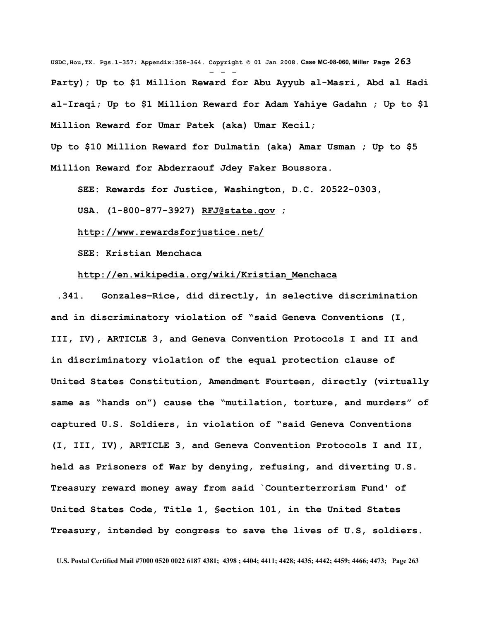**USDC,Hou,TX. Pgs.1-357; Appendix:358-364. Copyright © 01 Jan 2008. Case MC-08-060, Miller Page 263** - - - **Party); Up to \$1 Million Reward for Abu Ayyub al-Masri, Abd al Hadi al-Iraqi; Up to \$1 Million Reward for Adam Yahiye Gadahn ; Up to \$1 Million Reward for Umar Patek (aka) Umar Kecil;** 

**Up to \$10 Million Reward for Dulmatin (aka) Amar Usman ; Up to \$5 Million Reward for Abderraouf Jdey Faker Boussora.**

**SEE: Rewards for Justice, Washington, D.C. 20522-0303,**

**USA. (1-800-877-3927) [RFJ@state.gov](mailto:RFJ@state.gov) ;**

**<http://www.rewardsforjustice.net/>**

**SEE: Kristian Menchaca**

## **[http://en.wikipedia.org/wiki/Kristian\\_Menchaca](http://en.wikipedia.org/wiki/Kristian_Menchaca)**

 **.341. Gonzales–Rice, did directly, in selective discrimination and in discriminatory violation of "said Geneva Conventions (I, III, IV), ARTICLE 3, and Geneva Convention Protocols I and II and in discriminatory violation of the equal protection clause of United States Constitution, Amendment Fourteen, directly (virtually same as "hands on") cause the "mutilation, torture, and murders" of captured U.S. Soldiers, in violation of "said Geneva Conventions (I, III, IV), ARTICLE 3, and Geneva Convention Protocols I and II, held as Prisoners of War by denying, refusing, and diverting U.S. Treasury reward money away from said `Counterterrorism Fund' of United States Code, Title 1, §ection 101, in the United States Treasury, intended by congress to save the lives of U.S, soldiers.**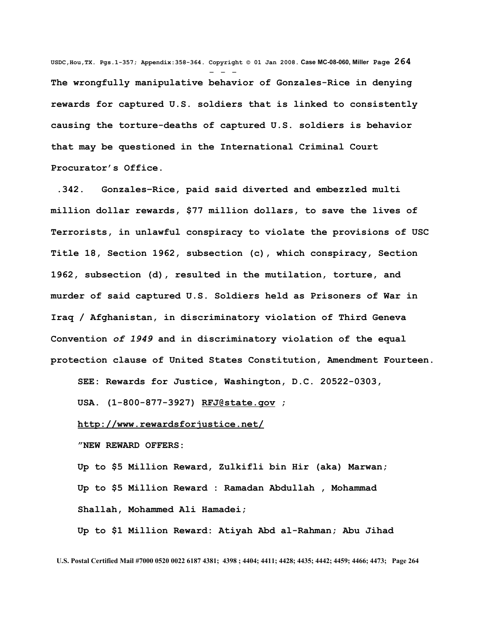**USDC,Hou,TX. Pgs.1-357; Appendix:358-364. Copyright © 01 Jan 2008. Case MC-08-060, Miller Page 264** - - - **The wrongfully manipulative behavior of Gonzales-Rice in denying rewards for captured U.S. soldiers that is linked to consistently causing the torture-deaths of captured U.S. soldiers is behavior that may be questioned in the International Criminal Court Procurator's Office.** 

 **.342. Gonzales–Rice, paid said diverted and embezzled multi million dollar rewards, \$77 million dollars, to save the lives of Terrorists, in unlawful conspiracy to violate the provisions of USC Title 18, Section 1962, subsection (c), which conspiracy, Section 1962, subsection (d), resulted in the mutilation, torture, and murder of said captured U.S. Soldiers held as Prisoners of War in Iraq / Afghanistan, in discriminatory violation of Third Geneva Convention** *of 1949* **and in discriminatory violation of the equal protection clause of United States Constitution, Amendment Fourteen.**

**SEE: Rewards for Justice, Washington, D.C. 20522-0303,**

**USA. (1-800-877-3927) [RFJ@state.gov](mailto:RFJ@state.gov) ;**

#### **<http://www.rewardsforjustice.net/>**

**"NEW REWARD OFFERS:** 

**Up to \$5 Million Reward, Zulkifli bin Hir (aka) Marwan; Up to \$5 Million Reward : Ramadan Abdullah , Mohammad Shallah, Mohammed Ali Hamadei;**

**Up to \$1 Million Reward: Atiyah Abd al-Rahman; Abu Jihad**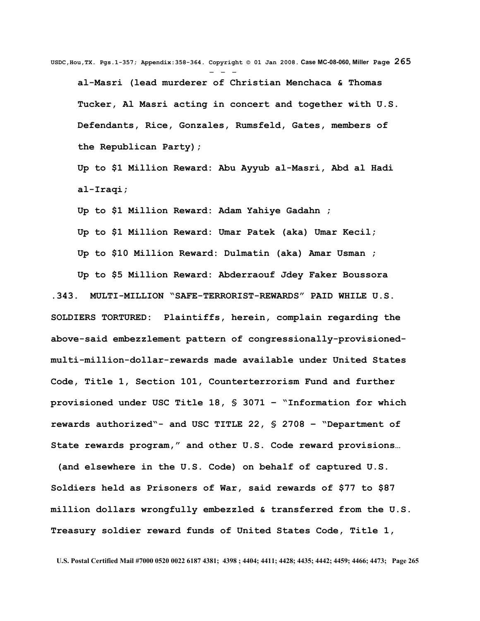**USDC,Hou,TX. Pgs.1-357; Appendix:358-364. Copyright © 01 Jan 2008. Case MC-08-060, Miller Page 265** - - **al-Masri (lead murderer of Christian Menchaca & Thomas Tucker, Al Masri acting in concert and together with U.S. Defendants, Rice, Gonzales, Rumsfeld, Gates, members of the Republican Party);**

**Up to \$1 Million Reward: Abu Ayyub al-Masri, Abd al Hadi al-Iraqi;**

**Up to \$1 Million Reward: Adam Yahiye Gadahn ;**

**Up to \$1 Million Reward: Umar Patek (aka) Umar Kecil; Up to \$10 Million Reward: Dulmatin (aka) Amar Usman ;**

**Up to \$5 Million Reward: Abderraouf Jdey Faker Boussora .343. MULTI-MILLION "SAFE-TERRORIST-REWARDS" PAID WHILE U.S. SOLDIERS TORTURED: Plaintiffs, herein, complain regarding the above-said embezzlement pattern of congressionally-provisionedmulti-million-dollar-rewards made available under United States Code, Title 1, Section 101, Counterterrorism Fund and further provisioned under USC Title 18, § 3071 – "Information for which rewards authorized"- and USC TITLE 22, § 2708 – "Department of State rewards program," and other U.S. Code reward provisions…** 

 **(and elsewhere in the U.S. Code) on behalf of captured U.S. Soldiers held as Prisoners of War, said rewards of \$77 to \$87 million dollars wrongfully embezzled & transferred from the U.S. Treasury soldier reward funds of United States Code, Title 1,**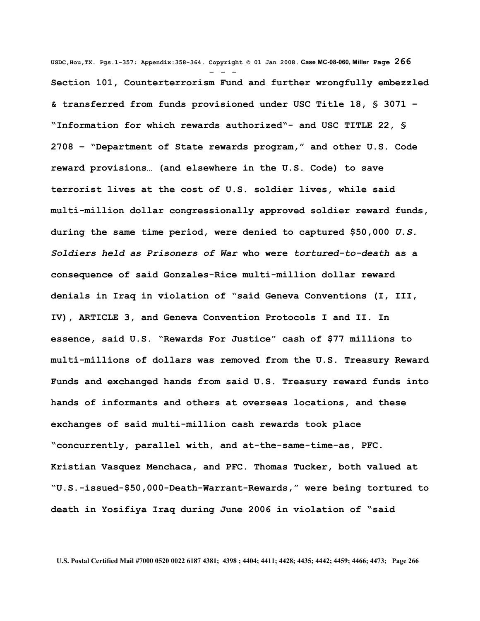**USDC,Hou,TX. Pgs.1-357; Appendix:358-364. Copyright © 01 Jan 2008. Case MC-08-060, Miller Page 266** - - - **Section 101, Counterterrorism Fund and further wrongfully embezzled & transferred from funds provisioned under USC Title 18, § 3071 – "Information for which rewards authorized"- and USC TITLE 22, § 2708 – "Department of State rewards program," and other U.S. Code reward provisions… (and elsewhere in the U.S. Code) to save terrorist lives at the cost of U.S. soldier lives, while said multi-million dollar congressionally approved soldier reward funds, during the same time period, were denied to captured \$50,000** *U.S. Soldiers held as Prisoners of War* **who were** *tortured-to-death* **as a consequence of said Gonzales-Rice multi-million dollar reward denials in Iraq in violation of "said Geneva Conventions (I, III, IV), ARTICLE 3, and Geneva Convention Protocols I and II. In essence, said U.S. "Rewards For Justice" cash of \$77 millions to multi-millions of dollars was removed from the U.S. Treasury Reward Funds and exchanged hands from said U.S. Treasury reward funds into hands of informants and others at overseas locations, and these exchanges of said multi-million cash rewards took place "concurrently, parallel with, and at-the-same-time-as, PFC. Kristian Vasquez Menchaca, and PFC. Thomas Tucker, both valued at "U.S.-issued-\$50,000-Death-Warrant-Rewards," were being tortured to death in Yosifiya Iraq during June 2006 in violation of "said**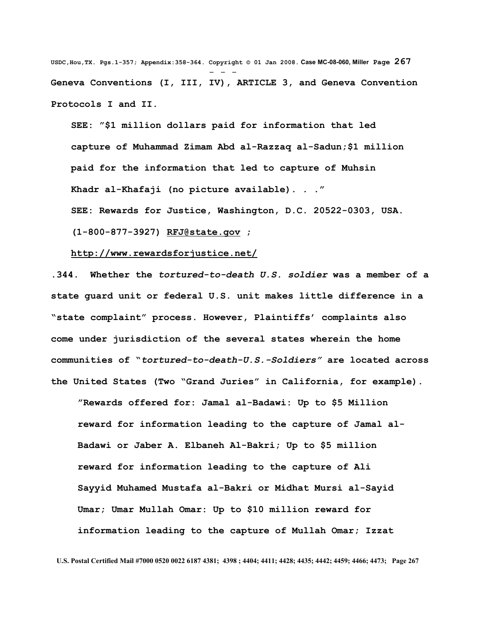**USDC,Hou,TX. Pgs.1-357; Appendix:358-364. Copyright © 01 Jan 2008. Case MC-08-060, Miller Page 267** - - - **Geneva Conventions (I, III, IV), ARTICLE 3, and Geneva Convention Protocols I and II.**

**SEE: "\$1 million dollars paid for information that led capture of Muhammad Zimam Abd al-Razzaq al-Sadun;\$1 million paid for the information that led to capture of Muhsin Khadr al-Khafaji (no picture available). . ."**

**SEE: Rewards for Justice, Washington, D.C. 20522-0303, USA.**

**(1-800-877-3927) [RFJ@state.gov](mailto:RFJ@state.gov) ;**

### **<http://www.rewardsforjustice.net/>**

**.344. Whether the** *tortured-to-death U.S. soldier* **was a member of a state guard unit or federal U.S. unit makes little difference in a "state complaint" process. However, Plaintiffs' complaints also come under jurisdiction of the several states wherein the home communities of "***tortured-to-death-U.S.-Soldiers"* **are located across the United States (Two "Grand Juries" in California, for example).** 

**"Rewards offered for: Jamal al-Badawi: Up to \$5 Million reward for information leading to the capture of Jamal al-Badawi or Jaber A. Elbaneh Al-Bakri; Up to \$5 million reward for information leading to the capture of Ali Sayyid Muhamed Mustafa al-Bakri or Midhat Mursi al-Sayid Umar; Umar Mullah Omar: Up to \$10 million reward for information leading to the capture of Mullah Omar; Izzat**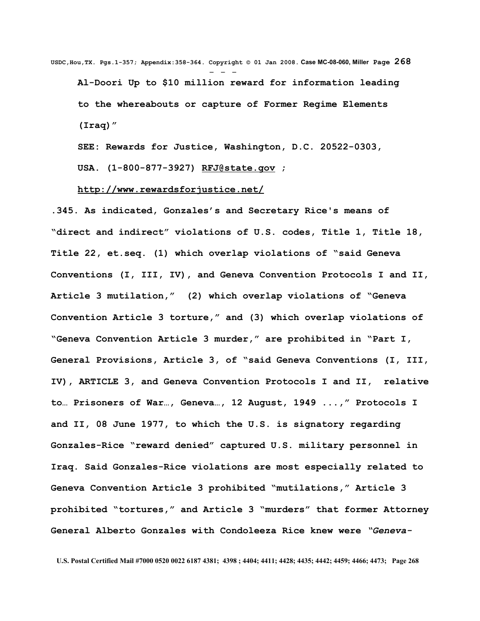**USDC,Hou,TX. Pgs.1-357; Appendix:358-364. Copyright © 01 Jan 2008. Case MC-08-060, Miller Page 268** - - - **Al-Doori Up to \$10 million reward for information leading to the whereabouts or capture of Former Regime Elements (Iraq)"**

**SEE: Rewards for Justice, Washington, D.C. 20522-0303,**

**USA. (1-800-877-3927) [RFJ@state.gov](mailto:RFJ@state.gov) ;**

**<http://www.rewardsforjustice.net/>**

**.345. As indicated, Gonzales's and Secretary Rice's means of "direct and indirect" violations of U.S. codes, Title 1, Title 18, Title 22, et.seq. (1) which overlap violations of "said Geneva Conventions (I, III, IV), and Geneva Convention Protocols I and II, Article 3 mutilation," (2) which overlap violations of "Geneva Convention Article 3 torture," and (3) which overlap violations of "Geneva Convention Article 3 murder," are prohibited in "Part I, General Provisions, Article 3, of "said Geneva Conventions (I, III, IV), ARTICLE 3, and Geneva Convention Protocols I and II, relative to… Prisoners of War…, Geneva…, 12 August, 1949 ...," Protocols I and II, 08 June 1977, to which the U.S. is signatory regarding Gonzales-Rice "reward denied" captured U.S. military personnel in Iraq. Said Gonzales-Rice violations are most especially related to Geneva Convention Article 3 prohibited "mutilations," Article 3 prohibited "tortures," and Article 3 "murders" that former Attorney General Alberto Gonzales with Condoleeza Rice knew were** *"Geneva-*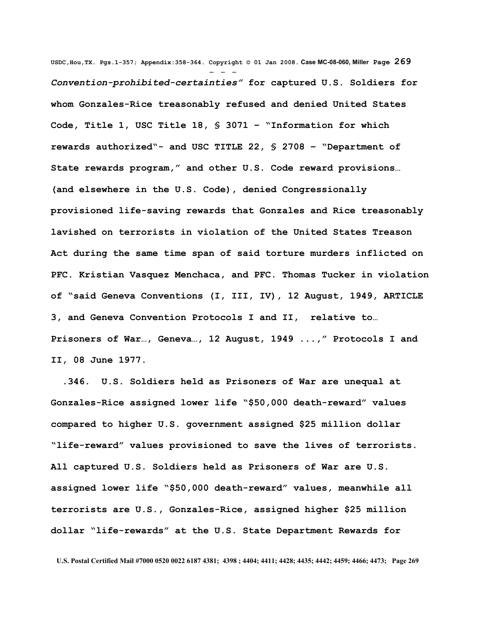**USDC,Hou,TX. Pgs.1-357; Appendix:358-364. Copyright © 01 Jan 2008. Case MC-08-060, Miller Page 269** - - - *Convention-prohibited-certainties"* **for captured U.S. Soldiers for whom Gonzales-Rice treasonably refused and denied United States Code, Title 1, USC Title 18, § 3071 – "Information for which rewards authorized"- and USC TITLE 22, § 2708 – "Department of State rewards program," and other U.S. Code reward provisions… (and elsewhere in the U.S. Code), denied Congressionally provisioned life-saving rewards that Gonzales and Rice treasonably lavished on terrorists in violation of the United States Treason Act during the same time span of said torture murders inflicted on PFC. Kristian Vasquez Menchaca, and PFC. Thomas Tucker in violation of "said Geneva Conventions (I, III, IV), 12 August, 1949, ARTICLE 3, and Geneva Convention Protocols I and II, relative to… Prisoners of War…, Geneva…, 12 August, 1949 ...," Protocols I and II, 08 June 1977.**

 **.346. U.S. Soldiers held as Prisoners of War are unequal at Gonzales-Rice assigned lower life "\$50,000 death-reward" values compared to higher U.S. government assigned \$25 million dollar "life-reward" values provisioned to save the lives of terrorists. All captured U.S. Soldiers held as Prisoners of War are U.S. assigned lower life "\$50,000 death-reward" values, meanwhile all terrorists are U.S., Gonzales-Rice, assigned higher \$25 million dollar "life-rewards" at the U.S. State Department Rewards for**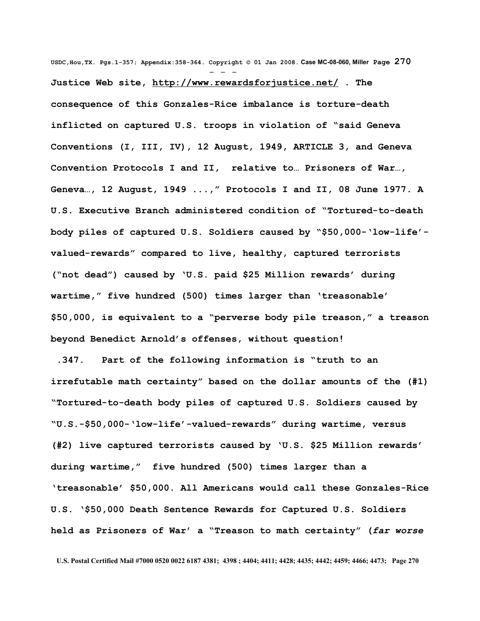**USDC,Hou,TX. Pgs.1-357; Appendix:358-364. Copyright © 01 Jan 2008. Case MC-08-060, Miller Page 270** - - - **Justice Web site,<http://www.rewardsforjustice.net/>. The consequence of this Gonzales-Rice imbalance is torture-death inflicted on captured U.S. troops in violation of "said Geneva Conventions (I, III, IV), 12 August, 1949, ARTICLE 3, and Geneva Convention Protocols I and II, relative to… Prisoners of War…, Geneva…, 12 August, 1949 ...," Protocols I and II, 08 June 1977. A U.S. Executive Branch administered condition of "Tortured-to-death body piles of captured U.S. Soldiers caused by "\$50,000-'low-life' valued-rewards" compared to live, healthy, captured terrorists ("not dead") caused by 'U.S. paid \$25 Million rewards' during wartime," five hundred (500) times larger than 'treasonable' \$50,000, is equivalent to a "perverse body pile treason," a treason beyond Benedict Arnold's offenses, without question!**

 **.347. Part of the following information is "truth to an irrefutable math certainty" based on the dollar amounts of the (#1) "Tortured-to-death body piles of captured U.S. Soldiers caused by "U.S.-\$50,000-'low-life'-valued-rewards" during wartime, versus (#2) live captured terrorists caused by 'U.S. \$25 Million rewards' during wartime," five hundred (500) times larger than a 'treasonable' \$50,000. All Americans would call these Gonzales-Rice U.S. '\$50,000 Death Sentence Rewards for Captured U.S. Soldiers held as Prisoners of War' a "Treason to math certainty" (***far worse*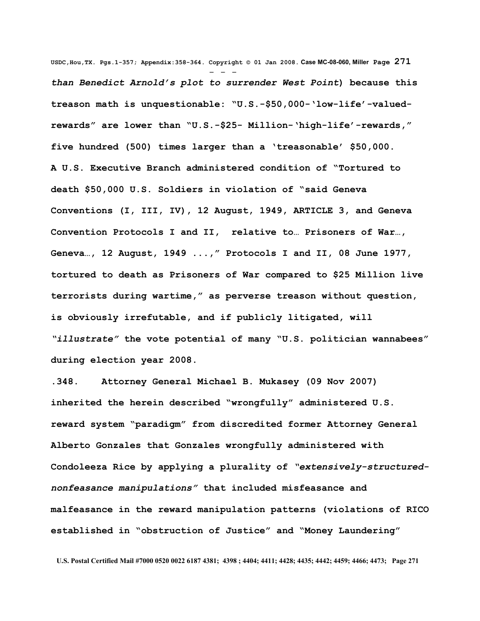**USDC,Hou,TX. Pgs.1-357; Appendix:358-364. Copyright © 01 Jan 2008. Case MC-08-060, Miller Page 271** - - *than Benedict Arnold's plot to surrender West Point***) because this treason math is unquestionable: "U.S.-\$50,000-'low-life'-valuedrewards" are lower than "U.S.-\$25- Million-'high-life'-rewards," five hundred (500) times larger than a 'treasonable' \$50,000. A U.S. Executive Branch administered condition of "Tortured to death \$50,000 U.S. Soldiers in violation of "said Geneva Conventions (I, III, IV), 12 August, 1949, ARTICLE 3, and Geneva Convention Protocols I and II, relative to… Prisoners of War…, Geneva…, 12 August, 1949 ...," Protocols I and II, 08 June 1977, tortured to death as Prisoners of War compared to \$25 Million live terrorists during wartime," as perverse treason without question, is obviously irrefutable, and if publicly litigated, will** *"illustrate"* **the vote potential of many "U.S. politician wannabees" during election year 2008.** 

**.348. Attorney General Michael B. Mukasey (09 Nov 2007) inherited the herein described "wrongfully" administered U.S. reward system "paradigm" from discredited former Attorney General Alberto Gonzales that Gonzales wrongfully administered with Condoleeza Rice by applying a plurality of** *"extensively-structurednonfeasance manipulations"* **that included misfeasance and malfeasance in the reward manipulation patterns (violations of RICO established in "obstruction of Justice" and "Money Laundering"**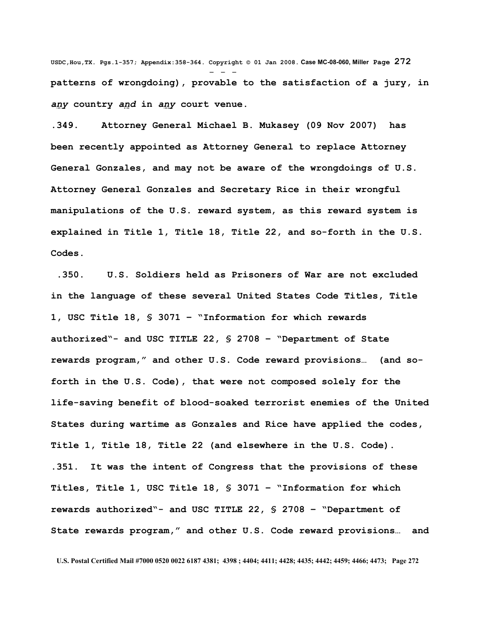**USDC,Hou,TX. Pgs.1-357; Appendix:358-364. Copyright © 01 Jan 2008. Case MC-08-060, Miller Page 272** - - **patterns of wrongdoing), provable to the satisfaction of a jury, in** *any* **country** *and* **in** *any* **court venue.** 

**.349. Attorney General Michael B. Mukasey (09 Nov 2007) has been recently appointed as Attorney General to replace Attorney General Gonzales, and may not be aware of the wrongdoings of U.S. Attorney General Gonzales and Secretary Rice in their wrongful manipulations of the U.S. reward system, as this reward system is explained in Title 1, Title 18, Title 22, and so-forth in the U.S. Codes.** 

 **.350. U.S. Soldiers held as Prisoners of War are not excluded in the language of these several United States Code Titles, Title 1, USC Title 18, § 3071 – "Information for which rewards authorized"- and USC TITLE 22, § 2708 – "Department of State rewards program," and other U.S. Code reward provisions… (and soforth in the U.S. Code), that were not composed solely for the life-saving benefit of blood-soaked terrorist enemies of the United States during wartime as Gonzales and Rice have applied the codes, Title 1, Title 18, Title 22 (and elsewhere in the U.S. Code). .351. It was the intent of Congress that the provisions of these Titles, Title 1, USC Title 18, § 3071 – "Information for which rewards authorized"- and USC TITLE 22, § 2708 – "Department of State rewards program," and other U.S. Code reward provisions… and**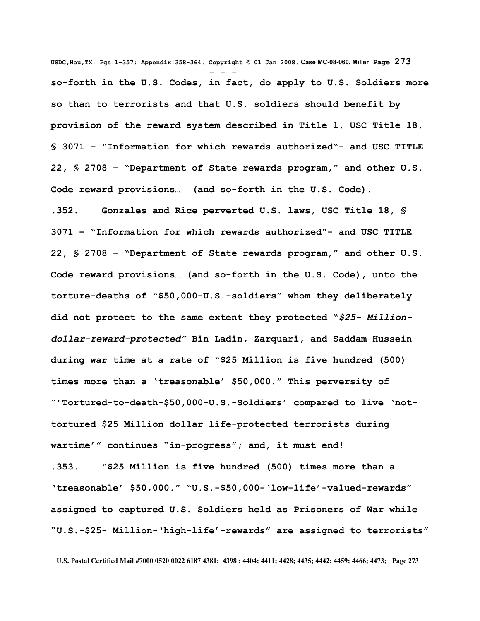**USDC,Hou,TX. Pgs.1-357; Appendix:358-364. Copyright © 01 Jan 2008. Case MC-08-060, Miller Page 273** - - **so-forth in the U.S. Codes, in fact, do apply to U.S. Soldiers more so than to terrorists and that U.S. soldiers should benefit by provision of the reward system described in Title 1, USC Title 18, § 3071 – "Information for which rewards authorized"- and USC TITLE 22, § 2708 – "Department of State rewards program," and other U.S. Code reward provisions… (and so-forth in the U.S. Code).** 

**.352. Gonzales and Rice perverted U.S. laws, USC Title 18, § 3071 – "Information for which rewards authorized"- and USC TITLE 22, § 2708 – "Department of State rewards program," and other U.S. Code reward provisions… (and so-forth in the U.S. Code), unto the torture-deaths of "\$50,000-U.S.-soldiers" whom they deliberately did not protect to the same extent they protected "***\$25- Milliondollar-reward-protected"* **Bin Ladin, Zarquari, and Saddam Hussein during war time at a rate of "\$25 Million is five hundred (500) times more than a 'treasonable' \$50,000." This perversity of "'Tortured-to-death-\$50,000-U.S.-Soldiers' compared to live 'nottortured \$25 Million dollar life-protected terrorists during wartime'" continues "in-progress"; and, it must end!** 

**.353. "\$25 Million is five hundred (500) times more than a 'treasonable' \$50,000." "U.S.-\$50,000-'low-life'-valued-rewards" assigned to captured U.S. Soldiers held as Prisoners of War while "U.S.-\$25- Million-'high-life'-rewards" are assigned to terrorists"**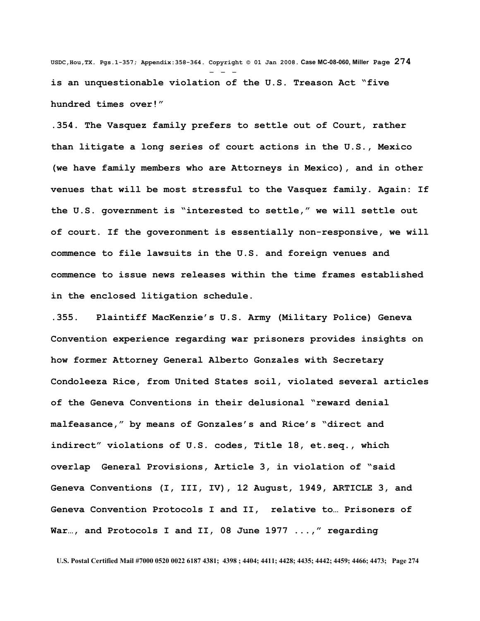**USDC,Hou,TX. Pgs.1-357; Appendix:358-364. Copyright © 01 Jan 2008. Case MC-08-060, Miller Page 274** - - **is an unquestionable violation of the U.S. Treason Act "five hundred times over!"** 

**.354. The Vasquez family prefers to settle out of Court, rather than litigate a long series of court actions in the U.S., Mexico (we have family members who are Attorneys in Mexico), and in other venues that will be most stressful to the Vasquez family. Again: If the U.S. government is "interested to settle," we will settle out of court. If the goveronment is essentially non-responsive, we will commence to file lawsuits in the U.S. and foreign venues and commence to issue news releases within the time frames established in the enclosed litigation schedule.** 

**.355. Plaintiff MacKenzie's U.S. Army (Military Police) Geneva Convention experience regarding war prisoners provides insights on how former Attorney General Alberto Gonzales with Secretary Condoleeza Rice, from United States soil, violated several articles of the Geneva Conventions in their delusional "reward denial malfeasance," by means of Gonzales's and Rice's "direct and indirect" violations of U.S. codes, Title 18, et.seq., which overlap General Provisions, Article 3, in violation of "said Geneva Conventions (I, III, IV), 12 August, 1949, ARTICLE 3, and Geneva Convention Protocols I and II, relative to… Prisoners of War…, and Protocols I and II, 08 June 1977 ...," regarding**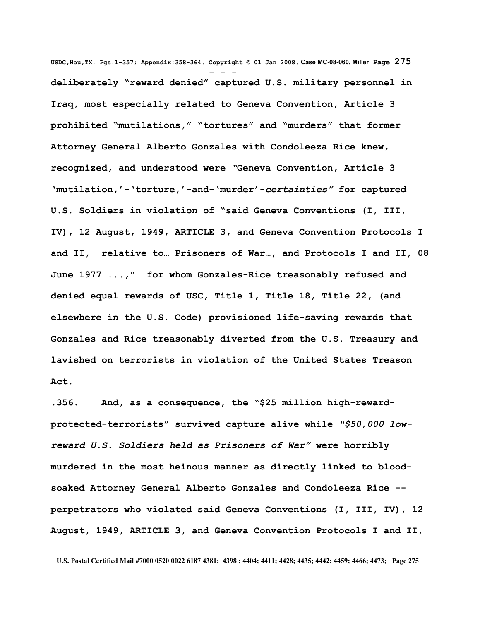**USDC,Hou,TX. Pgs.1-357; Appendix:358-364. Copyright © 01 Jan 2008. Case MC-08-060, Miller Page 275** - - **deliberately "reward denied" captured U.S. military personnel in Iraq, most especially related to Geneva Convention, Article 3 prohibited "mutilations," "tortures" and "murders" that former Attorney General Alberto Gonzales with Condoleeza Rice knew, recognized, and understood were** *"***Geneva Convention, Article 3 'mutilation,'-'torture,'-and-'murder'-***certainties"* **for captured U.S. Soldiers in violation of "said Geneva Conventions (I, III, IV), 12 August, 1949, ARTICLE 3, and Geneva Convention Protocols I and II, relative to… Prisoners of War…, and Protocols I and II, 08 June 1977 ...," for whom Gonzales-Rice treasonably refused and denied equal rewards of USC, Title 1, Title 18, Title 22, (and elsewhere in the U.S. Code) provisioned life-saving rewards that Gonzales and Rice treasonably diverted from the U.S. Treasury and lavished on terrorists in violation of the United States Treason Act.** 

**.356. And, as a consequence, the "\$25 million high-rewardprotected-terrorists" survived capture alive while** *"\$50,000 lowreward U.S. Soldiers held as Prisoners of War"* **were horribly murdered in the most heinous manner as directly linked to bloodsoaked Attorney General Alberto Gonzales and Condoleeza Rice - perpetrators who violated said Geneva Conventions (I, III, IV), 12 August, 1949, ARTICLE 3, and Geneva Convention Protocols I and II,**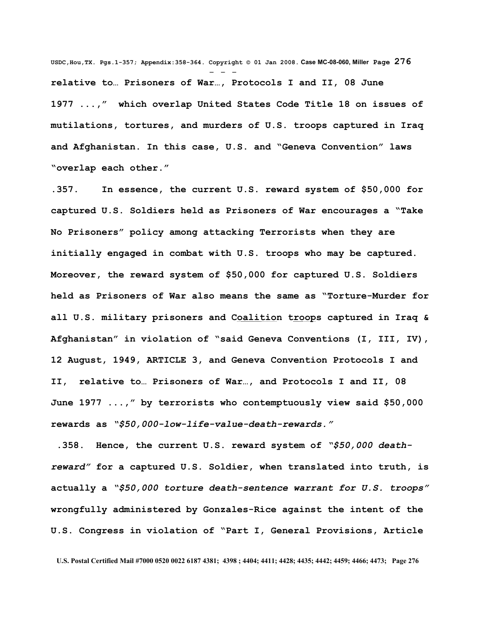**USDC,Hou,TX. Pgs.1-357; Appendix:358-364. Copyright © 01 Jan 2008. Case MC-08-060, Miller Page 276** - - **relative to… Prisoners of War…, Protocols I and II, 08 June 1977 ...," which overlap United States Code Title 18 on issues of mutilations, tortures, and murders of U.S. troops captured in Iraq and Afghanistan. In this case, U.S. and "Geneva Convention" laws "overlap each other."** 

**.357. In essence, the current U.S. reward system of \$50,000 for captured U.S. Soldiers held as Prisoners of War encourages a "Take No Prisoners" policy among attacking Terrorists when they are initially engaged in combat with U.S. troops who may be captured. Moreover, the reward system of \$50,000 for captured U.S. Soldiers held as Prisoners of War also means the same as "Torture-Murder for all U.S. military prisoners and Coalition troops captured in Iraq & Afghanistan" in violation of "said Geneva Conventions (I, III, IV), 12 August, 1949, ARTICLE 3, and Geneva Convention Protocols I and II, relative to… Prisoners of War…, and Protocols I and II, 08 June 1977 ...," by terrorists who contemptuously view said \$50,000 rewards as** *"\$50,000-low-life-value-death-rewards."* 

 **.358. Hence, the current U.S. reward system of** *"\$50,000 deathreward"* **for a captured U.S. Soldier, when translated into truth, is actually a** *"\$50,000 torture death-sentence warrant for U.S. troops"* **wrongfully administered by Gonzales-Rice against the intent of the U.S. Congress in violation of "Part I, General Provisions, Article**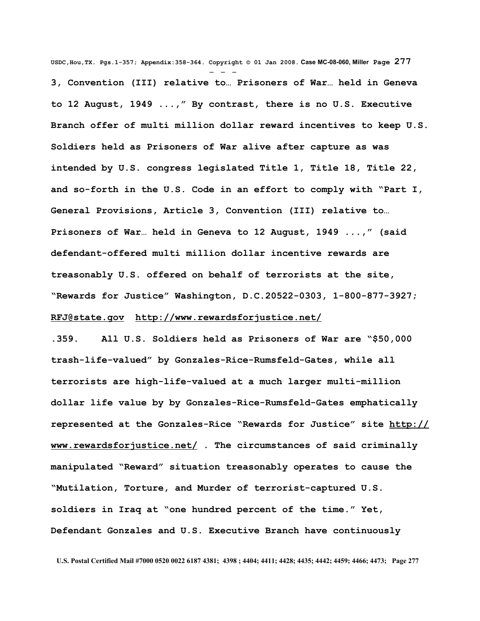**USDC,Hou,TX. Pgs.1-357; Appendix:358-364. Copyright © 01 Jan 2008. Case MC-08-060, Miller Page 277** - - - **3, Convention (III) relative to… Prisoners of War… held in Geneva to 12 August, 1949 ...," By contrast, there is no U.S. Executive Branch offer of multi million dollar reward incentives to keep U.S. Soldiers held as Prisoners of War alive after capture as was intended by U.S. congress legislated Title 1, Title 18, Title 22, and so-forth in the U.S. Code in an effort to comply with "Part I, General Provisions, Article 3, Convention (III) relative to… Prisoners of War… held in Geneva to 12 August, 1949 ...," (said defendant-offered multi million dollar incentive rewards are treasonably U.S. offered on behalf of terrorists at the site, "Rewards for Justice" Washington, D.C.20522-0303, 1-800-877-3927; [RFJ@state.gov](mailto:RFJ@state.gov) <http://www.rewardsforjustice.net/>**

**.359. All U.S. Soldiers held as Prisoners of War are "\$50,000 trash-life-valued" by Gonzales-Rice-Rumsfeld-Gates, while all terrorists are high-life-valued at a much larger multi-million dollar life value by by Gonzales-Rice-Rumsfeld-Gates emphatically represented at the Gonzales-Rice "Rewards for Justice" site [http://](http://www.rewardsforjustice.net/) [www.rewardsforjustice.net/](http://www.rewardsforjustice.net/) . The circumstances of said criminally manipulated "Reward" situation treasonably operates to cause the "Mutilation, Torture, and Murder of terrorist-captured U.S. soldiers in Iraq at "one hundred percent of the time." Yet, Defendant Gonzales and U.S. Executive Branch have continuously**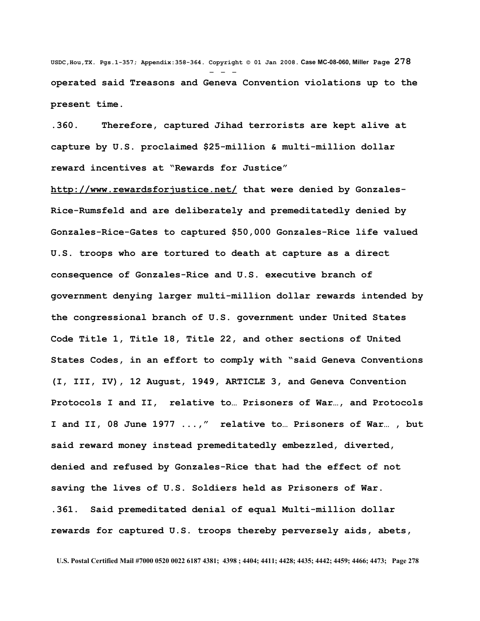**USDC,Hou,TX. Pgs.1-357; Appendix:358-364. Copyright © 01 Jan 2008. Case MC-08-060, Miller Page 278** - - **operated said Treasons and Geneva Convention violations up to the present time.** 

**.360. Therefore, captured Jihad terrorists are kept alive at capture by U.S. proclaimed \$25-million & multi-million dollar reward incentives at "Rewards for Justice"**

**<http://www.rewardsforjustice.net/>that were denied by Gonzales-Rice-Rumsfeld and are deliberately and premeditatedly denied by Gonzales-Rice-Gates to captured \$50,000 Gonzales-Rice life valued U.S. troops who are tortured to death at capture as a direct consequence of Gonzales-Rice and U.S. executive branch of government denying larger multi-million dollar rewards intended by the congressional branch of U.S. government under United States Code Title 1, Title 18, Title 22, and other sections of United States Codes, in an effort to comply with "said Geneva Conventions (I, III, IV), 12 August, 1949, ARTICLE 3, and Geneva Convention Protocols I and II, relative to… Prisoners of War…, and Protocols I and II, 08 June 1977 ...," relative to… Prisoners of War… , but said reward money instead premeditatedly embezzled, diverted, denied and refused by Gonzales-Rice that had the effect of not saving the lives of U.S. Soldiers held as Prisoners of War. .361. Said premeditated denial of equal Multi-million dollar rewards for captured U.S. troops thereby perversely aids, abets,**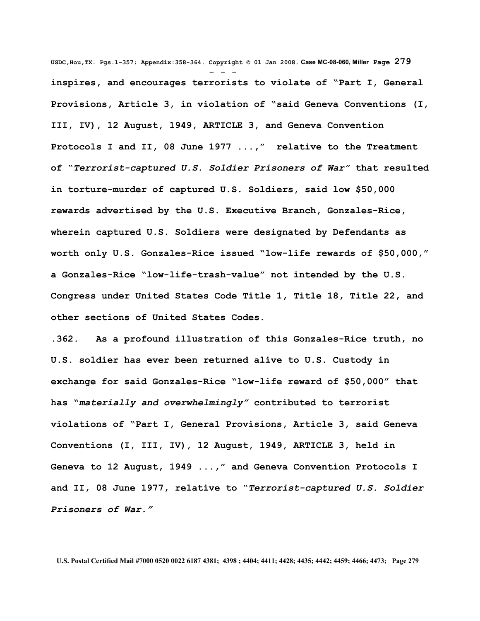**USDC,Hou,TX. Pgs.1-357; Appendix:358-364. Copyright © 01 Jan 2008. Case MC-08-060, Miller Page 279** - - **inspires, and encourages terrorists to violate of "Part I, General Provisions, Article 3, in violation of "said Geneva Conventions (I, III, IV), 12 August, 1949, ARTICLE 3, and Geneva Convention Protocols I and II, 08 June 1977 ...," relative to the Treatment of "***Terrorist-captured U.S. Soldier Prisoners of War"* **that resulted in torture-murder of captured U.S. Soldiers, said low \$50,000 rewards advertised by the U.S. Executive Branch, Gonzales-Rice, wherein captured U.S. Soldiers were designated by Defendants as worth only U.S. Gonzales-Rice issued "low-life rewards of \$50,000," a Gonzales-Rice "low-life-trash-value" not intended by the U.S. Congress under United States Code Title 1, Title 18, Title 22, and other sections of United States Codes.**

**.362. As a profound illustration of this Gonzales-Rice truth, no U.S. soldier has ever been returned alive to U.S. Custody in exchange for said Gonzales-Rice "low-life reward of \$50,000" that has "***materially and overwhelmingly"* **contributed to terrorist violations of "Part I, General Provisions, Article 3, said Geneva Conventions (I, III, IV), 12 August, 1949, ARTICLE 3, held in Geneva to 12 August, 1949 ...," and Geneva Convention Protocols I and II, 08 June 1977, relative to "***Terrorist-captured U.S. Soldier Prisoners of War."*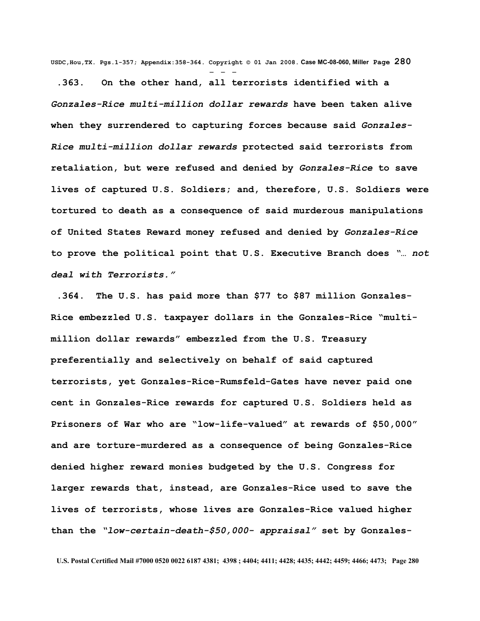**USDC,Hou,TX. Pgs.1-357; Appendix:358-364. Copyright © 01 Jan 2008. Case MC-08-060, Miller Page 280** - - -

 **.363. On the other hand, all terrorists identified with a** *Gonzales-Rice multi-million dollar rewards* **have been taken alive when they surrendered to capturing forces because said** *Gonzales-Rice multi-million dollar rewards* **protected said terrorists from retaliation, but were refused and denied by** *Gonzales-Rice* **to save lives of captured U.S. Soldiers; and, therefore, U.S. Soldiers were tortured to death as a consequence of said murderous manipulations of United States Reward money refused and denied by** *Gonzales-Rice* **to prove the political point that U.S. Executive Branch does** *"… not deal with Terrorists."*

 **.364. The U.S. has paid more than \$77 to \$87 million Gonzales-Rice embezzled U.S. taxpayer dollars in the Gonzales-Rice "multimillion dollar rewards" embezzled from the U.S. Treasury preferentially and selectively on behalf of said captured terrorists, yet Gonzales-Rice-Rumsfeld-Gates have never paid one cent in Gonzales-Rice rewards for captured U.S. Soldiers held as Prisoners of War who are "low-life-valued" at rewards of \$50,000" and are torture-murdered as a consequence of being Gonzales-Rice denied higher reward monies budgeted by the U.S. Congress for larger rewards that, instead, are Gonzales-Rice used to save the lives of terrorists, whose lives are Gonzales-Rice valued higher than the** *"low-certain-death-\$50,000- appraisal"* **set by Gonzales-**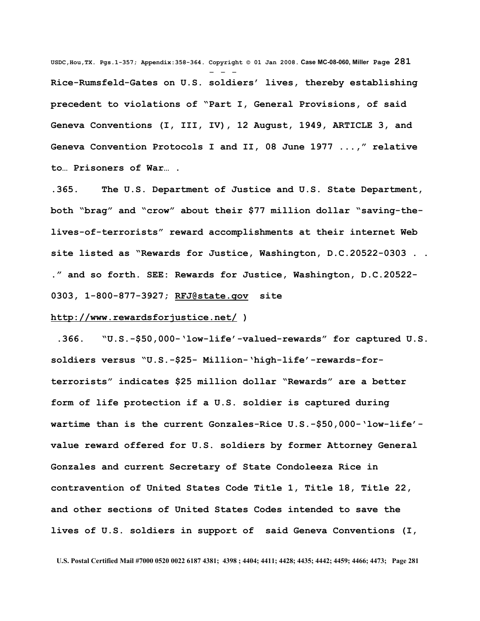**USDC,Hou,TX. Pgs.1-357; Appendix:358-364. Copyright © 01 Jan 2008. Case MC-08-060, Miller Page 281** - - - **Rice-Rumsfeld-Gates on U.S. soldiers' lives, thereby establishing precedent to violations of "Part I, General Provisions, of said Geneva Conventions (I, III, IV), 12 August, 1949, ARTICLE 3, and Geneva Convention Protocols I and II, 08 June 1977 ...," relative to… Prisoners of War… .**

**.365. The U.S. Department of Justice and U.S. State Department, both "brag" and "crow" about their \$77 million dollar "saving-thelives-of-terrorists" reward accomplishments at their internet Web site listed as "Rewards for Justice, Washington, D.C.20522-0303 . . ." and so forth. SEE: Rewards for Justice, Washington, D.C.20522- 0303, 1-800-877-3927; [RFJ@state.gov](mailto:RFJ@state.gov) site**

#### **<http://www.rewardsforjustice.net/>)**

 **.366. "U.S.-\$50,000-'low-life'-valued-rewards" for captured U.S. soldiers versus "U.S.-\$25- Million-'high-life'-rewards-forterrorists" indicates \$25 million dollar "Rewards" are a better form of life protection if a U.S. soldier is captured during wartime than is the current Gonzales-Rice U.S.-\$50,000-'low-life' value reward offered for U.S. soldiers by former Attorney General Gonzales and current Secretary of State Condoleeza Rice in contravention of United States Code Title 1, Title 18, Title 22, and other sections of United States Codes intended to save the lives of U.S. soldiers in support of said Geneva Conventions (I,**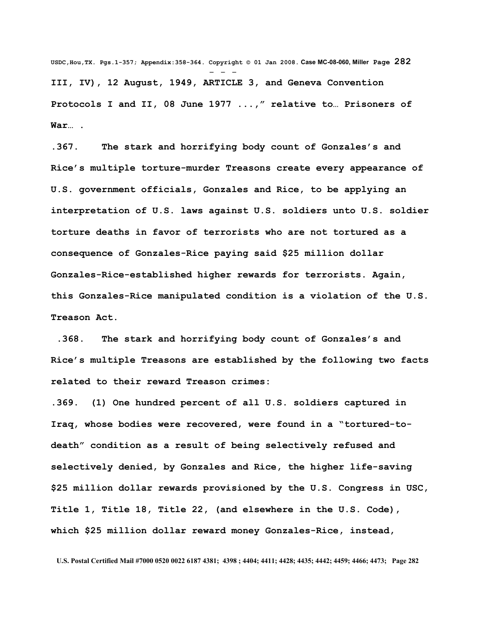**USDC,Hou,TX. Pgs.1-357; Appendix:358-364. Copyright © 01 Jan 2008. Case MC-08-060, Miller Page 282** - - - **III, IV), 12 August, 1949, ARTICLE 3, and Geneva Convention Protocols I and II, 08 June 1977 ...," relative to… Prisoners of War… .** 

**.367. The stark and horrifying body count of Gonzales's and Rice's multiple torture-murder Treasons create every appearance of U.S. government officials, Gonzales and Rice, to be applying an interpretation of U.S. laws against U.S. soldiers unto U.S. soldier torture deaths in favor of terrorists who are not tortured as a consequence of Gonzales-Rice paying said \$25 million dollar Gonzales-Rice-established higher rewards for terrorists. Again, this Gonzales-Rice manipulated condition is a violation of the U.S. Treason Act.** 

 **.368. The stark and horrifying body count of Gonzales's and Rice's multiple Treasons are established by the following two facts related to their reward Treason crimes:**

**.369. (1) One hundred percent of all U.S. soldiers captured in Iraq, whose bodies were recovered, were found in a "tortured-todeath" condition as a result of being selectively refused and selectively denied, by Gonzales and Rice, the higher life-saving \$25 million dollar rewards provisioned by the U.S. Congress in USC, Title 1, Title 18, Title 22, (and elsewhere in the U.S. Code), which \$25 million dollar reward money Gonzales-Rice, instead,**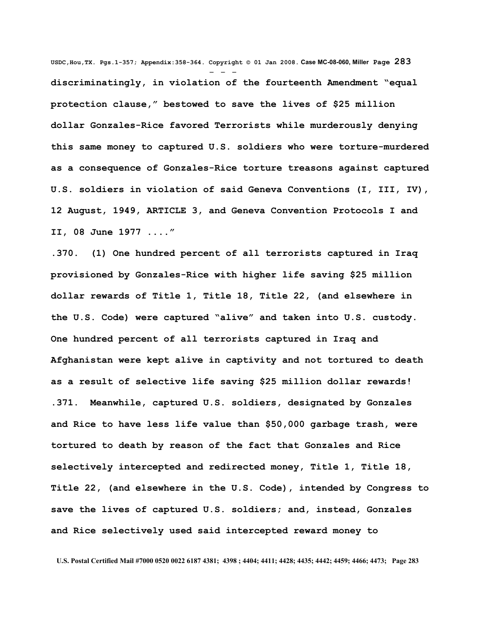**USDC,Hou,TX. Pgs.1-357; Appendix:358-364. Copyright © 01 Jan 2008. Case MC-08-060, Miller Page 283** - - **discriminatingly, in violation of the fourteenth Amendment "equal protection clause," bestowed to save the lives of \$25 million dollar Gonzales-Rice favored Terrorists while murderously denying this same money to captured U.S. soldiers who were torture-murdered as a consequence of Gonzales-Rice torture treasons against captured U.S. soldiers in violation of said Geneva Conventions (I, III, IV), 12 August, 1949, ARTICLE 3, and Geneva Convention Protocols I and II, 08 June 1977 ...."**

**.370. (1) One hundred percent of all terrorists captured in Iraq provisioned by Gonzales-Rice with higher life saving \$25 million dollar rewards of Title 1, Title 18, Title 22, (and elsewhere in the U.S. Code) were captured "alive" and taken into U.S. custody. One hundred percent of all terrorists captured in Iraq and Afghanistan were kept alive in captivity and not tortured to death as a result of selective life saving \$25 million dollar rewards! .371. Meanwhile, captured U.S. soldiers, designated by Gonzales and Rice to have less life value than \$50,000 garbage trash, were tortured to death by reason of the fact that Gonzales and Rice selectively intercepted and redirected money, Title 1, Title 18, Title 22, (and elsewhere in the U.S. Code), intended by Congress to save the lives of captured U.S. soldiers; and, instead, Gonzales and Rice selectively used said intercepted reward money to**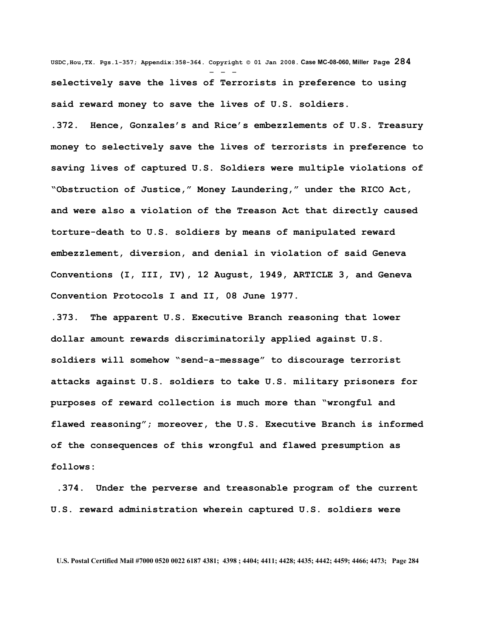**USDC,Hou,TX. Pgs.1-357; Appendix:358-364. Copyright © 01 Jan 2008. Case MC-08-060, Miller Page 284** - - **selectively save the lives of Terrorists in preference to using said reward money to save the lives of U.S. soldiers.**

**.372. Hence, Gonzales's and Rice's embezzlements of U.S. Treasury money to selectively save the lives of terrorists in preference to saving lives of captured U.S. Soldiers were multiple violations of "Obstruction of Justice," Money Laundering," under the RICO Act, and were also a violation of the Treason Act that directly caused torture-death to U.S. soldiers by means of manipulated reward embezzlement, diversion, and denial in violation of said Geneva Conventions (I, III, IV), 12 August, 1949, ARTICLE 3, and Geneva Convention Protocols I and II, 08 June 1977.** 

**.373. The apparent U.S. Executive Branch reasoning that lower dollar amount rewards discriminatorily applied against U.S. soldiers will somehow "send-a-message" to discourage terrorist attacks against U.S. soldiers to take U.S. military prisoners for purposes of reward collection is much more than "wrongful and flawed reasoning"; moreover, the U.S. Executive Branch is informed of the consequences of this wrongful and flawed presumption as follows:**

 **.374. Under the perverse and treasonable program of the current U.S. reward administration wherein captured U.S. soldiers were**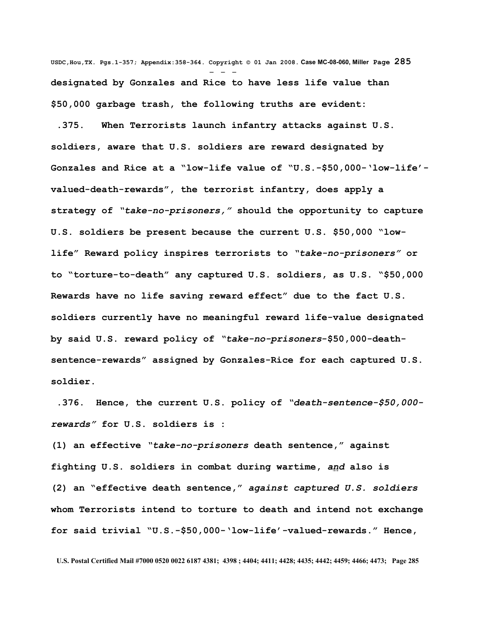**USDC,Hou,TX. Pgs.1-357; Appendix:358-364. Copyright © 01 Jan 2008. Case MC-08-060, Miller Page 285** - - **designated by Gonzales and Rice to have less life value than \$50,000 garbage trash, the following truths are evident:** 

 **.375. When Terrorists launch infantry attacks against U.S. soldiers, aware that U.S. soldiers are reward designated by Gonzales and Rice at a "low-life value of "U.S.-\$50,000-'low-life' valued-death-rewards", the terrorist infantry, does apply a strategy of** *"take-no-prisoners,"* **should the opportunity to capture U.S. soldiers be present because the current U.S. \$50,000 "lowlife" Reward policy inspires terrorists to** *"take-no-prisoners"* **or to "torture-to-death" any captured U.S. soldiers, as U.S. "\$50,000 Rewards have no life saving reward effect" due to the fact U.S. soldiers currently have no meaningful reward life-value designated by said U.S. reward policy of** *"take-no-prisoners***-\$50,000-deathsentence-rewards" assigned by Gonzales-Rice for each captured U.S. soldier.** 

 **.376. Hence, the current U.S. policy of** *"death-sentence-\$50,000 rewards"* **for U.S. soldiers is :**

**(1) an effective** *"take-no-prisoners* **death sentence," against fighting U.S. soldiers in combat during wartime,** *and* **also is (2) an "effective death sentence,"** *against captured U.S. soldiers* **whom Terrorists intend to torture to death and intend not exchange for said trivial "U.S.-\$50,000-'low-life'-valued-rewards." Hence,**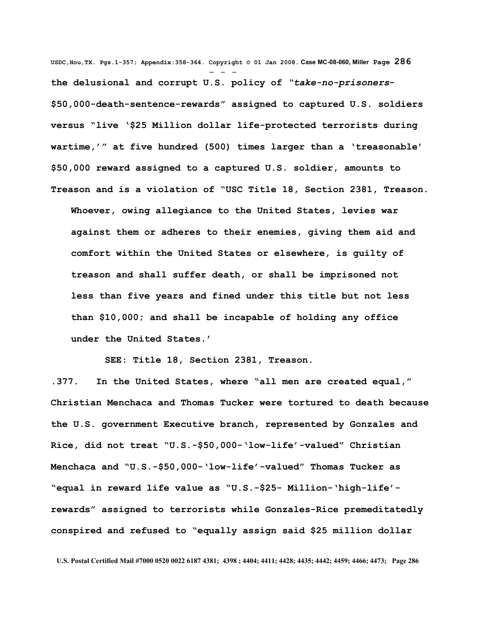**USDC,Hou,TX. Pgs.1-357; Appendix:358-364. Copyright © 01 Jan 2008. Case MC-08-060, Miller Page 286** - - **the delusional and corrupt U.S. policy of** *"take-no-prisoners***- \$50,000-death-sentence-rewards" assigned to captured U.S. soldiers versus "live '\$25 Million dollar life-protected terrorists during wartime,'" at five hundred (500) times larger than a 'treasonable' \$50,000 reward assigned to a captured U.S. soldier, amounts to Treason and is a violation of "USC Title 18, Section 2381, Treason. Whoever, owing allegiance to the United States, levies war against them or adheres to their enemies, giving them aid and comfort within the United States or elsewhere, is guilty of treason and shall suffer death, or shall be imprisoned not less than five years and fined under this title but not less than \$10,000; and shall be incapable of holding any office under the United States.'**

 **SEE: Title 18, Section 2381, Treason.** 

**.377. In the United States, where "all men are created equal," Christian Menchaca and Thomas Tucker were tortured to death because the U.S. government Executive branch, represented by Gonzales and Rice, did not treat "U.S.-\$50,000-'low-life'-valued" Christian Menchaca and "U.S.-\$50,000-'low-life'-valued" Thomas Tucker as "equal in reward life value as "U.S.-\$25- Million-'high-life' rewards" assigned to terrorists while Gonzales-Rice premeditatedly conspired and refused to "equally assign said \$25 million dollar**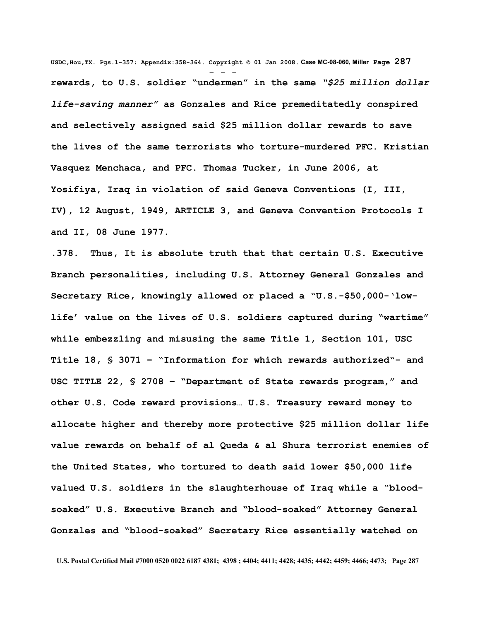**USDC,Hou,TX. Pgs.1-357; Appendix:358-364. Copyright © 01 Jan 2008. Case MC-08-060, Miller Page 287** - - **rewards, to U.S. soldier "undermen" in the same** *"\$25 million dollar life-saving manner"* **as Gonzales and Rice premeditatedly conspired and selectively assigned said \$25 million dollar rewards to save the lives of the same terrorists who torture-murdered PFC. Kristian Vasquez Menchaca, and PFC. Thomas Tucker, in June 2006, at Yosifiya, Iraq in violation of said Geneva Conventions (I, III, IV), 12 August, 1949, ARTICLE 3, and Geneva Convention Protocols I and II, 08 June 1977.** 

**.378. Thus, It is absolute truth that that certain U.S. Executive Branch personalities, including U.S. Attorney General Gonzales and Secretary Rice, knowingly allowed or placed a "U.S.-\$50,000-'lowlife' value on the lives of U.S. soldiers captured during "wartime" while embezzling and misusing the same Title 1, Section 101, USC Title 18, § 3071 – "Information for which rewards authorized"- and USC TITLE 22, § 2708 – "Department of State rewards program," and other U.S. Code reward provisions… U.S. Treasury reward money to allocate higher and thereby more protective \$25 million dollar life value rewards on behalf of al Queda & al Shura terrorist enemies of the United States, who tortured to death said lower \$50,000 life valued U.S. soldiers in the slaughterhouse of Iraq while a "bloodsoaked" U.S. Executive Branch and "blood-soaked" Attorney General Gonzales and "blood-soaked" Secretary Rice essentially watched on**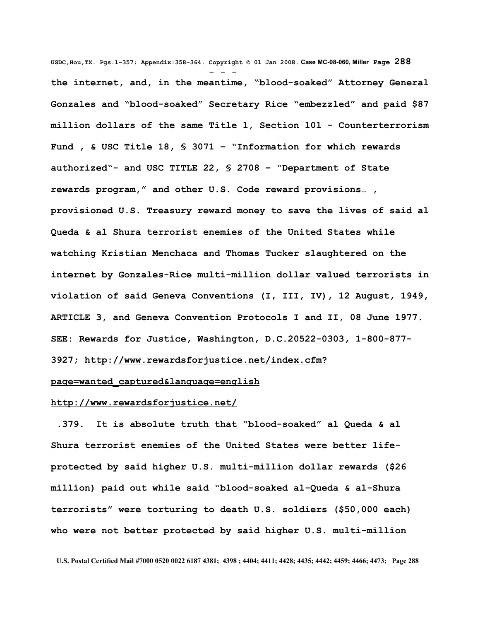**USDC,Hou,TX. Pgs.1-357; Appendix:358-364. Copyright © 01 Jan 2008. Case MC-08-060, Miller Page 288** - - **the internet, and, in the meantime, "blood-soaked" Attorney General Gonzales and "blood-soaked" Secretary Rice "embezzled" and paid \$87 million dollars of the same Title 1, Section 101 - Counterterrorism Fund , & USC Title 18, § 3071 – "Information for which rewards authorized"- and USC TITLE 22, § 2708 – "Department of State rewards program," and other U.S. Code reward provisions… , provisioned U.S. Treasury reward money to save the lives of said al Queda & al Shura terrorist enemies of the United States while watching Kristian Menchaca and Thomas Tucker slaughtered on the internet by Gonzales-Rice multi-million dollar valued terrorists in violation of said Geneva Conventions (I, III, IV), 12 August, 1949, ARTICLE 3, and Geneva Convention Protocols I and II, 08 June 1977. SEE: Rewards for Justice, Washington, D.C.20522-0303, 1-800-877-**

**3927; [http://www.rewardsforjustice.net/index.cfm?](http://www.rewardsforjustice.net/index.cfm?page=wanted_captured&language=english)**

# **[page=wanted\\_captured&language=english](http://www.rewardsforjustice.net/index.cfm?page=wanted_captured&language=english)**

## **<http://www.rewardsforjustice.net/>**

 **.379. It is absolute truth that "blood-soaked" al Queda & al Shura terrorist enemies of the United States were better lifeprotected by said higher U.S. multi-million dollar rewards (\$26 million) paid out while said "blood-soaked al-Queda & al-Shura terrorists" were torturing to death U.S. soldiers (\$50,000 each) who were not better protected by said higher U.S. multi-million**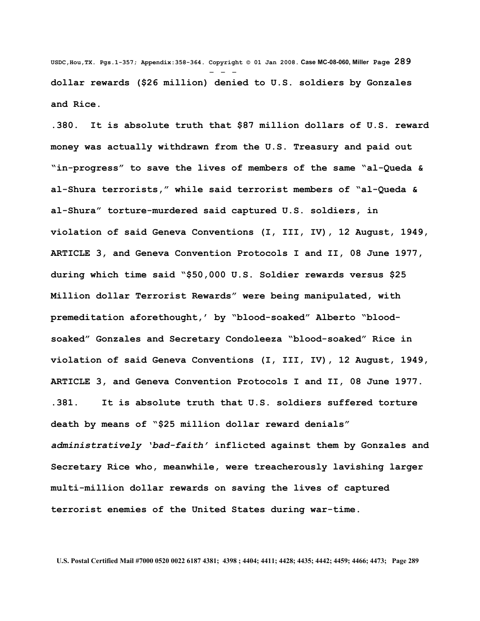**USDC,Hou,TX. Pgs.1-357; Appendix:358-364. Copyright © 01 Jan 2008. Case MC-08-060, Miller Page 289** - - **dollar rewards (\$26 million) denied to U.S. soldiers by Gonzales and Rice.** 

**.380. It is absolute truth that \$87 million dollars of U.S. reward money was actually withdrawn from the U.S. Treasury and paid out "in-progress" to save the lives of members of the same "al-Queda & al-Shura terrorists," while said terrorist members of "al-Queda & al-Shura" torture-murdered said captured U.S. soldiers, in violation of said Geneva Conventions (I, III, IV), 12 August, 1949, ARTICLE 3, and Geneva Convention Protocols I and II, 08 June 1977, during which time said "\$50,000 U.S. Soldier rewards versus \$25 Million dollar Terrorist Rewards" were being manipulated, with premeditation aforethought,' by "blood-soaked" Alberto "bloodsoaked" Gonzales and Secretary Condoleeza "blood-soaked" Rice in violation of said Geneva Conventions (I, III, IV), 12 August, 1949, ARTICLE 3, and Geneva Convention Protocols I and II, 08 June 1977. .381. It is absolute truth that U.S. soldiers suffered torture death by means of "\$25 million dollar reward denials"** *administratively 'bad-faith'* **inflicted against them by Gonzales and Secretary Rice who, meanwhile, were treacherously lavishing larger multi-million dollar rewards on saving the lives of captured terrorist enemies of the United States during war-time.**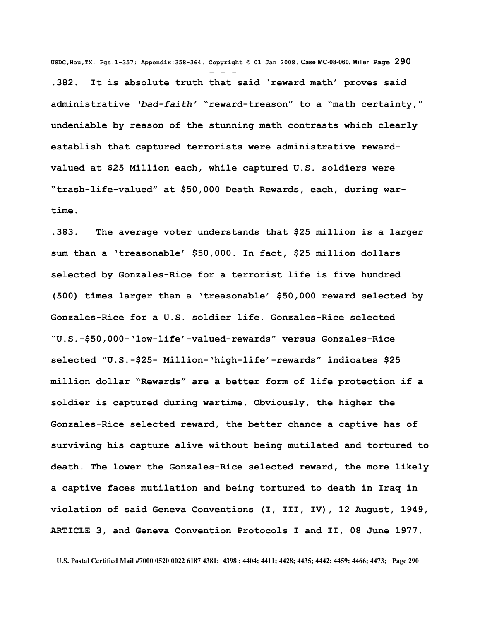**USDC,Hou,TX. Pgs.1-357; Appendix:358-364. Copyright © 01 Jan 2008. Case MC-08-060, Miller Page 290** - - - **.382. It is absolute truth that said 'reward math' proves said administrative** *'bad-faith'* **"reward-treason" to a "math certainty," undeniable by reason of the stunning math contrasts which clearly establish that captured terrorists were administrative rewardvalued at \$25 Million each, while captured U.S. soldiers were "trash-life-valued" at \$50,000 Death Rewards, each, during wartime.** 

**.383. The average voter understands that \$25 million is a larger sum than a 'treasonable' \$50,000. In fact, \$25 million dollars selected by Gonzales-Rice for a terrorist life is five hundred (500) times larger than a 'treasonable' \$50,000 reward selected by Gonzales-Rice for a U.S. soldier life. Gonzales-Rice selected "U.S.-\$50,000-'low-life'-valued-rewards" versus Gonzales-Rice selected "U.S.-\$25- Million-'high-life'-rewards" indicates \$25 million dollar "Rewards" are a better form of life protection if a soldier is captured during wartime. Obviously, the higher the Gonzales-Rice selected reward, the better chance a captive has of surviving his capture alive without being mutilated and tortured to death. The lower the Gonzales-Rice selected reward, the more likely a captive faces mutilation and being tortured to death in Iraq in violation of said Geneva Conventions (I, III, IV), 12 August, 1949, ARTICLE 3, and Geneva Convention Protocols I and II, 08 June 1977.**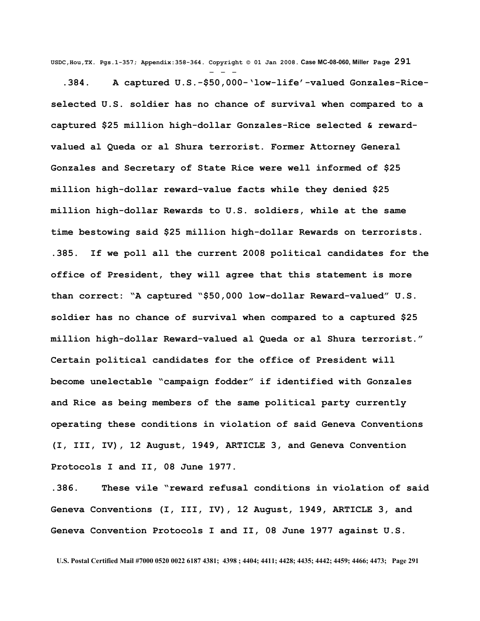**USDC,Hou,TX. Pgs.1-357; Appendix:358-364. Copyright © 01 Jan 2008. Case MC-08-060, Miller Page 291**

- - -

 **.384. A captured U.S.-\$50,000-'low-life'-valued Gonzales-Riceselected U.S. soldier has no chance of survival when compared to a captured \$25 million high-dollar Gonzales-Rice selected & rewardvalued al Queda or al Shura terrorist. Former Attorney General Gonzales and Secretary of State Rice were well informed of \$25 million high-dollar reward-value facts while they denied \$25 million high-dollar Rewards to U.S. soldiers, while at the same time bestowing said \$25 million high-dollar Rewards on terrorists. .385. If we poll all the current 2008 political candidates for the office of President, they will agree that this statement is more than correct: "A captured "\$50,000 low-dollar Reward-valued" U.S. soldier has no chance of survival when compared to a captured \$25 million high-dollar Reward-valued al Queda or al Shura terrorist." Certain political candidates for the office of President will become unelectable "campaign fodder" if identified with Gonzales and Rice as being members of the same political party currently operating these conditions in violation of said Geneva Conventions (I, III, IV), 12 August, 1949, ARTICLE 3, and Geneva Convention Protocols I and II, 08 June 1977.** 

**.386. These vile "reward refusal conditions in violation of said Geneva Conventions (I, III, IV), 12 August, 1949, ARTICLE 3, and Geneva Convention Protocols I and II, 08 June 1977 against U.S.**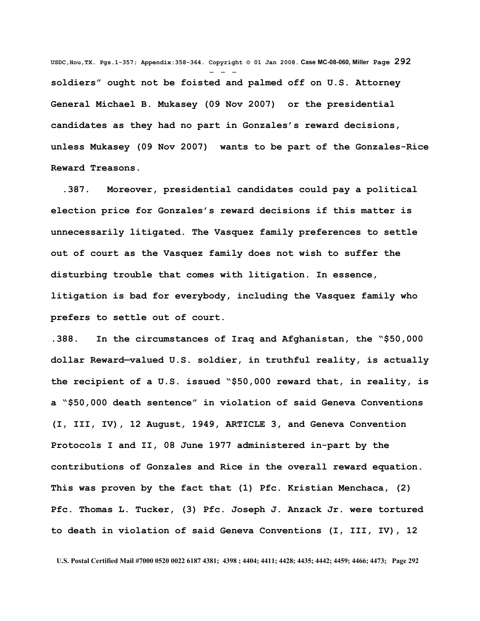**USDC,Hou,TX. Pgs.1-357; Appendix:358-364. Copyright © 01 Jan 2008. Case MC-08-060, Miller Page 292** - - **soldiers" ought not be foisted and palmed off on U.S. Attorney General Michael B. Mukasey (09 Nov 2007) or the presidential candidates as they had no part in Gonzales's reward decisions, unless Mukasey (09 Nov 2007) wants to be part of the Gonzales-Rice Reward Treasons.**

 **.387. Moreover, presidential candidates could pay a political election price for Gonzales's reward decisions if this matter is unnecessarily litigated. The Vasquez family preferences to settle out of court as the Vasquez family does not wish to suffer the disturbing trouble that comes with litigation. In essence, litigation is bad for everybody, including the Vasquez family who prefers to settle out of court.** 

**.388. In the circumstances of Iraq and Afghanistan, the "\$50,000 dollar Reward—valued U.S. soldier, in truthful reality, is actually the recipient of a U.S. issued "\$50,000 reward that, in reality, is a "\$50,000 death sentence" in violation of said Geneva Conventions (I, III, IV), 12 August, 1949, ARTICLE 3, and Geneva Convention Protocols I and II, 08 June 1977 administered in-part by the contributions of Gonzales and Rice in the overall reward equation. This was proven by the fact that (1) Pfc. Kristian Menchaca, (2) Pfc. Thomas L. Tucker, (3) Pfc. Joseph J. Anzack Jr. were tortured to death in violation of said Geneva Conventions (I, III, IV), 12**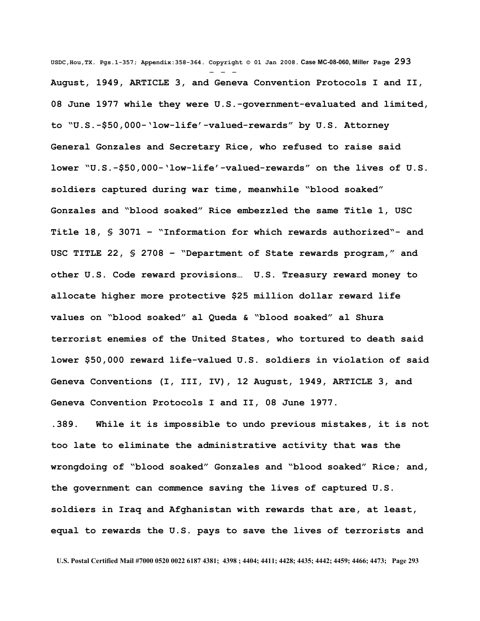**USDC,Hou,TX. Pgs.1-357; Appendix:358-364. Copyright © 01 Jan 2008. Case MC-08-060, Miller Page 293** - - - **August, 1949, ARTICLE 3, and Geneva Convention Protocols I and II, 08 June 1977 while they were U.S.-government-evaluated and limited, to "U.S.-\$50,000-'low-life'-valued-rewards" by U.S. Attorney General Gonzales and Secretary Rice, who refused to raise said lower "U.S.-\$50,000-'low-life'-valued-rewards" on the lives of U.S. soldiers captured during war time, meanwhile "blood soaked" Gonzales and "blood soaked" Rice embezzled the same Title 1, USC Title 18, § 3071 – "Information for which rewards authorized"- and USC TITLE 22, § 2708 – "Department of State rewards program," and other U.S. Code reward provisions… U.S. Treasury reward money to allocate higher more protective \$25 million dollar reward life values on "blood soaked" al Queda & "blood soaked" al Shura terrorist enemies of the United States, who tortured to death said lower \$50,000 reward life-valued U.S. soldiers in violation of said Geneva Conventions (I, III, IV), 12 August, 1949, ARTICLE 3, and Geneva Convention Protocols I and II, 08 June 1977.** 

**.389. While it is impossible to undo previous mistakes, it is not too late to eliminate the administrative activity that was the wrongdoing of "blood soaked" Gonzales and "blood soaked" Rice; and, the government can commence saving the lives of captured U.S. soldiers in Iraq and Afghanistan with rewards that are, at least, equal to rewards the U.S. pays to save the lives of terrorists and**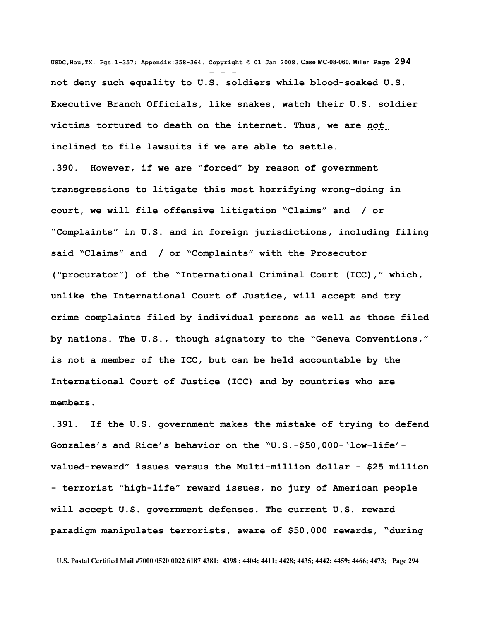**USDC,Hou,TX. Pgs.1-357; Appendix:358-364. Copyright © 01 Jan 2008. Case MC-08-060, Miller Page 294** - - **not deny such equality to U.S. soldiers while blood-soaked U.S. Executive Branch Officials, like snakes, watch their U.S. soldier victims tortured to death on the internet. Thus, we are** *not* **inclined to file lawsuits if we are able to settle. .390. However, if we are "forced" by reason of government transgressions to litigate this most horrifying wrong-doing in court, we will file offensive litigation "Claims" and / or "Complaints" in U.S. and in foreign jurisdictions, including filing said "Claims" and / or "Complaints" with the Prosecutor ("procurator") of the "International Criminal Court (ICC)," which, unlike the International Court of Justice, will accept and try crime complaints filed by individual persons as well as those filed by nations. The U.S., though signatory to the "Geneva Conventions," is not a member of the ICC, but can be held accountable by the International Court of Justice (ICC) and by countries who are members.**

**.391. If the U.S. government makes the mistake of trying to defend Gonzales's and Rice's behavior on the "U.S.-\$50,000-'low-life' valued-reward" issues versus the Multi-million dollar - \$25 million - terrorist "high-life" reward issues, no jury of American people will accept U.S. government defenses. The current U.S. reward paradigm manipulates terrorists, aware of \$50,000 rewards, "during**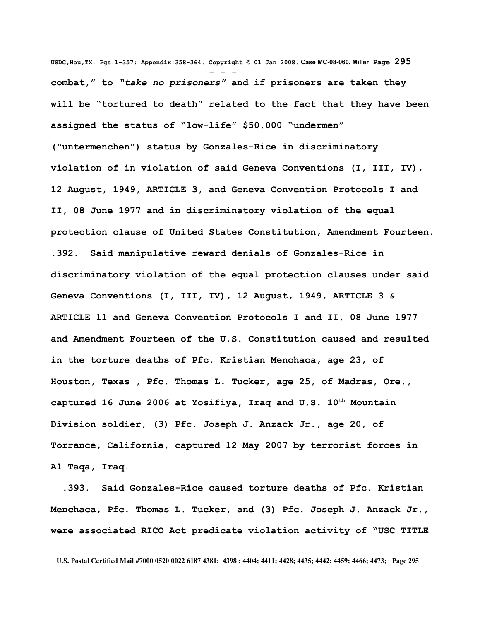**USDC,Hou,TX. Pgs.1-357; Appendix:358-364. Copyright © 01 Jan 2008. Case MC-08-060, Miller Page 295** - - **combat," to** *"take no prisoners"* **and if prisoners are taken they will be "tortured to death" related to the fact that they have been assigned the status of "low-life" \$50,000 "undermen" ("untermenchen") status by Gonzales-Rice in discriminatory violation of in violation of said Geneva Conventions (I, III, IV), 12 August, 1949, ARTICLE 3, and Geneva Convention Protocols I and II, 08 June 1977 and in discriminatory violation of the equal protection clause of United States Constitution, Amendment Fourteen. .392. Said manipulative reward denials of Gonzales-Rice in discriminatory violation of the equal protection clauses under said Geneva Conventions (I, III, IV), 12 August, 1949, ARTICLE 3 & ARTICLE 11 and Geneva Convention Protocols I and II, 08 June 1977 and Amendment Fourteen of the U.S. Constitution caused and resulted in the torture deaths of Pfc. Kristian Menchaca, age 23, of Houston, Texas , Pfc. Thomas L. Tucker, age 25, of Madras, Ore., captured 16 June 2006 at Yosifiya, Iraq and U.S. 10th Mountain Division soldier, (3) Pfc. Joseph J. Anzack Jr., age 20, of Torrance, California, captured 12 May 2007 by terrorist forces in Al Taqa, Iraq.**

 **.393. Said Gonzales-Rice caused torture deaths of Pfc. Kristian Menchaca, Pfc. Thomas L. Tucker, and (3) Pfc. Joseph J. Anzack Jr., were associated RICO Act predicate violation activity of "USC TITLE**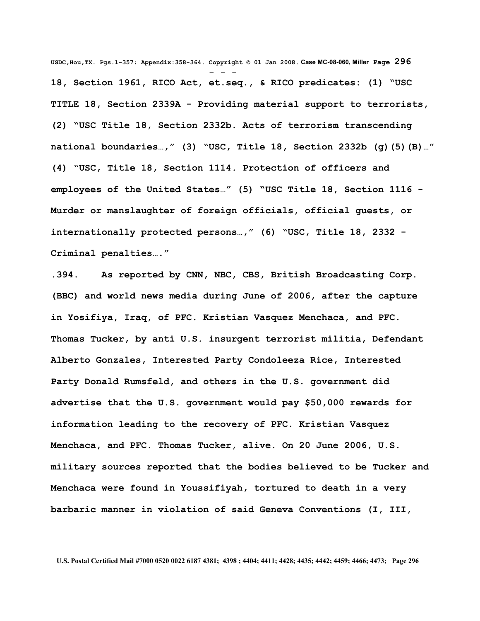**USDC,Hou,TX. Pgs.1-357; Appendix:358-364. Copyright © 01 Jan 2008. Case MC-08-060, Miller Page 296** - - - **18, Section 1961, RICO Act, et.seq., & RICO predicates: (1) "USC TITLE 18, Section 2339A - Providing material support to terrorists, (2) "USC Title 18, Section 2332b. Acts of terrorism transcending national boundaries…," (3) "USC, Title 18, Section 2332b (g)(5)(B)…" (4) "USC, Title 18, Section 1114. Protection of officers and employees of the United States…" (5) "USC Title 18, Section 1116 - Murder or manslaughter of foreign officials, official guests, or internationally protected persons…," (6) "USC, Title 18, 2332 - Criminal penalties…."**

**.394. As reported by CNN, NBC, CBS, British Broadcasting Corp. (BBC) and world news media during June of 2006, after the capture in Yosifiya, Iraq, of PFC. Kristian Vasquez Menchaca, and PFC. Thomas Tucker, by anti U.S. insurgent terrorist militia, Defendant Alberto Gonzales, Interested Party Condoleeza Rice, Interested Party Donald Rumsfeld, and others in the U.S. government did advertise that the U.S. government would pay \$50,000 rewards for information leading to the recovery of PFC. Kristian Vasquez Menchaca, and PFC. Thomas Tucker, alive. On 20 June 2006, U.S. military sources reported that the bodies believed to be Tucker and Menchaca were found in Youssifiyah, tortured to death in a very barbaric manner in violation of said Geneva Conventions (I, III,**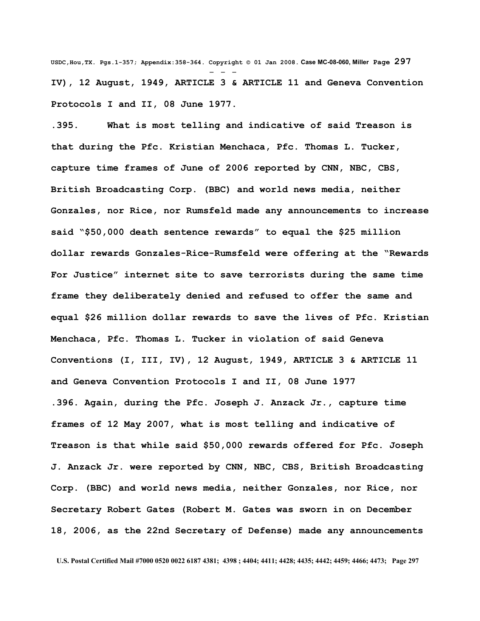**USDC,Hou,TX. Pgs.1-357; Appendix:358-364. Copyright © 01 Jan 2008. Case MC-08-060, Miller Page 297** - - - **IV), 12 August, 1949, ARTICLE 3 & ARTICLE 11 and Geneva Convention Protocols I and II, 08 June 1977.**

**.395. What is most telling and indicative of said Treason is that during the Pfc. Kristian Menchaca, Pfc. Thomas L. Tucker, capture time frames of June of 2006 reported by CNN, NBC, CBS, British Broadcasting Corp. (BBC) and world news media, neither Gonzales, nor Rice, nor Rumsfeld made any announcements to increase said "\$50,000 death sentence rewards" to equal the \$25 million dollar rewards Gonzales-Rice-Rumsfeld were offering at the "Rewards For Justice" internet site to save terrorists during the same time frame they deliberately denied and refused to offer the same and equal \$26 million dollar rewards to save the lives of Pfc. Kristian Menchaca, Pfc. Thomas L. Tucker in violation of said Geneva Conventions (I, III, IV), 12 August, 1949, ARTICLE 3 & ARTICLE 11 and Geneva Convention Protocols I and II, 08 June 1977 .396. Again, during the Pfc. Joseph J. Anzack Jr., capture time frames of 12 May 2007, what is most telling and indicative of Treason is that while said \$50,000 rewards offered for Pfc. Joseph J. Anzack Jr. were reported by CNN, NBC, CBS, British Broadcasting Corp. (BBC) and world news media, neither Gonzales, nor Rice, nor Secretary Robert Gates (Robert M. Gates was sworn in on December 18, 2006, as the 22nd Secretary of Defense) made any announcements**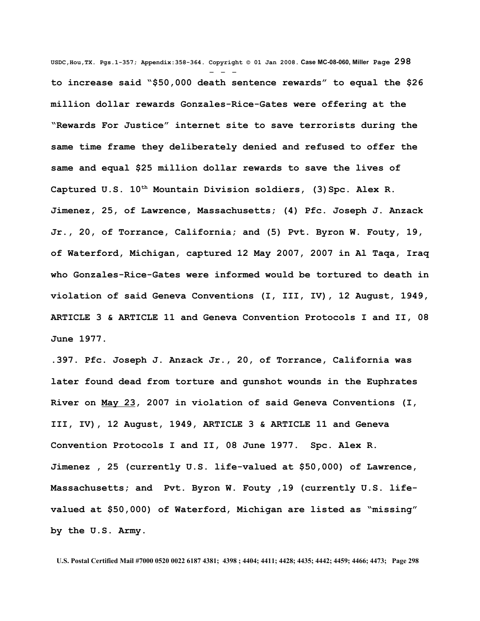**USDC,Hou,TX. Pgs.1-357; Appendix:358-364. Copyright © 01 Jan 2008. Case MC-08-060, Miller Page 298** - - **to increase said "\$50,000 death sentence rewards" to equal the \$26 million dollar rewards Gonzales-Rice-Gates were offering at the "Rewards For Justice" internet site to save terrorists during the same time frame they deliberately denied and refused to offer the same and equal \$25 million dollar rewards to save the lives of Captured U.S. 10th Mountain Division soldiers, (3)Spc. Alex R. Jimenez, 25, of Lawrence, Massachusetts; (4) Pfc. Joseph J. Anzack Jr., 20, of Torrance, California; and (5) Pvt. Byron W. Fouty, 19, of Waterford, Michigan, captured 12 May 2007, 2007 in Al Taqa, Iraq who Gonzales-Rice-Gates were informed would be tortured to death in violation of said Geneva Conventions (I, III, IV), 12 August, 1949, ARTICLE 3 & ARTICLE 11 and Geneva Convention Protocols I and II, 08 June 1977.** 

**.397. Pfc. Joseph J. Anzack Jr., 20, of Torrance, California was later found dead from torture and gunshot wounds in the [Euphrates](http://en.wikipedia.org/wiki/Euphrates) [River](http://en.wikipedia.org/wiki/Euphrates) on [May 23,](http://en.wikipedia.org/wiki/May_23) 2007 in violation of said Geneva Conventions (I, III, IV), 12 August, 1949, ARTICLE 3 & ARTICLE 11 and Geneva Convention Protocols I and II, 08 June 1977. Spc. Alex R. Jimenez , 25 (currently U.S. life-valued at \$50,000) of Lawrence, Massachusetts; and Pvt. Byron W. Fouty ,19 (currently U.S. lifevalued at \$50,000) of Waterford, Michigan are listed as "missing" by the U.S. Army.**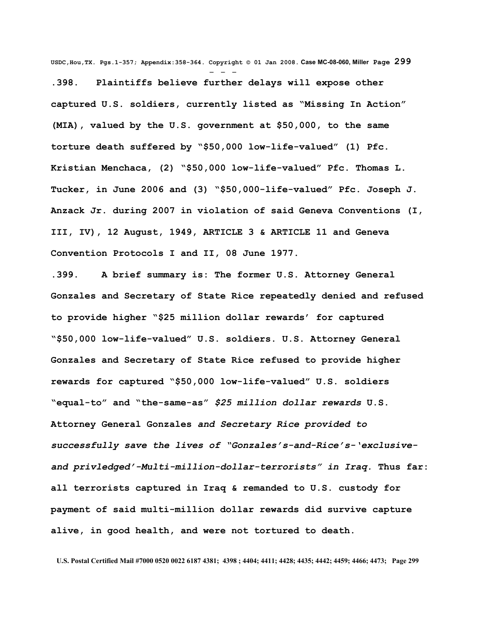**USDC,Hou,TX. Pgs.1-357; Appendix:358-364. Copyright © 01 Jan 2008. Case MC-08-060, Miller Page 299**

- - - **.398. Plaintiffs believe further delays will expose other captured U.S. soldiers, currently listed as "Missing In Action" (MIA), valued by the U.S. government at \$50,000, to the same torture death suffered by "\$50,000 low-life-valued" (1) Pfc. Kristian Menchaca, (2) "\$50,000 low-life-valued" Pfc. Thomas L. Tucker, in June 2006 and (3) "\$50,000-life-valued" Pfc. Joseph J. Anzack Jr. during 2007 in violation of said Geneva Conventions (I, III, IV), 12 August, 1949, ARTICLE 3 & ARTICLE 11 and Geneva Convention Protocols I and II, 08 June 1977.** 

**.399. A brief summary is: The former U.S. Attorney General Gonzales and Secretary of State Rice repeatedly denied and refused to provide higher "\$25 million dollar rewards' for captured "\$50,000 low-life-valued" U.S. soldiers. U.S. Attorney General Gonzales and Secretary of State Rice refused to provide higher rewards for captured "\$50,000 low-life-valued" U.S. soldiers "equal-to" and "the-same-as"** *\$25 million dollar rewards* **U.S. Attorney General Gonzales** *and Secretary Rice provided to successfully save the lives of "Gonzales's-and-Rice's-'exclusiveand privledged'-Multi-million-dollar-terrorists" in Iraq.* **Thus far: all terrorists captured in Iraq & remanded to U.S. custody for payment of said multi-million dollar rewards did survive capture alive, in good health, and were not tortured to death.**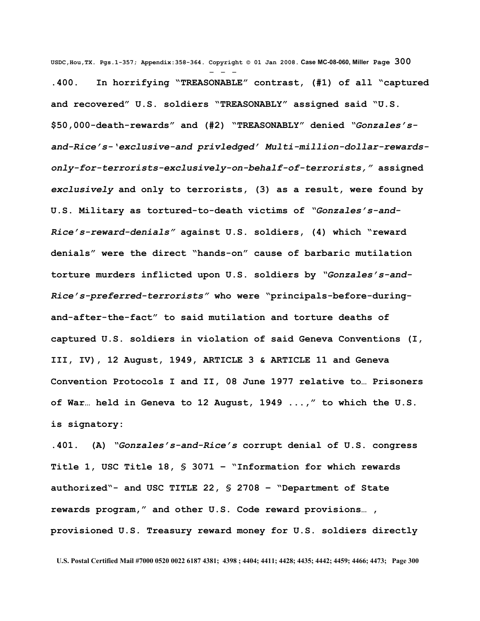**USDC,Hou,TX. Pgs.1-357; Appendix:358-364. Copyright © 01 Jan 2008. Case MC-08-060, Miller Page 300** - - - **.400. In horrifying "TREASONABLE" contrast, (#1) of all "captured and recovered" U.S. soldiers "TREASONABLY" assigned said "U.S. \$50,000-death-rewards" and (#2) "TREASONABLY" denied** *"Gonzales'sand-Rice's-'exclusive-and privledged' Multi-million-dollar-rewardsonly-for-terrorists-exclusively-on-behalf-of-terrorists,"* **assigned** *exclusively* **and only to terrorists, (3) as a result, were found by U.S. Military as tortured-to-death victims of** *"Gonzales's-and-Rice's-reward-denials"* **against U.S. soldiers, (4) which "reward denials" were the direct "hands-on" cause of barbaric mutilation torture murders inflicted upon U.S. soldiers by** *"Gonzales's-and-Rice's-preferred-terrorists"* **who were "principals-before-duringand-after-the-fact" to said mutilation and torture deaths of captured U.S. soldiers in violation of said Geneva Conventions (I, III, IV), 12 August, 1949, ARTICLE 3 & ARTICLE 11 and Geneva Convention Protocols I and II, 08 June 1977 relative to… Prisoners of War… held in Geneva to 12 August, 1949 ...," to which the U.S. is signatory:**

**.401. (A)** *"Gonzales's-and-Rice's* **corrupt denial of U.S. congress Title 1, USC Title 18, § 3071 – "Information for which rewards authorized"- and USC TITLE 22, § 2708 – "Department of State rewards program," and other U.S. Code reward provisions… , provisioned U.S. Treasury reward money for U.S. soldiers directly**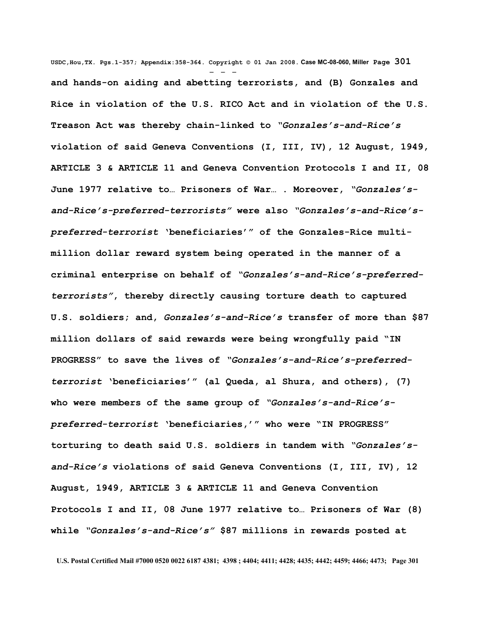**USDC,Hou,TX. Pgs.1-357; Appendix:358-364. Copyright © 01 Jan 2008. Case MC-08-060, Miller Page 301** - - **and hands-on aiding and abetting terrorists, and (B) Gonzales and Rice in violation of the U.S. RICO Act and in violation of the U.S. Treason Act was thereby chain-linked to** *"Gonzales's-and-Rice's* **violation of said Geneva Conventions (I, III, IV), 12 August, 1949, ARTICLE 3 & ARTICLE 11 and Geneva Convention Protocols I and II, 08 June 1977 relative to… Prisoners of War… . Moreover,** *"Gonzales'sand-Rice's-preferred-terrorists"* **were also** *"Gonzales's-and-Rice'spreferred-terrorist* **'beneficiaries'" of the Gonzales-Rice multimillion dollar reward system being operated in the manner of a criminal enterprise on behalf of** *"Gonzales's-and-Rice's-preferredterrorists"***, thereby directly causing torture death to captured U.S. soldiers; and,** *Gonzales's-and-Rice's* **transfer of more than \$87 million dollars of said rewards were being wrongfully paid "IN PROGRESS" to save the lives of** *"Gonzales's-and-Rice's-preferredterrorist* **'beneficiaries'" (al Queda, al Shura, and others), (7) who were members of the same group of** *"Gonzales's-and-Rice'spreferred-terrorist* **'beneficiaries,'" who were "IN PROGRESS" torturing to death said U.S. soldiers in tandem with** *"Gonzales'sand-Rice's* **violations of said Geneva Conventions (I, III, IV), 12 August, 1949, ARTICLE 3 & ARTICLE 11 and Geneva Convention Protocols I and II, 08 June 1977 relative to… Prisoners of War (8) while** *"Gonzales's-and-Rice's"* **\$87 millions in rewards posted at**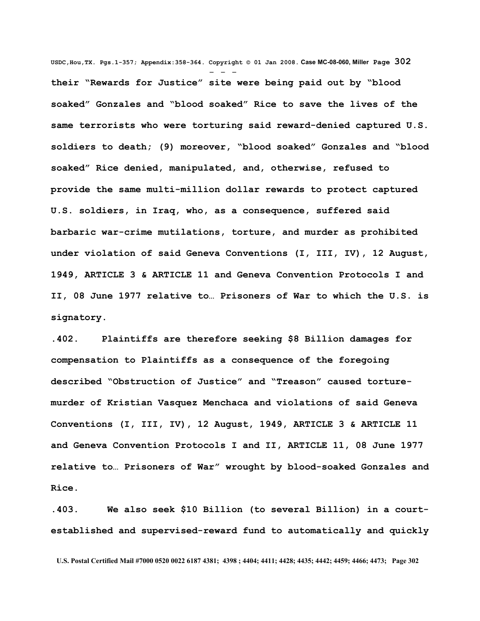**USDC,Hou,TX. Pgs.1-357; Appendix:358-364. Copyright © 01 Jan 2008. Case MC-08-060, Miller Page 302** - - **their "Rewards for Justice" site were being paid out by "blood soaked" Gonzales and "blood soaked" Rice to save the lives of the same terrorists who were torturing said reward-denied captured U.S. soldiers to death; (9) moreover, "blood soaked" Gonzales and "blood soaked" Rice denied, manipulated, and, otherwise, refused to provide the same multi-million dollar rewards to protect captured U.S. soldiers, in Iraq, who, as a consequence, suffered said barbaric war-crime mutilations, torture, and murder as prohibited under violation of said Geneva Conventions (I, III, IV), 12 August, 1949, ARTICLE 3 & ARTICLE 11 and Geneva Convention Protocols I and II, 08 June 1977 relative to… Prisoners of War to which the U.S. is signatory.** 

**.402. Plaintiffs are therefore seeking \$8 Billion damages for compensation to Plaintiffs as a consequence of the foregoing described "Obstruction of Justice" and "Treason" caused torturemurder of Kristian Vasquez Menchaca and violations of said Geneva Conventions (I, III, IV), 12 August, 1949, ARTICLE 3 & ARTICLE 11 and Geneva Convention Protocols I and II, ARTICLE 11, 08 June 1977 relative to… Prisoners of War" wrought by blood-soaked Gonzales and Rice.**

**.403. We also seek \$10 Billion (to several Billion) in a courtestablished and supervised-reward fund to automatically and quickly**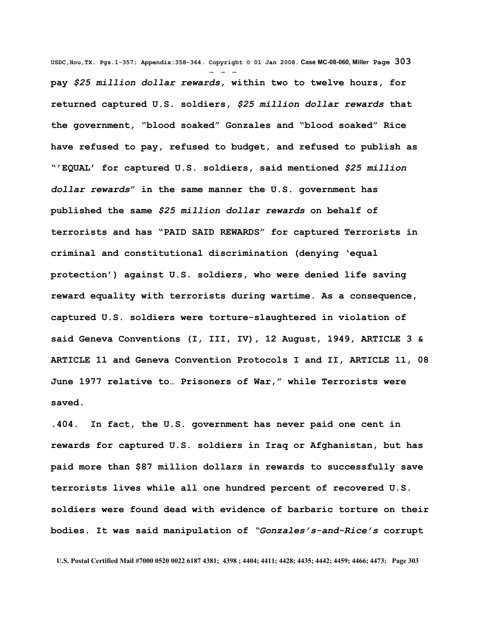**USDC,Hou,TX. Pgs.1-357; Appendix:358-364. Copyright © 01 Jan 2008. Case MC-08-060, Miller Page 303** - - **pay** *\$25 million dollar rewards***, within two to twelve hours, for returned captured U.S. soldiers,** *\$25 million dollar rewards* **that the government, "blood soaked" Gonzales and "blood soaked" Rice have refused to pay, refused to budget, and refused to publish as "'EQUAL' for captured U.S. soldiers, said mentioned** *\$25 million dollar rewards***" in the same manner the U.S. government has published the same** *\$25 million dollar rewards* **on behalf of terrorists and has "PAID SAID REWARDS" for captured Terrorists in criminal and constitutional discrimination (denying 'equal protection') against U.S. soldiers, who were denied life saving reward equality with terrorists during wartime. As a consequence, captured U.S. soldiers were torture-slaughtered in violation of said Geneva Conventions (I, III, IV), 12 August, 1949, ARTICLE 3 & ARTICLE 11 and Geneva Convention Protocols I and II, ARTICLE 11, 08 June 1977 relative to… Prisoners of War," while Terrorists were saved.**

**.404. In fact, the U.S. government has never paid one cent in rewards for captured U.S. soldiers in Iraq or Afghanistan, but has paid more than \$87 million dollars in rewards to successfully save terrorists lives while all one hundred percent of recovered U.S. soldiers were found dead with evidence of barbaric torture on their bodies. It was said manipulation of** *"Gonzales's-and-Rice's* **corrupt**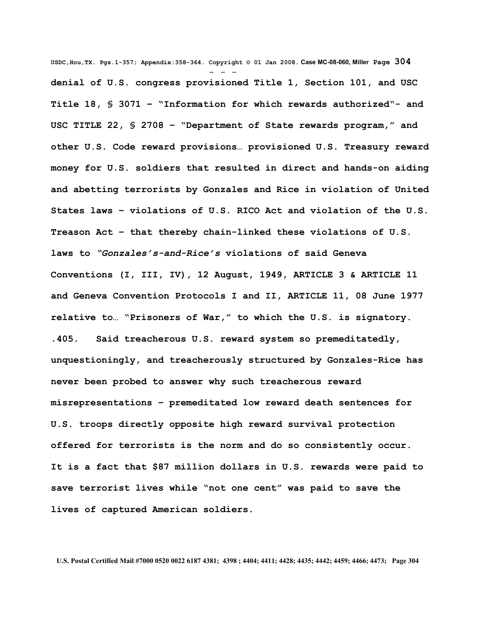**USDC,Hou,TX. Pgs.1-357; Appendix:358-364. Copyright © 01 Jan 2008. Case MC-08-060, Miller Page 304** - - **denial of U.S. congress provisioned Title 1, Section 101, and USC Title 18, § 3071 – "Information for which rewards authorized"- and USC TITLE 22, § 2708 – "Department of State rewards program," and other U.S. Code reward provisions… provisioned U.S. Treasury reward money for U.S. soldiers that resulted in direct and hands-on aiding and abetting terrorists by Gonzales and Rice in violation of United States laws – violations of U.S. RICO Act and violation of the U.S. Treason Act – that thereby chain-linked these violations of U.S. laws to** *"Gonzales's-and-Rice's* **violations of said Geneva Conventions (I, III, IV), 12 August, 1949, ARTICLE 3 & ARTICLE 11 and Geneva Convention Protocols I and II, ARTICLE 11, 08 June 1977 relative to… "Prisoners of War," to which the U.S. is signatory. .405. Said treacherous U.S. reward system so premeditatedly, unquestioningly, and treacherously structured by Gonzales-Rice has never been probed to answer why such treacherous reward misrepresentations – premeditated low reward death sentences for U.S. troops directly opposite high reward survival protection offered for terrorists is the norm and do so consistently occur. It is a fact that \$87 million dollars in U.S. rewards were paid to save terrorist lives while "not one cent" was paid to save the lives of captured American soldiers.**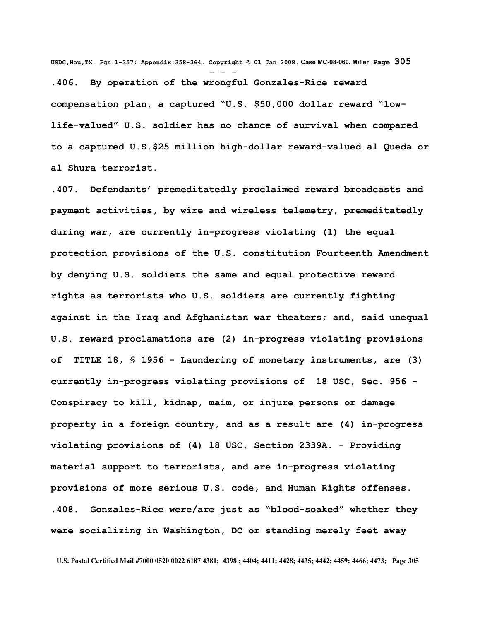**USDC,Hou,TX. Pgs.1-357; Appendix:358-364. Copyright © 01 Jan 2008. Case MC-08-060, Miller Page 305** - - -

**.406. By operation of the wrongful Gonzales-Rice reward compensation plan, a captured "U.S. \$50,000 dollar reward "lowlife-valued" U.S. soldier has no chance of survival when compared to a captured U.S.\$25 million high-dollar reward-valued al Queda or al Shura terrorist.**

**.407. Defendants' premeditatedly proclaimed reward broadcasts and payment activities, by wire and wireless telemetry, premeditatedly during war, are currently in-progress violating (1) the equal protection provisions of the U.S. constitution Fourteenth Amendment by denying U.S. soldiers the same and equal protective reward rights as terrorists who U.S. soldiers are currently fighting against in the Iraq and Afghanistan war theaters; and, said unequal U.S. reward proclamations are (2) in-progress violating provisions of TITLE 18, § 1956 - Laundering of monetary instruments, are (3) currently in-progress violating provisions of 18 USC, Sec. 956 - Conspiracy to kill, kidnap, maim, or injure persons or damage property in a foreign country, and as a result are (4) in-progress violating provisions of (4) 18 USC, Section 2339A. - Providing material support to terrorists, and are in-progress violating provisions of more serious U.S. code, and Human Rights offenses. .408. Gonzales-Rice were/are just as "blood-soaked" whether they were socializing in Washington, DC or standing merely feet away**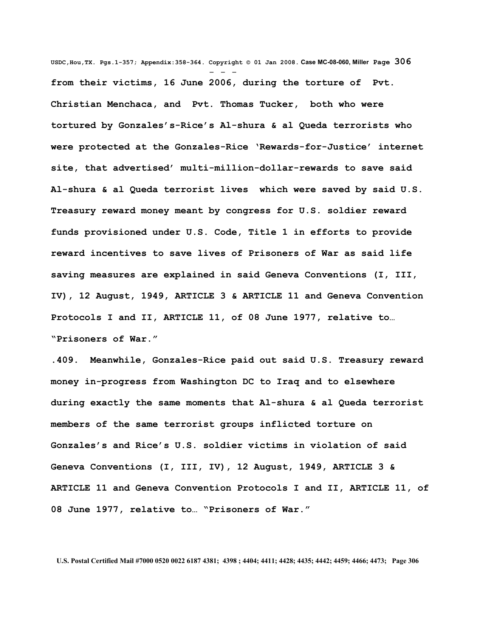**USDC,Hou,TX. Pgs.1-357; Appendix:358-364. Copyright © 01 Jan 2008. Case MC-08-060, Miller Page 306** - - **from their victims, 16 June 2006, during the torture of Pvt. Christian Menchaca, and Pvt. Thomas Tucker, both who were tortured by Gonzales's-Rice's Al-shura & al Queda terrorists who were protected at the Gonzales-Rice 'Rewards-for-Justice' internet site, that advertised' multi-million-dollar-rewards to save said Al-shura & al Queda terrorist lives which were saved by said U.S. Treasury reward money meant by congress for U.S. soldier reward funds provisioned under U.S. Code, Title 1 in efforts to provide reward incentives to save lives of Prisoners of War as said life saving measures are explained in said Geneva Conventions (I, III, IV), 12 August, 1949, ARTICLE 3 & ARTICLE 11 and Geneva Convention Protocols I and II, ARTICLE 11, of 08 June 1977, relative to… "Prisoners of War."**

**.409. Meanwhile, Gonzales-Rice paid out said U.S. Treasury reward money in-progress from Washington DC to Iraq and to elsewhere during exactly the same moments that Al-shura & al Queda terrorist members of the same terrorist groups inflicted torture on Gonzales's and Rice's U.S. soldier victims in violation of said Geneva Conventions (I, III, IV), 12 August, 1949, ARTICLE 3 & ARTICLE 11 and Geneva Convention Protocols I and II, ARTICLE 11, of 08 June 1977, relative to… "Prisoners of War."**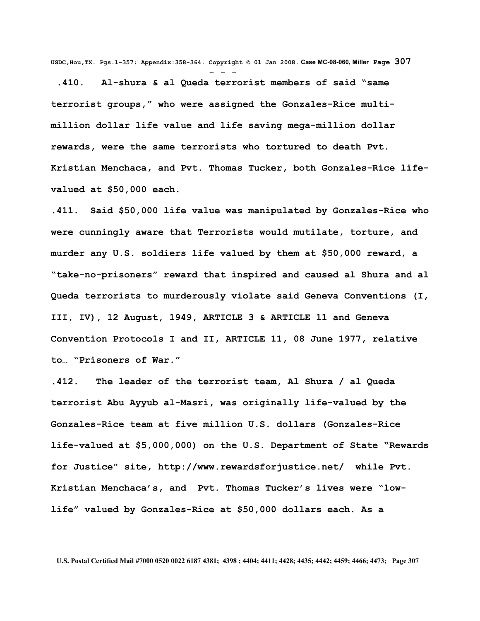**USDC,Hou,TX. Pgs.1-357; Appendix:358-364. Copyright © 01 Jan 2008. Case MC-08-060, Miller Page 307** - - -

 **.410. Al-shura & al Queda terrorist members of said "same terrorist groups," who were assigned the Gonzales-Rice multimillion dollar life value and life saving mega-million dollar rewards, were the same terrorists who tortured to death Pvt. Kristian Menchaca, and Pvt. Thomas Tucker, both Gonzales-Rice lifevalued at \$50,000 each.** 

**.411. Said \$50,000 life value was manipulated by Gonzales-Rice who were cunningly aware that Terrorists would mutilate, torture, and murder any U.S. soldiers life valued by them at \$50,000 reward, a "take-no-prisoners" reward that inspired and caused al Shura and al Queda terrorists to murderously violate said Geneva Conventions (I, III, IV), 12 August, 1949, ARTICLE 3 & ARTICLE 11 and Geneva Convention Protocols I and II, ARTICLE 11, 08 June 1977, relative to… "Prisoners of War."**

**.412. The leader of the terrorist team, Al Shura / al Queda terrorist Abu Ayyub al-Masri, was originally life-valued by the Gonzales-Rice team at five million U.S. dollars (Gonzales-Rice life-valued at \$5,000,000) on the U.S. Department of State "Rewards for Justice" site, http://www.rewardsforjustice.net/ while Pvt. Kristian Menchaca's, and Pvt. Thomas Tucker's lives were "lowlife" valued by Gonzales-Rice at \$50,000 dollars each. As a**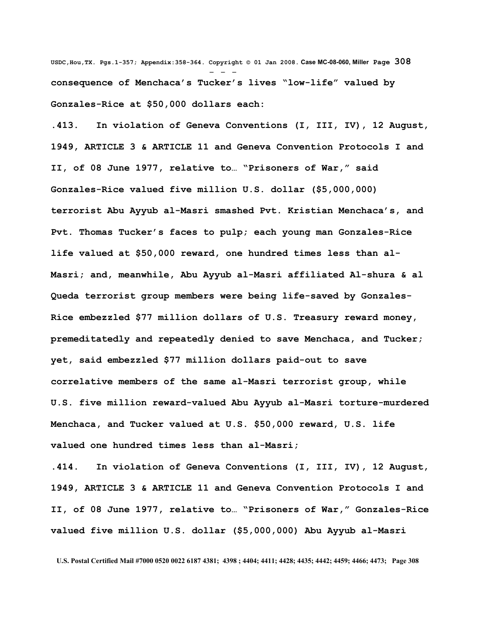**USDC,Hou,TX. Pgs.1-357; Appendix:358-364. Copyright © 01 Jan 2008. Case MC-08-060, Miller Page 308** - - **consequence of Menchaca's Tucker's lives "low-life" valued by Gonzales-Rice at \$50,000 dollars each:** 

**.413. In violation of Geneva Conventions (I, III, IV), 12 August, 1949, ARTICLE 3 & ARTICLE 11 and Geneva Convention Protocols I and II, of 08 June 1977, relative to… "Prisoners of War," said Gonzales-Rice valued five million U.S. dollar (\$5,000,000) terrorist Abu Ayyub al-Masri smashed Pvt. Kristian Menchaca's, and Pvt. Thomas Tucker's faces to pulp; each young man Gonzales-Rice life valued at \$50,000 reward, one hundred times less than al-Masri; and, meanwhile, Abu Ayyub al-Masri affiliated Al-shura & al Queda terrorist group members were being life-saved by Gonzales-Rice embezzled \$77 million dollars of U.S. Treasury reward money, premeditatedly and repeatedly denied to save Menchaca, and Tucker; yet, said embezzled \$77 million dollars paid-out to save correlative members of the same al-Masri terrorist group, while U.S. five million reward-valued Abu Ayyub al-Masri torture-murdered Menchaca, and Tucker valued at U.S. \$50,000 reward, U.S. life valued one hundred times less than al-Masri;** 

**.414. In violation of Geneva Conventions (I, III, IV), 12 August, 1949, ARTICLE 3 & ARTICLE 11 and Geneva Convention Protocols I and II, of 08 June 1977, relative to… "Prisoners of War," Gonzales-Rice valued five million U.S. dollar (\$5,000,000) Abu Ayyub al-Masri**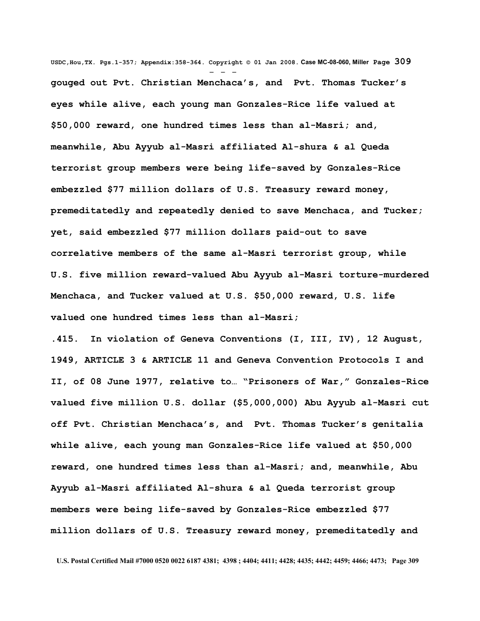**USDC,Hou,TX. Pgs.1-357; Appendix:358-364. Copyright © 01 Jan 2008. Case MC-08-060, Miller Page 309** - - **gouged out Pvt. Christian Menchaca's, and Pvt. Thomas Tucker's eyes while alive, each young man Gonzales-Rice life valued at \$50,000 reward, one hundred times less than al-Masri; and, meanwhile, Abu Ayyub al-Masri affiliated Al-shura & al Queda terrorist group members were being life-saved by Gonzales-Rice embezzled \$77 million dollars of U.S. Treasury reward money, premeditatedly and repeatedly denied to save Menchaca, and Tucker; yet, said embezzled \$77 million dollars paid-out to save correlative members of the same al-Masri terrorist group, while U.S. five million reward-valued Abu Ayyub al-Masri torture-murdered Menchaca, and Tucker valued at U.S. \$50,000 reward, U.S. life valued one hundred times less than al-Masri;** 

**.415. In violation of Geneva Conventions (I, III, IV), 12 August, 1949, ARTICLE 3 & ARTICLE 11 and Geneva Convention Protocols I and II, of 08 June 1977, relative to… "Prisoners of War," Gonzales-Rice valued five million U.S. dollar (\$5,000,000) Abu Ayyub al-Masri cut off Pvt. Christian Menchaca's, and Pvt. Thomas Tucker's genitalia while alive, each young man Gonzales-Rice life valued at \$50,000 reward, one hundred times less than al-Masri; and, meanwhile, Abu Ayyub al-Masri affiliated Al-shura & al Queda terrorist group members were being life-saved by Gonzales-Rice embezzled \$77 million dollars of U.S. Treasury reward money, premeditatedly and**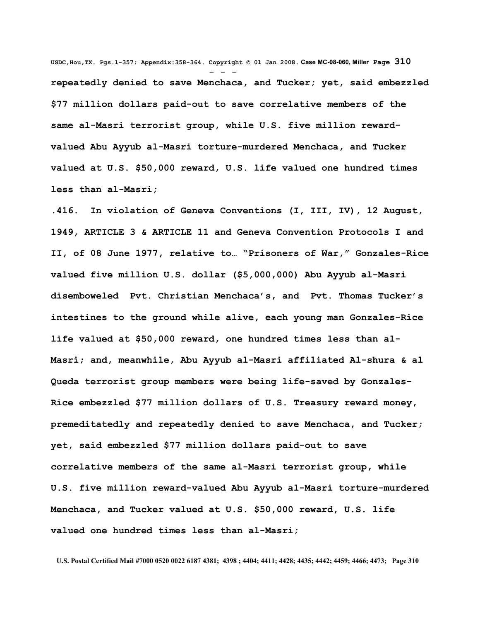**USDC,Hou,TX. Pgs.1-357; Appendix:358-364. Copyright © 01 Jan 2008. Case MC-08-060, Miller Page 310** - - **repeatedly denied to save Menchaca, and Tucker; yet, said embezzled \$77 million dollars paid-out to save correlative members of the same al-Masri terrorist group, while U.S. five million rewardvalued Abu Ayyub al-Masri torture-murdered Menchaca, and Tucker valued at U.S. \$50,000 reward, U.S. life valued one hundred times less than al-Masri;** 

**.416. In violation of Geneva Conventions (I, III, IV), 12 August, 1949, ARTICLE 3 & ARTICLE 11 and Geneva Convention Protocols I and II, of 08 June 1977, relative to… "Prisoners of War," Gonzales-Rice valued five million U.S. dollar (\$5,000,000) Abu Ayyub al-Masri disemboweled Pvt. Christian Menchaca's, and Pvt. Thomas Tucker's intestines to the ground while alive, each young man Gonzales-Rice life valued at \$50,000 reward, one hundred times less than al-Masri; and, meanwhile, Abu Ayyub al-Masri affiliated Al-shura & al Queda terrorist group members were being life-saved by Gonzales-Rice embezzled \$77 million dollars of U.S. Treasury reward money, premeditatedly and repeatedly denied to save Menchaca, and Tucker; yet, said embezzled \$77 million dollars paid-out to save correlative members of the same al-Masri terrorist group, while U.S. five million reward-valued Abu Ayyub al-Masri torture-murdered Menchaca, and Tucker valued at U.S. \$50,000 reward, U.S. life valued one hundred times less than al-Masri;**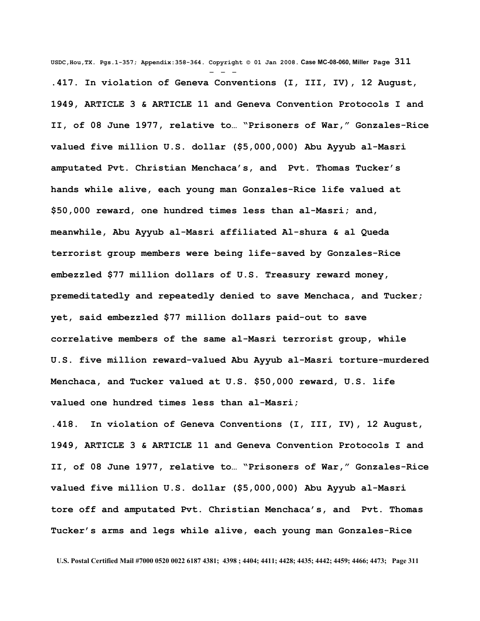**USDC,Hou,TX. Pgs.1-357; Appendix:358-364. Copyright © 01 Jan 2008. Case MC-08-060, Miller Page 311** - - - **.417. In violation of Geneva Conventions (I, III, IV), 12 August, 1949, ARTICLE 3 & ARTICLE 11 and Geneva Convention Protocols I and II, of 08 June 1977, relative to… "Prisoners of War," Gonzales-Rice valued five million U.S. dollar (\$5,000,000) Abu Ayyub al-Masri amputated Pvt. Christian Menchaca's, and Pvt. Thomas Tucker's hands while alive, each young man Gonzales-Rice life valued at \$50,000 reward, one hundred times less than al-Masri; and, meanwhile, Abu Ayyub al-Masri affiliated Al-shura & al Queda terrorist group members were being life-saved by Gonzales-Rice embezzled \$77 million dollars of U.S. Treasury reward money, premeditatedly and repeatedly denied to save Menchaca, and Tucker; yet, said embezzled \$77 million dollars paid-out to save correlative members of the same al-Masri terrorist group, while U.S. five million reward-valued Abu Ayyub al-Masri torture-murdered Menchaca, and Tucker valued at U.S. \$50,000 reward, U.S. life valued one hundred times less than al-Masri;** 

**.418. In violation of Geneva Conventions (I, III, IV), 12 August, 1949, ARTICLE 3 & ARTICLE 11 and Geneva Convention Protocols I and II, of 08 June 1977, relative to… "Prisoners of War," Gonzales-Rice valued five million U.S. dollar (\$5,000,000) Abu Ayyub al-Masri tore off and amputated Pvt. Christian Menchaca's, and Pvt. Thomas Tucker's arms and legs while alive, each young man Gonzales-Rice**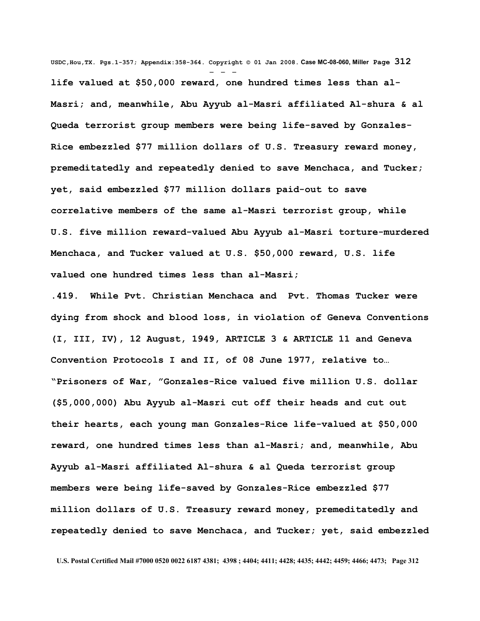**USDC,Hou,TX. Pgs.1-357; Appendix:358-364. Copyright © 01 Jan 2008. Case MC-08-060, Miller Page 312** - - **life valued at \$50,000 reward, one hundred times less than al-Masri; and, meanwhile, Abu Ayyub al-Masri affiliated Al-shura & al Queda terrorist group members were being life-saved by Gonzales-Rice embezzled \$77 million dollars of U.S. Treasury reward money, premeditatedly and repeatedly denied to save Menchaca, and Tucker; yet, said embezzled \$77 million dollars paid-out to save correlative members of the same al-Masri terrorist group, while U.S. five million reward-valued Abu Ayyub al-Masri torture-murdered Menchaca, and Tucker valued at U.S. \$50,000 reward, U.S. life valued one hundred times less than al-Masri;** 

**.419. While Pvt. Christian Menchaca and Pvt. Thomas Tucker were dying from shock and blood loss, in violation of Geneva Conventions (I, III, IV), 12 August, 1949, ARTICLE 3 & ARTICLE 11 and Geneva Convention Protocols I and II, of 08 June 1977, relative to… "Prisoners of War, "Gonzales-Rice valued five million U.S. dollar (\$5,000,000) Abu Ayyub al-Masri cut off their heads and cut out their hearts, each young man Gonzales-Rice life-valued at \$50,000 reward, one hundred times less than al-Masri; and, meanwhile, Abu Ayyub al-Masri affiliated Al-shura & al Queda terrorist group members were being life-saved by Gonzales-Rice embezzled \$77 million dollars of U.S. Treasury reward money, premeditatedly and repeatedly denied to save Menchaca, and Tucker; yet, said embezzled**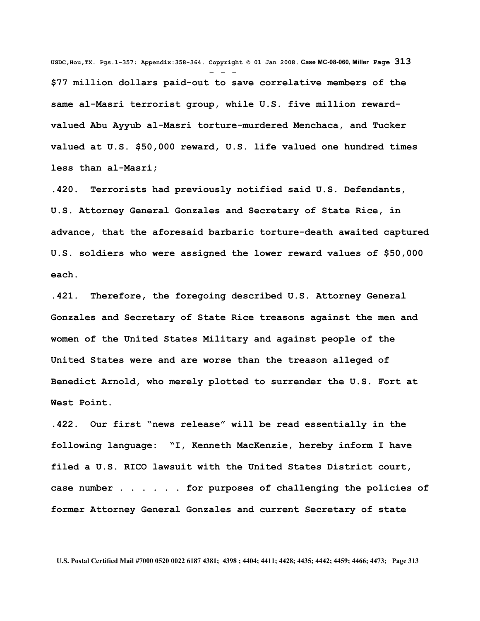**USDC,Hou,TX. Pgs.1-357; Appendix:358-364. Copyright © 01 Jan 2008. Case MC-08-060, Miller Page 313** - - - **\$77 million dollars paid-out to save correlative members of the same al-Masri terrorist group, while U.S. five million rewardvalued Abu Ayyub al-Masri torture-murdered Menchaca, and Tucker valued at U.S. \$50,000 reward, U.S. life valued one hundred times less than al-Masri;** 

**.420. Terrorists had previously notified said U.S. Defendants, U.S. Attorney General Gonzales and Secretary of State Rice, in advance, that the aforesaid barbaric torture-death awaited captured U.S. soldiers who were assigned the lower reward values of \$50,000 each.** 

**.421. Therefore, the foregoing described U.S. Attorney General Gonzales and Secretary of State Rice treasons against the men and women of the United States Military and against people of the United States were and are worse than the treason alleged of Benedict Arnold, who merely plotted to surrender the U.S. Fort at West Point.**

**.422. Our first "news release" will be read essentially in the following language: "I, Kenneth MacKenzie, hereby inform I have filed a U.S. RICO lawsuit with the United States District court, case number . . . . . . for purposes of challenging the policies of former Attorney General Gonzales and current Secretary of state**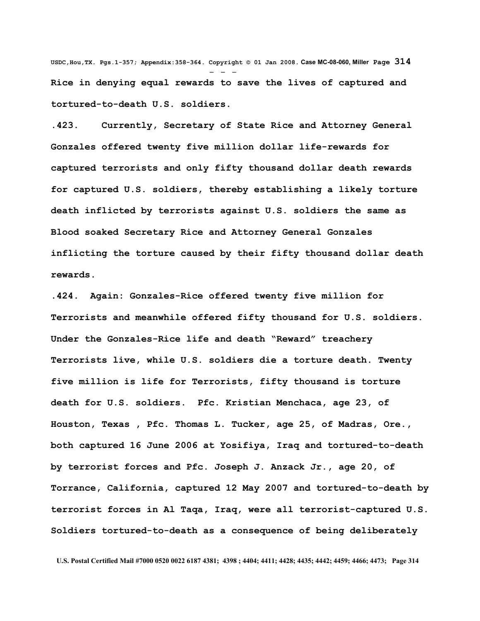**USDC,Hou,TX. Pgs.1-357; Appendix:358-364. Copyright © 01 Jan 2008. Case MC-08-060, Miller Page 314** - - - **Rice in denying equal rewards to save the lives of captured and tortured-to-death U.S. soldiers.**

**.423. Currently, Secretary of State Rice and Attorney General Gonzales offered twenty five million dollar life-rewards for captured terrorists and only fifty thousand dollar death rewards for captured U.S. soldiers, thereby establishing a likely torture death inflicted by terrorists against U.S. soldiers the same as Blood soaked Secretary Rice and Attorney General Gonzales inflicting the torture caused by their fifty thousand dollar death rewards.** 

**.424. Again: Gonzales-Rice offered twenty five million for Terrorists and meanwhile offered fifty thousand for U.S. soldiers. Under the Gonzales-Rice life and death "Reward" treachery Terrorists live, while U.S. soldiers die a torture death. Twenty five million is life for Terrorists, fifty thousand is torture death for U.S. soldiers. Pfc. Kristian Menchaca, age 23, of Houston, Texas , Pfc. Thomas L. Tucker, age 25, of Madras, Ore., both captured 16 June 2006 at Yosifiya, Iraq and tortured-to-death by terrorist forces and Pfc. Joseph J. Anzack Jr., age 20, of Torrance, California, captured 12 May 2007 and tortured-to-death by terrorist forces in Al Taqa, Iraq, were all terrorist-captured U.S. Soldiers tortured-to-death as a consequence of being deliberately**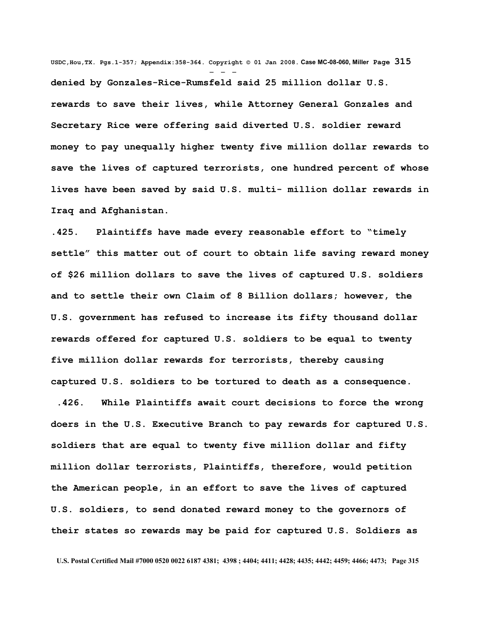**USDC,Hou,TX. Pgs.1-357; Appendix:358-364. Copyright © 01 Jan 2008. Case MC-08-060, Miller Page 315** - - **denied by Gonzales-Rice-Rumsfeld said 25 million dollar U.S. rewards to save their lives, while Attorney General Gonzales and Secretary Rice were offering said diverted U.S. soldier reward money to pay unequally higher twenty five million dollar rewards to save the lives of captured terrorists, one hundred percent of whose lives have been saved by said U.S. multi- million dollar rewards in Iraq and Afghanistan.**

**.425. Plaintiffs have made every reasonable effort to "timely settle" this matter out of court to obtain life saving reward money of \$26 million dollars to save the lives of captured U.S. soldiers and to settle their own Claim of 8 Billion dollars; however, the U.S. government has refused to increase its fifty thousand dollar rewards offered for captured U.S. soldiers to be equal to twenty five million dollar rewards for terrorists, thereby causing captured U.S. soldiers to be tortured to death as a consequence.**

 **.426. While Plaintiffs await court decisions to force the wrong doers in the U.S. Executive Branch to pay rewards for captured U.S. soldiers that are equal to twenty five million dollar and fifty million dollar terrorists, Plaintiffs, therefore, would petition the American people, in an effort to save the lives of captured U.S. soldiers, to send donated reward money to the governors of their states so rewards may be paid for captured U.S. Soldiers as**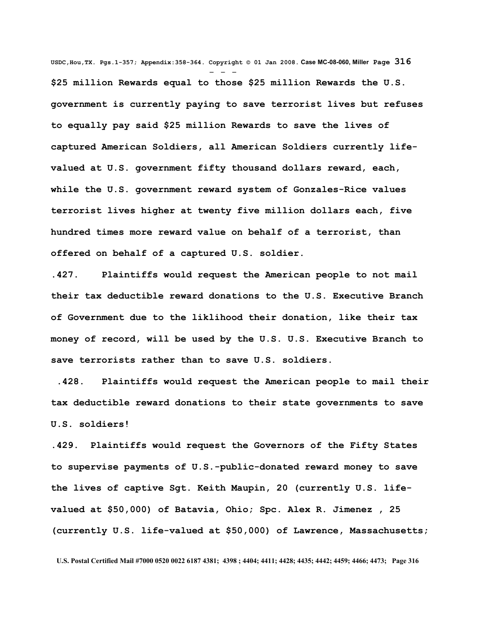**USDC,Hou,TX. Pgs.1-357; Appendix:358-364. Copyright © 01 Jan 2008. Case MC-08-060, Miller Page 316** - - - **\$25 million Rewards equal to those \$25 million Rewards the U.S. government is currently paying to save terrorist lives but refuses to equally pay said \$25 million Rewards to save the lives of captured American Soldiers, all American Soldiers currently lifevalued at U.S. government fifty thousand dollars reward, each, while the U.S. government reward system of Gonzales-Rice values terrorist lives higher at twenty five million dollars each, five hundred times more reward value on behalf of a terrorist, than offered on behalf of a captured U.S. soldier.**

**.427. Plaintiffs would request the American people to not mail their tax deductible reward donations to the U.S. Executive Branch of Government due to the liklihood their donation, like their tax money of record, will be used by the U.S. U.S. Executive Branch to save terrorists rather than to save U.S. soldiers.** 

 **.428. Plaintiffs would request the American people to mail their tax deductible reward donations to their state governments to save U.S. soldiers!** 

**.429. Plaintiffs would request the Governors of the Fifty States to supervise payments of U.S.-public-donated reward money to save the lives of captive Sgt. Keith Maupin, 20 (currently U.S. lifevalued at \$50,000) of Batavia, Ohio; Spc. Alex R. Jimenez , 25 (currently U.S. life-valued at \$50,000) of Lawrence, Massachusetts;**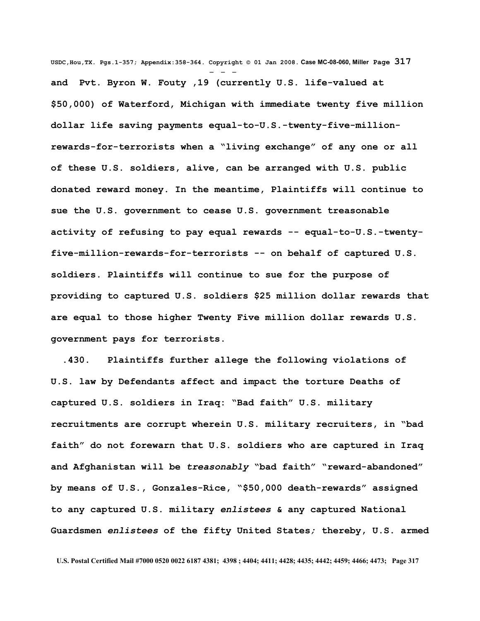**USDC,Hou,TX. Pgs.1-357; Appendix:358-364. Copyright © 01 Jan 2008. Case MC-08-060, Miller Page 317** - - **and Pvt. Byron W. Fouty ,19 (currently U.S. life-valued at \$50,000) of Waterford, Michigan with immediate twenty five million dollar life saving payments equal-to-U.S.-twenty-five-millionrewards-for-terrorists when a "living exchange" of any one or all of these U.S. soldiers, alive, can be arranged with U.S. public donated reward money. In the meantime, Plaintiffs will continue to sue the U.S. government to cease U.S. government treasonable activity of refusing to pay equal rewards -- equal-to-U.S.-twentyfive-million-rewards-for-terrorists -- on behalf of captured U.S. soldiers. Plaintiffs will continue to sue for the purpose of providing to captured U.S. soldiers \$25 million dollar rewards that are equal to those higher Twenty Five million dollar rewards U.S. government pays for terrorists.** 

 **.430. Plaintiffs further allege the following violations of U.S. law by Defendants affect and impact the torture Deaths of captured U.S. soldiers in Iraq: "Bad faith" U.S. military recruitments are corrupt wherein U.S. military recruiters, in "bad faith" do not forewarn that U.S. soldiers who are captured in Iraq and Afghanistan will be** *treasonably* **"bad faith" "reward-abandoned" by means of U.S., Gonzales-Rice, "\$50,000 death-rewards" assigned to any captured U.S. military** *enlistees* **& any captured National Guardsmen** *enlistees* **of the fifty United States***;* **thereby, U.S. armed**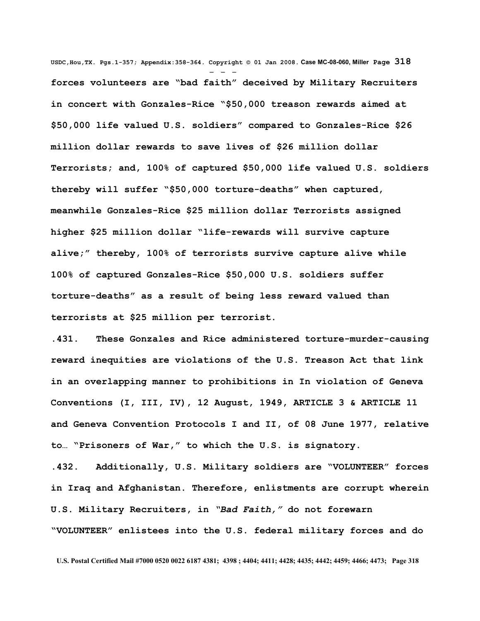**USDC,Hou,TX. Pgs.1-357; Appendix:358-364. Copyright © 01 Jan 2008. Case MC-08-060, Miller Page 318** - - **forces volunteers are "bad faith" deceived by Military Recruiters in concert with Gonzales-Rice "\$50,000 treason rewards aimed at \$50,000 life valued U.S. soldiers" compared to Gonzales-Rice \$26 million dollar rewards to save lives of \$26 million dollar Terrorists; and, 100% of captured \$50,000 life valued U.S. soldiers thereby will suffer "\$50,000 torture-deaths" when captured, meanwhile Gonzales-Rice \$25 million dollar Terrorists assigned higher \$25 million dollar "life-rewards will survive capture alive;" thereby, 100% of terrorists survive capture alive while 100% of captured Gonzales-Rice \$50,000 U.S. soldiers suffer torture-deaths" as a result of being less reward valued than terrorists at \$25 million per terrorist.**

**.431. These Gonzales and Rice administered torture-murder-causing reward inequities are violations of the U.S. Treason Act that link in an overlapping manner to prohibitions in In violation of Geneva Conventions (I, III, IV), 12 August, 1949, ARTICLE 3 & ARTICLE 11 and Geneva Convention Protocols I and II, of 08 June 1977, relative to… "Prisoners of War," to which the U.S. is signatory.** 

**.432. Additionally, U.S. Military soldiers are "VOLUNTEER" forces in Iraq and Afghanistan. Therefore, enlistments are corrupt wherein U.S. Military Recruiters, in** *"Bad Faith,"* **do not forewarn "VOLUNTEER" enlistees into the U.S. federal military forces and do**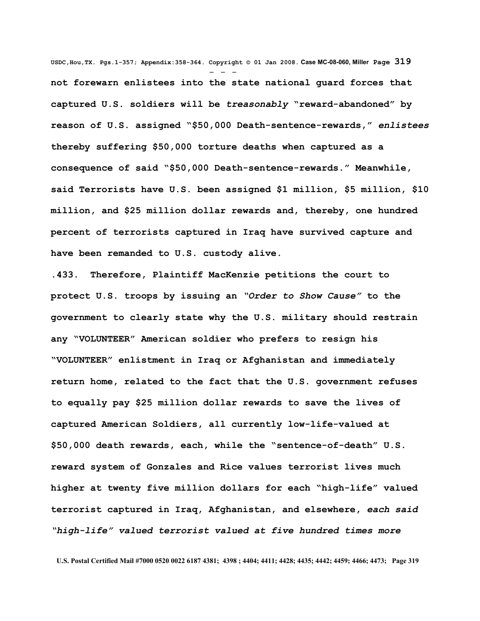**USDC,Hou,TX. Pgs.1-357; Appendix:358-364. Copyright © 01 Jan 2008. Case MC-08-060, Miller Page 319** - - **not forewarn enlistees into the state national guard forces that captured U.S. soldiers will be** *treasonably* **"reward-abandoned" by reason of U.S. assigned "\$50,000 Death-sentence-rewards,"** *enlistees* **thereby suffering \$50,000 torture deaths when captured as a consequence of said "\$50,000 Death-sentence-rewards." Meanwhile, said Terrorists have U.S. been assigned \$1 million, \$5 million, \$10 million, and \$25 million dollar rewards and, thereby, one hundred percent of terrorists captured in Iraq have survived capture and have been remanded to U.S. custody alive.**

**.433. Therefore, Plaintiff MacKenzie petitions the court to protect U.S. troops by issuing an** *"Order to Show Cause"* **to the government to clearly state why the U.S. military should restrain any "VOLUNTEER" American soldier who prefers to resign his "VOLUNTEER" enlistment in Iraq or Afghanistan and immediately return home, related to the fact that the U.S. government refuses to equally pay \$25 million dollar rewards to save the lives of captured American Soldiers, all currently low-life-valued at \$50,000 death rewards, each, while the "sentence-of-death" U.S. reward system of Gonzales and Rice values terrorist lives much higher at twenty five million dollars for each "high-life" valued terrorist captured in Iraq, Afghanistan, and elsewhere,** *each said "high-life" valued terrorist valued at five hundred times more*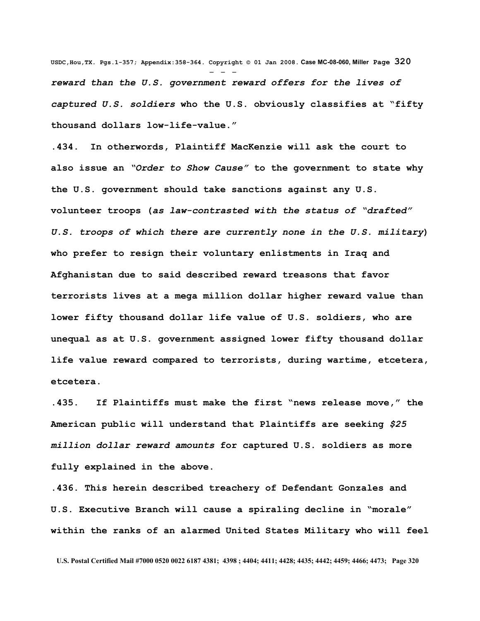**USDC,Hou,TX. Pgs.1-357; Appendix:358-364. Copyright © 01 Jan 2008. Case MC-08-060, Miller Page 320** - - *reward than the U.S. government reward offers for the lives of captured U.S. soldiers* **who the U.S. obviously classifies at "fifty thousand dollars low-life-value."** 

**.434. In otherwords, Plaintiff MacKenzie will ask the court to also issue an** *"Order to Show Cause"* **to the government to state why the U.S. government should take sanctions against any U.S. volunteer troops (***as law-contrasted with the status of "drafted" U.S. troops of which there are currently none in the U.S. military***) who prefer to resign their voluntary enlistments in Iraq and Afghanistan due to said described reward treasons that favor terrorists lives at a mega million dollar higher reward value than lower fifty thousand dollar life value of U.S. soldiers, who are unequal as at U.S. government assigned lower fifty thousand dollar life value reward compared to terrorists, during wartime, etcetera, etcetera.** 

**.435. If Plaintiffs must make the first "news release move," the American public will understand that Plaintiffs are seeking** *\$25 million dollar reward amounts* **for captured U.S. soldiers as more fully explained in the above.** 

**.436. This herein described treachery of Defendant Gonzales and U.S. Executive Branch will cause a spiraling decline in "morale" within the ranks of an alarmed United States Military who will feel**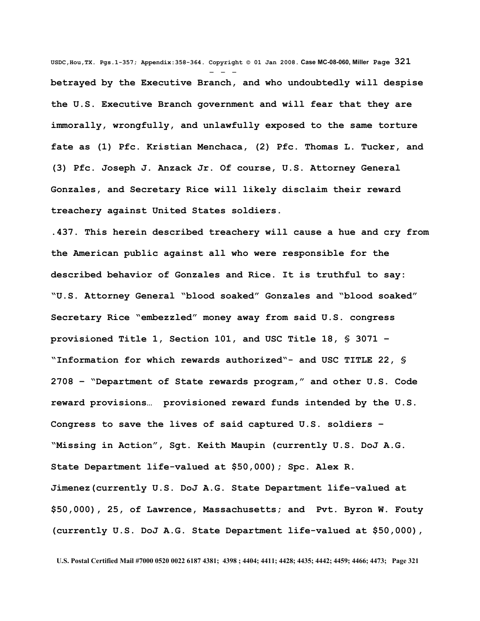**USDC,Hou,TX. Pgs.1-357; Appendix:358-364. Copyright © 01 Jan 2008. Case MC-08-060, Miller Page 321** - - **betrayed by the Executive Branch, and who undoubtedly will despise the U.S. Executive Branch government and will fear that they are immorally, wrongfully, and unlawfully exposed to the same torture fate as (1) Pfc. Kristian Menchaca, (2) Pfc. Thomas L. Tucker, and (3) Pfc. Joseph J. Anzack Jr. Of course, U.S. Attorney General Gonzales, and Secretary Rice will likely disclaim their reward treachery against United States soldiers.**

**.437. This herein described treachery will cause a hue and cry from the American public against all who were responsible for the described behavior of Gonzales and Rice. It is truthful to say: "U.S. Attorney General "blood soaked" Gonzales and "blood soaked" Secretary Rice "embezzled" money away from said U.S. congress provisioned Title 1, Section 101, and USC Title 18, § 3071 – "Information for which rewards authorized"- and USC TITLE 22, § 2708 – "Department of State rewards program," and other U.S. Code reward provisions… provisioned reward funds intended by the U.S. Congress to save the lives of said captured U.S. soldiers – "Missing in Action", Sgt. Keith Maupin (currently U.S. DoJ A.G. State Department life-valued at \$50,000); Spc. Alex R. Jimenez(currently U.S. DoJ A.G. State Department life-valued at \$50,000), 25, of Lawrence, Massachusetts; and Pvt. Byron W. Fouty (currently U.S. DoJ A.G. State Department life-valued at \$50,000),**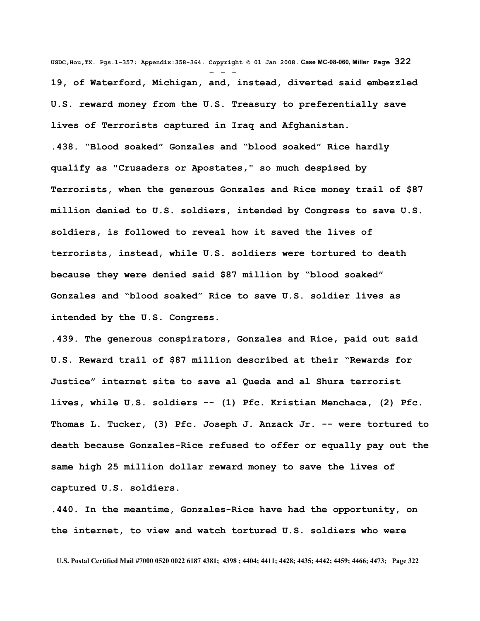**USDC,Hou,TX. Pgs.1-357; Appendix:358-364. Copyright © 01 Jan 2008. Case MC-08-060, Miller Page 322** - - - **19, of Waterford, Michigan, and, instead, diverted said embezzled U.S. reward money from the U.S. Treasury to preferentially save lives of Terrorists captured in Iraq and Afghanistan. .438. "Blood soaked" Gonzales and "blood soaked" Rice hardly qualify as "Crusaders or Apostates," so much despised by Terrorists, when the generous Gonzales and Rice money trail of \$87 million denied to U.S. soldiers, intended by Congress to save U.S. soldiers, is followed to reveal how it saved the lives of terrorists, instead, while U.S. soldiers were tortured to death because they were denied said \$87 million by "blood soaked" Gonzales and "blood soaked" Rice to save U.S. soldier lives as intended by the U.S. Congress.**

**.439. The generous conspirators, Gonzales and Rice, paid out said U.S. Reward trail of \$87 million described at their "Rewards for Justice" internet site to save al Queda and al Shura terrorist lives, while U.S. soldiers -- (1) Pfc. Kristian Menchaca, (2) Pfc. Thomas L. Tucker, (3) Pfc. Joseph J. Anzack Jr. -- were tortured to death because Gonzales-Rice refused to offer or equally pay out the same high 25 million dollar reward money to save the lives of captured U.S. soldiers.** 

**.440. In the meantime, Gonzales-Rice have had the opportunity, on the internet, to view and watch tortured U.S. soldiers who were**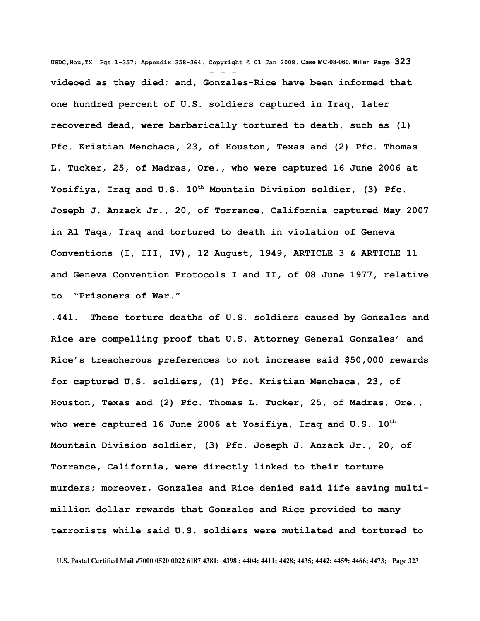**USDC,Hou,TX. Pgs.1-357; Appendix:358-364. Copyright © 01 Jan 2008. Case MC-08-060, Miller Page 323** - - **videoed as they died; and, Gonzales-Rice have been informed that one hundred percent of U.S. soldiers captured in Iraq, later recovered dead, were barbarically tortured to death, such as (1) Pfc. Kristian Menchaca, 23, of Houston, Texas and (2) Pfc. Thomas L. Tucker, 25, of Madras, Ore., who were captured 16 June 2006 at Yosifiya, Iraq and U.S. 10th Mountain Division soldier, (3) Pfc. Joseph J. Anzack Jr., 20, of Torrance, California captured May 2007 in Al Taqa, Iraq and tortured to death in violation of Geneva Conventions (I, III, IV), 12 August, 1949, ARTICLE 3 & ARTICLE 11 and Geneva Convention Protocols I and II, of 08 June 1977, relative to… "Prisoners of War."**

**.441. These torture deaths of U.S. soldiers caused by Gonzales and Rice are compelling proof that U.S. Attorney General Gonzales' and Rice's treacherous preferences to not increase said \$50,000 rewards for captured U.S. soldiers, (1) Pfc. Kristian Menchaca, 23, of Houston, Texas and (2) Pfc. Thomas L. Tucker, 25, of Madras, Ore., who were captured 16 June 2006 at Yosifiya, Iraq and U.S. 10th Mountain Division soldier, (3) Pfc. Joseph J. Anzack Jr., 20, of Torrance, California, were directly linked to their torture murders; moreover, Gonzales and Rice denied said life saving multimillion dollar rewards that Gonzales and Rice provided to many terrorists while said U.S. soldiers were mutilated and tortured to**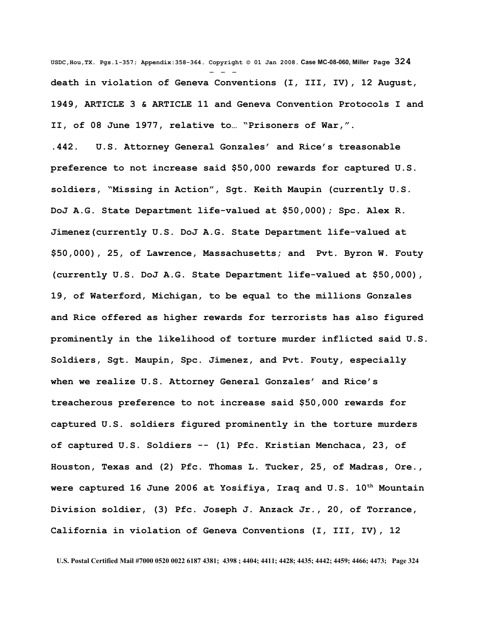**USDC,Hou,TX. Pgs.1-357; Appendix:358-364. Copyright © 01 Jan 2008. Case MC-08-060, Miller Page 324** - - **death in violation of Geneva Conventions (I, III, IV), 12 August, 1949, ARTICLE 3 & ARTICLE 11 and Geneva Convention Protocols I and II, of 08 June 1977, relative to… "Prisoners of War,".** 

**.442. U.S. Attorney General Gonzales' and Rice's treasonable preference to not increase said \$50,000 rewards for captured U.S. soldiers, "Missing in Action", Sgt. Keith Maupin (currently U.S. DoJ A.G. State Department life-valued at \$50,000); Spc. Alex R. Jimenez(currently U.S. DoJ A.G. State Department life-valued at \$50,000), 25, of Lawrence, Massachusetts; and Pvt. Byron W. Fouty (currently U.S. DoJ A.G. State Department life-valued at \$50,000), 19, of Waterford, Michigan, to be equal to the millions Gonzales and Rice offered as higher rewards for terrorists has also figured prominently in the likelihood of torture murder inflicted said U.S. Soldiers, Sgt. Maupin, Spc. Jimenez, and Pvt. Fouty, especially when we realize U.S. Attorney General Gonzales' and Rice's treacherous preference to not increase said \$50,000 rewards for captured U.S. soldiers figured prominently in the torture murders of captured U.S. Soldiers -- (1) Pfc. Kristian Menchaca, 23, of Houston, Texas and (2) Pfc. Thomas L. Tucker, 25, of Madras, Ore., were captured 16 June 2006 at Yosifiya, Iraq and U.S. 10th Mountain Division soldier, (3) Pfc. Joseph J. Anzack Jr., 20, of Torrance, California in violation of Geneva Conventions (I, III, IV), 12**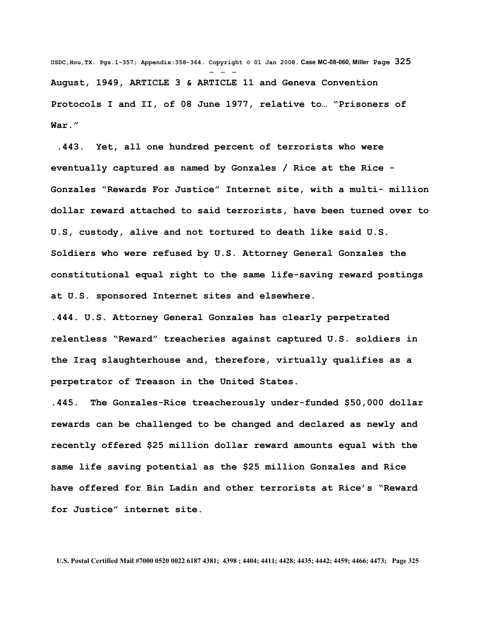**USDC,Hou,TX. Pgs.1-357; Appendix:358-364. Copyright © 01 Jan 2008. Case MC-08-060, Miller Page 325** - - - **August, 1949, ARTICLE 3 & ARTICLE 11 and Geneva Convention Protocols I and II, of 08 June 1977, relative to… "Prisoners of War."** 

 **.443. Yet, all one hundred percent of terrorists who were eventually captured as named by Gonzales / Rice at the Rice - Gonzales "Rewards For Justice" Internet site, with a multi- million dollar reward attached to said terrorists, have been turned over to U.S, custody, alive and not tortured to death like said U.S. Soldiers who were refused by U.S. Attorney General Gonzales the constitutional equal right to the same life-saving reward postings at U.S. sponsored Internet sites and elsewhere.** 

**.444. U.S. Attorney General Gonzales has clearly perpetrated relentless "Reward" treacheries against captured U.S. soldiers in the Iraq slaughterhouse and, therefore, virtually qualifies as a perpetrator of Treason in the United States.** 

**.445. The Gonzales-Rice treacherously under-funded \$50,000 dollar rewards can be challenged to be changed and declared as newly and recently offered \$25 million dollar reward amounts equal with the same life saving potential as the \$25 million Gonzales and Rice have offered for Bin Ladin and other terrorists at Rice's "Reward for Justice" internet site.**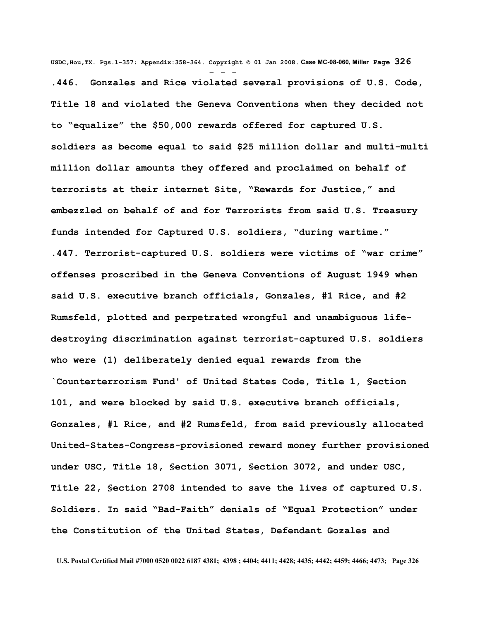**USDC,Hou,TX. Pgs.1-357; Appendix:358-364. Copyright © 01 Jan 2008. Case MC-08-060, Miller Page 326** - - - **.446. Gonzales and Rice violated several provisions of U.S. Code, Title 18 and violated the Geneva Conventions when they decided not to "equalize" the \$50,000 rewards offered for captured U.S. soldiers as become equal to said \$25 million dollar and multi-multi million dollar amounts they offered and proclaimed on behalf of terrorists at their internet Site, "Rewards for Justice," and embezzled on behalf of and for Terrorists from said U.S. Treasury funds intended for Captured U.S. soldiers, "during wartime." .447. Terrorist-captured U.S. soldiers were victims of "war crime" offenses proscribed in the Geneva Conventions of August 1949 when said U.S. executive branch officials, Gonzales, #1 Rice, and #2 Rumsfeld, plotted and perpetrated wrongful and unambiguous lifedestroying discrimination against terrorist-captured U.S. soldiers who were (1) deliberately denied equal rewards from the `Counterterrorism Fund' of United States Code, Title 1, §ection 101, and were blocked by said U.S. executive branch officials, Gonzales, #1 Rice, and #2 Rumsfeld, from said previously allocated United-States-Congress-provisioned reward money further provisioned under USC, Title 18, §ection 3071, §ection 3072, and under USC, Title 22, §ection 2708 intended to save the lives of captured U.S. Soldiers. In said "Bad-Faith" denials of "Equal Protection" under the Constitution of the United States, Defendant Gozales and**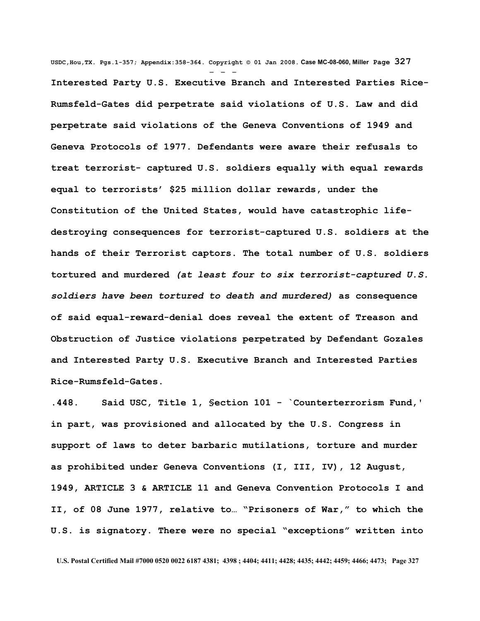**USDC,Hou,TX. Pgs.1-357; Appendix:358-364. Copyright © 01 Jan 2008. Case MC-08-060, Miller Page 327** - - - **Interested Party U.S. Executive Branch and Interested Parties Rice-Rumsfeld-Gates did perpetrate said violations of U.S. Law and did perpetrate said violations of the Geneva Conventions of 1949 and Geneva Protocols of 1977. Defendants were aware their refusals to treat terrorist- captured U.S. soldiers equally with equal rewards equal to terrorists' \$25 million dollar rewards, under the Constitution of the United States, would have catastrophic lifedestroying consequences for terrorist-captured U.S. soldiers at the hands of their Terrorist captors. The total number of U.S. soldiers tortured and murdered** *(at least four to six terrorist-captured U.S. soldiers have been tortured to death and murdered)* **as consequence of said equal-reward-denial does reveal the extent of Treason and Obstruction of Justice violations perpetrated by Defendant Gozales and Interested Party U.S. Executive Branch and Interested Parties Rice-Rumsfeld-Gates.**

**.448. Said USC, Title 1, §ection 101 - `Counterterrorism Fund,' in part, was provisioned and allocated by the U.S. Congress in support of laws to deter barbaric mutilations, torture and murder as prohibited under Geneva Conventions (I, III, IV), 12 August, 1949, ARTICLE 3 & ARTICLE 11 and Geneva Convention Protocols I and II, of 08 June 1977, relative to… "Prisoners of War," to which the U.S. is signatory. There were no special "exceptions" written into**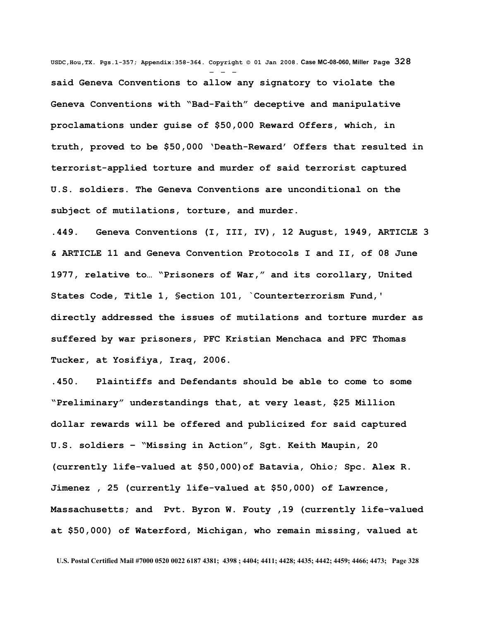**USDC,Hou,TX. Pgs.1-357; Appendix:358-364. Copyright © 01 Jan 2008. Case MC-08-060, Miller Page 328** - - **said Geneva Conventions to allow any signatory to violate the Geneva Conventions with "Bad-Faith" deceptive and manipulative proclamations under guise of \$50,000 Reward Offers, which, in truth, proved to be \$50,000 'Death-Reward' Offers that resulted in terrorist-applied torture and murder of said terrorist captured U.S. soldiers. The Geneva Conventions are unconditional on the subject of mutilations, torture, and murder.** 

**.449. Geneva Conventions (I, III, IV), 12 August, 1949, ARTICLE 3 & ARTICLE 11 and Geneva Convention Protocols I and II, of 08 June 1977, relative to… "Prisoners of War," and its corollary, United States Code, Title 1, §ection 101, `Counterterrorism Fund,' directly addressed the issues of mutilations and torture murder as suffered by war prisoners, PFC Kristian Menchaca and PFC Thomas Tucker, at Yosifiya, Iraq, 2006.**

**.450. Plaintiffs and Defendants should be able to come to some "Preliminary" understandings that, at very least, \$25 Million dollar rewards will be offered and publicized for said captured U.S. soldiers – "Missing in Action", Sgt. Keith Maupin, 20 (currently life-valued at \$50,000)of Batavia, Ohio; Spc. Alex R. Jimenez , 25 (currently life-valued at \$50,000) of Lawrence, Massachusetts; and Pvt. Byron W. Fouty ,19 (currently life-valued at \$50,000) of Waterford, Michigan, who remain missing, valued at**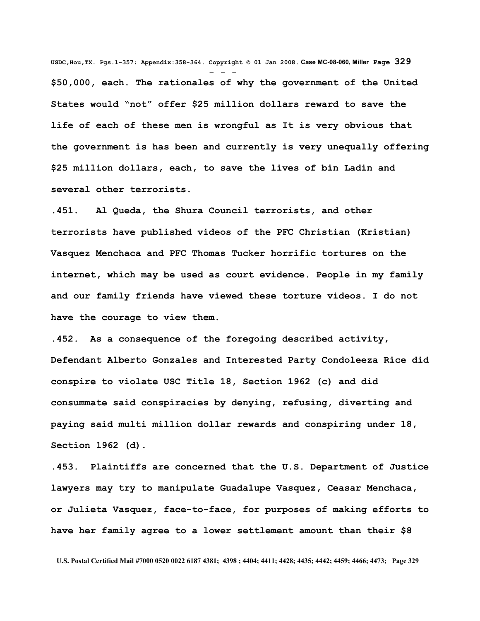**USDC,Hou,TX. Pgs.1-357; Appendix:358-364. Copyright © 01 Jan 2008. Case MC-08-060, Miller Page 329** - - - **\$50,000, each. The rationales of why the government of the United States would "not" offer \$25 million dollars reward to save the life of each of these men is wrongful as It is very obvious that the government is has been and currently is very unequally offering \$25 million dollars, each, to save the lives of bin Ladin and several other terrorists.** 

**.451. Al Queda, the Shura Council terrorists, and other terrorists have published videos of the PFC Christian (Kristian) Vasquez Menchaca and PFC Thomas Tucker horrific tortures on the internet, which may be used as court evidence. People in my family and our family friends have viewed these torture videos. I do not have the courage to view them.**

**.452. As a consequence of the foregoing described activity, Defendant Alberto Gonzales and Interested Party Condoleeza Rice did conspire to violate USC Title 18, Section 1962 (c) and did consummate said conspiracies by denying, refusing, diverting and paying said multi million dollar rewards and conspiring under 18, Section 1962 (d).** 

**.453. Plaintiffs are concerned that the U.S. Department of Justice lawyers may try to manipulate Guadalupe Vasquez, Ceasar Menchaca, or Julieta Vasquez, face-to-face, for purposes of making efforts to have her family agree to a lower settlement amount than their \$8**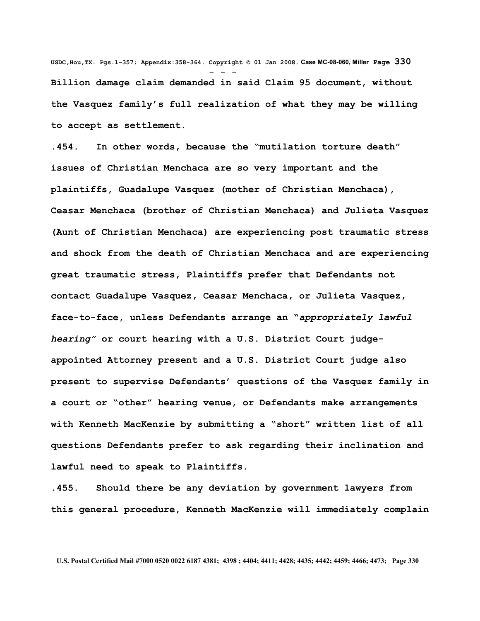**USDC,Hou,TX. Pgs.1-357; Appendix:358-364. Copyright © 01 Jan 2008. Case MC-08-060, Miller Page 330** - - - **Billion damage claim demanded in said Claim 95 document, without the Vasquez family's full realization of what they may be willing to accept as settlement.**

**.454. In other words, because the "mutilation torture death" issues of Christian Menchaca are so very important and the plaintiffs, Guadalupe Vasquez (mother of Christian Menchaca), Ceasar Menchaca (brother of Christian Menchaca) and Julieta Vasquez (Aunt of Christian Menchaca) are experiencing post traumatic stress and shock from the death of Christian Menchaca and are experiencing great traumatic stress, Plaintiffs prefer that Defendants not contact Guadalupe Vasquez, Ceasar Menchaca, or Julieta Vasquez, face-to-face, unless Defendants arrange an "***appropriately lawful hearing"* **or court hearing with a U.S. District Court judgeappointed Attorney present and a U.S. District Court judge also present to supervise Defendants' questions of the Vasquez family in a court or "other" hearing venue, or Defendants make arrangements with Kenneth MacKenzie by submitting a "short" written list of all questions Defendants prefer to ask regarding their inclination and lawful need to speak to Plaintiffs.** 

**.455. Should there be any deviation by government lawyers from this general procedure, Kenneth MacKenzie will immediately complain**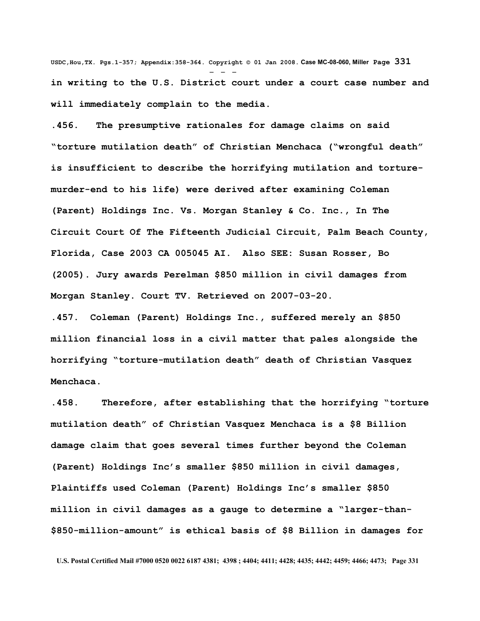**USDC,Hou,TX. Pgs.1-357; Appendix:358-364. Copyright © 01 Jan 2008. Case MC-08-060, Miller Page 331** - - **in writing to the U.S. District court under a court case number and will immediately complain to the media.**

**.456. The presumptive rationales for damage claims on said "torture mutilation death" of Christian Menchaca ("wrongful death" is insufficient to describe the horrifying mutilation and torturemurder-end to his life) were derived after examining Coleman (Parent) Holdings Inc. Vs. Morgan Stanley & Co. Inc., In The Circuit Court Of The Fifteenth Judicial Circuit, Palm Beach County, Florida, Case 2003 CA 005045 AI. Also SEE: Susan Rosser, Bo (2005). Jury awards Perelman \$850 million in civil damages from Morgan Stanley. Court TV. Retrieved on 2007-03-20.** 

**.457. Coleman (Parent) Holdings Inc., suffered merely an \$850 million financial loss in a civil matter that pales alongside the horrifying "torture-mutilation death" death of Christian Vasquez Menchaca.** 

**.458. Therefore, after establishing that the horrifying "torture mutilation death" of Christian Vasquez Menchaca is a \$8 Billion damage claim that goes several times further beyond the Coleman (Parent) Holdings Inc's smaller \$850 million in civil damages, Plaintiffs used Coleman (Parent) Holdings Inc's smaller \$850 million in civil damages as a gauge to determine a "larger-than- \$850-million-amount" is ethical basis of \$8 Billion in damages for**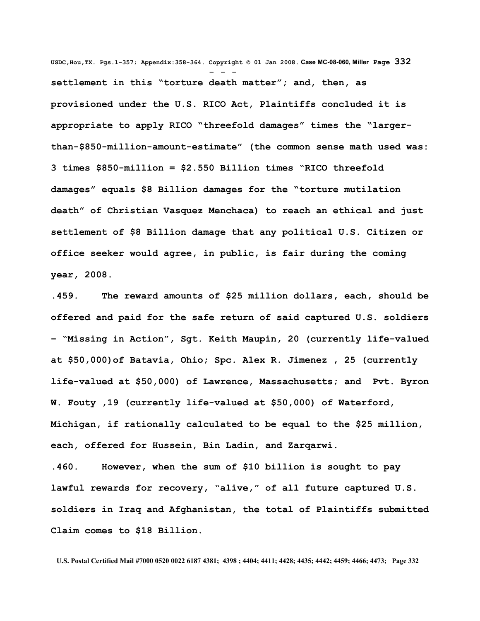**USDC,Hou,TX. Pgs.1-357; Appendix:358-364. Copyright © 01 Jan 2008. Case MC-08-060, Miller Page 332** - - **settlement in this "torture death matter"; and, then, as provisioned under the U.S. RICO Act, Plaintiffs concluded it is appropriate to apply RICO "threefold damages" times the "largerthan-\$850-million-amount-estimate" (the common sense math used was: 3 times \$850-million = \$2.550 Billion times "RICO threefold damages" equals \$8 Billion damages for the "torture mutilation death" of Christian Vasquez Menchaca) to reach an ethical and just settlement of \$8 Billion damage that any political U.S. Citizen or office seeker would agree, in public, is fair during the coming year, 2008.**

**.459. The reward amounts of \$25 million dollars, each, should be offered and paid for the safe return of said captured U.S. soldiers – "Missing in Action", Sgt. Keith Maupin, 20 (currently life-valued at \$50,000)of Batavia, Ohio; Spc. Alex R. Jimenez , 25 (currently life-valued at \$50,000) of Lawrence, Massachusetts; and Pvt. Byron W. Fouty ,19 (currently life-valued at \$50,000) of Waterford, Michigan, if rationally calculated to be equal to the \$25 million, each, offered for Hussein, Bin Ladin, and Zarqarwi.**

**.460. However, when the sum of \$10 billion is sought to pay lawful rewards for recovery, "alive," of all future captured U.S. soldiers in Iraq and Afghanistan, the total of Plaintiffs submitted Claim comes to \$18 Billion.**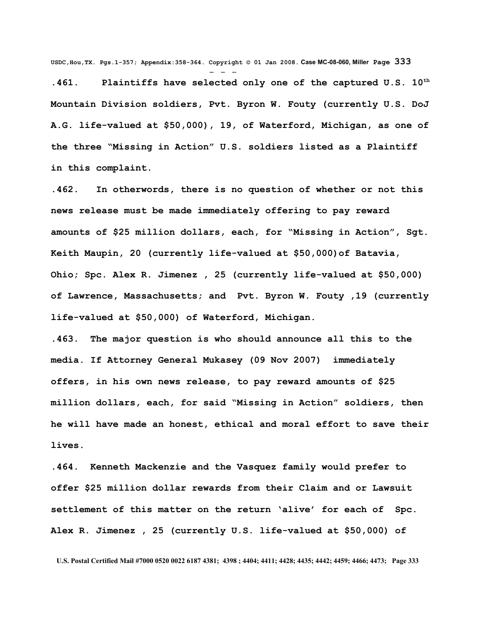**USDC,Hou,TX. Pgs.1-357; Appendix:358-364. Copyright © 01 Jan 2008. Case MC-08-060, Miller Page 333**

- - -

**.461. Plaintiffs have selected only one of the captured U.S. 10th Mountain Division soldiers, Pvt. Byron W. Fouty (currently U.S. DoJ A.G. life-valued at \$50,000), 19, of Waterford, Michigan, as one of the three "Missing in Action" U.S. soldiers listed as a Plaintiff in this complaint.**

**.462. In otherwords, there is no question of whether or not this news release must be made immediately offering to pay reward amounts of \$25 million dollars, each, for "Missing in Action", Sgt. Keith Maupin, 20 (currently life-valued at \$50,000)of Batavia, Ohio; Spc. Alex R. Jimenez , 25 (currently life-valued at \$50,000) of Lawrence, Massachusetts; and Pvt. Byron W. Fouty ,19 (currently life-valued at \$50,000) of Waterford, Michigan.**

**.463. The major question is who should announce all this to the media. If Attorney General Mukasey (09 Nov 2007) immediately offers, in his own news release, to pay reward amounts of \$25 million dollars, each, for said "Missing in Action" soldiers, then he will have made an honest, ethical and moral effort to save their lives.**

**.464. Kenneth Mackenzie and the Vasquez family would prefer to offer \$25 million dollar rewards from their Claim and or Lawsuit settlement of this matter on the return 'alive' for each of Spc. Alex R. Jimenez , 25 (currently U.S. life-valued at \$50,000) of**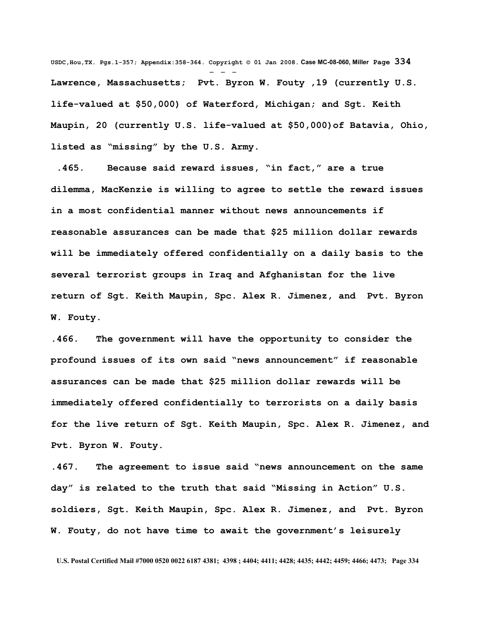**USDC,Hou,TX. Pgs.1-357; Appendix:358-364. Copyright © 01 Jan 2008. Case MC-08-060, Miller Page 334** - - - **Lawrence, Massachusetts; Pvt. Byron W. Fouty ,19 (currently U.S. life-valued at \$50,000) of Waterford, Michigan; and Sgt. Keith Maupin, 20 (currently U.S. life-valued at \$50,000)of Batavia, Ohio, listed as "missing" by the U.S. Army.**

 **.465. Because said reward issues, "in fact," are a true dilemma, MacKenzie is willing to agree to settle the reward issues in a most confidential manner without news announcements if reasonable assurances can be made that \$25 million dollar rewards will be immediately offered confidentially on a daily basis to the several terrorist groups in Iraq and Afghanistan for the live return of Sgt. Keith Maupin, Spc. Alex R. Jimenez, and Pvt. Byron W. Fouty.**

**.466. The government will have the opportunity to consider the profound issues of its own said "news announcement" if reasonable assurances can be made that \$25 million dollar rewards will be immediately offered confidentially to terrorists on a daily basis for the live return of Sgt. Keith Maupin, Spc. Alex R. Jimenez, and Pvt. Byron W. Fouty.**

**.467. The agreement to issue said "news announcement on the same day" is related to the truth that said "Missing in Action" U.S. soldiers, Sgt. Keith Maupin, Spc. Alex R. Jimenez, and Pvt. Byron W. Fouty, do not have time to await the government's leisurely**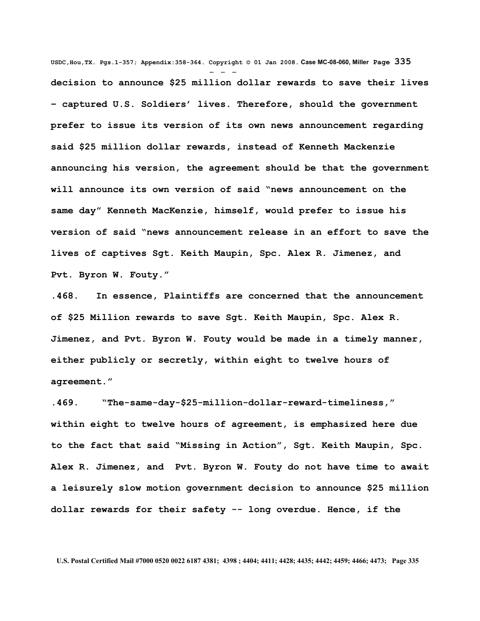**USDC,Hou,TX. Pgs.1-357; Appendix:358-364. Copyright © 01 Jan 2008. Case MC-08-060, Miller Page 335** - - **decision to announce \$25 million dollar rewards to save their lives – captured U.S. Soldiers' lives. Therefore, should the government prefer to issue its version of its own news announcement regarding said \$25 million dollar rewards, instead of Kenneth Mackenzie announcing his version, the agreement should be that the government will announce its own version of said "news announcement on the same day" Kenneth MacKenzie, himself, would prefer to issue his version of said "news announcement release in an effort to save the lives of captives Sgt. Keith Maupin, Spc. Alex R. Jimenez, and Pvt. Byron W. Fouty."**

**.468. In essence, Plaintiffs are concerned that the announcement of \$25 Million rewards to save Sgt. Keith Maupin, Spc. Alex R. Jimenez, and Pvt. Byron W. Fouty would be made in a timely manner, either publicly or secretly, within eight to twelve hours of agreement."**

**.469. "The-same-day-\$25-million-dollar-reward-timeliness," within eight to twelve hours of agreement, is emphasized here due to the fact that said "Missing in Action", Sgt. Keith Maupin, Spc. Alex R. Jimenez, and Pvt. Byron W. Fouty do not have time to await a leisurely slow motion government decision to announce \$25 million dollar rewards for their safety -- long overdue. Hence, if the**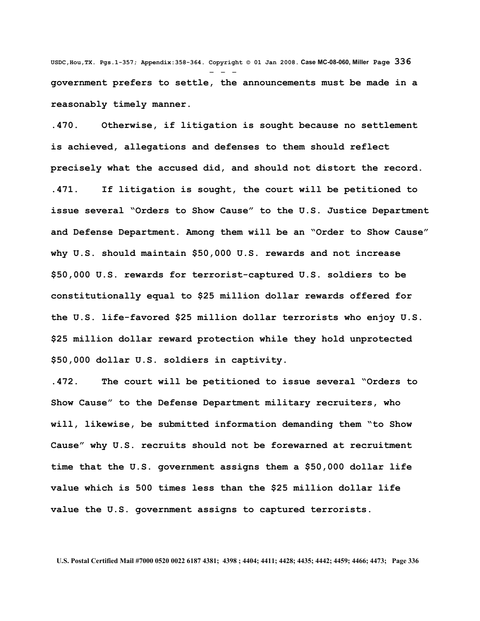**USDC,Hou,TX. Pgs.1-357; Appendix:358-364. Copyright © 01 Jan 2008. Case MC-08-060, Miller Page 336** - - **government prefers to settle, the announcements must be made in a reasonably timely manner.**

**.470. Otherwise, if litigation is sought because no settlement is achieved, allegations and defenses to them should reflect precisely what the accused did, and should not distort the record. .471. If litigation is sought, the court will be petitioned to issue several "Orders to Show Cause" to the U.S. Justice Department and Defense Department. Among them will be an "Order to Show Cause" why U.S. should maintain \$50,000 U.S. rewards and not increase \$50,000 U.S. rewards for terrorist-captured U.S. soldiers to be constitutionally equal to \$25 million dollar rewards offered for the U.S. life-favored \$25 million dollar terrorists who enjoy U.S. \$25 million dollar reward protection while they hold unprotected \$50,000 dollar U.S. soldiers in captivity.**

**.472. The court will be petitioned to issue several "Orders to Show Cause" to the Defense Department military recruiters, who will, likewise, be submitted information demanding them "to Show Cause" why U.S. recruits should not be forewarned at recruitment time that the U.S. government assigns them a \$50,000 dollar life value which is 500 times less than the \$25 million dollar life value the U.S. government assigns to captured terrorists.**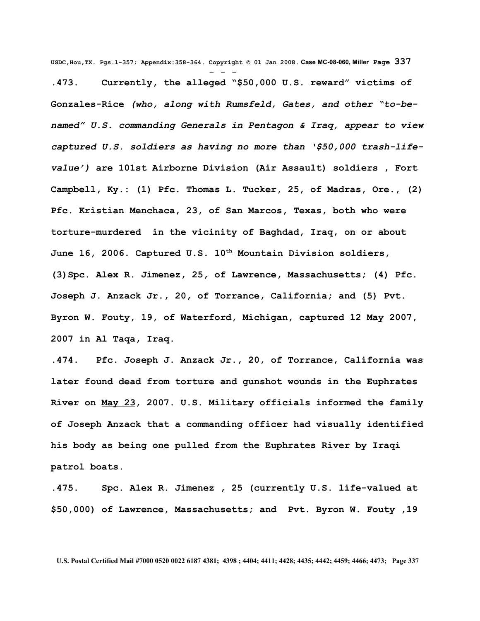**USDC,Hou,TX. Pgs.1-357; Appendix:358-364. Copyright © 01 Jan 2008. Case MC-08-060, Miller Page 337** - - - **.473. Currently, the alleged "\$50,000 U.S. reward" victims of Gonzales-Rice** *(who, along with Rumsfeld, Gates, and other "to-benamed" U.S. commanding Generals in Pentagon & Iraq, appear to view captured U.S. soldiers as having no more than '\$50,000 trash-lifevalue')* **are 101st Airborne Division (Air Assault) soldiers , Fort Campbell, Ky.: (1) Pfc. Thomas L. Tucker, 25, of Madras, Ore., (2) Pfc. Kristian Menchaca, 23, of San Marcos, Texas, both who were torture-murdered in the vicinity of Baghdad, Iraq, on or about June 16, 2006. Captured U.S. 10th Mountain Division soldiers, (3)Spc. Alex R. Jimenez, 25, of Lawrence, Massachusetts; (4) Pfc. Joseph J. Anzack Jr., 20, of Torrance, California; and (5) Pvt. Byron W. Fouty, 19, of Waterford, Michigan, captured 12 May 2007, 2007 in Al Taqa, Iraq.** 

**.474. Pfc. Joseph J. Anzack Jr., 20, of Torrance, California was later found dead from torture and gunshot wounds in the [Euphrates](http://en.wikipedia.org/wiki/Euphrates) [River](http://en.wikipedia.org/wiki/Euphrates) on [May 23,](http://en.wikipedia.org/wiki/May_23) 2007. U.S. Military officials informed the family of Joseph Anzack that a commanding officer had visually identified his body as being one pulled from the [Euphrates River](http://en.wikipedia.org/wiki/Euphrates) by Iraqi patrol boats.**

**.475. Spc. Alex R. Jimenez , 25 (currently U.S. life-valued at \$50,000) of Lawrence, Massachusetts; and Pvt. Byron W. Fouty ,19**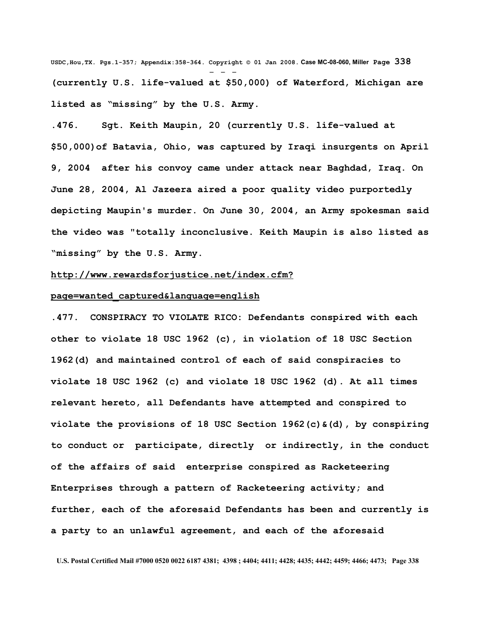**USDC,Hou,TX. Pgs.1-357; Appendix:358-364. Copyright © 01 Jan 2008. Case MC-08-060, Miller Page 338** - - - **(currently U.S. life-valued at \$50,000) of Waterford, Michigan are listed as "missing" by the U.S. Army.**

**.476. Sgt. Keith Maupin, 20 (currently U.S. life-valued at \$50,000)of Batavia, Ohio, was captured by Iraqi insurgents on April 9, 2004 after his convoy came under attack near Baghdad, Iraq. On June 28, 2004, Al Jazeera aired a poor quality video purportedly depicting Maupin's murder. On June 30, 2004, an Army spokesman said the video was "totally inconclusive. Keith Maupin is also listed as "missing" by the U.S. Army.**

## **[http://www.rewardsforjustice.net/index.cfm?](http://www.rewardsforjustice.net/index.cfm?page=wanted_captured&language=english)**

## **[page=wanted\\_captured&language=english](http://www.rewardsforjustice.net/index.cfm?page=wanted_captured&language=english)**

**.477. CONSPIRACY TO VIOLATE RICO: Defendants conspired with each other to violate 18 USC 1962 (c), in violation of 18 USC Section 1962(d) and maintained control of each of said conspiracies to violate 18 USC 1962 (c) and violate 18 USC 1962 (d). At all times relevant hereto, all Defendants have attempted and conspired to violate the provisions of 18 USC Section 1962(c)&(d), by conspiring to conduct or participate, directly or indirectly, in the conduct of the affairs of said enterprise conspired as Racketeering Enterprises through a pattern of Racketeering activity; and further, each of the aforesaid Defendants has been and currently is a party to an unlawful agreement, and each of the aforesaid**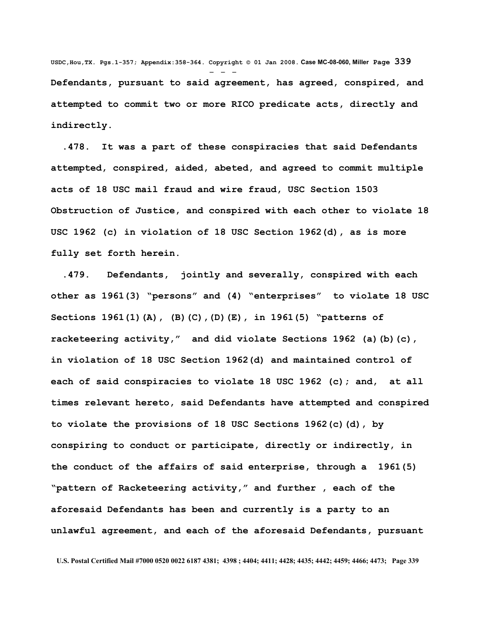**USDC,Hou,TX. Pgs.1-357; Appendix:358-364. Copyright © 01 Jan 2008. Case MC-08-060, Miller Page 339** - - - **Defendants, pursuant to said agreement, has agreed, conspired, and attempted to commit two or more RICO predicate acts, directly and indirectly.**

 **.478. It was a part of these conspiracies that said Defendants attempted, conspired, aided, abeted, and agreed to commit multiple acts of 18 USC mail fraud and wire fraud, USC Section 1503 Obstruction of Justice, and conspired with each other to violate 18 USC 1962 (c) in violation of 18 USC Section 1962(d), as is more fully set forth herein.** 

 **.479. Defendants, jointly and severally, conspired with each other as 1961(3) "persons" and (4) "enterprises" to violate 18 USC Sections 1961(1)(A), (B)(C),(D)(E), in 1961(5) "patterns of racketeering activity," and did violate Sections 1962 (a)(b)(c), in violation of 18 USC Section 1962(d) and maintained control of each of said conspiracies to violate 18 USC 1962 (c); and, at all times relevant hereto, said Defendants have attempted and conspired to violate the provisions of 18 USC Sections 1962(c)(d), by conspiring to conduct or participate, directly or indirectly, in the conduct of the affairs of said enterprise, through a 1961(5) "pattern of Racketeering activity," and further , each of the aforesaid Defendants has been and currently is a party to an unlawful agreement, and each of the aforesaid Defendants, pursuant**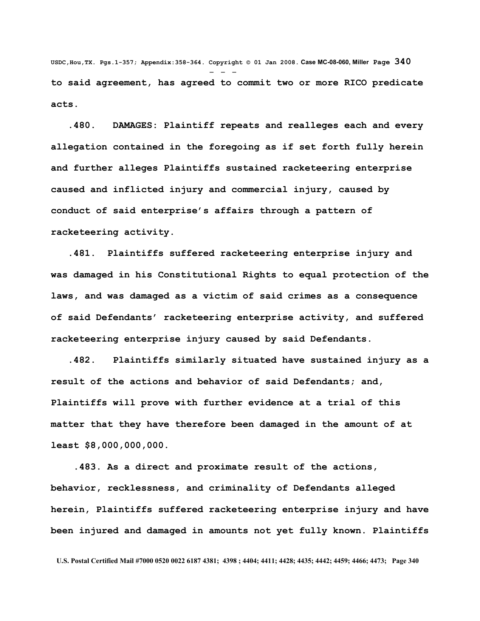**USDC,Hou,TX. Pgs.1-357; Appendix:358-364. Copyright © 01 Jan 2008. Case MC-08-060, Miller Page 340** - - **to said agreement, has agreed to commit two or more RICO predicate acts.**

 **.480. DAMAGES: Plaintiff repeats and realleges each and every allegation contained in the foregoing as if set forth fully herein and further alleges Plaintiffs sustained racketeering enterprise caused and inflicted injury and commercial injury, caused by conduct of said enterprise's affairs through a pattern of racketeering activity.**

 **.481. Plaintiffs suffered racketeering enterprise injury and was damaged in his Constitutional Rights to equal protection of the laws, and was damaged as a victim of said crimes as a consequence of said Defendants' racketeering enterprise activity, and suffered racketeering enterprise injury caused by said Defendants.**

 **.482. Plaintiffs similarly situated have sustained injury as a result of the actions and behavior of said Defendants; and, Plaintiffs will prove with further evidence at a trial of this matter that they have therefore been damaged in the amount of at least \$8,000,000,000.**

 **.483. As a direct and proximate result of the actions, behavior, recklessness, and criminality of Defendants alleged herein, Plaintiffs suffered racketeering enterprise injury and have been injured and damaged in amounts not yet fully known. Plaintiffs**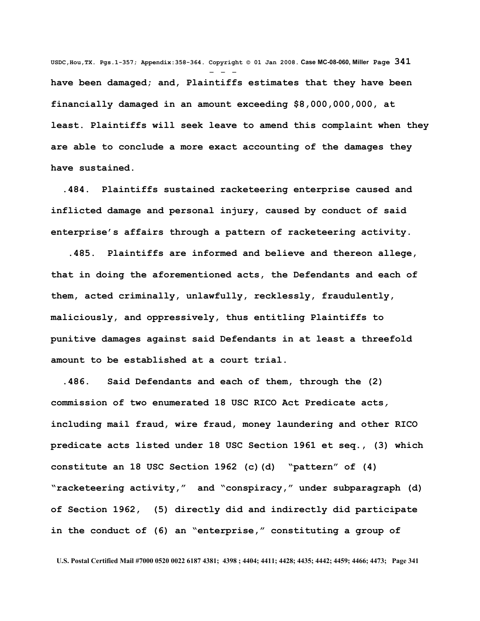**USDC,Hou,TX. Pgs.1-357; Appendix:358-364. Copyright © 01 Jan 2008. Case MC-08-060, Miller Page 341** - - **have been damaged; and, Plaintiffs estimates that they have been financially damaged in an amount exceeding \$8,000,000,000, at least. Plaintiffs will seek leave to amend this complaint when they are able to conclude a more exact accounting of the damages they have sustained.** 

 **.484. Plaintiffs sustained racketeering enterprise caused and inflicted damage and personal injury, caused by conduct of said enterprise's affairs through a pattern of racketeering activity.**

 **.485. Plaintiffs are informed and believe and thereon allege, that in doing the aforementioned acts, the Defendants and each of them, acted criminally, unlawfully, recklessly, fraudulently, maliciously, and oppressively, thus entitling Plaintiffs to punitive damages against said Defendants in at least a threefold amount to be established at a court trial.**

 **.486. Said Defendants and each of them, through the (2) commission of two enumerated 18 USC RICO Act Predicate acts***,* **including mail fraud, wire fraud, money laundering and other RICO predicate acts listed under 18 USC Section 1961 et seq., (3) which constitute an 18 USC Section 1962 (c)(d) "pattern" of (4) "racketeering activity," and "conspiracy," under subparagraph (d) of Section 1962, (5) directly did and indirectly did participate in the conduct of (6) an "enterprise," constituting a group of**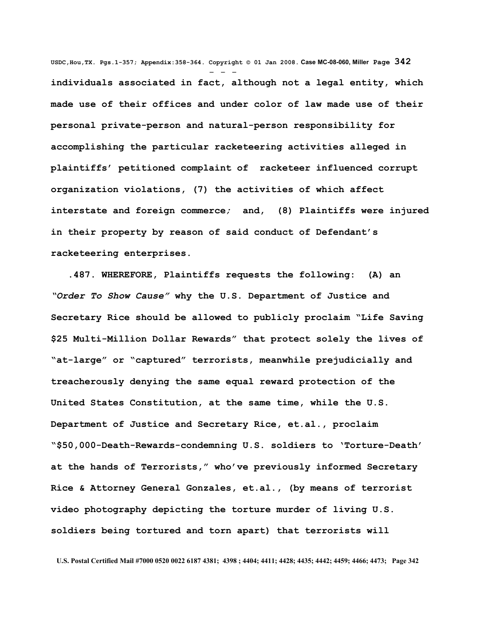**USDC,Hou,TX. Pgs.1-357; Appendix:358-364. Copyright © 01 Jan 2008. Case MC-08-060, Miller Page 342** - - **individuals associated in fact, although not a legal entity, which made use of their offices and under color of law made use of their personal private-person and natural-person responsibility for accomplishing the particular racketeering activities alleged in plaintiffs' petitioned complaint of racketeer influenced corrupt organization violations, (7) the activities of which affect interstate and foreign commerce***;* **and, (8) Plaintiffs were injured in their property by reason of said conduct of Defendant's racketeering enterprises.**

 **.487. WHEREFORE, Plaintiffs requests the following: (A) an** *"Order To Show Cause"* **why the U.S. Department of Justice and Secretary Rice should be allowed to publicly proclaim "Life Saving \$25 Multi-Million Dollar Rewards" that protect solely the lives of "at-large" or "captured" terrorists, meanwhile prejudicially and treacherously denying the same equal reward protection of the United States Constitution, at the same time, while the U.S. Department of Justice and Secretary Rice, et.al., proclaim "\$50,000-Death-Rewards-condemning U.S. soldiers to 'Torture-Death' at the hands of Terrorists," who've previously informed Secretary Rice & Attorney General Gonzales, et.al., (by means of terrorist video photography depicting the torture murder of living U.S. soldiers being tortured and torn apart) that terrorists will**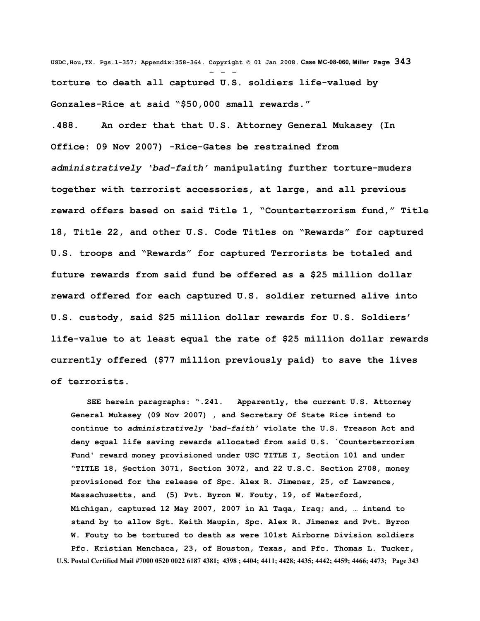**USDC,Hou,TX. Pgs.1-357; Appendix:358-364. Copyright © 01 Jan 2008. Case MC-08-060, Miller Page 343** - - **torture to death all captured U.S. soldiers life-valued by Gonzales-Rice at said "\$50,000 small rewards."**

**.488. An order that that U.S. Attorney General Mukasey (In Office: 09 Nov 2007) -Rice-Gates be restrained from** *administratively 'bad-faith'* **manipulating further torture-muders together with terrorist accessories, at large, and all previous reward offers based on said Title 1, "Counterterrorism fund," Title 18, Title 22, and other U.S. Code Titles on "Rewards" for captured U.S. troops and "Rewards" for captured Terrorists be totaled and future rewards from said fund be offered as a \$25 million dollar reward offered for each captured U.S. soldier returned alive into U.S. custody, said \$25 million dollar rewards for U.S. Soldiers' life-value to at least equal the rate of \$25 million dollar rewards currently offered (\$77 million previously paid) to save the lives of terrorists.**

 **SEE herein paragraphs: ".241. Apparently, the current U.S. Attorney General Mukasey (09 Nov 2007) , and Secretary Of State Rice intend to continue to** *administratively 'bad-faith'* **violate the U.S. Treason Act and deny equal life saving rewards allocated from said U.S. `Counterterrorism Fund' reward money provisioned under USC TITLE I, Section 101 and under "TITLE 18, §ection 3071, Section 3072, and 22 U.S.C. Section 2708, money provisioned for the release of Spc. Alex R. Jimenez, 25, of Lawrence, Massachusetts, and (5) Pvt. Byron W. Fouty, 19, of Waterford, Michigan, captured 12 May 2007, 2007 in Al Taqa, Iraq; and, … intend to stand by to allow Sgt. Keith Maupin, Spc. Alex R. Jimenez and Pvt. Byron W. Fouty to be tortured to death as were 101st Airborne Division soldiers Pfc. Kristian Menchaca, 23, of Houston, Texas, and Pfc. Thomas L. Tucker, U.S. Postal Certified Mail #7000 0520 0022 6187 4381; 4398 ; 4404; 4411; 4428; 4435; 4442; 4459; 4466; 4473; Page 343**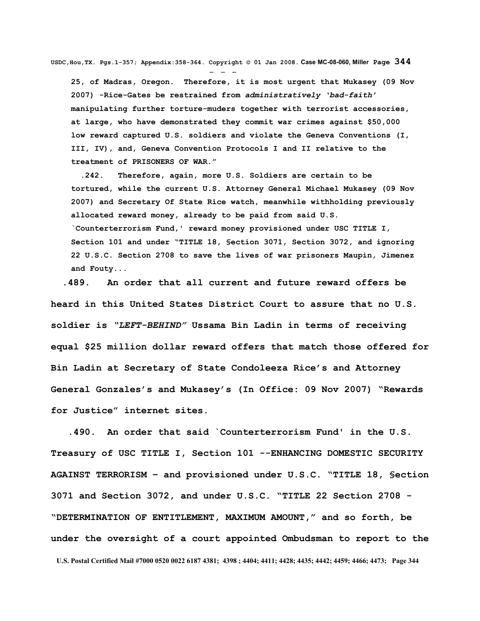**USDC,Hou,TX. Pgs.1-357; Appendix:358-364. Copyright © 01 Jan 2008. Case MC-08-060, Miller Page 344**

- - - **25, of Madras, Oregon. Therefore, it is most urgent that Mukasey (09 Nov 2007) -Rice-Gates be restrained from** *administratively 'bad-faith'* **manipulating further torture-muders together with terrorist accessories, at large, who have demonstrated they commit war crimes against \$50,000 low reward captured U.S. soldiers and violate the Geneva Conventions (I, III, IV), and, Geneva Convention Protocols I and II relative to the treatment of PRISONERS OF WAR."**

 **.242. Therefore, again, more U.S. Soldiers are certain to be tortured, while the current U.S. Attorney General Michael Mukasey (09 Nov 2007) and Secretary Of State Rice watch, meanwhile withholding previously allocated reward money, already to be paid from said U.S. `Counterterrorism Fund,' reward money provisioned under USC TITLE I, Section 101 and under "TITLE 18, §ection 3071, Section 3072, and ignoring 22 U.S.C. Section 2708 to save the lives of war prisoners Maupin, Jimenez and Fouty...** 

 **.489. An order that all current and future reward offers be heard in this United States District Court to assure that no U.S. soldier is** *"LEFT-BEHIND"* **Ussama Bin Ladin in terms of receiving equal \$25 million dollar reward offers that match those offered for Bin Ladin at Secretary of State Condoleeza Rice's and Attorney General Gonzales's and Mukasey's (In Office: 09 Nov 2007) "Rewards for Justice" internet sites.** 

 **.490. An order that said `Counterterrorism Fund' in the U.S. Treasury of USC TITLE I, Section 101 --ENHANCING DOMESTIC SECURITY AGAINST TERRORISM – and provisioned under U.S.C. "TITLE 18, §ection 3071 and Section 3072, and under U.S.C. "TITLE 22 Section 2708 - "DETERMINATION OF ENTITLEMENT, MAXIMUM AMOUNT," and so forth, be under the oversight of a court appointed Ombudsman to report to the U.S. Postal Certified Mail #7000 0520 0022 6187 4381; 4398 ; 4404; 4411; 4428; 4435; 4442; 4459; 4466; 4473; Page 344**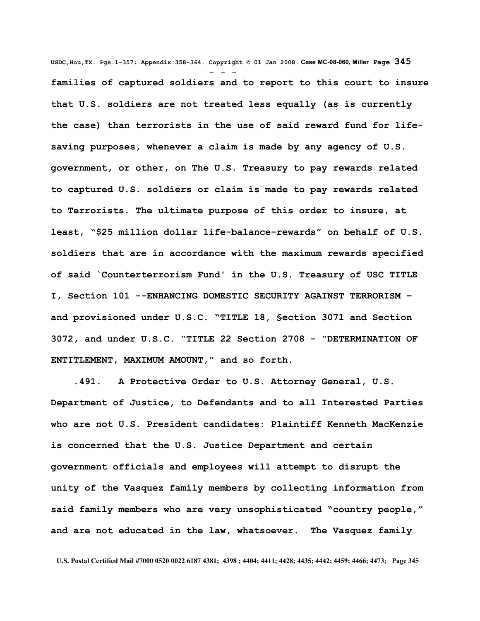**USDC,Hou,TX. Pgs.1-357; Appendix:358-364. Copyright © 01 Jan 2008. Case MC-08-060, Miller Page 345** - - **families of captured soldiers and to report to this court to insure that U.S. soldiers are not treated less equally (as is currently the case) than terrorists in the use of said reward fund for lifesaving purposes, whenever a claim is made by any agency of U.S. government, or other, on The U.S. Treasury to pay rewards related to captured U.S. soldiers or claim is made to pay rewards related to Terrorists. The ultimate purpose of this order to insure, at least, "\$25 million dollar life-balance-rewards" on behalf of U.S. soldiers that are in accordance with the maximum rewards specified of said `Counterterrorism Fund' in the U.S. Treasury of USC TITLE I, Section 101 --ENHANCING DOMESTIC SECURITY AGAINST TERRORISM – and provisioned under U.S.C. "TITLE 18, §ection 3071 and Section 3072, and under U.S.C. "TITLE 22 Section 2708 - "DETERMINATION OF ENTITLEMENT, MAXIMUM AMOUNT," and so forth.**

 **.491. A Protective Order to U.S. Attorney General, U.S. Department of Justice, to Defendants and to all Interested Parties who are not U.S. President candidates: Plaintiff Kenneth MacKenzie is concerned that the U.S. Justice Department and certain government officials and employees will attempt to disrupt the unity of the Vasquez family members by collecting information from said family members who are very unsophisticated "country people," and are not educated in the law, whatsoever. The Vasquez family**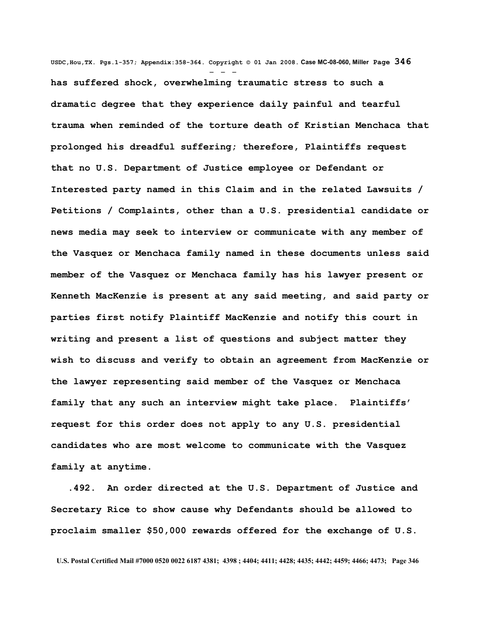**USDC,Hou,TX. Pgs.1-357; Appendix:358-364. Copyright © 01 Jan 2008. Case MC-08-060, Miller Page 346** - - **has suffered shock, overwhelming traumatic stress to such a dramatic degree that they experience daily painful and tearful trauma when reminded of the torture death of Kristian Menchaca that prolonged his dreadful suffering; therefore, Plaintiffs request that no U.S. Department of Justice employee or Defendant or Interested party named in this Claim and in the related Lawsuits / Petitions / Complaints, other than a U.S. presidential candidate or news media may seek to interview or communicate with any member of the Vasquez or Menchaca family named in these documents unless said member of the Vasquez or Menchaca family has his lawyer present or Kenneth MacKenzie is present at any said meeting, and said party or parties first notify Plaintiff MacKenzie and notify this court in writing and present a list of questions and subject matter they wish to discuss and verify to obtain an agreement from MacKenzie or the lawyer representing said member of the Vasquez or Menchaca family that any such an interview might take place. Plaintiffs' request for this order does not apply to any U.S. presidential candidates who are most welcome to communicate with the Vasquez family at anytime.** 

 **.492. An order directed at the U.S. Department of Justice and Secretary Rice to show cause why Defendants should be allowed to proclaim smaller \$50,000 rewards offered for the exchange of U.S.**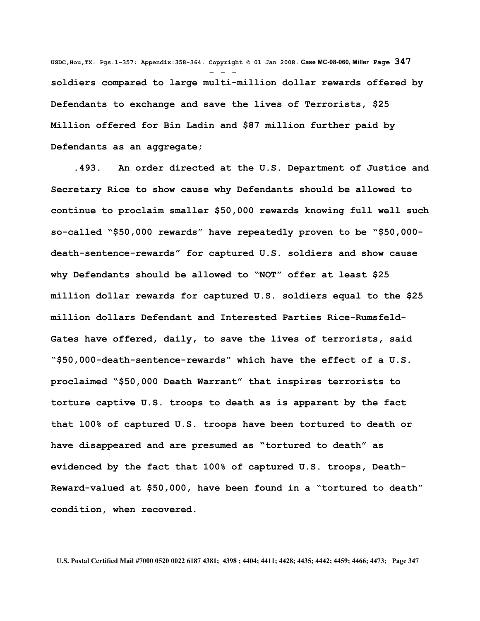**USDC,Hou,TX. Pgs.1-357; Appendix:358-364. Copyright © 01 Jan 2008. Case MC-08-060, Miller Page 347** - - **soldiers compared to large multi-million dollar rewards offered by Defendants to exchange and save the lives of Terrorists, \$25 Million offered for Bin Ladin and \$87 million further paid by Defendants as an aggregate;** 

 **.493. An order directed at the U.S. Department of Justice and Secretary Rice to show cause why Defendants should be allowed to continue to proclaim smaller \$50,000 rewards knowing full well such so-called "\$50,000 rewards" have repeatedly proven to be "\$50,000 death-sentence-rewards" for captured U.S. soldiers and show cause why Defendants should be allowed to "NOT" offer at least \$25 million dollar rewards for captured U.S. soldiers equal to the \$25 million dollars Defendant and Interested Parties Rice-Rumsfeld-Gates have offered, daily, to save the lives of terrorists, said "\$50,000-death-sentence-rewards" which have the effect of a U.S. proclaimed "\$50,000 Death Warrant" that inspires terrorists to torture captive U.S. troops to death as is apparent by the fact that 100% of captured U.S. troops have been tortured to death or have disappeared and are presumed as "tortured to death" as evidenced by the fact that 100% of captured U.S. troops, Death-Reward-valued at \$50,000, have been found in a "tortured to death" condition, when recovered.**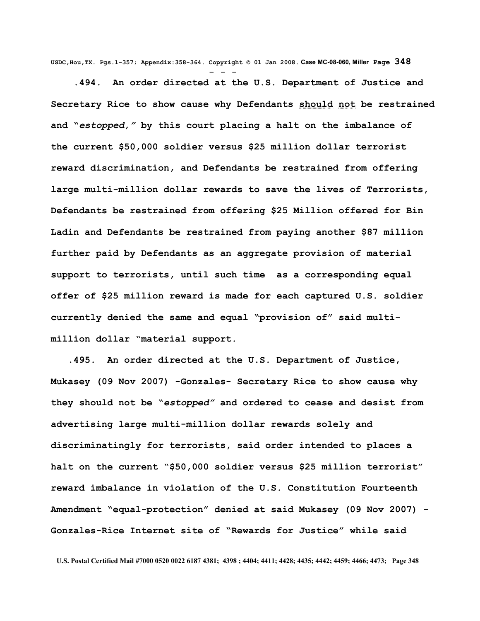**USDC,Hou,TX. Pgs.1-357; Appendix:358-364. Copyright © 01 Jan 2008. Case MC-08-060, Miller Page 348** - - -

 **.494. An order directed at the U.S. Department of Justice and Secretary Rice to show cause why Defendants should not be restrained and "***estopped,"* **by this court placing a halt on the imbalance of the current \$50,000 soldier versus \$25 million dollar terrorist reward discrimination, and Defendants be restrained from offering large multi-million dollar rewards to save the lives of Terrorists, Defendants be restrained from offering \$25 Million offered for Bin Ladin and Defendants be restrained from paying another \$87 million further paid by Defendants as an aggregate provision of material support to terrorists, until such time as a corresponding equal offer of \$25 million reward is made for each captured U.S. soldier currently denied the same and equal "provision of" said multimillion dollar "material support.**

 **.495. An order directed at the U.S. Department of Justice, Mukasey (09 Nov 2007) -Gonzales- Secretary Rice to show cause why they should not be "***estopped"* **and ordered to cease and desist from advertising large multi-million dollar rewards solely and discriminatingly for terrorists, said order intended to places a halt on the current "\$50,000 soldier versus \$25 million terrorist" reward imbalance in violation of the U.S. Constitution Fourteenth Amendment "equal-protection" denied at said Mukasey (09 Nov 2007) - Gonzales-Rice Internet site of "Rewards for Justice" while said**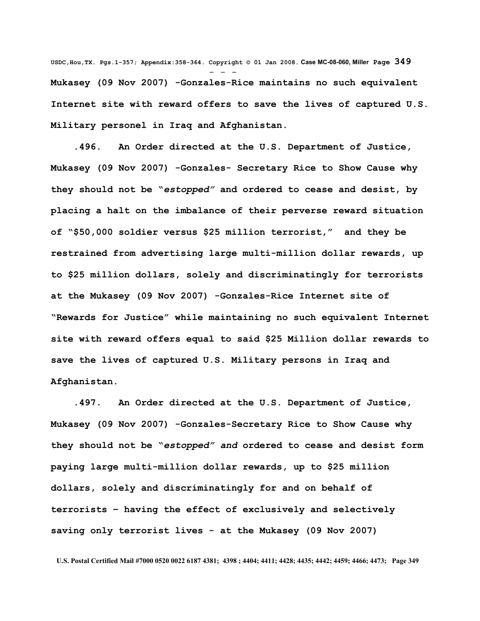**USDC,Hou,TX. Pgs.1-357; Appendix:358-364. Copyright © 01 Jan 2008. Case MC-08-060, Miller Page 349** - - - **Mukasey (09 Nov 2007) -Gonzales-Rice maintains no such equivalent Internet site with reward offers to save the lives of captured U.S. Military personel in Iraq and Afghanistan.** 

 **.496. An Order directed at the U.S. Department of Justice, Mukasey (09 Nov 2007) -Gonzales- Secretary Rice to Show Cause why they should not be "***estopped"* **and ordered to cease and desist, by placing a halt on the imbalance of their perverse reward situation of "\$50,000 soldier versus \$25 million terrorist," and they be restrained from advertising large multi-million dollar rewards, up to \$25 million dollars, solely and discriminatingly for terrorists at the Mukasey (09 Nov 2007) -Gonzales-Rice Internet site of "Rewards for Justice" while maintaining no such equivalent Internet site with reward offers equal to said \$25 Million dollar rewards to save the lives of captured U.S. Military persons in Iraq and Afghanistan.** 

 **.497. An Order directed at the U.S. Department of Justice, Mukasey (09 Nov 2007) -Gonzales-Secretary Rice to Show Cause why they should not be "***estopped" and* **ordered to cease and desist form paying large multi-million dollar rewards, up to \$25 million dollars, solely and discriminatingly for and on behalf of terrorists – having the effect of exclusively and selectively saving only terrorist lives - at the Mukasey (09 Nov 2007)**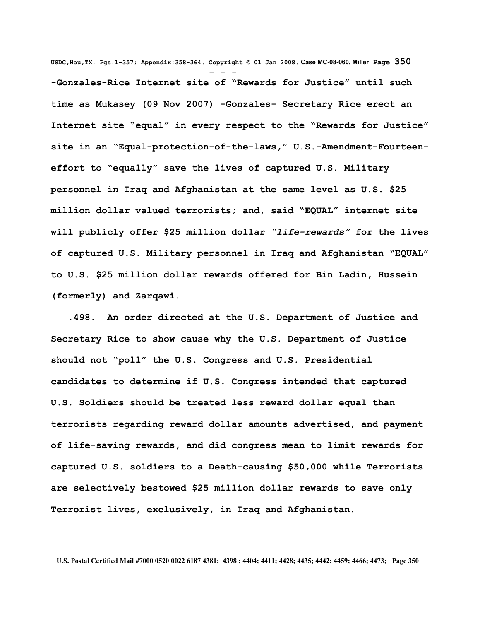**USDC,Hou,TX. Pgs.1-357; Appendix:358-364. Copyright © 01 Jan 2008. Case MC-08-060, Miller Page 350** - - - **-Gonzales-Rice Internet site of "Rewards for Justice" until such time as Mukasey (09 Nov 2007) -Gonzales- Secretary Rice erect an Internet site "equal" in every respect to the "Rewards for Justice" site in an "Equal-protection-of-the-laws," U.S.-Amendment-Fourteeneffort to "equally" save the lives of captured U.S. Military personnel in Iraq and Afghanistan at the same level as U.S. \$25 million dollar valued terrorists; and, said "EQUAL" internet site will publicly offer \$25 million dollar** *"life-rewards"* **for the lives of captured U.S. Military personnel in Iraq and Afghanistan "EQUAL" to U.S. \$25 million dollar rewards offered for Bin Ladin, Hussein (formerly) and Zarqawi.** 

 **.498. An order directed at the U.S. Department of Justice and Secretary Rice to show cause why the U.S. Department of Justice should not "poll" the U.S. Congress and U.S. Presidential candidates to determine if U.S. Congress intended that captured U.S. Soldiers should be treated less reward dollar equal than terrorists regarding reward dollar amounts advertised, and payment of life-saving rewards, and did congress mean to limit rewards for captured U.S. soldiers to a Death-causing \$50,000 while Terrorists are selectively bestowed \$25 million dollar rewards to save only Terrorist lives, exclusively, in Iraq and Afghanistan.**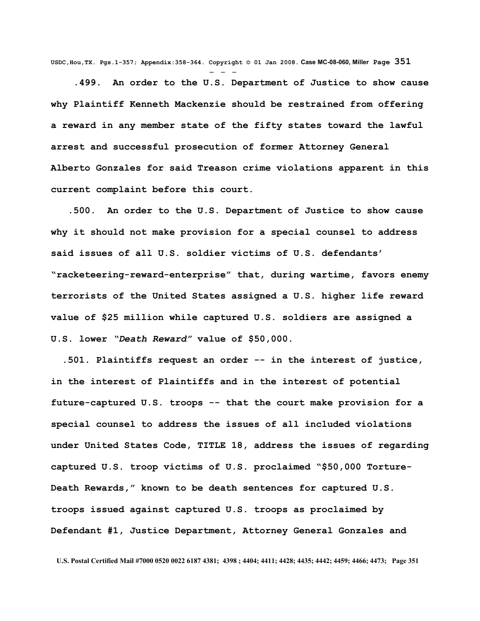**USDC,Hou,TX. Pgs.1-357; Appendix:358-364. Copyright © 01 Jan 2008. Case MC-08-060, Miller Page 351** - - -

 **.499. An order to the U.S. Department of Justice to show cause why Plaintiff Kenneth Mackenzie should be restrained from offering a reward in any member state of the fifty states toward the lawful arrest and successful prosecution of former Attorney General Alberto Gonzales for said Treason crime violations apparent in this current complaint before this court.**

 **.500. An order to the U.S. Department of Justice to show cause why it should not make provision for a special counsel to address said issues of all U.S. soldier victims of U.S. defendants' "racketeering-reward-enterprise" that, during wartime, favors enemy terrorists of the United States assigned a U.S. higher life reward value of \$25 million while captured U.S. soldiers are assigned a U.S. lower** *"Death Reward"* **value of \$50,000.**

 **.501. Plaintiffs request an order -- in the interest of justice, in the interest of Plaintiffs and in the interest of potential future-captured U.S. troops -- that the court make provision for a special counsel to address the issues of all included violations under United States Code, TITLE 18, address the issues of regarding captured U.S. troop victims of U.S. proclaimed "\$50,000 Torture-Death Rewards," known to be death sentences for captured U.S. troops issued against captured U.S. troops as proclaimed by Defendant #1, Justice Department, Attorney General Gonzales and**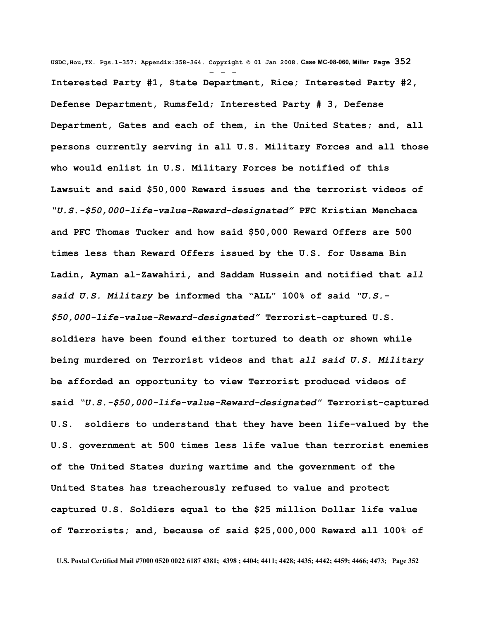**USDC,Hou,TX. Pgs.1-357; Appendix:358-364. Copyright © 01 Jan 2008. Case MC-08-060, Miller Page 352** - - - **Interested Party #1, State Department, Rice; Interested Party #2, Defense Department, Rumsfeld; Interested Party # 3, Defense Department, Gates and each of them, in the United States; and, all persons currently serving in all U.S. Military Forces and all those who would enlist in U.S. Military Forces be notified of this Lawsuit and said \$50,000 Reward issues and the terrorist videos of** *"U.S.-\$50,000-life-value-Reward-designated"* **PFC Kristian Menchaca and PFC Thomas Tucker and how said \$50,000 Reward Offers are 500 times less than Reward Offers issued by the U.S. for Ussama Bin Ladin, Ayman al-Zawahiri, and Saddam Hussein and notified that** *all said U.S. Military* **be informed tha "ALL" 100% of said** *"U.S.- \$50,000-life-value-Reward-designated"* **Terrorist-captured U.S. soldiers have been found either tortured to death or shown while being murdered on Terrorist videos and that** *all said U.S. Military* **be afforded an opportunity to view Terrorist produced videos of said** *"U.S.-\$50,000-life-value-Reward-designated"* **Terrorist-captured U.S. soldiers to understand that they have been life-valued by the U.S. government at 500 times less life value than terrorist enemies of the United States during wartime and the government of the United States has treacherously refused to value and protect captured U.S. Soldiers equal to the \$25 million Dollar life value of Terrorists; and, because of said \$25,000,000 Reward all 100% of**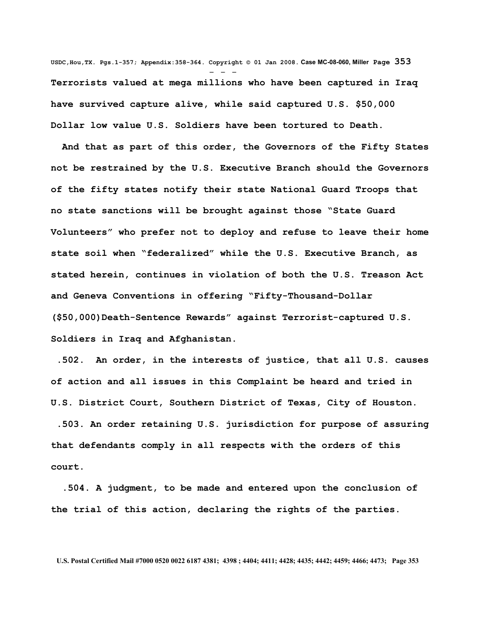**USDC,Hou,TX. Pgs.1-357; Appendix:358-364. Copyright © 01 Jan 2008. Case MC-08-060, Miller Page 353** - - - **Terrorists valued at mega millions who have been captured in Iraq have survived capture alive, while said captured U.S. \$50,000 Dollar low value U.S. Soldiers have been tortured to Death.** 

 **And that as part of this order, the Governors of the Fifty States not be restrained by the U.S. Executive Branch should the Governors of the fifty states notify their state National Guard Troops that no state sanctions will be brought against those "State Guard Volunteers" who prefer not to deploy and refuse to leave their home state soil when "federalized" while the U.S. Executive Branch, as stated herein, continues in violation of both the U.S. Treason Act and Geneva Conventions in offering "Fifty-Thousand-Dollar (\$50,000)Death-Sentence Rewards" against Terrorist-captured U.S. Soldiers in Iraq and Afghanistan.** 

 **.502. An order, in the interests of justice, that all U.S. causes of action and all issues in this Complaint be heard and tried in U.S. District Court, Southern District of Texas, City of Houston.** 

 **.503. An order retaining U.S. jurisdiction for purpose of assuring that defendants comply in all respects with the orders of this court.**

 **.504. A judgment, to be made and entered upon the conclusion of the trial of this action, declaring the rights of the parties.**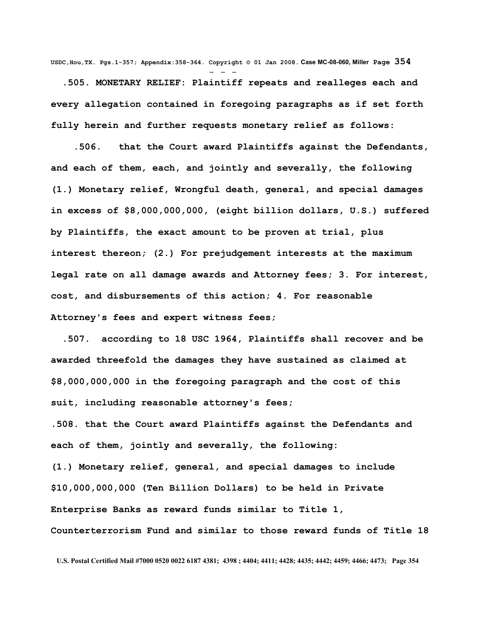**USDC,Hou,TX. Pgs.1-357; Appendix:358-364. Copyright © 01 Jan 2008. Case MC-08-060, Miller Page 354** - - -  **.505. MONETARY RELIEF: Plaintiff repeats and realleges each and every allegation contained in foregoing paragraphs as if set forth fully herein and further requests monetary relief as follows:** 

 **.506. that the Court award Plaintiffs against the Defendants, and each of them, each, and jointly and severally, the following (1.) Monetary relief, Wrongful death, general, and special damages in excess of \$8,000,000,000, (eight billion dollars, U.S.) suffered by Plaintiffs, the exact amount to be proven at trial, plus interest thereon; (2.) For prejudgement interests at the maximum legal rate on all damage awards and Attorney fees; 3. For interest, cost, and disbursements of this action; 4. For reasonable Attorney's fees and expert witness fees;**

 **.507. according to 18 USC 1964, Plaintiffs shall recover and be awarded threefold the damages they have sustained as claimed at \$8,000,000,000 in the foregoing paragraph and the cost of this suit, including reasonable attorney's fees;** 

**.508. that the Court award Plaintiffs against the Defendants and each of them, jointly and severally, the following:** 

**(1.) Monetary relief, general, and special damages to include \$10,000,000,000 (Ten Billion Dollars) to be held in Private Enterprise Banks as reward funds similar to Title 1, Counterterrorism Fund and similar to those reward funds of Title 18**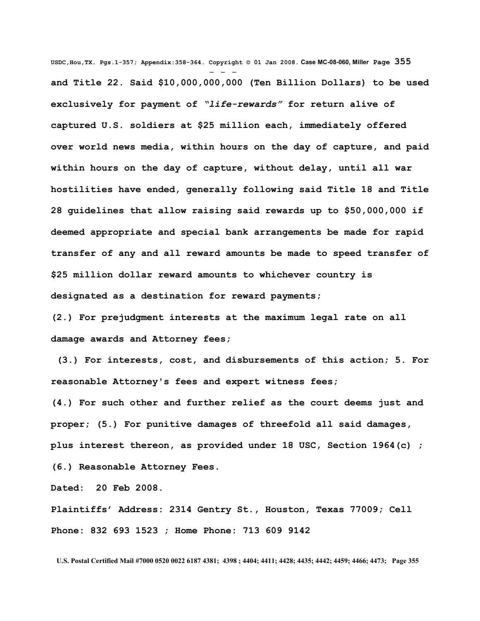**USDC,Hou,TX. Pgs.1-357; Appendix:358-364. Copyright © 01 Jan 2008. Case MC-08-060, Miller Page 355** - - **and Title 22. Said \$10,000,000,000 (Ten Billion Dollars) to be used exclusively for payment of** *"life-rewards"* **for return alive of captured U.S. soldiers at \$25 million each, immediately offered over world news media, within hours on the day of capture, and paid within hours on the day of capture, without delay, until all war hostilities have ended, generally following said Title 18 and Title 28 guidelines that allow raising said rewards up to \$50,000,000 if deemed appropriate and special bank arrangements be made for rapid transfer of any and all reward amounts be made to speed transfer of \$25 million dollar reward amounts to whichever country is designated as a destination for reward payments;**

**(2.) For prejudgment interests at the maximum legal rate on all damage awards and Attorney fees;**

 **(3.) For interests, cost, and disbursements of this action; 5. For reasonable Attorney's fees and expert witness fees;** 

**(4.) For such other and further relief as the court deems just and proper; (5.) For punitive damages of threefold all said damages, plus interest thereon, as provided under 18 USC, Section 1964(c) ; (6.) Reasonable Attorney Fees.**

**Dated: 20 Feb 2008.** 

**Plaintiffs' Address: 2314 Gentry St., Houston, Texas 77009; Cell Phone: 832 693 1523 ; Home Phone: 713 609 9142**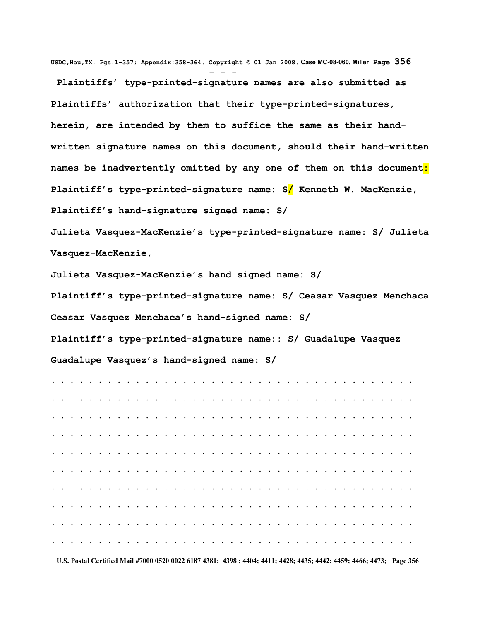**USDC,Hou,TX. Pgs.1-357; Appendix:358-364. Copyright © 01 Jan 2008. Case MC-08-060, Miller Page 356** - - -

 **Plaintiffs' type-printed-signature names are also submitted as Plaintiffs' authorization that their type-printed-signatures, herein, are intended by them to suffice the same as their handwritten signature names on this document, should their hand-written names be inadvertently omitted by any one of them on this document: Plaintiff's type-printed-signature name: S/ Kenneth W. MacKenzie, Plaintiff's hand-signature signed name: S/**

**Julieta Vasquez-MacKenzie's type-printed-signature name: S/ Julieta Vasquez-MacKenzie,** 

**Julieta Vasquez-MacKenzie's hand signed name: S/**

**Plaintiff's type-printed-signature name: S/ Ceasar Vasquez Menchaca Ceasar Vasquez Menchaca's hand-signed name: S/**

**Plaintiff's type-printed-signature name:: S/ Guadalupe Vasquez Guadalupe Vasquez's hand-signed name: S/** 

**. . . . . . . . . . . . . . . . . . . . . . . . . . . . . . . . . . . . . . . . . . . . . . . . . . . . . . . . . . . . . . . . . . . . . . . . . . . . . . . . . . . . . . . . . . . . . . . . . . . . . . . . . . . . . . . . . . . . . . . . . . . . . . . . . . . . . . . . . . . . . . . . . . . . . . . . . . . . . . . . . . . . . . . . . . . . . . . . . . . . . . . . . . . . . . . . . . . . . . . . . . . . . . . . . . . . . . . . . . . . . . . . . . . . . . . . . . . . . . . . . . . . . . . . . . . . . . . . . . . . . . . . . . . . . . . . . . . . . . . . . . . . . . . . . . . . . . . . . . . . . . . . . . . . . . . . . . . . . . . . . . . . . . . . . . . . . . . . . . . . . . . . . . . . . . . . . . . . . . . . . . . . . . . . . . . . . . . . . . . . . . . . . . . . . .**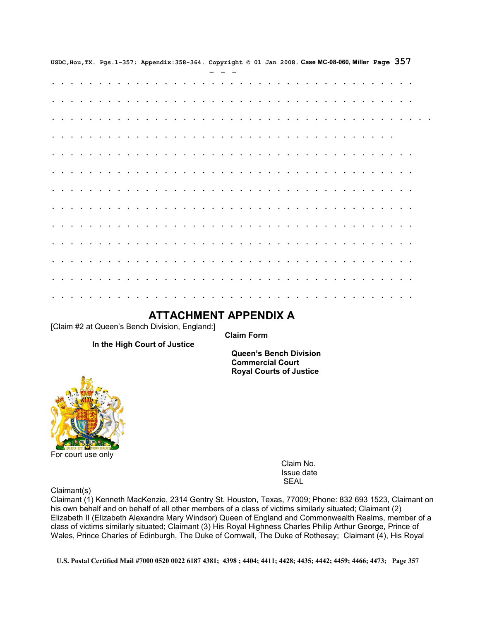|  |  |  |  |  |  |  |        |  |  |                |           |                                                                                                                                                                                                                               |  |  |  |           |          |  | USDC, Hou, TX. Pgs. 1-357; Appendix: 358-364. Copyright @ 01 Jan 2008. Case MC-08-060, Miller Page $357$ |  |  |  |
|--|--|--|--|--|--|--|--------|--|--|----------------|-----------|-------------------------------------------------------------------------------------------------------------------------------------------------------------------------------------------------------------------------------|--|--|--|-----------|----------|--|----------------------------------------------------------------------------------------------------------|--|--|--|
|  |  |  |  |  |  |  |        |  |  |                |           |                                                                                                                                                                                                                               |  |  |  |           |          |  |                                                                                                          |  |  |  |
|  |  |  |  |  |  |  |        |  |  |                |           |                                                                                                                                                                                                                               |  |  |  |           |          |  |                                                                                                          |  |  |  |
|  |  |  |  |  |  |  |        |  |  | $\cdot$        | $\bullet$ |                                                                                                                                                                                                                               |  |  |  |           |          |  |                                                                                                          |  |  |  |
|  |  |  |  |  |  |  |        |  |  |                |           |                                                                                                                                                                                                                               |  |  |  |           |          |  |                                                                                                          |  |  |  |
|  |  |  |  |  |  |  |        |  |  |                |           |                                                                                                                                                                                                                               |  |  |  |           |          |  |                                                                                                          |  |  |  |
|  |  |  |  |  |  |  |        |  |  |                |           |                                                                                                                                                                                                                               |  |  |  |           |          |  |                                                                                                          |  |  |  |
|  |  |  |  |  |  |  |        |  |  | $\bullet$      | $\bullet$ |                                                                                                                                                                                                                               |  |  |  |           |          |  |                                                                                                          |  |  |  |
|  |  |  |  |  |  |  |        |  |  | $\blacksquare$ |           |                                                                                                                                                                                                                               |  |  |  |           |          |  |                                                                                                          |  |  |  |
|  |  |  |  |  |  |  |        |  |  |                |           |                                                                                                                                                                                                                               |  |  |  |           |          |  |                                                                                                          |  |  |  |
|  |  |  |  |  |  |  |        |  |  |                |           |                                                                                                                                                                                                                               |  |  |  |           |          |  |                                                                                                          |  |  |  |
|  |  |  |  |  |  |  |        |  |  |                |           |                                                                                                                                                                                                                               |  |  |  |           |          |  |                                                                                                          |  |  |  |
|  |  |  |  |  |  |  |        |  |  | $\bullet$      | $\bullet$ |                                                                                                                                                                                                                               |  |  |  | $\bullet$ |          |  |                                                                                                          |  |  |  |
|  |  |  |  |  |  |  |        |  |  |                |           |                                                                                                                                                                                                                               |  |  |  |           |          |  |                                                                                                          |  |  |  |
|  |  |  |  |  |  |  | $\sim$ |  |  |                |           | the company of the company of the company of the company of the company of the company of the company of the company of the company of the company of the company of the company of the company of the company of the company |  |  |  |           | $\cdots$ |  |                                                                                                          |  |  |  |

## **ATTACHMENT APPENDIX A**

[Claim #2 at Queen's Bench Division, England:]

 **Claim Form**

 **In the High Court of Justice**

 **Queen's Bench Division Commercial Court Royal Courts of Justice**



 Claim No. Issue date is a structure of the contract of the contract of the SEAL SEAL of the contract of the contract of the contract of the contract of the contract of the contract of the contract of the contract of the contract of the contrac

Claimant(s)

Claimant (1) Kenneth MacKenzie, 2314 Gentry St. Houston, Texas, 77009; Phone: 832 693 1523, Claimant on his own behalf and on behalf of all other members of a class of victims similarly situated; Claimant (2) Elizabeth II (Elizabeth Alexandra Mary Windsor) Queen of England and Commonwealth Realms, member of a class of victims similarly situated; Claimant (3) His Royal Highness Charles Philip Arthur George, Prince of Wales, Prince Charles of Edinburgh, The Duke of Cornwall, The Duke of Rothesay; Claimant (4), His Royal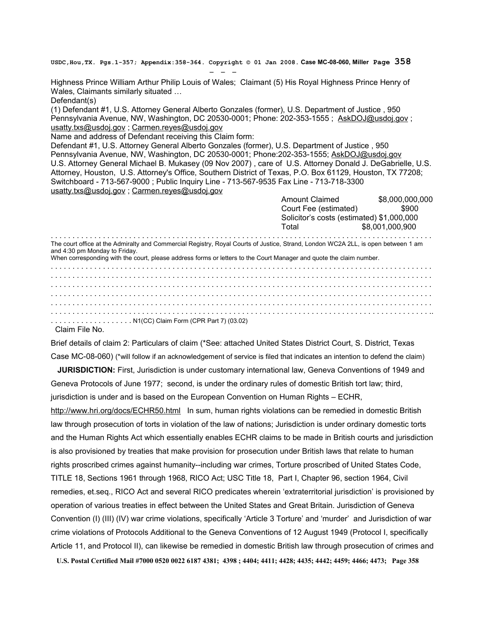**USDC,Hou,TX. Pgs.1-357; Appendix:358-364. Copyright © 01 Jan 2008. Case MC-08-060, Miller Page 358**

Highness Prince William Arthur Philip Louis of Wales; Claimant (5) His Royal Highness Prince Henry of Wales, Claimants similarly situated …

Defendant(s)

(1) Defendant #1, U.S. Attorney General Alberto Gonzales (former), U.S. Department of Justice , 950 Pennsylvania Avenue, NW, Washington, DC 20530-0001; Phone: 202-353-1555 ; [AskDOJ@usdoj.gov](mailto:AskDOJ@usdoj.gov?subject=USDOJ%20Comments) ; [usatty.txs@usdoj.gov](mailto:usatty.txs@usdoj.gov) ; [Carmen.reyes@usdoj.gov](mailto:Carmen.reyes@usdoj.gov)

Name and address of Defendant receiving this Claim form:

- - -

Defendant #1, U.S. Attorney General Alberto Gonzales (former), U.S. Department of Justice , 950 Pennsylvania Avenue, NW, Washington, DC 20530-0001; Phone:202-353-1555; [AskDOJ@usdoj.gov](mailto:AskDOJ@usdoj.gov?subject=USDOJ%20Comments) U.S. Attorney General Michael B. Mukasey (09 Nov 2007) , care of U.S. Attorney Donald J. DeGabrielle, U.S. Attorney, Houston, U.S. Attorney's Office, Southern District of Texas, P.O. Box 61129, Houston, TX 77208; Switchboard - 713-567-9000 ; Public Inquiry Line - 713-567-9535 Fax Line - 713-718-3300 [usatty.txs@usdoj.gov](mailto:usatty.txs@usdoj.gov) ; [Carmen.reyes@usdoj.gov](mailto:Carmen.reyes@usdoj.gov)

|                                                                                                                                                                                                                                                                                           | <b>Amount Claimed</b>                     | \$8,000,000,000 |  |  |  |  |  |  |  |
|-------------------------------------------------------------------------------------------------------------------------------------------------------------------------------------------------------------------------------------------------------------------------------------------|-------------------------------------------|-----------------|--|--|--|--|--|--|--|
|                                                                                                                                                                                                                                                                                           | Court Fee (estimated)                     | \$900           |  |  |  |  |  |  |  |
|                                                                                                                                                                                                                                                                                           | Solicitor's costs (estimated) \$1,000,000 |                 |  |  |  |  |  |  |  |
|                                                                                                                                                                                                                                                                                           | Total                                     | \$8.001.000.900 |  |  |  |  |  |  |  |
| The court office at the Admiralty and Commercial Registry, Royal Courts of Justice, Strand, London WC2A 2LL, is open between 1 am<br>and 4:30 pm Monday to Friday.<br>When corresponding with the court, please address forms or letters to the Court Manager and quote the claim number. |                                           |                 |  |  |  |  |  |  |  |
|                                                                                                                                                                                                                                                                                           |                                           |                 |  |  |  |  |  |  |  |
|                                                                                                                                                                                                                                                                                           |                                           |                 |  |  |  |  |  |  |  |
|                                                                                                                                                                                                                                                                                           |                                           |                 |  |  |  |  |  |  |  |
|                                                                                                                                                                                                                                                                                           |                                           |                 |  |  |  |  |  |  |  |
|                                                                                                                                                                                                                                                                                           |                                           |                 |  |  |  |  |  |  |  |
|                                                                                                                                                                                                                                                                                           |                                           |                 |  |  |  |  |  |  |  |
| N1(CC) Claim Form (CPR Part 7) (03.02)                                                                                                                                                                                                                                                    |                                           |                 |  |  |  |  |  |  |  |

Claim File No.

Brief details of claim 2: Particulars of claim (\*See: attached United States District Court, S. District, Texas Case MC-08-060) (\*will follow if an acknowledgement of service is filed that indicates an intention to defend the claim)

 **JURISDICTION:** First, Jurisdiction is under customary international law, Geneva Conventions of 1949 and Geneva Protocols of June 1977; second, is under the ordinary rules of domestic British tort law; third, jurisdiction is under and is based on the European Convention on Human Rights – ECHR,

<http://www.hri.org/docs/ECHR50.html>In sum, human rights violations can be remedied in domestic British law through prosecution of torts in violation of the law of nations; Jurisdiction is under ordinary domestic torts and the Human Rights Act which essentially enables ECHR claims to be made in British courts and jurisdiction is also provisioned by treaties that make provision for prosecution under British laws that relate to human rights proscribed crimes against humanity--including war crimes, Torture proscribed of United States Code, TITLE 18, Sections 1961 through 1968, RICO Act; USC Title 18, Part I, Chapter 96, section 1964, Civil remedies, et.seq., RICO Act and several RICO predicates wherein 'extraterritorial jurisdiction' is provisioned by operation of various treaties in effect between the United States and Great Britain. Jurisdiction of Geneva Convention (I) (III) (IV) war crime violations, specifically 'Article 3 Torture' and 'murder' and Jurisdiction of war crime violations of Protocols Additional to the Geneva Conventions of 12 August 1949 (Protocol I, specifically Article 11, and Protocol II), can likewise be remedied in domestic British law through prosecution of crimes and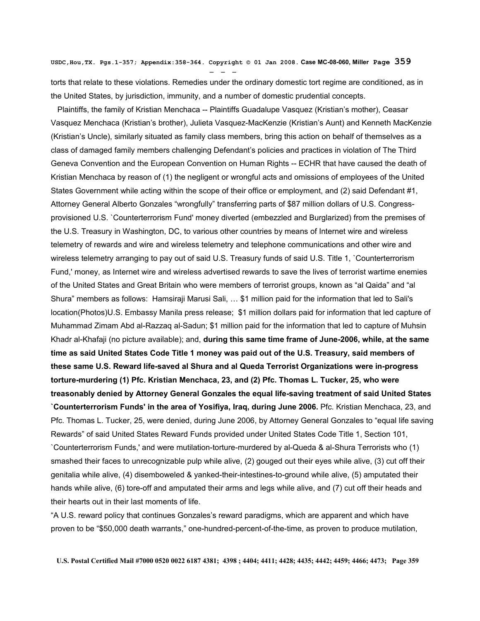**USDC,Hou,TX. Pgs.1-357; Appendix:358-364. Copyright © 01 Jan 2008. Case MC-08-060, Miller Page 359**

- - -

torts that relate to these violations. Remedies under the ordinary domestic tort regime are conditioned, as in the United States, by jurisdiction, immunity, and a number of domestic prudential concepts.

 Plaintiffs, the family of Kristian Menchaca -- Plaintiffs Guadalupe Vasquez (Kristian's mother), Ceasar Vasquez Menchaca (Kristian's brother), Julieta Vasquez-MacKenzie (Kristian's Aunt) and Kenneth MacKenzie (Kristian's Uncle), similarly situated as family class members, bring this action on behalf of themselves as a class of damaged family members challenging Defendant's policies and practices in violation of The Third Geneva Convention and the European Convention on Human Rights -- ECHR that have caused the death of Kristian Menchaca by reason of (1) the negligent or wrongful acts and omissions of employees of the United States Government while acting within the scope of their office or employment, and (2) said Defendant #1, Attorney General Alberto Gonzales "wrongfully" transferring parts of \$87 million dollars of U.S. Congressprovisioned U.S. `Counterterrorism Fund' money diverted (embezzled and Burglarized) from the premises of the U.S. Treasury in Washington, DC, to various other countries by means of Internet wire and wireless telemetry of rewards and wire and wireless telemetry and telephone communications and other wire and wireless telemetry arranging to pay out of said U.S. Treasury funds of said U.S. Title 1, `Counterterrorism Fund,' money, as Internet wire and wireless advertised rewards to save the lives of terrorist wartime enemies of the United States and Great Britain who were members of terrorist groups, known as "al Qaida" and "al Shura" members as follows: Hamsiraji Marusi Sali, … \$1 million paid for the information that led to Sali's location(Photos)U.S. Embassy Manila press release; \$1 million dollars paid for information that led capture of Muhammad Zimam Abd al-Razzaq al-Sadun; \$1 million paid for the information that led to capture of Muhsin Khadr al-Khafaji (no picture available); and, **during this same time frame of June-2006, while, at the same time as said United States Code Title 1 money was paid out of the U.S. Treasury, said members of these same U.S. Reward life-saved al Shura and al Queda Terrorist Organizations were in-progress torture-murdering (1) Pfc. Kristian Menchaca, 23, and (2) Pfc. Thomas L. Tucker, 25, who were treasonably denied by Attorney General Gonzales the equal life-saving treatment of said United States `Counterterrorism Funds' in the area of Yosifiya, Iraq, during June 2006.** Pfc. Kristian Menchaca, 23, and Pfc. Thomas L. Tucker, 25, were denied, during June 2006, by Attorney General Gonzales to "equal life saving Rewards" of said United States Reward Funds provided under United States Code Title 1, Section 101, `Counterterrorism Funds,' and were mutilation-torture-murdered by al-Queda & al-Shura Terrorists who (1) smashed their faces to unrecognizable pulp while alive, (2) gouged out their eyes while alive, (3) cut off their genitalia while alive, (4) disemboweled & yanked-their-intestines-to-ground while alive, (5) amputated their hands while alive, (6) tore-off and amputated their arms and legs while alive, and (7) cut off their heads and their hearts out in their last moments of life.

"A U.S. reward policy that continues Gonzales's reward paradigms, which are apparent and which have proven to be "\$50,000 death warrants," one-hundred-percent-of-the-time, as proven to produce mutilation,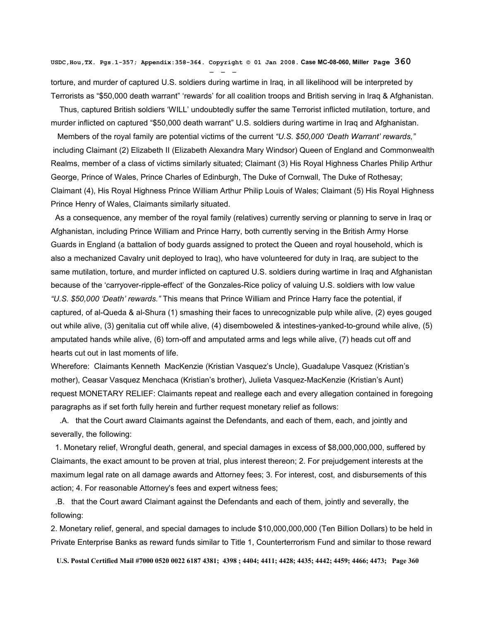**USDC,Hou,TX. Pgs.1-357; Appendix:358-364. Copyright © 01 Jan 2008. Case MC-08-060, Miller Page 360** - - -

torture, and murder of captured U.S. soldiers during wartime in Iraq, in all likelihood will be interpreted by Terrorists as "\$50,000 death warrant" 'rewards' for all coalition troops and British serving in Iraq & Afghanistan.

 Thus, captured British soldiers 'WILL' undoubtedly suffer the same Terrorist inflicted mutilation, torture, and murder inflicted on captured "\$50,000 death warrant" U.S. soldiers during wartime in Iraq and Afghanistan.

 Members of the royal family are potential victims of the current *"U.S. \$50,000 'Death Warrant' rewards,"* including Claimant (2) Elizabeth II (Elizabeth Alexandra Mary Windsor) Queen of England and Commonwealth Realms, member of a class of victims similarly situated; Claimant (3) His Royal Highness Charles Philip Arthur George, Prince of Wales, Prince Charles of Edinburgh, The Duke of Cornwall, The Duke of Rothesay; Claimant (4), His Royal Highness Prince William Arthur Philip Louis of Wales; Claimant (5) His Royal Highness Prince Henry of Wales, Claimants similarly situated.

 As a consequence, any member of the royal family (relatives) currently serving or planning to serve in Iraq or Afghanistan, including Prince William and Prince Harry, both currently serving in the British Army Horse Guards in England (a battalion of body guards assigned to protect the Queen and royal household, which is also a mechanized Cavalry unit deployed to Iraq), who have volunteered for duty in Iraq, are subject to the same mutilation, torture, and murder inflicted on captured U.S. soldiers during wartime in Iraq and Afghanistan because of the 'carryover-ripple-effect' of the Gonzales-Rice policy of valuing U.S. soldiers with low value *"U.S. \$50,000 'Death' rewards."* This means that Prince William and Prince Harry face the potential, if captured, of al-Queda & al-Shura (1) smashing their faces to unrecognizable pulp while alive, (2) eyes gouged out while alive, (3) genitalia cut off while alive, (4) disemboweled & intestines-yanked-to-ground while alive, (5) amputated hands while alive, (6) torn-off and amputated arms and legs while alive, (7) heads cut off and hearts cut out in last moments of life.

Wherefore: Claimants Kenneth MacKenzie (Kristian Vasquez's Uncle), Guadalupe Vasquez (Kristian's mother), Ceasar Vasquez Menchaca (Kristian's brother), Julieta Vasquez-MacKenzie (Kristian's Aunt) request MONETARY RELIEF: Claimants repeat and reallege each and every allegation contained in foregoing paragraphs as if set forth fully herein and further request monetary relief as follows:

 .A. that the Court award Claimants against the Defendants, and each of them, each, and jointly and severally, the following:

 1. Monetary relief, Wrongful death, general, and special damages in excess of \$8,000,000,000, suffered by Claimants, the exact amount to be proven at trial, plus interest thereon; 2. For prejudgement interests at the maximum legal rate on all damage awards and Attorney fees; 3. For interest, cost, and disbursements of this action; 4. For reasonable Attorney's fees and expert witness fees;

 .B. that the Court award Claimant against the Defendants and each of them, jointly and severally, the following:

2. Monetary relief, general, and special damages to include \$10,000,000,000 (Ten Billion Dollars) to be held in Private Enterprise Banks as reward funds similar to Title 1, Counterterrorism Fund and similar to those reward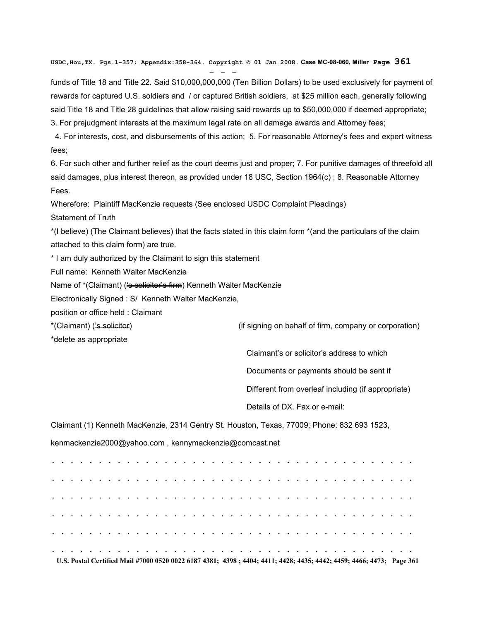**USDC,Hou,TX. Pgs.1-357; Appendix:358-364. Copyright © 01 Jan 2008. Case MC-08-060, Miller Page 361**

funds of Title 18 and Title 22. Said \$10,000,000,000 (Ten Billion Dollars) to be used exclusively for payment of rewards for captured U.S. soldiers and / or captured British soldiers, at \$25 million each, generally following said Title 18 and Title 28 guidelines that allow raising said rewards up to \$50,000,000 if deemed appropriate; 3. For prejudgment interests at the maximum legal rate on all damage awards and Attorney fees;

 4. For interests, cost, and disbursements of this action; 5. For reasonable Attorney's fees and expert witness fees;

6. For such other and further relief as the court deems just and proper; 7. For punitive damages of threefold all said damages, plus interest thereon, as provided under 18 USC, Section 1964(c) ; 8. Reasonable Attorney Fees.

Wherefore: Plaintiff MacKenzie requests (See enclosed USDC Complaint Pleadings)

Statement of Truth

\*(I believe) (The Claimant believes) that the facts stated in this claim form \*(and the particulars of the claim attached to this claim form) are true.

\* I am duly authorized by the Claimant to sign this statement

Full name: Kenneth Walter MacKenzie

Name of \*(Claimant) ('s solicitor's firm) Kenneth Walter MacKenzie

Electronically Signed : S/ Kenneth Walter MacKenzie,

- - -

position or office held : Claimant

\*(Claimant) ('<del>s solicitor</del>) (if signing on behalf of firm, company or corporation)

\*delete as appropriate

Claimant's or solicitor's address to which

Documents or payments should be sent if

Different from overleaf including (if appropriate)

Details of DX. Fax or e-mail:

Claimant (1) Kenneth MacKenzie, 2314 Gentry St. Houston, Texas, 77009; Phone: 832 693 1523,

kenmackenzie2000@yahoo.com , kennymackenzie@comcast.net

**. . . . . . . . . . . . . . . . . . . . . . . . . . . . . . . . . . . . . . . . . . . . . . . . . . . . . . . . . . . . . . . . . . . . . . . . . . . . . . . . . . . . . . . . . . . . . . . . . . . . . . . . . . . . . . . . . . . . . . . . . . . . . . . . . . . . . . . . . . . . . . . . . . . . . . . . . . . . . . . . . . . . . . . . . . . . . . . . . . . . . . . . . . . . . . . . . . . . . . . . . . . . . . . . . . . . . . . . . . . . . . . . . . . . . . . . . . U.S. Postal Certified Mail #7000 0520 0022 6187 4381; 4398 ; 4404; 4411; 4428; 4435; 4442; 4459; 4466; 4473; Page 361**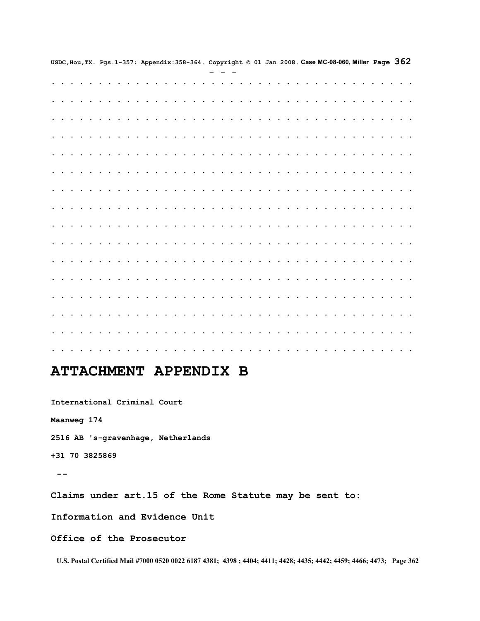|  |  |  |  |  |  |  | USDC, Hou, TX. Pgs. 1-357; Appendix: 358-364. Copyright $@$ 01 Jan 2008. Case MC-08-060, Miller Page $362$ |  |  |  |  |  |                                                         |  |  |  |                      |                      |                      |                      |                 |                      |           |  |  |                 |                                         |                          |                                              |  |  |  |  |  |
|--|--|--|--|--|--|--|------------------------------------------------------------------------------------------------------------|--|--|--|--|--|---------------------------------------------------------|--|--|--|----------------------|----------------------|----------------------|----------------------|-----------------|----------------------|-----------|--|--|-----------------|-----------------------------------------|--------------------------|----------------------------------------------|--|--|--|--|--|
|  |  |  |  |  |  |  |                                                                                                            |  |  |  |  |  |                                                         |  |  |  |                      |                      |                      |                      |                 |                      |           |  |  |                 |                                         |                          |                                              |  |  |  |  |  |
|  |  |  |  |  |  |  |                                                                                                            |  |  |  |  |  |                                                         |  |  |  |                      |                      |                      |                      | .               |                      |           |  |  |                 |                                         |                          |                                              |  |  |  |  |  |
|  |  |  |  |  |  |  |                                                                                                            |  |  |  |  |  |                                                         |  |  |  | $\ddot{\phantom{0}}$ |                      |                      |                      |                 |                      |           |  |  |                 |                                         |                          |                                              |  |  |  |  |  |
|  |  |  |  |  |  |  |                                                                                                            |  |  |  |  |  |                                                         |  |  |  | $\ddot{\phantom{0}}$ | $\ddot{\phantom{1}}$ | $\cdot$              | $\ddot{\phantom{0}}$ | $\cdot$ $\cdot$ |                      |           |  |  |                 |                                         |                          |                                              |  |  |  |  |  |
|  |  |  |  |  |  |  |                                                                                                            |  |  |  |  |  | $\cdot$ $\cdot$ $\cdot$ $\cdot$ $\cdot$                 |  |  |  |                      | $\ddot{\phantom{a}}$ | $\ddot{\phantom{a}}$ | $\ddot{\phantom{a}}$ |                 |                      |           |  |  |                 | $\sim$                                  | $\ddot{\phantom{0}}$     | $\ddot{\phantom{a}}$<br>$\ddot{\phantom{a}}$ |  |  |  |  |  |
|  |  |  |  |  |  |  |                                                                                                            |  |  |  |  |  |                                                         |  |  |  |                      |                      |                      |                      |                 |                      |           |  |  |                 |                                         |                          |                                              |  |  |  |  |  |
|  |  |  |  |  |  |  |                                                                                                            |  |  |  |  |  | $\cdots$                                                |  |  |  |                      |                      |                      |                      |                 |                      |           |  |  |                 |                                         |                          |                                              |  |  |  |  |  |
|  |  |  |  |  |  |  |                                                                                                            |  |  |  |  |  |                                                         |  |  |  |                      |                      |                      |                      |                 |                      |           |  |  |                 |                                         |                          |                                              |  |  |  |  |  |
|  |  |  |  |  |  |  |                                                                                                            |  |  |  |  |  | $\cdot$ $\cdot$ $\cdot$ $\cdot$ $\cdot$ $\cdot$ $\cdot$ |  |  |  |                      |                      | $\ddot{\phantom{0}}$ |                      |                 |                      |           |  |  |                 | $\cdot$ $\cdot$ $\cdot$ $\cdot$ $\cdot$ |                          | $\ddot{\phantom{0}}$                         |  |  |  |  |  |
|  |  |  |  |  |  |  |                                                                                                            |  |  |  |  |  |                                                         |  |  |  |                      |                      |                      |                      |                 |                      |           |  |  |                 |                                         |                          |                                              |  |  |  |  |  |
|  |  |  |  |  |  |  |                                                                                                            |  |  |  |  |  |                                                         |  |  |  |                      |                      |                      |                      |                 |                      |           |  |  |                 |                                         |                          |                                              |  |  |  |  |  |
|  |  |  |  |  |  |  |                                                                                                            |  |  |  |  |  |                                                         |  |  |  |                      |                      |                      |                      |                 |                      |           |  |  |                 |                                         |                          |                                              |  |  |  |  |  |
|  |  |  |  |  |  |  |                                                                                                            |  |  |  |  |  | $\cdots$                                                |  |  |  |                      | $\ddot{\phantom{0}}$ | $\ddot{\phantom{0}}$ |                      | $\sim$ $\sim$   | $\ddot{\phantom{a}}$ | $\bullet$ |  |  |                 | $\ddot{\phantom{0}}$                    | $\ddot{\phantom{1}}$     | $\ddot{\phantom{0}}$                         |  |  |  |  |  |
|  |  |  |  |  |  |  |                                                                                                            |  |  |  |  |  | $\cdot$ $\cdot$ $\cdot$ $\cdot$ $\cdot$                 |  |  |  |                      | $\sim$               | $\ddot{\phantom{a}}$ | $\sim$               |                 |                      |           |  |  | $\cdot$ $\cdot$ |                                         | $\overline{\phantom{a}}$ | $\ddot{\phantom{a}}$                         |  |  |  |  |  |
|  |  |  |  |  |  |  |                                                                                                            |  |  |  |  |  |                                                         |  |  |  |                      |                      |                      |                      |                 |                      |           |  |  |                 |                                         |                          |                                              |  |  |  |  |  |
|  |  |  |  |  |  |  |                                                                                                            |  |  |  |  |  |                                                         |  |  |  | $\ddot{\phantom{0}}$ |                      |                      |                      |                 |                      |           |  |  |                 |                                         |                          |                                              |  |  |  |  |  |
|  |  |  |  |  |  |  |                                                                                                            |  |  |  |  |  |                                                         |  |  |  |                      |                      |                      |                      |                 |                      |           |  |  |                 |                                         |                          |                                              |  |  |  |  |  |
|  |  |  |  |  |  |  |                                                                                                            |  |  |  |  |  |                                                         |  |  |  |                      |                      |                      |                      |                 |                      |           |  |  |                 |                                         |                          |                                              |  |  |  |  |  |

## **ATTACHMENT APPENDIX B**

**International Criminal Court**

**Maanweg 174**

**2516 AB 's-gravenhage, Netherlands**

**+31 70 3825869**

 **--**

**Claims under art.15 of the Rome Statute may be sent to:**

**Information and Evidence Unit**

**Office of the Prosecutor** 

**U.S. Postal Certified Mail #7000 0520 0022 6187 4381; 4398 ; 4404; 4411; 4428; 4435; 4442; 4459; 4466; 4473; Page 362**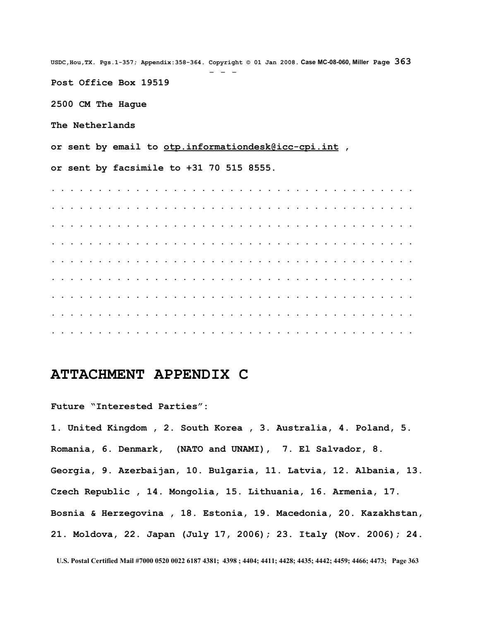**USDC,Hou,TX. Pgs.1-357; Appendix:358-364. Copyright © 01 Jan 2008. Case MC-08-060, Miller Page 363** - - - **Post Office Box 19519 2500 CM The Hague The Netherlands or sent by email to [otp.informationdesk@icc-cpi.int](mailto:otp.informationdesk@icc-cpi.int) , or sent by facsimile to +31 70 515 8555. . . . . . . . . . . . . . . . . . . . . . . . . . . . . . . . . . . . . . . . . . . . . . . . . . . . . . . . . . . . . . . . . . . . . . . . . . . . . . . . . . . . . . . . . . . . . . . . . . . . . . . . . . . . . . . . . . . . . . . . . . . . . . . . . . . . . . . . . . . . . . . . . . . . . . . . . . . . . . . . . . . . . . . . . . . . . . . . . . . . . . . . . . . . . . . . . . . . . . . . . . . . . . . . . . . . . . . . . . . . . . . . . . . . . . . . . . . . . . . . . . . . . . . . . . . . . . . . . . . . . . . . . . . . . . . . . . . . . . . . . . . . . . . . . . . . . . . . . . . . . . . . . . . . . . . . . . . . . . . . . . . . . . . . . . . . . . . . . . . . . . . . . . . . . . . .** 

## **ATTACHMENT APPENDIX C**

**Future "Interested Parties":**

**1. United Kingdom , 2. South Korea , 3. Australia, 4. Poland, 5. Romania, 6. Denmark, (NATO and UNAMI), 7. El Salvador, 8. Georgia, 9. Azerbaijan, 10. Bulgaria, 11. Latvia, 12. Albania, 13. Czech Republic , 14. Mongolia, 15. Lithuania, 16. Armenia, 17. Bosnia & Herzegovina , 18. Estonia, 19. Macedonia, 20. Kazakhstan, 21. Moldova, 22. Japan (July 17, 2006); 23. Italy (Nov. 2006); 24.**

**U.S. Postal Certified Mail #7000 0520 0022 6187 4381; 4398 ; 4404; 4411; 4428; 4435; 4442; 4459; 4466; 4473; Page 363**